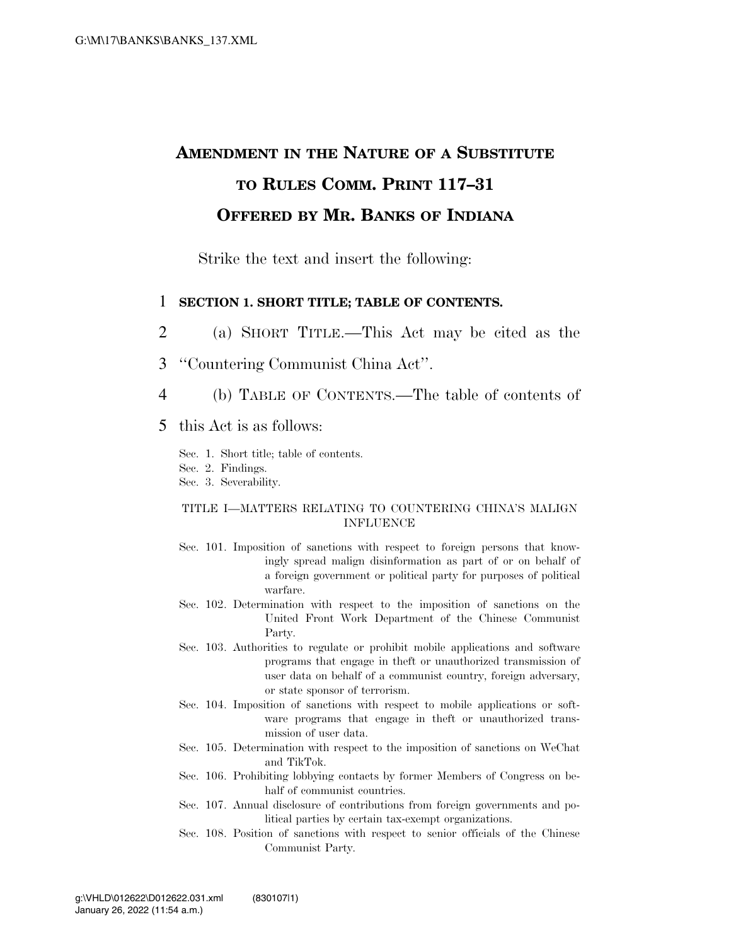## **AMENDMENT IN THE NATURE OF A SUBSTITUTE TO RULES COMM. PRINT 117–31 OFFERED BY MR. BANKS OF INDIANA**

Strike the text and insert the following:

## 1 **SECTION 1. SHORT TITLE; TABLE OF CONTENTS.**

2 (a) SHORT TITLE.—This Act may be cited as the

- 3 ''Countering Communist China Act''.
- 4 (b) TABLE OF CONTENTS.—The table of contents of

## 5 this Act is as follows:

- Sec. 1. Short title; table of contents.
- Sec. 2. Findings.
- Sec. 3. Severability.

### TITLE I—MATTERS RELATING TO COUNTERING CHINA'S MALIGN INFLUENCE

- Sec. 101. Imposition of sanctions with respect to foreign persons that knowingly spread malign disinformation as part of or on behalf of a foreign government or political party for purposes of political warfare.
- Sec. 102. Determination with respect to the imposition of sanctions on the United Front Work Department of the Chinese Communist Party.
- Sec. 103. Authorities to regulate or prohibit mobile applications and software programs that engage in theft or unauthorized transmission of user data on behalf of a communist country, foreign adversary, or state sponsor of terrorism.
- Sec. 104. Imposition of sanctions with respect to mobile applications or software programs that engage in theft or unauthorized transmission of user data.
- Sec. 105. Determination with respect to the imposition of sanctions on WeChat and TikTok.
- Sec. 106. Prohibiting lobbying contacts by former Members of Congress on behalf of communist countries.
- Sec. 107. Annual disclosure of contributions from foreign governments and political parties by certain tax-exempt organizations.
- Sec. 108. Position of sanctions with respect to senior officials of the Chinese Communist Party.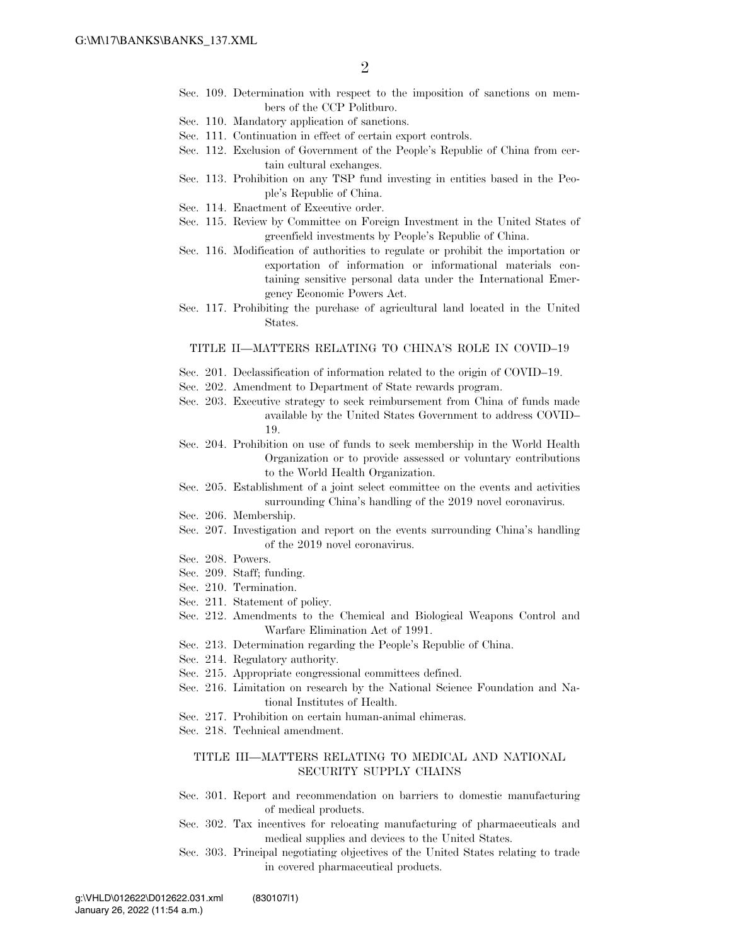- Sec. 109. Determination with respect to the imposition of sanctions on members of the CCP Politburo.
- Sec. 110. Mandatory application of sanctions.
- Sec. 111. Continuation in effect of certain export controls.
- Sec. 112. Exclusion of Government of the People's Republic of China from certain cultural exchanges.
- Sec. 113. Prohibition on any TSP fund investing in entities based in the People's Republic of China.
- Sec. 114. Enactment of Executive order.
- Sec. 115. Review by Committee on Foreign Investment in the United States of greenfield investments by People's Republic of China.
- Sec. 116. Modification of authorities to regulate or prohibit the importation or exportation of information or informational materials containing sensitive personal data under the International Emergency Economic Powers Act.
- Sec. 117. Prohibiting the purchase of agricultural land located in the United States.

#### TITLE II—MATTERS RELATING TO CHINA'S ROLE IN COVID–19

- Sec. 201. Declassification of information related to the origin of COVID–19.
- Sec. 202. Amendment to Department of State rewards program.
- Sec. 203. Executive strategy to seek reimbursement from China of funds made available by the United States Government to address COVID– 19.
- Sec. 204. Prohibition on use of funds to seek membership in the World Health Organization or to provide assessed or voluntary contributions to the World Health Organization.
- Sec. 205. Establishment of a joint select committee on the events and activities surrounding China's handling of the 2019 novel coronavirus.
- Sec. 206. Membership.
- Sec. 207. Investigation and report on the events surrounding China's handling of the 2019 novel coronavirus.
- Sec. 208. Powers.
- Sec. 209. Staff; funding.
- Sec. 210. Termination.
- Sec. 211. Statement of policy.
- Sec. 212. Amendments to the Chemical and Biological Weapons Control and Warfare Elimination Act of 1991.
- Sec. 213. Determination regarding the People's Republic of China.
- Sec. 214. Regulatory authority.
- Sec. 215. Appropriate congressional committees defined.
- Sec. 216. Limitation on research by the National Science Foundation and National Institutes of Health.
- Sec. 217. Prohibition on certain human-animal chimeras.
- Sec. 218. Technical amendment.

#### TITLE III—MATTERS RELATING TO MEDICAL AND NATIONAL SECURITY SUPPLY CHAINS

- Sec. 301. Report and recommendation on barriers to domestic manufacturing of medical products.
- Sec. 302. Tax incentives for relocating manufacturing of pharmaceuticals and medical supplies and devices to the United States.
- Sec. 303. Principal negotiating objectives of the United States relating to trade in covered pharmaceutical products.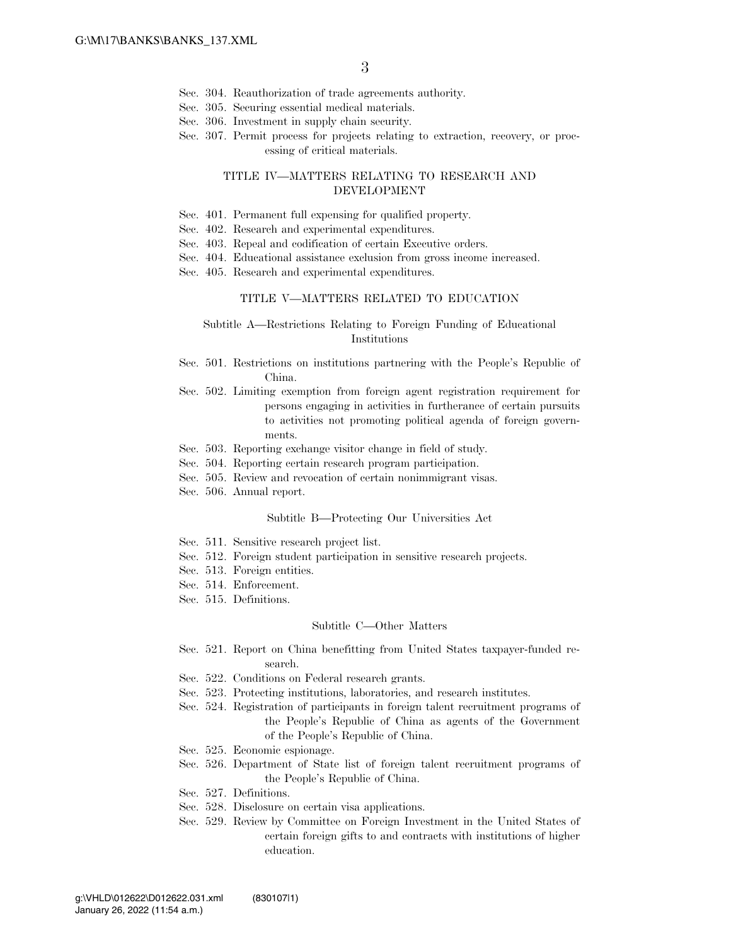- Sec. 304. Reauthorization of trade agreements authority.
- Sec. 305. Securing essential medical materials.
- Sec. 306. Investment in supply chain security.
- Sec. 307. Permit process for projects relating to extraction, recovery, or processing of critical materials.

#### TITLE IV—MATTERS RELATING TO RESEARCH AND DEVELOPMENT

- Sec. 401. Permanent full expensing for qualified property.
- Sec. 402. Research and experimental expenditures.
- Sec. 403. Repeal and codification of certain Executive orders.
- Sec. 404. Educational assistance exclusion from gross income increased.
- Sec. 405. Research and experimental expenditures.

#### TITLE V—MATTERS RELATED TO EDUCATION

#### Subtitle A—Restrictions Relating to Foreign Funding of Educational Institutions

- Sec. 501. Restrictions on institutions partnering with the People's Republic of China.
- Sec. 502. Limiting exemption from foreign agent registration requirement for persons engaging in activities in furtherance of certain pursuits to activities not promoting political agenda of foreign governments.
- Sec. 503. Reporting exchange visitor change in field of study.
- Sec. 504. Reporting certain research program participation.
- Sec. 505. Review and revocation of certain nonimmigrant visas.
- Sec. 506. Annual report.

#### Subtitle B—Protecting Our Universities Act

- Sec. 511. Sensitive research project list.
- Sec. 512. Foreign student participation in sensitive research projects.
- Sec. 513. Foreign entities.
- Sec. 514. Enforcement.
- Sec. 515. Definitions.

#### Subtitle C—Other Matters

- Sec. 521. Report on China benefitting from United States taxpayer-funded research.
- Sec. 522. Conditions on Federal research grants.
- Sec. 523. Protecting institutions, laboratories, and research institutes.
- Sec. 524. Registration of participants in foreign talent recruitment programs of the People's Republic of China as agents of the Government of the People's Republic of China.
- Sec. 525. Economic espionage.
- Sec. 526. Department of State list of foreign talent recruitment programs of the People's Republic of China.
- Sec. 527. Definitions.
- Sec. 528. Disclosure on certain visa applications.
- Sec. 529. Review by Committee on Foreign Investment in the United States of certain foreign gifts to and contracts with institutions of higher education.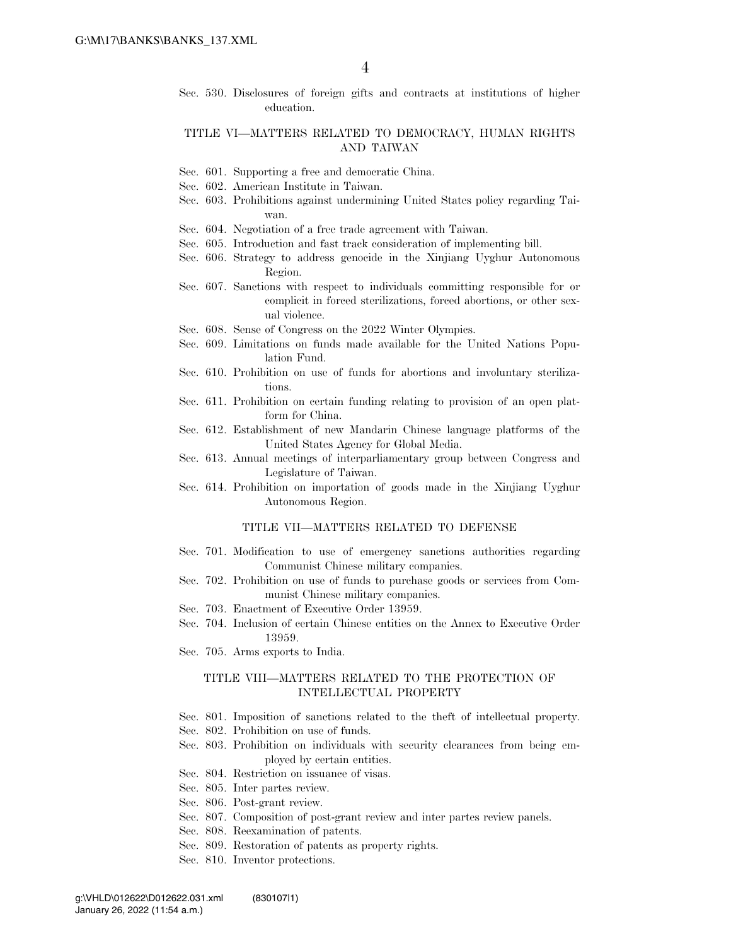Sec. 530. Disclosures of foreign gifts and contracts at institutions of higher education.

### TITLE VI—MATTERS RELATED TO DEMOCRACY, HUMAN RIGHTS AND TAIWAN

- Sec. 601. Supporting a free and democratic China.
- Sec. 602. American Institute in Taiwan.
- Sec. 603. Prohibitions against undermining United States policy regarding Taiwan.
- Sec. 604. Negotiation of a free trade agreement with Taiwan.
- Sec. 605. Introduction and fast track consideration of implementing bill.
- Sec. 606. Strategy to address genocide in the Xinjiang Uyghur Autonomous Region.
- Sec. 607. Sanctions with respect to individuals committing responsible for or complicit in forced sterilizations, forced abortions, or other sexual violence.
- Sec. 608. Sense of Congress on the 2022 Winter Olympics.
- Sec. 609. Limitations on funds made available for the United Nations Population Fund.
- Sec. 610. Prohibition on use of funds for abortions and involuntary sterilizations.
- Sec. 611. Prohibition on certain funding relating to provision of an open platform for China.
- Sec. 612. Establishment of new Mandarin Chinese language platforms of the United States Agency for Global Media.
- Sec. 613. Annual meetings of interparliamentary group between Congress and Legislature of Taiwan.
- Sec. 614. Prohibition on importation of goods made in the Xinjiang Uyghur Autonomous Region.

#### TITLE VII—MATTERS RELATED TO DEFENSE

- Sec. 701. Modification to use of emergency sanctions authorities regarding Communist Chinese military companies.
- Sec. 702. Prohibition on use of funds to purchase goods or services from Communist Chinese military companies.
- Sec. 703. Enactment of Executive Order 13959.
- Sec. 704. Inclusion of certain Chinese entities on the Annex to Executive Order 13959.
- Sec. 705. Arms exports to India.

#### TITLE VIII—MATTERS RELATED TO THE PROTECTION OF INTELLECTUAL PROPERTY

- Sec. 801. Imposition of sanctions related to the theft of intellectual property.
- Sec. 802. Prohibition on use of funds.
- Sec. 803. Prohibition on individuals with security clearances from being employed by certain entities.
- Sec. 804. Restriction on issuance of visas.
- Sec. 805. Inter partes review.
- Sec. 806. Post-grant review.
- Sec. 807. Composition of post-grant review and inter partes review panels.
- Sec. 808. Reexamination of patents.
- Sec. 809. Restoration of patents as property rights.
- Sec. 810. Inventor protections.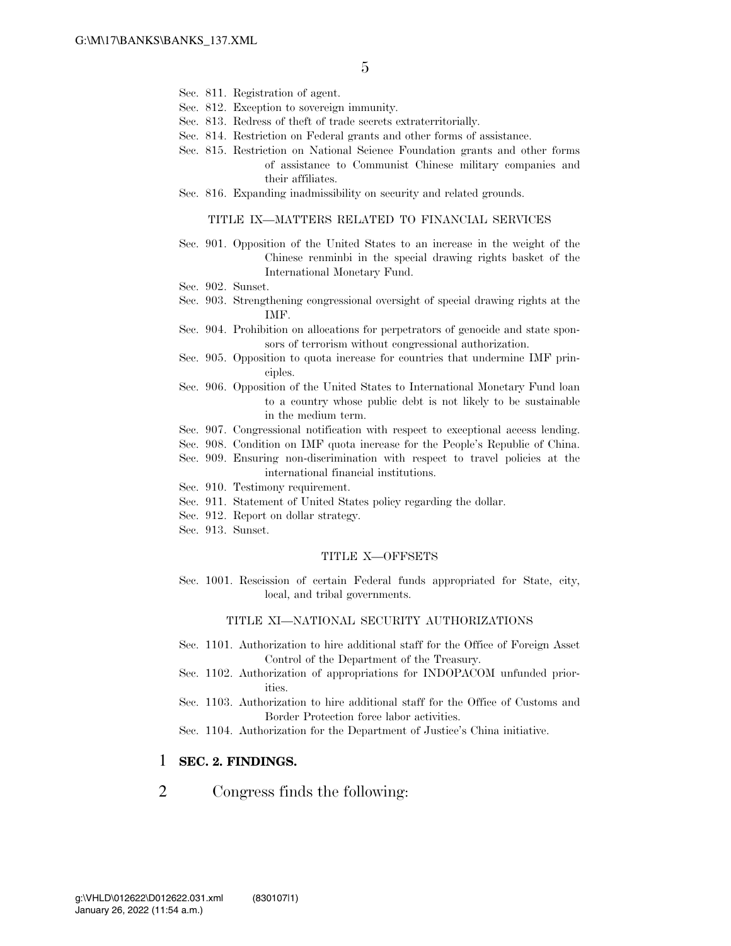- Sec. 811. Registration of agent.
- Sec. 812. Exception to sovereign immunity.
- Sec. 813. Redress of theft of trade secrets extraterritorially.
- Sec. 814. Restriction on Federal grants and other forms of assistance.
- Sec. 815. Restriction on National Science Foundation grants and other forms of assistance to Communist Chinese military companies and their affiliates.
- Sec. 816. Expanding inadmissibility on security and related grounds.

#### TITLE IX—MATTERS RELATED TO FINANCIAL SERVICES

- Sec. 901. Opposition of the United States to an increase in the weight of the Chinese renminbi in the special drawing rights basket of the International Monetary Fund.
- Sec. 902. Sunset.
- Sec. 903. Strengthening congressional oversight of special drawing rights at the IMF.
- Sec. 904. Prohibition on allocations for perpetrators of genocide and state sponsors of terrorism without congressional authorization.
- Sec. 905. Opposition to quota increase for countries that undermine IMF principles.
- Sec. 906. Opposition of the United States to International Monetary Fund loan to a country whose public debt is not likely to be sustainable in the medium term.
- Sec. 907. Congressional notification with respect to exceptional access lending.
- Sec. 908. Condition on IMF quota increase for the People's Republic of China.
- Sec. 909. Ensuring non-discrimination with respect to travel policies at the international financial institutions.
- Sec. 910. Testimony requirement.
- Sec. 911. Statement of United States policy regarding the dollar.
- Sec. 912. Report on dollar strategy.
- Sec. 913. Sunset.

#### TITLE X—OFFSETS

Sec. 1001. Rescission of certain Federal funds appropriated for State, city, local, and tribal governments.

#### TITLE XI—NATIONAL SECURITY AUTHORIZATIONS

- Sec. 1101. Authorization to hire additional staff for the Office of Foreign Asset Control of the Department of the Treasury.
- Sec. 1102. Authorization of appropriations for INDOPACOM unfunded priorities.
- Sec. 1103. Authorization to hire additional staff for the Office of Customs and Border Protection force labor activities.
- Sec. 1104. Authorization for the Department of Justice's China initiative.

## 1 **SEC. 2. FINDINGS.**

## 2 Congress finds the following: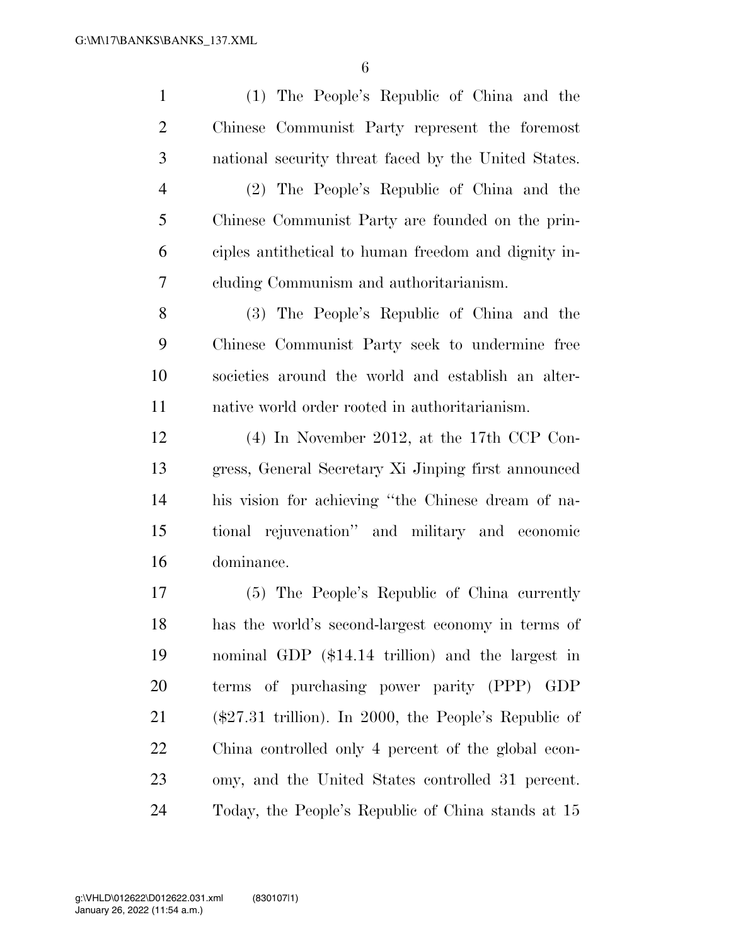(1) The People's Republic of China and the Chinese Communist Party represent the foremost national security threat faced by the United States. (2) The People's Republic of China and the Chinese Communist Party are founded on the prin- ciples antithetical to human freedom and dignity in- cluding Communism and authoritarianism. (3) The People's Republic of China and the Chinese Communist Party seek to undermine free societies around the world and establish an alter- native world order rooted in authoritarianism. (4) In November 2012, at the 17th CCP Con- gress, General Secretary Xi Jinping first announced his vision for achieving ''the Chinese dream of na- tional rejuvenation'' and military and economic dominance. (5) The People's Republic of China currently has the world's second-largest economy in terms of nominal GDP (\$14.14 trillion) and the largest in terms of purchasing power parity (PPP) GDP (\$27.31 trillion). In 2000, the People's Republic of China controlled only 4 percent of the global econ- omy, and the United States controlled 31 percent. Today, the People's Republic of China stands at 15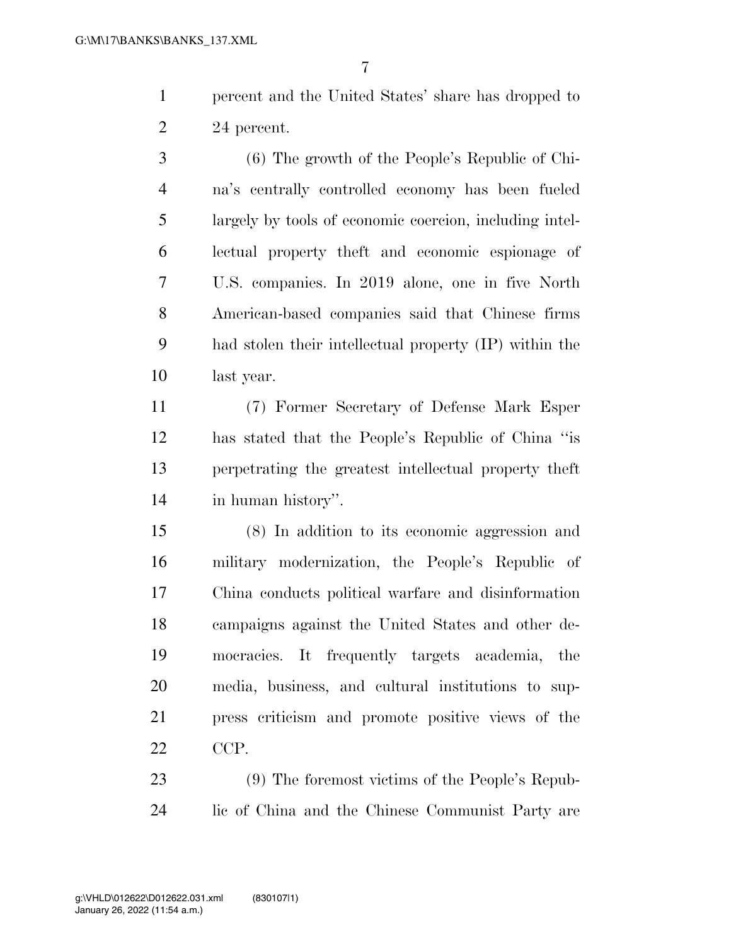percent and the United States' share has dropped to 24 percent.

 (6) The growth of the People's Republic of Chi- na's centrally controlled economy has been fueled largely by tools of economic coercion, including intel- lectual property theft and economic espionage of U.S. companies. In 2019 alone, one in five North American-based companies said that Chinese firms had stolen their intellectual property (IP) within the last year.

 (7) Former Secretary of Defense Mark Esper has stated that the People's Republic of China ''is perpetrating the greatest intellectual property theft in human history''.

 (8) In addition to its economic aggression and military modernization, the People's Republic of China conducts political warfare and disinformation campaigns against the United States and other de- mocracies. It frequently targets academia, the media, business, and cultural institutions to sup- press criticism and promote positive views of the CCP.

 (9) The foremost victims of the People's Repub-lic of China and the Chinese Communist Party are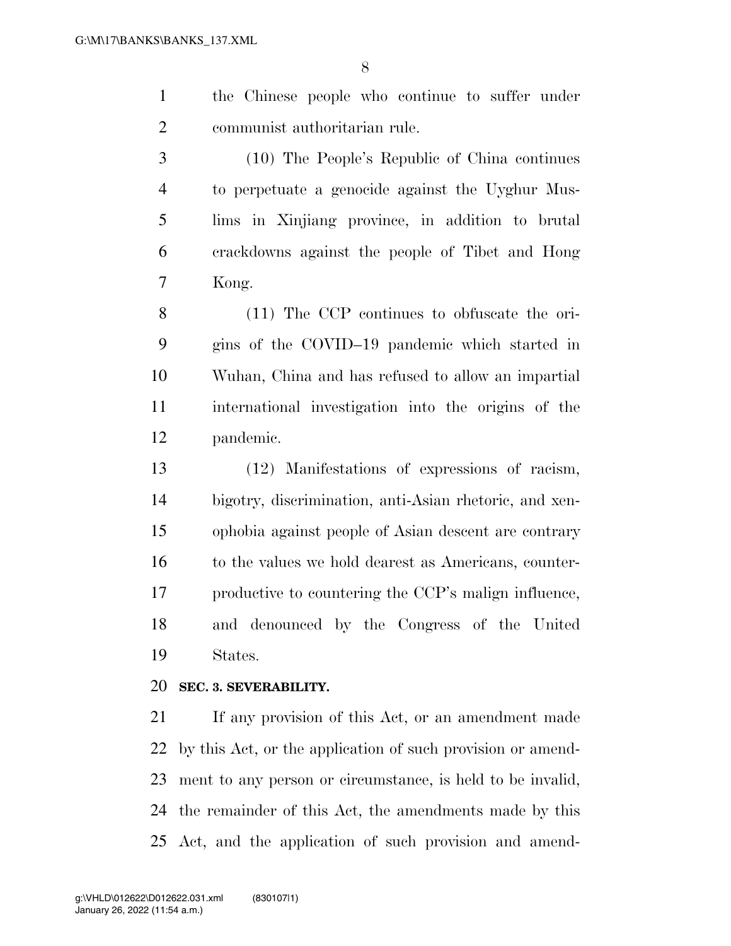the Chinese people who continue to suffer under communist authoritarian rule.

 (10) The People's Republic of China continues to perpetuate a genocide against the Uyghur Mus- lims in Xinjiang province, in addition to brutal crackdowns against the people of Tibet and Hong Kong.

 (11) The CCP continues to obfuscate the ori- gins of the COVID–19 pandemic which started in Wuhan, China and has refused to allow an impartial international investigation into the origins of the pandemic.

 (12) Manifestations of expressions of racism, bigotry, discrimination, anti-Asian rhetoric, and xen- ophobia against people of Asian descent are contrary 16 to the values we hold dearest as Americans, counter- productive to countering the CCP's malign influence, and denounced by the Congress of the United States.

## **SEC. 3. SEVERABILITY.**

 If any provision of this Act, or an amendment made by this Act, or the application of such provision or amend- ment to any person or circumstance, is held to be invalid, the remainder of this Act, the amendments made by this Act, and the application of such provision and amend-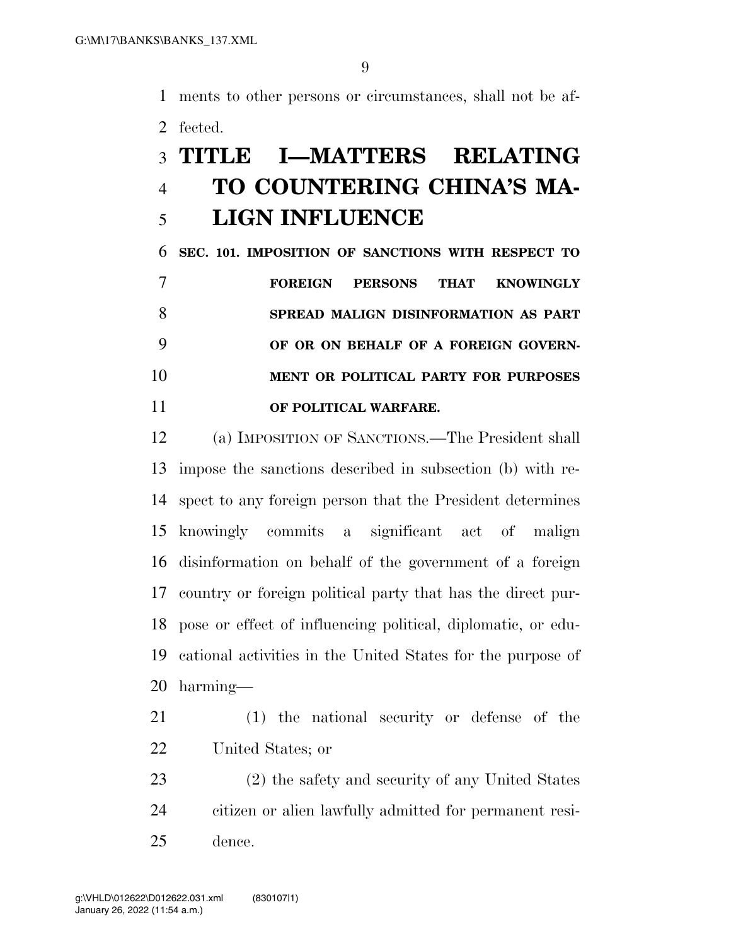ments to other persons or circumstances, shall not be af-fected.

# **TITLE I—MATTERS RELATING TO COUNTERING CHINA'S MA-LIGN INFLUENCE**

 **SEC. 101. IMPOSITION OF SANCTIONS WITH RESPECT TO FOREIGN PERSONS THAT KNOWINGLY SPREAD MALIGN DISINFORMATION AS PART OF OR ON BEHALF OF A FOREIGN GOVERN- MENT OR POLITICAL PARTY FOR PURPOSES OF POLITICAL WARFARE.** 

 (a) IMPOSITION OF SANCTIONS.—The President shall impose the sanctions described in subsection (b) with re- spect to any foreign person that the President determines knowingly commits a significant act of malign disinformation on behalf of the government of a foreign country or foreign political party that has the direct pur- pose or effect of influencing political, diplomatic, or edu- cational activities in the United States for the purpose of harming—

 (1) the national security or defense of the United States; or

 (2) the safety and security of any United States citizen or alien lawfully admitted for permanent resi-dence.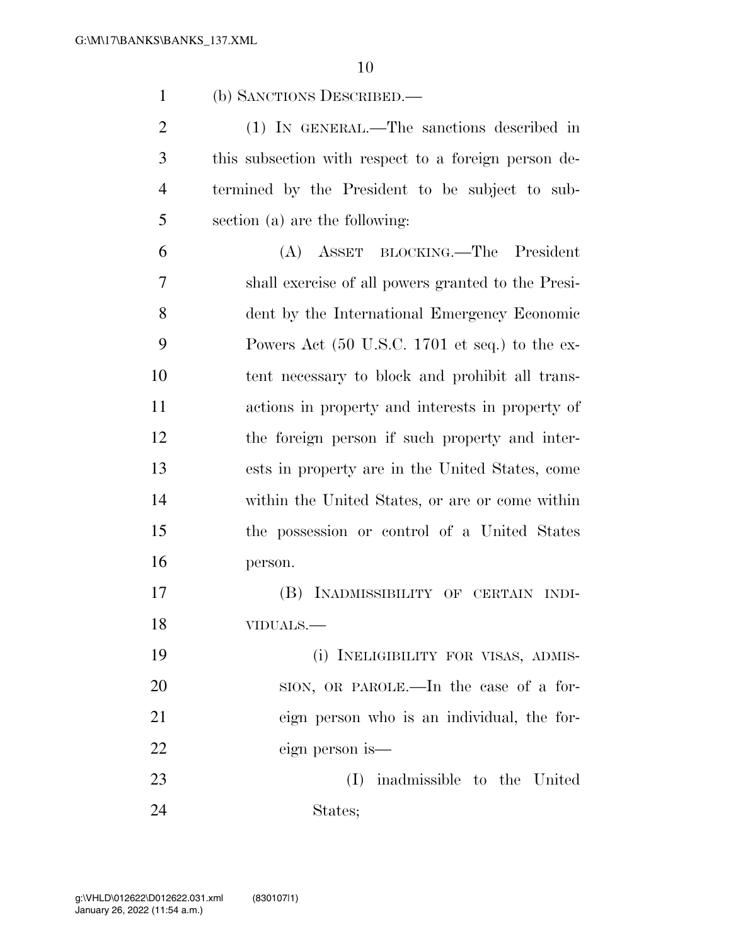(b) SANCTIONS DESCRIBED.—

 (1) IN GENERAL.—The sanctions described in this subsection with respect to a foreign person de- termined by the President to be subject to sub-section (a) are the following:

 (A) ASSET BLOCKING.—The President shall exercise of all powers granted to the Presi- dent by the International Emergency Economic Powers Act (50 U.S.C. 1701 et seq.) to the ex- tent necessary to block and prohibit all trans- actions in property and interests in property of the foreign person if such property and inter- ests in property are in the United States, come within the United States, or are or come within the possession or control of a United States person.

 (B) INADMISSIBILITY OF CERTAIN INDI-VIDUALS.—

 (i) INELIGIBILITY FOR VISAS, ADMIS- SION, OR PAROLE.—In the case of a for- eign person who is an individual, the for-eign person is—

 (I) inadmissible to the United States;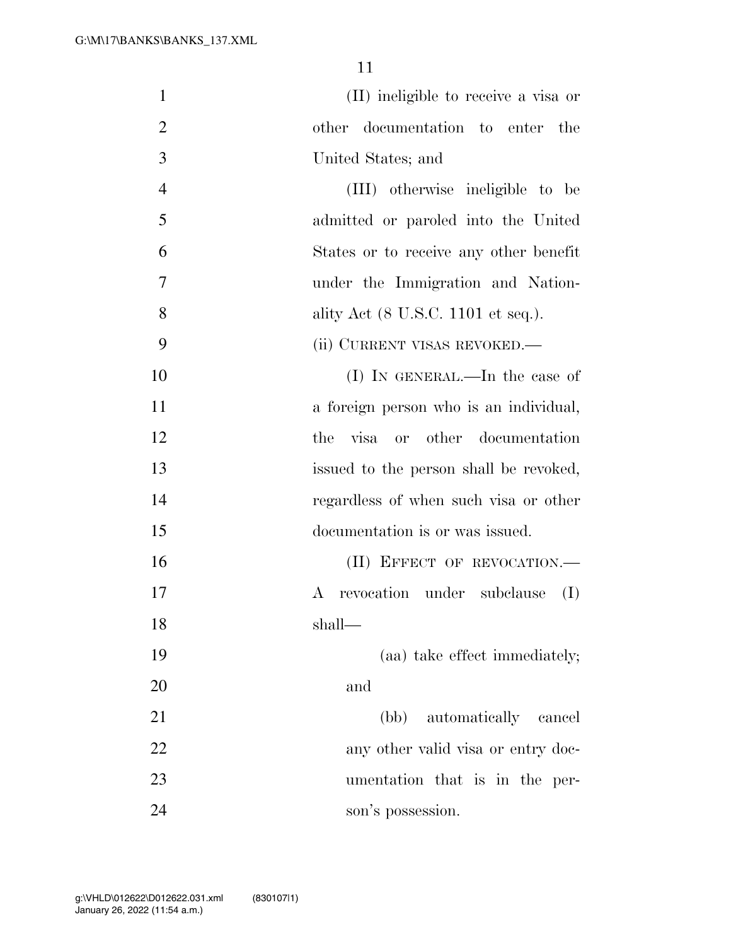| $\mathbf{1}$   | (II) ineligible to receive a visa or         |
|----------------|----------------------------------------------|
| $\overline{2}$ | other documentation to enter the             |
| 3              | United States; and                           |
| $\overline{4}$ | (III) otherwise ineligible to be             |
| 5              | admitted or paroled into the United          |
| 6              | States or to receive any other benefit       |
| 7              | under the Immigration and Nation-            |
| 8              | ality Act (8 U.S.C. 1101 et seq.).           |
| 9              | (ii) CURRENT VISAS REVOKED.—                 |
| 10             | (I) IN GENERAL.—In the case of               |
| 11             | a foreign person who is an individual,       |
| 12             | visa or other documentation<br>the           |
| 13             | issued to the person shall be revoked,       |
| 14             | regardless of when such visa or other        |
| 15             | documentation is or was issued.              |
| 16             | (II) EFFECT OF REVOCATION.-                  |
| 17             | revocation under subclause<br>(I)<br>$\rm A$ |
| 18             | shall-                                       |
| 19             | (aa) take effect immediately;                |
| 20             | and                                          |
| 21             | (bb) automatically cancel                    |
| 22             | any other valid visa or entry doc-           |
| 23             | umentation that is in the per-               |
| 24             | son's possession.                            |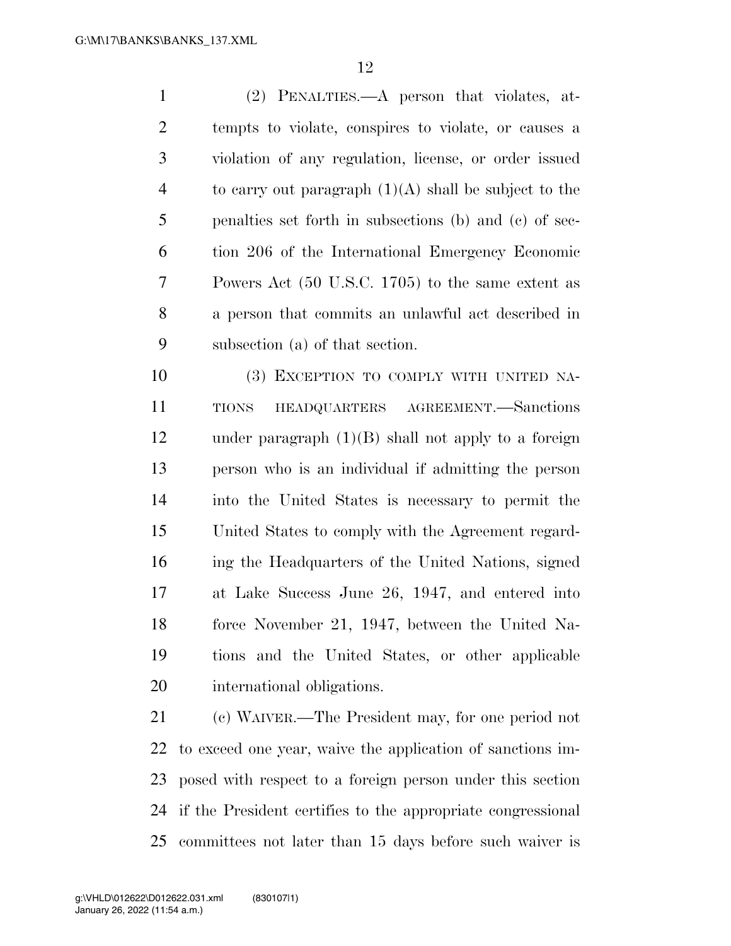(2) PENALTIES.—A person that violates, at- tempts to violate, conspires to violate, or causes a violation of any regulation, license, or order issued 4 to carry out paragraph  $(1)(A)$  shall be subject to the penalties set forth in subsections (b) and (c) of sec- tion 206 of the International Emergency Economic Powers Act (50 U.S.C. 1705) to the same extent as a person that commits an unlawful act described in subsection (a) of that section.

 (3) EXCEPTION TO COMPLY WITH UNITED NA- TIONS HEADQUARTERS AGREEMENT.—Sanctions under paragraph (1)(B) shall not apply to a foreign person who is an individual if admitting the person into the United States is necessary to permit the United States to comply with the Agreement regard- ing the Headquarters of the United Nations, signed at Lake Success June 26, 1947, and entered into force November 21, 1947, between the United Na- tions and the United States, or other applicable international obligations.

 (c) WAIVER.—The President may, for one period not to exceed one year, waive the application of sanctions im- posed with respect to a foreign person under this section if the President certifies to the appropriate congressional committees not later than 15 days before such waiver is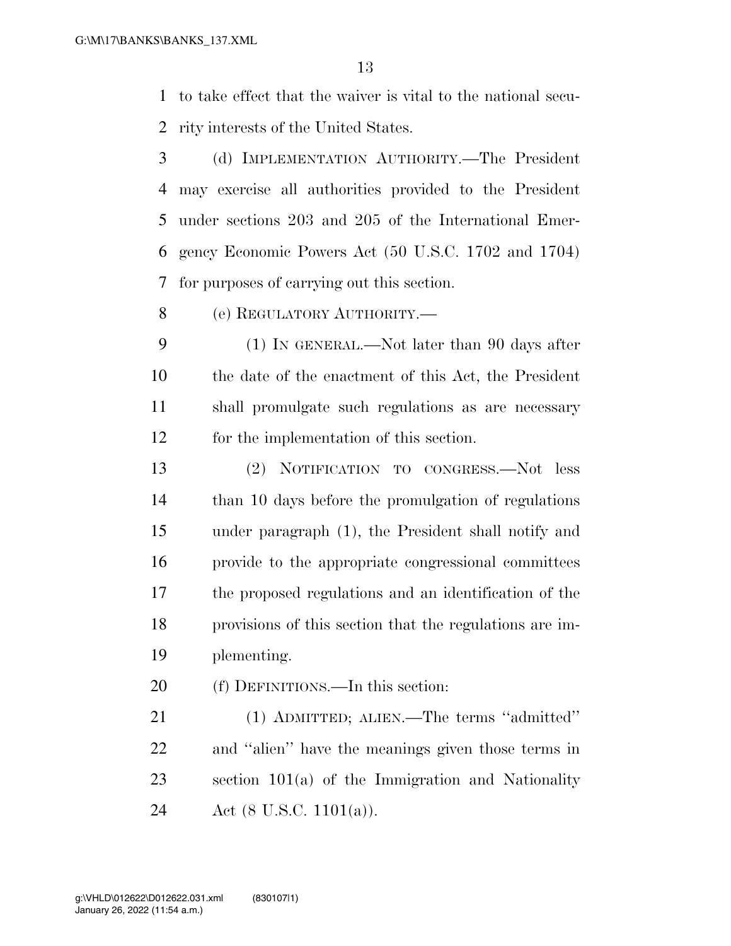to take effect that the waiver is vital to the national secu-rity interests of the United States.

- (d) IMPLEMENTATION AUTHORITY.—The President may exercise all authorities provided to the President under sections 203 and 205 of the International Emer- gency Economic Powers Act (50 U.S.C. 1702 and 1704) for purposes of carrying out this section.
- (e) REGULATORY AUTHORITY.—

 (1) IN GENERAL.—Not later than 90 days after the date of the enactment of this Act, the President shall promulgate such regulations as are necessary for the implementation of this section.

 (2) NOTIFICATION TO CONGRESS.—Not less than 10 days before the promulgation of regulations under paragraph (1), the President shall notify and provide to the appropriate congressional committees the proposed regulations and an identification of the provisions of this section that the regulations are im-plementing.

(f) DEFINITIONS.—In this section:

 (1) ADMITTED; ALIEN.—The terms ''admitted'' and ''alien'' have the meanings given those terms in section 101(a) of the Immigration and Nationality 24 Act (8 U.S.C. 1101(a)).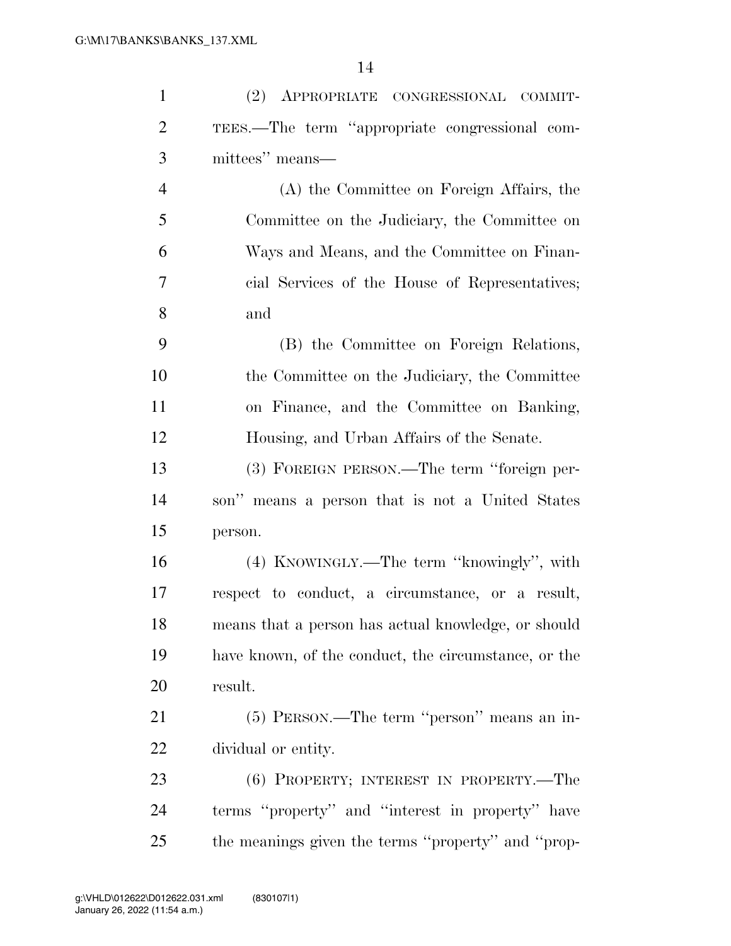| $\mathbf{1}$   | (2) APPROPRIATE CONGRESSIONAL COMMIT-                |
|----------------|------------------------------------------------------|
| $\overline{2}$ | TEES.—The term "appropriate congressional com-       |
| 3              | mittees" means—                                      |
| $\overline{4}$ | (A) the Committee on Foreign Affairs, the            |
| 5              | Committee on the Judiciary, the Committee on         |
| 6              | Ways and Means, and the Committee on Finan-          |
| 7              | cial Services of the House of Representatives;       |
| 8              | and                                                  |
| 9              | (B) the Committee on Foreign Relations,              |
| 10             | the Committee on the Judiciary, the Committee        |
| 11             | on Finance, and the Committee on Banking,            |
| 12             | Housing, and Urban Affairs of the Senate.            |
| 13             | (3) FOREIGN PERSON.—The term "foreign per-           |
| 14             | son" means a person that is not a United States      |
| 15             | person.                                              |
| 16             | (4) KNOWINGLY.—The term "knowingly", with            |
| 17             | respect to conduct, a circumstance, or a result,     |
| 18             | means that a person has actual knowledge, or should  |
| 19             | have known, of the conduct, the circumstance, or the |
| 20             | result.                                              |
| 21             | (5) PERSON.—The term "person" means an in-           |
| 22             | dividual or entity.                                  |
| 23             | (6) PROPERTY; INTEREST IN PROPERTY.—The              |
| 24             | terms "property" and "interest in property" have     |
| 25             | the meanings given the terms "property" and "prop-   |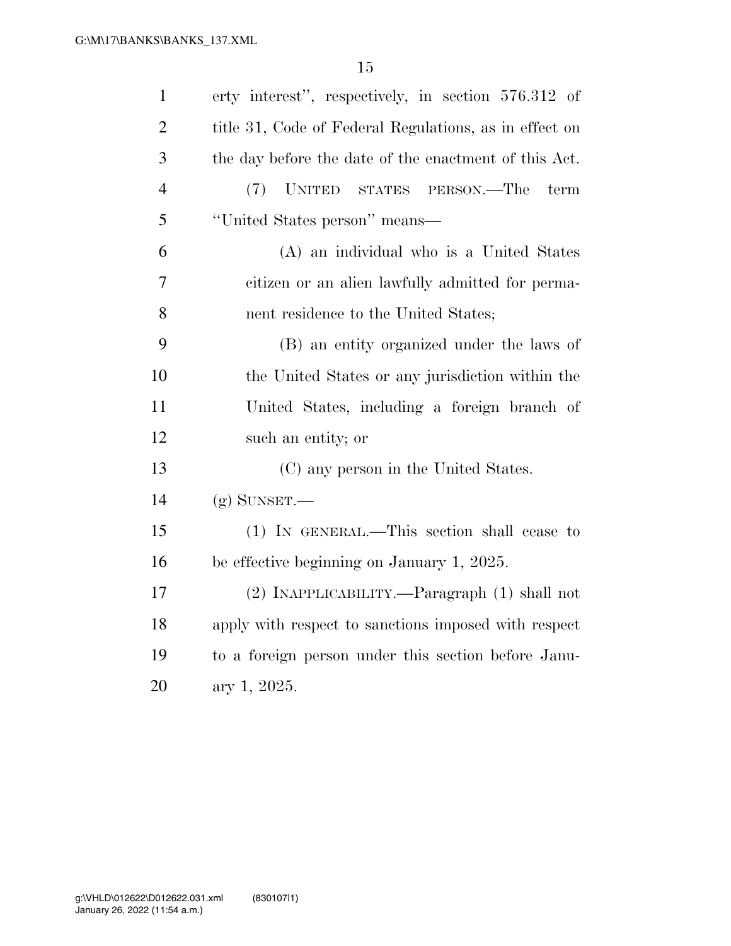| $\mathbf{1}$   | erty interest", respectively, in section 576.312 of    |
|----------------|--------------------------------------------------------|
| $\overline{2}$ | title 31, Code of Federal Regulations, as in effect on |
| 3              | the day before the date of the enactment of this Act.  |
| $\overline{4}$ | (7)<br>UNITED STATES PERSON.—The<br>term               |
| 5              | "United States person" means—                          |
| 6              | (A) an individual who is a United States               |
| $\overline{7}$ | citizen or an alien lawfully admitted for perma-       |
| 8              | nent residence to the United States;                   |
| 9              | (B) an entity organized under the laws of              |
| 10             | the United States or any jurisdiction within the       |
| 11             | United States, including a foreign branch of           |
| 12             | such an entity; or                                     |
| 13             | (C) any person in the United States.                   |
| 14             | $(g)$ SUNSET.—                                         |
| 15             | (1) IN GENERAL.—This section shall cease to            |
| 16             | be effective beginning on January 1, 2025.             |
| 17             | (2) INAPPLICABILITY.—Paragraph (1) shall not           |
| 18             | apply with respect to sanctions imposed with respect   |
| 19             | to a foreign person under this section before Janu-    |
| 20             | ary 1, 2025.                                           |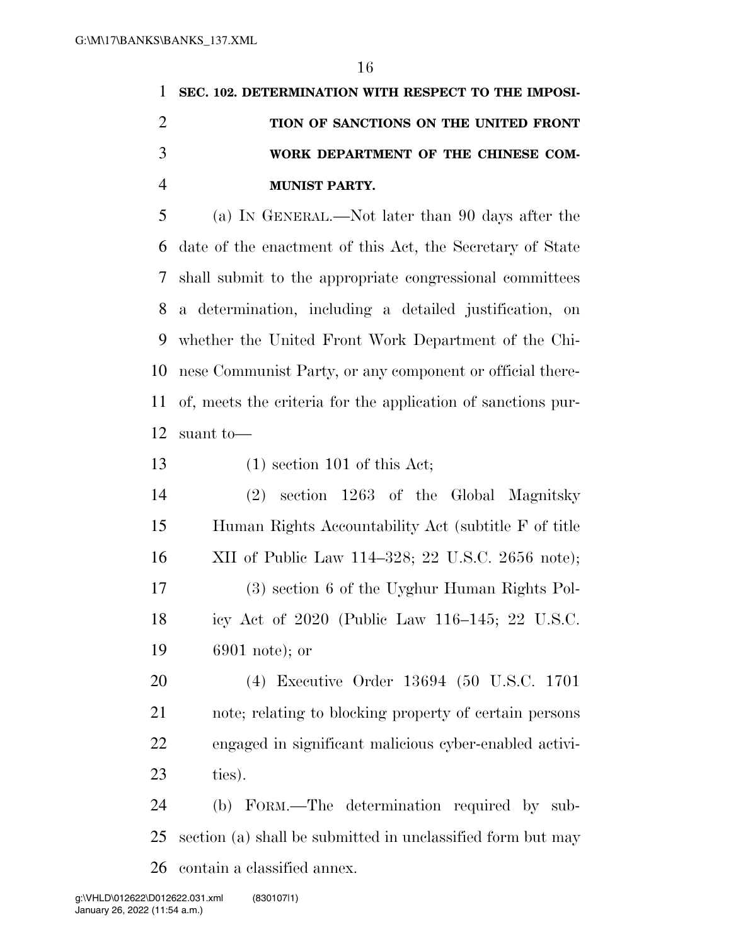| 1 SEC. 102. DETERMINATION WITH RESPECT TO THE IMPOSI- |
|-------------------------------------------------------|
| TION OF SANCTIONS ON THE UNITED FRONT                 |
| WORK DEPARTMENT OF THE CHINESE COM-                   |
| <b>MUNIST PARTY.</b>                                  |

 (a) IN GENERAL.—Not later than 90 days after the date of the enactment of this Act, the Secretary of State shall submit to the appropriate congressional committees a determination, including a detailed justification, on whether the United Front Work Department of the Chi- nese Communist Party, or any component or official there- of, meets the criteria for the application of sanctions pur-suant to—

- 13 (1) section 101 of this Act;
- (2) section 1263 of the Global Magnitsky Human Rights Accountability Act (subtitle F of title XII of Public Law 114–328; 22 U.S.C. 2656 note); (3) section 6 of the Uyghur Human Rights Pol- icy Act of 2020 (Public Law 116–145; 22 U.S.C. 6901 note); or
- (4) Executive Order 13694 (50 U.S.C. 1701 note; relating to blocking property of certain persons engaged in significant malicious cyber-enabled activi-ties).

 (b) FORM.—The determination required by sub- section (a) shall be submitted in unclassified form but may contain a classified annex.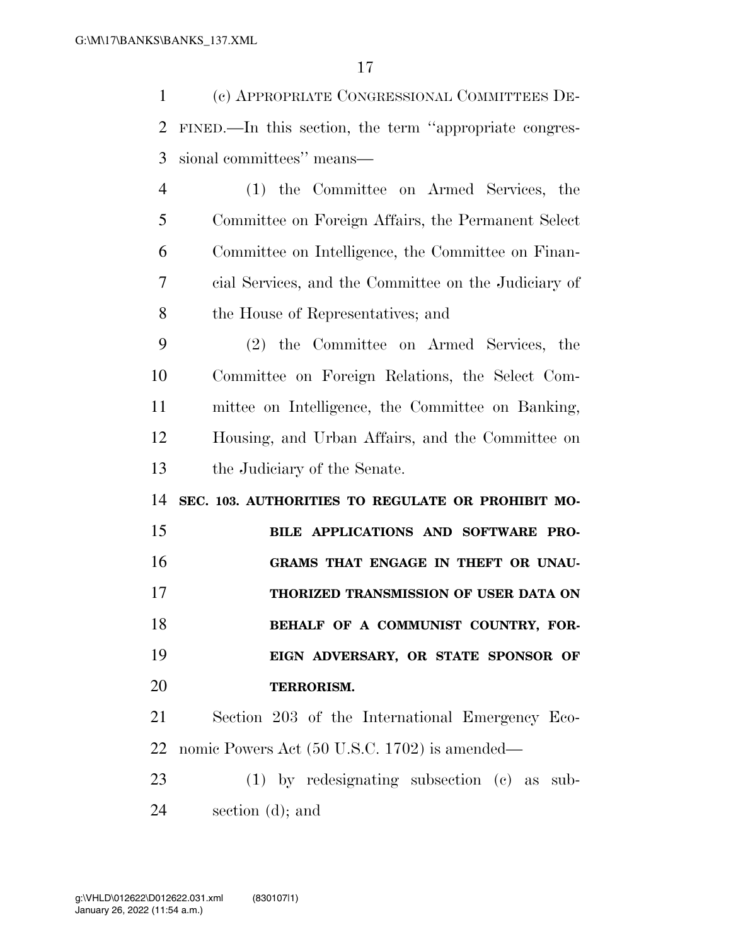(c) APPROPRIATE CONGRESSIONAL COMMITTEES DE- FINED.—In this section, the term ''appropriate congres- sional committees'' means— (1) the Committee on Armed Services, the Committee on Foreign Affairs, the Permanent Select Committee on Intelligence, the Committee on Finan- cial Services, and the Committee on the Judiciary of the House of Representatives; and (2) the Committee on Armed Services, the Committee on Foreign Relations, the Select Com-mittee on Intelligence, the Committee on Banking,

 Housing, and Urban Affairs, and the Committee on the Judiciary of the Senate.

**SEC. 103. AUTHORITIES TO REGULATE OR PROHIBIT MO-**

 **BILE APPLICATIONS AND SOFTWARE PRO- GRAMS THAT ENGAGE IN THEFT OR UNAU- THORIZED TRANSMISSION OF USER DATA ON BEHALF OF A COMMUNIST COUNTRY, FOR- EIGN ADVERSARY, OR STATE SPONSOR OF TERRORISM.** 

 Section 203 of the International Emergency Eco-nomic Powers Act (50 U.S.C. 1702) is amended—

 (1) by redesignating subsection (c) as sub-section (d); and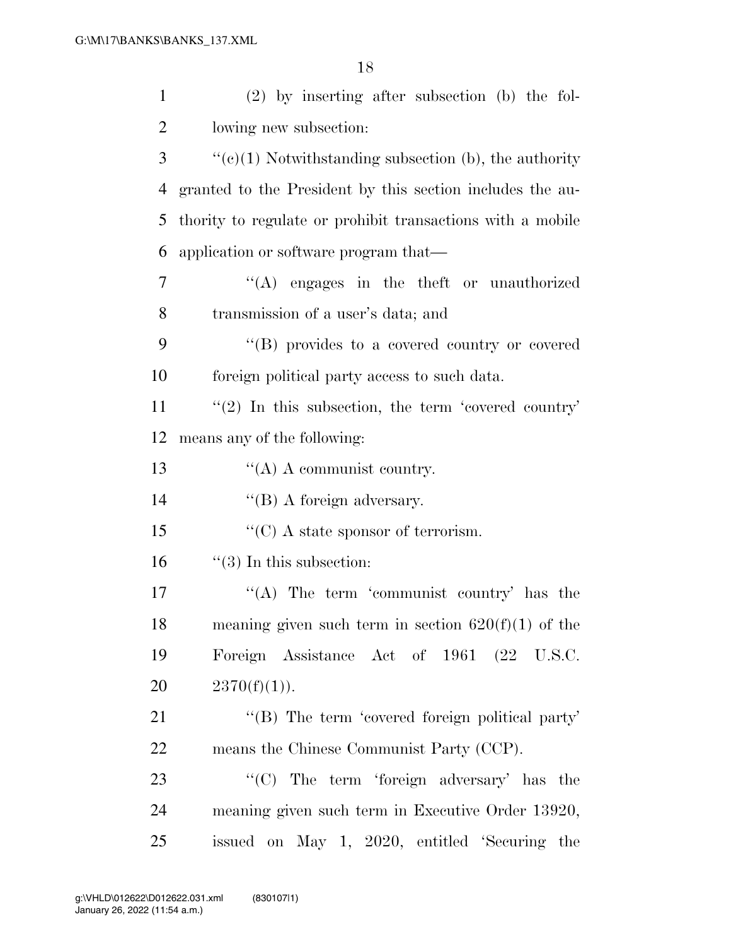| $\mathbf{1}$   | $(2)$ by inserting after subsection (b) the fol-           |
|----------------|------------------------------------------------------------|
| $\overline{2}$ | lowing new subsection:                                     |
| 3              | $``(e)(1)$ Notwithstanding subsection (b), the authority   |
| 4              | granted to the President by this section includes the au-  |
| 5              | thority to regulate or prohibit transactions with a mobile |
| 6              | application or software program that—                      |
| 7              | "(A) engages in the theft or unauthorized                  |
| 8              | transmission of a user's data; and                         |
| 9              | "(B) provides to a covered country or covered              |
| 10             | foreign political party access to such data.               |
| 11             | $\lq(2)$ In this subsection, the term 'covered country'    |
| 12             | means any of the following:                                |
| 13             | $\lq\lq$ (A) A communist country.                          |
| 14             | $\lq\lq$ (B) A foreign adversary.                          |
| 15             | $\lq\lq$ (C) A state sponsor of terrorism.                 |
| 16             | $\lq(3)$ In this subsection:                               |
| 17             | "(A) The term 'communist country' has the                  |
| 18             | meaning given such term in section $620(f)(1)$ of the      |
| 19             | Foreign Assistance Act of 1961 (22 U.S.C.                  |
| 20             | $2370(f)(1)$ .                                             |
| 21             | "(B) The term 'covered foreign political party'            |
| 22             | means the Chinese Communist Party (CCP).                   |
| 23             | "(C) The term 'foreign adversary' has the                  |
| 24             | meaning given such term in Executive Order 13920,          |
| 25             | issued on May 1, 2020, entitled 'Securing the              |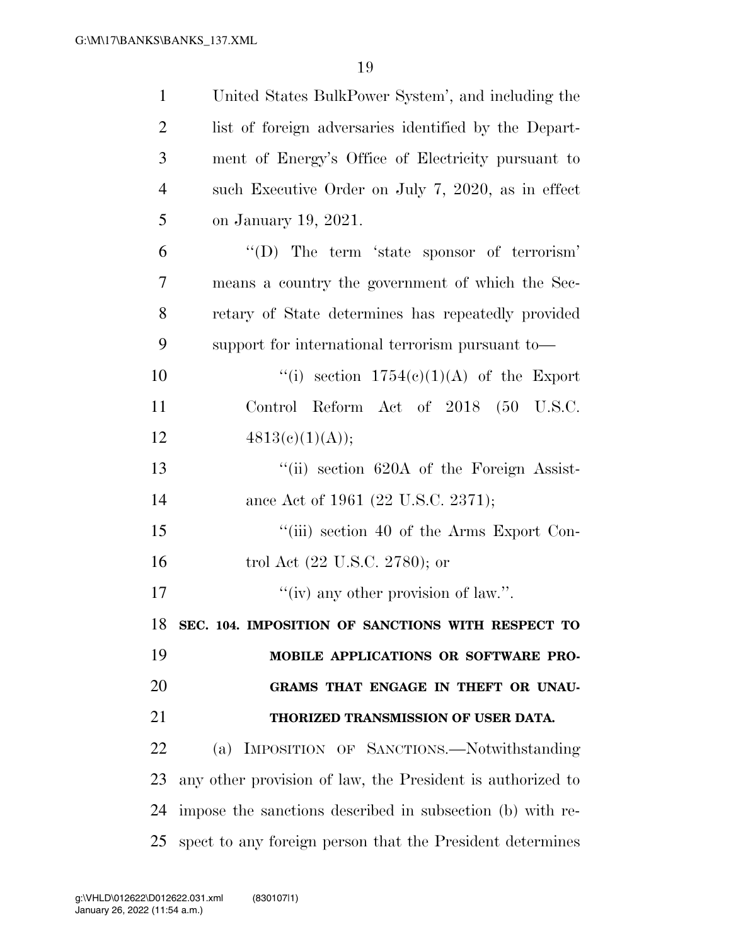| $\mathbf{1}$   | United States BulkPower System', and including the         |
|----------------|------------------------------------------------------------|
| $\overline{2}$ | list of foreign adversaries identified by the Depart-      |
| 3              | ment of Energy's Office of Electricity pursuant to         |
| $\overline{4}$ | such Executive Order on July 7, 2020, as in effect         |
| 5              | on January 19, 2021.                                       |
| 6              | $\lq\lq$ . The term 'state sponsor of terrorism'           |
| 7              | means a country the government of which the Sec-           |
| 8              | retary of State determines has repeatedly provided         |
| 9              | support for international terrorism pursuant to-           |
| 10             | "(i) section $1754(e)(1)(A)$ of the Export                 |
| 11             | Control Reform Act of 2018 (50 U.S.C.                      |
| 12             | 4813(c)(1)(A));                                            |
| 13             | "(ii) section 620A of the Foreign Assist-                  |
| 14             | ance Act of 1961 (22 U.S.C. 2371);                         |
| 15             | "(iii) section 40 of the Arms Export Con-                  |
| 16             | trol Act $(22 \text{ U.S.C. } 2780)$ ; or                  |
| 17             | "(iv) any other provision of law.".                        |
| 18             | SEC. 104. IMPOSITION OF SANCTIONS WITH RESPECT TO          |
| 19             | MOBILE APPLICATIONS OR SOFTWARE PRO-                       |
| 20             | GRAMS THAT ENGAGE IN THEFT OR UNAU-                        |
| 21             | THORIZED TRANSMISSION OF USER DATA.                        |
| 22             | (a) IMPOSITION OF SANCTIONS.-Notwithstanding               |
| 23             | any other provision of law, the President is authorized to |
| 24             | impose the sanctions described in subsection (b) with re-  |
| 25             | spect to any foreign person that the President determines  |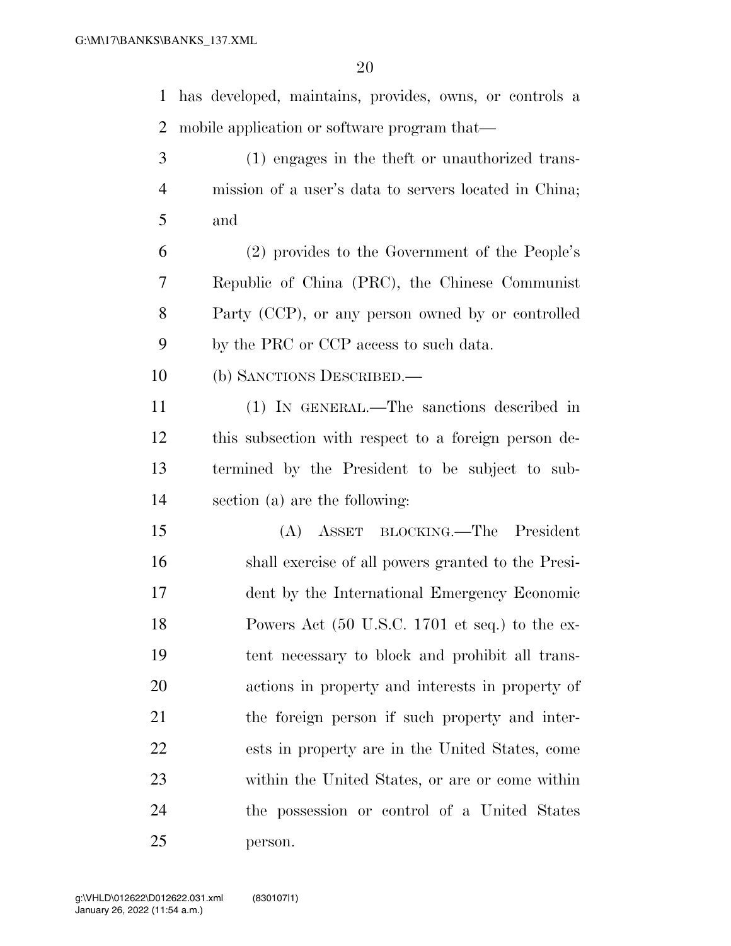has developed, maintains, provides, owns, or controls a mobile application or software program that—

 (1) engages in the theft or unauthorized trans- mission of a user's data to servers located in China; and

 (2) provides to the Government of the People's Republic of China (PRC), the Chinese Communist Party (CCP), or any person owned by or controlled by the PRC or CCP access to such data.

(b) SANCTIONS DESCRIBED.—

 (1) IN GENERAL.—The sanctions described in this subsection with respect to a foreign person de- termined by the President to be subject to sub-section (a) are the following:

 (A) ASSET BLOCKING.—The President shall exercise of all powers granted to the Presi- dent by the International Emergency Economic Powers Act (50 U.S.C. 1701 et seq.) to the ex- tent necessary to block and prohibit all trans- actions in property and interests in property of the foreign person if such property and inter- ests in property are in the United States, come within the United States, or are or come within the possession or control of a United States person.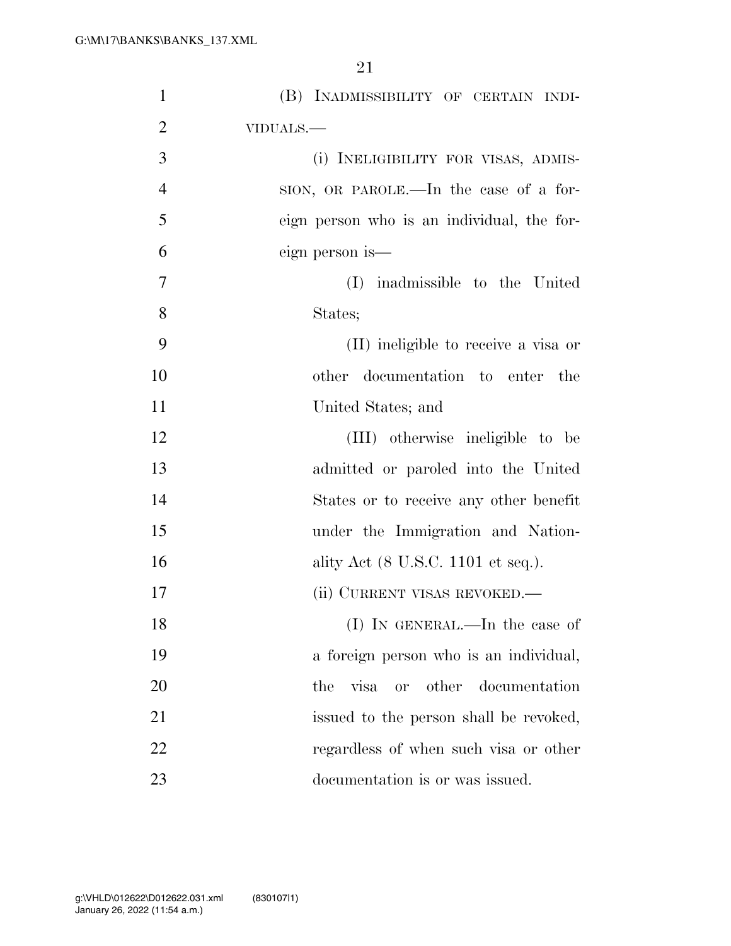| $\mathbf{1}$   | (B) INADMISSIBILITY OF CERTAIN INDI-                  |
|----------------|-------------------------------------------------------|
| $\overline{2}$ | VIDUALS.-                                             |
| 3              | (i) INELIGIBILITY FOR VISAS, ADMIS-                   |
| $\overline{4}$ | SION, OR PAROLE.—In the case of a for-                |
| 5              | eign person who is an individual, the for-            |
| 6              | eign person is—                                       |
| $\overline{7}$ | (I) inadmissible to the United                        |
| 8              | States;                                               |
| 9              | (II) ineligible to receive a visa or                  |
| 10             | other documentation to enter the                      |
| 11             | United States; and                                    |
| 12             | (III) otherwise ineligible to be                      |
| 13             | admitted or paroled into the United                   |
| 14             | States or to receive any other benefit                |
| 15             | under the Immigration and Nation-                     |
| 16             | ality Act $(8 \text{ U.S.C. } 1101 \text{ et seq.}).$ |
| 17             | (ii) CURRENT VISAS REVOKED.—                          |
| 18             | (I) IN GENERAL.—In the case of                        |
| 19             | a foreign person who is an individual,                |
| 20             | or other documentation<br>the<br>visa                 |
| 21             | issued to the person shall be revoked,                |
| 22             | regardless of when such visa or other                 |
| 23             | documentation is or was issued.                       |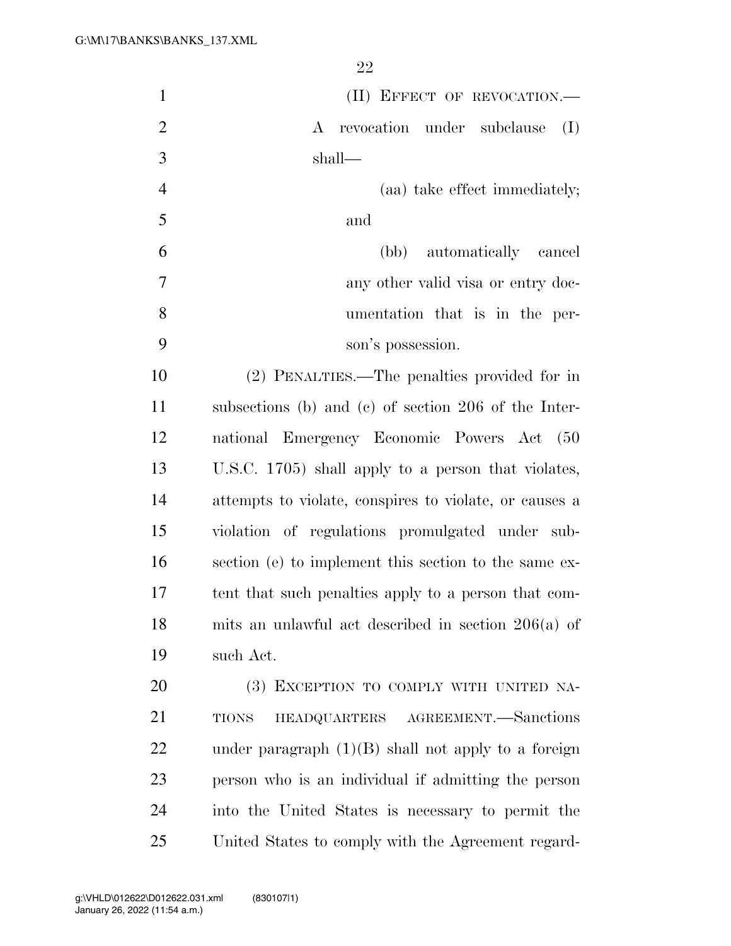| $\mathbf{1}$   | (II) EFFECT OF REVOCATION.-                            |
|----------------|--------------------------------------------------------|
| $\overline{2}$ | A revocation under subclause<br>(I)                    |
| 3              | shall—                                                 |
| $\overline{4}$ | (aa) take effect immediately;                          |
| 5              | and                                                    |
| 6              | (bb) automatically cancel                              |
| 7              | any other valid visa or entry doc-                     |
| 8              | umentation that is in the per-                         |
| 9              | son's possession.                                      |
| 10             | (2) PENALTIES.—The penalties provided for in           |
| 11             | subsections (b) and (c) of section $206$ of the Inter- |
| 12             | national Emergency Economic Powers Act (50             |
| 13             | U.S.C. 1705) shall apply to a person that violates,    |
| 14             | attempts to violate, conspires to violate, or causes a |
| 15             | violation of regulations promulgated under sub-        |
| 16             | section (e) to implement this section to the same ex-  |
| 17             | tent that such penalties apply to a person that com-   |
| 18             | mits an unlawful act described in section $206(a)$ of  |
| 19             | such Act.                                              |
| 20             | (3) EXCEPTION TO COMPLY WITH UNITED NA-                |
| 21             | HEADQUARTERS AGREEMENT. Sanctions<br>TIONS             |
| 22             | under paragraph $(1)(B)$ shall not apply to a foreign  |
| 23             | person who is an individual if admitting the person    |
| 24             | into the United States is necessary to permit the      |
| 25             | United States to comply with the Agreement regard-     |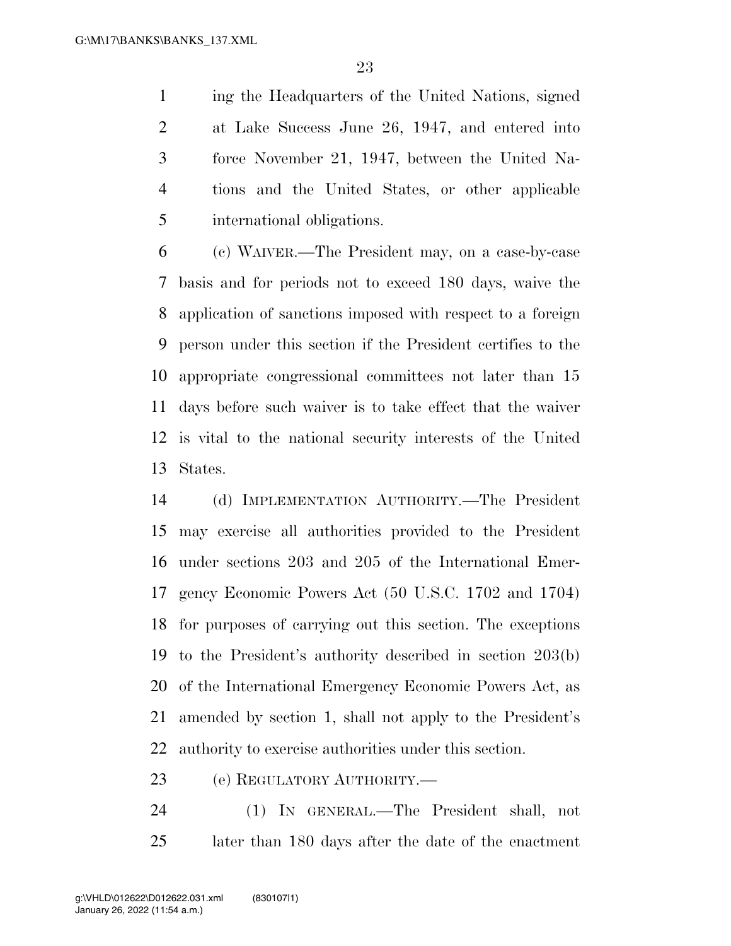ing the Headquarters of the United Nations, signed at Lake Success June 26, 1947, and entered into force November 21, 1947, between the United Na- tions and the United States, or other applicable international obligations.

 (c) WAIVER.—The President may, on a case-by-case basis and for periods not to exceed 180 days, waive the application of sanctions imposed with respect to a foreign person under this section if the President certifies to the appropriate congressional committees not later than 15 days before such waiver is to take effect that the waiver is vital to the national security interests of the United States.

 (d) IMPLEMENTATION AUTHORITY.—The President may exercise all authorities provided to the President under sections 203 and 205 of the International Emer- gency Economic Powers Act (50 U.S.C. 1702 and 1704) for purposes of carrying out this section. The exceptions to the President's authority described in section 203(b) of the International Emergency Economic Powers Act, as amended by section 1, shall not apply to the President's authority to exercise authorities under this section.

(e) REGULATORY AUTHORITY.—

 (1) IN GENERAL.—The President shall, not later than 180 days after the date of the enactment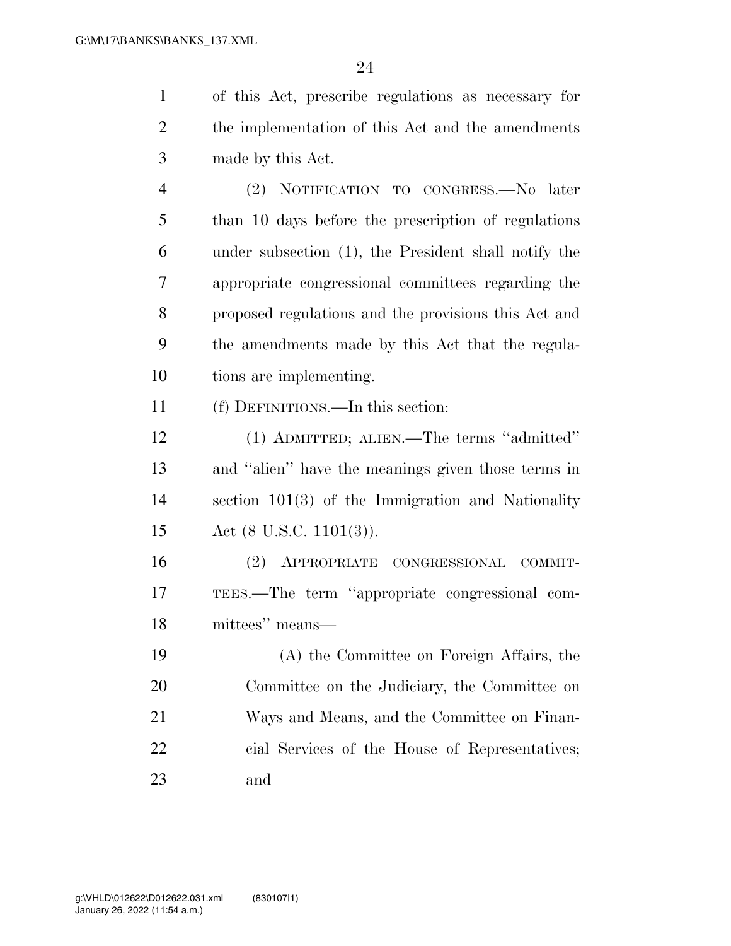of this Act, prescribe regulations as necessary for the implementation of this Act and the amendments made by this Act. (2) NOTIFICATION TO CONGRESS.—No later than 10 days before the prescription of regulations under subsection (1), the President shall notify the appropriate congressional committees regarding the

 proposed regulations and the provisions this Act and the amendments made by this Act that the regula-tions are implementing.

(f) DEFINITIONS.—In this section:

 (1) ADMITTED; ALIEN.—The terms ''admitted'' and ''alien'' have the meanings given those terms in section 101(3) of the Immigration and Nationality Act (8 U.S.C. 1101(3)).

 (2) APPROPRIATE CONGRESSIONAL COMMIT- TEES.—The term ''appropriate congressional com-mittees'' means—

 (A) the Committee on Foreign Affairs, the Committee on the Judiciary, the Committee on Ways and Means, and the Committee on Finan- cial Services of the House of Representatives; and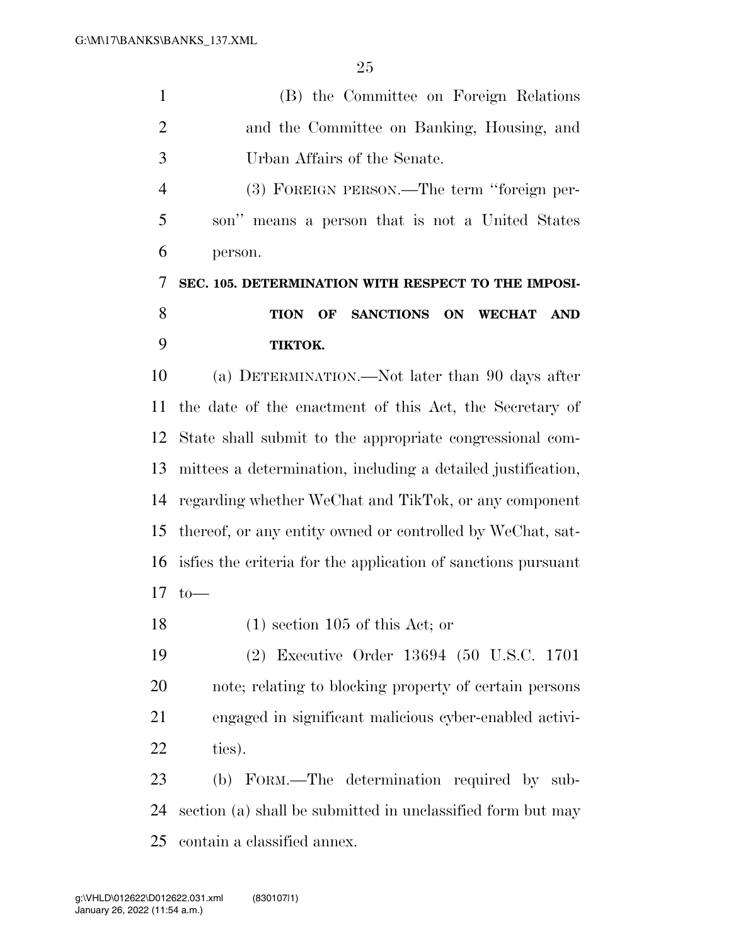|    | (B) the Committee on Foreign Relations          |
|----|-------------------------------------------------|
| -2 | and the Committee on Banking, Housing, and      |
| 3  | Urban Affairs of the Senate.                    |
|    | (3) FOREIGN PERSON.—The term "foreign per-      |
| 5  | son" means a person that is not a United States |

person.

## **SEC. 105. DETERMINATION WITH RESPECT TO THE IMPOSI- TION OF SANCTIONS ON WECHAT AND TIKTOK.**

 (a) DETERMINATION.—Not later than 90 days after the date of the enactment of this Act, the Secretary of State shall submit to the appropriate congressional com- mittees a determination, including a detailed justification, regarding whether WeChat and TikTok, or any component thereof, or any entity owned or controlled by WeChat, sat- isfies the criteria for the application of sanctions pursuant  $17 \text{ to}$ —

18 (1) section 105 of this Act; or

 (2) Executive Order 13694 (50 U.S.C. 1701 note; relating to blocking property of certain persons engaged in significant malicious cyber-enabled activi-ties).

 (b) FORM.—The determination required by sub- section (a) shall be submitted in unclassified form but may contain a classified annex.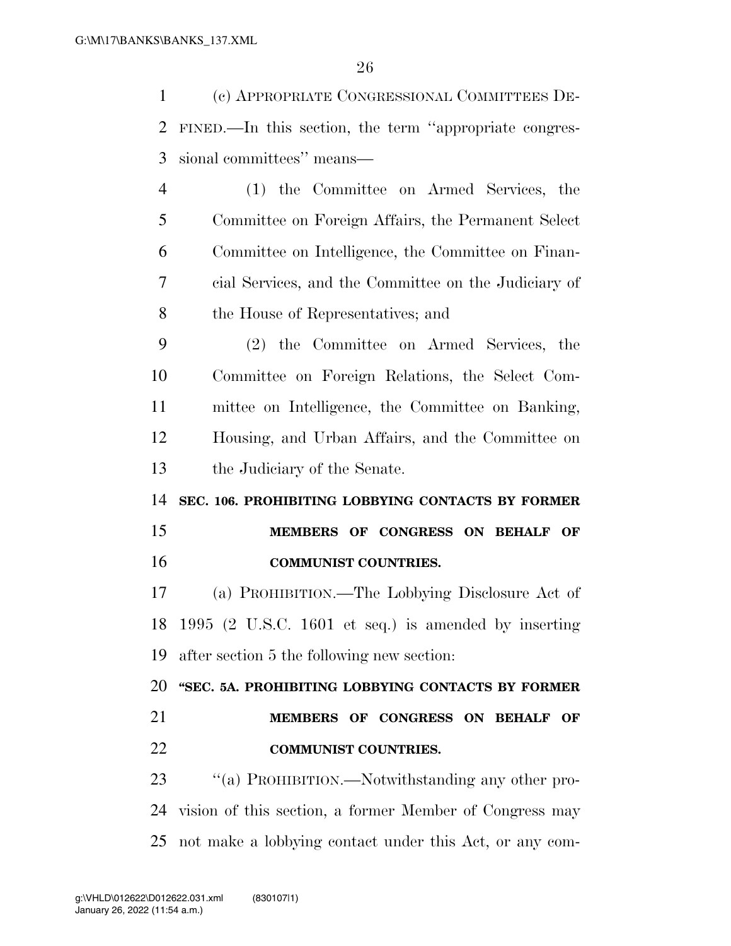(c) APPROPRIATE CONGRESSIONAL COMMITTEES DE- FINED.—In this section, the term ''appropriate congres- sional committees'' means— (1) the Committee on Armed Services, the Committee on Foreign Affairs, the Permanent Select Committee on Intelligence, the Committee on Finan- cial Services, and the Committee on the Judiciary of the House of Representatives; and (2) the Committee on Armed Services, the Committee on Foreign Relations, the Select Com- mittee on Intelligence, the Committee on Banking, Housing, and Urban Affairs, and the Committee on the Judiciary of the Senate. **SEC. 106. PROHIBITING LOBBYING CONTACTS BY FORMER MEMBERS OF CONGRESS ON BEHALF OF COMMUNIST COUNTRIES.**  (a) PROHIBITION.—The Lobbying Disclosure Act of 1995 (2 U.S.C. 1601 et seq.) is amended by inserting after section 5 the following new section:

 **''SEC. 5A. PROHIBITING LOBBYING CONTACTS BY FORMER MEMBERS OF CONGRESS ON BEHALF OF COMMUNIST COUNTRIES.** 

23 "(a) PROHIBITION.—Notwithstanding any other pro- vision of this section, a former Member of Congress may not make a lobbying contact under this Act, or any com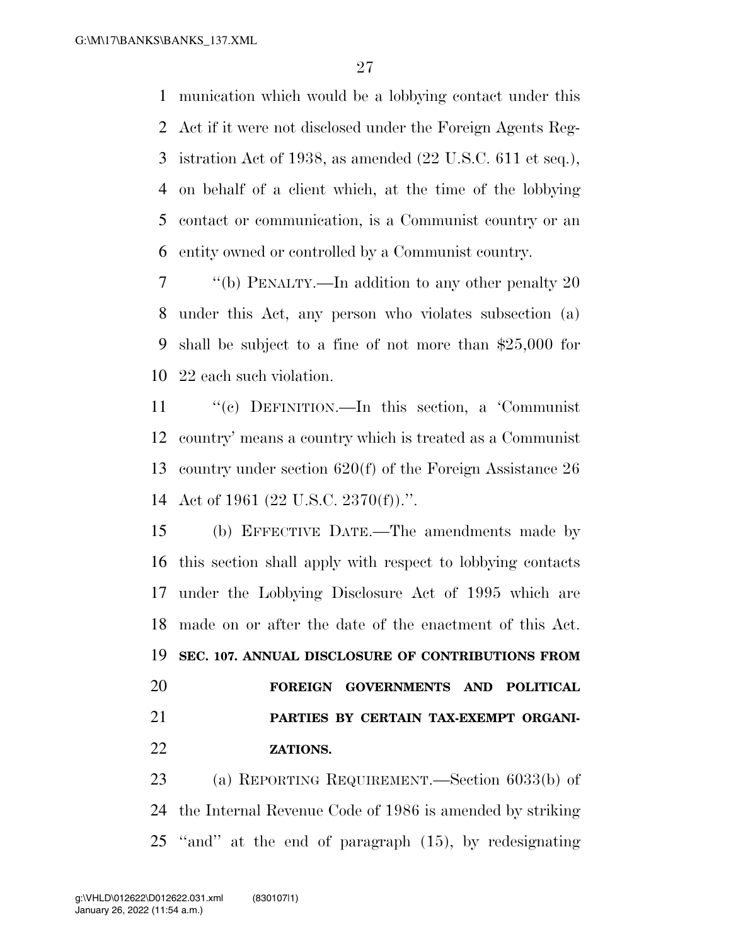munication which would be a lobbying contact under this Act if it were not disclosed under the Foreign Agents Reg- istration Act of 1938, as amended (22 U.S.C. 611 et seq.), on behalf of a client which, at the time of the lobbying contact or communication, is a Communist country or an entity owned or controlled by a Communist country.

 ''(b) PENALTY.—In addition to any other penalty 20 under this Act, any person who violates subsection (a) shall be subject to a fine of not more than \$25,000 for 22 each such violation.

 ''(c) DEFINITION.—In this section, a 'Communist country' means a country which is treated as a Communist country under section 620(f) of the Foreign Assistance 26 Act of 1961 (22 U.S.C. 2370(f)).''.

 (b) EFFECTIVE DATE.—The amendments made by this section shall apply with respect to lobbying contacts under the Lobbying Disclosure Act of 1995 which are made on or after the date of the enactment of this Act. **SEC. 107. ANNUAL DISCLOSURE OF CONTRIBUTIONS FROM FOREIGN GOVERNMENTS AND POLITICAL PARTIES BY CERTAIN TAX-EXEMPT ORGANI-ZATIONS.** 

 (a) REPORTING REQUIREMENT.—Section 6033(b) of the Internal Revenue Code of 1986 is amended by striking ''and'' at the end of paragraph (15), by redesignating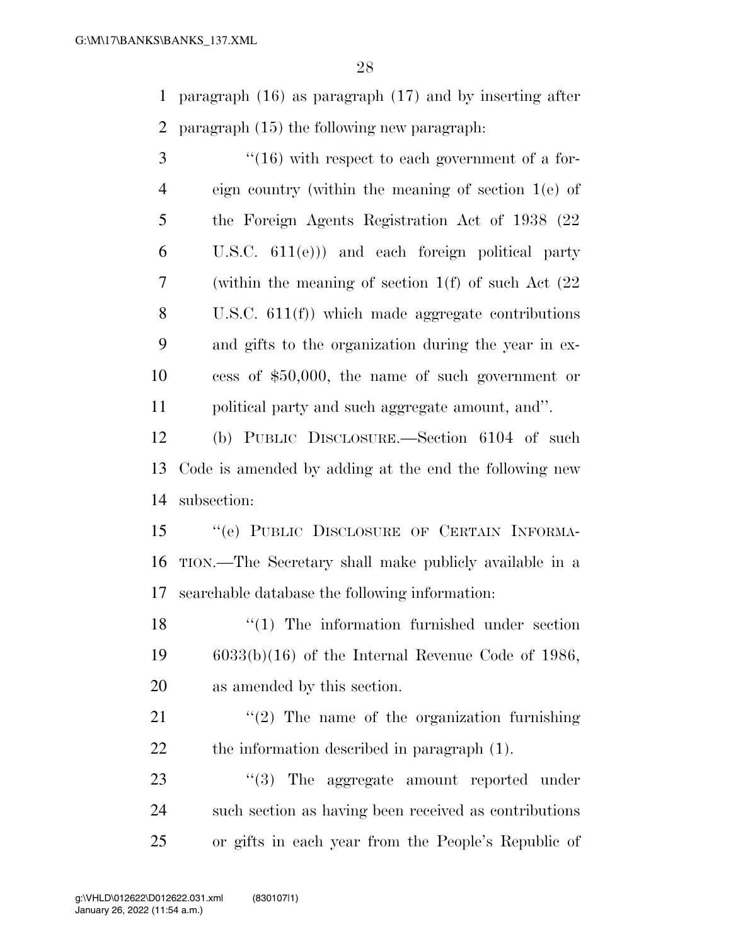paragraph (16) as paragraph (17) and by inserting after paragraph (15) the following new paragraph:

3 "(16) with respect to each government of a for- eign country (within the meaning of section 1(e) of the Foreign Agents Registration Act of 1938 (22 U.S.C. 611(e))) and each foreign political party (within the meaning of section 1(f) of such Act (22 U.S.C. 611(f)) which made aggregate contributions and gifts to the organization during the year in ex- cess of \$50,000, the name of such government or political party and such aggregate amount, and''.

 (b) PUBLIC DISCLOSURE.—Section 6104 of such Code is amended by adding at the end the following new subsection:

 ''(e) PUBLIC DISCLOSURE OF CERTAIN INFORMA- TION.—The Secretary shall make publicly available in a searchable database the following information:

18 ''(1) The information furnished under section 6033(b)(16) of the Internal Revenue Code of 1986, as amended by this section.

21  $(2)$  The name of the organization furnishing the information described in paragraph (1).

23 "(3) The aggregate amount reported under such section as having been received as contributions or gifts in each year from the People's Republic of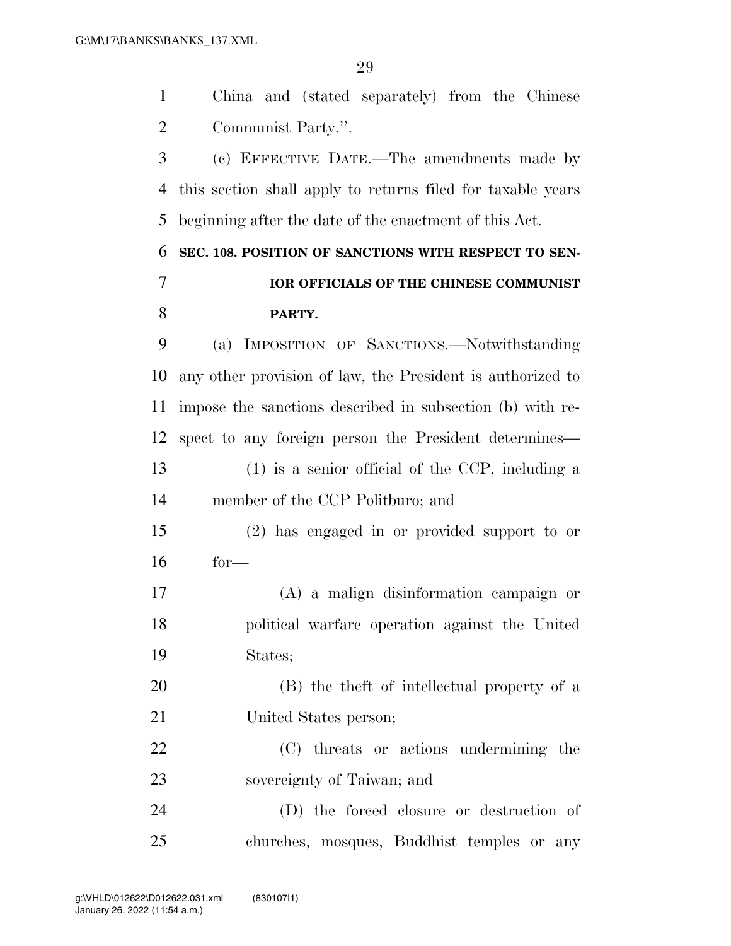China and (stated separately) from the Chinese

 Communist Party.''. (c) EFFECTIVE DATE.—The amendments made by this section shall apply to returns filed for taxable years beginning after the date of the enactment of this Act. **SEC. 108. POSITION OF SANCTIONS WITH RESPECT TO SEN- IOR OFFICIALS OF THE CHINESE COMMUNIST PARTY.**  (a) IMPOSITION OF SANCTIONS.—Notwithstanding any other provision of law, the President is authorized to impose the sanctions described in subsection (b) with re- spect to any foreign person the President determines— (1) is a senior official of the CCP, including a member of the CCP Politburo; and (2) has engaged in or provided support to or for— (A) a malign disinformation campaign or political warfare operation against the United States; (B) the theft of intellectual property of a United States person; (C) threats or actions undermining the sovereignty of Taiwan; and (D) the forced closure or destruction of

churches, mosques, Buddhist temples or any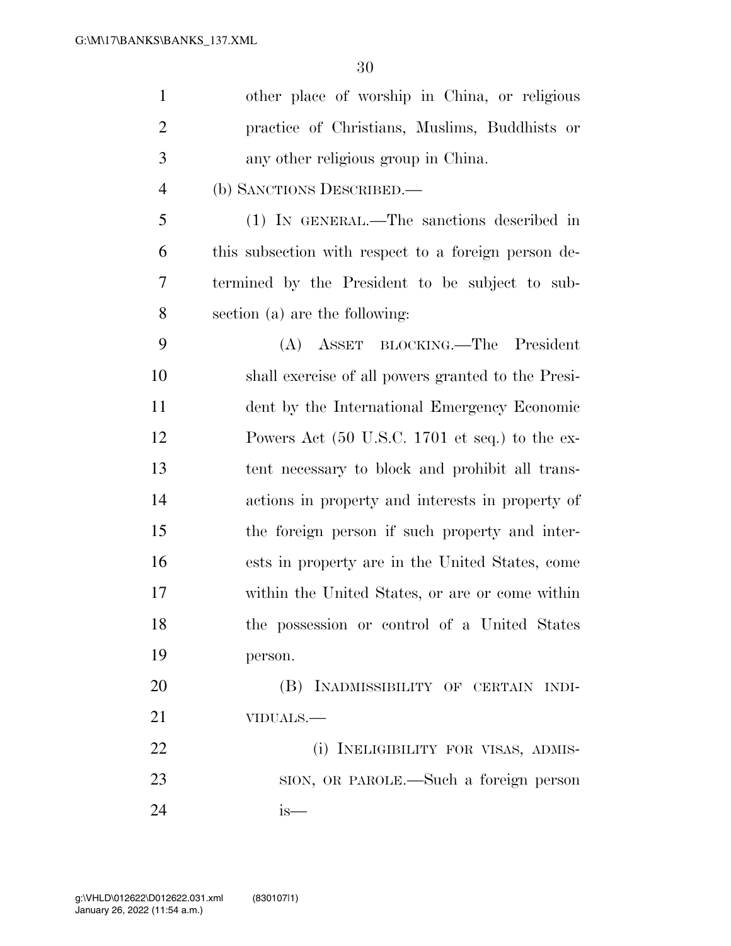| $\mathbf{1}$   | other place of worship in China, or religious                     |
|----------------|-------------------------------------------------------------------|
| $\overline{2}$ | practice of Christians, Muslims, Buddhists or                     |
| 3              | any other religious group in China.                               |
| $\overline{4}$ | (b) SANCTIONS DESCRIBED.—                                         |
| 5              | (1) IN GENERAL.—The sanctions described in                        |
| 6              | this subsection with respect to a foreign person de-              |
| 7              | termined by the President to be subject to sub-                   |
| 8              | section (a) are the following:                                    |
| 9              | (A) ASSET BLOCKING.—The President                                 |
| 10             | shall exercise of all powers granted to the Presi-                |
| 11             | dent by the International Emergency Economic                      |
| 12             | Powers Act $(50 \text{ U.S.C. } 1701 \text{ et seq.})$ to the ex- |
| 13             | tent necessary to block and prohibit all trans-                   |
| 14             | actions in property and interests in property of                  |
| 15             | the foreign person if such property and inter-                    |
| 16             | ests in property are in the United States, come                   |
| 17             | within the United States, or are or come within                   |
| 18             | the possession or control of a United States                      |
| 19             | person.                                                           |
| 20             | (B) INADMISSIBILITY OF CERTAIN INDI-                              |
| 21             | VIDUALS.-                                                         |
| 22             | (i) INELIGIBILITY FOR VISAS, ADMIS-                               |
| 23             | SION, OR PAROLE.—Such a foreign person                            |
| 24             | is—                                                               |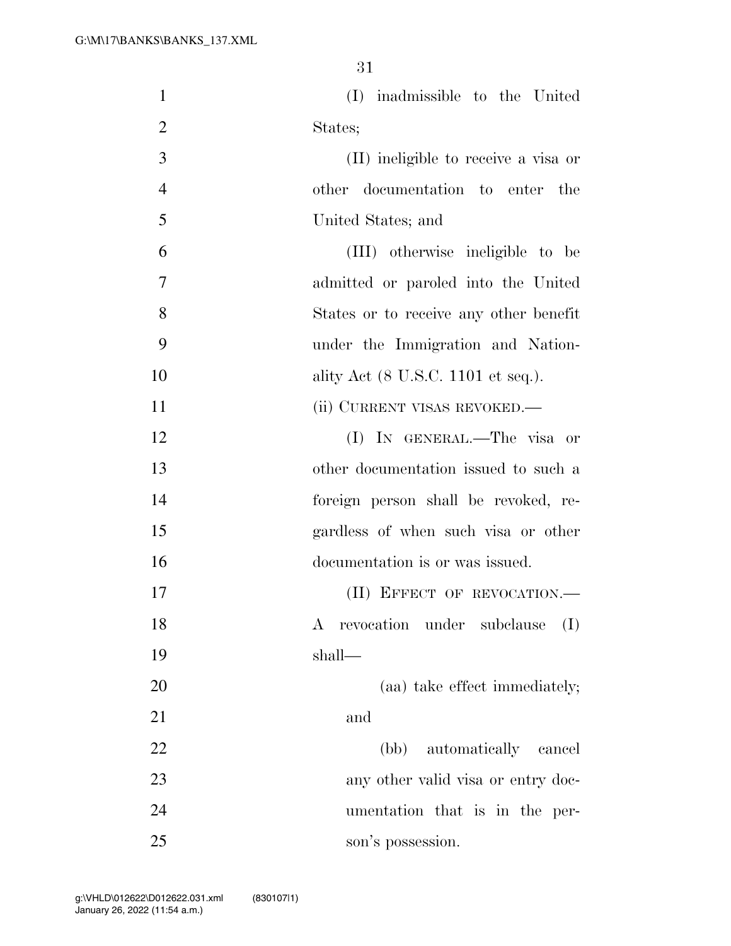| $\mathbf{1}$   | (I) inadmissible to the United                                 |
|----------------|----------------------------------------------------------------|
| $\overline{2}$ | States;                                                        |
| 3              | (II) ineligible to receive a visa or                           |
| $\overline{4}$ | other documentation to enter the                               |
| 5              | United States; and                                             |
| 6              | (III) otherwise ineligible to be                               |
| 7              | admitted or paroled into the United                            |
| 8              | States or to receive any other benefit                         |
| 9              | under the Immigration and Nation-                              |
| 10             | ality Act (8 U.S.C. 1101 et seq.).                             |
| 11             | (ii) CURRENT VISAS REVOKED.—                                   |
| 12             | (I) IN GENERAL.—The visa or                                    |
| 13             | other documentation issued to such a                           |
| 14             | foreign person shall be revoked, re-                           |
| 15             | gardless of when such visa or other                            |
| 16             | documentation is or was issued.                                |
| 17             | (II) EFFECT OF REVOCATION.-                                    |
| 18             | revocation under subclause<br>(I)<br>$\boldsymbol{\mathrm{A}}$ |
| 19             | shall—                                                         |
| 20             | (aa) take effect immediately;                                  |
| 21             | and                                                            |
| 22             | (bb) automatically cancel                                      |
| 23             | any other valid visa or entry doc-                             |
| 24             | umentation that is in the per-                                 |
| 25             | son's possession.                                              |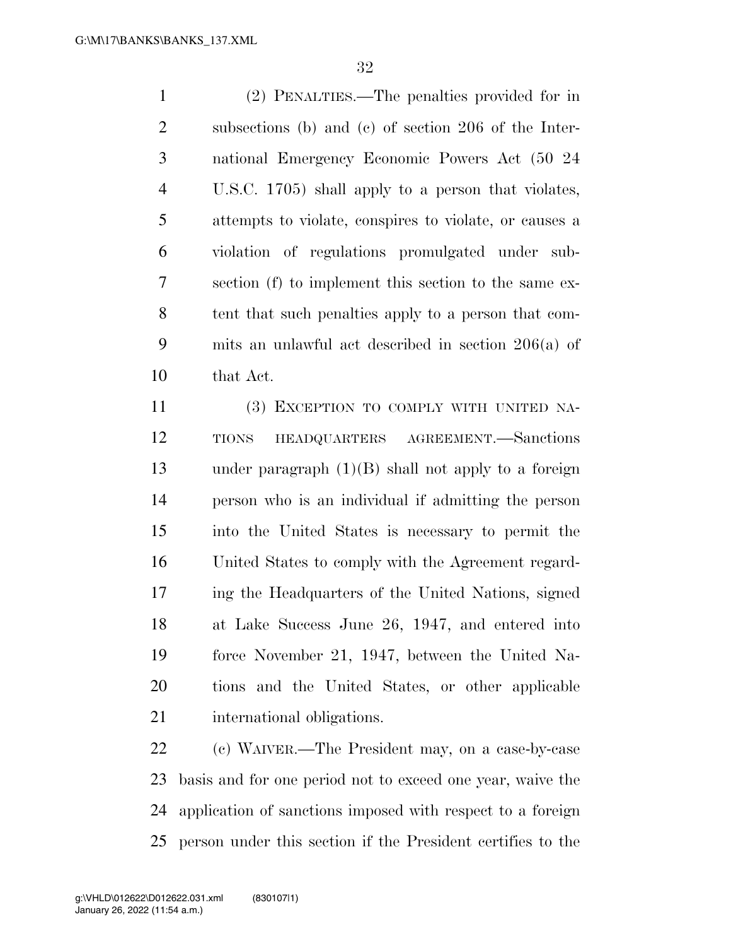(2) PENALTIES.—The penalties provided for in subsections (b) and (c) of section 206 of the Inter- national Emergency Economic Powers Act (50 24 U.S.C. 1705) shall apply to a person that violates, attempts to violate, conspires to violate, or causes a violation of regulations promulgated under sub- section (f) to implement this section to the same ex- tent that such penalties apply to a person that com- mits an unlawful act described in section 206(a) of that Act.

 (3) EXCEPTION TO COMPLY WITH UNITED NA- TIONS HEADQUARTERS AGREEMENT.—Sanctions under paragraph (1)(B) shall not apply to a foreign person who is an individual if admitting the person into the United States is necessary to permit the United States to comply with the Agreement regard- ing the Headquarters of the United Nations, signed at Lake Success June 26, 1947, and entered into force November 21, 1947, between the United Na- tions and the United States, or other applicable international obligations.

 (c) WAIVER.—The President may, on a case-by-case basis and for one period not to exceed one year, waive the application of sanctions imposed with respect to a foreign person under this section if the President certifies to the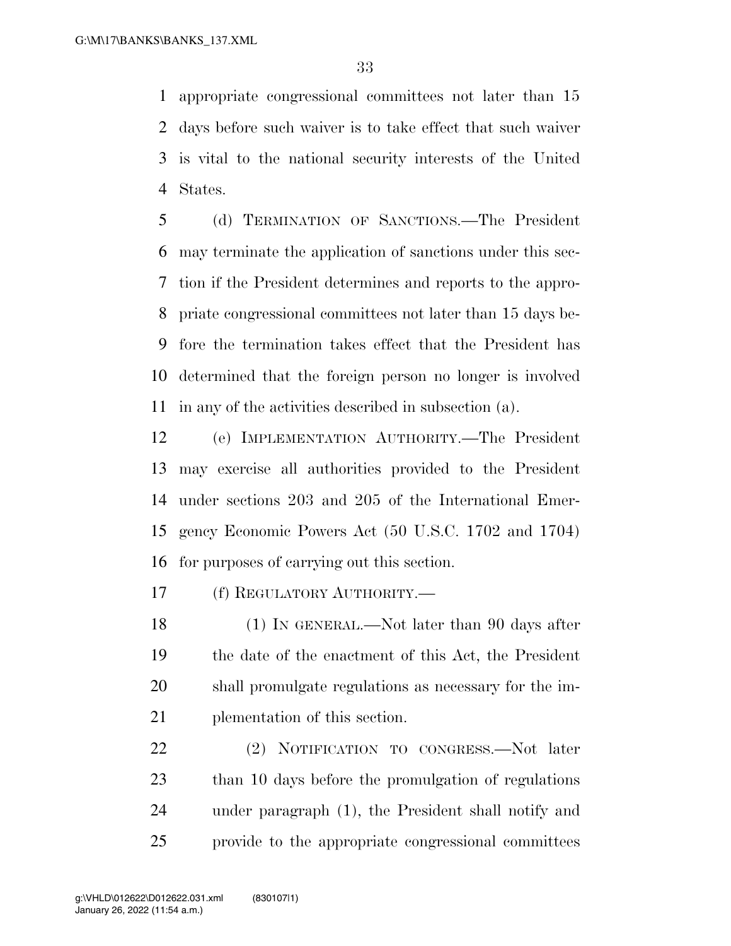appropriate congressional committees not later than 15 days before such waiver is to take effect that such waiver is vital to the national security interests of the United States.

 (d) TERMINATION OF SANCTIONS.—The President may terminate the application of sanctions under this sec- tion if the President determines and reports to the appro- priate congressional committees not later than 15 days be- fore the termination takes effect that the President has determined that the foreign person no longer is involved in any of the activities described in subsection (a).

 (e) IMPLEMENTATION AUTHORITY.—The President may exercise all authorities provided to the President under sections 203 and 205 of the International Emer- gency Economic Powers Act (50 U.S.C. 1702 and 1704) for purposes of carrying out this section.

(f) REGULATORY AUTHORITY.—

18 (1) IN GENERAL.—Not later than 90 days after the date of the enactment of this Act, the President shall promulgate regulations as necessary for the im-plementation of this section.

 (2) NOTIFICATION TO CONGRESS.—Not later than 10 days before the promulgation of regulations under paragraph (1), the President shall notify and provide to the appropriate congressional committees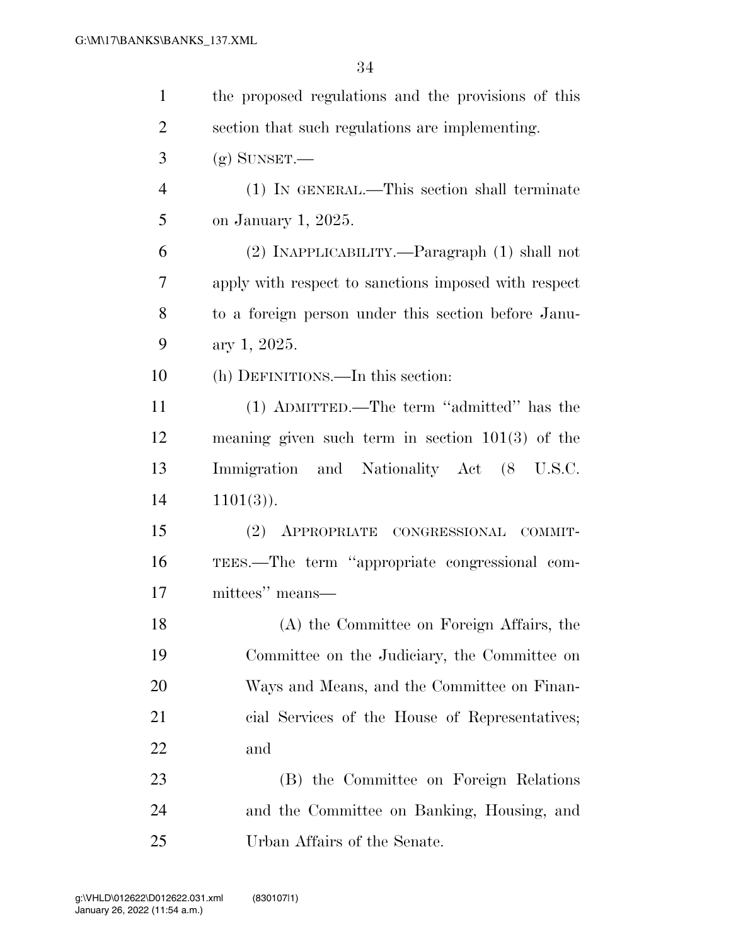| $\mathbf{1}$   | the proposed regulations and the provisions of this  |
|----------------|------------------------------------------------------|
| $\overline{2}$ | section that such regulations are implementing.      |
| 3              | $(g)$ SUNSET.—                                       |
| $\overline{4}$ | (1) IN GENERAL.—This section shall terminate         |
| 5              | on January 1, 2025.                                  |
| 6              | (2) INAPPLICABILITY.—Paragraph (1) shall not         |
| 7              | apply with respect to sanctions imposed with respect |
| 8              | to a foreign person under this section before Janu-  |
| 9              | ary 1, 2025.                                         |
| 10             | (h) DEFINITIONS.—In this section:                    |
| 11             | (1) ADMITTED.—The term "admitted" has the            |
| 12             | meaning given such term in section $101(3)$ of the   |
| 13             | Immigration and Nationality Act (8 U.S.C.            |
| 14             | $1101(3)$ .                                          |
| 15             | (2) APPROPRIATE CONGRESSIONAL COMMIT-                |
| 16             | TEES.—The term "appropriate congressional com-       |
| 17             | mittees" means—                                      |
| 18             | (A) the Committee on Foreign Affairs, the            |
| 19             | Committee on the Judiciary, the Committee on         |
| 20             | Ways and Means, and the Committee on Finan-          |
| 21             | cial Services of the House of Representatives;       |
| 22             | and                                                  |
| 23             | (B) the Committee on Foreign Relations               |
| 24             | and the Committee on Banking, Housing, and           |
| 25             | Urban Affairs of the Senate.                         |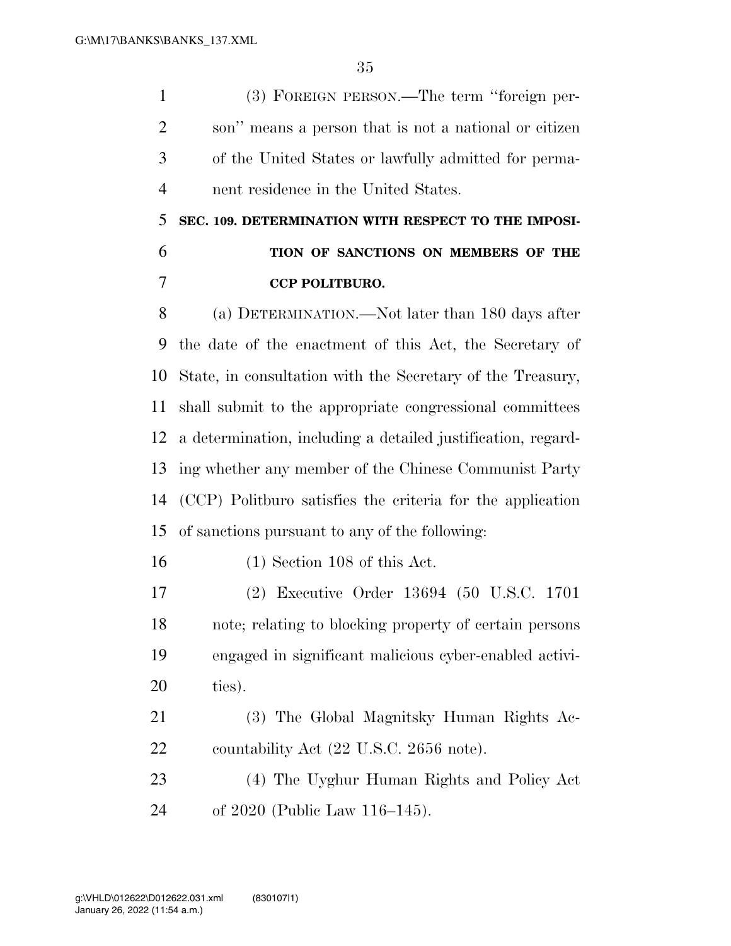(3) FOREIGN PERSON.—The term ''foreign per- son'' means a person that is not a national or citizen of the United States or lawfully admitted for perma-nent residence in the United States.

 **SEC. 109. DETERMINATION WITH RESPECT TO THE IMPOSI- TION OF SANCTIONS ON MEMBERS OF THE CCP POLITBURO.** 

 (a) DETERMINATION.—Not later than 180 days after the date of the enactment of this Act, the Secretary of State, in consultation with the Secretary of the Treasury, shall submit to the appropriate congressional committees a determination, including a detailed justification, regard- ing whether any member of the Chinese Communist Party (CCP) Politburo satisfies the criteria for the application of sanctions pursuant to any of the following:

(1) Section 108 of this Act.

 (2) Executive Order 13694 (50 U.S.C. 1701 note; relating to blocking property of certain persons engaged in significant malicious cyber-enabled activi-ties).

 (3) The Global Magnitsky Human Rights Ac-22 countability Act (22 U.S.C. 2656 note).

 (4) The Uyghur Human Rights and Policy Act of 2020 (Public Law 116–145).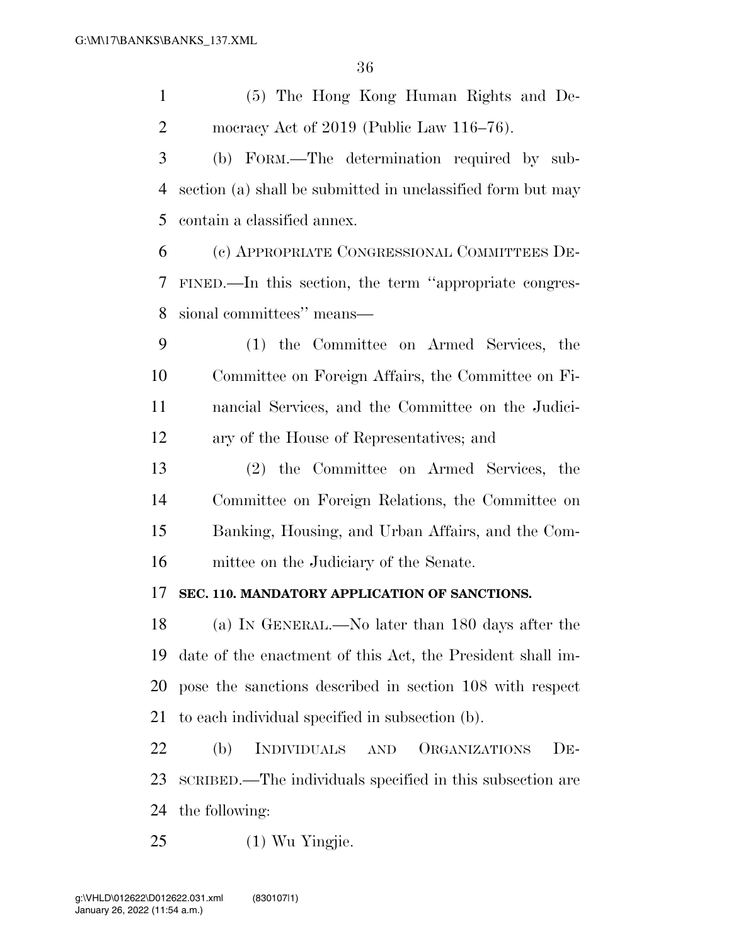| $\mathbf{1}$   | (5) The Hong Kong Human Rights and De-                             |
|----------------|--------------------------------------------------------------------|
| $\overline{2}$ | mocracy Act of $2019$ (Public Law $116-76$ ).                      |
| 3              | (b) FORM.—The determination required by sub-                       |
| 4              | section (a) shall be submitted in unclassified form but may        |
| 5              | contain a classified annex.                                        |
| 6              | (c) APPROPRIATE CONGRESSIONAL COMMITTEES DE-                       |
| 7              | FINED.—In this section, the term "appropriate congres-             |
| 8              | sional committees" means—                                          |
| 9              | (1) the Committee on Armed Services, the                           |
| 10             | Committee on Foreign Affairs, the Committee on Fi-                 |
| 11             | nancial Services, and the Committee on the Judici-                 |
| 12             | ary of the House of Representatives; and                           |
| 13             | (2) the Committee on Armed Services, the                           |
| 14             | Committee on Foreign Relations, the Committee on                   |
| 15             | Banking, Housing, and Urban Affairs, and the Com-                  |
| 16             | mittee on the Judiciary of the Senate.                             |
| 17             | SEC. 110. MANDATORY APPLICATION OF SANCTIONS.                      |
| 18             | (a) IN GENERAL.—No later than 180 days after the                   |
| 19             | date of the enactment of this Act, the President shall im-         |
| 20             | pose the sanctions described in section 108 with respect           |
| 21             | to each individual specified in subsection (b).                    |
| 22             | (b)<br>INDIVIDUALS<br>ORGANIZATIONS<br>$DE-$<br>$\mbox{{\sc And}}$ |
| 23             | SCRIBED.—The individuals specified in this subsection are          |
| 24             | the following:                                                     |
| 25             | (1) Wu Yingjie.                                                    |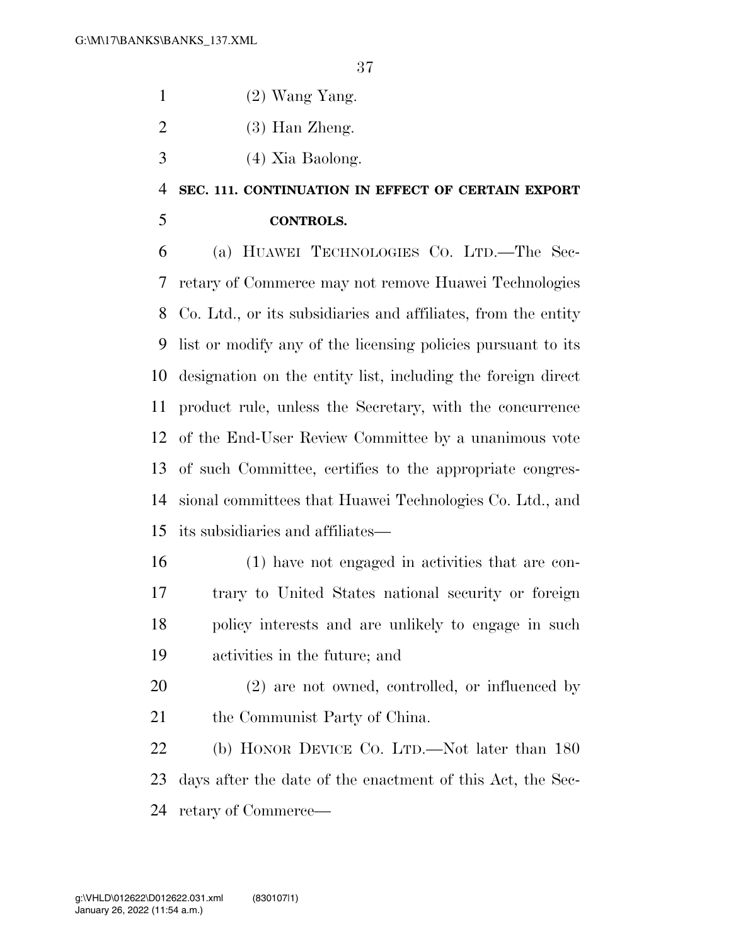- 1  $(2)$  Wang Yang.
- $2 \qquad (3)$  Han Zheng.
- (4) Xia Baolong.

## **SEC. 111. CONTINUATION IN EFFECT OF CERTAIN EXPORT**

## **CONTROLS.**

 (a) HUAWEI TECHNOLOGIES CO. LTD.—The Sec- retary of Commerce may not remove Huawei Technologies Co. Ltd., or its subsidiaries and affiliates, from the entity list or modify any of the licensing policies pursuant to its designation on the entity list, including the foreign direct product rule, unless the Secretary, with the concurrence of the End-User Review Committee by a unanimous vote of such Committee, certifies to the appropriate congres- sional committees that Huawei Technologies Co. Ltd., and its subsidiaries and affiliates—

- (1) have not engaged in activities that are con- trary to United States national security or foreign policy interests and are unlikely to engage in such activities in the future; and
- (2) are not owned, controlled, or influenced by 21 the Communist Party of China.

 (b) HONOR DEVICE CO. LTD.—Not later than 180 days after the date of the enactment of this Act, the Sec-retary of Commerce—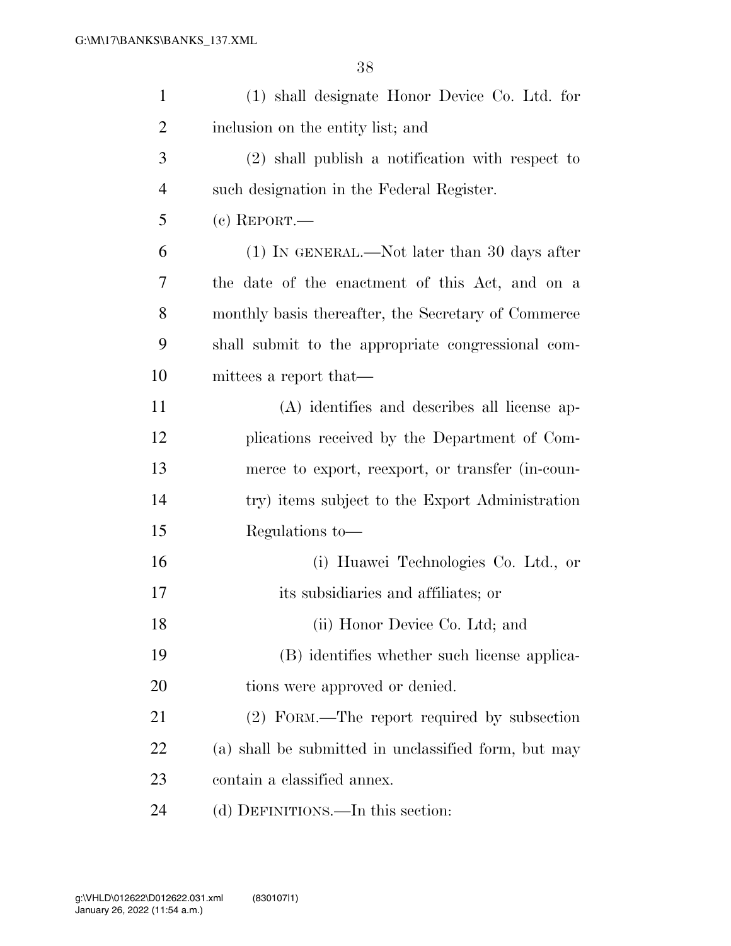| $\mathbf{1}$   | (1) shall designate Honor Device Co. Ltd. for        |
|----------------|------------------------------------------------------|
| 2              | inclusion on the entity list; and                    |
| 3              | $(2)$ shall publish a notification with respect to   |
| $\overline{4}$ | such designation in the Federal Register.            |
| 5              | $(c)$ REPORT.—                                       |
| 6              | $(1)$ In GENERAL.—Not later than 30 days after       |
| 7              | the date of the enactment of this Act, and on a      |
| 8              | monthly basis thereafter, the Secretary of Commerce  |
| 9              | shall submit to the appropriate congressional com-   |
| 10             | mittees a report that—                               |
| 11             | (A) identifies and describes all license ap-         |
| 12             | plications received by the Department of Com-        |
| 13             | merce to export, reexport, or transfer (in-coun-     |
| 14             | try) items subject to the Export Administration      |
| 15             | Regulations to-                                      |
| 16             | (i) Huawei Technologies Co. Ltd., or                 |
| 17             | its subsidiaries and affiliates; or                  |
| 18             | (ii) Honor Device Co. Ltd; and                       |
| 19             | (B) identifies whether such license applica-         |
| 20             | tions were approved or denied.                       |
| 21             | (2) FORM.—The report required by subsection          |
| 22             | (a) shall be submitted in unclassified form, but may |
| 23             | contain a classified annex.                          |
| 24             | (d) DEFINITIONS.—In this section:                    |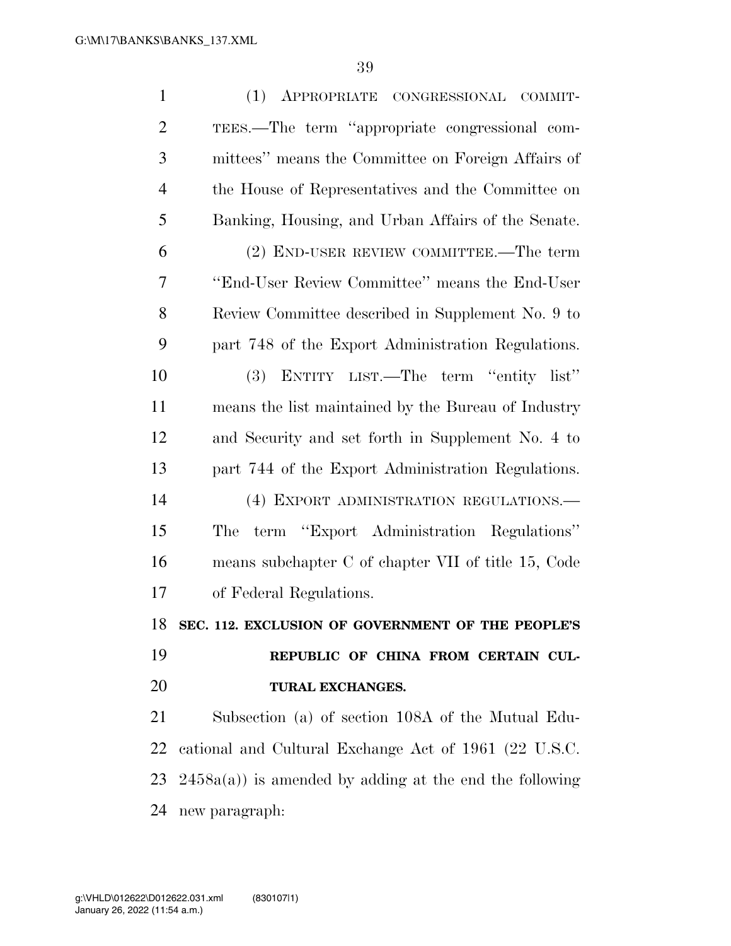| $\mathbf{1}$   | (1) APPROPRIATE CONGRESSIONAL COMMIT-                      |
|----------------|------------------------------------------------------------|
| $\overline{2}$ | TEES.—The term "appropriate congressional com-             |
| 3              | mittees" means the Committee on Foreign Affairs of         |
| $\overline{4}$ | the House of Representatives and the Committee on          |
| 5              | Banking, Housing, and Urban Affairs of the Senate.         |
| 6              | (2) END-USER REVIEW COMMITTEE.—The term                    |
| 7              | "End-User Review Committee" means the End-User             |
| 8              | Review Committee described in Supplement No. 9 to          |
| 9              | part 748 of the Export Administration Regulations.         |
| 10             | ENTITY LIST.—The term "entity list"<br><b>(3)</b>          |
| 11             | means the list maintained by the Bureau of Industry        |
| 12             | and Security and set forth in Supplement No. 4 to          |
| 13             | part 744 of the Export Administration Regulations.         |
| 14             | (4) EXPORT ADMINISTRATION REGULATIONS.-                    |
| 15             | term "Export Administration Regulations"<br>The            |
| 16             | means subchapter C of chapter VII of title 15, Code        |
| 17             | of Federal Regulations.                                    |
|                | 18 SEC. 112. EXCLUSION OF GOVERNMENT OF THE PEOPLE'S       |
| 19             | REPUBLIC OF CHINA FROM CERTAIN CUL-                        |
| 20             | TURAL EXCHANGES.                                           |
| 21             | Subsection (a) of section 108A of the Mutual Edu-          |
| 22             | cational and Cultural Exchange Act of 1961 (22 U.S.C.      |
| 23             | $2458a(a)$ ) is amended by adding at the end the following |
| 24             | new paragraph:                                             |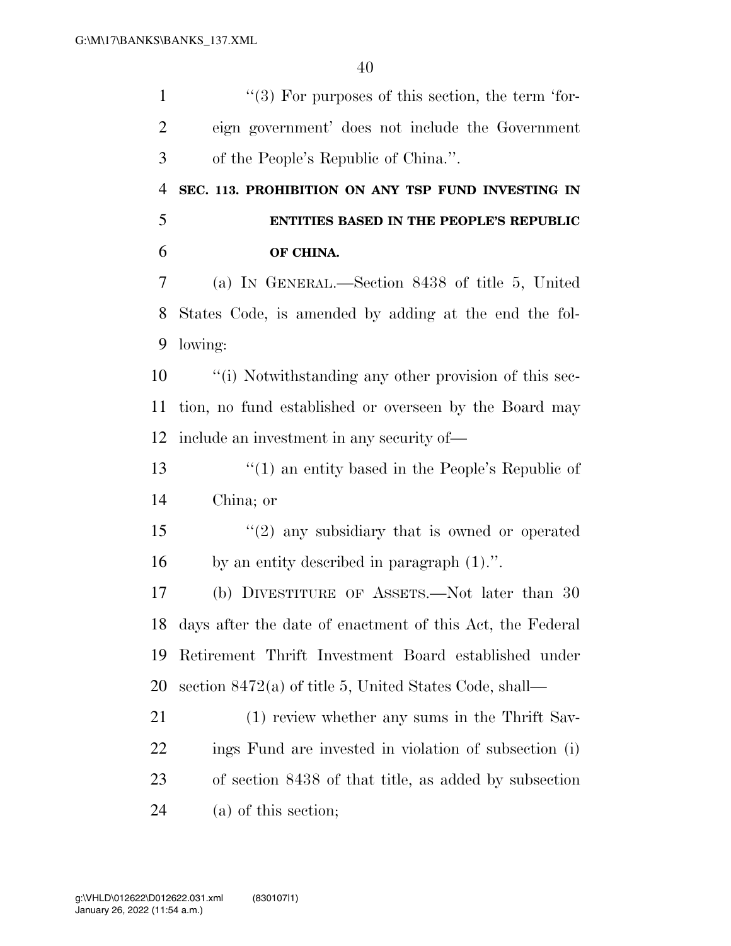$\frac{1}{2}$  ''(3) For purposes of this section, the term 'for- eign government' does not include the Government of the People's Republic of China.''. **SEC. 113. PROHIBITION ON ANY TSP FUND INVESTING IN ENTITIES BASED IN THE PEOPLE'S REPUBLIC OF CHINA.**  (a) IN GENERAL.—Section 8438 of title 5, United States Code, is amended by adding at the end the fol- lowing: ''(i) Notwithstanding any other provision of this sec- tion, no fund established or overseen by the Board may include an investment in any security of— ''(1) an entity based in the People's Republic of China; or ''(2) any subsidiary that is owned or operated by an entity described in paragraph (1).''. (b) DIVESTITURE OF ASSETS.—Not later than 30 days after the date of enactment of this Act, the Federal Retirement Thrift Investment Board established under section 8472(a) of title 5, United States Code, shall— (1) review whether any sums in the Thrift Sav- ings Fund are invested in violation of subsection (i) of section 8438 of that title, as added by subsection (a) of this section;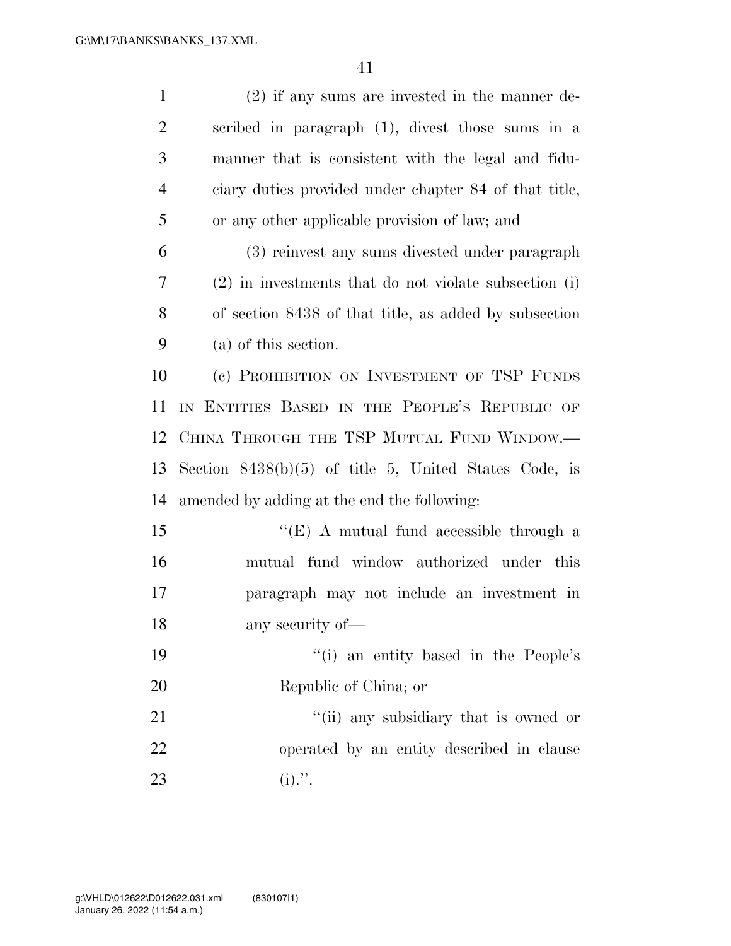| $\mathbf{1}$   | $(2)$ if any sums are invested in the manner de-      |
|----------------|-------------------------------------------------------|
| $\overline{2}$ | scribed in paragraph (1), divest those sums in a      |
| 3              | manner that is consistent with the legal and fidu-    |
| $\overline{4}$ | ciary duties provided under chapter 84 of that title, |
| 5              | or any other applicable provision of law; and         |
| 6              | (3) reinvest any sums divested under paragraph        |
| 7              | (2) in investments that do not violate subsection (i) |
| 8              | of section 8438 of that title, as added by subsection |
| 9              | (a) of this section.                                  |
| 10             | (c) PROHIBITION ON INVESTMENT OF TSP FUNDS            |
| 11             | IN ENTITIES BASED IN THE PEOPLE'S REPUBLIC OF         |
| 12             | CHINA THROUGH THE TSP MUTUAL FUND WINDOW.—            |
| 13             | Section 8438(b)(5) of title 5, United States Code, is |
| 14             | amended by adding at the end the following:           |
| 15             | "(E) A mutual fund accessible through a               |
| 16             | mutual fund window authorized under this              |
| 17             | paragraph may not include an investment in            |
| 18             | any security of—                                      |
| 19             | "(i) an entity based in the People's                  |
| 20             | Republic of China; or                                 |
| 21             | "(ii) any subsidiary that is owned or                 |
| 22             | operated by an entity described in clause             |
| 23             | $(i).$ ".                                             |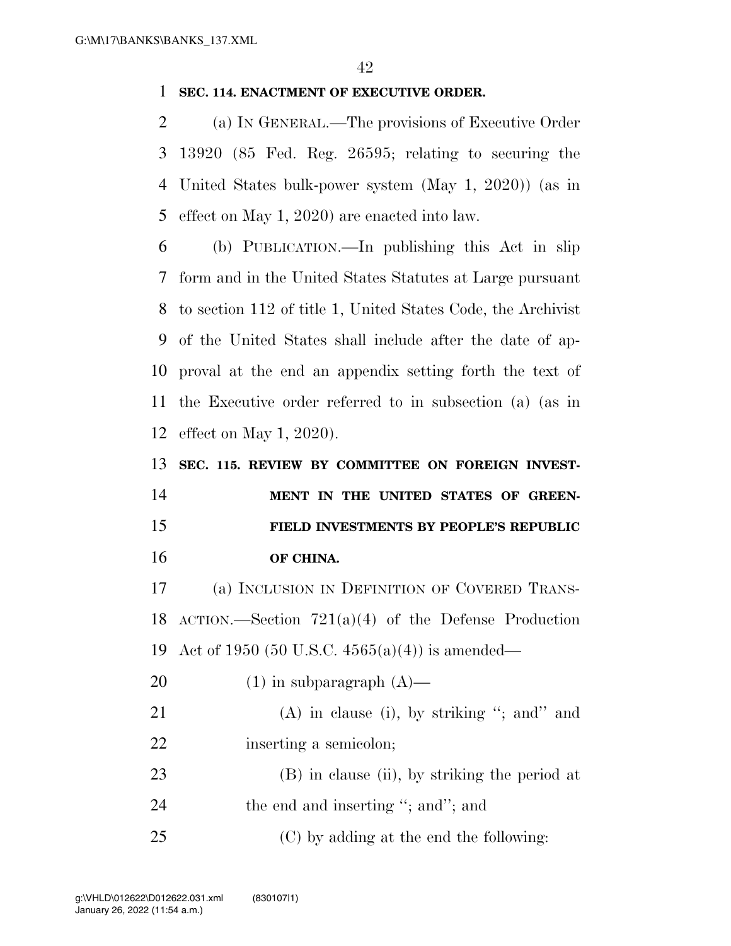## **SEC. 114. ENACTMENT OF EXECUTIVE ORDER.**

 (a) IN GENERAL.—The provisions of Executive Order 13920 (85 Fed. Reg. 26595; relating to securing the United States bulk-power system (May 1, 2020)) (as in effect on May 1, 2020) are enacted into law.

 (b) PUBLICATION.—In publishing this Act in slip form and in the United States Statutes at Large pursuant to section 112 of title 1, United States Code, the Archivist of the United States shall include after the date of ap- proval at the end an appendix setting forth the text of the Executive order referred to in subsection (a) (as in effect on May 1, 2020).

 **SEC. 115. REVIEW BY COMMITTEE ON FOREIGN INVEST-MENT IN THE UNITED STATES OF GREEN- FIELD INVESTMENTS BY PEOPLE'S REPUBLIC OF CHINA.** 

 (a) INCLUSION IN DEFINITION OF COVERED TRANS- ACTION.—Section 721(a)(4) of the Defense Production Act of 1950 (50 U.S.C. 4565(a)(4)) is amended—

20  $(1)$  in subparagraph  $(A)$ —

21 (A) in clause (i), by striking "; and" and 22 inserting a semicolon;

 (B) in clause (ii), by striking the period at 24 the end and inserting "; and"; and

(C) by adding at the end the following: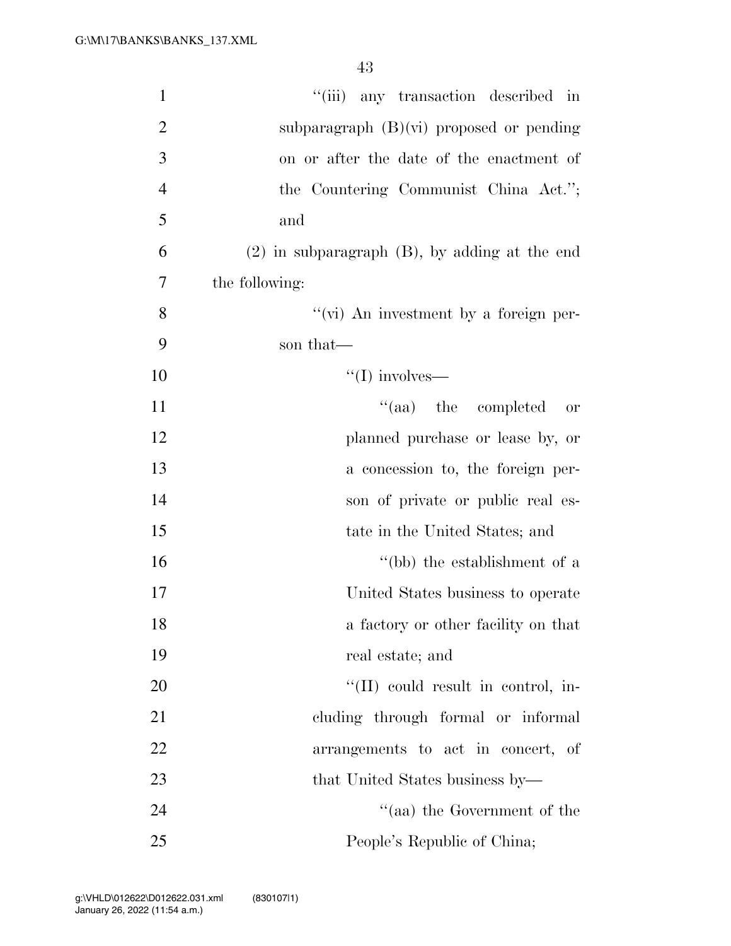| $\mathbf{1}$   | "(iii) any transaction described in                |
|----------------|----------------------------------------------------|
| $\overline{2}$ | subparagraph $(B)(vi)$ proposed or pending         |
| 3              | on or after the date of the enactment of           |
| $\overline{4}$ | the Countering Communist China Act.";              |
| 5              | and                                                |
| 6              | $(2)$ in subparagraph $(B)$ , by adding at the end |
| 7              | the following:                                     |
| 8              | "(vi) An investment by a foreign per-              |
| 9              | son that—                                          |
| 10             | $\lq\lq$ (I) involves—                             |
| 11             | $\lq\lq$ (aa) the completed<br><b>or</b>           |
| 12             | planned purchase or lease by, or                   |
| 13             | a concession to, the foreign per-                  |
| 14             | son of private or public real es-                  |
| 15             | tate in the United States; and                     |
| 16             | "(bb) the establishment of a                       |
| 17             | United States business to operate                  |
| 18             | a factory or other facility on that                |
| 19             | real estate; and                                   |
| 20             | "(II) could result in control, in-                 |
| 21             | cluding through formal or informal                 |
| 22             | arrangements to act in concert, of                 |
| 23             | that United States business by—                    |
| 24             | "(aa) the Government of the                        |
| 25             | People's Republic of China;                        |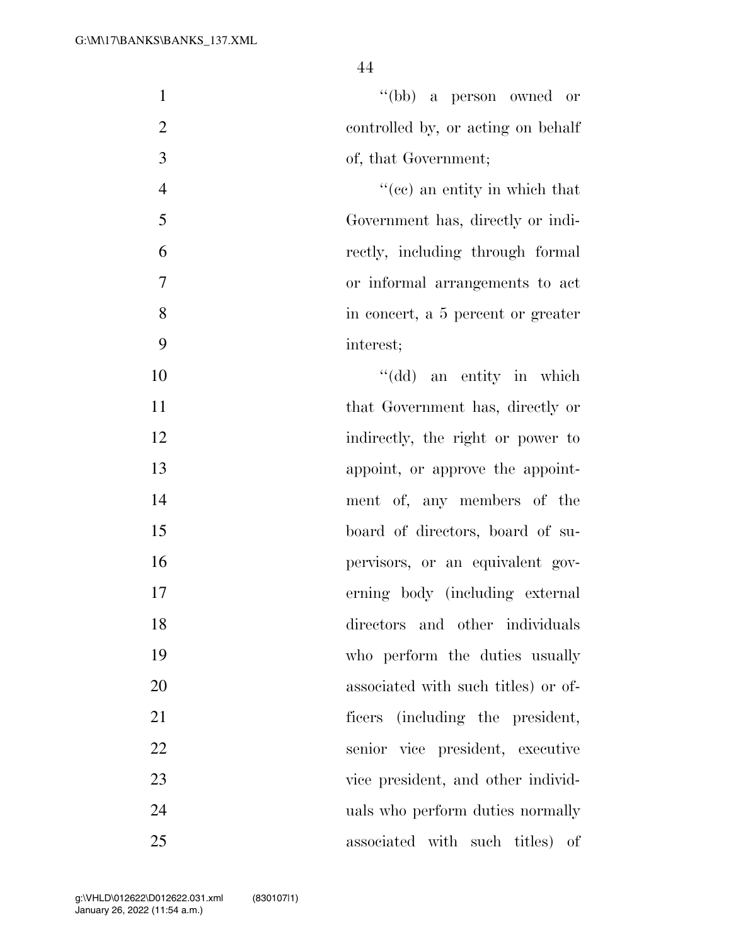| $\mathbf{1}$   | "(bb) a person owned or             |
|----------------|-------------------------------------|
| $\mathbf{2}$   | controlled by, or acting on behalf  |
| 3              | of, that Government;                |
| $\overline{4}$ | $f''(ce)$ an entity in which that   |
| 5              | Government has, directly or indi-   |
| 6              | rectly, including through formal    |
| $\tau$         | or informal arrangements to act     |
| 8              | in concert, a 5 percent or greater  |
| 9              | interest;                           |
| 10             | "(dd) an entity in which            |
| 11             | that Government has, directly or    |
| 12             | indirectly, the right or power to   |
| 13             | appoint, or approve the appoint-    |
| 14             | ment of, any members of the         |
| 15             | board of directors, board of su-    |
| 16             | pervisors, or an equivalent gov-    |
| 17             | erning body (including external     |
| 18             | directors and other individuals     |
| 19             | who perform the duties usually      |
| 20             | associated with such titles) or of- |
| 21             | (including the president,<br>ficers |
| 22             | senior vice president, executive    |
| 23             | vice president, and other individ-  |
| 24             | uals who perform duties normally    |
| 25             | associated with such titles)<br>οf  |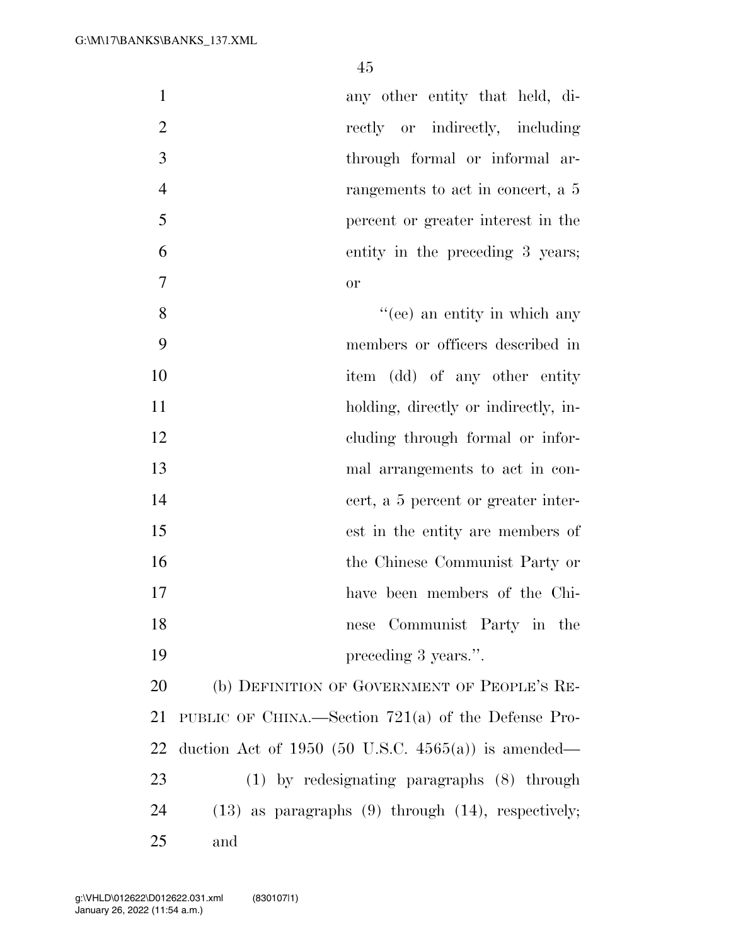|   | any other entity that held, di-                  |
|---|--------------------------------------------------|
| 2 | rectly or indirectly, including                  |
| 3 | through formal or informal ar-                   |
| 4 | rangements to act in concert, a 5                |
| 5 | percent or greater interest in the               |
| 6 | entity in the preceding 3 years;                 |
| 7 | <sub>or</sub>                                    |
| 8 | $\mathcal{L}(\mathbf{e})$ an entity in which any |
|   |                                                  |

 members or officers described in 10 item (dd) of any other entity 11 holding, directly or indirectly, in- cluding through formal or infor- mal arrangements to act in con- cert, a 5 percent or greater inter- est in the entity are members of the Chinese Communist Party or have been members of the Chi- nese Communist Party in the 19 preceding 3 years.".

 (b) DEFINITION OF GOVERNMENT OF PEOPLE'S RE- PUBLIC OF CHINA.—Section 721(a) of the Defense Pro- duction Act of 1950 (50 U.S.C. 4565(a)) is amended— (1) by redesignating paragraphs (8) through (13) as paragraphs (9) through (14), respectively; and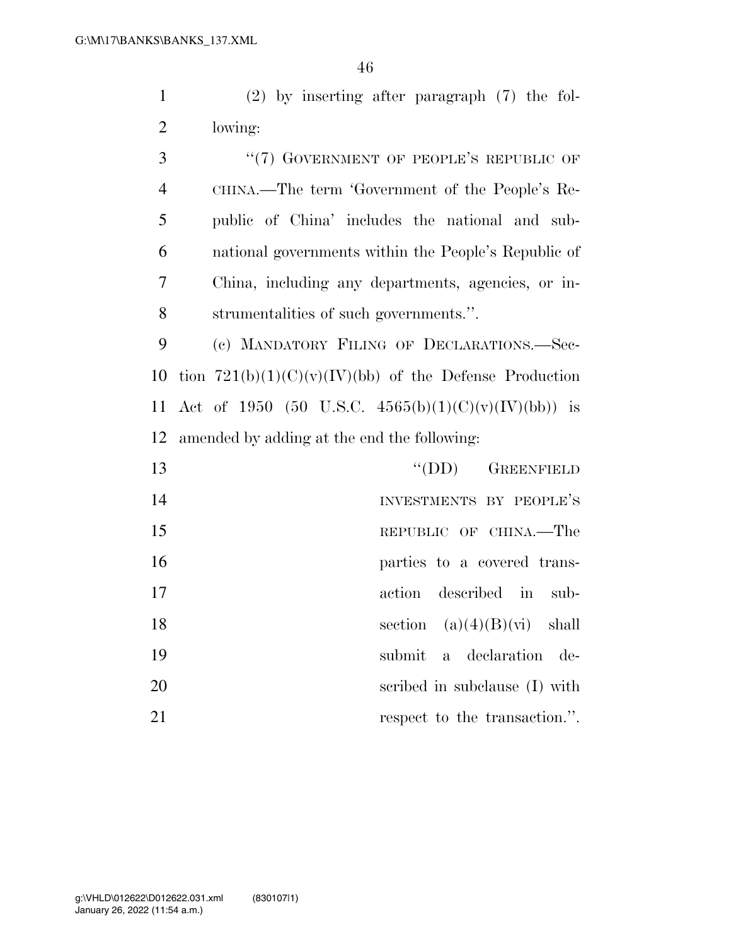(2) by inserting after paragraph (7) the fol-lowing:

3 "(7) GOVERNMENT OF PEOPLE'S REPUBLIC OF CHINA.—The term 'Government of the People's Re- public of China' includes the national and sub- national governments within the People's Republic of China, including any departments, agencies, or in-strumentalities of such governments.''.

 (c) MANDATORY FILING OF DECLARATIONS.—Sec-10 tion  $721(b)(1)(C)(v)(IV)(bb)$  of the Defense Production 11 Act of 1950 (50 U.S.C.  $4565(b)(1)(C)(v)(IV)(bb)$ ) is amended by adding at the end the following:

| 13 | $\lq\lq$ (DD) GREENFIELD      |
|----|-------------------------------|
| 14 | INVESTMENTS BY PEOPLE'S       |
| 15 | REPUBLIC OF CHINA.—The        |
| 16 | parties to a covered trans-   |
| 17 | action described in sub-      |
| 18 | section $(a)(4)(B)(vi)$ shall |
| 19 | submit a declaration de-      |
| 20 | scribed in subclause (I) with |
| 21 | respect to the transaction."  |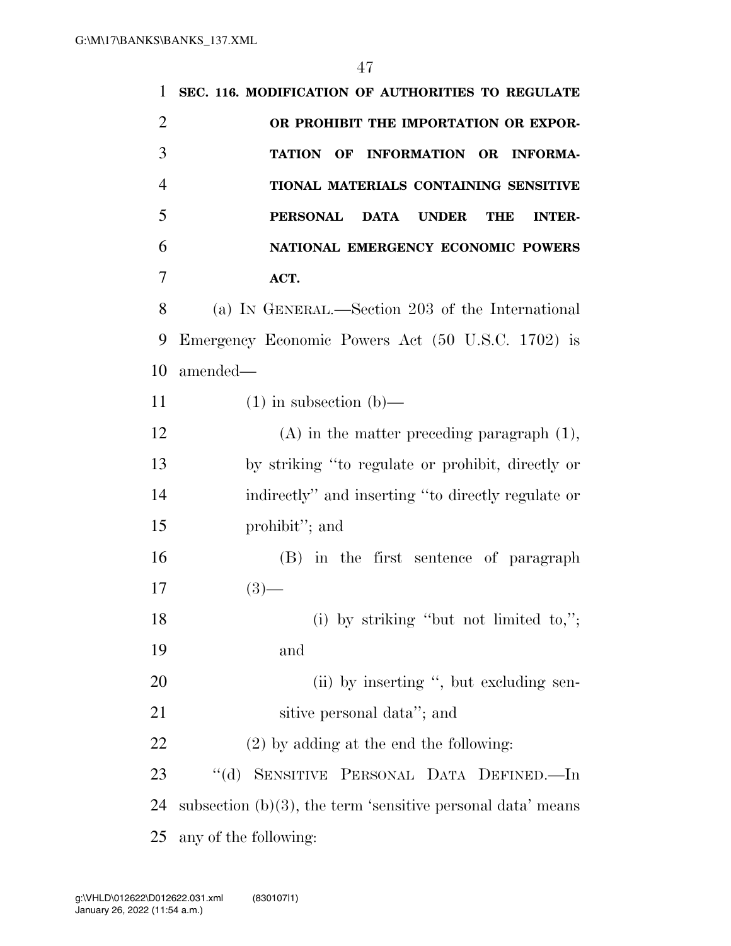| 1              | SEC. 116. MODIFICATION OF AUTHORITIES TO REGULATE                             |
|----------------|-------------------------------------------------------------------------------|
| $\overline{2}$ | OR PROHIBIT THE IMPORTATION OR EXPOR-                                         |
| 3              | INFORMATION OR INFORMA-<br><b>TATION OF</b>                                   |
| $\overline{4}$ | TIONAL MATERIALS CONTAINING SENSITIVE                                         |
| 5              | <b>PERSONAL</b><br><b>DATA</b><br><b>UNDER</b><br><b>THE</b><br><b>INTER-</b> |
| 6              | NATIONAL EMERGENCY ECONOMIC POWERS                                            |
| 7              | ACT.                                                                          |
| 8              | (a) IN GENERAL.—Section 203 of the International                              |
| 9              | Emergency Economic Powers Act (50 U.S.C. 1702) is                             |
| 10             | amended-                                                                      |
| 11             | $(1)$ in subsection $(b)$ —                                                   |
| 12             | $(A)$ in the matter preceding paragraph $(1)$ ,                               |
| 13             | by striking "to regulate or prohibit, directly or                             |
| 14             | indirectly" and inserting "to directly regulate or                            |
| 15             | prohibit"; and                                                                |
| 16             | (B) in the first sentence of paragraph                                        |
| 17             | $(3)$ —                                                                       |
| 18             | (i) by striking "but not limited to,";                                        |
| 19             | and                                                                           |
| 20             | (ii) by inserting ", but excluding sen-                                       |
| 21             | sitive personal data"; and                                                    |
| 22             | $(2)$ by adding at the end the following:                                     |
| 23             | $\lq\lq (d)$<br>SENSITIVE PERSONAL DATA DEFINED.-In                           |
| 24             | subsection $(b)(3)$ , the term 'sensitive personal data' means                |
| 25             | any of the following:                                                         |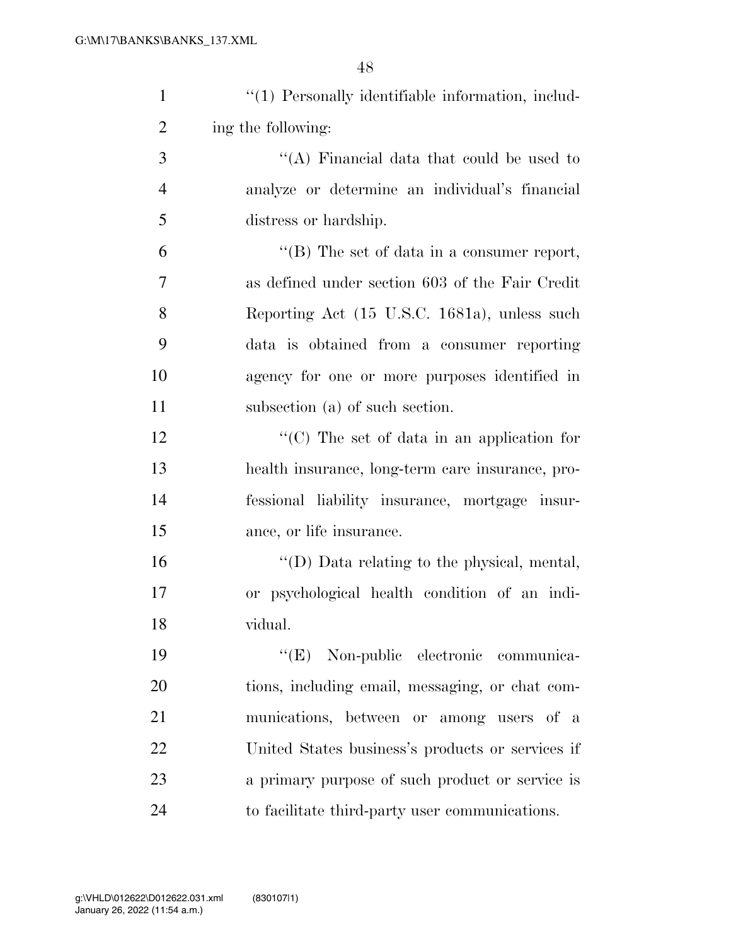| $\mathbf{1}$   | "(1) Personally identifiable information, includ-   |
|----------------|-----------------------------------------------------|
| $\overline{2}$ | ing the following:                                  |
| 3              | "(A) Financial data that could be used to           |
| $\overline{4}$ | analyze or determine an individual's financial      |
| 5              | distress or hardship.                               |
| 6              | "(B) The set of data in a consumer report,          |
| 7              | as defined under section 603 of the Fair Credit     |
| 8              | Reporting Act (15 U.S.C. 1681a), unless such        |
| 9              | data is obtained from a consumer reporting          |
| 10             | agency for one or more purposes identified in       |
| 11             | subsection (a) of such section.                     |
| 12             | "(C) The set of data in an application for          |
| 13             | health insurance, long-term care insurance, pro-    |
| 14             | fessional liability insurance, mortgage insur-      |
| 15             | ance, or life insurance.                            |
| 16             | $\lq\lq$ (D) Data relating to the physical, mental, |
| 17             | or psychological health condition of an indi-       |
| 18             | vidual.                                             |
| 19             | "(E) Non-public electronic communica-               |
| 20             | tions, including email, messaging, or chat com-     |
| 21             | munications, between or among users of a            |
| 22             | United States business's products or services if    |
| 23             | a primary purpose of such product or service is     |
| 24             | to facilitate third-party user communications.      |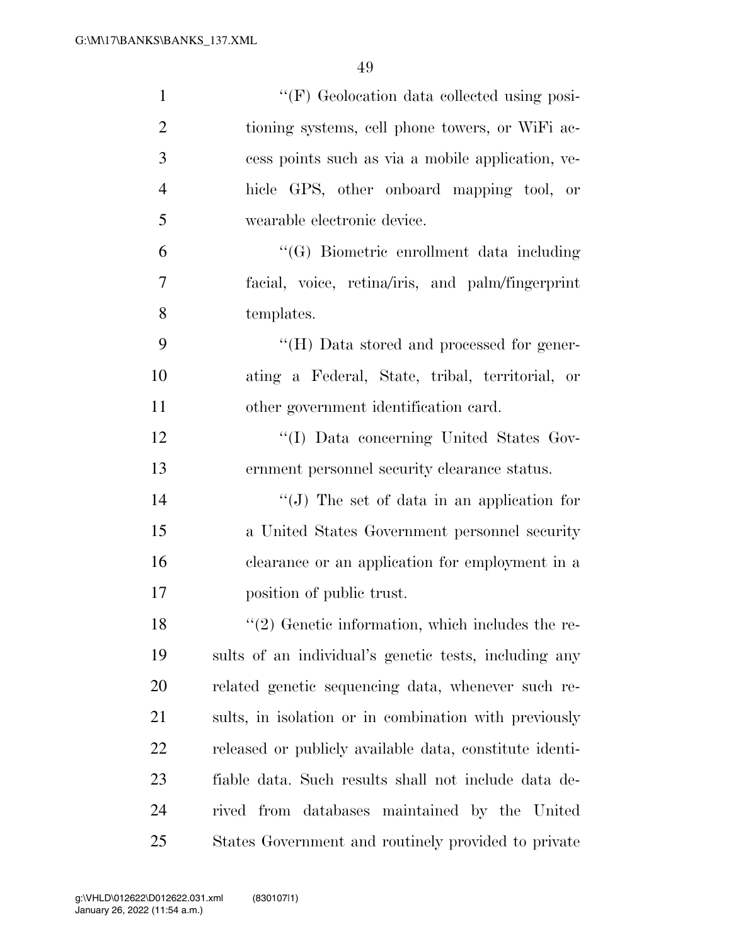| $\mathbf{1}$   | "(F) Geolocation data collected using posi-             |
|----------------|---------------------------------------------------------|
| $\overline{2}$ | tioning systems, cell phone towers, or WiFi ac-         |
| 3              | cess points such as via a mobile application, ve-       |
| $\overline{4}$ | hicle GPS, other onboard mapping tool, or               |
| 5              | wearable electronic device.                             |
| 6              | "(G) Biometric enrollment data including                |
| $\overline{7}$ | facial, voice, retina/iris, and palm/fingerprint        |
| 8              | templates.                                              |
| 9              | "(H) Data stored and processed for gener-               |
| 10             | ating a Federal, State, tribal, territorial, or         |
| 11             | other government identification card.                   |
| 12             | "(I) Data concerning United States Gov-                 |
| 13             | ernment personnel security clearance status.            |
| 14             | $``(J)$ The set of data in an application for           |
| 15             | a United States Government personnel security           |
| 16             | clearance or an application for employment in a         |
| 17             | position of public trust.                               |
| 18             | $\lq(2)$ Genetic information, which includes the re-    |
| 19             | sults of an individual's genetic tests, including any   |
| 20             | related genetic sequencing data, whenever such re-      |
| 21             | sults, in isolation or in combination with previously   |
| 22             | released or publicly available data, constitute identi- |
| 23             | fiable data. Such results shall not include data de-    |
| 24             | rived from databases maintained by the United           |
| 25             | States Government and routinely provided to private     |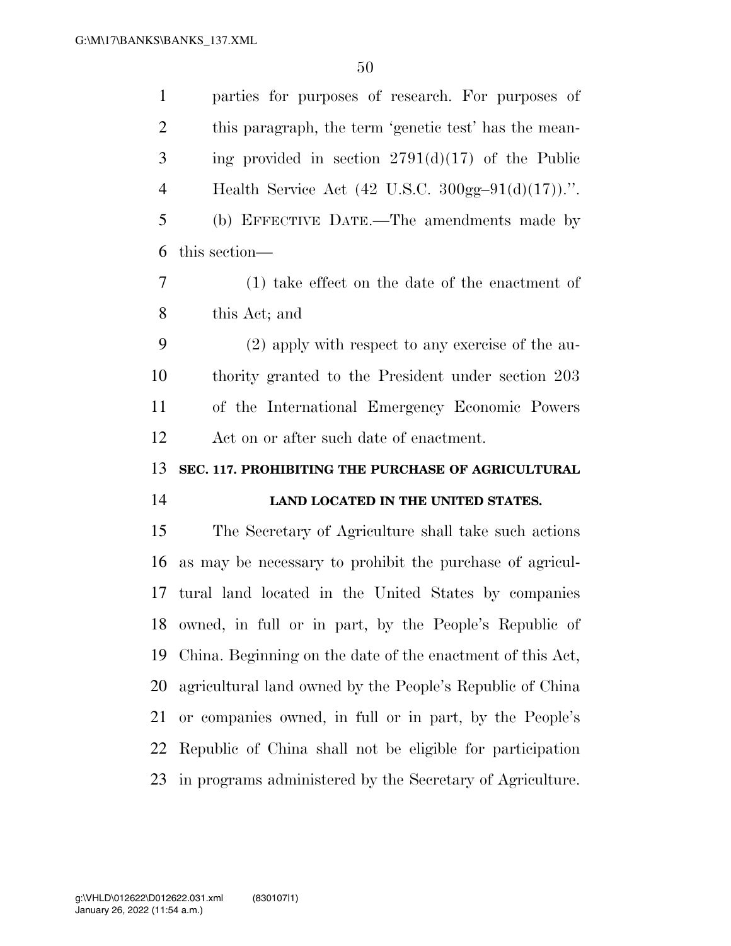| $\mathbf{1}$   | parties for purposes of research. For purposes of                                |
|----------------|----------------------------------------------------------------------------------|
| $\overline{2}$ | this paragraph, the term 'genetic test' has the mean-                            |
| 3              | ing provided in section $2791(d)(17)$ of the Public                              |
| $\overline{4}$ | Health Service Act $(42 \text{ U.S.C. } 300 \text{gg} - 91 \text{ (d)}(17))$ .". |
| 5              | (b) EFFECTIVE DATE.—The amendments made by                                       |
| 6              | this section—                                                                    |
| $\tau$         | $(1)$ take effect on the date of the enactment of                                |
| 8              | this Act; and                                                                    |
| 9              | (2) apply with respect to any exercise of the au-                                |
| 10             | thority granted to the President under section 203                               |
| 11             | of the International Emergency Economic Powers                                   |
| 12             | Act on or after such date of enactment.                                          |
| 13             | SEC. 117. PROHIBITING THE PURCHASE OF AGRICULTURAL                               |
|                |                                                                                  |
|                | LAND LOCATED IN THE UNITED STATES.                                               |
| 14<br>15       | The Secretary of Agriculture shall take such actions                             |
| 16             | as may be necessary to prohibit the purchase of agricul-                         |
| 17             | tural land located in the United States by companies                             |
| 18             | owned, in full or in part, by the People's Republic of                           |
| 19             | China. Beginning on the date of the enactment of this Act,                       |
| 20             | agricultural land owned by the People's Republic of China                        |
| 21             | or companies owned, in full or in part, by the People's                          |
| 22             | Republic of China shall not be eligible for participation                        |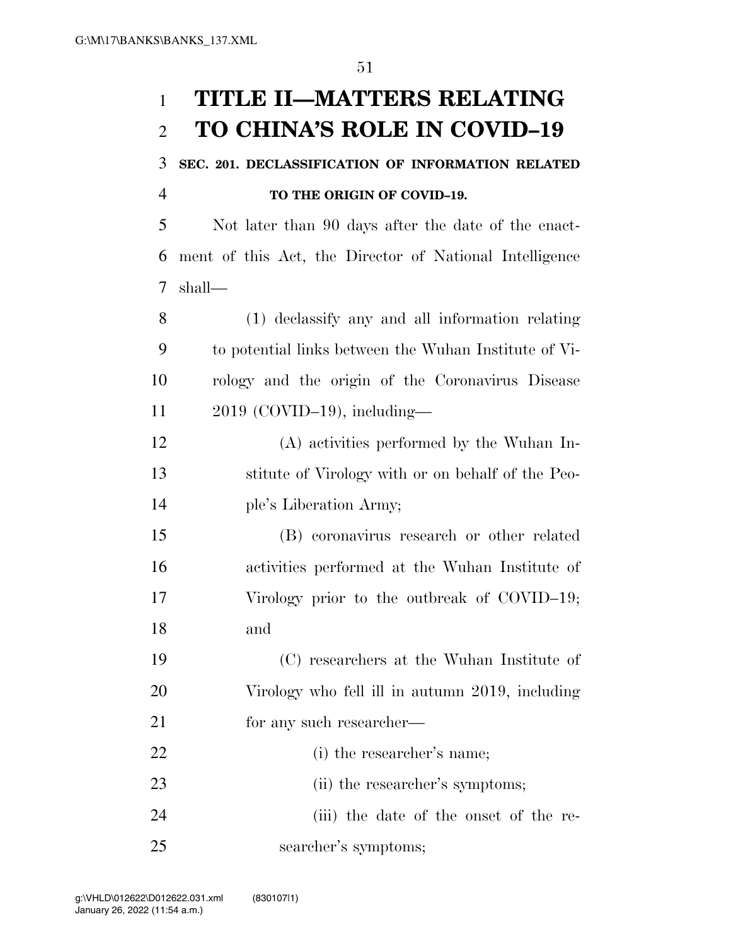# **TITLE II—MATTERS RELATING TO CHINA'S ROLE IN COVID–19**

 **SEC. 201. DECLASSIFICATION OF INFORMATION RELATED TO THE ORIGIN OF COVID–19.** 

 Not later than 90 days after the date of the enact- ment of this Act, the Director of National Intelligence shall—

 (1) declassify any and all information relating to potential links between the Wuhan Institute of Vi- rology and the origin of the Coronavirus Disease 2019 (COVID–19), including—

 (A) activities performed by the Wuhan In- stitute of Virology with or on behalf of the Peo-ple's Liberation Army;

 (B) coronavirus research or other related activities performed at the Wuhan Institute of Virology prior to the outbreak of COVID–19; and

 (C) researchers at the Wuhan Institute of Virology who fell ill in autumn 2019, including 21 for any such researcher—

 (i) the researcher's name; 23 (ii) the researcher's symptoms; (iii) the date of the onset of the re-searcher's symptoms;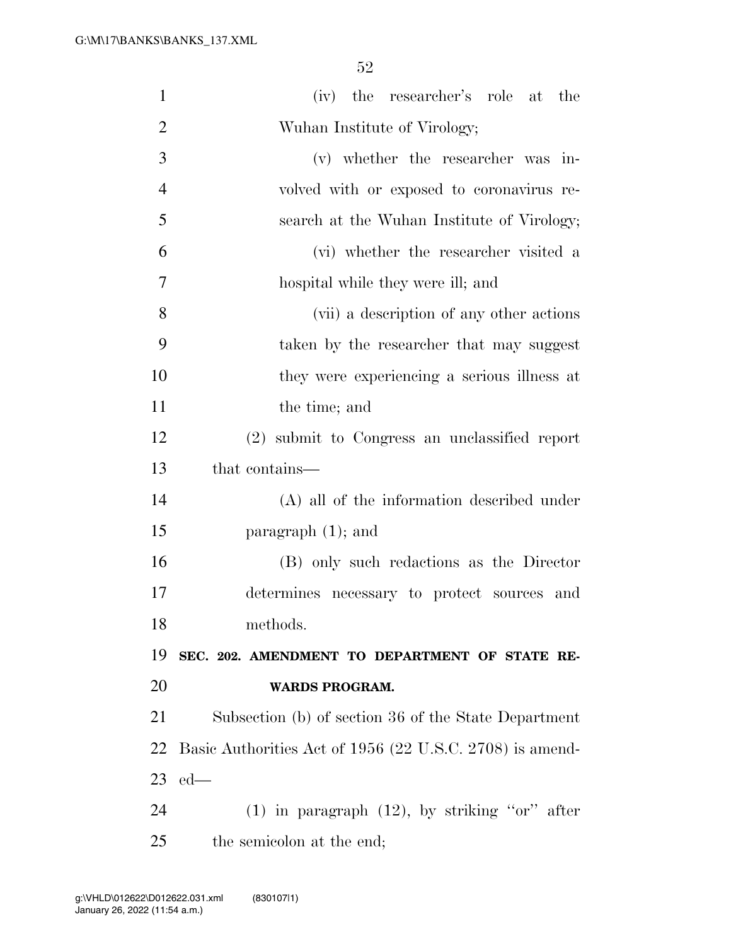| $\mathbf{1}$   | (iv) the researcher's role at the                        |
|----------------|----------------------------------------------------------|
| $\overline{2}$ | Wuhan Institute of Virology;                             |
| 3              | (v) whether the researcher was in-                       |
| $\overline{4}$ | volved with or exposed to coronavirus re-                |
| 5              | search at the Wuhan Institute of Virology;               |
| 6              | (vi) whether the researcher visited a                    |
| 7              | hospital while they were ill; and                        |
| 8              | (vii) a description of any other actions                 |
| 9              | taken by the researcher that may suggest                 |
| 10             | they were experiencing a serious illness at              |
| 11             | the time; and                                            |
| 12             | (2) submit to Congress an unclassified report            |
| 13             | that contains—                                           |
| 14             | (A) all of the information described under               |
| 15             | paragraph $(1)$ ; and                                    |
| 16             | (B) only such redactions as the Director                 |
| 17             | determines necessary to protect sources and              |
| 18             | methods.                                                 |
| 19             | SEC. 202. AMENDMENT TO DEPARTMENT OF STATE RE-           |
| 20             | <b>WARDS PROGRAM.</b>                                    |
| 21             | Subsection (b) of section 36 of the State Department     |
| 22             | Basic Authorities Act of 1956 (22 U.S.C. 2708) is amend- |
| 23             | $ed$ —                                                   |
| 24             | $(1)$ in paragraph $(12)$ , by striking "or" after       |
| 25             | the semicolon at the end;                                |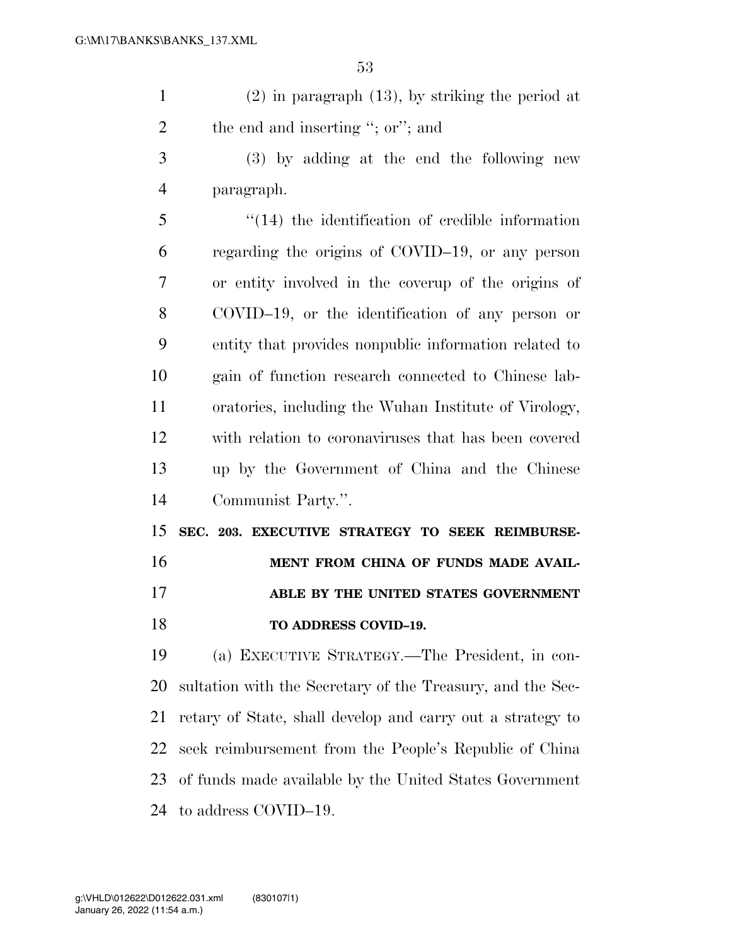| $(2)$ in paragraph $(13)$ , by striking the period at |
|-------------------------------------------------------|
| the end and inserting "; or"; and                     |

 (3) by adding at the end the following new paragraph.

 ''(14) the identification of credible information regarding the origins of COVID–19, or any person or entity involved in the coverup of the origins of COVID–19, or the identification of any person or entity that provides nonpublic information related to gain of function research connected to Chinese lab- oratories, including the Wuhan Institute of Virology, with relation to coronaviruses that has been covered up by the Government of China and the Chinese Communist Party.''.

 **SEC. 203. EXECUTIVE STRATEGY TO SEEK REIMBURSE-MENT FROM CHINA OF FUNDS MADE AVAIL- ABLE BY THE UNITED STATES GOVERNMENT TO ADDRESS COVID–19.** 

 (a) EXECUTIVE STRATEGY.—The President, in con- sultation with the Secretary of the Treasury, and the Sec- retary of State, shall develop and carry out a strategy to seek reimbursement from the People's Republic of China of funds made available by the United States Government to address COVID–19.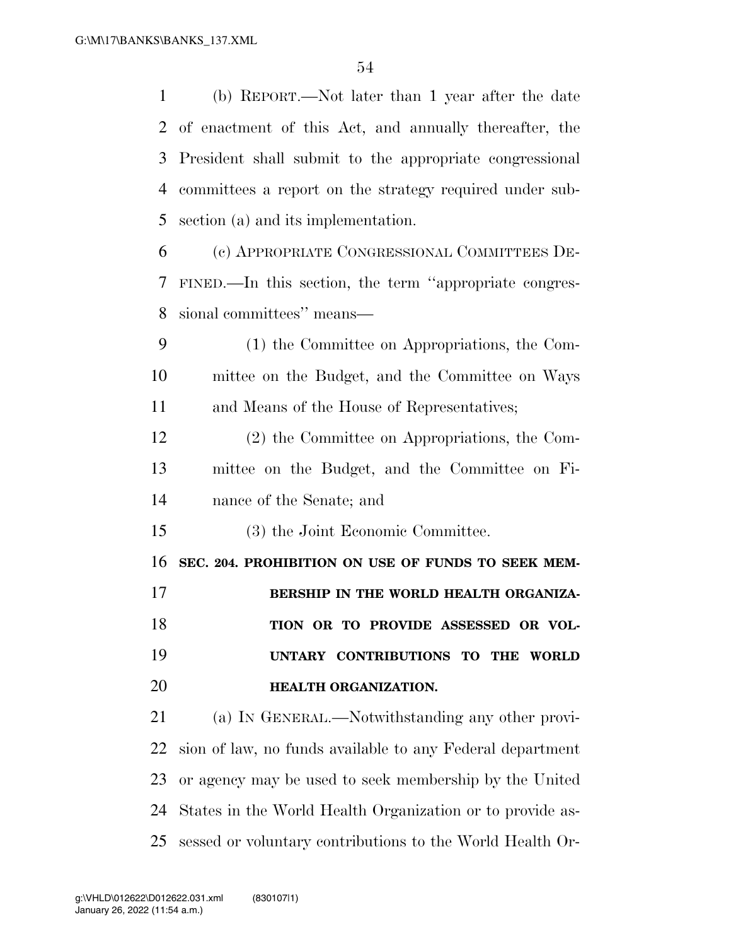(b) REPORT.—Not later than 1 year after the date of enactment of this Act, and annually thereafter, the President shall submit to the appropriate congressional committees a report on the strategy required under sub- section (a) and its implementation. (c) APPROPRIATE CONGRESSIONAL COMMITTEES DE- FINED.—In this section, the term ''appropriate congres- sional committees'' means— (1) the Committee on Appropriations, the Com-

 mittee on the Budget, and the Committee on Ways and Means of the House of Representatives;

 (2) the Committee on Appropriations, the Com- mittee on the Budget, and the Committee on Fi-nance of the Senate; and

(3) the Joint Economic Committee.

 **SEC. 204. PROHIBITION ON USE OF FUNDS TO SEEK MEM-BERSHIP IN THE WORLD HEALTH ORGANIZA- TION OR TO PROVIDE ASSESSED OR VOL- UNTARY CONTRIBUTIONS TO THE WORLD HEALTH ORGANIZATION.** 

 (a) IN GENERAL.—Notwithstanding any other provi- sion of law, no funds available to any Federal department or agency may be used to seek membership by the United States in the World Health Organization or to provide as-sessed or voluntary contributions to the World Health Or-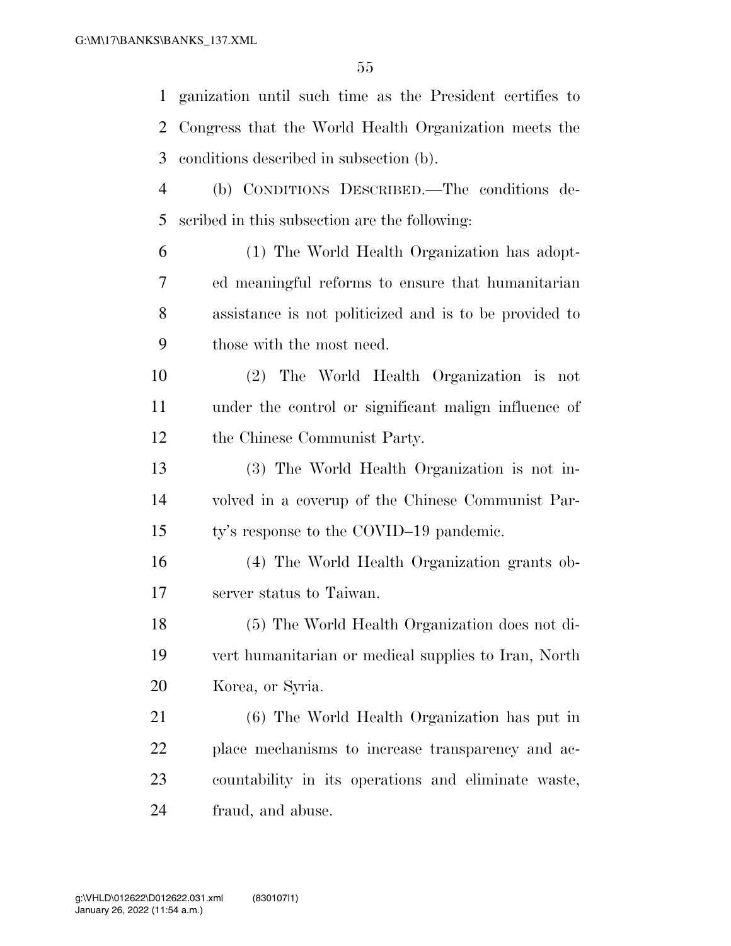ganization until such time as the President certifies to Congress that the World Health Organization meets the conditions described in subsection (b). (b) CONDITIONS DESCRIBED.—The conditions de-scribed in this subsection are the following:

 (1) The World Health Organization has adopt- ed meaningful reforms to ensure that humanitarian assistance is not politicized and is to be provided to those with the most need.

 (2) The World Health Organization is not under the control or significant malign influence of the Chinese Communist Party.

 (3) The World Health Organization is not in- volved in a coverup of the Chinese Communist Par-ty's response to the COVID–19 pandemic.

 (4) The World Health Organization grants ob-server status to Taiwan.

 (5) The World Health Organization does not di- vert humanitarian or medical supplies to Iran, North Korea, or Syria.

 (6) The World Health Organization has put in place mechanisms to increase transparency and ac- countability in its operations and eliminate waste, fraud, and abuse.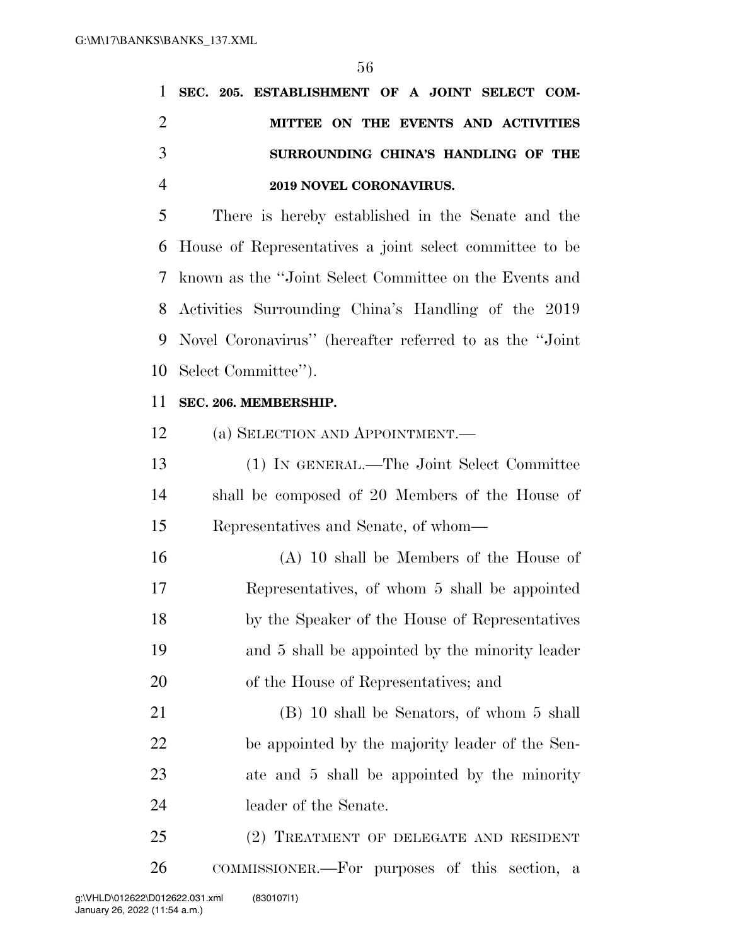|  | 1 SEC. 205. ESTABLISHMENT OF A JOINT SELECT COM- |
|--|--------------------------------------------------|
|  | MITTEE ON THE EVENTS AND ACTIVITIES              |
|  | SURROUNDING CHINA'S HANDLING OF THE              |
|  | 2019 NOVEL CORONAVIRUS.                          |

 There is hereby established in the Senate and the House of Representatives a joint select committee to be known as the ''Joint Select Committee on the Events and Activities Surrounding China's Handling of the 2019 Novel Coronavirus'' (hereafter referred to as the ''Joint Select Committee'').

#### **SEC. 206. MEMBERSHIP.**

(a) SELECTION AND APPOINTMENT.—

 (1) IN GENERAL.—The Joint Select Committee shall be composed of 20 Members of the House of Representatives and Senate, of whom—

 (A) 10 shall be Members of the House of Representatives, of whom 5 shall be appointed by the Speaker of the House of Representatives and 5 shall be appointed by the minority leader of the House of Representatives; and

 (B) 10 shall be Senators, of whom 5 shall be appointed by the majority leader of the Sen- ate and 5 shall be appointed by the minority leader of the Senate.

 (2) TREATMENT OF DELEGATE AND RESIDENT COMMISSIONER.—For purposes of this section, a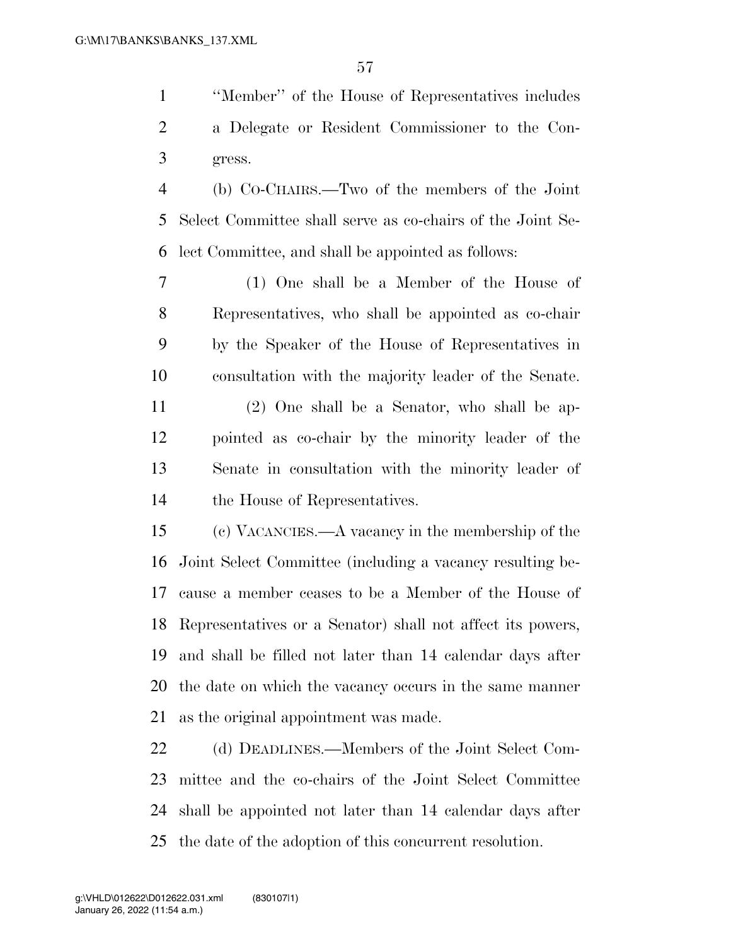''Member'' of the House of Representatives includes a Delegate or Resident Commissioner to the Con-gress.

 (b) CO-CHAIRS.—Two of the members of the Joint Select Committee shall serve as co-chairs of the Joint Se-lect Committee, and shall be appointed as follows:

 (1) One shall be a Member of the House of Representatives, who shall be appointed as co-chair by the Speaker of the House of Representatives in consultation with the majority leader of the Senate.

 (2) One shall be a Senator, who shall be ap- pointed as co-chair by the minority leader of the Senate in consultation with the minority leader of the House of Representatives.

 (c) VACANCIES.—A vacancy in the membership of the Joint Select Committee (including a vacancy resulting be- cause a member ceases to be a Member of the House of Representatives or a Senator) shall not affect its powers, and shall be filled not later than 14 calendar days after the date on which the vacancy occurs in the same manner as the original appointment was made.

 (d) DEADLINES.—Members of the Joint Select Com- mittee and the co-chairs of the Joint Select Committee shall be appointed not later than 14 calendar days after the date of the adoption of this concurrent resolution.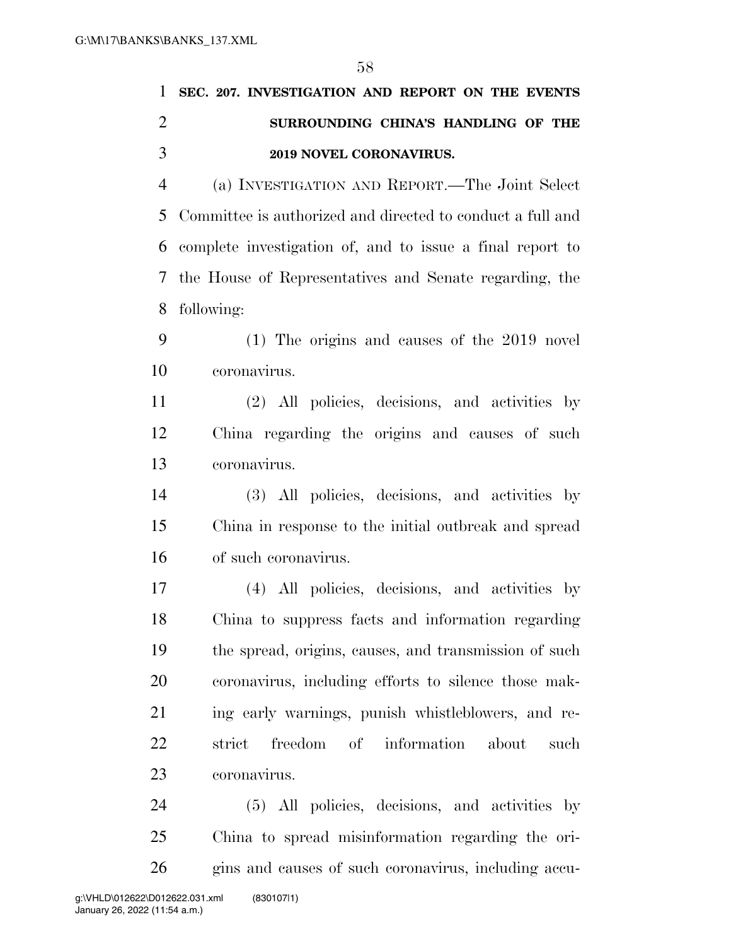|   | SEC. 207. INVESTIGATION AND REPORT ON THE EVENTS             |
|---|--------------------------------------------------------------|
| 2 | SURROUNDING CHINA'S HANDLING OF THE                          |
| 3 | 2019 NOVEL CORONAVIRUS.                                      |
| 4 | (a) INVESTIGATION AND REPORT.—The Joint Select               |
|   | 5 Committee is authorized and directed to conduct a full and |
|   | 6 complete investigation of, and to issue a final report to  |
|   | 7 the House of Representatives and Senate regarding, the     |

- following:
- (1) The origins and causes of the 2019 novel coronavirus.
- (2) All policies, decisions, and activities by China regarding the origins and causes of such coronavirus.
- (3) All policies, decisions, and activities by China in response to the initial outbreak and spread of such coronavirus.
- (4) All policies, decisions, and activities by China to suppress facts and information regarding the spread, origins, causes, and transmission of such coronavirus, including efforts to silence those mak- ing early warnings, punish whistleblowers, and re- strict freedom of information about such coronavirus.

 (5) All policies, decisions, and activities by China to spread misinformation regarding the ori-gins and causes of such coronavirus, including accu-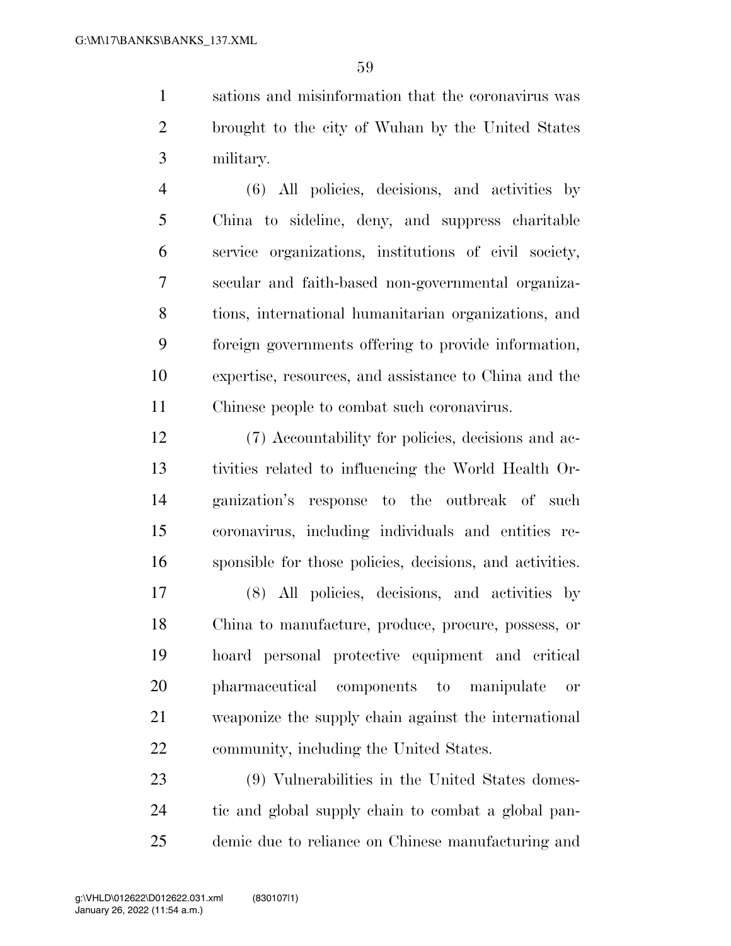sations and misinformation that the coronavirus was brought to the city of Wuhan by the United States military.

 (6) All policies, decisions, and activities by China to sideline, deny, and suppress charitable service organizations, institutions of civil society, secular and faith-based non-governmental organiza- tions, international humanitarian organizations, and foreign governments offering to provide information, expertise, resources, and assistance to China and the Chinese people to combat such coronavirus.

 (7) Accountability for policies, decisions and ac- tivities related to influencing the World Health Or- ganization's response to the outbreak of such coronavirus, including individuals and entities re-sponsible for those policies, decisions, and activities.

 (8) All policies, decisions, and activities by China to manufacture, produce, procure, possess, or hoard personal protective equipment and critical pharmaceutical components to manipulate or weaponize the supply chain against the international community, including the United States.

 (9) Vulnerabilities in the United States domes- tic and global supply chain to combat a global pan-demic due to reliance on Chinese manufacturing and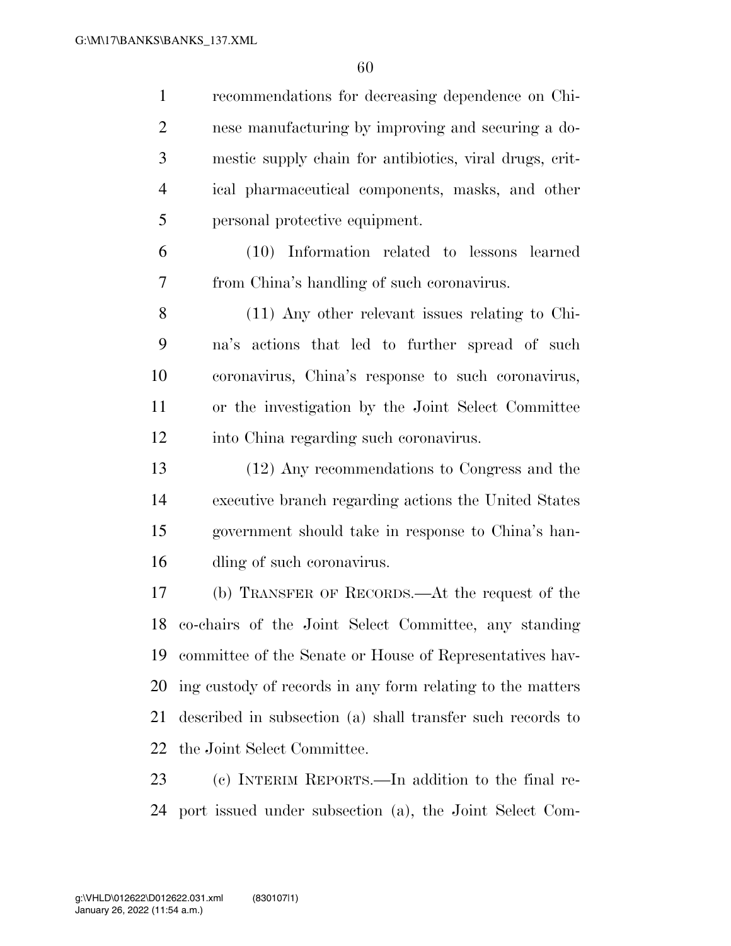recommendations for decreasing dependence on Chi- nese manufacturing by improving and securing a do- mestic supply chain for antibiotics, viral drugs, crit- ical pharmaceutical components, masks, and other personal protective equipment.

 (10) Information related to lessons learned from China's handling of such coronavirus.

 (11) Any other relevant issues relating to Chi- na's actions that led to further spread of such coronavirus, China's response to such coronavirus, or the investigation by the Joint Select Committee into China regarding such coronavirus.

 (12) Any recommendations to Congress and the executive branch regarding actions the United States government should take in response to China's han-dling of such coronavirus.

 (b) TRANSFER OF RECORDS.—At the request of the co-chairs of the Joint Select Committee, any standing committee of the Senate or House of Representatives hav- ing custody of records in any form relating to the matters described in subsection (a) shall transfer such records to the Joint Select Committee.

 (c) INTERIM REPORTS.—In addition to the final re-port issued under subsection (a), the Joint Select Com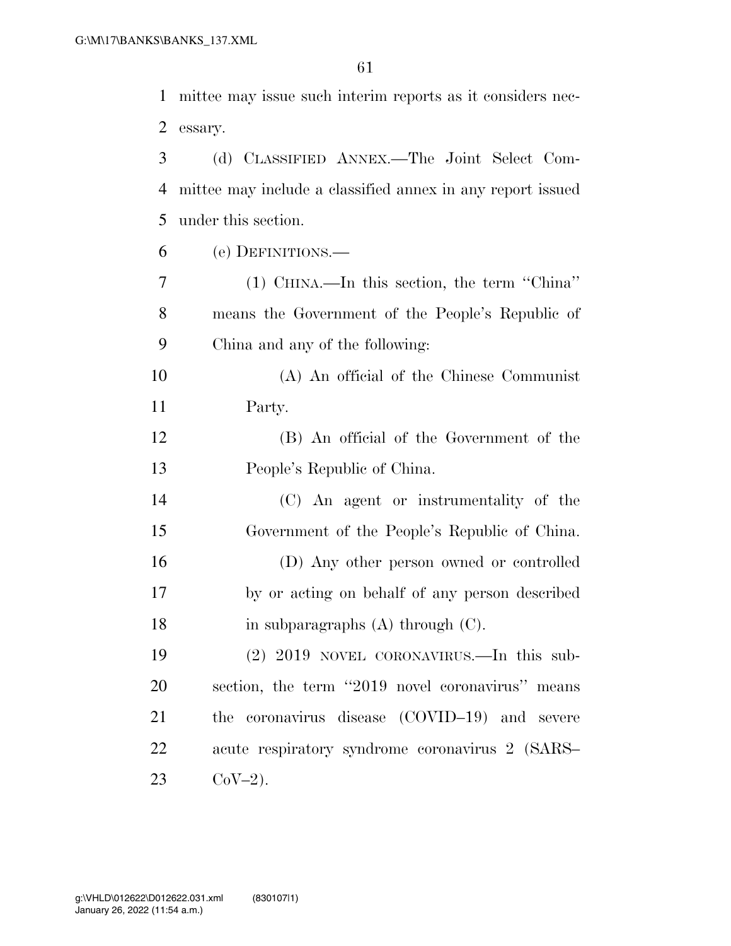mittee may issue such interim reports as it considers nec-essary.

 (d) CLASSIFIED ANNEX.—The Joint Select Com- mittee may include a classified annex in any report issued under this section. (e) DEFINITIONS.— (1) CHINA.—In this section, the term ''China'' means the Government of the People's Republic of China and any of the following: (A) An official of the Chinese Communist Party. (B) An official of the Government of the People's Republic of China.

 (C) An agent or instrumentality of the Government of the People's Republic of China. (D) Any other person owned or controlled by or acting on behalf of any person described 18 in subparagraphs (A) through (C).

 (2) 2019 NOVEL CORONAVIRUS.—In this sub- section, the term ''2019 novel coronavirus'' means the coronavirus disease (COVID–19) and severe acute respiratory syndrome coronavirus 2 (SARS– 23  $CoV-2$ ).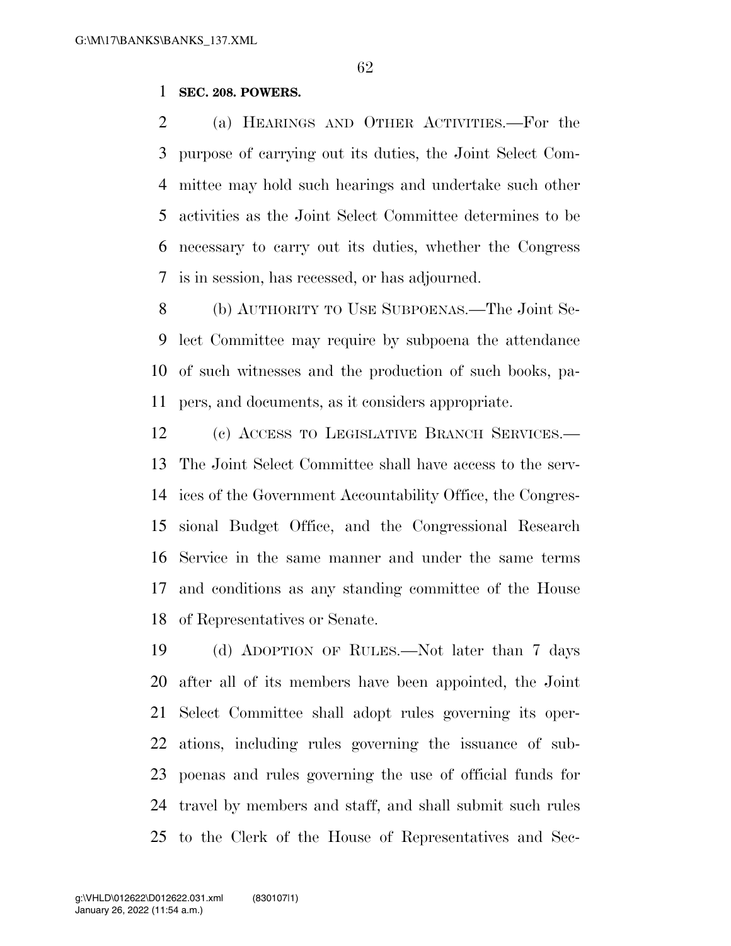### **SEC. 208. POWERS.**

 (a) HEARINGS AND OTHER ACTIVITIES.—For the purpose of carrying out its duties, the Joint Select Com- mittee may hold such hearings and undertake such other activities as the Joint Select Committee determines to be necessary to carry out its duties, whether the Congress is in session, has recessed, or has adjourned.

 (b) AUTHORITY TO USE SUBPOENAS.—The Joint Se- lect Committee may require by subpoena the attendance of such witnesses and the production of such books, pa-pers, and documents, as it considers appropriate.

 (c) ACCESS TO LEGISLATIVE BRANCH SERVICES.— The Joint Select Committee shall have access to the serv- ices of the Government Accountability Office, the Congres- sional Budget Office, and the Congressional Research Service in the same manner and under the same terms and conditions as any standing committee of the House of Representatives or Senate.

 (d) ADOPTION OF RULES.—Not later than 7 days after all of its members have been appointed, the Joint Select Committee shall adopt rules governing its oper- ations, including rules governing the issuance of sub- poenas and rules governing the use of official funds for travel by members and staff, and shall submit such rules to the Clerk of the House of Representatives and Sec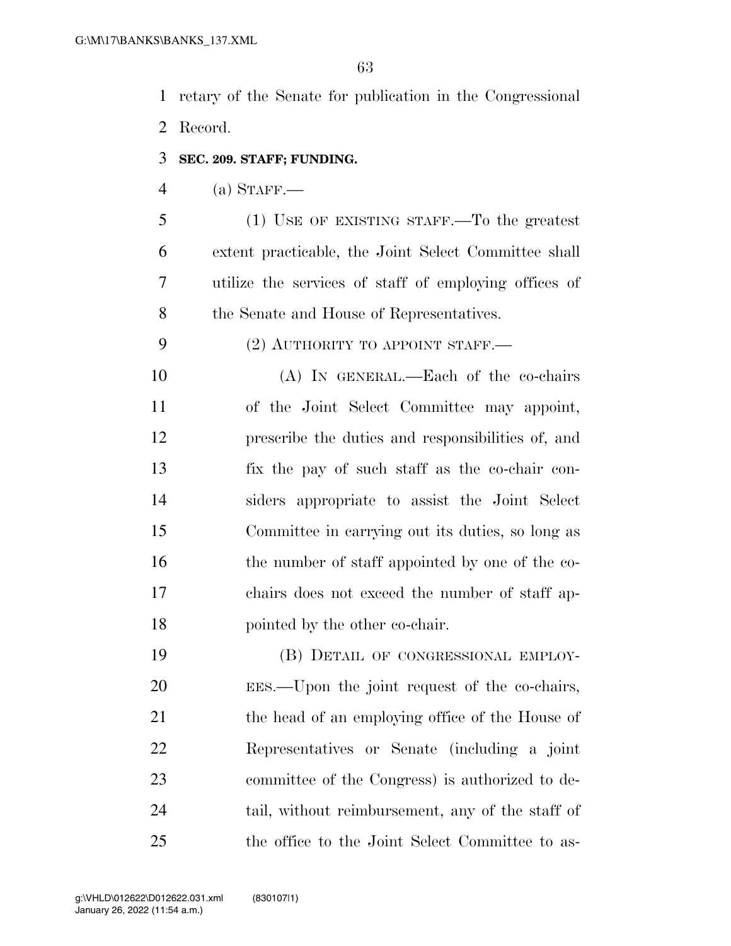retary of the Senate for publication in the Congressional Record.

**SEC. 209. STAFF; FUNDING.** 

(a) STAFF.—

 (1) USE OF EXISTING STAFF.—To the greatest extent practicable, the Joint Select Committee shall utilize the services of staff of employing offices of 8 the Senate and House of Representatives.

9 (2) AUTHORITY TO APPOINT STAFF.

 (A) IN GENERAL.—Each of the co-chairs of the Joint Select Committee may appoint, prescribe the duties and responsibilities of, and fix the pay of such staff as the co-chair con- siders appropriate to assist the Joint Select Committee in carrying out its duties, so long as 16 the number of staff appointed by one of the co- chairs does not exceed the number of staff ap-pointed by the other co-chair.

 (B) DETAIL OF CONGRESSIONAL EMPLOY- EES.—Upon the joint request of the co-chairs, 21 the head of an employing office of the House of Representatives or Senate (including a joint committee of the Congress) is authorized to de- tail, without reimbursement, any of the staff of the office to the Joint Select Committee to as-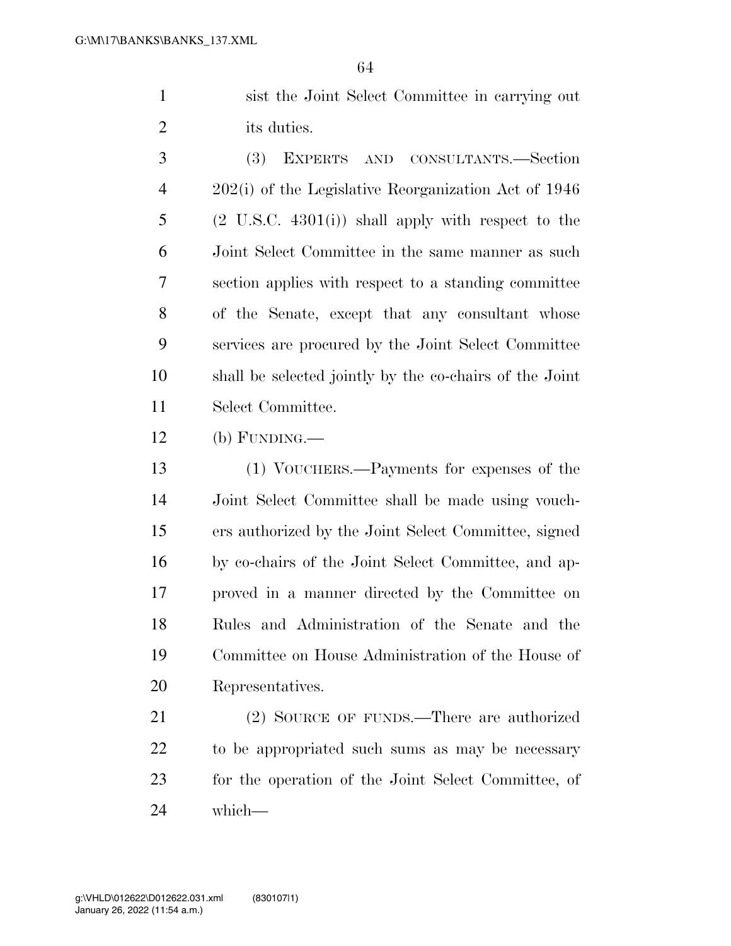sist the Joint Select Committee in carrying out its duties.

 (3) EXPERTS AND CONSULTANTS.—Section 202(i) of the Legislative Reorganization Act of 1946 (2 U.S.C. 4301(i)) shall apply with respect to the Joint Select Committee in the same manner as such section applies with respect to a standing committee of the Senate, except that any consultant whose services are procured by the Joint Select Committee shall be selected jointly by the co-chairs of the Joint Select Committee.

(b) FUNDING.—

 (1) VOUCHERS.—Payments for expenses of the Joint Select Committee shall be made using vouch- ers authorized by the Joint Select Committee, signed by co-chairs of the Joint Select Committee, and ap- proved in a manner directed by the Committee on Rules and Administration of the Senate and the Committee on House Administration of the House of Representatives.

21 (2) SOURCE OF FUNDS.—There are authorized to be appropriated such sums as may be necessary for the operation of the Joint Select Committee, of which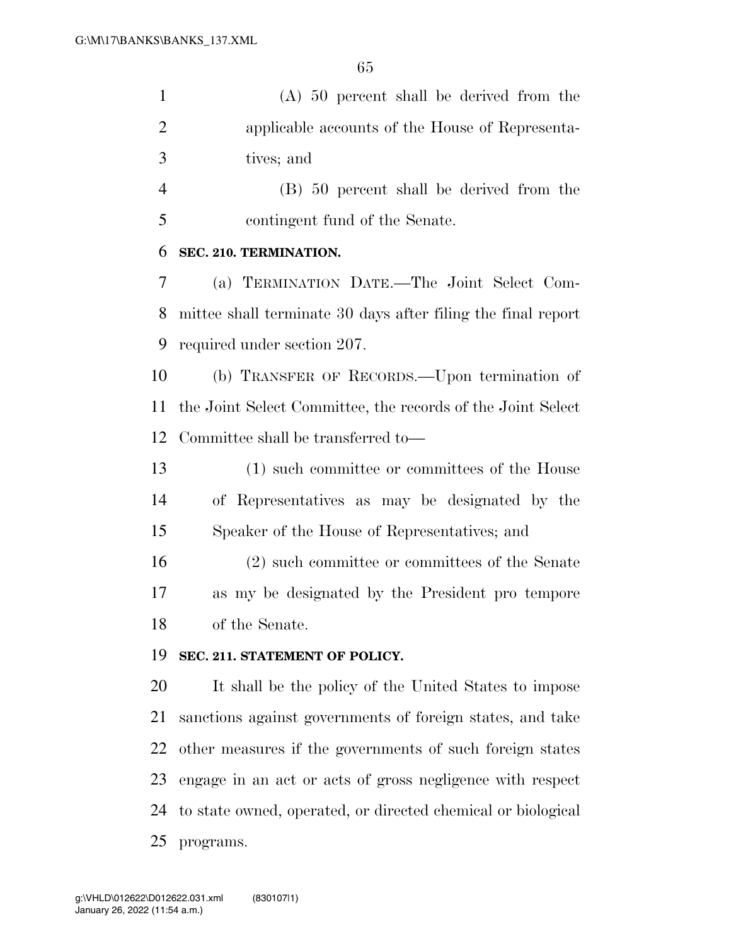(A) 50 percent shall be derived from the applicable accounts of the House of Representa-tives; and

 (B) 50 percent shall be derived from the contingent fund of the Senate.

#### **SEC. 210. TERMINATION.**

 (a) TERMINATION DATE.—The Joint Select Com- mittee shall terminate 30 days after filing the final report required under section 207.

 (b) TRANSFER OF RECORDS.—Upon termination of the Joint Select Committee, the records of the Joint Select Committee shall be transferred to—

 (1) such committee or committees of the House of Representatives as may be designated by the Speaker of the House of Representatives; and

 (2) such committee or committees of the Senate as my be designated by the President pro tempore of the Senate.

## **SEC. 211. STATEMENT OF POLICY.**

 It shall be the policy of the United States to impose sanctions against governments of foreign states, and take other measures if the governments of such foreign states engage in an act or acts of gross negligence with respect to state owned, operated, or directed chemical or biological programs.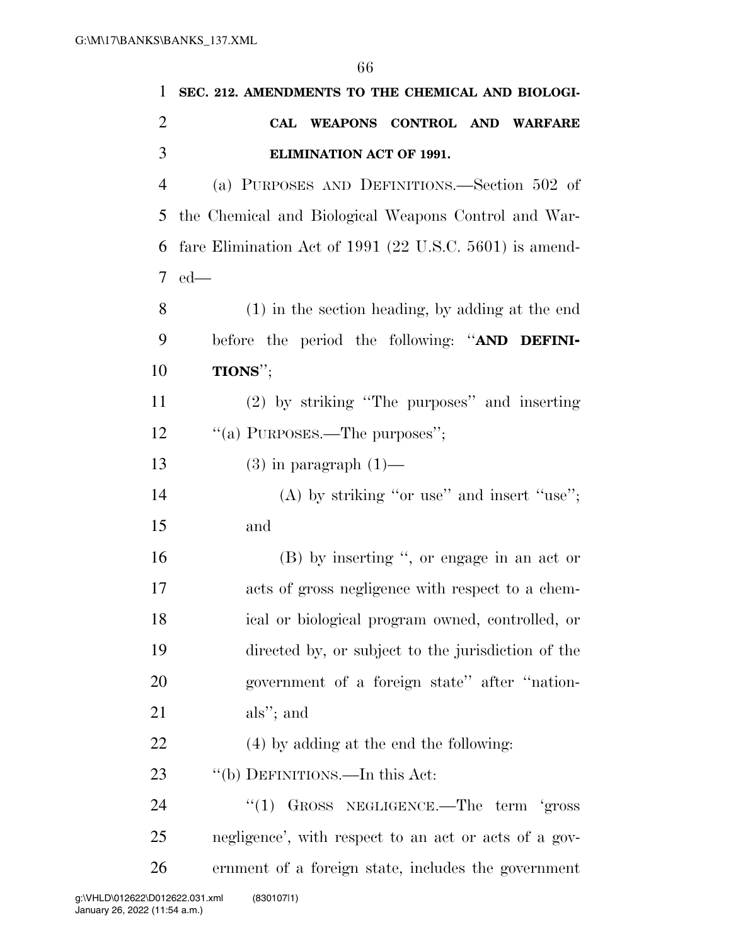| $\mathbf{1}$   | SEC. 212. AMENDMENTS TO THE CHEMICAL AND BIOLOGI-         |
|----------------|-----------------------------------------------------------|
| $\overline{2}$ | CAL WEAPONS CONTROL AND WARFARE                           |
| 3              | <b>ELIMINATION ACT OF 1991.</b>                           |
| $\overline{4}$ | (a) PURPOSES AND DEFINITIONS.—Section 502 of              |
| 5              | the Chemical and Biological Weapons Control and War-      |
| 6              | fare Elimination Act of $1991$ (22 U.S.C. 5601) is amend- |
| 7 <sup>7</sup> | $ed$ —                                                    |
| 8              | (1) in the section heading, by adding at the end          |
| 9              | before the period the following: "AND DEFINI-             |
| 10             | TIONS";                                                   |
| 11             | (2) by striking "The purposes" and inserting              |
| 12             | "(a) PURPOSES.—The purposes";                             |
| 13             | $(3)$ in paragraph $(1)$ —                                |
| 14             | $(A)$ by striking "or use" and insert "use";              |
| 15             | and                                                       |
| 16             | (B) by inserting ", or engage in an act or                |
| 17             | acts of gross negligence with respect to a chem-          |
| 18             | ical or biological program owned, controlled, or          |
| 19             | directed by, or subject to the jurisdiction of the        |
| 20             | government of a foreign state" after "nation-             |
| 21             | als"; and                                                 |
| 22             | (4) by adding at the end the following:                   |
| 23             | "(b) DEFINITIONS.—In this Act:                            |
| 24             | "(1) GROSS NEGLIGENCE.—The term 'gross                    |
| 25             | negligence', with respect to an act or acts of a gov-     |
| 26             | ernment of a foreign state, includes the government       |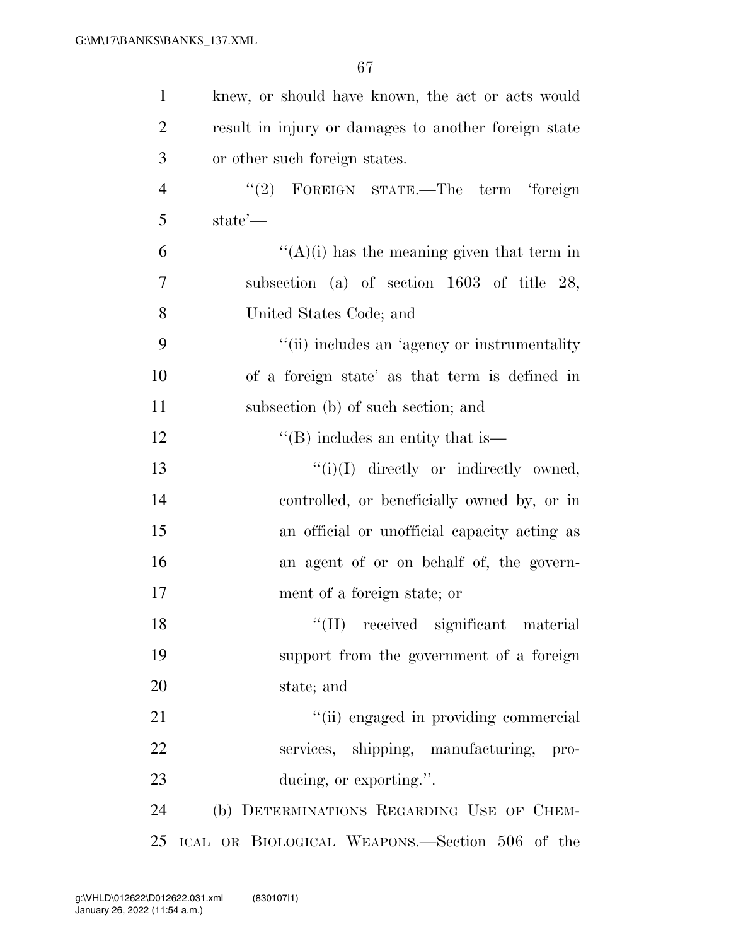| $\mathbf{1}$   | knew, or should have known, the act or acts would    |
|----------------|------------------------------------------------------|
| $\overline{2}$ | result in injury or damages to another foreign state |
| 3              | or other such foreign states.                        |
| $\overline{4}$ | "(2) FOREIGN STATE.—The term 'foreign                |
| 5              | state'—                                              |
| 6              | $\lq\lq (A)(i)$ has the meaning given that term in   |
| 7              | subsection (a) of section $1603$ of title 28,        |
| 8              | United States Code; and                              |
| 9              | "(ii) includes an 'agency or instrumentality         |
| 10             | of a foreign state' as that term is defined in       |
| 11             | subsection (b) of such section; and                  |
| 12             | $\lq$ (B) includes an entity that is $\lq$           |
| 13             | $``(i)(I)$ directly or indirectly owned,             |
| 14             | controlled, or beneficially owned by, or in          |
| 15             | an official or unofficial capacity acting as         |
| 16             | an agent of or on behalf of, the govern-             |
| 17             | ment of a foreign state; or                          |
| 18             | "(II) received significant material                  |
| 19             | support from the government of a foreign             |
| 20             | state; and                                           |
| 21             | "(ii) engaged in providing commercial                |
| 22             | services, shipping, manufacturing,<br>pro-           |
| 23             | ducing, or exporting.".                              |
| 24             | (b) DETERMINATIONS REGARDING USE OF CHEM-            |
| 25             | ICAL OR BIOLOGICAL WEAPONS.—Section 506 of the       |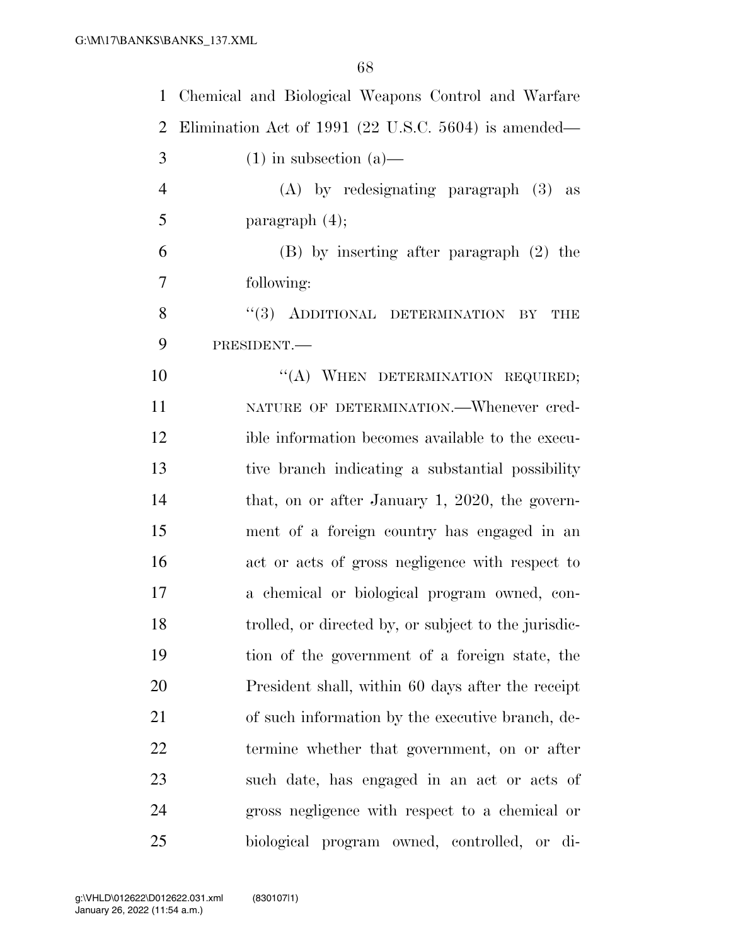| $\mathbf{1}$   | Chemical and Biological Weapons Control and Warfare  |
|----------------|------------------------------------------------------|
| $\overline{2}$ | Elimination Act of 1991 (22 U.S.C. 5604) is amended— |
| 3              | $(1)$ in subsection $(a)$ —                          |
| $\overline{4}$ | $(A)$ by redesignating paragraph $(3)$ as            |
| 5              | paragraph $(4)$ ;                                    |
| 6              | $(B)$ by inserting after paragraph $(2)$ the         |
| 7              | following:                                           |
| 8              | "(3) ADDITIONAL DETERMINATION BY<br><b>THE</b>       |
| 9              | PRESIDENT.-                                          |
| 10             | "(A) WHEN DETERMINATION REQUIRED;                    |
| 11             | NATURE OF DETERMINATION. - Whenever cred-            |
| 12             | ible information becomes available to the execu-     |
| 13             | tive branch indicating a substantial possibility     |
| 14             | that, on or after January 1, 2020, the govern-       |
| 15             | ment of a foreign country has engaged in an          |
| 16             | act or acts of gross negligence with respect to      |
| 17             | a chemical or biological program owned, con-         |
| 18             | trolled, or directed by, or subject to the jurisdic- |
| 19             | tion of the government of a foreign state, the       |
| 20             | President shall, within 60 days after the receipt    |
| 21             | of such information by the executive branch, de-     |
| 22             | termine whether that government, on or after         |
| 23             | such date, has engaged in an act or acts of          |
| 24             | gross negligence with respect to a chemical or       |
| 25             | biological program owned, controlled, or di-         |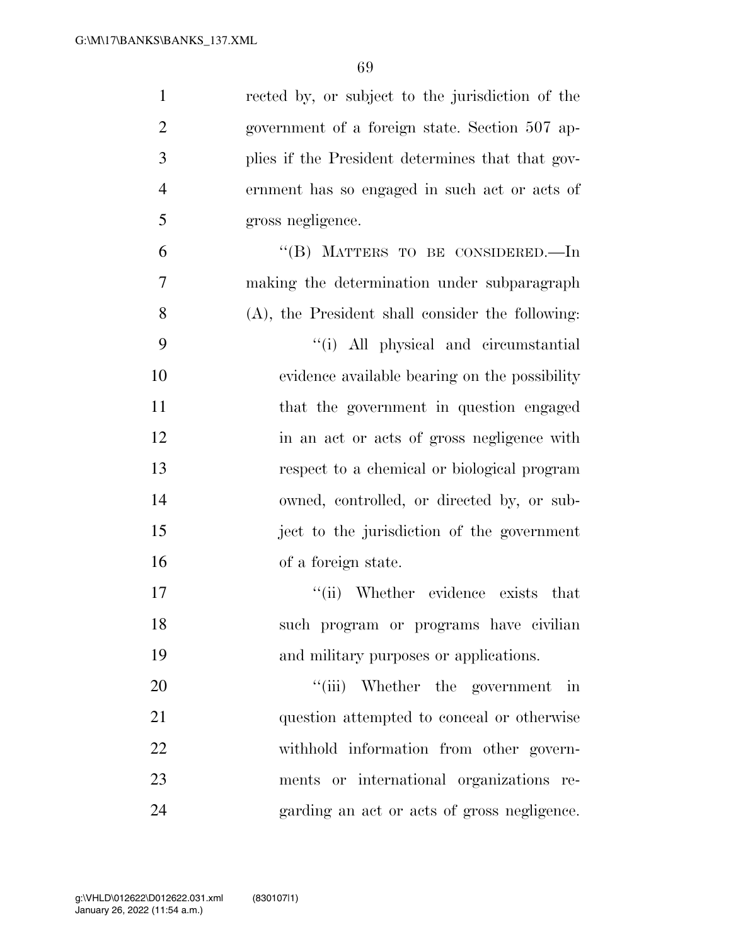| $\mathbf{1}$   | rected by, or subject to the jurisdiction of the |
|----------------|--------------------------------------------------|
| $\overline{2}$ | government of a foreign state. Section 507 ap-   |
| 3              | plies if the President determines that that gov- |
| $\overline{4}$ | ernment has so engaged in such act or acts of    |
| 5              | gross negligence.                                |
| 6              | "(B) MATTERS TO BE CONSIDERED.—In                |
| 7              | making the determination under subparagraph      |
| 8              | (A), the President shall consider the following: |
| 9              | "(i) All physical and circumstantial             |
| 10             | evidence available bearing on the possibility    |
| 11             | that the government in question engaged          |
| 12             | in an act or acts of gross negligence with       |
| 13             | respect to a chemical or biological program      |
| 14             | owned, controlled, or directed by, or sub-       |
| 15             | ject to the jurisdiction of the government       |
| 16             | of a foreign state.                              |
| 17             | "(ii) Whether evidence exists<br>that            |
| 18             | such program or programs have civilian           |
| 19             | and military purposes or applications.           |
| 20             | "(iii) Whether the government<br>$\dot{m}$       |
| 21             | question attempted to conceal or otherwise       |
| 22             | withhold information from other govern-          |
| 23             | ments or international organizations re-         |
| 24             | garding an act or acts of gross negligence.      |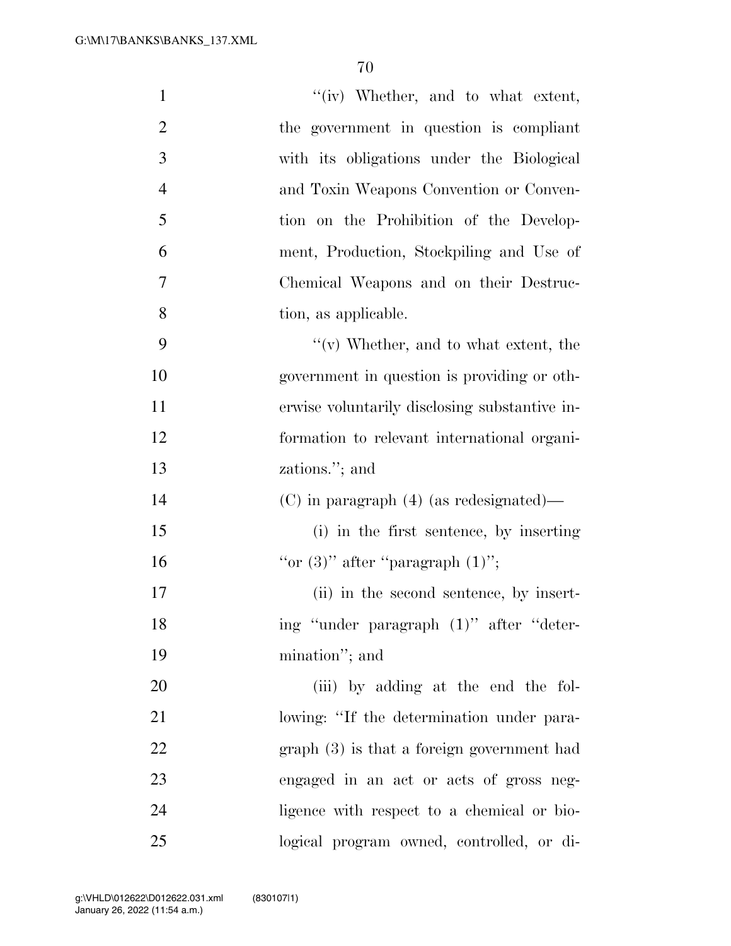| $\mathbf{1}$   | "(iv) Whether, and to what extent,            |
|----------------|-----------------------------------------------|
| $\overline{2}$ | the government in question is compliant       |
| 3              | with its obligations under the Biological     |
| $\overline{4}$ | and Toxin Weapons Convention or Conven-       |
| 5              | tion on the Prohibition of the Develop-       |
| 6              | ment, Production, Stockpiling and Use of      |
| 7              | Chemical Weapons and on their Destruc-        |
| 8              | tion, as applicable.                          |
| 9              | $``(v)$ Whether, and to what extent, the      |
| 10             | government in question is providing or oth-   |
| 11             | erwise voluntarily disclosing substantive in- |
| 12             | formation to relevant international organi-   |
|                |                                               |
| 13             | zations."; and                                |
| 14             | $(C)$ in paragraph $(4)$ (as redesignated)—   |
| 15             | (i) in the first sentence, by inserting       |
| 16             | "or $(3)$ " after "paragraph $(1)$ ";         |
| 17             | (ii) in the second sentence, by insert-       |
| 18             | ing "under paragraph (1)" after "deter-       |
| 19             | mination"; and                                |
| 20             | (iii) by adding at the end the fol-           |
| 21             | lowing: "If the determination under para-     |
| 22             | $graph(3)$ is that a foreign government had   |
| 23             | engaged in an act or acts of gross neg-       |
| 24             | ligence with respect to a chemical or bio-    |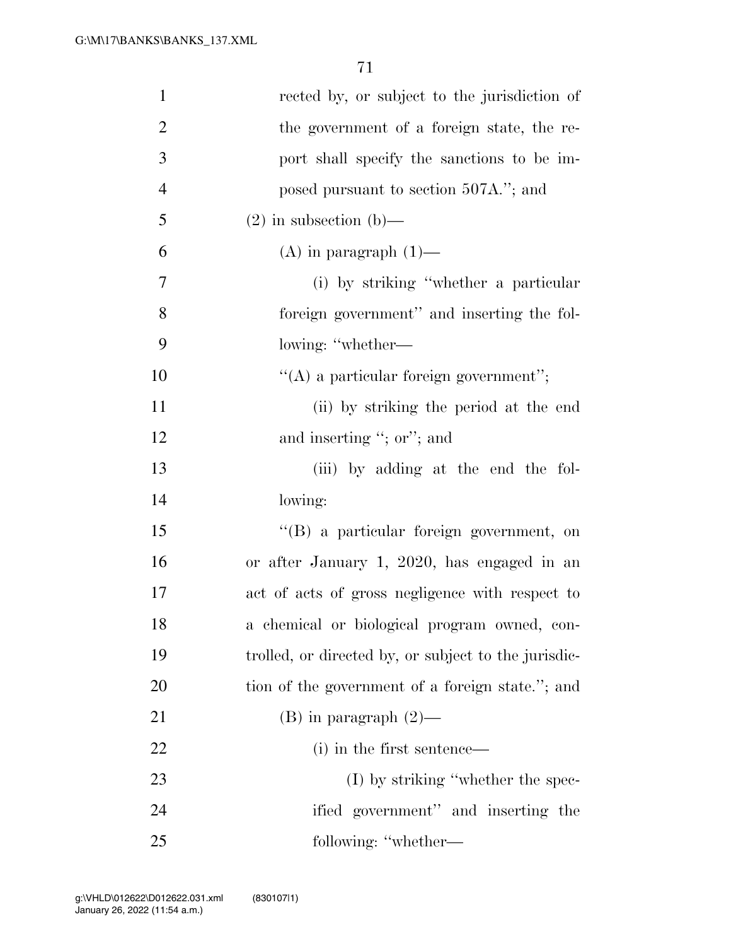| $\mathbf{1}$   | rected by, or subject to the jurisdiction of         |
|----------------|------------------------------------------------------|
| $\overline{2}$ | the government of a foreign state, the re-           |
| 3              | port shall specify the sanctions to be im-           |
| $\overline{4}$ | posed pursuant to section 507A."; and                |
| 5              | $(2)$ in subsection (b)—                             |
| 6              | $(A)$ in paragraph $(1)$ —                           |
| 7              | (i) by striking "whether a particular                |
| 8              | foreign government" and inserting the fol-           |
| 9              | lowing: "whether—                                    |
| 10             | $\lq\lq$ a particular foreign government";           |
| 11             | (ii) by striking the period at the end               |
| 12             | and inserting "; or"; and                            |
| 13             | (iii) by adding at the end the fol-                  |
| 14             | lowing:                                              |
| 15             | "(B) a particular foreign government, on             |
| 16             | or after January 1, 2020, has engaged in an          |
| 17             | act of acts of gross negligence with respect to      |
| 18             | a chemical or biological program owned, con-         |
| 19             | trolled, or directed by, or subject to the jurisdic- |
| 20             | tion of the government of a foreign state."; and     |
| 21             | $(B)$ in paragraph $(2)$ —                           |
| 22             | (i) in the first sentence—                           |
| 23             | $(I)$ by striking "whether the spec-                 |
| 24             | ified government" and inserting the                  |
| 25             | following: "whether-                                 |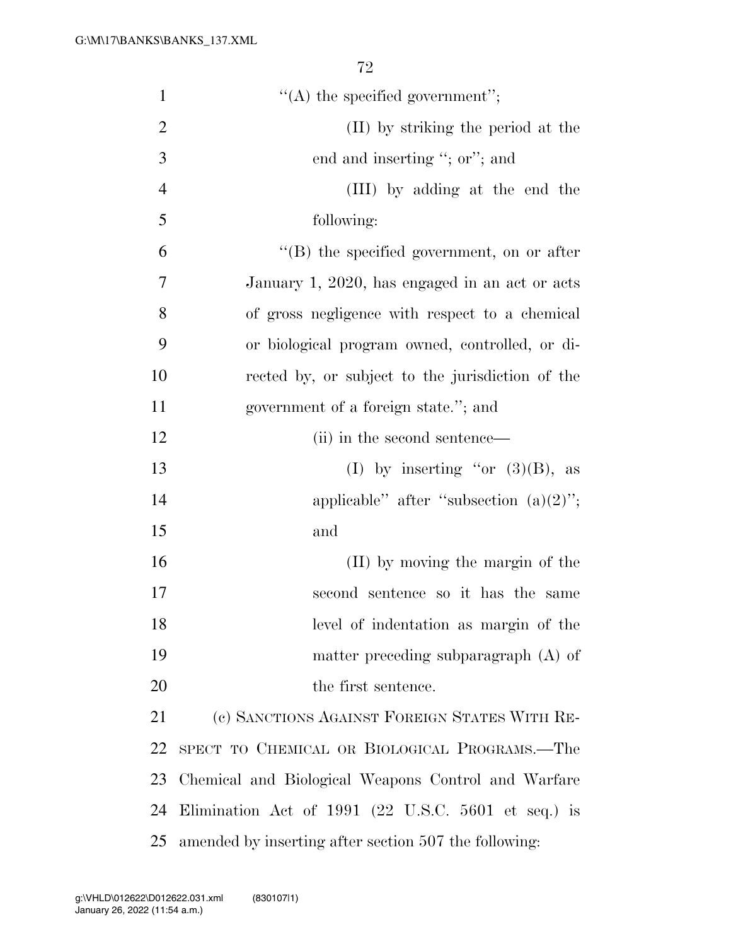| $\mathbf{1}$   | $\lq\lq$ the specified government";                   |
|----------------|-------------------------------------------------------|
| $\overline{2}$ | (II) by striking the period at the                    |
| 3              | end and inserting "; or"; and                         |
| $\overline{4}$ | (III) by adding at the end the                        |
| 5              | following:                                            |
| 6              | $\lq\lq (B)$ the specified government, on or after    |
| 7              | January 1, 2020, has engaged in an act or acts        |
| 8              | of gross negligence with respect to a chemical        |
| 9              | or biological program owned, controlled, or di-       |
| 10             | rected by, or subject to the jurisdiction of the      |
| 11             | government of a foreign state."; and                  |
| 12             | (ii) in the second sentence—                          |
| 13             | (I) by inserting "or $(3)(B)$ , as                    |
| 14             | applicable" after "subsection $(a)(2)$ ";             |
| 15             | and                                                   |
| 16             | (II) by moving the margin of the                      |
| 17             | second sentence so it has the same                    |
| 18             | level of indentation as margin of the                 |
| 19             | matter preceding subparagraph $(A)$ of                |
| 20             | the first sentence.                                   |
| 21             | (c) SANCTIONS AGAINST FOREIGN STATES WITH RE-         |
| 22             | SPECT TO CHEMICAL OR BIOLOGICAL PROGRAMS.—The         |
| 23             | Chemical and Biological Weapons Control and Warfare   |
| 24             | Elimination Act of 1991 (22 U.S.C. 5601 et seq.) is   |
| 25             | amended by inserting after section 507 the following: |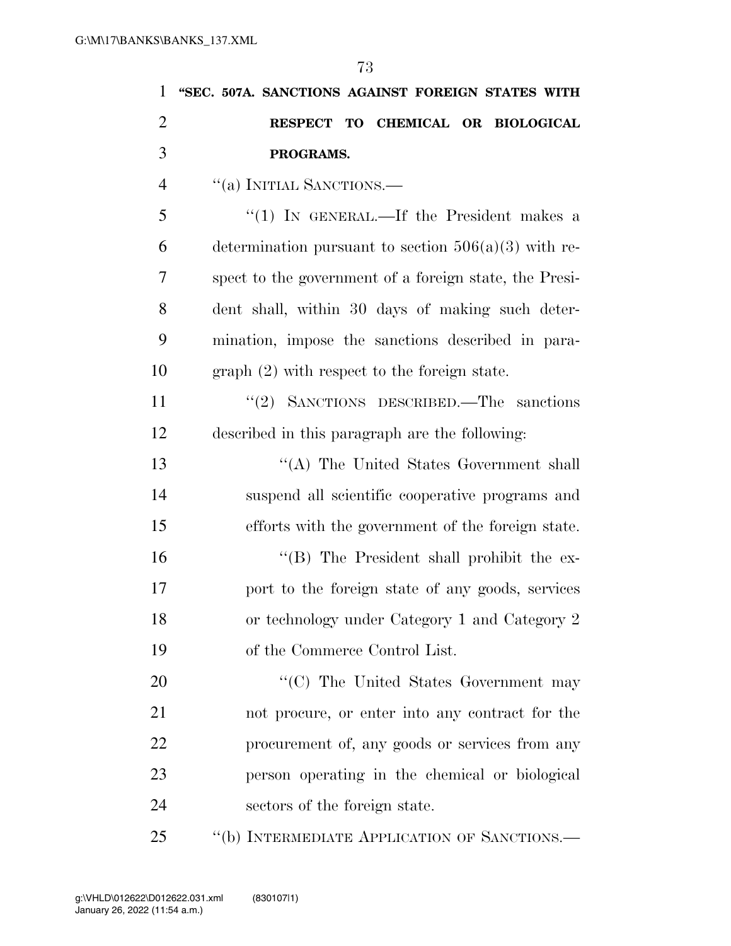| 1              | "SEC. 507A. SANCTIONS AGAINST FOREIGN STATES WITH      |
|----------------|--------------------------------------------------------|
| $\overline{2}$ | RESPECT TO CHEMICAL OR BIOLOGICAL                      |
| 3              | PROGRAMS.                                              |
| $\overline{4}$ | "(a) INITIAL SANCTIONS.-                               |
| 5              | "(1) IN GENERAL.—If the President makes a              |
| 6              | determination pursuant to section $506(a)(3)$ with re- |
| 7              | spect to the government of a foreign state, the Presi- |
| 8              | dent shall, within 30 days of making such deter-       |
| 9              | mination, impose the sanctions described in para-      |
| 10             | $graph (2) with respect to the foreign state.$         |
| 11             | "(2) SANCTIONS DESCRIBED.—The sanctions                |
| 12             | described in this paragraph are the following:         |
| 13             | "(A) The United States Government shall                |
| 14             | suspend all scientific cooperative programs and        |
| 15             | efforts with the government of the foreign state.      |
| 16             | "(B) The President shall prohibit the ex-              |
| 17             | port to the foreign state of any goods, services       |
| 18             | or technology under Category 1 and Category 2          |
| 19             | of the Commerce Control List.                          |
| 20             | "(C) The United States Government may                  |
| 21             | not procure, or enter into any contract for the        |
| 22             | procurement of, any goods or services from any         |
| 23             | person operating in the chemical or biological         |
| 24             | sectors of the foreign state.                          |
| 25             | "(b) INTERMEDIATE APPLICATION OF SANCTIONS.—           |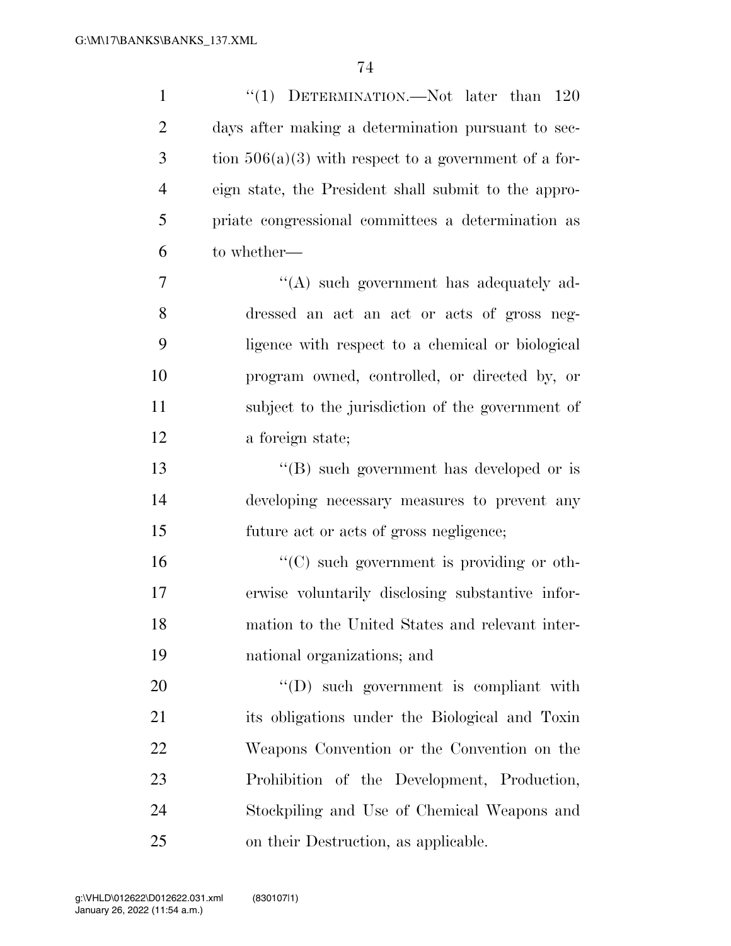| $\mathbf{1}$   | "(1) DETERMINATION.—Not later than $120\,$              |
|----------------|---------------------------------------------------------|
| $\overline{2}$ | days after making a determination pursuant to sec-      |
| 3              | tion $506(a)(3)$ with respect to a government of a for- |
| $\overline{4}$ | eign state, the President shall submit to the appro-    |
| 5              | priate congressional committees a determination as      |
| 6              | to whether—                                             |
| 7              | $\lq\lq$ such government has adequately ad-             |
| 8              | dressed an act an act or acts of gross neg-             |
| 9              | ligence with respect to a chemical or biological        |
| 10             | program owned, controlled, or directed by, or           |
| 11             | subject to the jurisdiction of the government of        |
| 12             | a foreign state;                                        |
| 13             | "(B) such government has developed or is                |
| 14             | developing necessary measures to prevent any            |
| 15             | future act or acts of gross negligence;                 |
| 16             | $\lq\lq$ (C) such government is providing or oth-       |
| 17             | erwise voluntarily disclosing substantive infor-        |
| 18             | mation to the United States and relevant inter-         |
| 19             | national organizations; and                             |
| 20             | $\lq\lq$ such government is compliant with              |
| 21             | its obligations under the Biological and Toxin          |
| 22             | Weapons Convention or the Convention on the             |
| 23             | Prohibition of the Development, Production,             |
| 24             | Stockpiling and Use of Chemical Weapons and             |
| 25             | on their Destruction, as applicable.                    |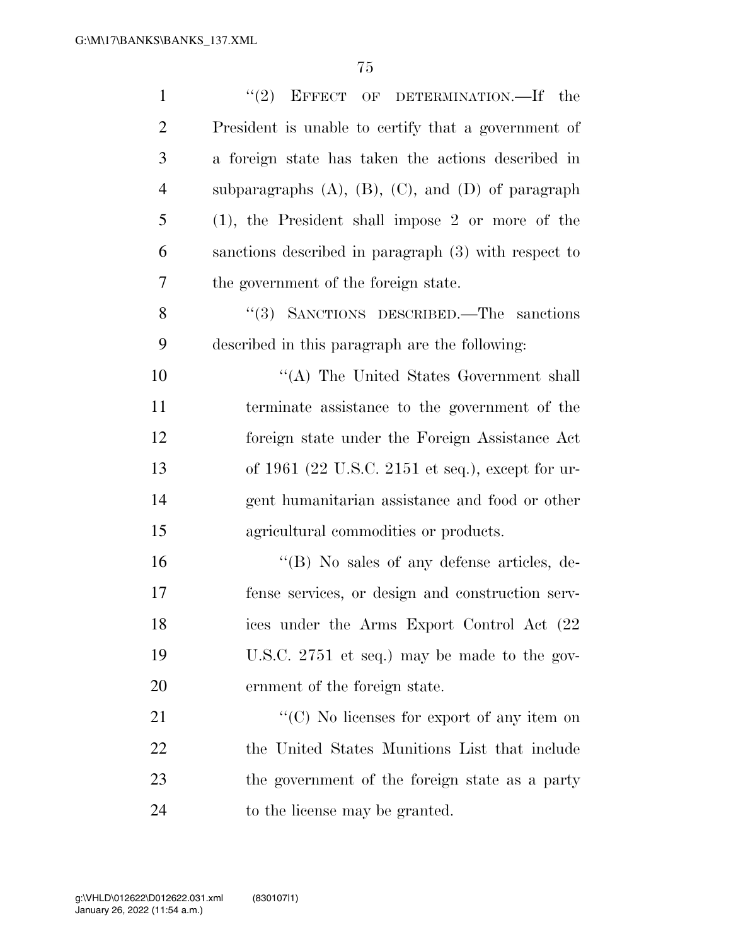| $\mathbf{1}$   | "(2) EFFECT OF DETERMINATION.—If the                         |
|----------------|--------------------------------------------------------------|
| $\overline{2}$ | President is unable to certify that a government of          |
| 3              | a foreign state has taken the actions described in           |
| $\overline{4}$ | subparagraphs $(A)$ , $(B)$ , $(C)$ , and $(D)$ of paragraph |
| 5              | $(1)$ , the President shall impose 2 or more of the          |
| 6              | sanctions described in paragraph (3) with respect to         |
| 7              | the government of the foreign state.                         |
| 8              | "(3) SANCTIONS DESCRIBED.—The sanctions                      |
| 9              | described in this paragraph are the following:               |
| 10             | "(A) The United States Government shall                      |
| 11             | terminate assistance to the government of the                |
| 12             | foreign state under the Foreign Assistance Act               |
| 13             | of 1961 (22 U.S.C. 2151 et seq.), except for ur-             |
| 14             | gent humanitarian assistance and food or other               |
| 15             | agricultural commodities or products.                        |
| 16             | $\cdot$ (B) No sales of any defense articles, de-            |
| 17             | fense services, or design and construction serv-             |
| 18             | ices under the Arms Export Control Act (22                   |
| 19             | U.S.C. 2751 et seq.) may be made to the gov-                 |
| 20             | ernment of the foreign state.                                |
| 21             | "(C) No licenses for export of any item on                   |
| 22             | the United States Munitions List that include                |
| 23             | the government of the foreign state as a party               |
| 24             | to the license may be granted.                               |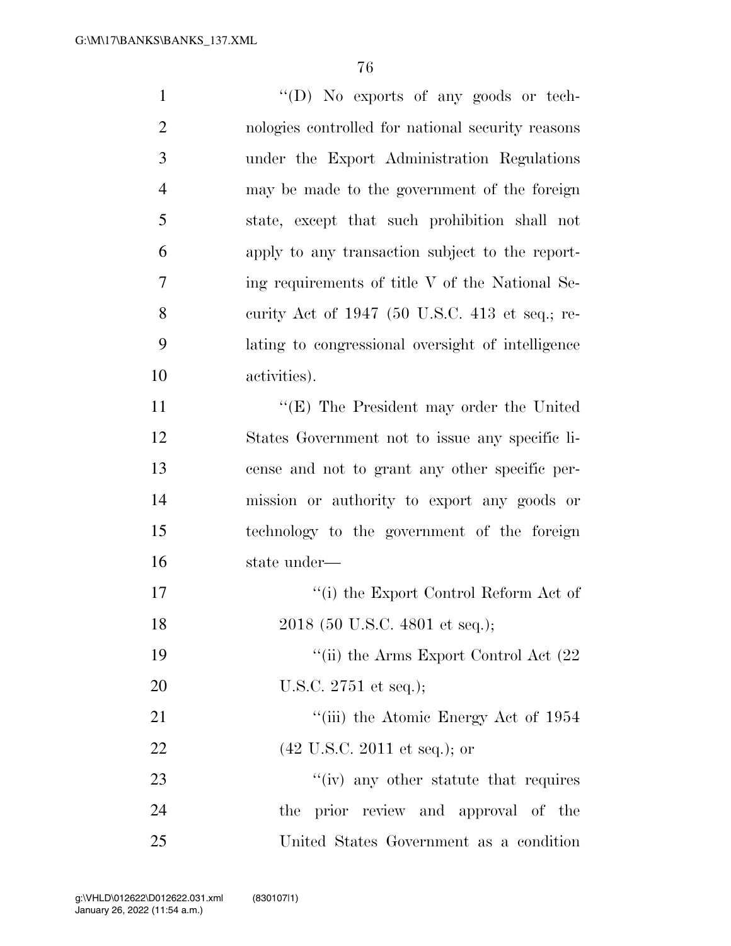| $\mathbf{1}$   | "(D) No exports of any goods or tech-             |
|----------------|---------------------------------------------------|
| $\overline{2}$ | nologies controlled for national security reasons |
| 3              | under the Export Administration Regulations       |
| $\overline{4}$ | may be made to the government of the foreign      |
| 5              | state, except that such prohibition shall not     |
| 6              | apply to any transaction subject to the report-   |
| 7              | ing requirements of title V of the National Se-   |
| 8              | curity Act of 1947 (50 U.S.C. 413 et seq.; re-    |
| 9              | lating to congressional oversight of intelligence |
| 10             | activities).                                      |
| 11             | "(E) The President may order the United           |
| 12             | States Government not to issue any specific li-   |
| 13             | cense and not to grant any other specific per-    |
| 14             | mission or authority to export any goods or       |
| 15             | technology to the government of the foreign       |
| 16             | state under-                                      |
| 17             | "(i) the Export Control Reform Act of             |
| 18             | 2018 (50 U.S.C. 4801 et seq.);                    |
| 19             | "(ii) the Arms Export Control Act $(22)$          |
| 20             | U.S.C. $2751$ et seq.);                           |
| 21             | "(iii) the Atomic Energy Act of 1954              |
| 22             | $(42 \text{ U.S.C. } 2011 \text{ et seq.});$ or   |
| 23             | $f'(iv)$ any other statute that requires          |
| 24             | the prior review and approval of the              |

United States Government as a condition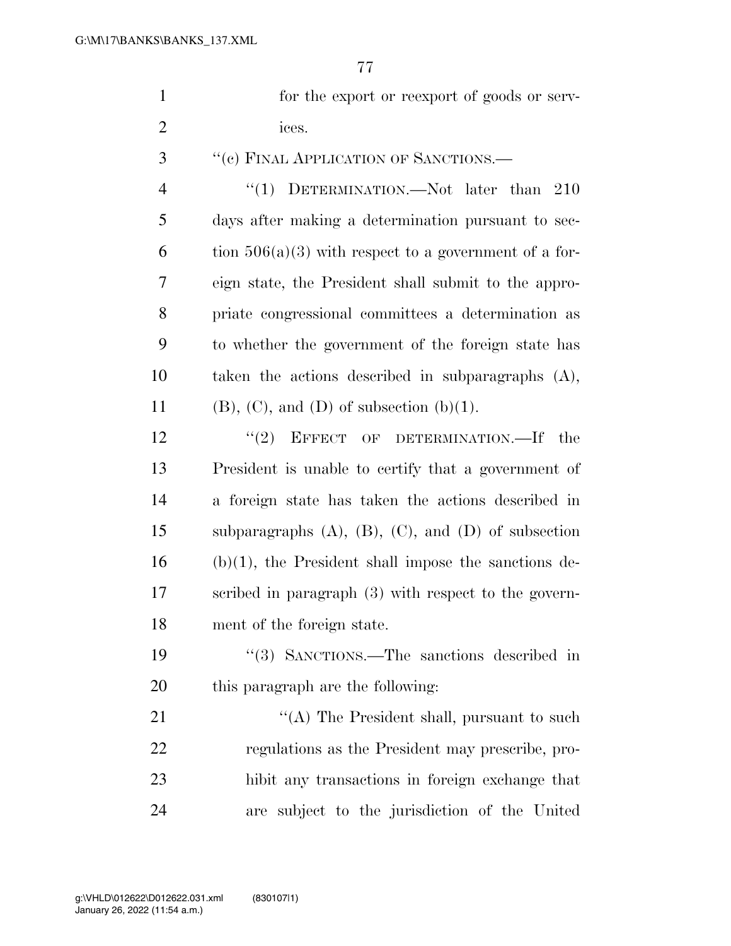| for the export or reexport of goods or serv- |
|----------------------------------------------|
| 10es.                                        |

''(c) FINAL APPLICATION OF SANCTIONS.—

4 "(1) DETERMINATION.—Not later than 210 days after making a determination pursuant to sec-6 tion  $506(a)(3)$  with respect to a government of a for- eign state, the President shall submit to the appro- priate congressional committees a determination as to whether the government of the foreign state has taken the actions described in subparagraphs (A), 11 (B), (C), and (D) of subsection  $(b)(1)$ .

12 "(2) EFFECT OF DETERMINATION.—If the President is unable to certify that a government of a foreign state has taken the actions described in subparagraphs (A), (B), (C), and (D) of subsection (b)(1), the President shall impose the sanctions de- scribed in paragraph (3) with respect to the govern-ment of the foreign state.

 ''(3) SANCTIONS.—The sanctions described in this paragraph are the following:

21 ''(A) The President shall, pursuant to such regulations as the President may prescribe, pro- hibit any transactions in foreign exchange that are subject to the jurisdiction of the United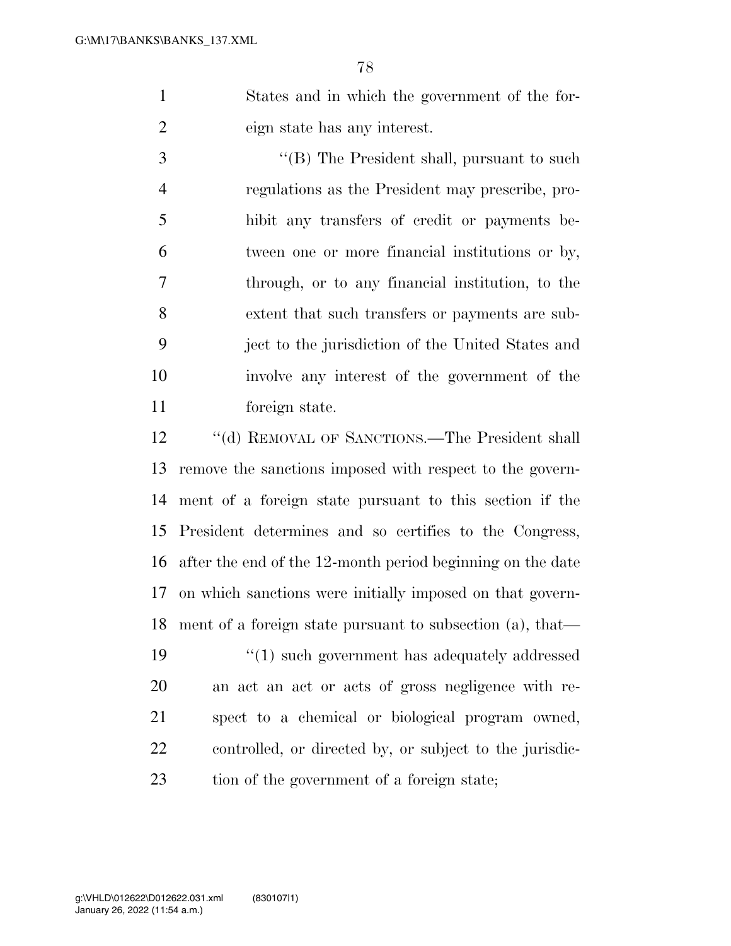States and in which the government of the for-eign state has any interest.

 ''(B) The President shall, pursuant to such regulations as the President may prescribe, pro- hibit any transfers of credit or payments be- tween one or more financial institutions or by, through, or to any financial institution, to the extent that such transfers or payments are sub- ject to the jurisdiction of the United States and involve any interest of the government of the foreign state.

12 ""(d) REMOVAL OF SANCTIONS.—The President shall remove the sanctions imposed with respect to the govern- ment of a foreign state pursuant to this section if the President determines and so certifies to the Congress, after the end of the 12-month period beginning on the date on which sanctions were initially imposed on that govern- ment of a foreign state pursuant to subsection (a), that— ''(1) such government has adequately addressed

 an act an act or acts of gross negligence with re- spect to a chemical or biological program owned, controlled, or directed by, or subject to the jurisdic-23 tion of the government of a foreign state;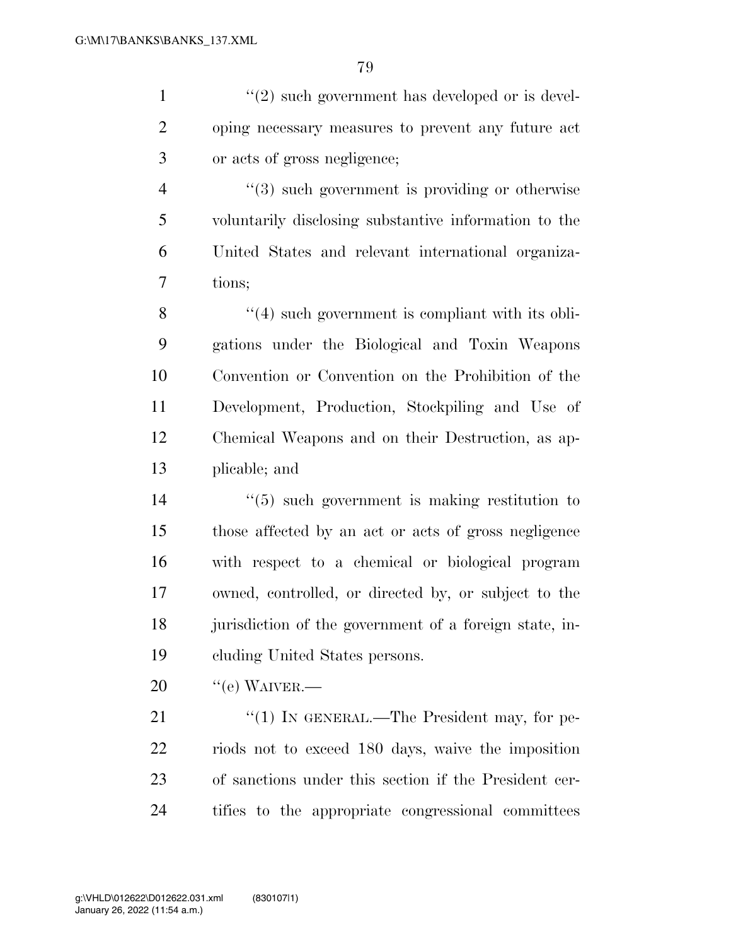$\frac{1}{2}$  ''(2) such government has developed or is devel- oping necessary measures to prevent any future act or acts of gross negligence;

 $(3)$  such government is providing or otherwise voluntarily disclosing substantive information to the United States and relevant international organiza-tions;

 ''(4) such government is compliant with its obli- gations under the Biological and Toxin Weapons Convention or Convention on the Prohibition of the Development, Production, Stockpiling and Use of Chemical Weapons and on their Destruction, as ap-plicable; and

 ''(5) such government is making restitution to those affected by an act or acts of gross negligence with respect to a chemical or biological program owned, controlled, or directed by, or subject to the jurisdiction of the government of a foreign state, in-cluding United States persons.

 $20 \qquad$  "(e) WAIVER.—

21 "(1) IN GENERAL.—The President may, for pe- riods not to exceed 180 days, waive the imposition of sanctions under this section if the President cer-tifies to the appropriate congressional committees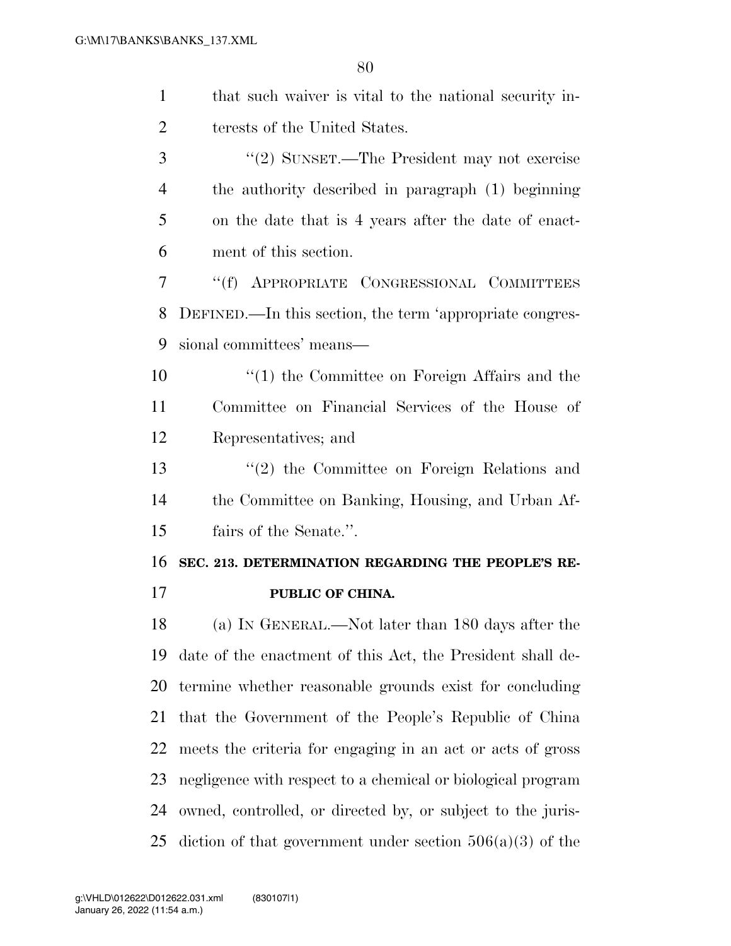| $\mathbf{1}$   | that such waiver is vital to the national security in-      |
|----------------|-------------------------------------------------------------|
| $\overline{2}$ | terests of the United States.                               |
| 3              | "(2) SUNSET.—The President may not exercise                 |
| 4              | the authority described in paragraph (1) beginning          |
| 5              | on the date that is 4 years after the date of enact-        |
| 6              | ment of this section.                                       |
| 7              | "(f) APPROPRIATE CONGRESSIONAL COMMITTEES                   |
| 8              | DEFINED.—In this section, the term 'appropriate congres-    |
| 9              | sional committees' means—                                   |
| 10             | $\lq(1)$ the Committee on Foreign Affairs and the           |
| 11             | Committee on Financial Services of the House of             |
| 12             | Representatives; and                                        |
| 13             | $"(2)$ the Committee on Foreign Relations and               |
| 14             | the Committee on Banking, Housing, and Urban Af-            |
| 15             | fairs of the Senate.".                                      |
| 16             | SEC. 213. DETERMINATION REGARDING THE PEOPLE'S RE-          |
| 17             | PUBLIC OF CHINA.                                            |
| 18             | (a) IN GENERAL.—Not later than 180 days after the           |
| 19             | date of the enactment of this Act, the President shall de-  |
| 20             | termine whether reasonable grounds exist for concluding     |
| 21             | that the Government of the People's Republic of China       |
| 22             | meets the criteria for engaging in an act or acts of gross  |
| 23             | negligence with respect to a chemical or biological program |
| 24             | owned, controlled, or directed by, or subject to the juris- |
| 25             | diction of that government under section $506(a)(3)$ of the |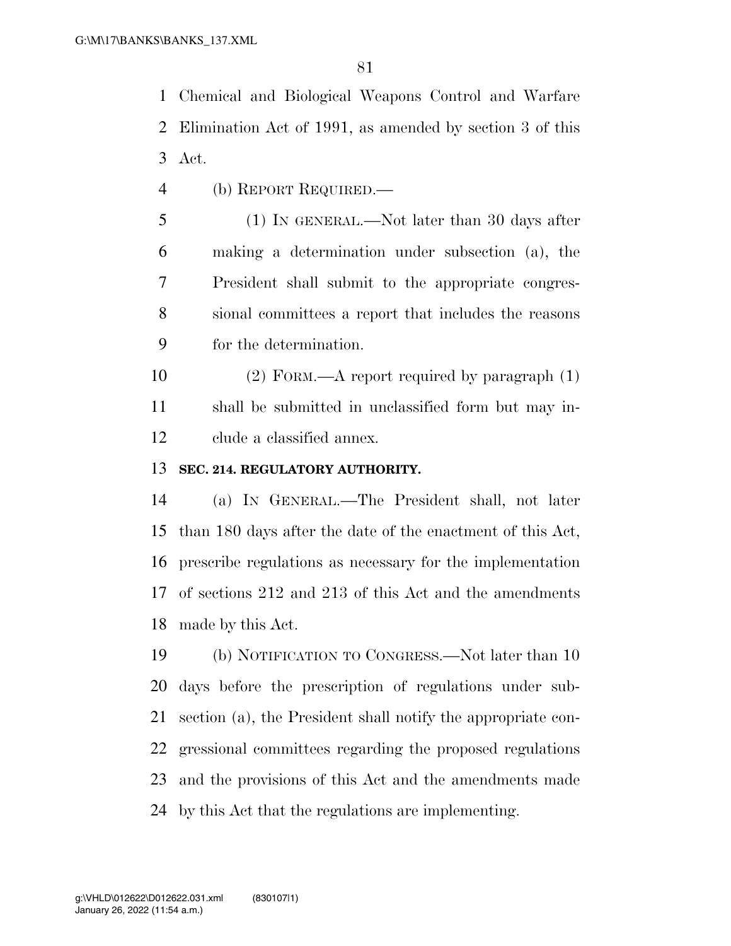Chemical and Biological Weapons Control and Warfare Elimination Act of 1991, as amended by section 3 of this Act.

(b) REPORT REQUIRED.—

 (1) IN GENERAL.—Not later than 30 days after making a determination under subsection (a), the President shall submit to the appropriate congres- sional committees a report that includes the reasons for the determination.

 (2) FORM.—A report required by paragraph (1) shall be submitted in unclassified form but may in-clude a classified annex.

#### **SEC. 214. REGULATORY AUTHORITY.**

 (a) IN GENERAL.—The President shall, not later than 180 days after the date of the enactment of this Act, prescribe regulations as necessary for the implementation of sections 212 and 213 of this Act and the amendments made by this Act.

 (b) NOTIFICATION TO CONGRESS.—Not later than 10 days before the prescription of regulations under sub- section (a), the President shall notify the appropriate con- gressional committees regarding the proposed regulations and the provisions of this Act and the amendments made by this Act that the regulations are implementing.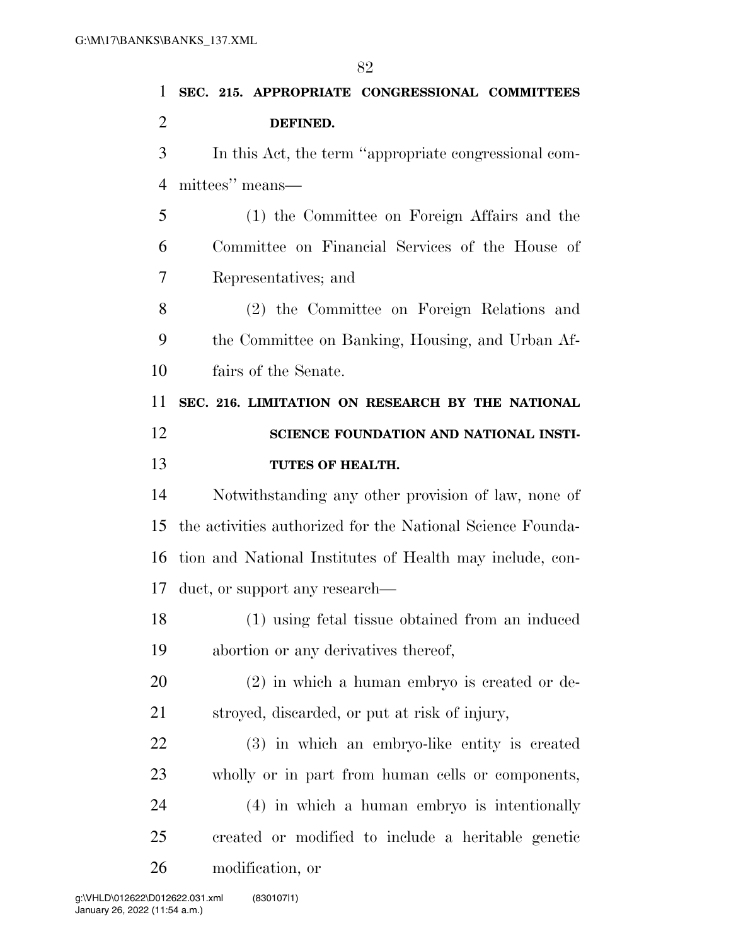**SEC. 215. APPROPRIATE CONGRESSIONAL COMMITTEES DEFINED.**  In this Act, the term ''appropriate congressional com- mittees'' means— (1) the Committee on Foreign Affairs and the Committee on Financial Services of the House of Representatives; and (2) the Committee on Foreign Relations and the Committee on Banking, Housing, and Urban Af- fairs of the Senate. **SEC. 216. LIMITATION ON RESEARCH BY THE NATIONAL SCIENCE FOUNDATION AND NATIONAL INSTI- TUTES OF HEALTH.**  Notwithstanding any other provision of law, none of the activities authorized for the National Science Founda- tion and National Institutes of Health may include, con- duct, or support any research— (1) using fetal tissue obtained from an induced abortion or any derivatives thereof, (2) in which a human embryo is created or de- stroyed, discarded, or put at risk of injury, (3) in which an embryo-like entity is created wholly or in part from human cells or components,

 (4) in which a human embryo is intentionally created or modified to include a heritable genetic modification, or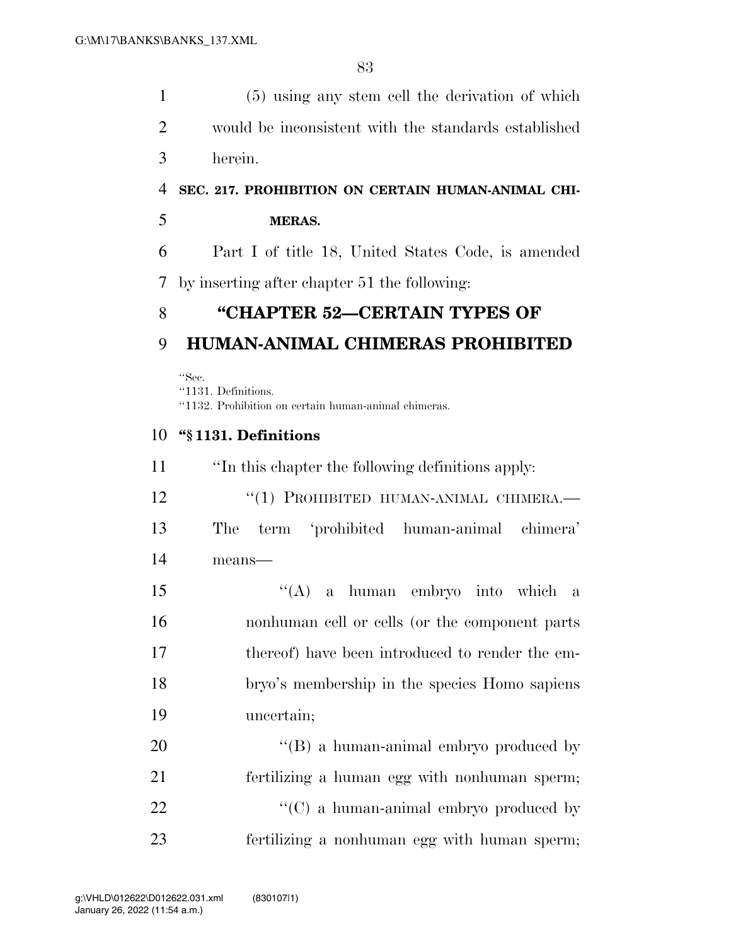(5) using any stem cell the derivation of which would be inconsistent with the standards established herein.

### **SEC. 217. PROHIBITION ON CERTAIN HUMAN-ANIMAL CHI-**

#### **MERAS.**

 Part I of title 18, United States Code, is amended by inserting after chapter 51 the following:

# **''CHAPTER 52—CERTAIN TYPES OF**

## **HUMAN-ANIMAL CHIMERAS PROHIBITED**

''Sec. ''1131. Definitions. ''1132. Prohibition on certain human-animal chimeras.

#### **''§ 1131. Definitions**

 ''In this chapter the following definitions apply: 12 "(1) PROHIBITED HUMAN-ANIMAL CHIMERA.— The term 'prohibited human-animal chimera' means— ''(A) a human embryo into which a nonhuman cell or cells (or the component parts thereof) have been introduced to render the em- bryo's membership in the species Homo sapiens uncertain; 20 "'(B) a human-animal embryo produced by fertilizing a human egg with nonhuman sperm;  $\cdot$  (C) a human-animal embryo produced by fertilizing a nonhuman egg with human sperm;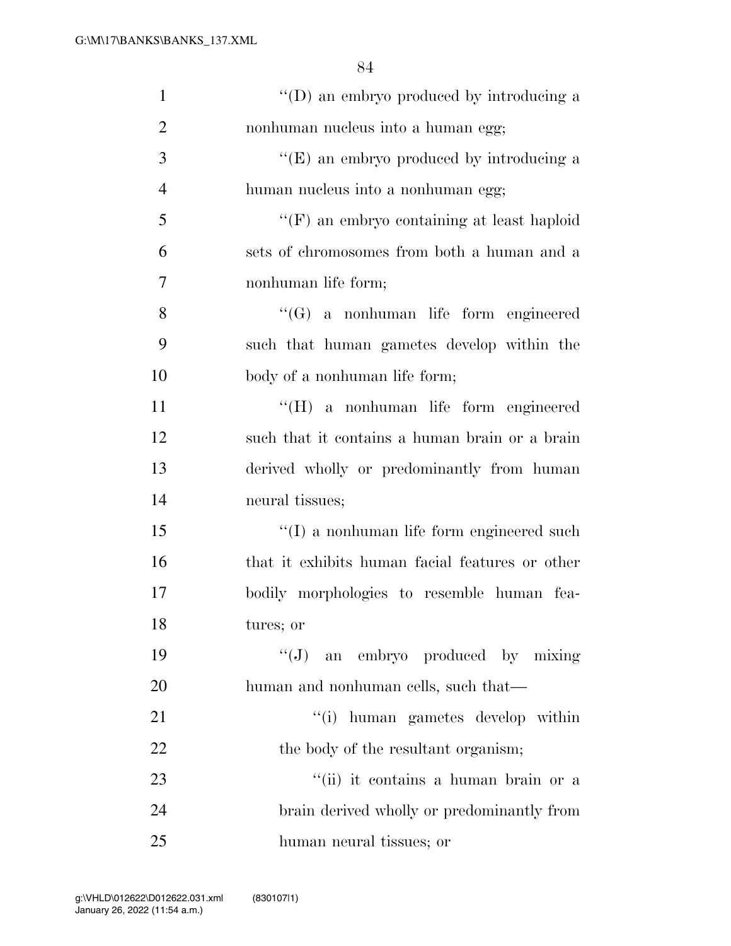| $\mathbf{1}$   | "(D) an embryo produced by introducing a          |
|----------------|---------------------------------------------------|
| $\overline{2}$ | nonhuman nucleus into a human egg;                |
| 3              | " $(E)$ an embryo produced by introducing a       |
| $\overline{4}$ | human nucleus into a nonhuman egg;                |
| 5              | $\lq\lq(F)$ an embryo containing at least haploid |
| 6              | sets of chromosomes from both a human and a       |
| 7              | nonhuman life form;                               |
| 8              | $\lq\lq (G)$ a nonhuman life form engineered      |
| 9              | such that human gametes develop within the        |
| 10             | body of a nonhuman life form;                     |
| 11             | "(H) a nonhuman life form engineered              |
| 12             | such that it contains a human brain or a brain    |
| 13             | derived wholly or predominantly from human        |
| 14             | neural tissues;                                   |
| 15             | $\lq\lq$ a nonhuman life form engineered such     |
| 16             | that it exhibits human facial features or other   |
| 17             | bodily morphologies to resemble human fea-        |
| 18             | tures; or                                         |
| 19             | "(J) an embryo produced by mixing                 |
| 20             | human and nonhuman cells, such that—              |
| 21             | "(i) human gametes develop within                 |
| 22             | the body of the resultant organism;               |
| 23             | "(ii) it contains a human brain or a              |
| 24             | brain derived wholly or predominantly from        |
| 25             | human neural tissues; or                          |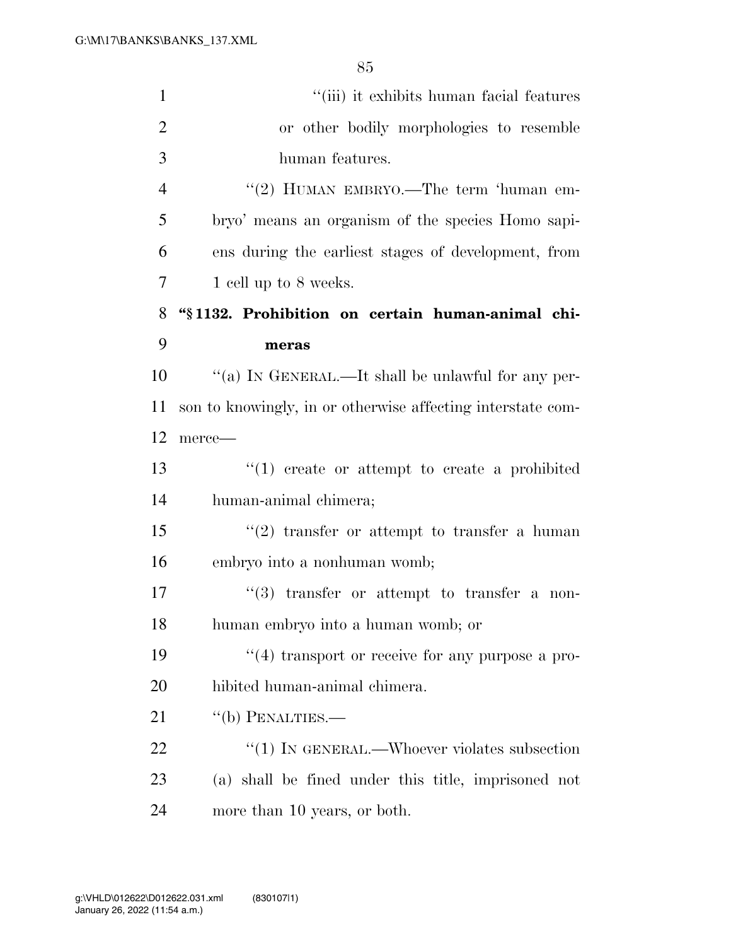| $\mathbf{1}$   | "(iii) it exhibits human facial features                    |
|----------------|-------------------------------------------------------------|
| $\overline{2}$ | or other bodily morphologies to resemble                    |
| 3              | human features.                                             |
| $\overline{4}$ | "(2) HUMAN EMBRYO.—The term 'human em-                      |
| 5              | bryo' means an organism of the species Homo sapi-           |
| 6              | ens during the earliest stages of development, from         |
| 7              | 1 cell up to 8 weeks.                                       |
| 8              | "§1132. Prohibition on certain human-animal chi-            |
| 9              | meras                                                       |
| 10             | "(a) IN GENERAL.—It shall be unlawful for any per-          |
| 11             | son to knowingly, in or otherwise affecting interstate com- |
| 12             | merce-                                                      |
| 13             | $"(1)$ create or attempt to create a prohibited             |
| 14             | human-animal chimera;                                       |
| 15             | $\lq(2)$ transfer or attempt to transfer a human            |
| 16             | embryo into a nonhuman womb;                                |
| 17             | $(3)$ transfer or attempt to transfer a non-                |
| 18             | human embryo into a human womb; or                          |
| 19             | "(4) transport or receive for any purpose a pro-            |
| 20             | hibited human-animal chimera.                               |
| 21             | $\lq\lq(b)$ PENALTIES.—                                     |
| 22             | " $(1)$ In GENERAL.—Whoever violates subsection             |
| 23             | (a) shall be fined under this title, imprisoned not         |
| 24             | more than 10 years, or both.                                |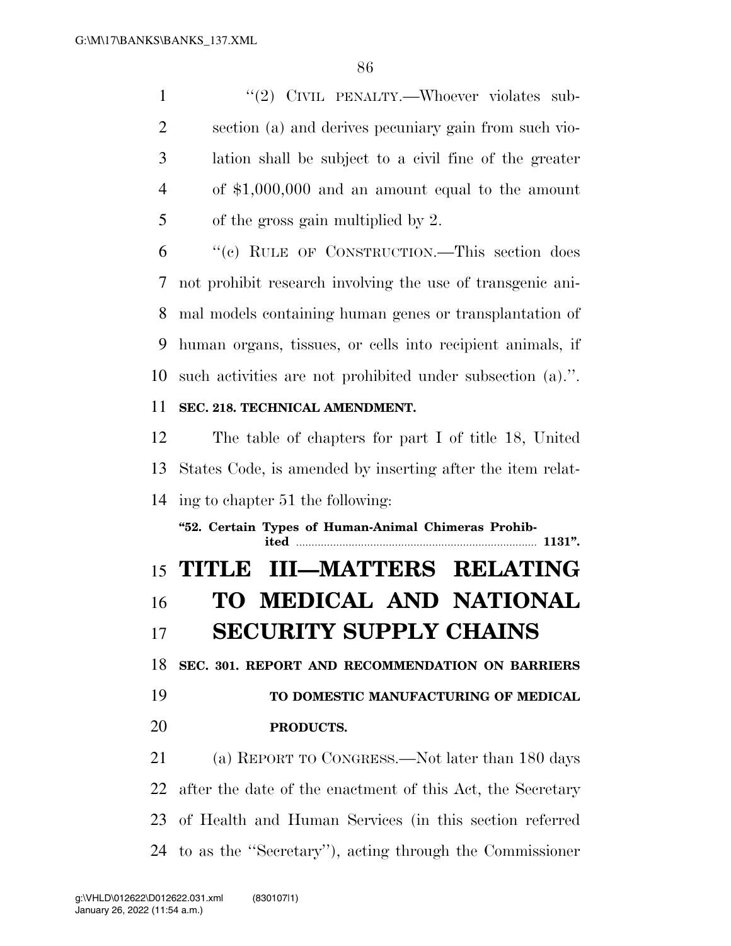1 "(2) CIVIL PENALTY.—Whoever violates sub- section (a) and derives pecuniary gain from such vio- lation shall be subject to a civil fine of the greater of \$1,000,000 and an amount equal to the amount of the gross gain multiplied by 2.

 ''(c) RULE OF CONSTRUCTION.—This section does not prohibit research involving the use of transgenic ani- mal models containing human genes or transplantation of human organs, tissues, or cells into recipient animals, if such activities are not prohibited under subsection (a).''.

#### **SEC. 218. TECHNICAL AMENDMENT.**

 The table of chapters for part I of title 18, United States Code, is amended by inserting after the item relat-ing to chapter 51 the following:

**''52. Certain Types of Human-Animal Chimeras Prohibited** .............................................................................. **1131''. TITLE III—MATTERS RELATING TO MEDICAL AND NATIONAL SECURITY SUPPLY CHAINS SEC. 301. REPORT AND RECOMMENDATION ON BARRIERS TO DOMESTIC MANUFACTURING OF MEDICAL PRODUCTS.**  (a) REPORT TO CONGRESS.—Not later than 180 days

 after the date of the enactment of this Act, the Secretary of Health and Human Services (in this section referred to as the ''Secretary''), acting through the Commissioner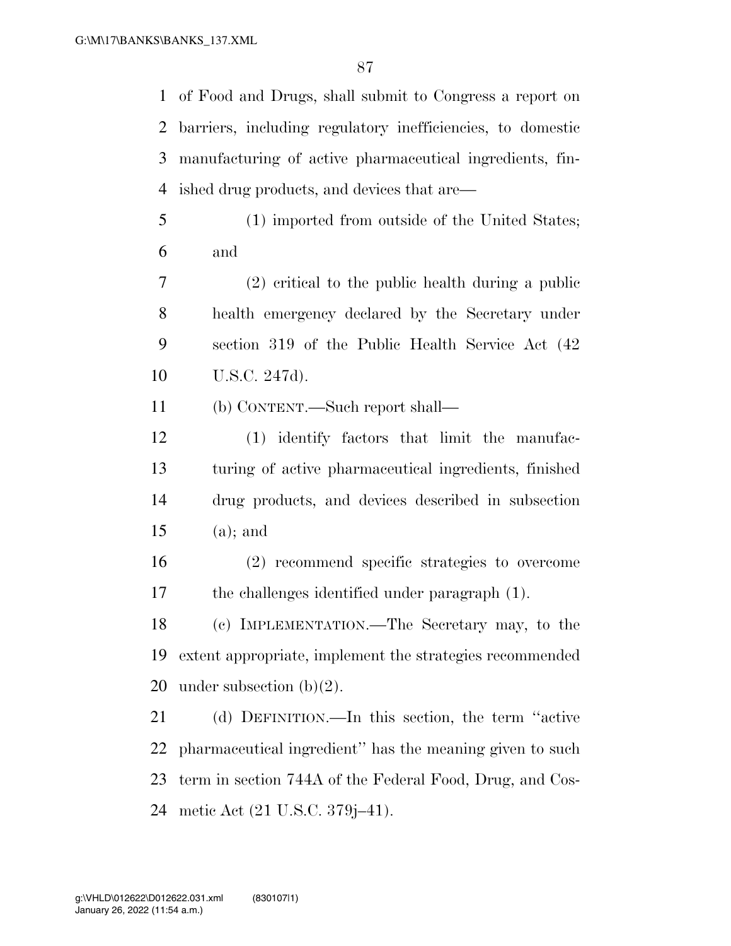of Food and Drugs, shall submit to Congress a report on barriers, including regulatory inefficiencies, to domestic manufacturing of active pharmaceutical ingredients, fin-ished drug products, and devices that are—

- (1) imported from outside of the United States; and
- (2) critical to the public health during a public health emergency declared by the Secretary under section 319 of the Public Health Service Act (42 U.S.C. 247d).
- (b) CONTENT.—Such report shall—
- (1) identify factors that limit the manufac- turing of active pharmaceutical ingredients, finished drug products, and devices described in subsection (a); and
- (2) recommend specific strategies to overcome the challenges identified under paragraph (1).
- (c) IMPLEMENTATION.—The Secretary may, to the extent appropriate, implement the strategies recommended 20 under subsection  $(b)(2)$ .

 (d) DEFINITION.—In this section, the term ''active pharmaceutical ingredient'' has the meaning given to such term in section 744A of the Federal Food, Drug, and Cos-metic Act (21 U.S.C. 379j–41).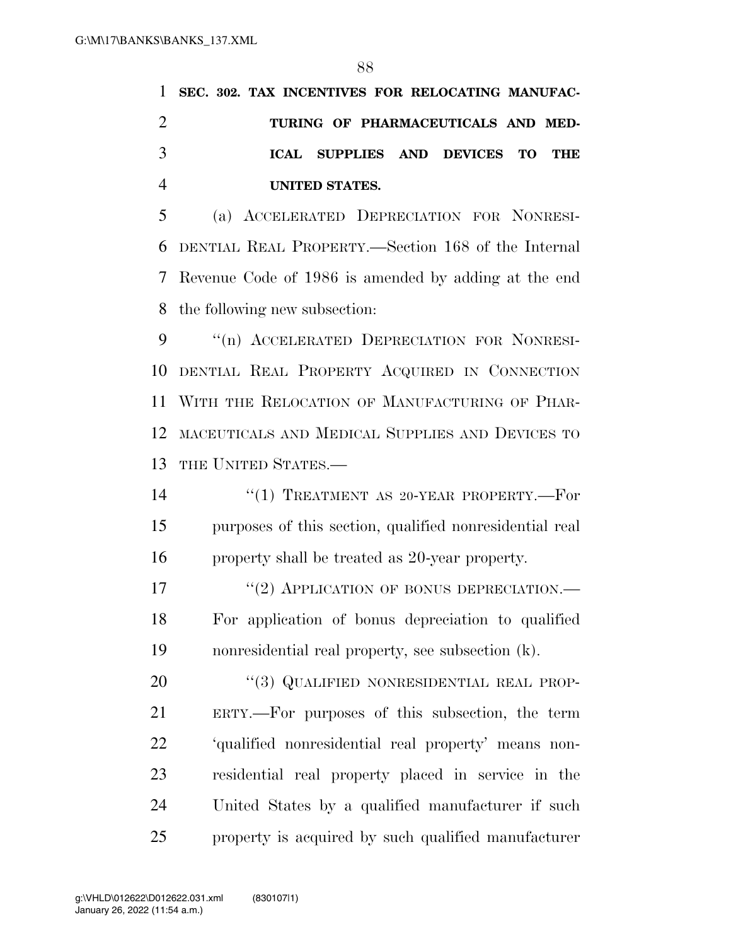|               |  | 1 SEC. 302. TAX INCENTIVES FOR RELOCATING MANUFAC- |  |  |
|---------------|--|----------------------------------------------------|--|--|
|               |  | TURING OF PHARMACEUTICALS AND MED-                 |  |  |
| $\mathcal{R}$ |  | ICAL SUPPLIES AND DEVICES TO THE                   |  |  |
|               |  | UNITED STATES.                                     |  |  |

 (a) ACCELERATED DEPRECIATION FOR NONRESI- DENTIAL REAL PROPERTY.—Section 168 of the Internal Revenue Code of 1986 is amended by adding at the end the following new subsection:

 ''(n) ACCELERATED DEPRECIATION FOR NONRESI- DENTIAL REAL PROPERTY ACQUIRED IN CONNECTION WITH THE RELOCATION OF MANUFACTURING OF PHAR- MACEUTICALS AND MEDICAL SUPPLIES AND DEVICES TO THE UNITED STATES.—

14 ''(1) TREATMENT AS 20-YEAR PROPERTY.—For purposes of this section, qualified nonresidential real property shall be treated as 20-year property.

17 "(2) APPLICATION OF BONUS DEPRECIATION.— For application of bonus depreciation to qualified nonresidential real property, see subsection (k).

20 "(3) QUALIFIED NONRESIDENTIAL REAL PROP- ERTY.—For purposes of this subsection, the term 'qualified nonresidential real property' means non- residential real property placed in service in the United States by a qualified manufacturer if such property is acquired by such qualified manufacturer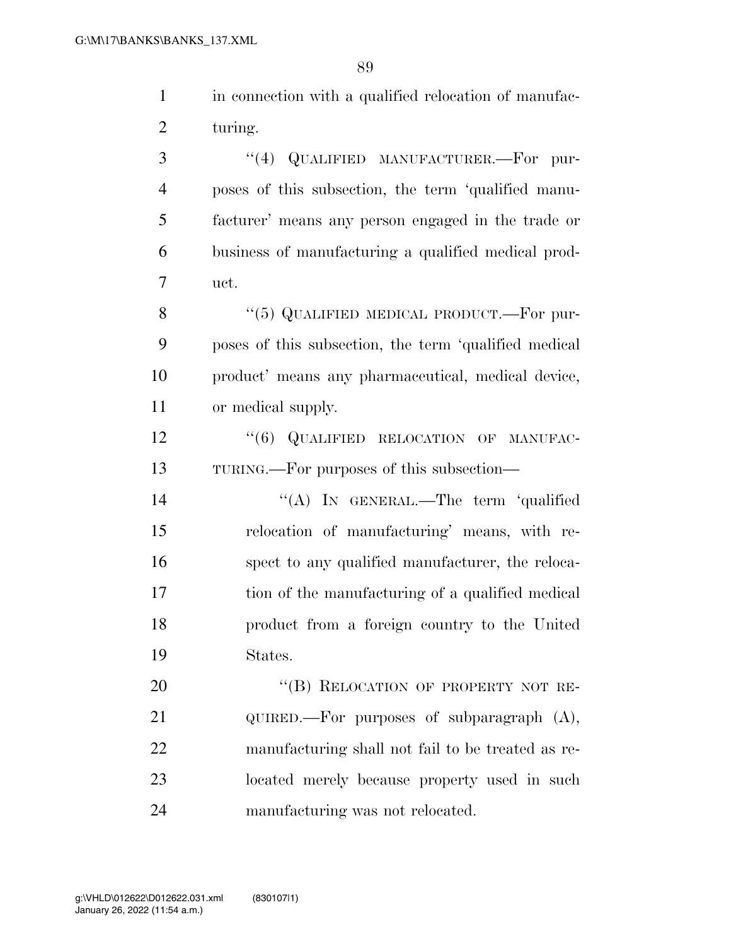$\overline{89}$ 

|                | OIJ                                                   |
|----------------|-------------------------------------------------------|
| $\mathbf{1}$   | in connection with a qualified relocation of manufac- |
| $\overline{2}$ | turing.                                               |
| 3              | QUALIFIED MANUFACTURER.-For pur-<br>(4)               |
| $\overline{4}$ | poses of this subsection, the term 'qualified manu-   |
| 5              | facturer' means any person engaged in the trade or    |
| 6              | business of manufacturing a qualified medical prod-   |
| 7              | uct.                                                  |
| 8              | "(5) QUALIFIED MEDICAL PRODUCT.—For pur-              |
| 9              | poses of this subsection, the term 'qualified medical |
| 10             | product' means any pharmaceutical, medical device,    |
| 11             | or medical supply.                                    |
| 12             | "(6) QUALIFIED RELOCATION OF MANUFAC-                 |
| 13             | TURING.—For purposes of this subsection—              |
| 14             | "(A) IN GENERAL.—The term 'qualified                  |
| 15             | relocation of manufacturing' means, with re-          |
| 16             | spect to any qualified manufacturer, the reloca-      |
| 17             | tion of the manufacturing of a qualified medical      |
| 18             | product from a foreign country to the United          |
| 19             | States.                                               |
| 20             | "(B) RELOCATION OF PROPERTY NOT RE-                   |
| 21             | $QUIRED.$ For purposes of subparagraph $(A)$ ,        |
| 22             | manufacturing shall not fail to be treated as re-     |
| 23             | located merely because property used in such          |

manufacturing was not relocated.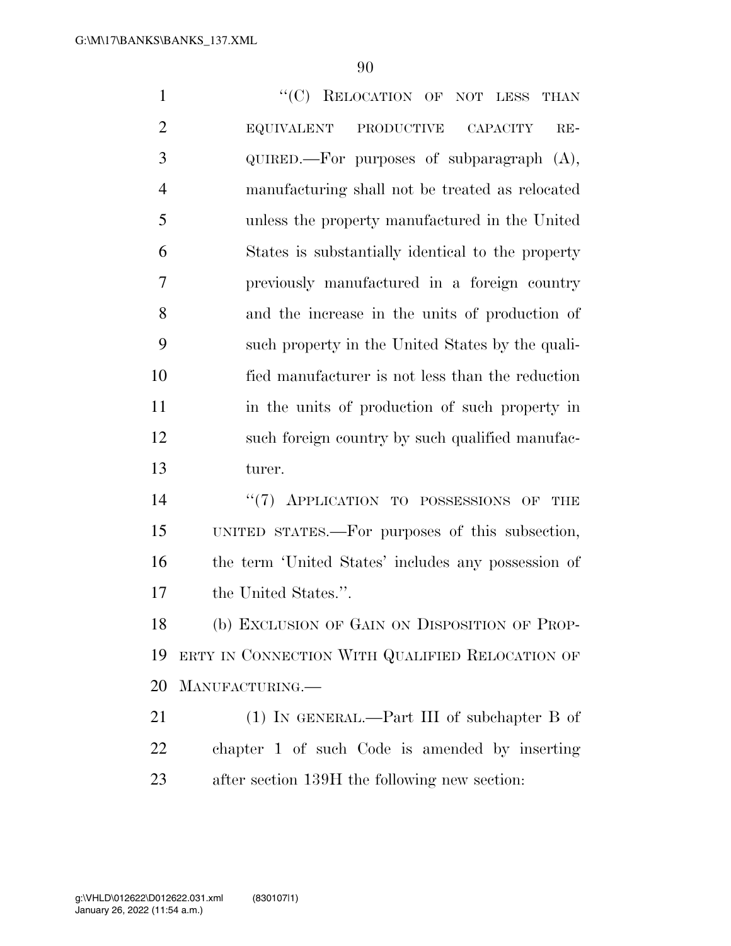1 "'(C) RELOCATION OF NOT LESS THAN EQUIVALENT PRODUCTIVE CAPACITY RE- QUIRED.—For purposes of subparagraph (A), manufacturing shall not be treated as relocated unless the property manufactured in the United States is substantially identical to the property previously manufactured in a foreign country and the increase in the units of production of such property in the United States by the quali- fied manufacturer is not less than the reduction 11 in the units of production of such property in such foreign country by such qualified manufac- turer.  $(7)$  APPLICATION TO POSSESSIONS OF THE UNITED STATES.—For purposes of this subsection, the term 'United States' includes any possession of the United States.''. (b) EXCLUSION OF GAIN ON DISPOSITION OF PROP- ERTY IN CONNECTION WITH QUALIFIED RELOCATION OF MANUFACTURING.— 21 (1) IN GENERAL.—Part III of subchapter B of

 chapter 1 of such Code is amended by inserting after section 139H the following new section: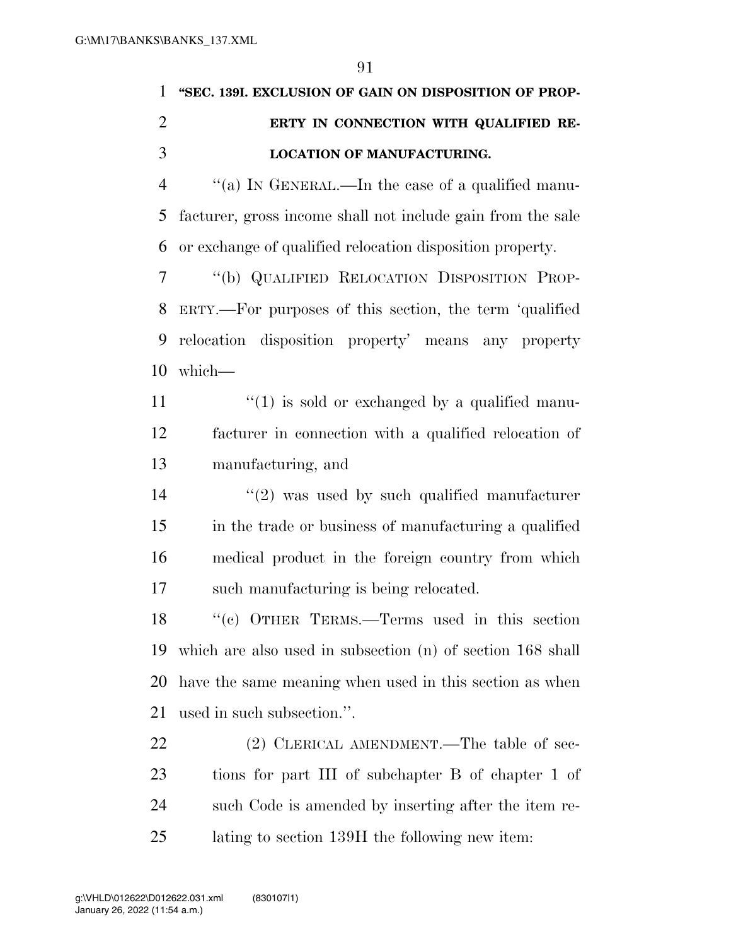# **''SEC. 139I. EXCLUSION OF GAIN ON DISPOSITION OF PROP- ERTY IN CONNECTION WITH QUALIFIED RE-LOCATION OF MANUFACTURING.**

 ''(a) IN GENERAL.—In the case of a qualified manu- facturer, gross income shall not include gain from the sale or exchange of qualified relocation disposition property.

 ''(b) QUALIFIED RELOCATION DISPOSITION PROP- ERTY.—For purposes of this section, the term 'qualified relocation disposition property' means any property which—

11  $\frac{1}{2}$   $\frac{1}{2}$  is sold or exchanged by a qualified manu- facturer in connection with a qualified relocation of manufacturing, and

 $(2)$  was used by such qualified manufacturer in the trade or business of manufacturing a qualified medical product in the foreign country from which such manufacturing is being relocated.

 ''(c) OTHER TERMS.—Terms used in this section which are also used in subsection (n) of section 168 shall have the same meaning when used in this section as when used in such subsection.''.

22 (2) CLERICAL AMENDMENT.—The table of sec- tions for part III of subchapter B of chapter 1 of such Code is amended by inserting after the item re-lating to section 139H the following new item: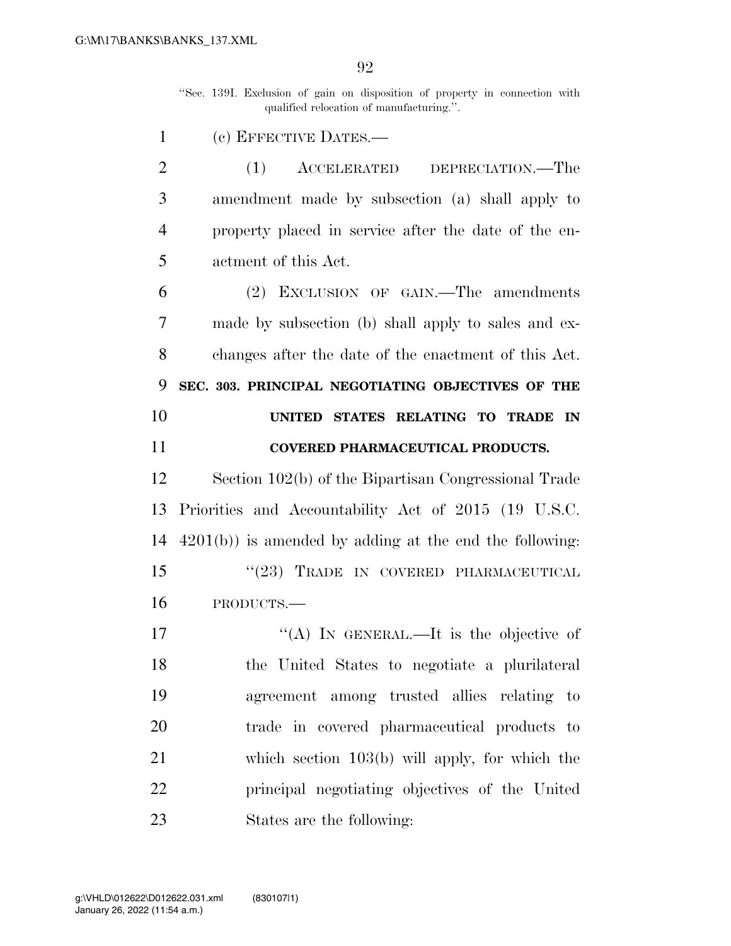''Sec. 139I. Exclusion of gain on disposition of property in connection with qualified relocation of manufacturing.''.

(c) EFFECTIVE DATES.—

 (1) ACCELERATED DEPRECIATION.—The amendment made by subsection (a) shall apply to property placed in service after the date of the en-actment of this Act.

 (2) EXCLUSION OF GAIN.—The amendments made by subsection (b) shall apply to sales and ex- changes after the date of the enactment of this Act. **SEC. 303. PRINCIPAL NEGOTIATING OBJECTIVES OF THE UNITED STATES RELATING TO TRADE IN COVERED PHARMACEUTICAL PRODUCTS.** 

 Section 102(b) of the Bipartisan Congressional Trade Priorities and Accountability Act of 2015 (19 U.S.C. 4201(b)) is amended by adding at the end the following: 15 "(23) TRADE IN COVERED PHARMACEUTICAL PRODUCTS.—

17 "(A) IN GENERAL.—It is the objective of the United States to negotiate a plurilateral agreement among trusted allies relating to trade in covered pharmaceutical products to which section 103(b) will apply, for which the principal negotiating objectives of the United States are the following: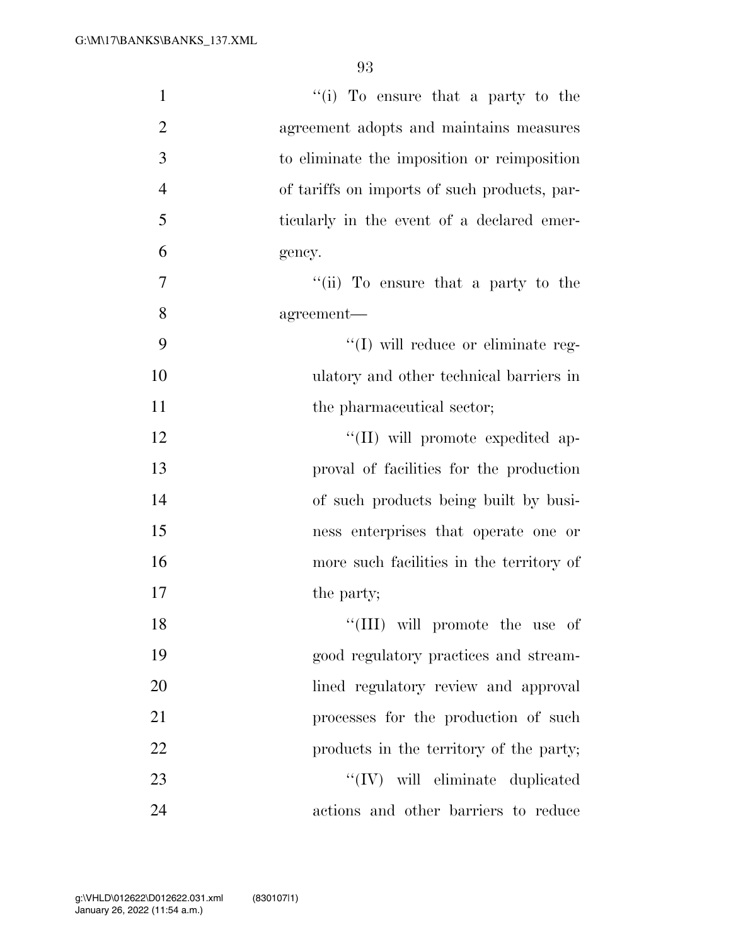| $\mathbf{1}$   | "(i) To ensure that a party to the           |
|----------------|----------------------------------------------|
| $\overline{2}$ | agreement adopts and maintains measures      |
| 3              | to eliminate the imposition or reimposition  |
| $\overline{4}$ | of tariffs on imports of such products, par- |
| 5              | ticularly in the event of a declared emer-   |
| 6              | gency.                                       |
| 7              | "(ii) To ensure that a party to the          |
| 8              | agreement-                                   |
| 9              | $\lq\lq$ (I) will reduce or eliminate reg-   |
| 10             | ulatory and other technical barriers in      |
| 11             | the pharmaceutical sector;                   |
| 12             | "(II) will promote expedited ap-             |
| 13             | proval of facilities for the production      |
| 14             | of such products being built by busi-        |
| 15             | ness enterprises that operate one or         |
| 16             | more such facilities in the territory of     |
| 17             | the party;                                   |
| 18             | "(III) will promote the use of               |
| 19             | good regulatory practices and stream-        |
| 20             | lined regulatory review and approval         |
| 21             | processes for the production of such         |
| 22             | products in the territory of the party;      |
| 23             | $``(IV)$ will eliminate duplicated           |
| 24             | actions and other barriers to reduce         |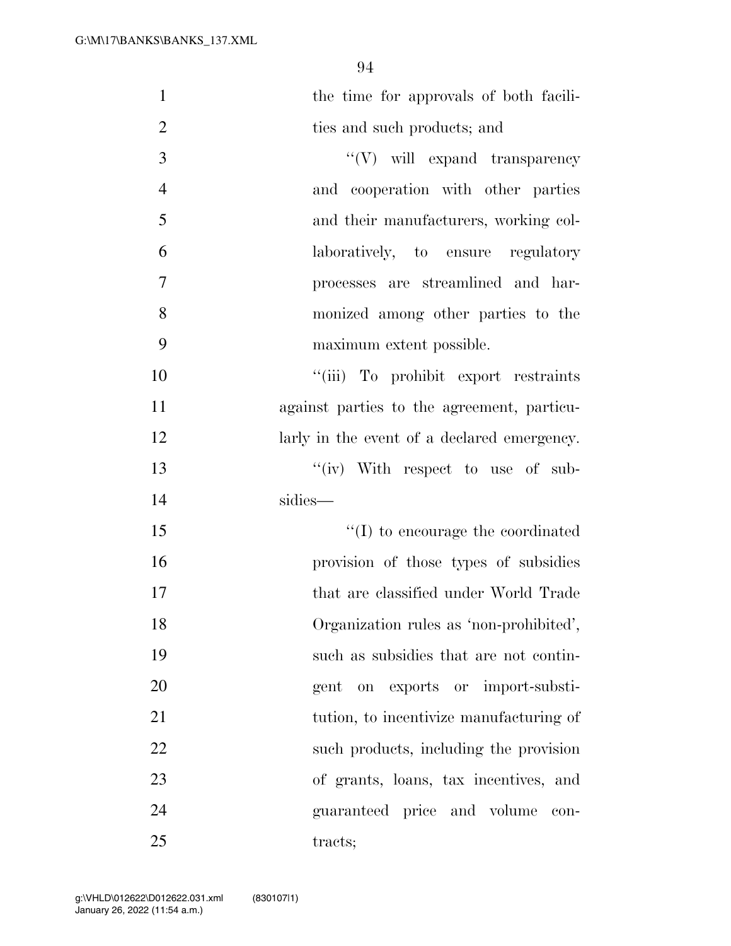| $\mathbf{1}$   | the time for approvals of both facili-      |
|----------------|---------------------------------------------|
| $\overline{2}$ | ties and such products; and                 |
| 3              | $``(V)$ will expand transparency            |
| $\overline{4}$ | and cooperation with other parties          |
| 5              | and their manufacturers, working col-       |
| 6              | laboratively, to ensure regulatory          |
| $\overline{7}$ | processes are streamlined and har-          |
| 8              | monized among other parties to the          |
| 9              | maximum extent possible.                    |
| 10             | "(iii) To prohibit export restraints        |
| 11             | against parties to the agreement, particu-  |
| 12             | larly in the event of a declared emergency. |
| 13             | "(iv) With respect to use of sub-           |
| 14             | sidies-                                     |
| 15             | $\lq\lq$ to encourage the coordinated       |
| 16             | provision of those types of subsidies       |
| 17             | that are classified under World Trade       |
| 18             | Organization rules as 'non-prohibited',     |
| 19             | such as subsidies that are not contin-      |
| 20             | gent on exports or import-substi-           |
| 21             | tution, to incentivize manufacturing of     |
| 22             | such products, including the provision      |
| 23             | of grants, loans, tax incentives, and       |
| 24             | guaranteed price and volume<br>con-         |
| 25             | tracts;                                     |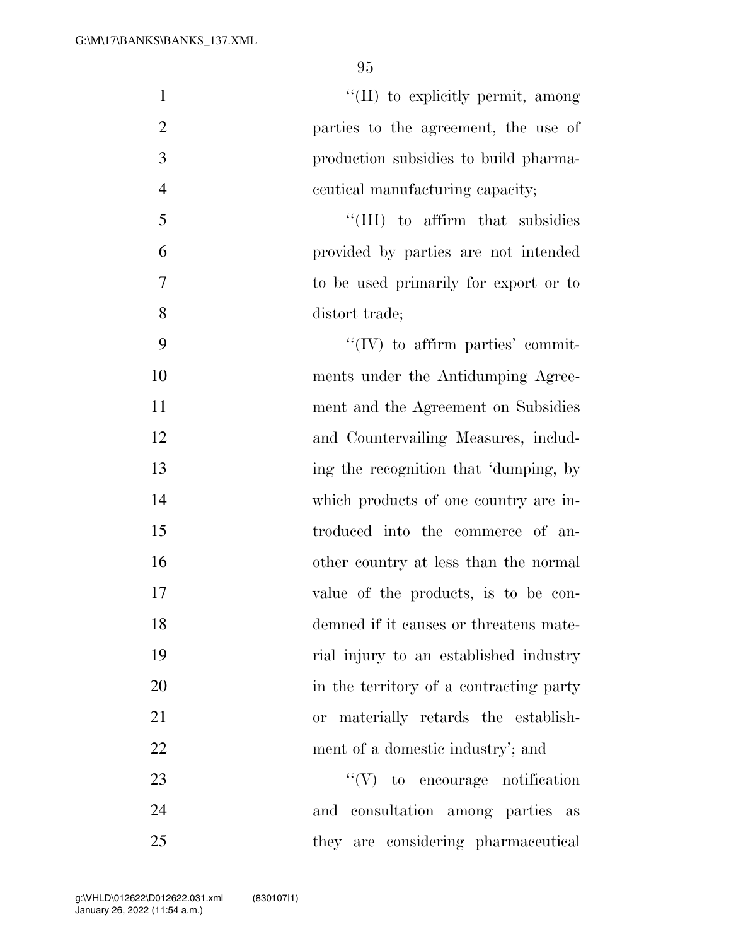$\text{``(II)}$  to explicitly permit, among parties to the agreement, the use of production subsidies to build pharma- ceutical manufacturing capacity; 5 ''(III) to affirm that subsidies provided by parties are not intended to be used primarily for export or to distort trade;  $"(\mathrm{IV})$  to affirm parties' commit- ments under the Antidumping Agree-11 ment and the Agreement on Subsidies and Countervailing Measures, includ-13 ing the recognition that 'dumping, by which products of one country are in- troduced into the commerce of an- other country at less than the normal value of the products, is to be con- demned if it causes or threatens mate- rial injury to an established industry 20 in the territory of a contracting party or materially retards the establish-22 ment of a domestic industry'; and 23 ''(V) to encourage notification and consultation among parties as they are considering pharmaceutical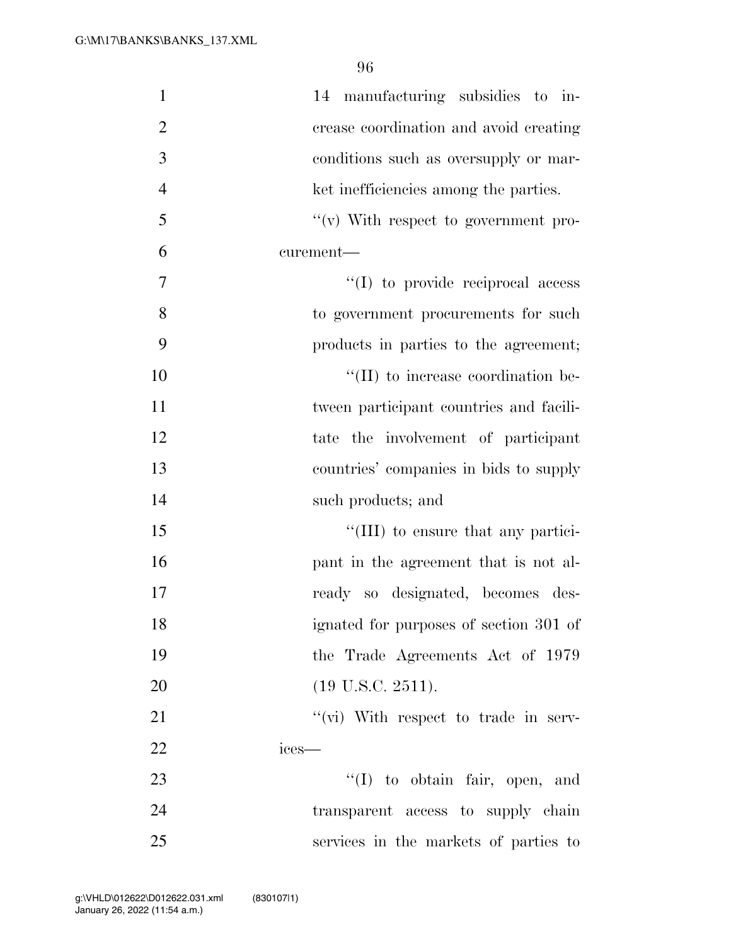| $\mathbf{1}$   | 14 manufacturing subsidies to in-          |
|----------------|--------------------------------------------|
| $\overline{2}$ | crease coordination and avoid creating     |
| 3              | conditions such as oversupply or mar-      |
| $\overline{4}$ | ket inefficiencies among the parties.      |
| 5              | $f'(v)$ With respect to government pro-    |
| 6              | curement-                                  |
| 7              | $\lq\lq$ (I) to provide reciprocal access  |
| 8              | to government procurements for such        |
| 9              | products in parties to the agreement;      |
| 10             | $\lq\lq$ (II) to increase coordination be- |
| 11             | tween participant countries and facili-    |
| 12             | tate the involvement of participant        |
| 13             | countries' companies in bids to supply     |
| 14             | such products; and                         |
| 15             | "(III) to ensure that any partici-         |
| 16             | pant in the agreement that is not al-      |
| 17             | ready so designated, becomes des-          |
| 18             | ignated for purposes of section 301 of     |
| 19             | the Trade Agreements Act of 1979           |
| 20             | $(19 \text{ U.S.C. } 2511).$               |
| 21             | "(vi) With respect to trade in serv-       |
| 22             | ices—                                      |
| 23             | $\lq\lq$ to obtain fair, open, and         |
| 24             | transparent access to supply chain         |
| 25             | services in the markets of parties to      |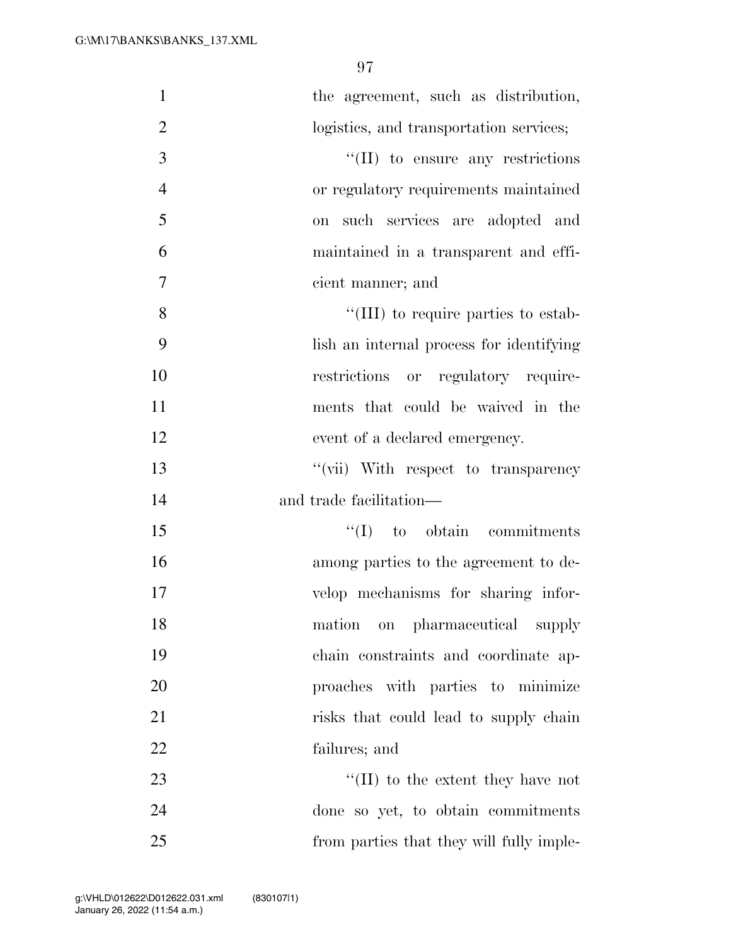| $\mathbf{1}$   | the agreement, such as distribution,      |
|----------------|-------------------------------------------|
| $\overline{2}$ | logistics, and transportation services;   |
| 3              | $\lq\lq$ (II) to ensure any restrictions  |
| $\overline{4}$ | or regulatory requirements maintained     |
| 5              | such services are adopted and<br>on       |
| 6              | maintained in a transparent and effi-     |
| $\tau$         | cient manner; and                         |
| 8              | "(III) to require parties to estab-       |
| 9              | lish an internal process for identifying  |
| 10             | restrictions or regulatory require-       |
| 11             | ments that could be waived in the         |
| 12             | event of a declared emergency.            |
| 13             | "(vii) With respect to transparency       |
| 14             | and trade facilitation—                   |
| 15             | $\lq\lq$ (I) to obtain commitments        |
| 16             | among parties to the agreement to de-     |
| 17             | velop mechanisms for sharing infor-       |
| 18             | on pharmaceutical supply<br>mation        |
| 19             | chain constraints and coordinate ap-      |
| 20             | proaches with parties to minimize         |
| 21             | risks that could lead to supply chain     |
| 22             | failures; and                             |
| 23             | $\lq\lq$ (II) to the extent they have not |
| 24             | done so yet, to obtain commitments        |
| 25             | from parties that they will fully imple-  |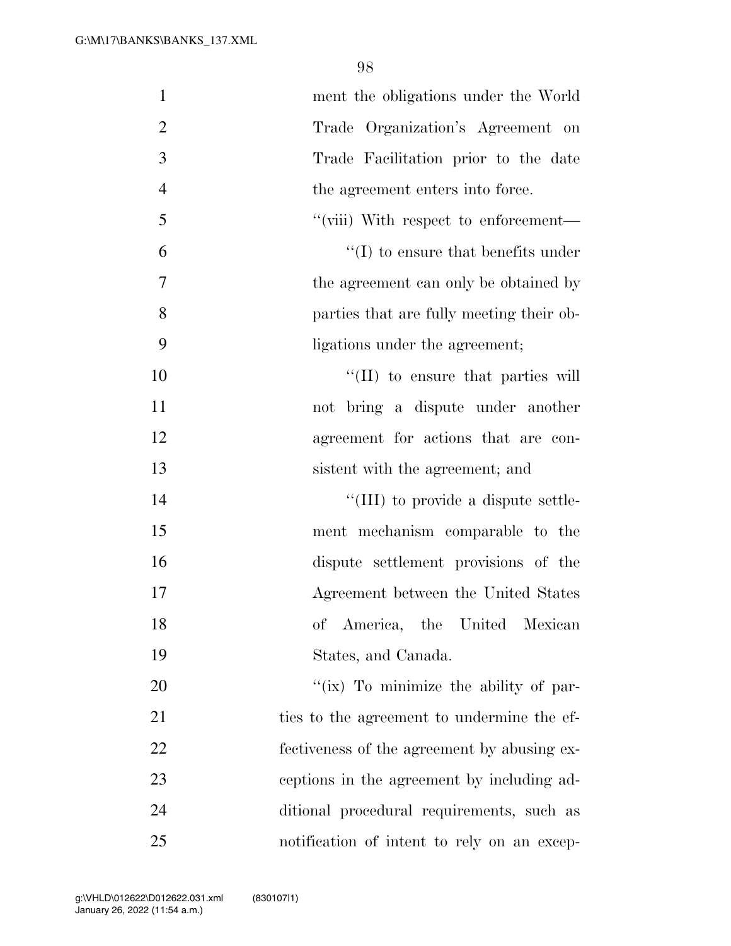| $\mathbf{1}$   | ment the obligations under the World        |
|----------------|---------------------------------------------|
| $\overline{2}$ | Trade Organization's Agreement on           |
| 3              | Trade Facilitation prior to the date        |
| $\overline{4}$ | the agreement enters into force.            |
| 5              | "(viii) With respect to enforcement—        |
| 6              | $\lq\lq$ to ensure that benefits under      |
| 7              | the agreement can only be obtained by       |
| 8              | parties that are fully meeting their ob-    |
| 9              | ligations under the agreement;              |
| 10             | $\lq\lq$ (II) to ensure that parties will   |
| 11             | not bring a dispute under another           |
| 12             | agreement for actions that are con-         |
| 13             | sistent with the agreement; and             |
| 14             | "(III) to provide a dispute settle-         |
| 15             | ment mechanism comparable to the            |
| 16             | dispute settlement provisions of the        |
| 17             | Agreement between the United States         |
| 18             | of America, the United<br>Mexican           |
| 19             | States, and Canada.                         |
| 20             | "(ix) To minimize the ability of par-       |
| 21             | ties to the agreement to undermine the ef-  |
| 22             | fectiveness of the agreement by abusing ex- |
| 23             | ceptions in the agreement by including ad-  |
| 24             | ditional procedural requirements, such as   |
| 25             | notification of intent to rely on an excep- |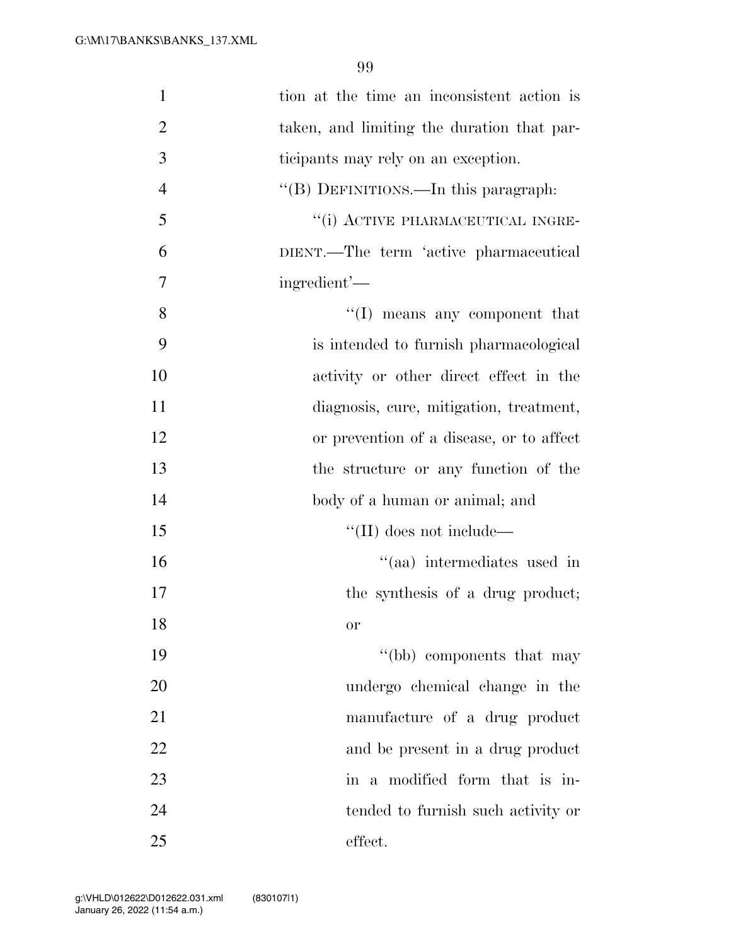| $\mathbf{1}$   | tion at the time an inconsistent action is |
|----------------|--------------------------------------------|
| $\overline{2}$ | taken, and limiting the duration that par- |
| 3              | ticipants may rely on an exception.        |
| $\overline{4}$ | "(B) DEFINITIONS.—In this paragraph:       |
| 5              | "(i) ACTIVE PHARMACEUTICAL INGRE-          |
| 6              | DIENT.—The term 'active pharmaceutical     |
| 7              | ingredient'—                               |
| 8              | "(I) means any component that              |
| 9              | is intended to furnish pharmacological     |
| 10             | activity or other direct effect in the     |
| 11             | diagnosis, cure, mitigation, treatment,    |
| 12             | or prevention of a disease, or to affect   |
| 13             | the structure or any function of the       |
| 14             | body of a human or animal; and             |
| 15             | $\lq\lq$ (II) does not include—            |
| 16             | "(aa) intermediates used in                |
| 17             | the synthesis of a drug product;           |
| 18             | <b>or</b>                                  |
| 19             | "(bb) components that may                  |
| 20             | undergo chemical change in the             |
| 21             | manufacture of a drug product              |
| 22             | and be present in a drug product           |
| 23             | in a modified form that is in-             |
| 24             | tended to furnish such activity or         |
| 25             | effect.                                    |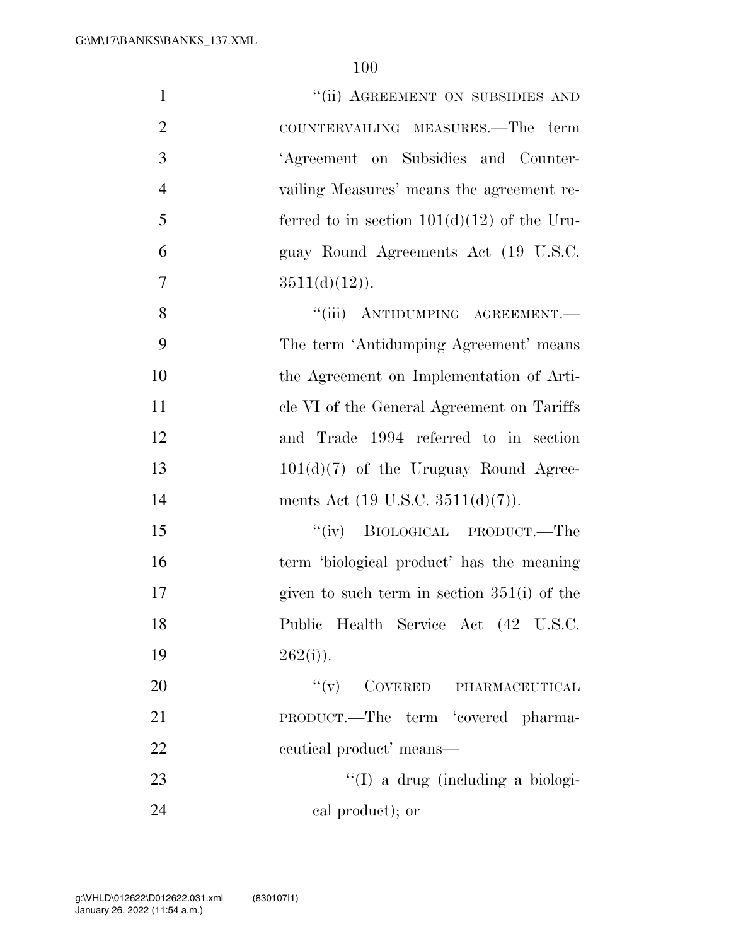| $\mathbf{1}$   | "(ii) AGREEMENT ON SUBSIDIES AND              |
|----------------|-----------------------------------------------|
| $\overline{2}$ | COUNTERVAILING MEASURES.—The term             |
| 3              | 'Agreement on Subsidies and Counter-          |
| $\overline{4}$ | vailing Measures' means the agreement re-     |
| 5              | ferred to in section $101(d)(12)$ of the Uru- |
| 6              | guay Round Agreements Act (19 U.S.C.          |
| 7              | $3511(d)(12)$ .                               |
| 8              | "(iii) ANTIDUMPING AGREEMENT.-                |
| 9              | The term 'Antidumping Agreement' means        |
| 10             | the Agreement on Implementation of Arti-      |
| 11             | cle VI of the General Agreement on Tariffs    |
| 12             | and Trade 1994 referred to in section         |
| 13             | $101(d)(7)$ of the Uruguay Round Agree-       |
| 14             | ments Act $(19 \text{ U.S.C. } 3511(d)(7))$ . |
| 15             | "(iv) BIOLOGICAL PRODUCT.—The                 |
| 16             | term 'biological product' has the meaning     |
| 17             | given to such term in section $351(i)$ of the |
| 18             | Public Health Service Act (42 U.S.C.          |
| 19             | $262(i)$ ).                                   |
| 20             | $``(v)$ COVERED PHARMACEUTICAL                |
| 21             | PRODUCT.—The term 'covered pharma-            |
| 22             | eeutical product' means—                      |
| 23             | "(I) a drug (including a biologi-             |
| 24             | cal product); or                              |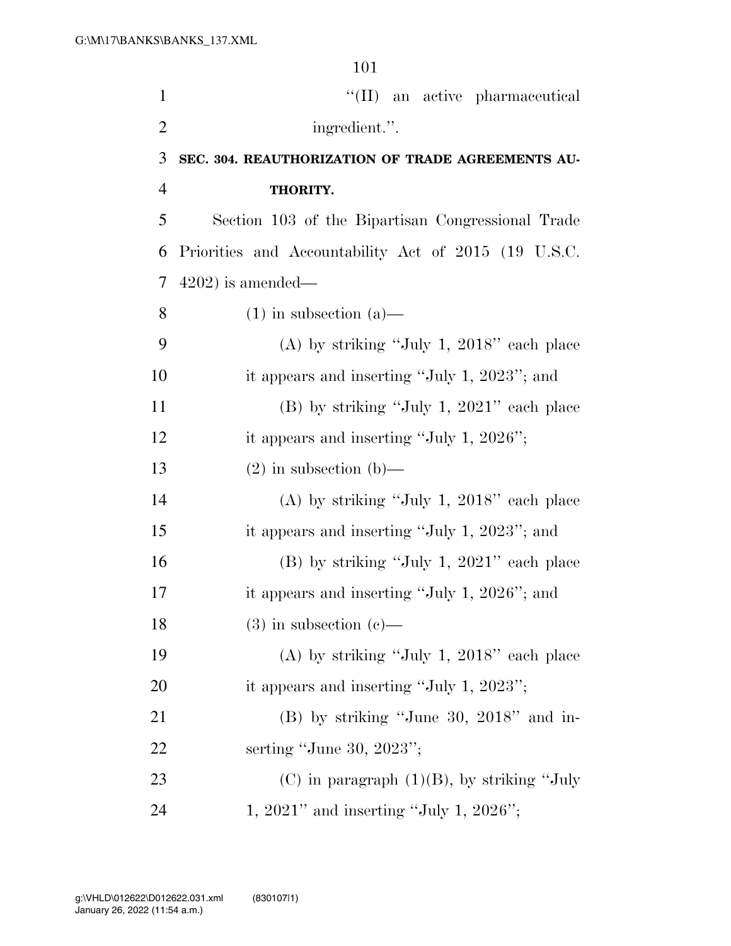101  $\text{``(II)}$  an active pharmaceutical 2 ingredient.". **SEC. 304. REAUTHORIZATION OF TRADE AGREEMENTS AU- THORITY.**  Section 103 of the Bipartisan Congressional Trade Priorities and Accountability Act of 2015 (19 U.S.C. 4202) is amended— 8 (1) in subsection (a)— (A) by striking ''July 1, 2018'' each place it appears and inserting ''July 1, 2023''; and (B) by striking ''July 1, 2021'' each place 12 it appears and inserting "July 1, 2026"; 13 (2) in subsection (b)— (A) by striking ''July 1, 2018'' each place it appears and inserting ''July 1, 2023''; and (B) by striking ''July 1, 2021'' each place 17 it appears and inserting "July 1, 2026"; and 18 (3) in subsection  $(c)$ — (A) by striking ''July 1, 2018'' each place 20 it appears and inserting "July 1, 2023"; (B) by striking ''June 30, 2018'' and in- serting ''June 30, 2023''; 23 (C) in paragraph  $(1)(B)$ , by striking "July

24 1, 2021'' and inserting "July 1, 2026";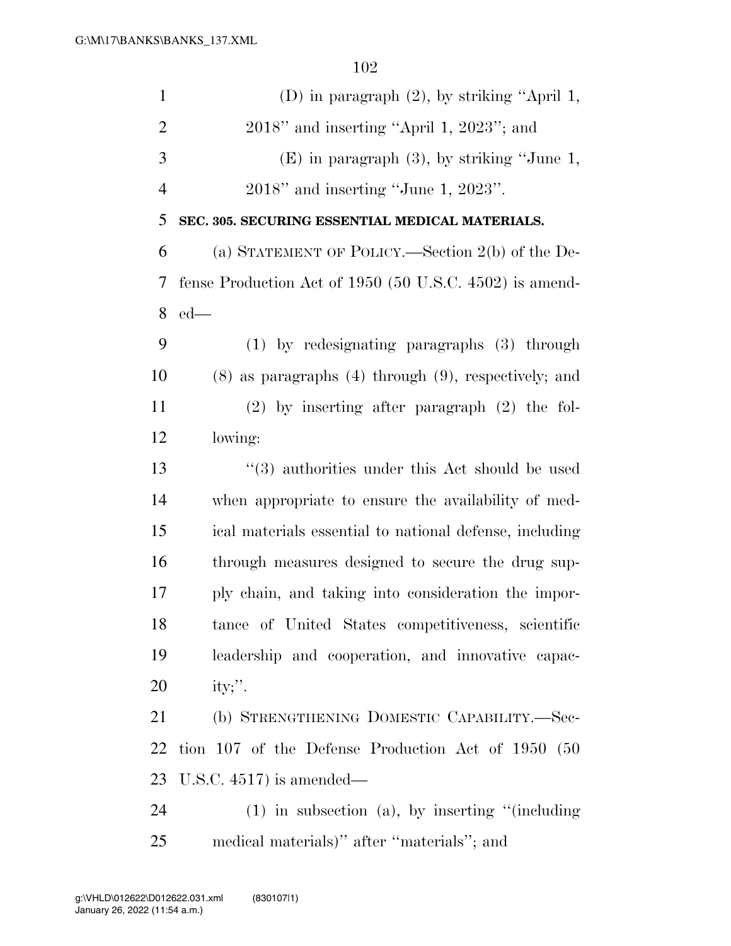| $\mathbf{1}$   | (D) in paragraph $(2)$ , by striking "April 1,               |
|----------------|--------------------------------------------------------------|
| $\overline{2}$ | $2018"$ and inserting "April 1, $2023"$ ; and                |
| 3              | $(E)$ in paragraph $(3)$ , by striking "June 1,              |
| $\overline{4}$ | $2018$ " and inserting "June 1, $2023$ ".                    |
| 5              | SEC. 305. SECURING ESSENTIAL MEDICAL MATERIALS.              |
| 6              | (a) STATEMENT OF POLICY.—Section 2(b) of the De-             |
| 7              | fense Production Act of $1950$ (50 U.S.C. $4502$ ) is amend- |
| 8              | $ed$ —                                                       |
| 9              | $(1)$ by redesignating paragraphs $(3)$ through              |
| 10             | $(8)$ as paragraphs $(4)$ through $(9)$ , respectively; and  |
| 11             | $(2)$ by inserting after paragraph $(2)$ the fol-            |
| 12             | lowing:                                                      |
| 13             | "(3) authorities under this Act should be used               |
| 14             | when appropriate to ensure the availability of med-          |
| 15             | ical materials essential to national defense, including      |
| 16             | through measures designed to secure the drug sup-            |
| 17             | ply chain, and taking into consideration the impor-          |
| 18             | tance of United States competitiveness, scientific           |
| 19             | leadership and cooperation, and innovative capac-            |
| 20             | ity;".                                                       |
| 21             | (b) STRENGTHENING DOMESTIC CAPABILITY.—Sec-                  |
| 22             | tion 107 of the Defense Production Act of 1950 (50           |
| 23             | U.S.C. $4517$ ) is amended—                                  |
| 24             | $(1)$ in subsection $(a)$ , by inserting "(including         |
| 25             | medical materials)" after "materials"; and                   |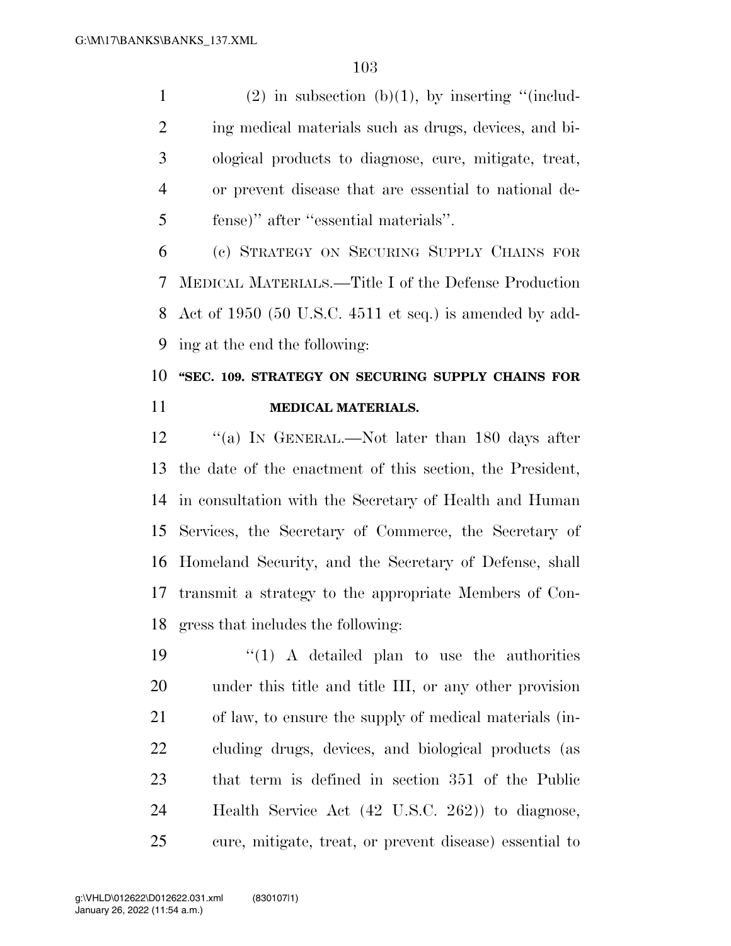1 (2) in subsection (b)(1), by inserting "(includ- ing medical materials such as drugs, devices, and bi- ological products to diagnose, cure, mitigate, treat, or prevent disease that are essential to national de-fense)'' after ''essential materials''.

 (c) STRATEGY ON SECURING SUPPLY CHAINS FOR MEDICAL MATERIALS.—Title I of the Defense Production Act of 1950 (50 U.S.C. 4511 et seq.) is amended by add-ing at the end the following:

# **''SEC. 109. STRATEGY ON SECURING SUPPLY CHAINS FOR MEDICAL MATERIALS.**

12 "(a) In GENERAL.—Not later than 180 days after the date of the enactment of this section, the President, in consultation with the Secretary of Health and Human Services, the Secretary of Commerce, the Secretary of Homeland Security, and the Secretary of Defense, shall transmit a strategy to the appropriate Members of Con-gress that includes the following:

 $\frac{1}{2}$   $(1)$  A detailed plan to use the authorities under this title and title III, or any other provision of law, to ensure the supply of medical materials (in- cluding drugs, devices, and biological products (as that term is defined in section 351 of the Public Health Service Act (42 U.S.C. 262)) to diagnose, cure, mitigate, treat, or prevent disease) essential to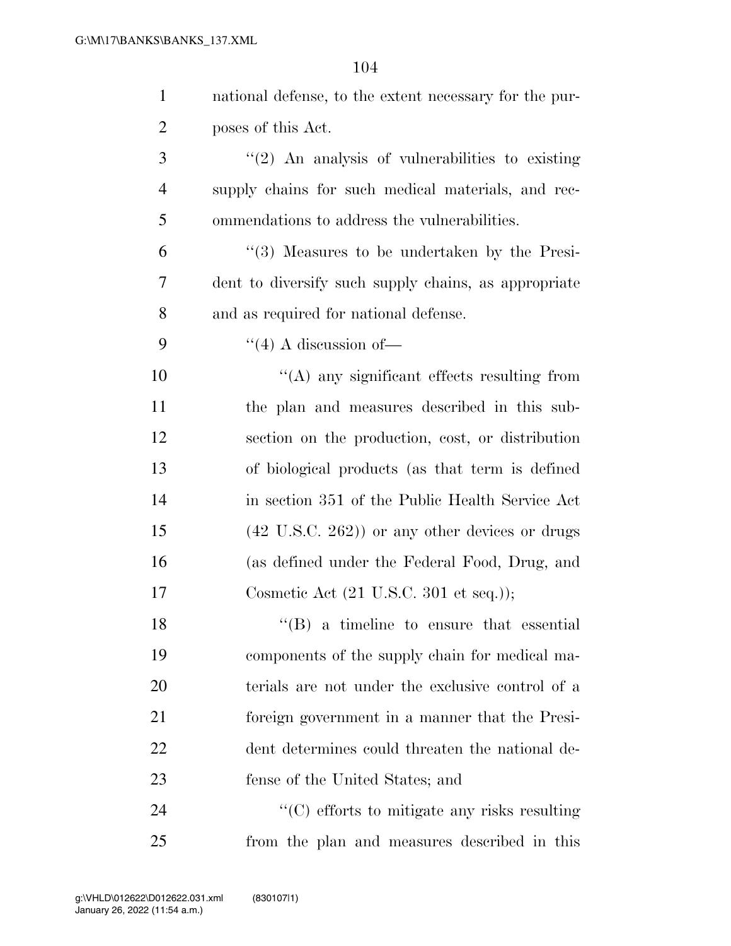| 1              | national defense, to the extent necessary for the pur-    |
|----------------|-----------------------------------------------------------|
| $\overline{2}$ | poses of this Act.                                        |
| 3              | $\lq(2)$ An analysis of vulnerabilities to existing       |
| $\overline{4}$ | supply chains for such medical materials, and rec-        |
| 5              | ommendations to address the vulnerabilities.              |
| 6              | $\lq(3)$ Measures to be undertaken by the Presi-          |
| $\overline{7}$ | dent to diversify such supply chains, as appropriate      |
| 8              | and as required for national defense.                     |
| 9              | $\lq(4)$ A discussion of —                                |
| 10             | $\lq\lq$ any significant effects resulting from           |
| 11             | the plan and measures described in this sub-              |
| 12             | section on the production, cost, or distribution          |
| 13             | of biological products (as that term is defined           |
| 14             | in section 351 of the Public Health Service Act           |
| 15             | $(42 \text{ U.S.C. } 262)$ or any other devices or drugs  |
| 16             | (as defined under the Federal Food, Drug, and             |
| 17             | Cosmetic Act $(21 \text{ U.S.C. } 301 \text{ et seq.}));$ |
| 18             | $\lq\lq (B)$ a timeline to ensure that essential          |
| 19             | components of the supply chain for medical ma-            |
| 20             | terials are not under the exclusive control of a          |
| 21             | foreign government in a manner that the Presi-            |
| <u>22</u>      | dent determines could threaten the national de-           |
| 23             | fense of the United States; and                           |
| 24             | $\lq\lq$ (C) efforts to mitigate any risks resulting      |
| 25             | from the plan and measures described in this              |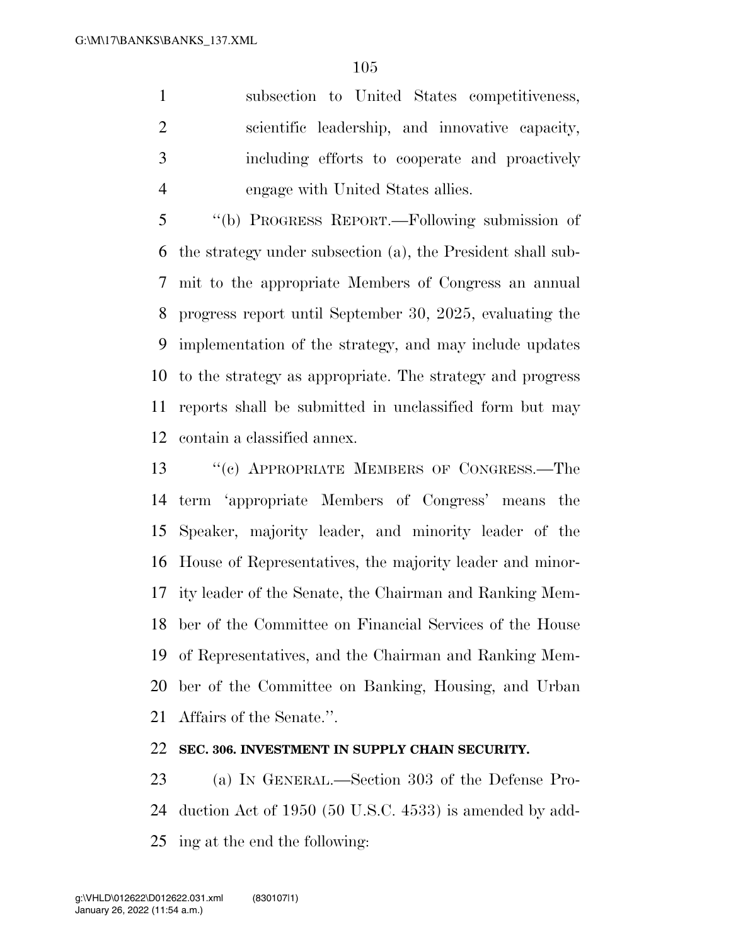subsection to United States competitiveness, scientific leadership, and innovative capacity, including efforts to cooperate and proactively engage with United States allies.

 ''(b) PROGRESS REPORT.—Following submission of the strategy under subsection (a), the President shall sub- mit to the appropriate Members of Congress an annual progress report until September 30, 2025, evaluating the implementation of the strategy, and may include updates to the strategy as appropriate. The strategy and progress reports shall be submitted in unclassified form but may contain a classified annex.

 ''(c) APPROPRIATE MEMBERS OF CONGRESS.—The term 'appropriate Members of Congress' means the Speaker, majority leader, and minority leader of the House of Representatives, the majority leader and minor- ity leader of the Senate, the Chairman and Ranking Mem- ber of the Committee on Financial Services of the House of Representatives, and the Chairman and Ranking Mem- ber of the Committee on Banking, Housing, and Urban Affairs of the Senate.''.

#### **SEC. 306. INVESTMENT IN SUPPLY CHAIN SECURITY.**

 (a) IN GENERAL.—Section 303 of the Defense Pro- duction Act of 1950 (50 U.S.C. 4533) is amended by add-ing at the end the following: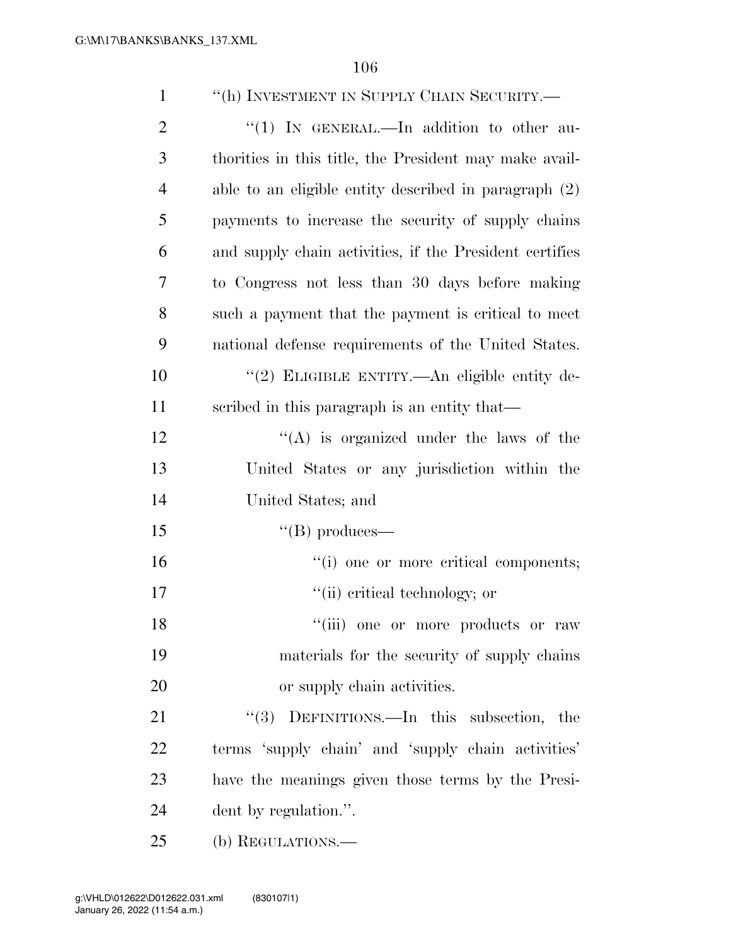| $\mathbf{1}$   | "(h) INVESTMENT IN SUPPLY CHAIN SECURITY.-              |
|----------------|---------------------------------------------------------|
| $\overline{2}$ | "(1) IN GENERAL.—In addition to other au-               |
| 3              | thorities in this title, the President may make avail-  |
| $\overline{4}$ | able to an eligible entity described in paragraph $(2)$ |
| 5              | payments to increase the security of supply chains      |
| 6              | and supply chain activities, if the President certifies |
| 7              | to Congress not less than 30 days before making         |
| 8              | such a payment that the payment is critical to meet     |
| 9              | national defense requirements of the United States.     |
| 10             | "(2) ELIGIBLE ENTITY.—An eligible entity de-            |
| 11             | scribed in this paragraph is an entity that—            |
| 12             | $\lq\lq$ is organized under the laws of the             |
| 13             | United States or any jurisdiction within the            |
| 14             | United States; and                                      |
| 15             | $\lq\lq(B)$ produces—                                   |
| 16             | "(i) one or more critical components;                   |
| 17             | "(ii) critical technology; or                           |
| 18             | "(iii) one or more products or raw                      |
| 19             | materials for the security of supply chains             |
| 20             | or supply chain activities.                             |
| 21             | DEFINITIONS.—In this subsection, the<br>(3)             |
| 22             | terms 'supply chain' and 'supply chain activities'      |
| 23             | have the meanings given those terms by the Presi-       |
| 24             | dent by regulation.".                                   |
| 25             | (b) REGULATIONS.-                                       |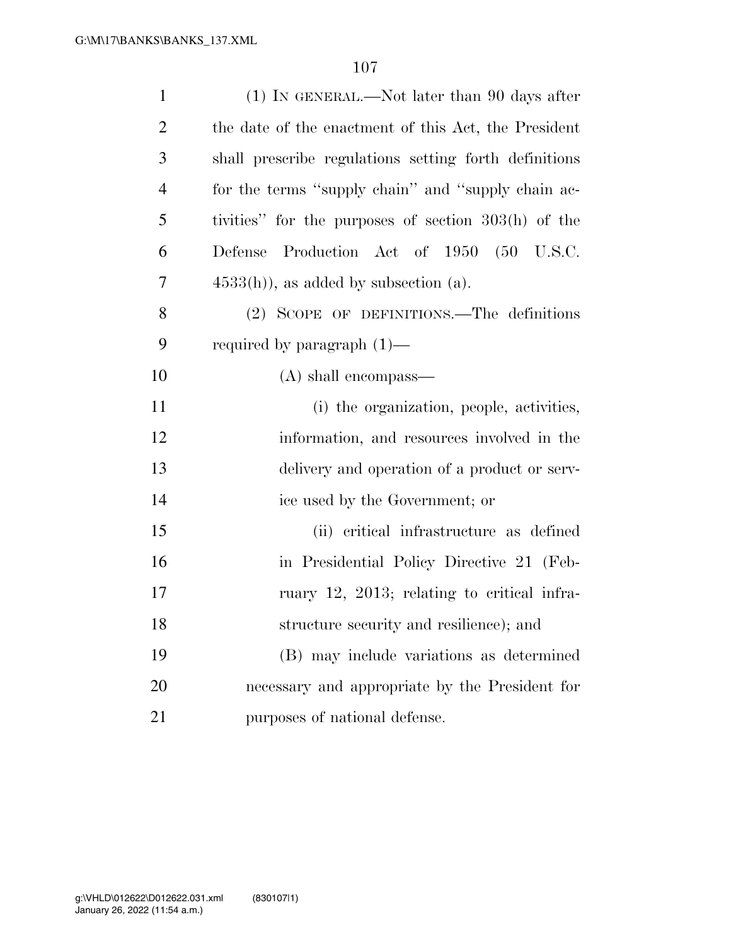| $\mathbf{1}$   | $(1)$ In GENERAL.—Not later than 90 days after        |
|----------------|-------------------------------------------------------|
| $\overline{2}$ | the date of the enactment of this Act, the President  |
| 3              | shall prescribe regulations setting forth definitions |
| $\overline{4}$ | for the terms "supply chain" and "supply chain ac-    |
| 5              | tivities" for the purposes of section 303(h) of the   |
| 6              | Defense Production Act of 1950 (50 U.S.C.             |
| 7              | $4533(h)$ , as added by subsection (a).               |
| 8              | (2) SCOPE OF DEFINITIONS.—The definitions             |
| 9              | required by paragraph $(1)$ —                         |
| 10             | $(A)$ shall encompass—                                |
| 11             | (i) the organization, people, activities,             |
| 12             | information, and resources involved in the            |
| 13             | delivery and operation of a product or serv-          |
| 14             | ice used by the Government; or                        |
| 15             | (ii) critical infrastructure as defined               |
| 16             | in Presidential Policy Directive 21 (Feb-             |
| 17             | ruary 12, 2013; relating to critical infra-           |
| 18             | structure security and resilience); and               |
| 19             | (B) may include variations as determined              |
| 20             | necessary and appropriate by the President for        |
| 21             | purposes of national defense.                         |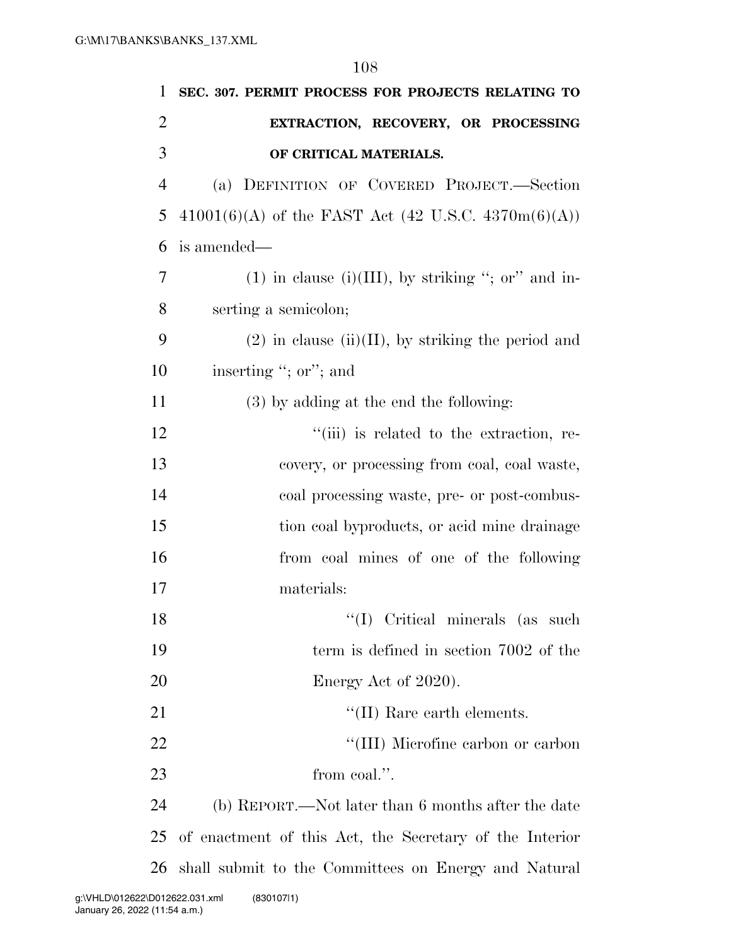| $\mathbf{1}$   | SEC. 307. PERMIT PROCESS FOR PROJECTS RELATING TO       |
|----------------|---------------------------------------------------------|
| $\overline{2}$ | EXTRACTION, RECOVERY, OR PROCESSING                     |
| 3              | OF CRITICAL MATERIALS.                                  |
| $\overline{4}$ | (a) DEFINITION OF COVERED PROJECT.-Section              |
| 5              | $41001(6)(A)$ of the FAST Act (42 U.S.C. 4370m(6)(A))   |
| 6              | is amended—                                             |
| 7              | $(1)$ in clause $(i)(III)$ , by striking "; or" and in- |
| 8              | serting a semicolon;                                    |
| 9              | $(2)$ in clause (ii)(II), by striking the period and    |
| 10             | inserting "; or"; and                                   |
| 11             | $(3)$ by adding at the end the following:               |
| 12             | "(iii) is related to the extraction, re-                |
| 13             | covery, or processing from coal, coal waste,            |
| 14             | coal processing waste, pre- or post-combus-             |
| 15             | tion coal byproducts, or acid mine drainage             |
| 16             | from coal mines of one of the following                 |
| 17             | materials:                                              |
| 18             | "(I) Critical minerals (as such                         |
| 19             | term is defined in section 7002 of the                  |
| 20             | Energy Act of 2020).                                    |
| 21             | "(II) Rare earth elements.                              |
| 22             | "(III) Microfine carbon or carbon                       |
| 23             | from coal.".                                            |
| 24             | (b) REPORT.—Not later than 6 months after the date      |
| 25             | of enactment of this Act, the Secretary of the Interior |
| 26             | shall submit to the Committees on Energy and Natural    |
|                | D012622.031.xml<br>(83010711)                           |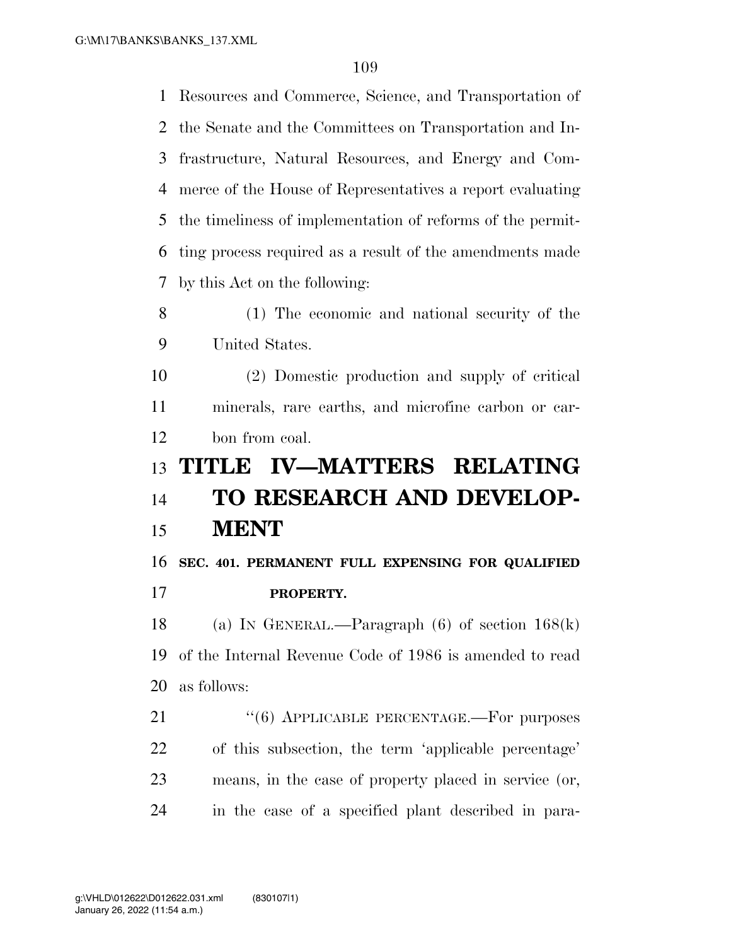Resources and Commerce, Science, and Transportation of the Senate and the Committees on Transportation and In- frastructure, Natural Resources, and Energy and Com- merce of the House of Representatives a report evaluating the timeliness of implementation of reforms of the permit- ting process required as a result of the amendments made by this Act on the following: (1) The economic and national security of the United States. (2) Domestic production and supply of critical minerals, rare earths, and microfine carbon or car-

bon from coal.

## **TITLE IV—MATTERS RELATING**

# **TO RESEARCH AND DEVELOP-MENT**

**SEC. 401. PERMANENT FULL EXPENSING FOR QUALIFIED** 

**PROPERTY.** 

 (a) IN GENERAL.—Paragraph (6) of section 168(k) of the Internal Revenue Code of 1986 is amended to read as follows:

21 "(6) APPLICABLE PERCENTAGE.—For purposes of this subsection, the term 'applicable percentage' means, in the case of property placed in service (or, in the case of a specified plant described in para-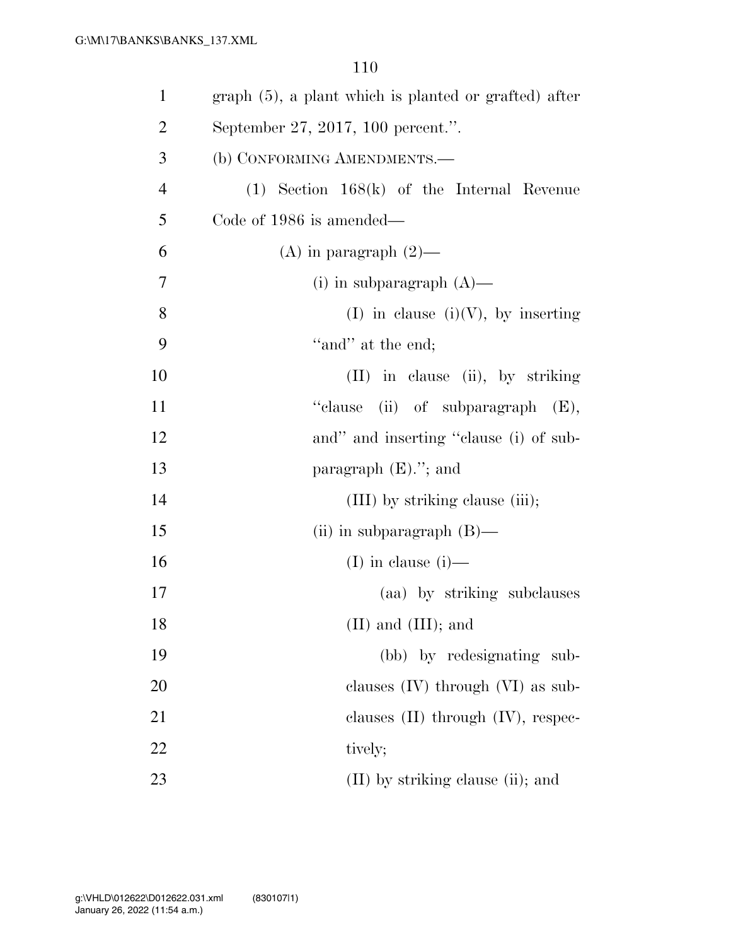| $\mathbf{1}$   | $graph(5)$ , a plant which is planted or grafted) after |
|----------------|---------------------------------------------------------|
| $\overline{2}$ | September 27, 2017, 100 percent.".                      |
| 3              | (b) CONFORMING AMENDMENTS.-                             |
| $\overline{4}$ | $(1)$ Section 168 $(k)$ of the Internal Revenue         |
| 5              | Code of 1986 is amended—                                |
| 6              | (A) in paragraph $(2)$ —                                |
| 7              | (i) in subparagraph $(A)$ —                             |
| 8              | (I) in clause (i)(V), by inserting                      |
| 9              | "and" at the end;                                       |
| 10             | (II) in clause (ii), by striking                        |
| 11             | "clause<br>(ii) of subparagraph $(E)$ ,                 |
| 12             | and" and inserting "clause (i) of sub-                  |
| 13             | paragraph $(E)$ ."; and                                 |
| 14             | (III) by striking clause (iii);                         |
| 15             | (ii) in subparagraph $(B)$ —                            |
| 16             | (I) in clause $(i)$ —                                   |
| 17             | (aa) by striking subclauses                             |
| 18             | $(II)$ and $(III)$ ; and                                |
| 19             | (bb) by redesignating sub-                              |
| 20             | clauses $(IV)$ through $(VI)$ as sub-                   |
| 21             | clauses $(II)$ through $(IV)$ , respec-                 |
| 22             | tively;                                                 |
| 23             | (II) by striking clause (ii); and                       |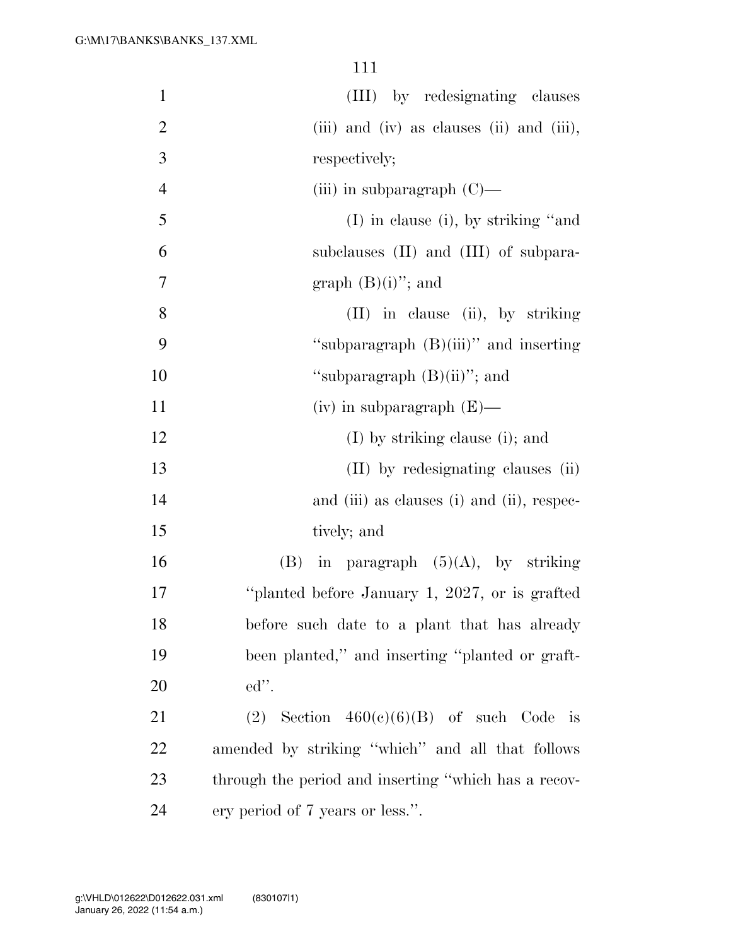| $\mathbf{1}$   | (III) by redesignating clauses                       |
|----------------|------------------------------------------------------|
| $\mathbf{2}$   | (iii) and (iv) as clauses (ii) and (iii),            |
| 3              | respectively;                                        |
| $\overline{4}$ | (iii) in subparagraph $(C)$ —                        |
| 5              | $(I)$ in clause (i), by striking "and                |
| 6              | subclauses (II) and (III) of subpara-                |
| 7              | graph $(B)(i)$ "; and                                |
| 8              | (II) in clause (ii), by striking                     |
| 9              | "subparagraph (B)(iii)" and inserting                |
| 10             | "subparagraph $(B)(ii)$ "; and                       |
| 11             | $(iv)$ in subparagraph $(E)$ —                       |
| 12             | (I) by striking clause (i); and                      |
| 13             | (II) by redesignating clauses (ii)                   |
| 14             | and (iii) as clauses (i) and (ii), respec-           |
| 15             | tively; and                                          |
| 16             | (B) in paragraph $(5)(A)$ , by striking              |
| 17             | "planted before January 1, 2027, or is grafted       |
| 18             | before such date to a plant that has already         |
| 19             | been planted," and inserting "planted or graft-      |
| 20             | $ed$ ".                                              |
| 21             | (2) Section $460(c)(6)(B)$ of such Code is           |
| 22             | amended by striking "which" and all that follows     |
| 23             | through the period and inserting "which has a recov- |
| 24             | ery period of 7 years or less.".                     |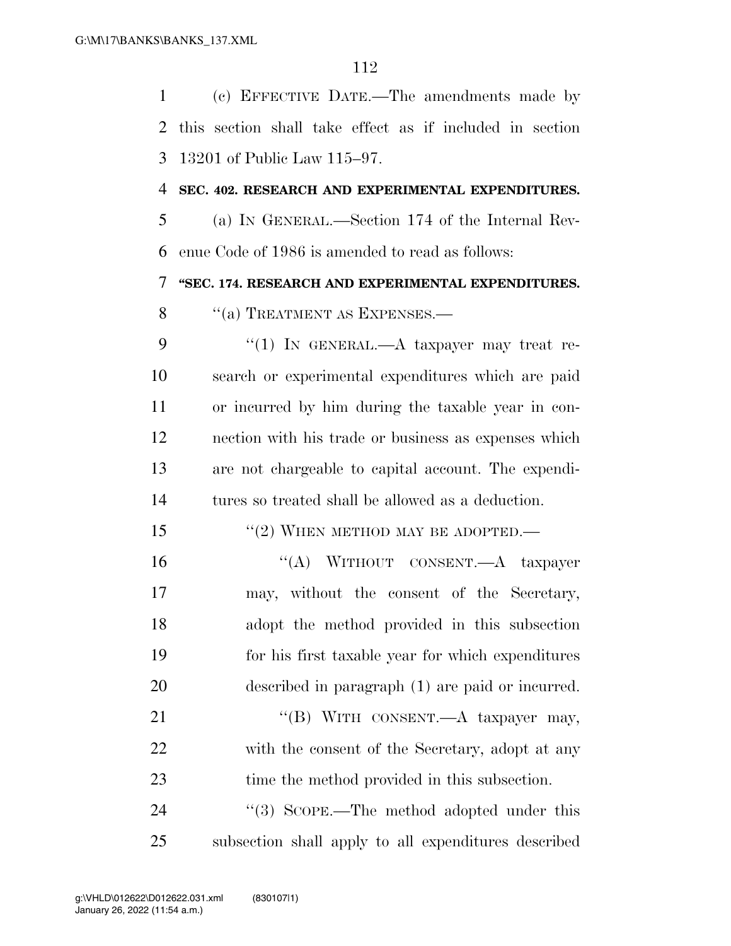(c) EFFECTIVE DATE.—The amendments made by this section shall take effect as if included in section 13201 of Public Law 115–97.

#### **SEC. 402. RESEARCH AND EXPERIMENTAL EXPENDITURES.**

 (a) IN GENERAL.—Section 174 of the Internal Rev-enue Code of 1986 is amended to read as follows:

**''SEC. 174. RESEARCH AND EXPERIMENTAL EXPENDITURES.** 

8 "(a) TREATMENT AS EXPENSES.—

9 "(1) IN GENERAL.—A taxpayer may treat re- search or experimental expenditures which are paid or incurred by him during the taxable year in con- nection with his trade or business as expenses which are not chargeable to capital account. The expendi-tures so treated shall be allowed as a deduction.

- 15 "(2) WHEN METHOD MAY BE ADOPTED.—
- 16 "(A) WITHOUT CONSENT.—A taxpayer may, without the consent of the Secretary, adopt the method provided in this subsection for his first taxable year for which expenditures described in paragraph (1) are paid or incurred. 21 "(B) WITH CONSENT.—A taxpayer may, with the consent of the Secretary, adopt at any

 time the method provided in this subsection. 24 "(3) SCOPE.—The method adopted under this subsection shall apply to all expenditures described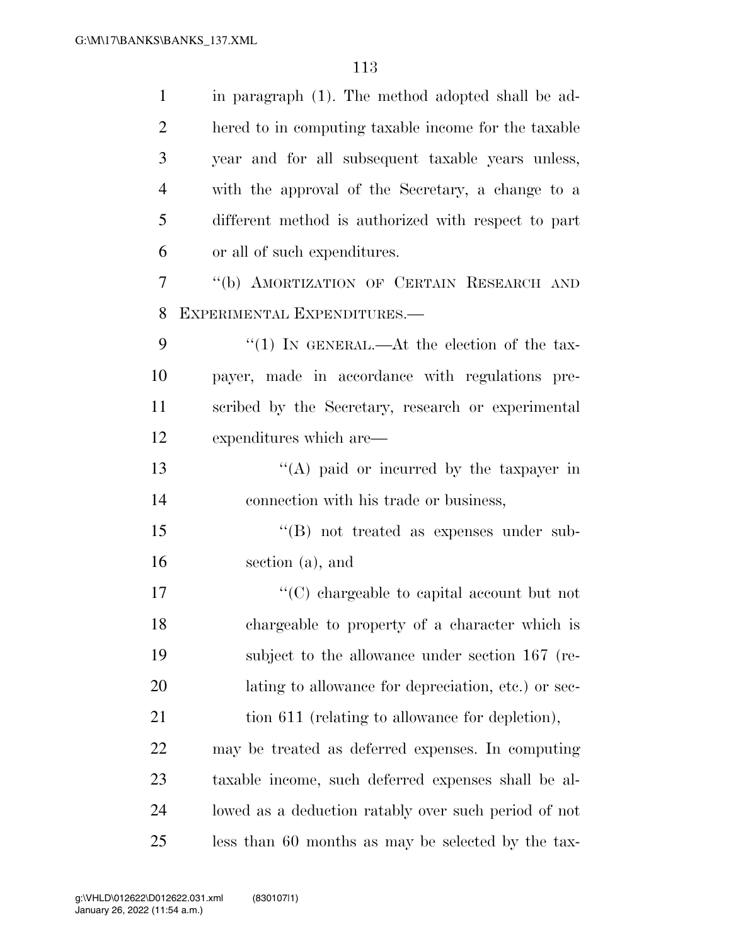| $\mathbf{1}$   | in paragraph (1). The method adopted shall be ad-    |
|----------------|------------------------------------------------------|
| $\overline{2}$ | hered to in computing taxable income for the taxable |
| 3              | year and for all subsequent taxable years unless,    |
| $\overline{4}$ | with the approval of the Secretary, a change to a    |
| 5              | different method is authorized with respect to part  |
| 6              | or all of such expenditures.                         |
| $\overline{7}$ | "(b) AMORTIZATION OF CERTAIN RESEARCH AND            |
| 8              | EXPERIMENTAL EXPENDITURES.-                          |
| 9              | "(1) IN GENERAL.—At the election of the tax-         |
| 10             | payer, made in accordance with regulations pre-      |
| 11             | scribed by the Secretary, research or experimental   |
| 12             | expenditures which are—                              |
| 13             | "(A) paid or incurred by the taxpayer in             |
| 14             | connection with his trade or business,               |
| 15             | $\lq\lq (B)$ not treated as expenses under sub-      |
| 16             | section (a), and                                     |
| 17             | "(C) chargeable to capital account but not           |
| 18             | chargeable to property of a character which is       |
| 19             | subject to the allowance under section 167 (re-      |
| 20             | lating to allowance for depreciation, etc.) or sec-  |
| 21             | tion 611 (relating to allowance for depletion),      |
| 22             | may be treated as deferred expenses. In computing    |
| 23             | taxable income, such deferred expenses shall be al-  |
| 24             | lowed as a deduction ratably over such period of not |
| 25             | less than 60 months as may be selected by the tax-   |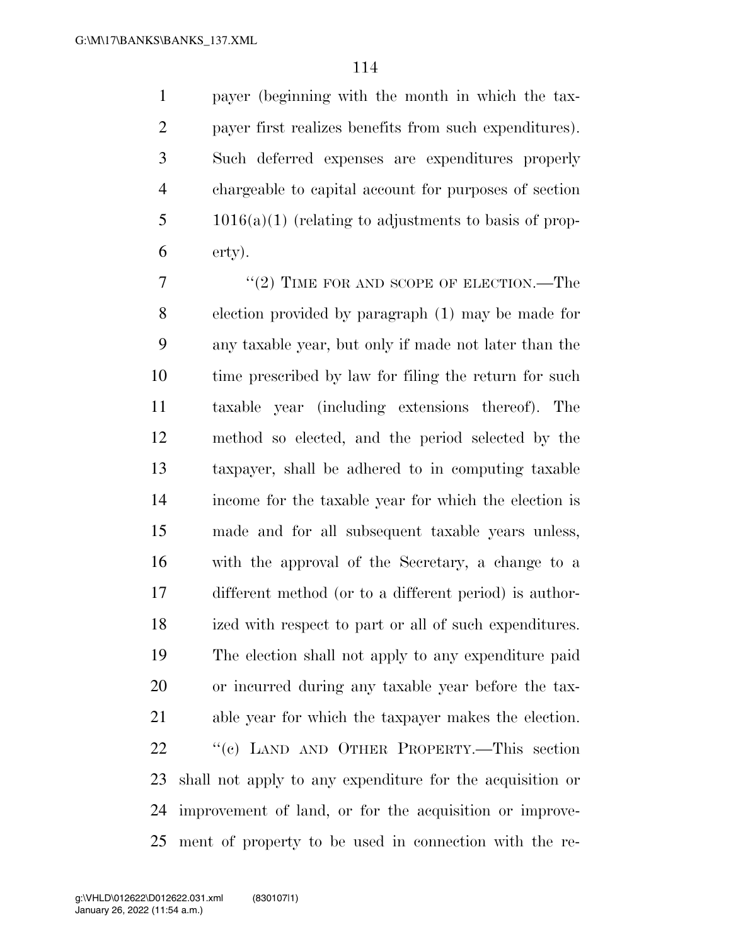payer (beginning with the month in which the tax- payer first realizes benefits from such expenditures). Such deferred expenses are expenditures properly chargeable to capital account for purposes of section 1016(a)(1) (relating to adjustments to basis of prop-erty).

7 "(2) TIME FOR AND SCOPE OF ELECTION.—The election provided by paragraph (1) may be made for any taxable year, but only if made not later than the 10 time prescribed by law for filing the return for such taxable year (including extensions thereof). The method so elected, and the period selected by the taxpayer, shall be adhered to in computing taxable income for the taxable year for which the election is made and for all subsequent taxable years unless, with the approval of the Secretary, a change to a different method (or to a different period) is author- ized with respect to part or all of such expenditures. The election shall not apply to any expenditure paid or incurred during any taxable year before the tax- able year for which the taxpayer makes the election. 22 "(c) LAND AND OTHER PROPERTY.—This section shall not apply to any expenditure for the acquisition or improvement of land, or for the acquisition or improve-ment of property to be used in connection with the re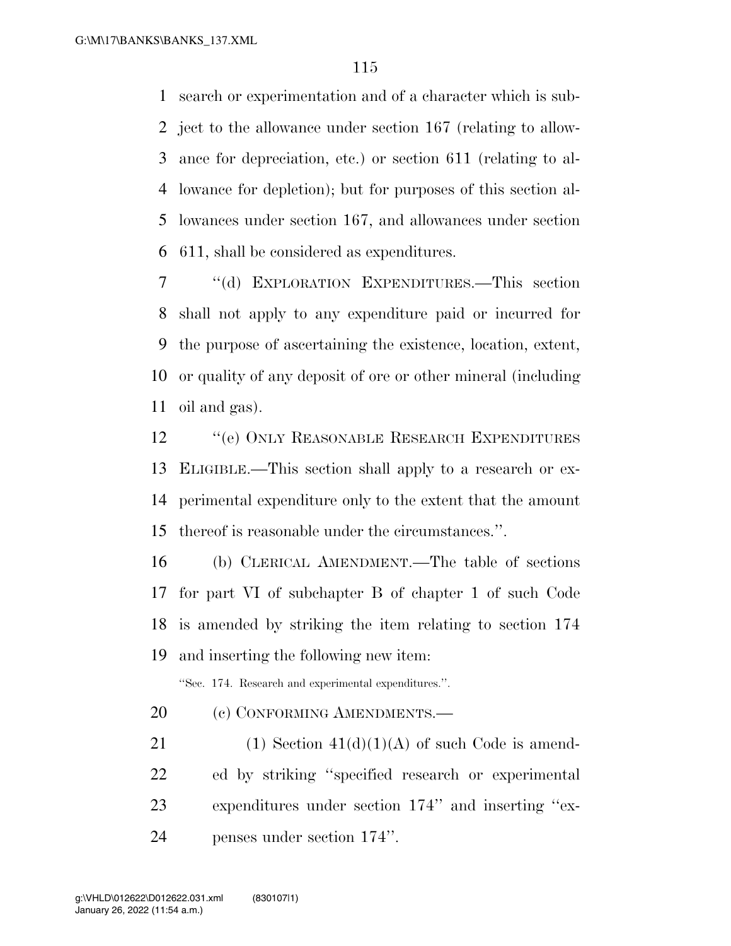search or experimentation and of a character which is sub- ject to the allowance under section 167 (relating to allow- ance for depreciation, etc.) or section 611 (relating to al- lowance for depletion); but for purposes of this section al- lowances under section 167, and allowances under section 611, shall be considered as expenditures.

 ''(d) EXPLORATION EXPENDITURES.—This section shall not apply to any expenditure paid or incurred for the purpose of ascertaining the existence, location, extent, or quality of any deposit of ore or other mineral (including oil and gas).

**''**(e) ONLY REASONABLE RESEARCH EXPENDITURES ELIGIBLE.—This section shall apply to a research or ex- perimental expenditure only to the extent that the amount thereof is reasonable under the circumstances.''.

 (b) CLERICAL AMENDMENT.—The table of sections for part VI of subchapter B of chapter 1 of such Code is amended by striking the item relating to section 174 and inserting the following new item:

''Sec. 174. Research and experimental expenditures.''.

20 (c) CONFORMING AMENDMENTS.

21 (1) Section  $41(d)(1)(A)$  of such Code is amend- ed by striking ''specified research or experimental expenditures under section 174'' and inserting ''ex-penses under section 174''.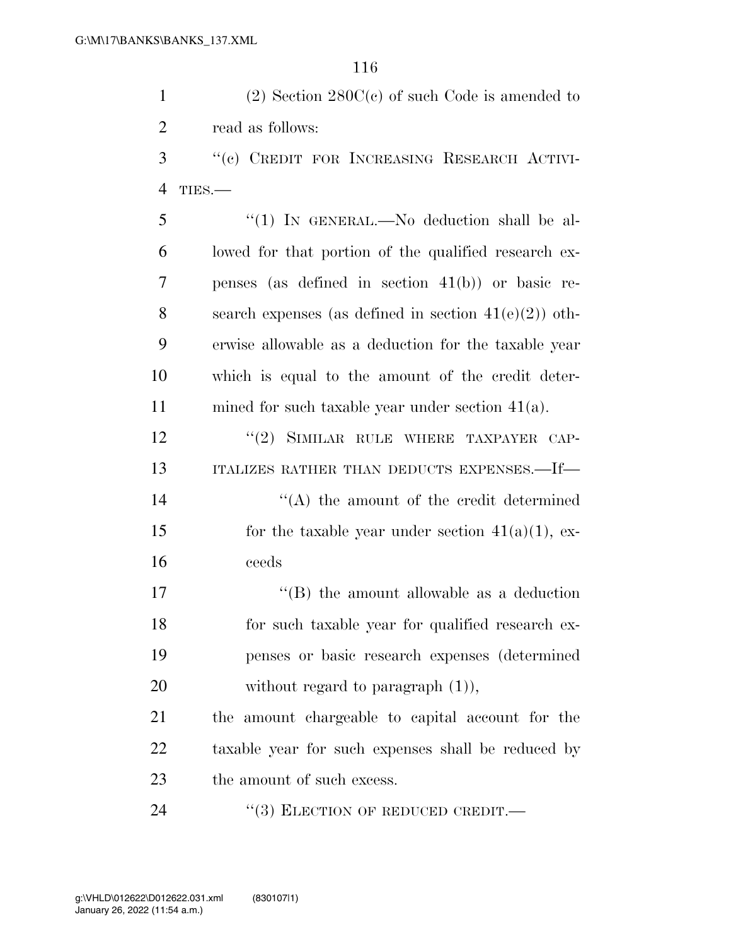1 (2) Section 280C(c) of such Code is amended to 2 read as follows:

3 ''(c) CREDIT FOR INCREASING RESEARCH ACTIVI-4 TIES.—

 ''(1) IN GENERAL.—No deduction shall be al- lowed for that portion of the qualified research ex- penses (as defined in section 41(b)) or basic re-8 search expenses (as defined in section  $41(e)(2)$ ) oth- erwise allowable as a deduction for the taxable year which is equal to the amount of the credit deter-mined for such taxable year under section 41(a).

12 "(2) SIMILAR RULE WHERE TAXPAYER CAP-13 ITALIZES RATHER THAN DEDUCTS EXPENSES.—If—

14 ''(A) the amount of the credit determined 15 for the taxable year under section  $41(a)(1)$ , ex-16 ceeds

17 ''(B) the amount allowable as a deduction 18 for such taxable year for qualified research ex-19 penses or basic research expenses (determined 20 without regard to paragraph  $(1)$ ),

21 the amount chargeable to capital account for the 22 taxable year for such expenses shall be reduced by 23 the amount of such excess.

24 "(3) ELECTION OF REDUCED CREDIT.—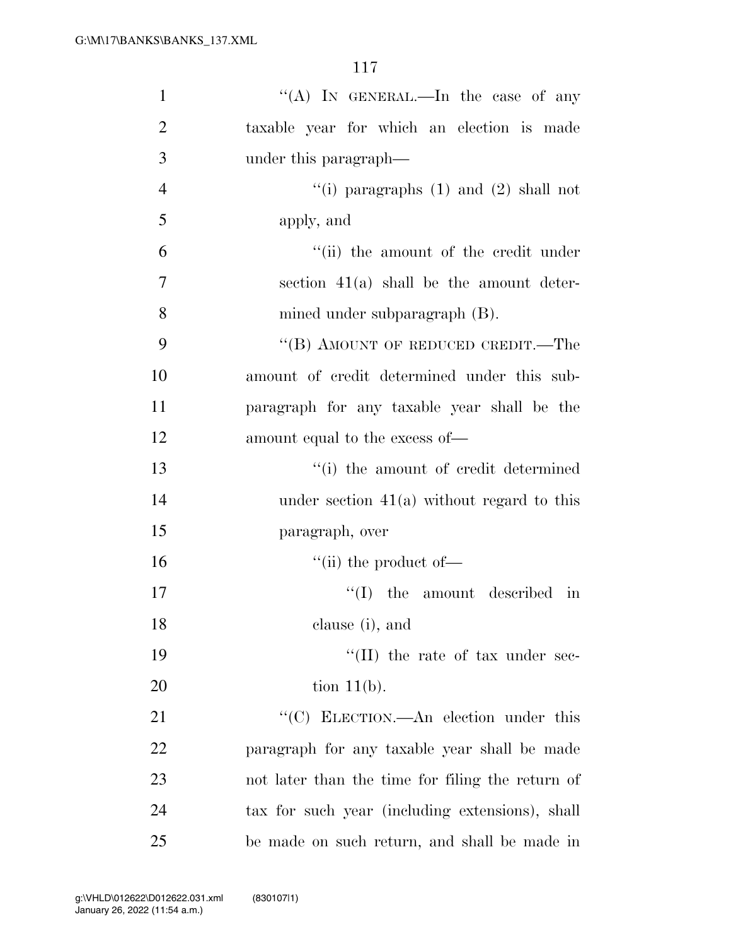| $\mathbf{1}$   | "(A) IN GENERAL.—In the case of any              |
|----------------|--------------------------------------------------|
| $\overline{2}$ | taxable year for which an election is made       |
| 3              | under this paragraph—                            |
| $\overline{4}$ | "(i) paragraphs $(1)$ and $(2)$ shall not        |
| 5              | apply, and                                       |
| 6              | "(ii) the amount of the credit under             |
| $\overline{7}$ | section $41(a)$ shall be the amount deter-       |
| 8              | mined under subparagraph (B).                    |
| 9              | "(B) AMOUNT OF REDUCED CREDIT.—The               |
| 10             | amount of credit determined under this sub-      |
| 11             | paragraph for any taxable year shall be the      |
| 12             | amount equal to the excess of—                   |
| 13             | "(i) the amount of credit determined             |
| 14             | under section $41(a)$ without regard to this     |
| 15             | paragraph, over                                  |
| 16             | $\lq\lq$ (ii) the product of —                   |
| 17             | ``(I)<br>the amount described in                 |
| 18             | clause (i), and                                  |
| 19             | "(II) the rate of tax under sec-                 |
| 20             | tion $11(b)$ .                                   |
| 21             | "(C) ELECTION.—An election under this            |
| 22             | paragraph for any taxable year shall be made     |
| 23             | not later than the time for filing the return of |
| 24             | tax for such year (including extensions), shall  |
| 25             | be made on such return, and shall be made in     |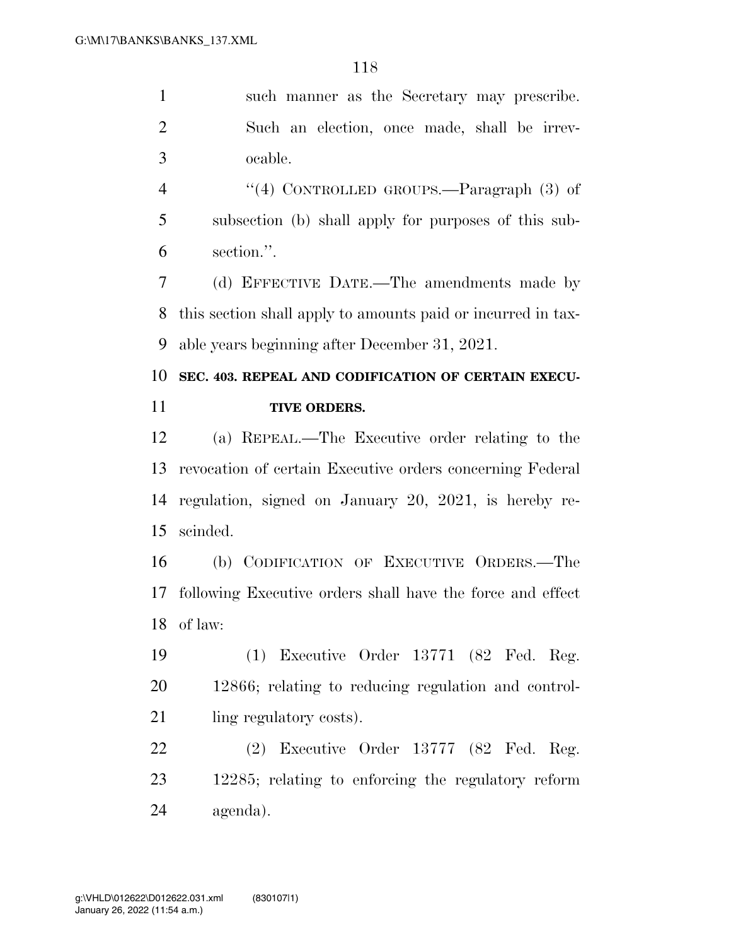such manner as the Secretary may prescribe. Such an election, once made, shall be irrev-ocable.

4 "(4) CONTROLLED GROUPS.—Paragraph (3) of subsection (b) shall apply for purposes of this sub-section.''.

 (d) EFFECTIVE DATE.—The amendments made by this section shall apply to amounts paid or incurred in tax-able years beginning after December 31, 2021.

## **SEC. 403. REPEAL AND CODIFICATION OF CERTAIN EXECU-TIVE ORDERS.**

 (a) REPEAL.—The Executive order relating to the revocation of certain Executive orders concerning Federal regulation, signed on January 20, 2021, is hereby re-scinded.

 (b) CODIFICATION OF EXECUTIVE ORDERS.—The following Executive orders shall have the force and effect of law:

 (1) Executive Order 13771 (82 Fed. Reg. 12866; relating to reducing regulation and control-21 ling regulatory costs).

 (2) Executive Order 13777 (82 Fed. Reg. 12285; relating to enforcing the regulatory reform agenda).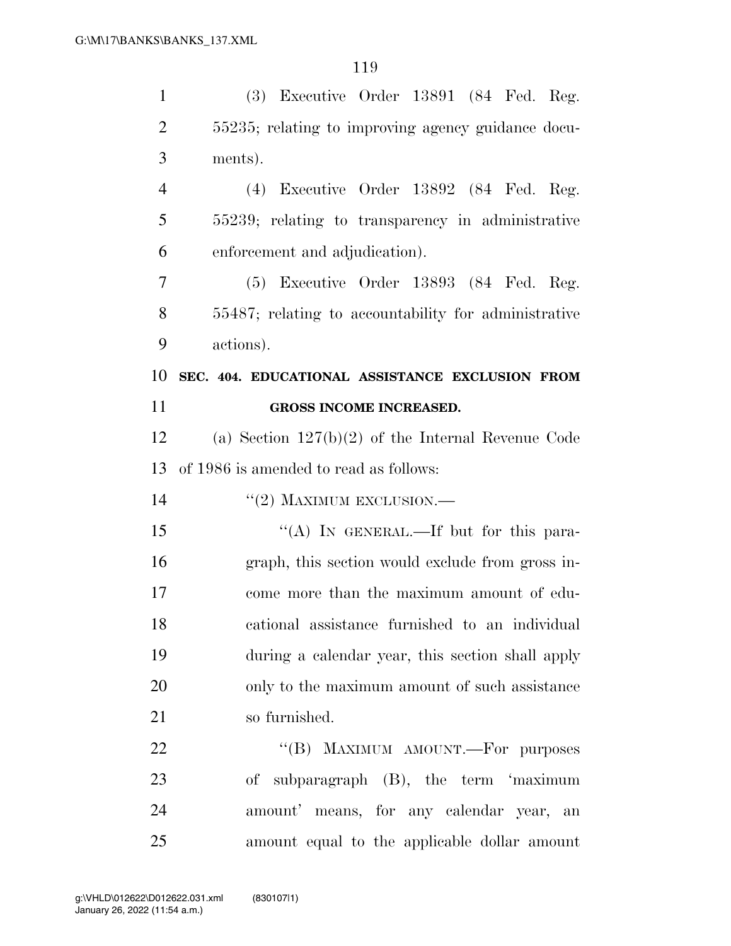| $\mathbf{1}$   | (3) Executive Order 13891 (84 Fed. Reg.              |
|----------------|------------------------------------------------------|
| $\overline{2}$ | 55235; relating to improving agency guidance docu-   |
| 3              | ments).                                              |
| $\overline{4}$ | $(4)$ Executive Order 13892 $(84 \text{ Fed. Reg.})$ |
| 5              | 55239; relating to transparency in administrative    |
| 6              | enforcement and adjudication).                       |
| 7              | $(5)$ Executive Order 13893 $(84 \text{ Fed. Reg.})$ |
| 8              | 55487; relating to accountability for administrative |
| 9              | actions).                                            |
| 10             | SEC. 404. EDUCATIONAL ASSISTANCE EXCLUSION FROM      |
| 11             | GROSS INCOME INCREASED.                              |
| 12             | (a) Section $127(b)(2)$ of the Internal Revenue Code |
| 13             | of 1986 is amended to read as follows:               |
| 14             | $``(2)$ MAXIMUM EXCLUSION.—                          |
| 15             | "(A) IN GENERAL.—If but for this para-               |
| 16             | graph, this section would exclude from gross in-     |
| 17             | come more than the maximum amount of edu-            |
| 18             | cational assistance furnished to an individual       |
| 19             | during a calendar year, this section shall apply     |
| 20             | only to the maximum amount of such assistance        |
| 21             | so furnished.                                        |
| 22             | "(B) MAXIMUM AMOUNT.—For purposes                    |
| 23             | of subparagraph (B), the term 'maximum               |
| 24             | amount' means, for any calendar year, an             |
| 25             | amount equal to the applicable dollar amount         |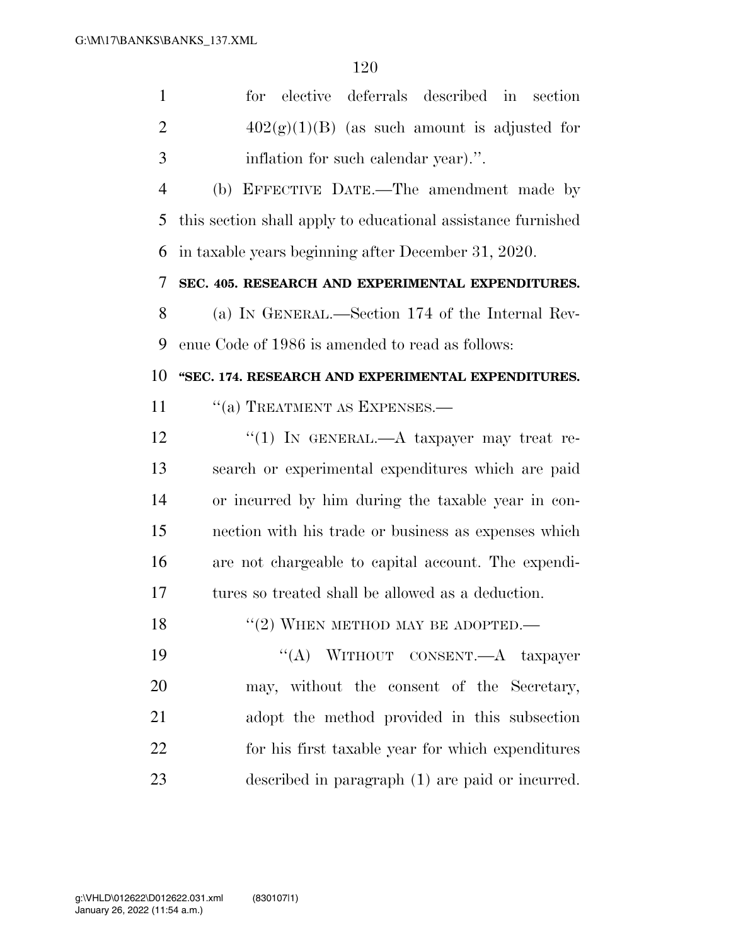| $\mathbf{1}$   | elective<br>deferrals described in<br>for<br>section         |
|----------------|--------------------------------------------------------------|
| $\overline{2}$ | $402(g)(1)(B)$ (as such amount is adjusted for               |
| 3              | inflation for such calendar year).".                         |
| $\overline{4}$ | (b) EFFECTIVE DATE.—The amendment made by                    |
| 5              | this section shall apply to educational assistance furnished |
| 6              | in taxable years beginning after December 31, 2020.          |
| 7              | SEC. 405. RESEARCH AND EXPERIMENTAL EXPENDITURES.            |
| 8              | (a) IN GENERAL.—Section 174 of the Internal Rev-             |
| 9              | enue Code of 1986 is amended to read as follows:             |
| 10             | "SEC. 174. RESEARCH AND EXPERIMENTAL EXPENDITURES.           |
| 11             | "(a) TREATMENT AS EXPENSES.-                                 |
| 12             | "(1) IN GENERAL.—A taxpayer may treat re-                    |
| 13             | search or experimental expenditures which are paid           |
| 14             | or incurred by him during the taxable year in con-           |
| 15             | nection with his trade or business as expenses which         |
| 16             | are not chargeable to capital account. The expendi-          |
| 17             | tures so treated shall be allowed as a deduction.            |
| 18             | $``(2)$ WHEN METHOD MAY BE ADOPTED.—                         |
| 19             | "(A) WITHOUT CONSENT.—A taxpayer                             |
| 20             | may, without the consent of the Secretary,                   |
| 21             | adopt the method provided in this subsection                 |
| 22             | for his first taxable year for which expenditures            |

described in paragraph (1) are paid or incurred.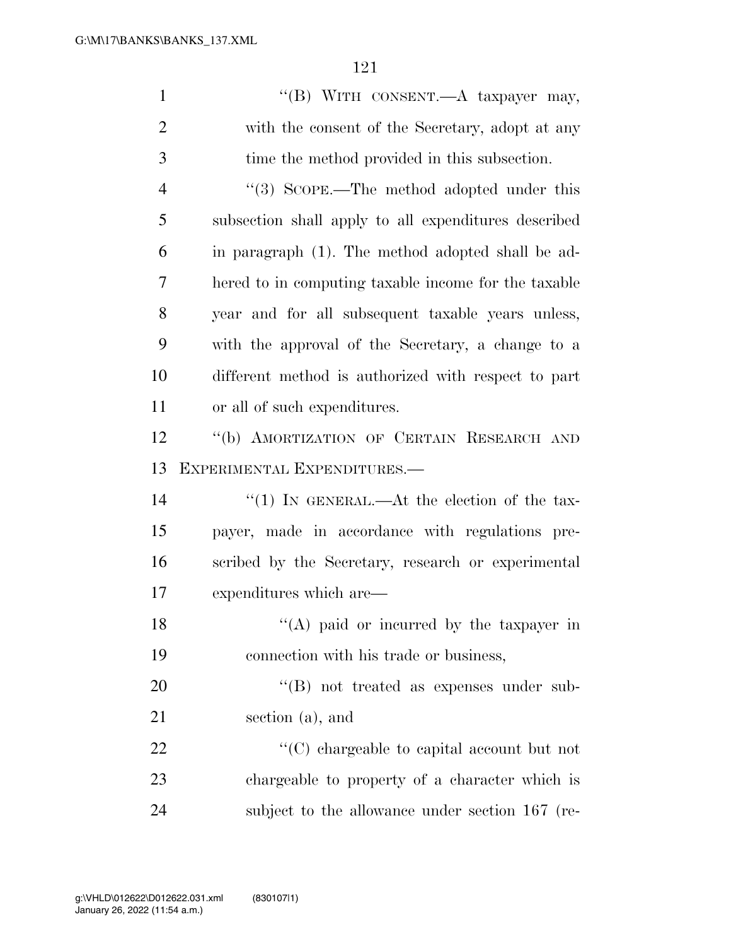| $\mathbf{1}$   | "(B) WITH CONSENT. A taxpayer may,                   |
|----------------|------------------------------------------------------|
| $\overline{2}$ | with the consent of the Secretary, adopt at any      |
| 3              | time the method provided in this subsection.         |
| $\overline{4}$ | "(3) SCOPE.—The method adopted under this            |
| 5              | subsection shall apply to all expenditures described |
| 6              | in paragraph (1). The method adopted shall be ad-    |
| 7              | hered to in computing taxable income for the taxable |
| 8              | year and for all subsequent taxable years unless,    |
| 9              | with the approval of the Secretary, a change to a    |
| 10             | different method is authorized with respect to part  |
| 11             | or all of such expenditures.                         |
| 12             | "(b) AMORTIZATION OF CERTAIN RESEARCH AND            |
|                |                                                      |
| 13             | EXPERIMENTAL EXPENDITURES.—                          |
| 14             | "(1) IN GENERAL.—At the election of the tax-         |
| 15             | payer, made in accordance with regulations pre-      |
| 16             | scribed by the Secretary, research or experimental   |
| 17             | expenditures which are—                              |
| 18             | $\lq\lq$ (A) paid or incurred by the taxpayer in     |
| 19             | connection with his trade or business,               |
| 20             | $\lq\lq (B)$ not treated as expenses under sub-      |
| 21             | section (a), and                                     |
| 22             | $\lq\lq$ chargeable to capital account but not       |
| 23             | chargeable to property of a character which is       |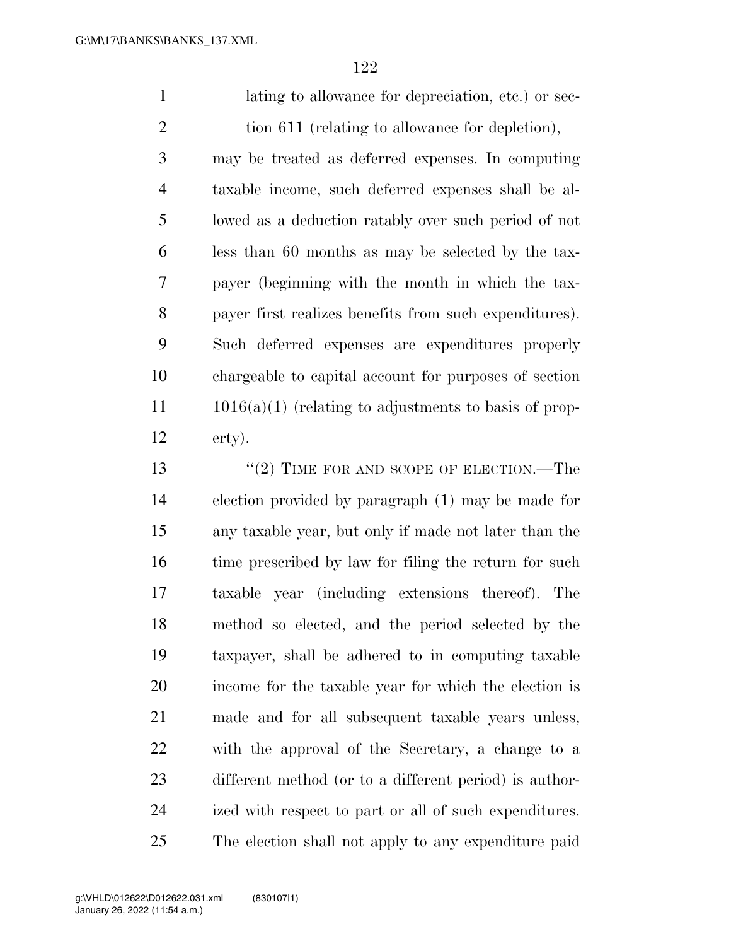1 lating to allowance for depreciation, etc.) or sec-2 tion 611 (relating to allowance for depletion), may be treated as deferred expenses. In computing taxable income, such deferred expenses shall be al- lowed as a deduction ratably over such period of not less than 60 months as may be selected by the tax- payer (beginning with the month in which the tax- payer first realizes benefits from such expenditures). Such deferred expenses are expenditures properly chargeable to capital account for purposes of section 11 1016(a)(1) (relating to adjustments to basis of prop- erty). 13 "(2) TIME FOR AND SCOPE OF ELECTION.—The

 election provided by paragraph (1) may be made for any taxable year, but only if made not later than the 16 time prescribed by law for filing the return for such taxable year (including extensions thereof). The method so elected, and the period selected by the taxpayer, shall be adhered to in computing taxable income for the taxable year for which the election is made and for all subsequent taxable years unless, with the approval of the Secretary, a change to a different method (or to a different period) is author- ized with respect to part or all of such expenditures. The election shall not apply to any expenditure paid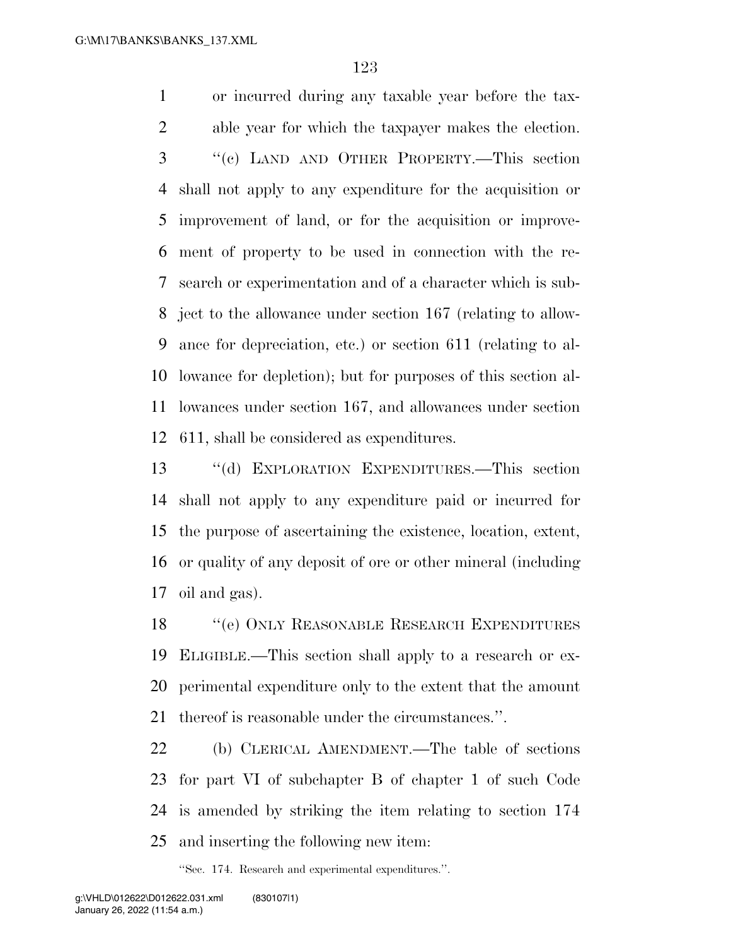or incurred during any taxable year before the tax- able year for which the taxpayer makes the election. ''(c) LAND AND OTHER PROPERTY.—This section shall not apply to any expenditure for the acquisition or improvement of land, or for the acquisition or improve- ment of property to be used in connection with the re- search or experimentation and of a character which is sub- ject to the allowance under section 167 (relating to allow- ance for depreciation, etc.) or section 611 (relating to al- lowance for depletion); but for purposes of this section al- lowances under section 167, and allowances under section 611, shall be considered as expenditures.

 ''(d) EXPLORATION EXPENDITURES.—This section shall not apply to any expenditure paid or incurred for the purpose of ascertaining the existence, location, extent, or quality of any deposit of ore or other mineral (including oil and gas).

18 "(e) ONLY REASONABLE RESEARCH EXPENDITURES ELIGIBLE.—This section shall apply to a research or ex- perimental expenditure only to the extent that the amount thereof is reasonable under the circumstances.''.

 (b) CLERICAL AMENDMENT.—The table of sections for part VI of subchapter B of chapter 1 of such Code is amended by striking the item relating to section 174 and inserting the following new item:

''Sec. 174. Research and experimental expenditures.''.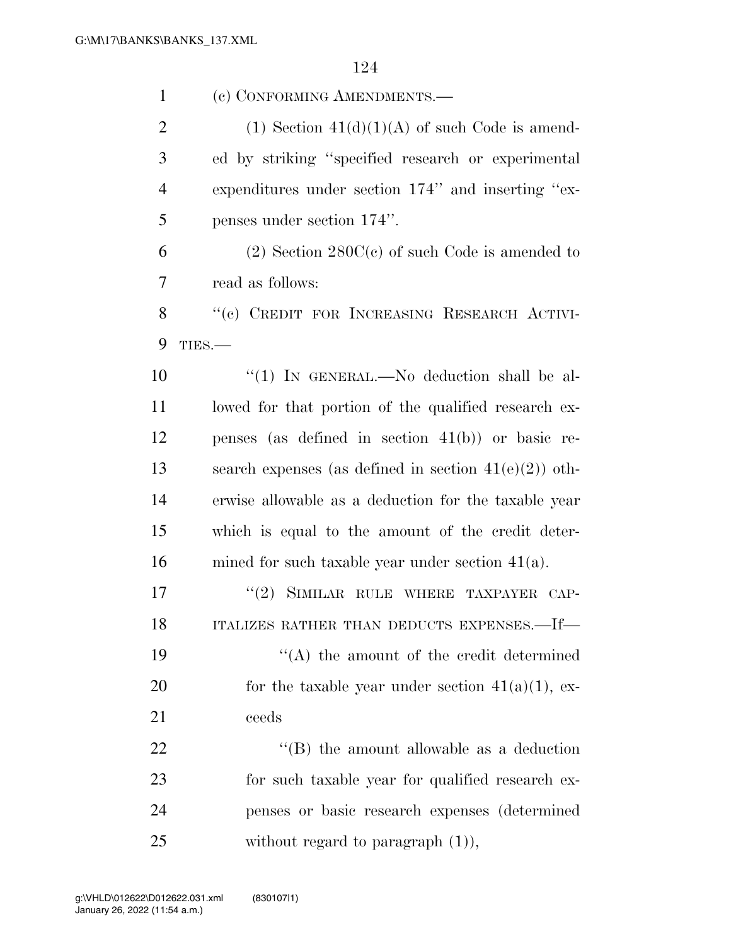| $\mathbf{1}$   | (c) CONFORMING AMENDMENTS.-                              |
|----------------|----------------------------------------------------------|
| $\overline{2}$ | $(1)$ Section $41(d)(1)(A)$ of such Code is amend-       |
| 3              | ed by striking "specified research or experimental       |
| $\overline{4}$ | expenditures under section 174" and inserting "ex-       |
| 5              | penses under section 174".                               |
| 6              | $(2)$ Section 280C(c) of such Code is amended to         |
| 7              | read as follows:                                         |
| 8              | "(c) CREDIT FOR INCREASING RESEARCH ACTIVI-              |
| 9              | TIES.                                                    |
| 10             | "(1) IN GENERAL.—No deduction shall be al-               |
| 11             | lowed for that portion of the qualified research ex-     |
| 12             | penses (as defined in section $41(b)$ ) or basic re-     |
| 13             | search expenses (as defined in section $41(e)(2)$ ) oth- |
| 14             | erwise allowable as a deduction for the taxable year     |
| 15             | which is equal to the amount of the credit deter-        |
| 16             | mined for such taxable year under section $41(a)$ .      |
| 17             | (2)<br>SIMILAR RULE WHERE TAXPAYER CAP-                  |
| 18             | ITALIZES RATHER THAN DEDUCTS EXPENSES.-If-               |
| 19             | $\lq\lq$ the amount of the credit determined             |
| 20             | for the taxable year under section $41(a)(1)$ , ex-      |
| 21             | ceeds                                                    |
| 22             | $\lq\lq$ the amount allowable as a deduction             |
| 23             | for such taxable year for qualified research ex-         |
| 24             | penses or basic research expenses (determined            |
| 25             | without regard to paragraph $(1)$ ),                     |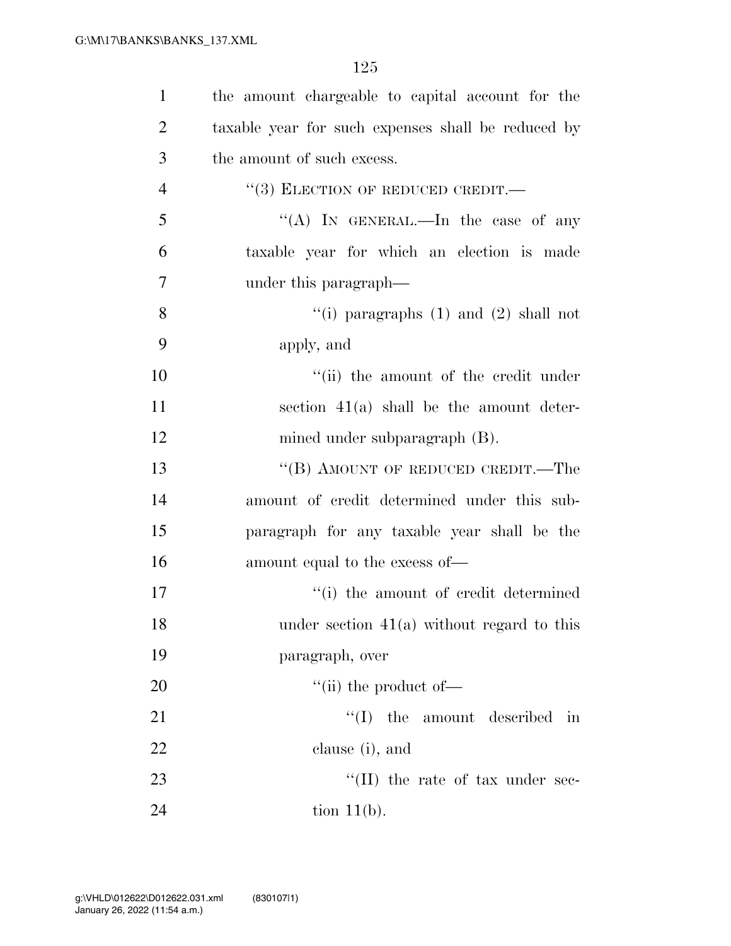| $\mathbf{1}$   | the amount chargeable to capital account for the   |
|----------------|----------------------------------------------------|
| $\overline{2}$ | taxable year for such expenses shall be reduced by |
| 3              | the amount of such excess.                         |
| $\overline{4}$ | $``(3)$ ELECTION OF REDUCED CREDIT.—               |
| 5              | "(A) IN GENERAL.—In the case of any                |
| 6              | taxable year for which an election is made         |
| 7              | under this paragraph—                              |
| 8              | "(i) paragraphs $(1)$ and $(2)$ shall not          |
| 9              | apply, and                                         |
| 10             | "(ii) the amount of the credit under               |
| 11             | section $41(a)$ shall be the amount deter-         |
| 12             | mined under subparagraph (B).                      |
| 13             | "(B) AMOUNT OF REDUCED CREDIT.—The                 |
| 14             | amount of credit determined under this sub-        |
| 15             | paragraph for any taxable year shall be the        |
| 16             | amount equal to the excess of—                     |
| 17             | "(i) the amount of credit determined               |
| 18             | under section $41(a)$ without regard to this       |
| 19             | paragraph, over                                    |
| 20             | $\lq\lq$ (ii) the product of $\lq$                 |
| 21             | ``(I)<br>the amount described in                   |
| 22             | clause (i), and                                    |
| 23             | $\lq\lq$ (II) the rate of tax under sec-           |
| 24             | tion $11(b)$ .                                     |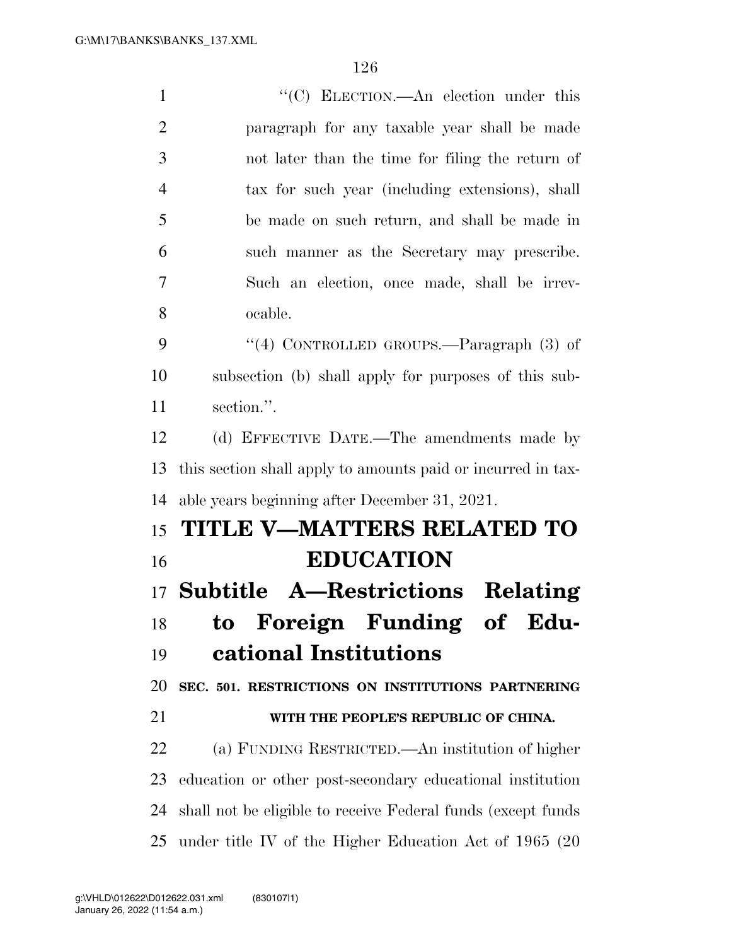$\cdot$  (C) ELECTION.—An election under this paragraph for any taxable year shall be made not later than the time for filing the return of tax for such year (including extensions), shall be made on such return, and shall be made in such manner as the Secretary may prescribe. Such an election, once made, shall be irrev- ocable. 9 "(4) CONTROLLED GROUPS.—Paragraph (3) of subsection (b) shall apply for purposes of this sub- section.''. (d) EFFECTIVE DATE.—The amendments made by this section shall apply to amounts paid or incurred in tax- able years beginning after December 31, 2021. **TITLE V—MATTERS RELATED TO EDUCATION Subtitle A—Restrictions Relating to Foreign Funding of Edu- cational Institutions SEC. 501. RESTRICTIONS ON INSTITUTIONS PARTNERING WITH THE PEOPLE'S REPUBLIC OF CHINA.**  (a) FUNDING RESTRICTED.—An institution of higher education or other post-secondary educational institution shall not be eligible to receive Federal funds (except funds under title IV of the Higher Education Act of 1965 (20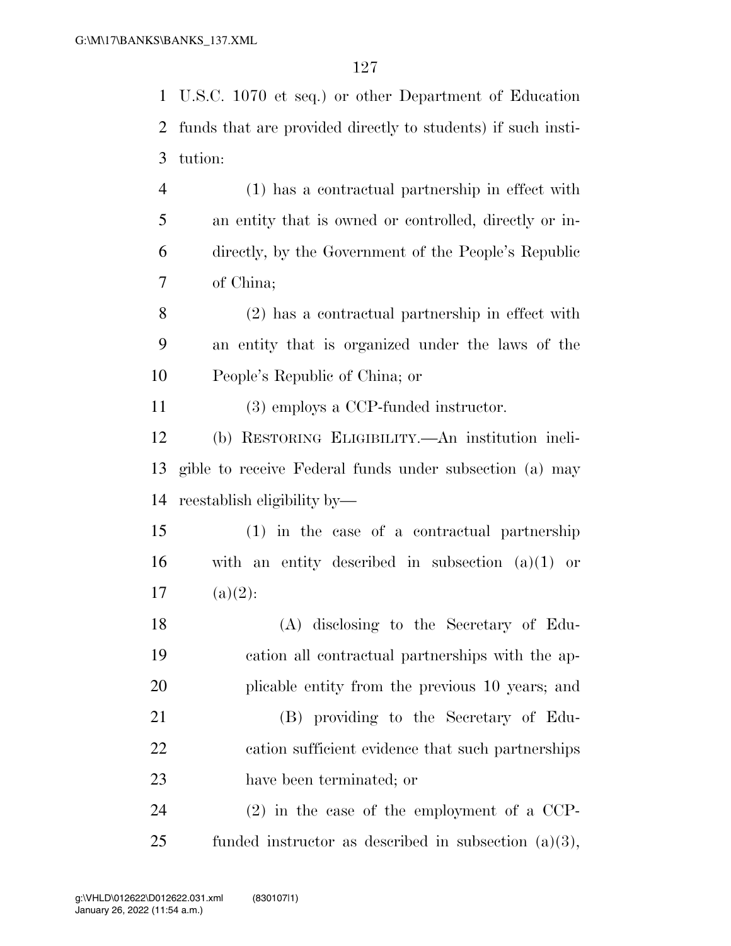U.S.C. 1070 et seq.) or other Department of Education funds that are provided directly to students) if such insti- tution: (1) has a contractual partnership in effect with an entity that is owned or controlled, directly or in-directly, by the Government of the People's Republic

of China;

 (2) has a contractual partnership in effect with an entity that is organized under the laws of the People's Republic of China; or

(3) employs a CCP-funded instructor.

 (b) RESTORING ELIGIBILITY.—An institution ineli- gible to receive Federal funds under subsection (a) may reestablish eligibility by—

 (1) in the case of a contractual partnership with an entity described in subsection (a)(1) or 17  $(a)(2)$ :

 (A) disclosing to the Secretary of Edu- cation all contractual partnerships with the ap-plicable entity from the previous 10 years; and

 (B) providing to the Secretary of Edu- cation sufficient evidence that such partnerships have been terminated; or

 (2) in the case of the employment of a CCP-funded instructor as described in subsection (a)(3),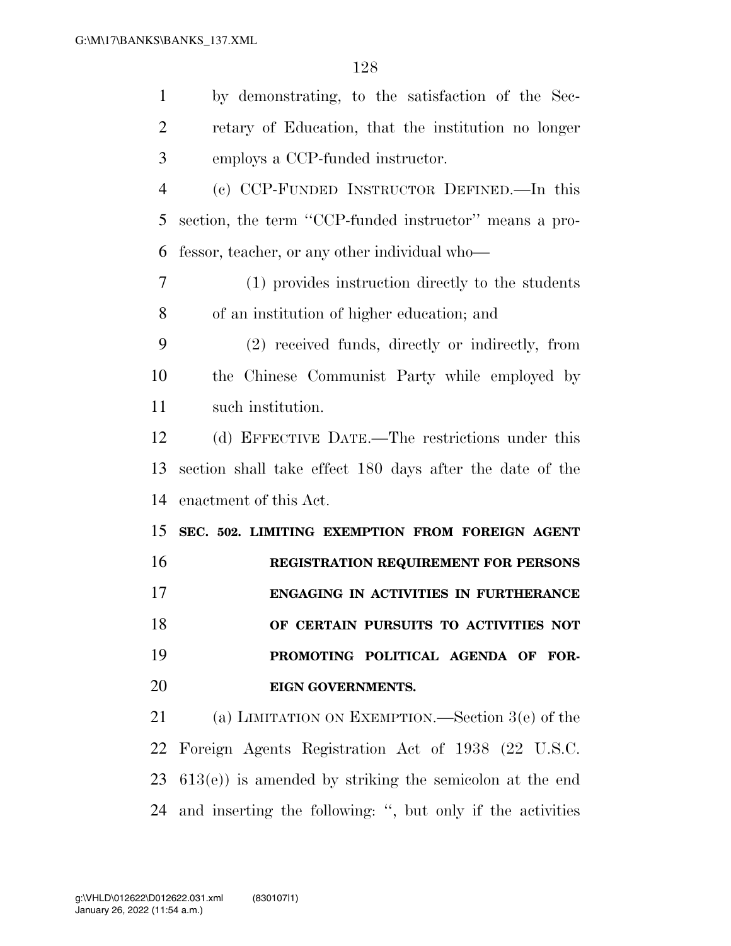| $\mathbf{1}$   | by demonstrating, to the satisfaction of the Sec-          |
|----------------|------------------------------------------------------------|
| $\overline{2}$ | retary of Education, that the institution no longer        |
| 3              | employs a CCP-funded instructor.                           |
| $\overline{4}$ | (c) CCP-FUNDED INSTRUCTOR DEFINED. In this                 |
| 5              | section, the term "CCP-funded instructor" means a pro-     |
| 6              | fessor, teacher, or any other individual who—              |
| 7              | (1) provides instruction directly to the students          |
| 8              | of an institution of higher education; and                 |
| 9              | (2) received funds, directly or indirectly, from           |
| 10             | the Chinese Communist Party while employed by              |
| 11             | such institution.                                          |
| 12             | (d) EFFECTIVE DATE.—The restrictions under this            |
| 13             | section shall take effect 180 days after the date of the   |
| 14             | enactment of this Act.                                     |
|                |                                                            |
| 15             | SEC. 502. LIMITING EXEMPTION FROM FOREIGN AGENT            |
| 16             | REGISTRATION REQUIREMENT FOR PERSONS                       |
| 17             | ENGAGING IN ACTIVITIES IN FURTHERANCE                      |
| 18             | OF CERTAIN PURSUITS TO ACTIVITIES NOT                      |
| 19             | PROMOTING POLITICAL AGENDA OF FOR-                         |
| 20             | EIGN GOVERNMENTS.                                          |
| 21             | (a) LIMITATION ON EXEMPTION.—Section $3(e)$ of the         |
| 22             | Foreign Agents Registration Act of 1938 (22 U.S.C.         |
| 23             | $(613(e))$ is amended by striking the semicolon at the end |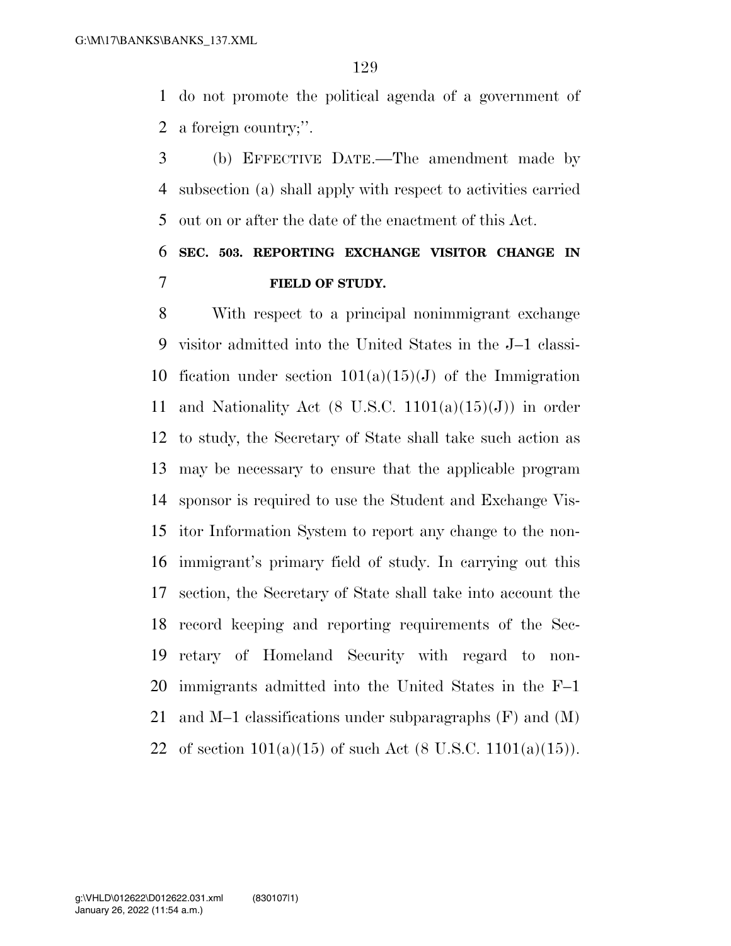do not promote the political agenda of a government of a foreign country;''.

 (b) EFFECTIVE DATE.—The amendment made by subsection (a) shall apply with respect to activities carried out on or after the date of the enactment of this Act.

## **SEC. 503. REPORTING EXCHANGE VISITOR CHANGE IN FIELD OF STUDY.**

 With respect to a principal nonimmigrant exchange visitor admitted into the United States in the J–1 classi-10 fication under section  $101(a)(15)(J)$  of the Immigration 11 and Nationality Act (8 U.S.C.  $1101(a)(15)(J)$ ) in order to study, the Secretary of State shall take such action as may be necessary to ensure that the applicable program sponsor is required to use the Student and Exchange Vis- itor Information System to report any change to the non- immigrant's primary field of study. In carrying out this section, the Secretary of State shall take into account the record keeping and reporting requirements of the Sec- retary of Homeland Security with regard to non- immigrants admitted into the United States in the F–1 and M–1 classifications under subparagraphs (F) and (M) 22 of section  $101(a)(15)$  of such Act  $(8 \text{ U.S.C. } 1101(a)(15)).$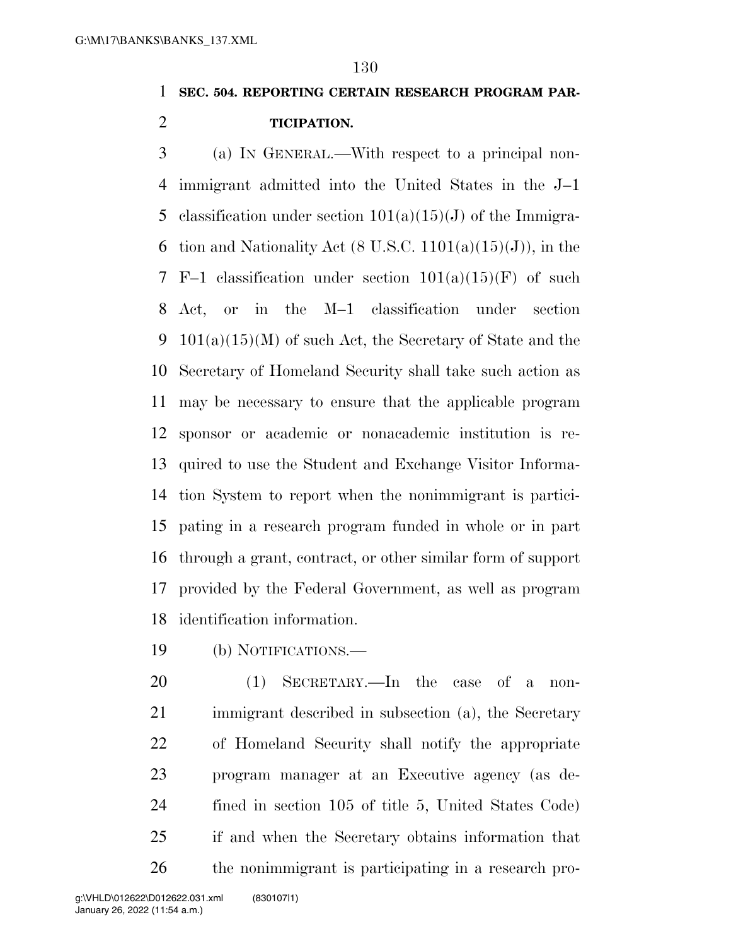### **SEC. 504. REPORTING CERTAIN RESEARCH PROGRAM PAR-**

**TICIPATION.** 

 (a) IN GENERAL.—With respect to a principal non- immigrant admitted into the United States in the J–1 5 classification under section  $101(a)(15)(J)$  of the Immigra-6 tion and Nationality Act  $(8 \text{ U.S.C. } 1101(a)(15)(J))$ , in the 7 F–1 classification under section  $101(a)(15)(F)$  of such Act, or in the M–1 classification under section 9 101(a)(15)(M) of such Act, the Secretary of State and the Secretary of Homeland Security shall take such action as may be necessary to ensure that the applicable program sponsor or academic or nonacademic institution is re- quired to use the Student and Exchange Visitor Informa- tion System to report when the nonimmigrant is partici- pating in a research program funded in whole or in part through a grant, contract, or other similar form of support provided by the Federal Government, as well as program identification information.

(b) NOTIFICATIONS.—

 (1) SECRETARY.—In the case of a non- immigrant described in subsection (a), the Secretary of Homeland Security shall notify the appropriate program manager at an Executive agency (as de- fined in section 105 of title 5, United States Code) if and when the Secretary obtains information that the nonimmigrant is participating in a research pro-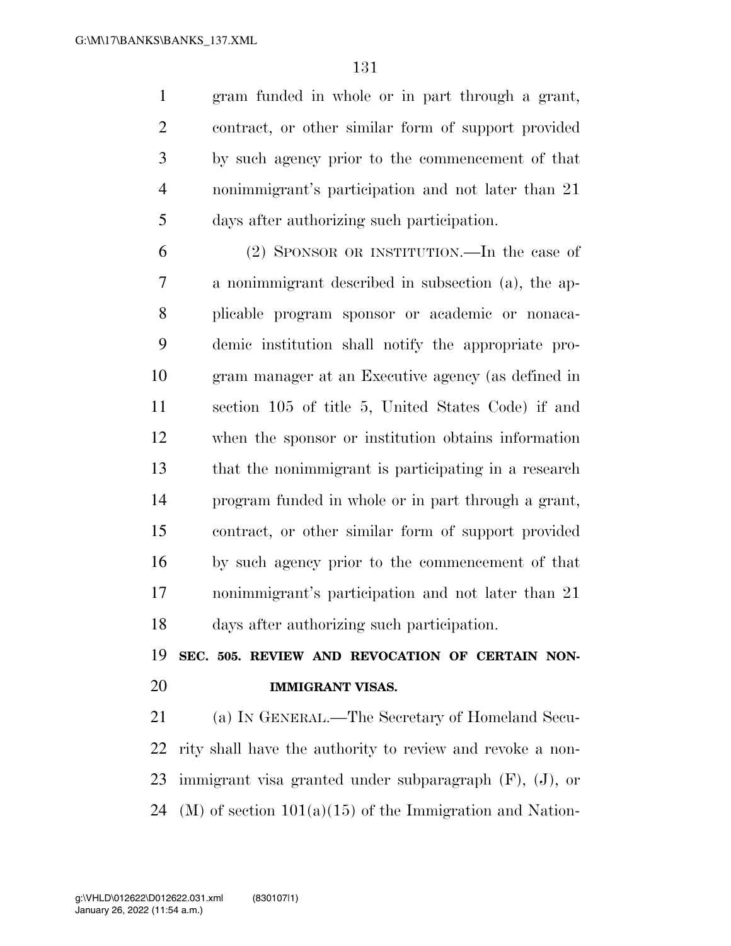gram funded in whole or in part through a grant, contract, or other similar form of support provided by such agency prior to the commencement of that nonimmigrant's participation and not later than 21 days after authorizing such participation.

 (2) SPONSOR OR INSTITUTION.—In the case of a nonimmigrant described in subsection (a), the ap- plicable program sponsor or academic or nonaca- demic institution shall notify the appropriate pro- gram manager at an Executive agency (as defined in section 105 of title 5, United States Code) if and when the sponsor or institution obtains information that the nonimmigrant is participating in a research program funded in whole or in part through a grant, contract, or other similar form of support provided by such agency prior to the commencement of that nonimmigrant's participation and not later than 21 days after authorizing such participation.

 **SEC. 505. REVIEW AND REVOCATION OF CERTAIN NON-IMMIGRANT VISAS.** 

 (a) IN GENERAL.—The Secretary of Homeland Secu- rity shall have the authority to review and revoke a non- immigrant visa granted under subparagraph (F), (J), or 24 (M) of section  $101(a)(15)$  of the Immigration and Nation-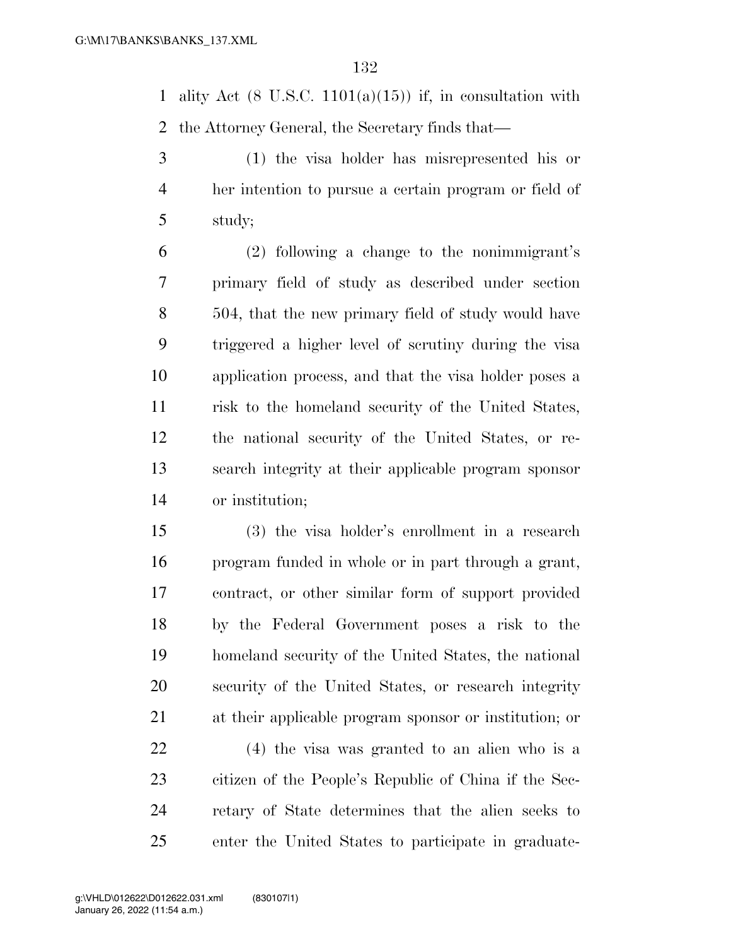1 ality Act  $(8 \text{ U.S.C. } 1101(a)(15))$  if, in consultation with the Attorney General, the Secretary finds that—

 (1) the visa holder has misrepresented his or her intention to pursue a certain program or field of study;

 (2) following a change to the nonimmigrant's primary field of study as described under section 504, that the new primary field of study would have triggered a higher level of scrutiny during the visa application process, and that the visa holder poses a risk to the homeland security of the United States, the national security of the United States, or re- search integrity at their applicable program sponsor or institution;

 (3) the visa holder's enrollment in a research program funded in whole or in part through a grant, contract, or other similar form of support provided by the Federal Government poses a risk to the homeland security of the United States, the national security of the United States, or research integrity at their applicable program sponsor or institution; or

 (4) the visa was granted to an alien who is a citizen of the People's Republic of China if the Sec- retary of State determines that the alien seeks to enter the United States to participate in graduate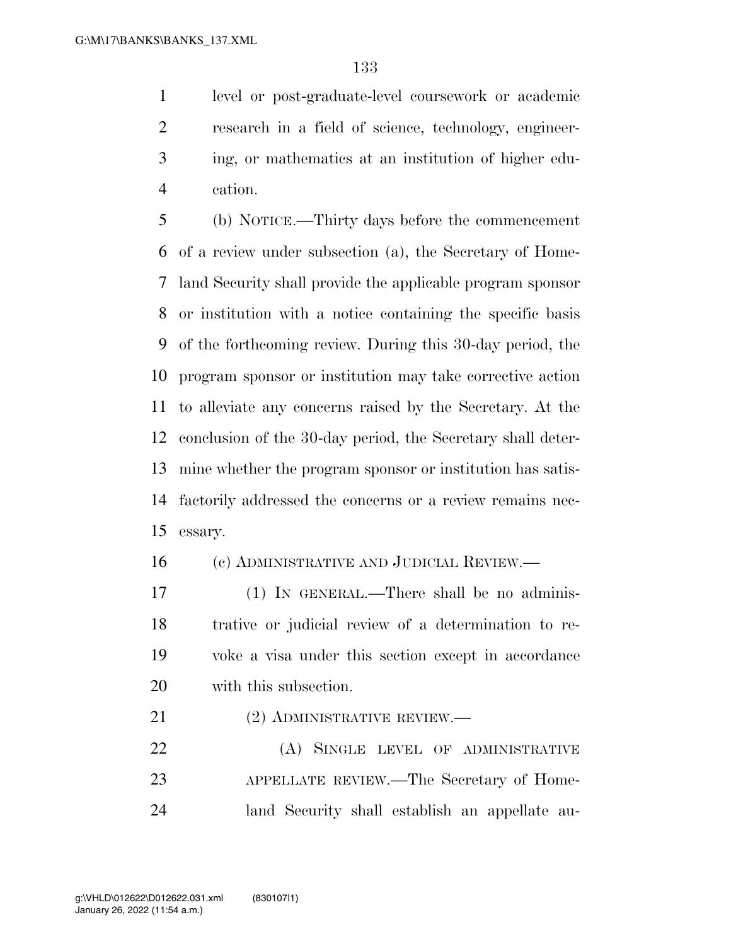level or post-graduate-level coursework or academic research in a field of science, technology, engineer- ing, or mathematics at an institution of higher edu-cation.

 (b) NOTICE.—Thirty days before the commencement of a review under subsection (a), the Secretary of Home- land Security shall provide the applicable program sponsor or institution with a notice containing the specific basis of the forthcoming review. During this 30-day period, the program sponsor or institution may take corrective action to alleviate any concerns raised by the Secretary. At the conclusion of the 30-day period, the Secretary shall deter- mine whether the program sponsor or institution has satis- factorily addressed the concerns or a review remains nec-essary.

(c) ADMINISTRATIVE AND JUDICIAL REVIEW.—

 (1) IN GENERAL.—There shall be no adminis- trative or judicial review of a determination to re- voke a visa under this section except in accordance with this subsection.

21 (2) ADMINISTRATIVE REVIEW.—

22 (A) SINGLE LEVEL OF ADMINISTRATIVE APPELLATE REVIEW.—The Secretary of Home-land Security shall establish an appellate au-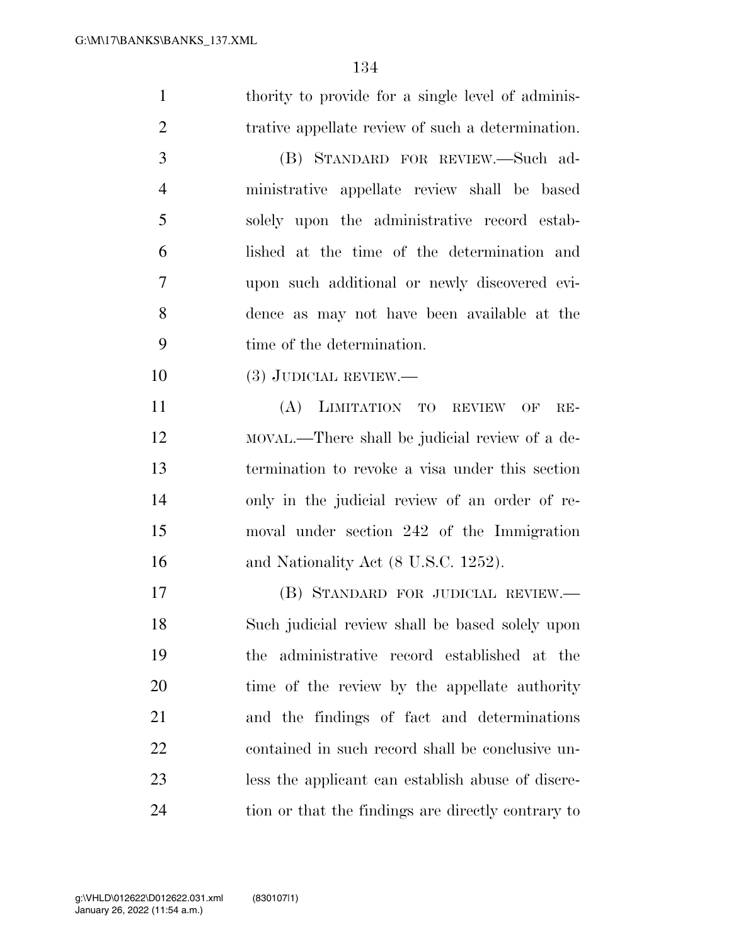| $\mathbf{1}$   | thority to provide for a single level of adminis- |
|----------------|---------------------------------------------------|
| $\overline{2}$ |                                                   |
|                | trative appellate review of such a determination. |
| 3              | (B) STANDARD FOR REVIEW.-Such ad-                 |
| $\overline{4}$ | ministrative appellate review shall be based      |
| 5              | solely upon the administrative record estab-      |
| 6              | lished at the time of the determination and       |
| 7              | upon such additional or newly discovered evi-     |
| 8              | dence as may not have been available at the       |
| 9              | time of the determination.                        |
| 10             | $(3)$ JUDICIAL REVIEW.—                           |
| 11             | (A) LIMITATION TO REVIEW OF<br>$RE-$              |
| 12             | MOVAL.—There shall be judicial review of a de-    |
| 13             | termination to revoke a visa under this section   |
| 14             | only in the judicial review of an order of re-    |
| 15             | moval under section 242 of the Immigration        |
| 16             | and Nationality Act (8 U.S.C. 1252).              |
| 17             | (B) STANDARD FOR JUDICIAL REVIEW.—                |
| 18             | Such judicial review shall be based solely upon   |
| 19             | administrative record established at the<br>the   |
| 20             | time of the review by the appellate authority     |
| 21             | and the findings of fact and determinations       |
| 22             | contained in such record shall be conclusive un-  |
| 23             | less the applicant can establish abuse of discre- |
|                |                                                   |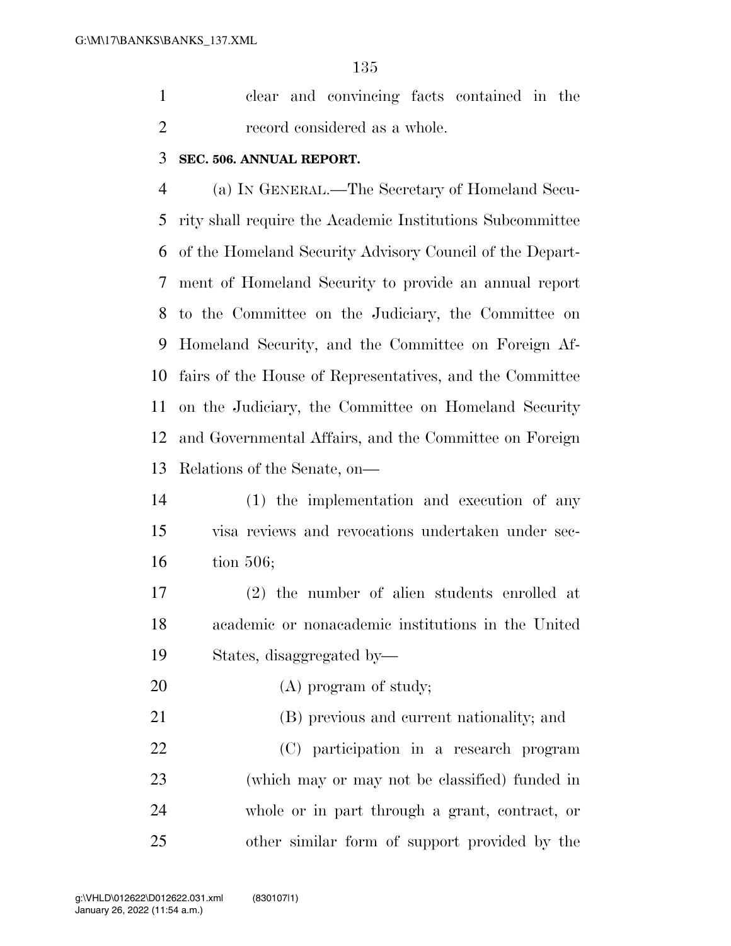clear and convincing facts contained in the record considered as a whole.

#### **SEC. 506. ANNUAL REPORT.**

 (a) IN GENERAL.—The Secretary of Homeland Secu- rity shall require the Academic Institutions Subcommittee of the Homeland Security Advisory Council of the Depart- ment of Homeland Security to provide an annual report to the Committee on the Judiciary, the Committee on Homeland Security, and the Committee on Foreign Af- fairs of the House of Representatives, and the Committee on the Judiciary, the Committee on Homeland Security and Governmental Affairs, and the Committee on Foreign Relations of the Senate, on—

 (1) the implementation and execution of any visa reviews and revocations undertaken under sec-tion 506;

 (2) the number of alien students enrolled at academic or nonacademic institutions in the United States, disaggregated by—

20 (A) program of study;

(B) previous and current nationality; and

 (C) participation in a research program (which may or may not be classified) funded in whole or in part through a grant, contract, or other similar form of support provided by the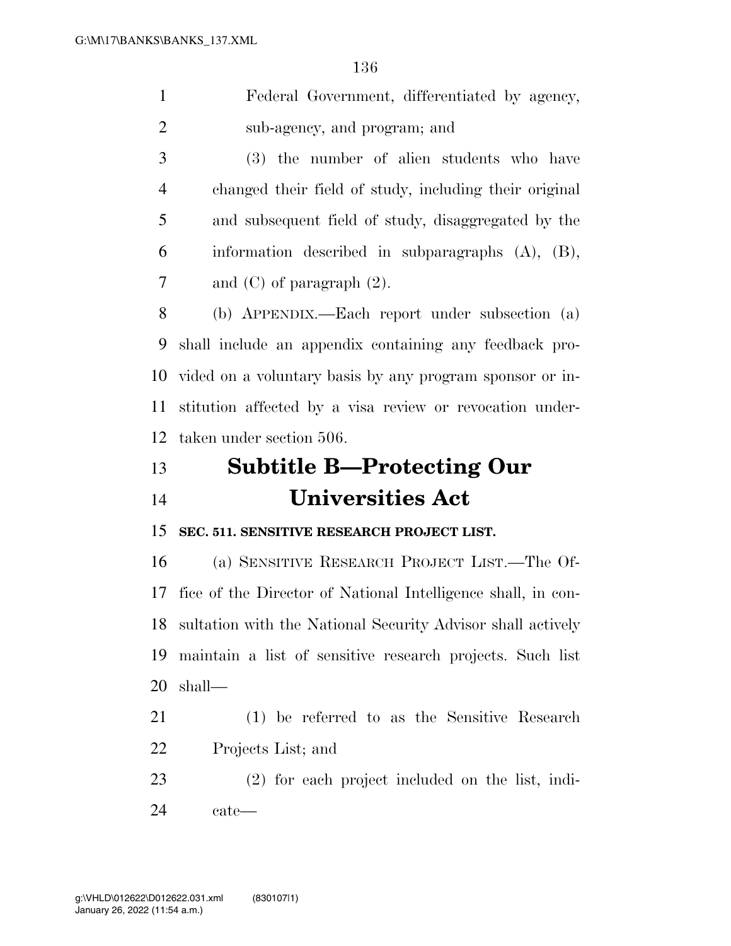Federal Government, differentiated by agency, sub-agency, and program; and

 (3) the number of alien students who have changed their field of study, including their original and subsequent field of study, disaggregated by the information described in subparagraphs (A), (B), and (C) of paragraph (2).

 (b) APPENDIX.—Each report under subsection (a) shall include an appendix containing any feedback pro- vided on a voluntary basis by any program sponsor or in- stitution affected by a visa review or revocation under-taken under section 506.

# **Subtitle B—Protecting Our Universities Act**

**SEC. 511. SENSITIVE RESEARCH PROJECT LIST.** 

 (a) SENSITIVE RESEARCH PROJECT LIST.—The Of- fice of the Director of National Intelligence shall, in con- sultation with the National Security Advisor shall actively maintain a list of sensitive research projects. Such list shall—

- (1) be referred to as the Sensitive Research Projects List; and
- (2) for each project included on the list, indi-cate—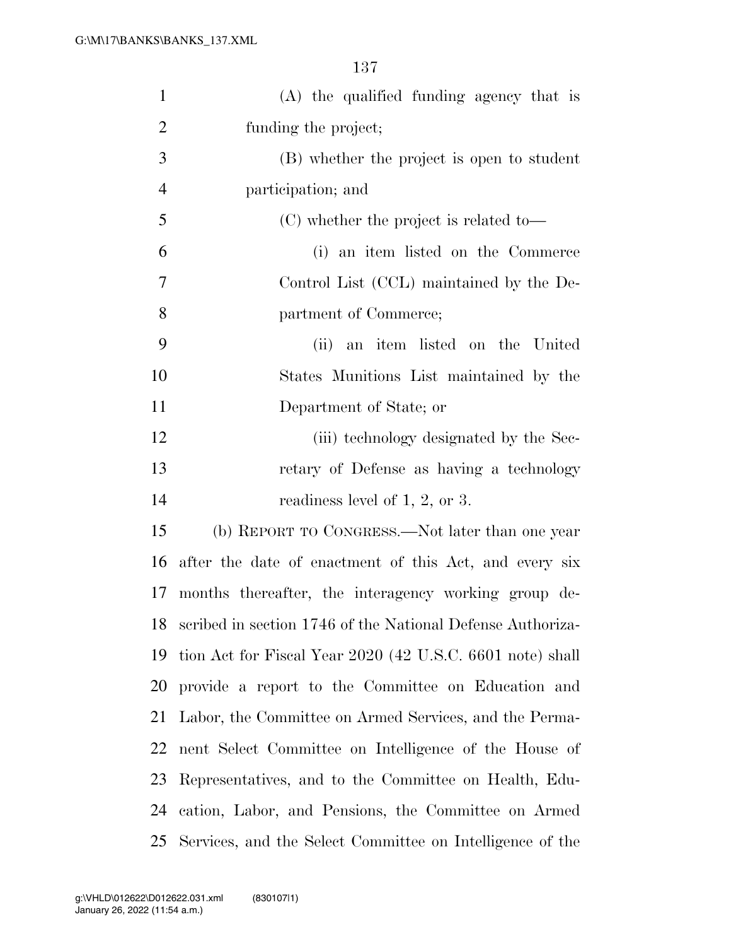| $\mathbf{1}$   | (A) the qualified funding agency that is                   |
|----------------|------------------------------------------------------------|
| $\overline{2}$ | funding the project;                                       |
| 3              | (B) whether the project is open to student                 |
| $\overline{4}$ | participation; and                                         |
| 5              | (C) whether the project is related to-                     |
| 6              | (i) an item listed on the Commerce                         |
| 7              | Control List (CCL) maintained by the De-                   |
| 8              | partment of Commerce;                                      |
| 9              | (ii) an item listed on the United                          |
| 10             | States Munitions List maintained by the                    |
| 11             | Department of State; or                                    |
| 12             | (iii) technology designated by the Sec-                    |
| 13             | retary of Defense as having a technology                   |
| 14             | readiness level of $1, 2$ , or 3.                          |
| 15             | (b) REPORT TO CONGRESS.—Not later than one year            |
| 16             | after the date of enactment of this Act, and every six     |
| 17             | months thereafter, the interagency working group de-       |
| 18             | scribed in section 1746 of the National Defense Authoriza- |
| 19             | tion Act for Fiscal Year 2020 (42 U.S.C. 6601 note) shall  |
| 20             | provide a report to the Committee on Education and         |
| 21             | Labor, the Committee on Armed Services, and the Perma-     |
| 22             | nent Select Committee on Intelligence of the House of      |
| 23             | Representatives, and to the Committee on Health, Edu-      |
| 24             | cation, Labor, and Pensions, the Committee on Armed        |
| 25             | Services, and the Select Committee on Intelligence of the  |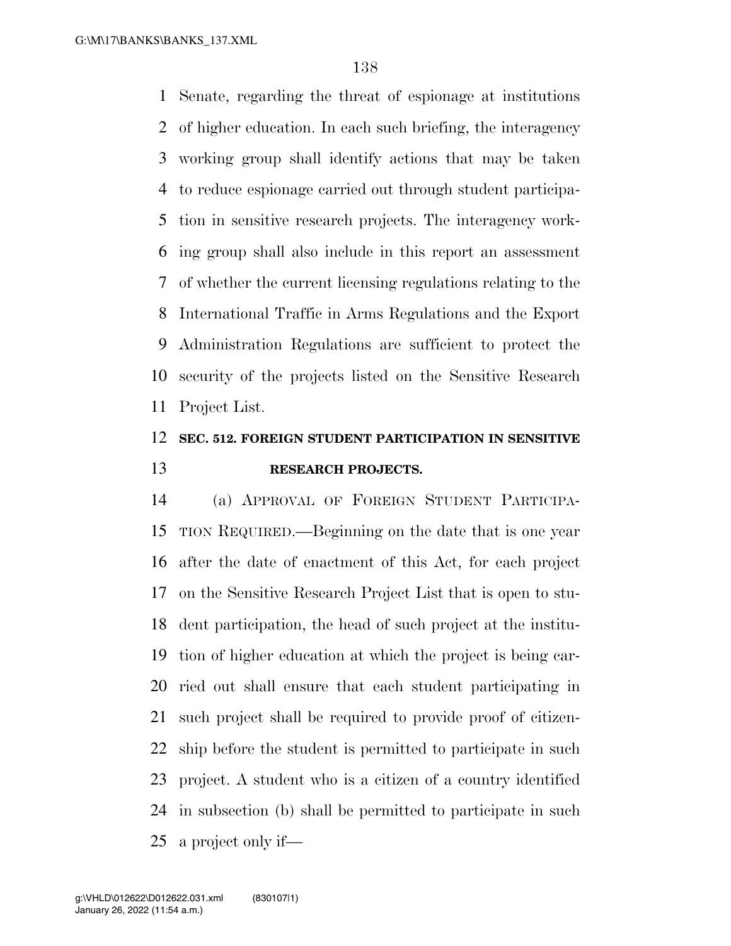Senate, regarding the threat of espionage at institutions of higher education. In each such briefing, the interagency working group shall identify actions that may be taken to reduce espionage carried out through student participa- tion in sensitive research projects. The interagency work- ing group shall also include in this report an assessment of whether the current licensing regulations relating to the International Traffic in Arms Regulations and the Export Administration Regulations are sufficient to protect the security of the projects listed on the Sensitive Research Project List.

## **SEC. 512. FOREIGN STUDENT PARTICIPATION IN SENSITIVE RESEARCH PROJECTS.**

 (a) APPROVAL OF FOREIGN STUDENT PARTICIPA- TION REQUIRED.—Beginning on the date that is one year after the date of enactment of this Act, for each project on the Sensitive Research Project List that is open to stu- dent participation, the head of such project at the institu- tion of higher education at which the project is being car- ried out shall ensure that each student participating in such project shall be required to provide proof of citizen- ship before the student is permitted to participate in such project. A student who is a citizen of a country identified in subsection (b) shall be permitted to participate in such a project only if—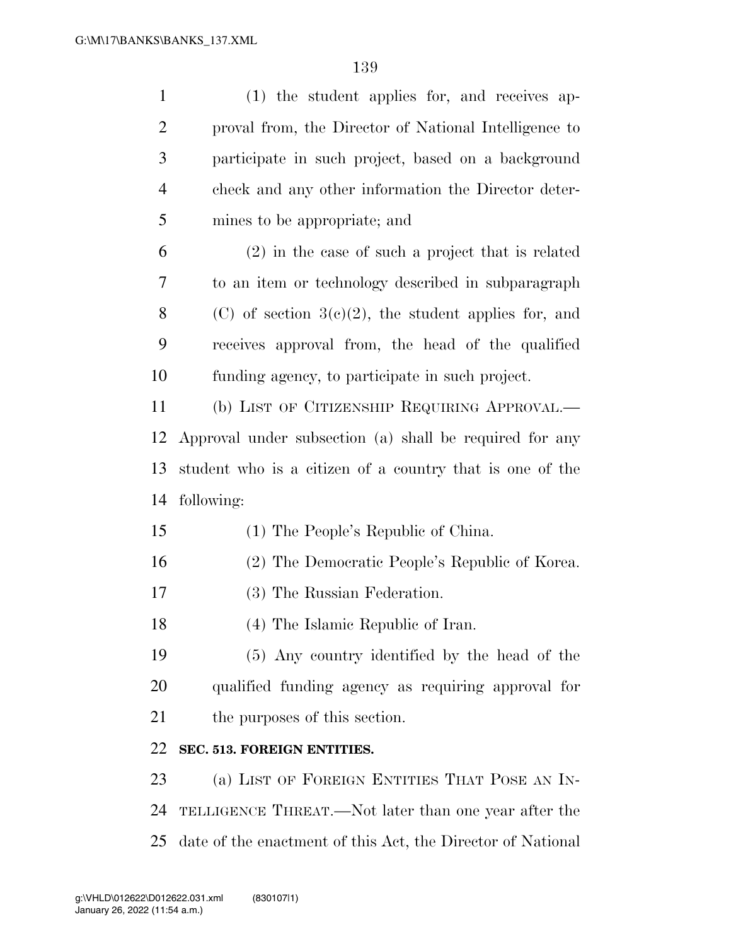| $\mathbf{1}$   | (1) the student applies for, and receives ap-               |
|----------------|-------------------------------------------------------------|
| $\overline{2}$ | proval from, the Director of National Intelligence to       |
| $\mathfrak{Z}$ | participate in such project, based on a background          |
| $\overline{4}$ | check and any other information the Director deter-         |
| 5              | mines to be appropriate; and                                |
| 6              | $(2)$ in the case of such a project that is related         |
| 7              | to an item or technology described in subparagraph          |
| 8              | (C) of section $3(c)(2)$ , the student applies for, and     |
| 9              | receives approval from, the head of the qualified           |
| 10             | funding agency, to participate in such project.             |
| 11             | (b) LIST OF CITIZENSHIP REQUIRING APPROVAL.—                |
| 12             | Approval under subsection (a) shall be required for any     |
| 13             | student who is a citizen of a country that is one of the    |
| 14             | following:                                                  |
| 15             | (1) The People's Republic of China.                         |
| 16             | (2) The Democratic People's Republic of Korea.              |
| 17             | (3) The Russian Federation.                                 |
| 18             | (4) The Islamic Republic of Iran.                           |
| 19             | (5) Any country identified by the head of the               |
| 20             | qualified funding agency as requiring approval for          |
| 21             | the purposes of this section.                               |
| 22             | SEC. 513. FOREIGN ENTITIES.                                 |
| 23             | (a) LIST OF FOREIGN ENTITIES THAT POSE AN IN-               |
| 24             | TELLIGENCE THREAT.—Not later than one year after the        |
| 25             | date of the enactment of this Act, the Director of National |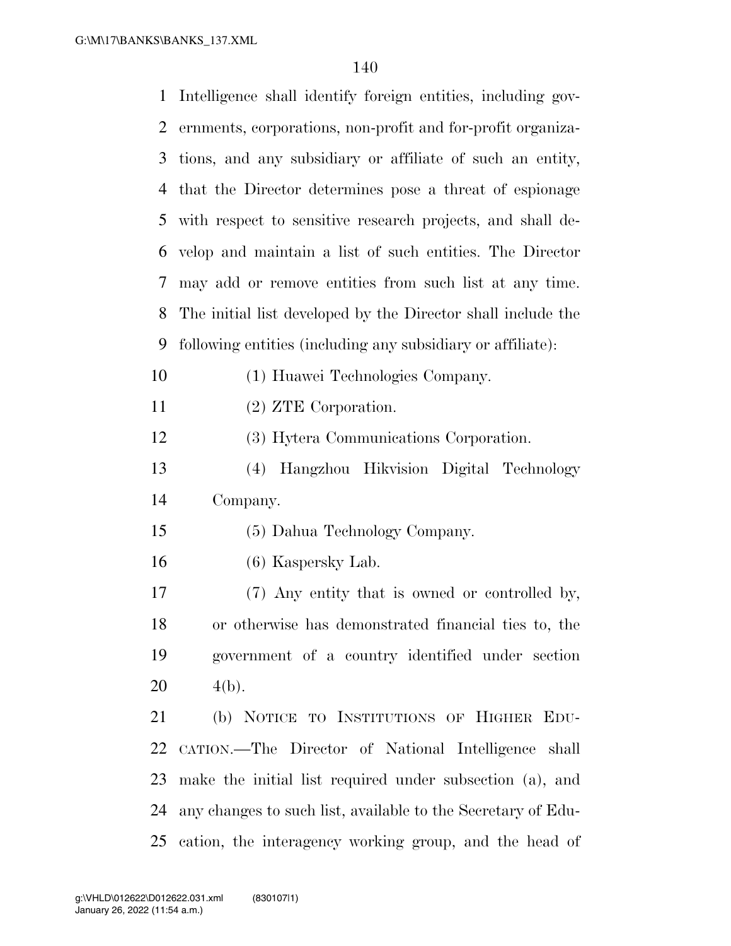| $\mathbf{1}$ | Intelligence shall identify foreign entities, including gov- |
|--------------|--------------------------------------------------------------|
| 2            | ernments, corporations, non-profit and for-profit organiza-  |
| 3            | tions, and any subsidiary or affiliate of such an entity,    |
| 4            | that the Director determines pose a threat of espionage      |
| 5            | with respect to sensitive research projects, and shall de-   |
| 6            | velop and maintain a list of such entities. The Director     |
| 7            | may add or remove entities from such list at any time.       |
| 8            | The initial list developed by the Director shall include the |
| 9            | following entities (including any subsidiary or affiliate):  |
| 10           | (1) Huawei Technologies Company.                             |
| 11           | $(2)$ ZTE Corporation.                                       |
| 12           | (3) Hytera Communications Corporation.                       |
| 13           | (4) Hangzhou Hikvision Digital Technology                    |
| 14           | Company.                                                     |
| 15           | (5) Dahua Technology Company.                                |
| 16           | (6) Kaspersky Lab.                                           |
| 17           | (7) Any entity that is owned or controlled by,               |
| 18           | or otherwise has demonstrated financial ties to, the         |
| 19           | government of a country identified under section             |
| 20           | $4(b)$ .                                                     |
| 21           | (b) NOTICE TO INSTITUTIONS OF HIGHER EDU-                    |
| 22           | CATION.—The Director of National Intelligence shall          |
| 23           | make the initial list required under subsection (a), and     |
| 24           | any changes to such list, available to the Secretary of Edu- |
| 25           | cation, the interagency working group, and the head of       |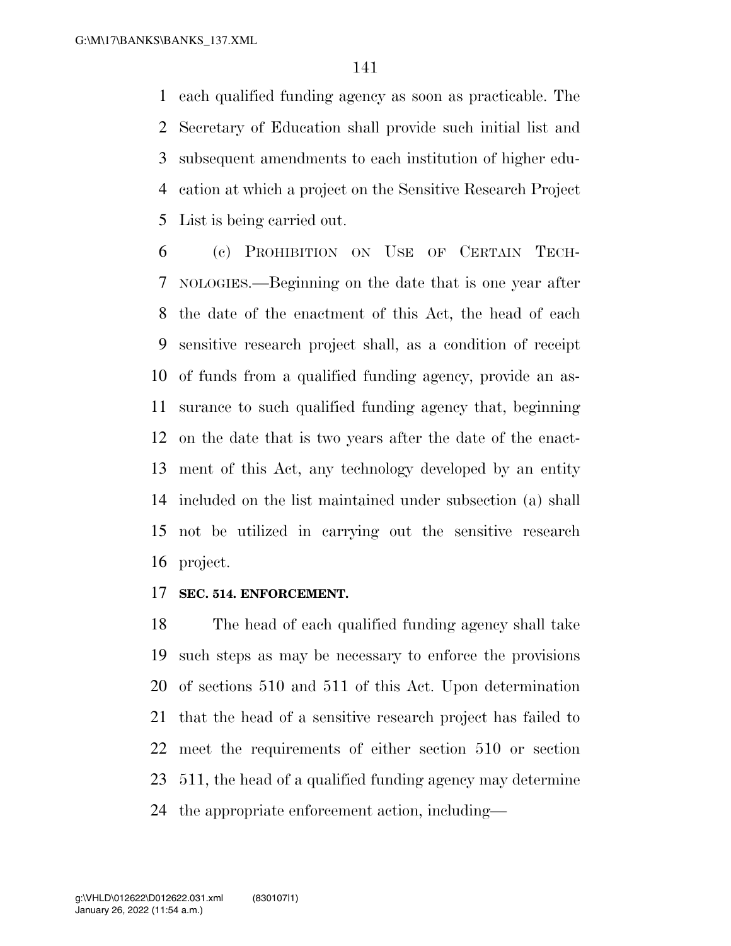each qualified funding agency as soon as practicable. The Secretary of Education shall provide such initial list and subsequent amendments to each institution of higher edu- cation at which a project on the Sensitive Research Project List is being carried out.

 (c) PROHIBITION ON USE OF CERTAIN TECH- NOLOGIES.—Beginning on the date that is one year after the date of the enactment of this Act, the head of each sensitive research project shall, as a condition of receipt of funds from a qualified funding agency, provide an as- surance to such qualified funding agency that, beginning on the date that is two years after the date of the enact- ment of this Act, any technology developed by an entity included on the list maintained under subsection (a) shall not be utilized in carrying out the sensitive research project.

#### **SEC. 514. ENFORCEMENT.**

 The head of each qualified funding agency shall take such steps as may be necessary to enforce the provisions of sections 510 and 511 of this Act. Upon determination that the head of a sensitive research project has failed to meet the requirements of either section 510 or section 511, the head of a qualified funding agency may determine the appropriate enforcement action, including—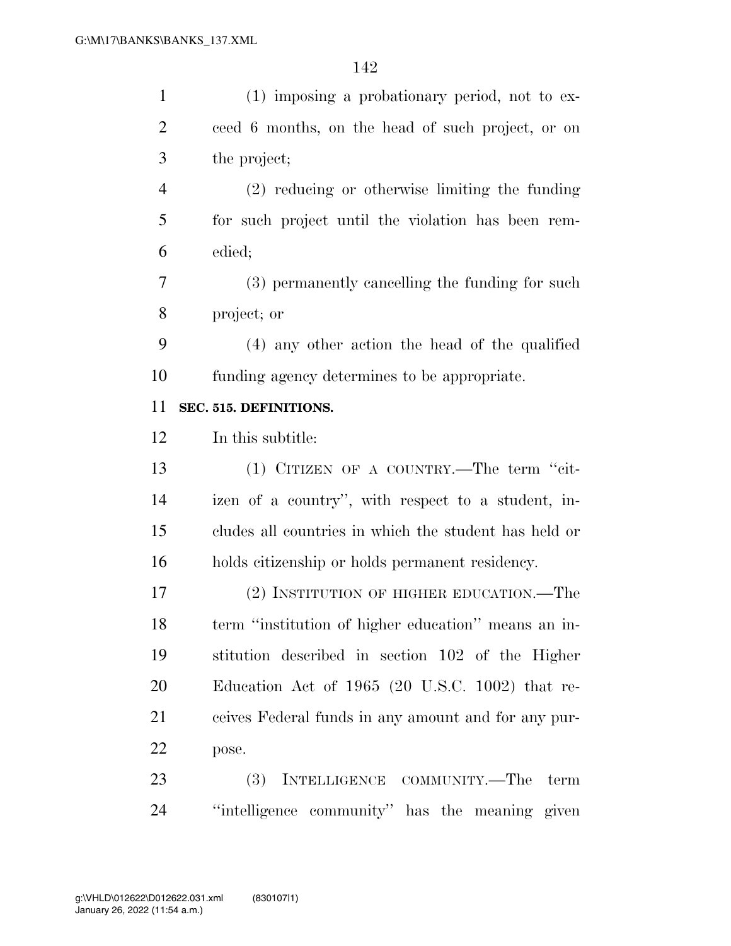| $\mathbf{1}$   | $(1)$ imposing a probationary period, not to ex-      |
|----------------|-------------------------------------------------------|
| $\overline{2}$ | ceed 6 months, on the head of such project, or on     |
| 3              | the project;                                          |
| $\overline{4}$ | $(2)$ reducing or otherwise limiting the funding      |
| 5              | for such project until the violation has been rem-    |
| 6              | edied;                                                |
| 7              | (3) permanently cancelling the funding for such       |
| 8              | project; or                                           |
| 9              | (4) any other action the head of the qualified        |
| 10             | funding agency determines to be appropriate.          |
| 11             | SEC. 515. DEFINITIONS.                                |
| 12             | In this subtitle:                                     |
| 13             | (1) CITIZEN OF A COUNTRY.—The term "cit-              |
| 14             | izen of a country", with respect to a student, in-    |
| 15             | cludes all countries in which the student has held or |
| 16             | holds citizenship or holds permanent residency.       |
| 17             | (2) INSTITUTION OF HIGHER EDUCATION.—The              |
| 18             | term "institution of higher education" means an in-   |
| 19             | stitution described in section 102 of the Higher      |
| 20             | Education Act of $1965$ (20 U.S.C. 1002) that re-     |
| 21             | ceives Federal funds in any amount and for any pur-   |
| 22             | pose.                                                 |
| 23             | (3)<br>INTELLIGENCE COMMUNITY.-The<br>term            |
|                |                                                       |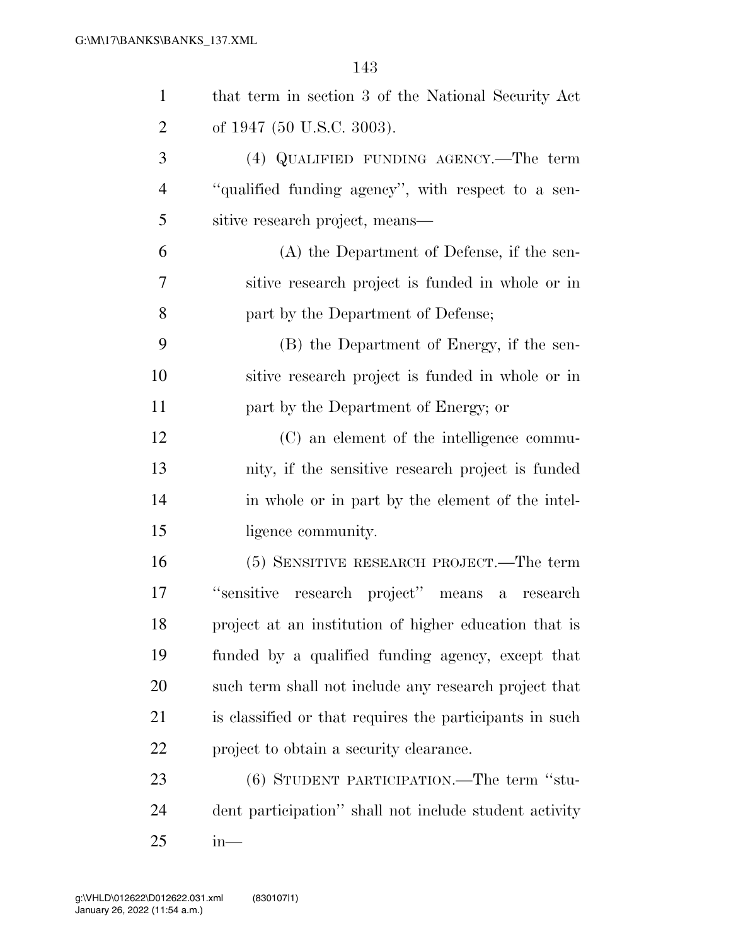| $\mathbf{1}$   | that term in section 3 of the National Security Act     |
|----------------|---------------------------------------------------------|
| $\overline{2}$ | of 1947 (50 U.S.C. 3003).                               |
| 3              | (4) QUALIFIED FUNDING AGENCY.—The term                  |
| $\overline{4}$ | "qualified funding agency", with respect to a sen-      |
| 5              | sitive research project, means—                         |
| 6              | (A) the Department of Defense, if the sen-              |
| 7              | sitive research project is funded in whole or in        |
| 8              | part by the Department of Defense;                      |
| 9              | (B) the Department of Energy, if the sen-               |
| 10             | sitive research project is funded in whole or in        |
| 11             | part by the Department of Energy; or                    |
| 12             | (C) an element of the intelligence commu-               |
| 13             | nity, if the sensitive research project is funded       |
| 14             | in whole or in part by the element of the intel-        |
| 15             | ligence community.                                      |
| 16             | (5) SENSITIVE RESEARCH PROJECT.—The term                |
| 17             | "sensitive research project" means a<br>research        |
| 18             | project at an institution of higher education that is   |
| 19             | funded by a qualified funding agency, except that       |
| 20             | such term shall not include any research project that   |
| 21             | is classified or that requires the participants in such |
| 22             | project to obtain a security clearance.                 |
| 23             | (6) STUDENT PARTICIPATION.—The term "stu-               |
| 24             | dent participation" shall not include student activity  |
| 25             | $in-$                                                   |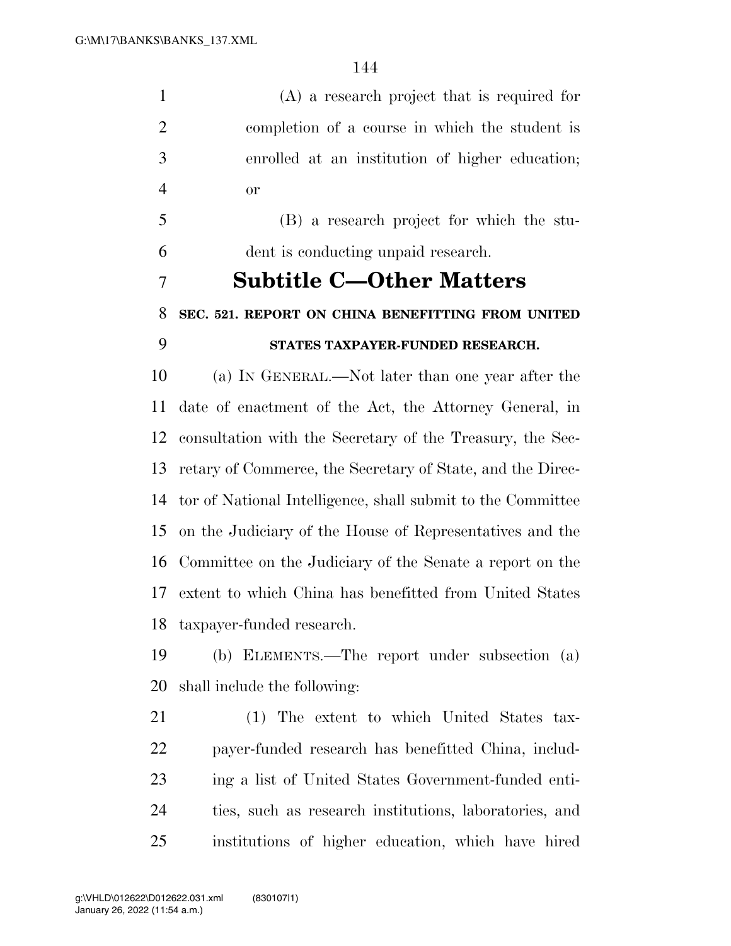(A) a research project that is required for completion of a course in which the student is enrolled at an institution of higher education; or

 (B) a research project for which the stu-dent is conducting unpaid research.

### **Subtitle C—Other Matters**

## **SEC. 521. REPORT ON CHINA BENEFITTING FROM UNITED STATES TAXPAYER-FUNDED RESEARCH.**

 (a) IN GENERAL.—Not later than one year after the date of enactment of the Act, the Attorney General, in consultation with the Secretary of the Treasury, the Sec- retary of Commerce, the Secretary of State, and the Direc- tor of National Intelligence, shall submit to the Committee on the Judiciary of the House of Representatives and the Committee on the Judiciary of the Senate a report on the extent to which China has benefitted from United States taxpayer-funded research.

 (b) ELEMENTS.—The report under subsection (a) shall include the following:

 (1) The extent to which United States tax- payer-funded research has benefitted China, includ- ing a list of United States Government-funded enti- ties, such as research institutions, laboratories, and institutions of higher education, which have hired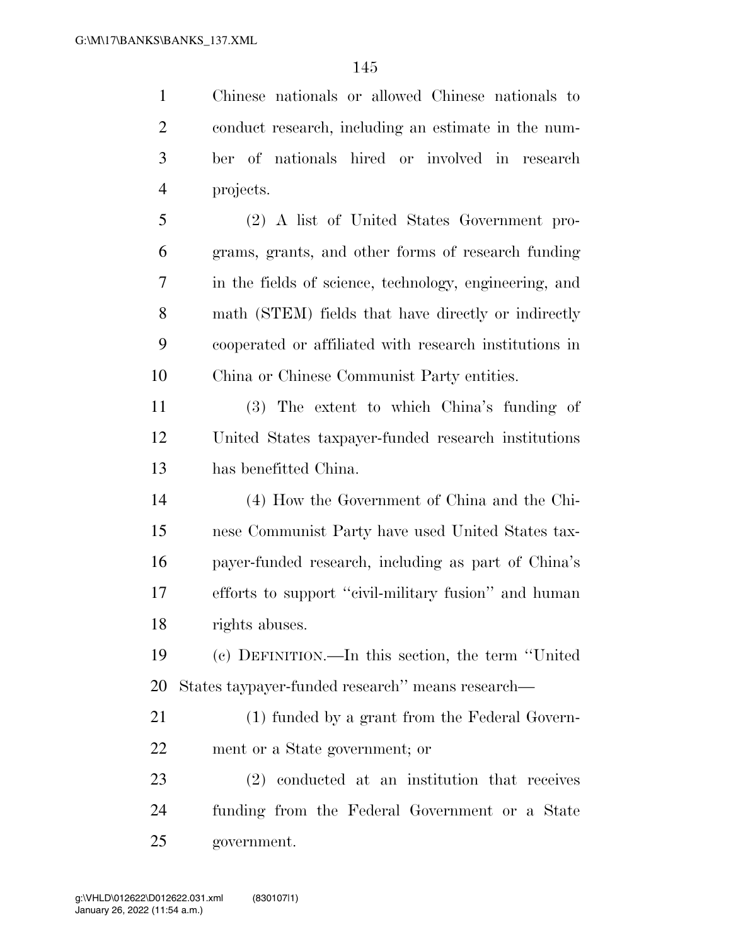Chinese nationals or allowed Chinese nationals to conduct research, including an estimate in the num- ber of nationals hired or involved in research projects.

 (2) A list of United States Government pro- grams, grants, and other forms of research funding in the fields of science, technology, engineering, and math (STEM) fields that have directly or indirectly cooperated or affiliated with research institutions in China or Chinese Communist Party entities.

 (3) The extent to which China's funding of United States taxpayer-funded research institutions has benefitted China.

 (4) How the Government of China and the Chi- nese Communist Party have used United States tax- payer-funded research, including as part of China's efforts to support ''civil-military fusion'' and human rights abuses.

 (c) DEFINITION.—In this section, the term ''United States taypayer-funded research'' means research—

 (1) funded by a grant from the Federal Govern-ment or a State government; or

 (2) conducted at an institution that receives funding from the Federal Government or a State government.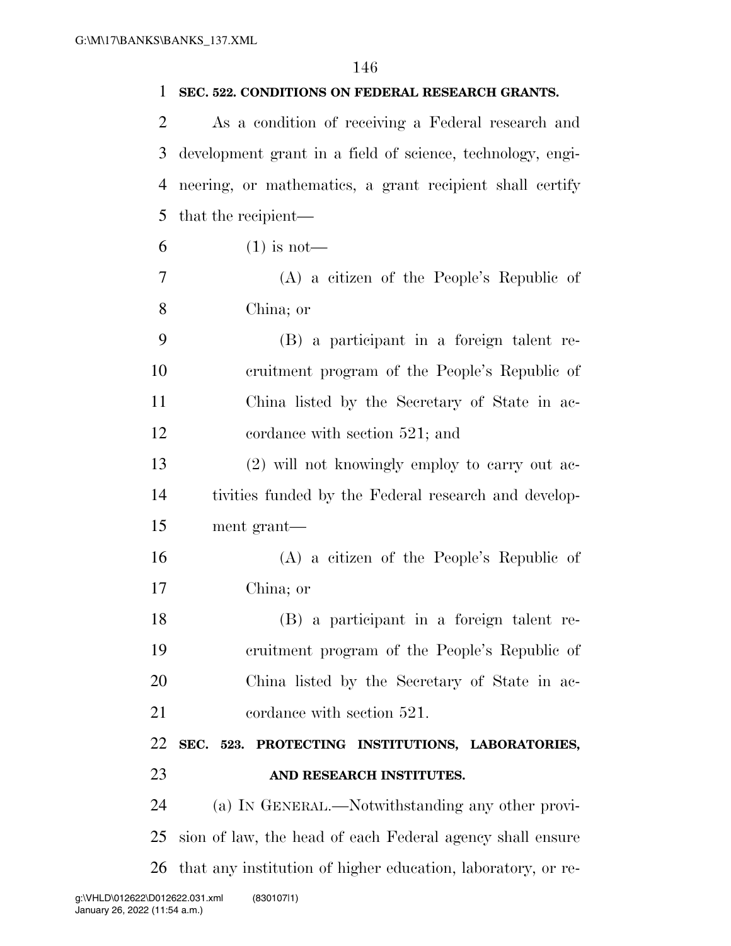| 1  | SEC. 522. CONDITIONS ON FEDERAL RESEARCH GRANTS.             |
|----|--------------------------------------------------------------|
| 2  | As a condition of receiving a Federal research and           |
| 3  | development grant in a field of science, technology, engi-   |
| 4  | neering, or mathematics, a grant recipient shall certify     |
| 5  | that the recipient—                                          |
| 6  | $(1)$ is not—                                                |
| 7  | $(A)$ a citizen of the People's Republic of                  |
| 8  | China; or                                                    |
| 9  | (B) a participant in a foreign talent re-                    |
| 10 | cruitment program of the People's Republic of                |
| 11 | China listed by the Secretary of State in ac-                |
| 12 | cordance with section 521; and                               |
| 13 | (2) will not knowingly employ to carry out ac-               |
| 14 | tivities funded by the Federal research and develop-         |
| 15 | ment grant—                                                  |
| 16 | $(A)$ a citizen of the People's Republic of                  |
| 17 | China; or                                                    |
| 18 | (B) a participant in a foreign talent re-                    |
| 19 | eruitment program of the People's Republic of                |
| 20 | China listed by the Secretary of State in ac-                |
| 21 | cordance with section 521.                                   |
| 22 | SEC. 523. PROTECTING INSTITUTIONS, LABORATORIES,             |
| 23 | AND RESEARCH INSTITUTES.                                     |
| 24 | (a) IN GENERAL.—Notwithstanding any other provi-             |
| 25 | sion of law, the head of each Federal agency shall ensure    |
| 26 | that any institution of higher education, laboratory, or re- |
|    |                                                              |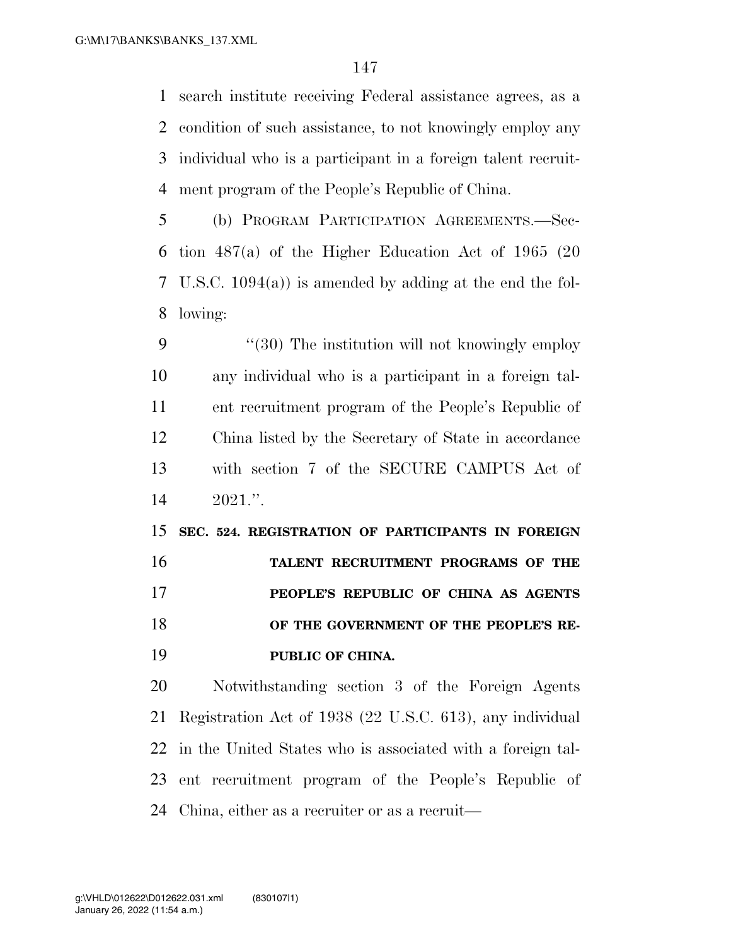search institute receiving Federal assistance agrees, as a condition of such assistance, to not knowingly employ any individual who is a participant in a foreign talent recruit-ment program of the People's Republic of China.

 (b) PROGRAM PARTICIPATION AGREEMENTS.—Sec- tion 487(a) of the Higher Education Act of 1965 (20 U.S.C. 1094(a)) is amended by adding at the end the fol-lowing:

9 "(30) The institution will not knowingly employ any individual who is a participant in a foreign tal- ent recruitment program of the People's Republic of China listed by the Secretary of State in accordance with section 7 of the SECURE CAMPUS Act of 2021.''.

 **SEC. 524. REGISTRATION OF PARTICIPANTS IN FOREIGN TALENT RECRUITMENT PROGRAMS OF THE PEOPLE'S REPUBLIC OF CHINA AS AGENTS OF THE GOVERNMENT OF THE PEOPLE'S RE-PUBLIC OF CHINA.** 

 Notwithstanding section 3 of the Foreign Agents Registration Act of 1938 (22 U.S.C. 613), any individual in the United States who is associated with a foreign tal- ent recruitment program of the People's Republic of China, either as a recruiter or as a recruit—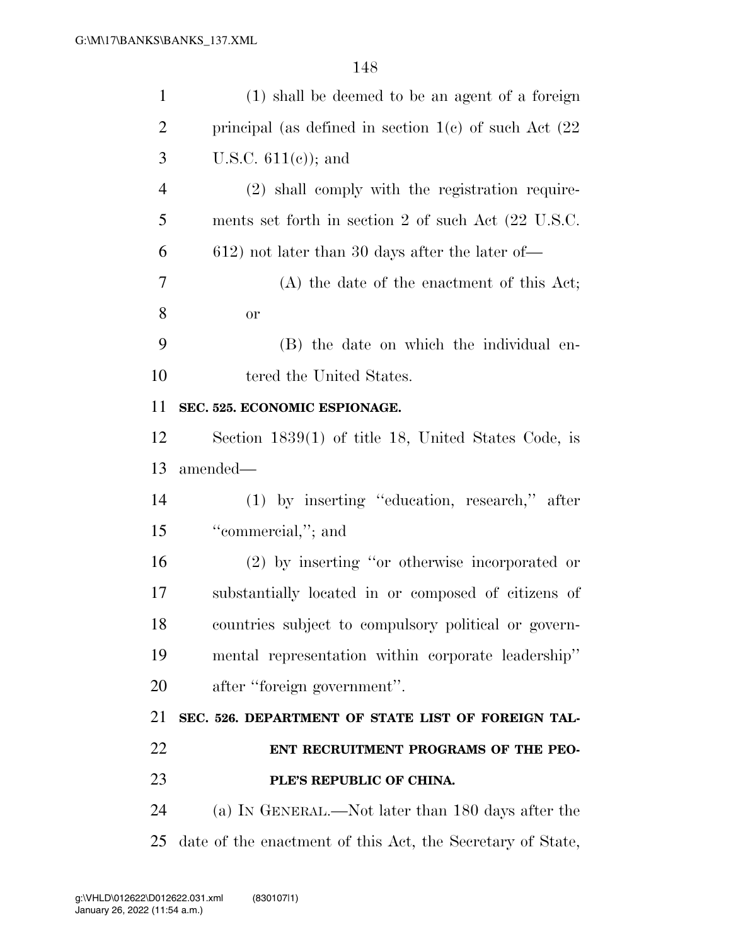| $\mathbf{1}$   | (1) shall be deemed to be an agent of a foreign            |
|----------------|------------------------------------------------------------|
| $\overline{c}$ | principal (as defined in section $1(e)$ of such Act $(22)$ |
| 3              | U.S.C. $611(e)$ ; and                                      |
| $\overline{4}$ | (2) shall comply with the registration require-            |
| 5              | ments set forth in section 2 of such Act (22 U.S.C.        |
| 6              | $612$ ) not later than 30 days after the later of-         |
| 7              | $(A)$ the date of the enactment of this Act;               |
| 8              | or                                                         |
| 9              | (B) the date on which the individual en-                   |
| 10             | tered the United States.                                   |
| 11             | SEC. 525. ECONOMIC ESPIONAGE.                              |
| 12             | Section $1839(1)$ of title 18, United States Code, is      |
| 13             | amended—                                                   |
| 14             | (1) by inserting "education, research," after              |
|                |                                                            |
| 15             | "commercial,"; and                                         |
| 16             | (2) by inserting "or otherwise incorporated or             |
| 17             | substantially located in or composed of citizens of        |
| 18             | countries subject to compulsory political or govern-       |
| 19             | mental representation within corporate leadership"         |
| 20             | after "foreign government".                                |
| 21             | SEC. 526. DEPARTMENT OF STATE LIST OF FOREIGN TAL-         |
| 22             | ENT RECRUITMENT PROGRAMS OF THE PEO-                       |
| 23             | PLE'S REPUBLIC OF CHINA.                                   |
| 24             | (a) IN GENERAL.—Not later than 180 days after the          |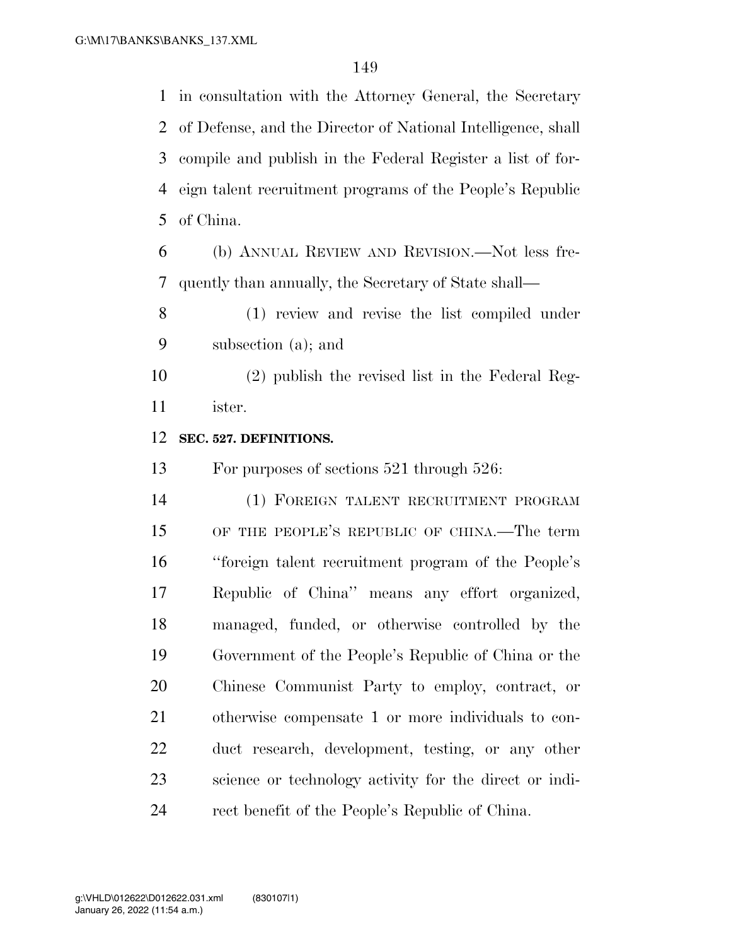in consultation with the Attorney General, the Secretary of Defense, and the Director of National Intelligence, shall compile and publish in the Federal Register a list of for- eign talent recruitment programs of the People's Republic of China.

 (b) ANNUAL REVIEW AND REVISION.—Not less fre-quently than annually, the Secretary of State shall—

 (1) review and revise the list compiled under subsection (a); and

 (2) publish the revised list in the Federal Reg-ister.

## **SEC. 527. DEFINITIONS.**

For purposes of sections 521 through 526:

 (1) FOREIGN TALENT RECRUITMENT PROGRAM OF THE PEOPLE'S REPUBLIC OF CHINA.—The term ''foreign talent recruitment program of the People's Republic of China'' means any effort organized, managed, funded, or otherwise controlled by the Government of the People's Republic of China or the Chinese Communist Party to employ, contract, or otherwise compensate 1 or more individuals to con- duct research, development, testing, or any other science or technology activity for the direct or indi-rect benefit of the People's Republic of China.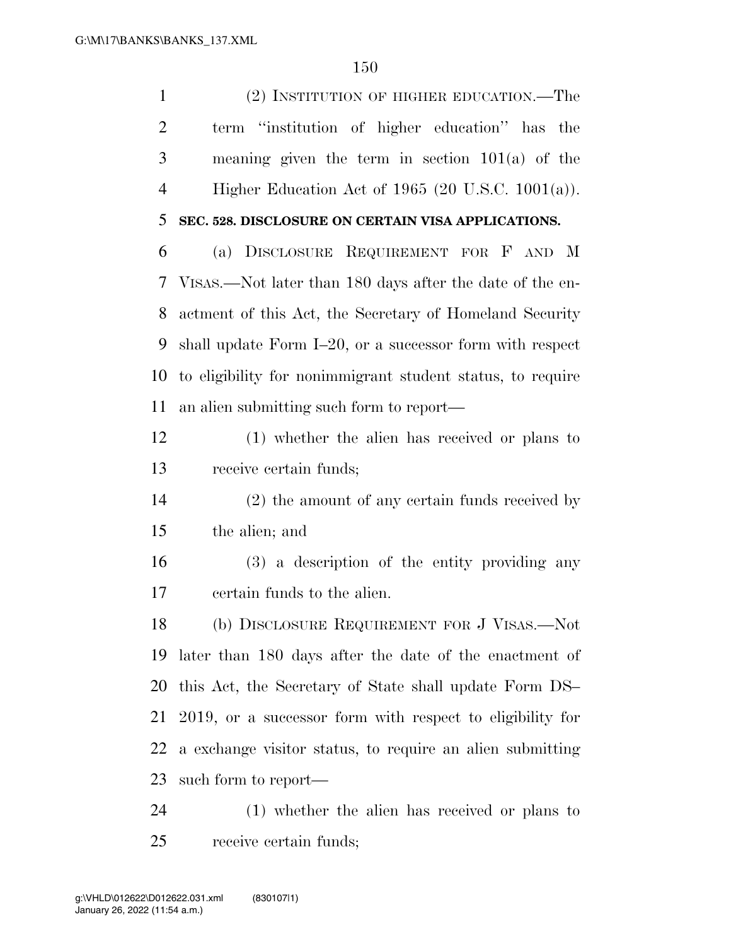(2) INSTITUTION OF HIGHER EDUCATION.—The

 term ''institution of higher education'' has the meaning given the term in section 101(a) of the Higher Education Act of 1965 (20 U.S.C. 1001(a)). **SEC. 528. DISCLOSURE ON CERTAIN VISA APPLICATIONS.**  (a) DISCLOSURE REQUIREMENT FOR F AND M VISAS.—Not later than 180 days after the date of the en- actment of this Act, the Secretary of Homeland Security shall update Form I–20, or a successor form with respect to eligibility for nonimmigrant student status, to require an alien submitting such form to report— (1) whether the alien has received or plans to receive certain funds; (2) the amount of any certain funds received by the alien; and (3) a description of the entity providing any certain funds to the alien. (b) DISCLOSURE REQUIREMENT FOR J VISAS.—Not later than 180 days after the date of the enactment of this Act, the Secretary of State shall update Form DS– 2019, or a successor form with respect to eligibility for a exchange visitor status, to require an alien submitting such form to report— (1) whether the alien has received or plans to

receive certain funds;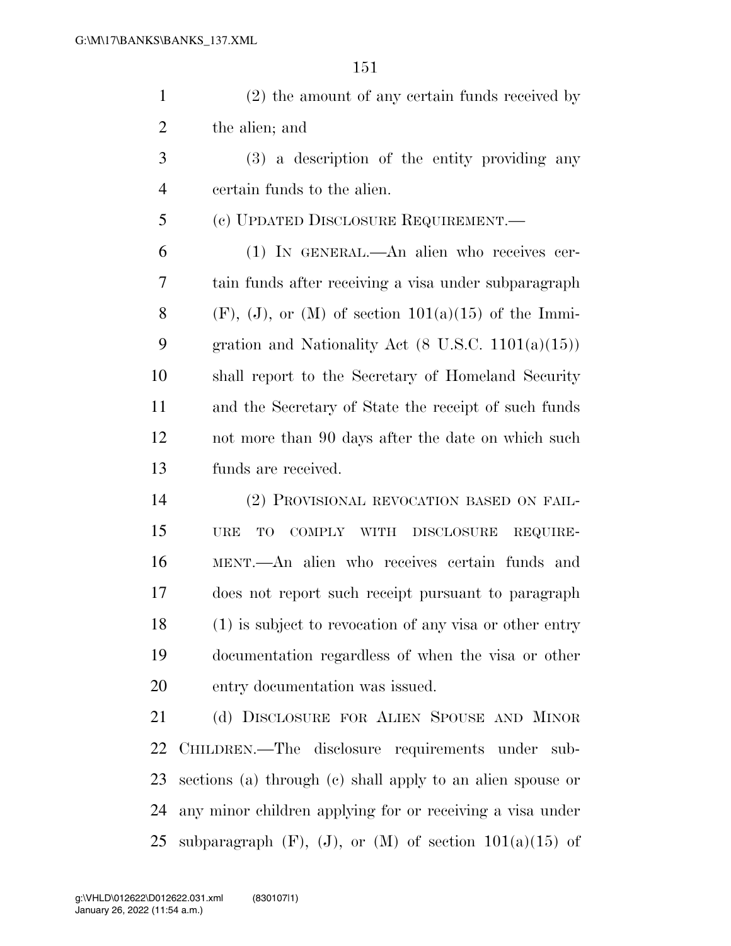(2) the amount of any certain funds received by the alien; and

 (3) a description of the entity providing any certain funds to the alien.

(c) UPDATED DISCLOSURE REQUIREMENT.—

 (1) IN GENERAL.—An alien who receives cer- tain funds after receiving a visa under subparagraph 8 (F), (J), or (M) of section  $101(a)(15)$  of the Immi- gration and Nationality Act (8 U.S.C. 1101(a)(15)) shall report to the Secretary of Homeland Security and the Secretary of State the receipt of such funds not more than 90 days after the date on which such funds are received.

 (2) PROVISIONAL REVOCATION BASED ON FAIL- URE TO COMPLY WITH DISCLOSURE REQUIRE- MENT.—An alien who receives certain funds and does not report such receipt pursuant to paragraph (1) is subject to revocation of any visa or other entry documentation regardless of when the visa or other entry documentation was issued.

 (d) DISCLOSURE FOR ALIEN SPOUSE AND MINOR CHILDREN.—The disclosure requirements under sub- sections (a) through (c) shall apply to an alien spouse or any minor children applying for or receiving a visa under 25 subparagraph  $(F)$ ,  $(J)$ , or  $(M)$  of section  $101(a)(15)$  of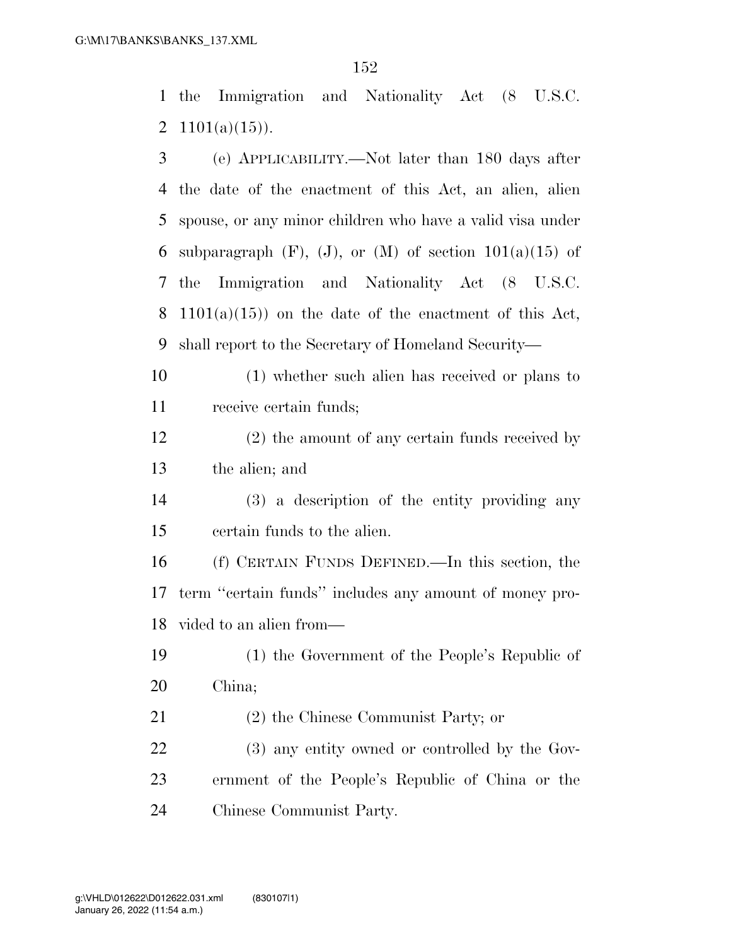the Immigration and Nationality Act (8 U.S.C. 2  $1101(a)(15)$ .

| 3  | (e) APPLICABILITY.—Not later than 180 days after                 |
|----|------------------------------------------------------------------|
| 4  | the date of the enactment of this Act, an alien, alien           |
| 5  | spouse, or any minor children who have a valid visa under        |
| 6  | subparagraph $(F)$ , $(J)$ , or $(M)$ of section $101(a)(15)$ of |
| 7  | the Immigration and Nationality Act (8 U.S.C.                    |
| 8  | $1101(a)(15)$ on the date of the enactment of this Act,          |
| 9  | shall report to the Secretary of Homeland Security—              |
| 10 | (1) whether such alien has received or plans to                  |
| 11 | receive certain funds;                                           |
| 12 | $(2)$ the amount of any certain funds received by                |
| 13 | the alien; and                                                   |
| 14 | (3) a description of the entity providing any                    |
| 15 | certain funds to the alien.                                      |
| 16 | (f) CERTAIN FUNDS DEFINED.—In this section, the                  |
| 17 | term "certain funds" includes any amount of money pro-           |
| 18 | vided to an alien from—                                          |
| 19 | (1) the Government of the People's Republic of                   |
| 20 | China;                                                           |
| 21 | $(2)$ the Chinese Communist Party; or                            |
| 22 | (3) any entity owned or controlled by the Gov-                   |
| 23 | ernment of the People's Republic of China or the                 |
| 24 | Chinese Communist Party.                                         |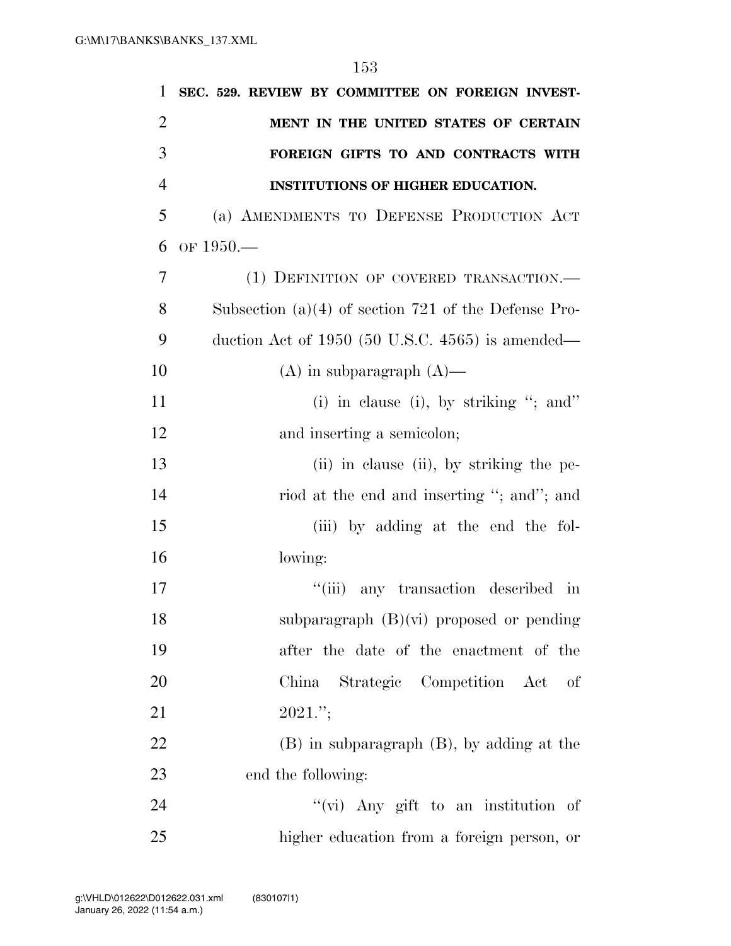| 1              | SEC. 529. REVIEW BY COMMITTEE ON FOREIGN INVEST-               |
|----------------|----------------------------------------------------------------|
| $\overline{2}$ | MENT IN THE UNITED STATES OF CERTAIN                           |
| 3              | FOREIGN GIFTS TO AND CONTRACTS WITH                            |
| $\overline{4}$ | <b>INSTITUTIONS OF HIGHER EDUCATION.</b>                       |
| 5              | (a) AMENDMENTS TO DEFENSE PRODUCTION ACT                       |
| 6              | OF $1950-$                                                     |
| 7              | (1) DEFINITION OF COVERED TRANSACTION.                         |
| 8              | Subsection (a) $(4)$ of section 721 of the Defense Pro-        |
| 9              | duction Act of $1950$ (50 U.S.C. $4565$ ) is amended—          |
| 10             | $(A)$ in subparagraph $(A)$ —                                  |
| 11             | (i) in clause (i), by striking "; and"                         |
| 12             | and inserting a semicolon;                                     |
| 13             | (ii) in clause (ii), by striking the pe-                       |
| 14             | riod at the end and inserting "; and"; and                     |
| 15             | (iii) by adding at the end the fol-                            |
| 16             | lowing:                                                        |
| 17             | ``(iii)<br>any transaction described<br>$\overline{\text{in}}$ |
| 18             | subparagraph $(B)(vi)$ proposed or pending                     |
| 19             | after the date of the enactment of the                         |
| 20             | Strategic Competition Act<br>China<br>-of                      |
| 21             | $2021$ .";                                                     |
| 22             | $(B)$ in subparagraph $(B)$ , by adding at the                 |
| 23             | end the following:                                             |
| 24             | "(vi) Any gift to an institution of                            |
| 25             | higher education from a foreign person, or                     |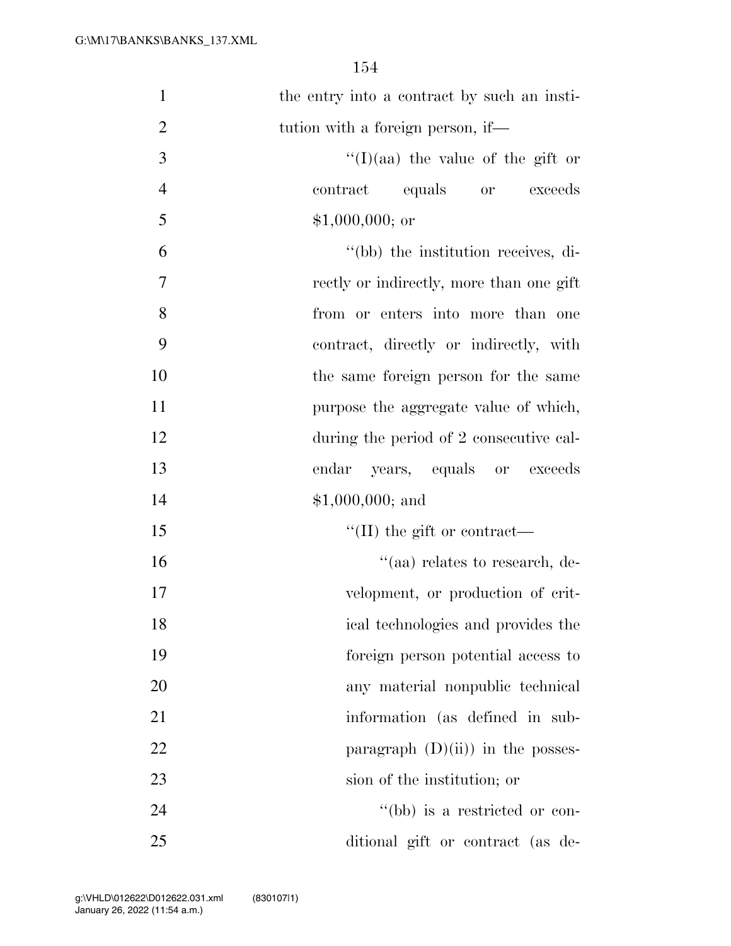| $\mathbf{1}$   | the entry into a contract by such an insti- |
|----------------|---------------------------------------------|
| $\overline{2}$ | tution with a foreign person, if—           |
| 3              | $\lq(1)(aa)$ the value of the gift or       |
| $\overline{4}$ | contract<br>equals or<br>exceeds            |
| 5              | $$1,000,000;$ or                            |
| 6              | "(bb) the institution receives, di-         |
| $\overline{7}$ | rectly or indirectly, more than one gift    |
| 8              | from or enters into more than one           |
| 9              | contract, directly or indirectly, with      |
| 10             | the same foreign person for the same        |
| 11             | purpose the aggregate value of which,       |
| 12             | during the period of 2 consecutive cal-     |
| 13             | years, equals or exceeds<br>endar           |
| 14             | $$1,000,000;$ and                           |
| 15             | $\lq\lq$ (II) the gift or contract—         |
| 16             | "(aa) relates to research, de-              |
| 17             | velopment, or production of crit-           |
| 18             | ical technologies and provides the          |
| 19             | foreign person potential access to          |
| 20             | any material nonpublic technical            |
| 21             | information (as defined in sub-             |
| 22             | paragraph $(D)(ii)$ in the posses-          |
| 23             | sion of the institution; or                 |
| 24             | "(bb) is a restricted or con-               |
| 25             | ditional gift or contract (as de-           |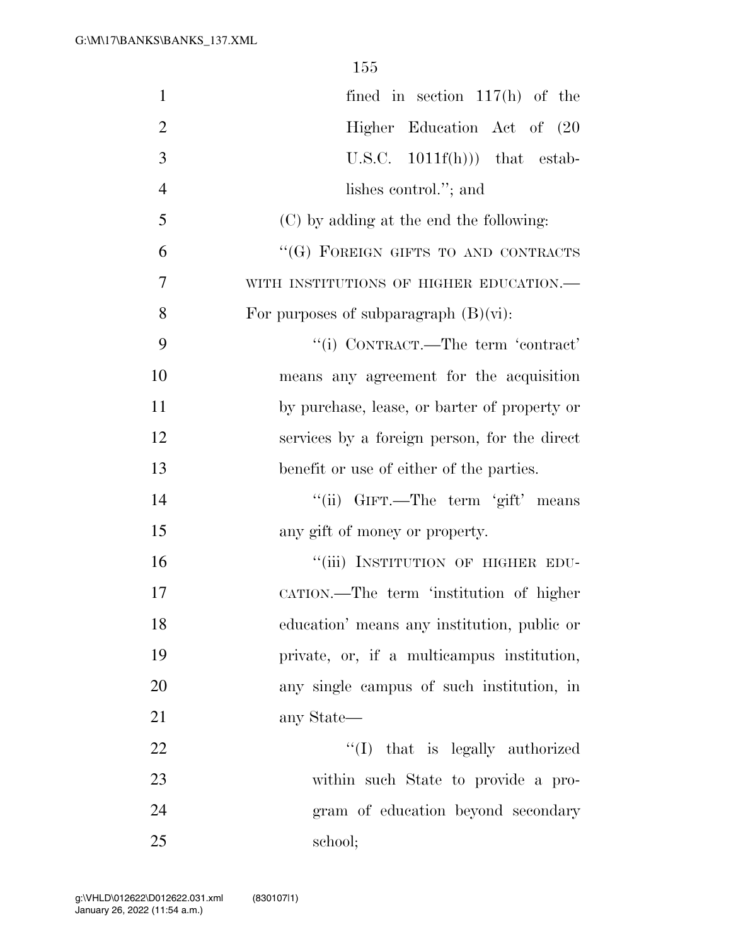| $\mathbf{1}$   | fined in section $117(h)$ of the             |
|----------------|----------------------------------------------|
| $\overline{2}$ | Higher Education Act of (20                  |
| 3              | U.S.C. $1011f(h))$ that estab-               |
| $\overline{4}$ | lishes control."; and                        |
| 5              | (C) by adding at the end the following:      |
| 6              | "(G) FOREIGN GIFTS TO AND CONTRACTS          |
| 7              | WITH INSTITUTIONS OF HIGHER EDUCATION.-      |
| 8              | For purposes of subparagraph $(B)(vi)$ :     |
| 9              | "(i) CONTRACT.—The term 'contract'           |
| 10             | means any agreement for the acquisition      |
| 11             | by purchase, lease, or barter of property or |
| 12             | services by a foreign person, for the direct |
| 13             | benefit or use of either of the parties.     |
| 14             | "(ii) GIFT.—The term 'gift' means            |
| 15             | any gift of money or property.               |
| 16             | "(iii) INSTITUTION OF HIGHER EDU-            |
| 17             | CATION.—The term 'institution of higher      |
| 18             | education' means any institution, public or  |
| 19             | private, or, if a multicampus institution,   |
| 20             | any single campus of such institution, in    |
| 21             | any State—                                   |
| 22             | "(I) that is legally authorized              |
| 23             | within such State to provide a pro-          |
| 24             | gram of education beyond secondary           |
| 25             | school;                                      |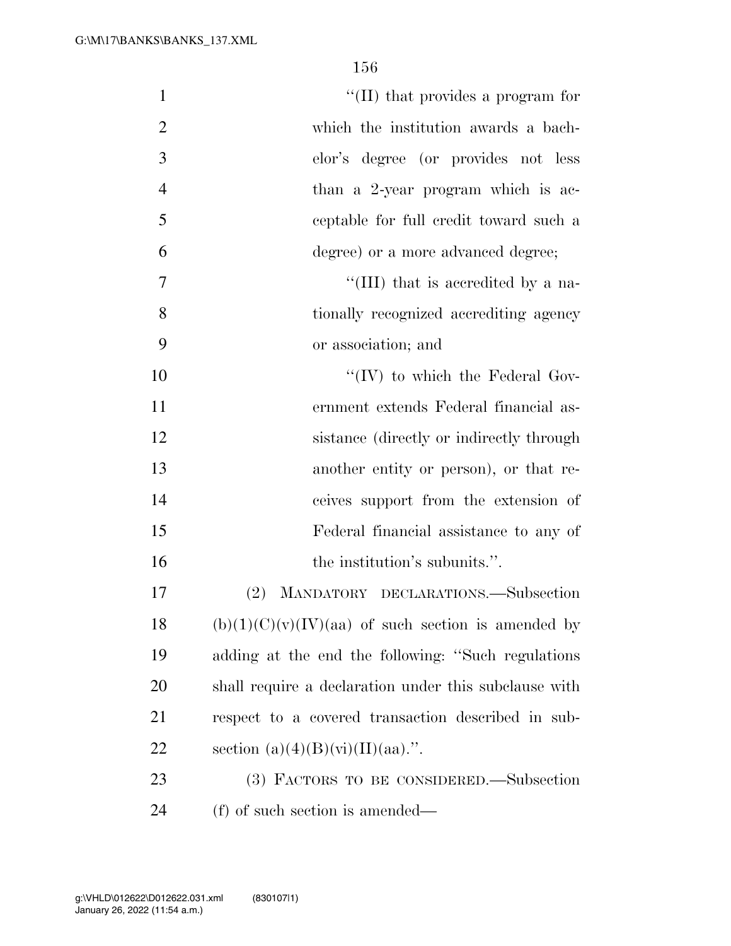| $\mathbf{1}$   | "(II) that provides a program for                     |
|----------------|-------------------------------------------------------|
| $\overline{2}$ | which the institution awards a bach-                  |
| 3              | elor's degree (or provides not less                   |
| $\overline{4}$ | than a 2-year program which is ac-                    |
| 5              | ceptable for full credit toward such a                |
| 6              | degree) or a more advanced degree;                    |
| 7              | "(III) that is accredited by a na-                    |
| 8              | tionally recognized accrediting agency                |
| 9              | or association; and                                   |
| 10             | $\lq\lq (IV)$ to which the Federal Gov-               |
| 11             | ernment extends Federal financial as-                 |
| 12             | sistance (directly or indirectly through)             |
| 13             | another entity or person), or that re-                |
| 14             | ceives support from the extension of                  |
| 15             | Federal financial assistance to any of                |
| 16             | the institution's subunits.".                         |
| 17             | MANDATORY DECLARATIONS.-Subsection<br>$(2)^{-}$       |
| 18             | $(b)(1)(C)(v)(IV)(aa)$ of such section is amended by  |
| 19             | adding at the end the following: "Such regulations"   |
| 20             | shall require a declaration under this subclause with |
| 21             | respect to a covered transaction described in sub-    |
| 22             | section $(a)(4)(B)(vi)(II)(aa)$ .".                   |
| 23             | (3) FACTORS TO BE CONSIDERED.—Subsection              |
| 24             | (f) of such section is amended—                       |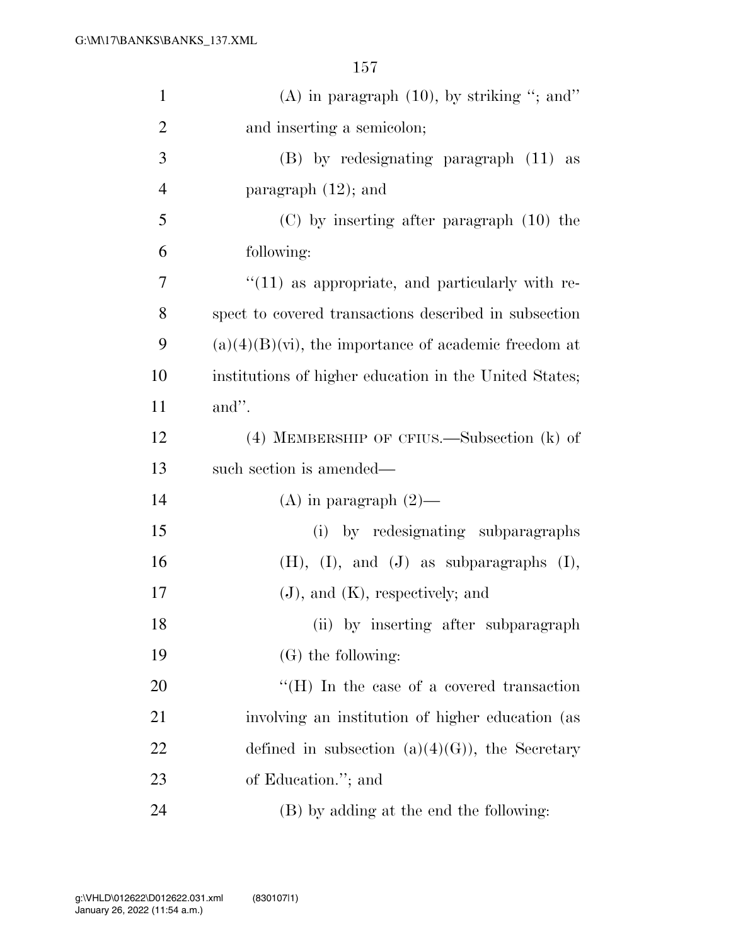| $\mathbf{1}$   | (A) in paragraph $(10)$ , by striking "; and"                |
|----------------|--------------------------------------------------------------|
| $\overline{2}$ | and inserting a semicolon;                                   |
| 3              | (B) by redesignating paragraph (11) as                       |
| 4              | paragraph $(12)$ ; and                                       |
| 5              | $(C)$ by inserting after paragraph $(10)$ the                |
| 6              | following:                                                   |
| 7              | $"(11)$ as appropriate, and particularly with re-            |
| 8              | spect to covered transactions described in subsection        |
| 9              | $(a)(4)(B)(\dot{v})$ , the importance of academic freedom at |
| 10             | institutions of higher education in the United States;       |
| 11             | and".                                                        |
| 12             | $(4)$ MEMBERSHIP OF CFIUS.—Subsection $(k)$ of               |
| 13             | such section is amended—                                     |
| 14             | $(A)$ in paragraph $(2)$ —                                   |
| 15             | (i) by redesignating subparagraphs                           |
| 16             | $(H), (I), and (J)$ as subparagraphs $(I),$                  |
| 17             | $(J)$ , and $(K)$ , respectively; and                        |
| 18             | (ii) by inserting after subparagraph                         |
| 19             | $(G)$ the following:                                         |
| 20             | $\lq\lq$ . In the case of a covered transaction              |
| 21             | involving an institution of higher education (as             |
| 22             | defined in subsection $(a)(4)(G)$ , the Secretary            |
| 23             | of Education."; and                                          |
| 24             | (B) by adding at the end the following:                      |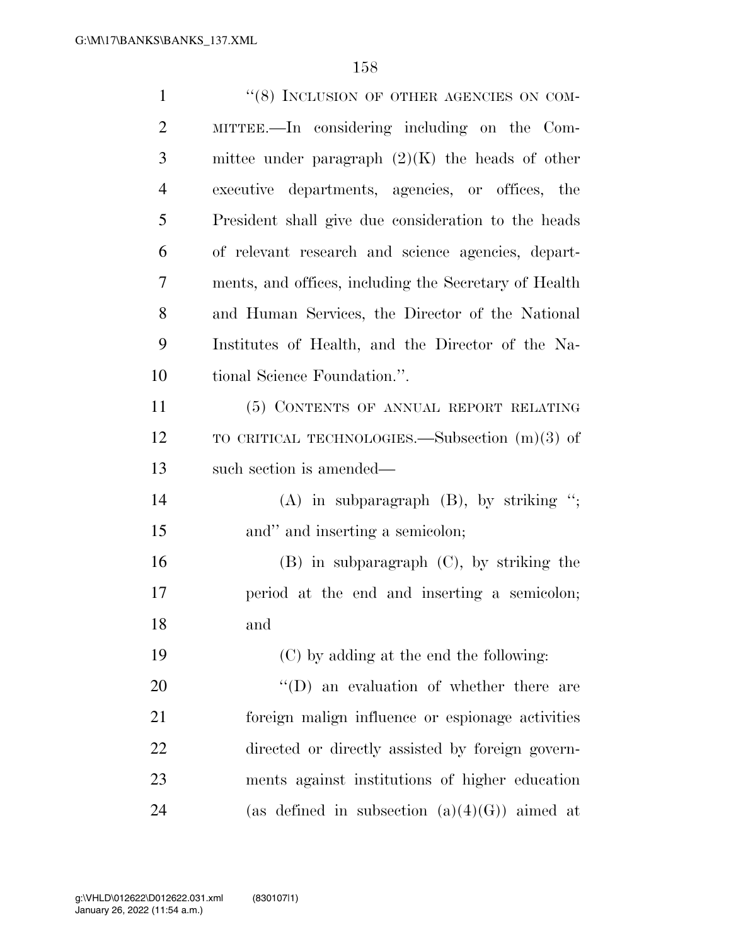| $\mathbf{1}$   | "(8) INCLUSION OF OTHER AGENCIES ON COM-              |
|----------------|-------------------------------------------------------|
| $\overline{2}$ | MITTEE.—In considering including on the Com-          |
| 3              | mittee under paragraph $(2)(K)$ the heads of other    |
| $\overline{4}$ | executive departments, agencies, or offices, the      |
| 5              | President shall give due consideration to the heads   |
| 6              | of relevant research and science agencies, depart-    |
| 7              | ments, and offices, including the Secretary of Health |
| 8              | and Human Services, the Director of the National      |
| 9              | Institutes of Health, and the Director of the Na-     |
| 10             | tional Science Foundation.".                          |
| 11             | (5) CONTENTS OF ANNUAL REPORT RELATING                |
| 12             | TO CRITICAL TECHNOLOGIES.—Subsection $(m)(3)$ of      |
| 13             | such section is amended—                              |
| 14             | $(A)$ in subparagraph $(B)$ , by striking ";          |
| 15             | and" and inserting a semicolon;                       |
| 16             | $(B)$ in subparagraph $(C)$ , by striking the         |
| 17             | period at the end and inserting a semicolon;          |
| 18             | and                                                   |
| 19             | (C) by adding at the end the following:               |
| 20             | $\lq\lq$ (D) an evaluation of whether there are       |
| 21             | foreign malign influence or espionage activities      |
| 22             | directed or directly assisted by foreign govern-      |
| 23             | ments against institutions of higher education        |
| 24             | (as defined in subsection $(a)(4)(G)$ ) aimed at      |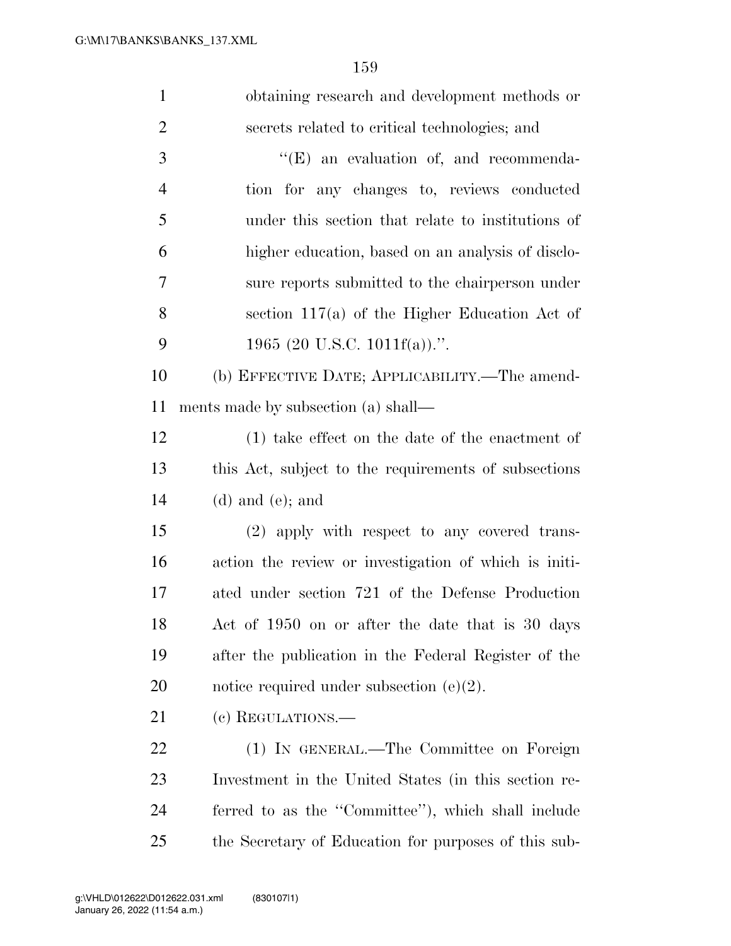| $\mathbf{1}$   | obtaining research and development methods or         |
|----------------|-------------------------------------------------------|
| $\overline{2}$ | secrets related to critical technologies; and         |
| 3              | $\lq\lq(E)$ an evaluation of, and recommenda-         |
| $\overline{4}$ | tion for any changes to, reviews conducted            |
| 5              | under this section that relate to institutions of     |
| 6              | higher education, based on an analysis of disclo-     |
| 7              | sure reports submitted to the chairperson under       |
| 8              | section $117(a)$ of the Higher Education Act of       |
| 9              | 1965 (20 U.S.C. 1011 $f(a)$ ).".                      |
| 10             | (b) EFFECTIVE DATE; APPLICABILITY.—The amend-         |
| 11             | ments made by subsection (a) shall—                   |
| 12             | $(1)$ take effect on the date of the enactment of     |
| 13             | this Act, subject to the requirements of subsections  |
| 14             | $(d)$ and $(e)$ ; and                                 |
| 15             | (2) apply with respect to any covered trans-          |
| 16             | action the review or investigation of which is initi- |
| 17             | ated under section 721 of the Defense Production      |
| 18             | Act of 1950 on or after the date that is 30 days      |
| 19             | after the publication in the Federal Register of the  |
| 20             | notice required under subsection $(e)(2)$ .           |
| 21             | (c) REGULATIONS.—                                     |
| <u>22</u>      | (1) IN GENERAL.—The Committee on Foreign              |
| 23             | Investment in the United States (in this section re-  |
| 24             | ferred to as the "Committee"), which shall include    |
| 25             | the Secretary of Education for purposes of this sub-  |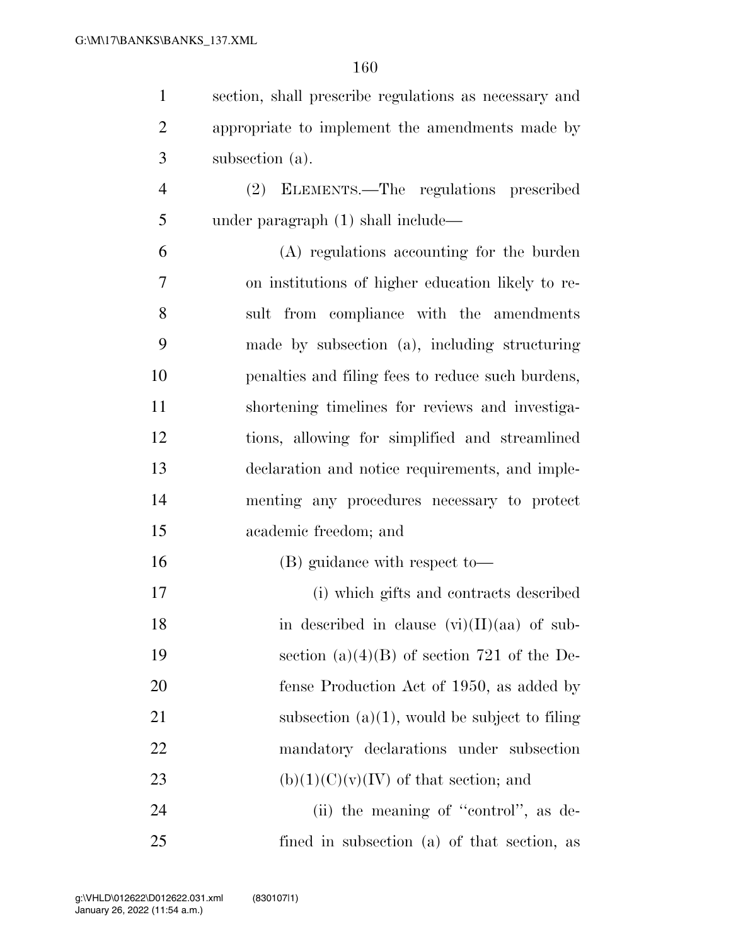| $\mathbf{1}$   | section, shall prescribe regulations as necessary and |
|----------------|-------------------------------------------------------|
| $\overline{2}$ | appropriate to implement the amendments made by       |
| 3              | subsection (a).                                       |
| $\overline{4}$ | (2) ELEMENTS.—The regulations prescribed              |
| 5              | under paragraph $(1)$ shall include—                  |
| 6              | (A) regulations accounting for the burden             |
| 7              | on institutions of higher education likely to re-     |
| 8              | sult from compliance with the amendments              |
| 9              | made by subsection (a), including structuring         |
| 10             | penalties and filing fees to reduce such burdens,     |
| 11             | shortening timelines for reviews and investiga-       |
| 12             | tions, allowing for simplified and streamlined        |
| 13             | declaration and notice requirements, and imple-       |
| 14             | menting any procedures necessary to protect           |
| 15             | academic freedom; and                                 |
| 16             | (B) guidance with respect to-                         |
| 17             | (i) which gifts and contracts described               |
| 18             | in described in clause $(vi)(II)(aa)$ of sub-         |
| 19             | section $(a)(4)(B)$ of section 721 of the De-         |
| 20             | fense Production Act of 1950, as added by             |
| 21             | subsection $(a)(1)$ , would be subject to filing      |
| 22             | mandatory declarations under subsection               |
| 23             | $(b)(1)(C)(v)(IV)$ of that section; and               |
| 24             | (ii) the meaning of "control", as de-                 |
| 25             | fined in subsection (a) of that section, as           |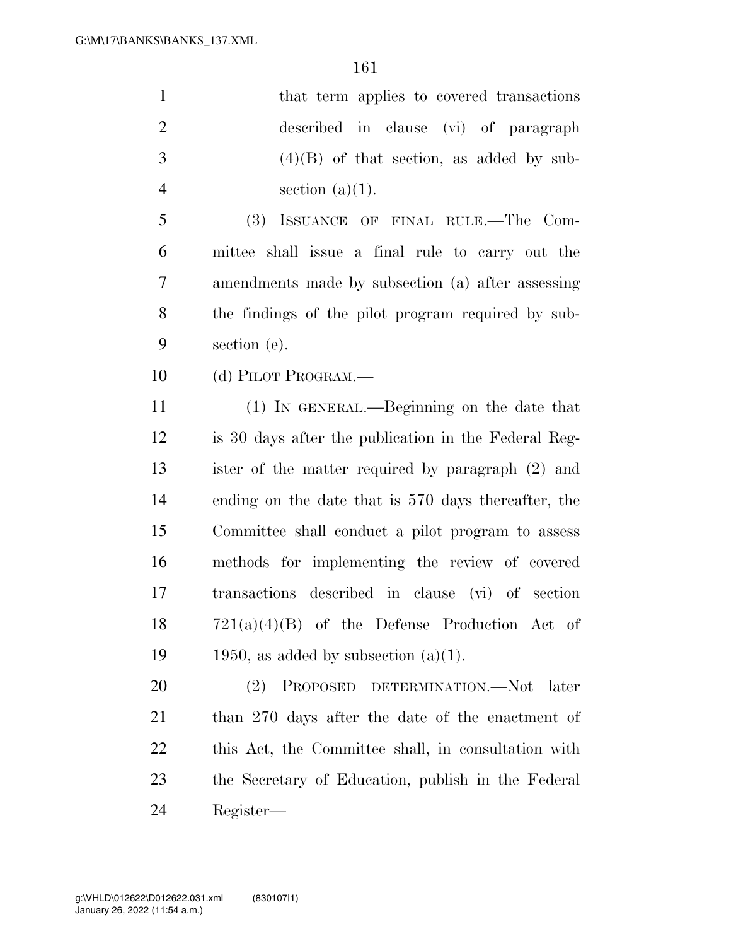| $\mathbf{1}$   | that term applies to covered transactions              |
|----------------|--------------------------------------------------------|
| $\overline{2}$ | described in clause (vi) of paragraph                  |
| 3              | $(4)(B)$ of that section, as added by sub-             |
| $\overline{4}$ | section $(a)(1)$ .                                     |
| 5              | (3)<br>ISSUANCE OF FINAL RULE.—The Com-                |
| 6              | mittee shall issue a final rule to carry out the       |
| $\tau$         | amendments made by subsection (a) after assessing      |
| 8              | the findings of the pilot program required by sub-     |
| 9              | section (e).                                           |
| 10             | (d) PILOT PROGRAM.—                                    |
| 11             | (1) IN GENERAL.—Beginning on the date that             |
| 12             | is 30 days after the publication in the Federal Reg-   |
| 13             | ister of the matter required by paragraph (2) and      |
| 14             | ending on the date that is 570 days thereafter, the    |
| 15             | Committee shall conduct a pilot program to assess      |
| 16             | methods for implementing the review of covered         |
| 17             | transactions described in clause (vi) of section       |
| 18             | $721(a)(4)(B)$ of the Defense Production Act of        |
| 19             | 1950, as added by subsection $(a)(1)$ .                |
| 20             | PROPOSED DETERMINATION.-Not<br><sup>(2)</sup><br>later |
| 21             | than 270 days after the date of the enactment of       |
| 22             | this Act, the Committee shall, in consultation with    |
| 23             | the Secretary of Education, publish in the Federal     |
| 24             | Register—                                              |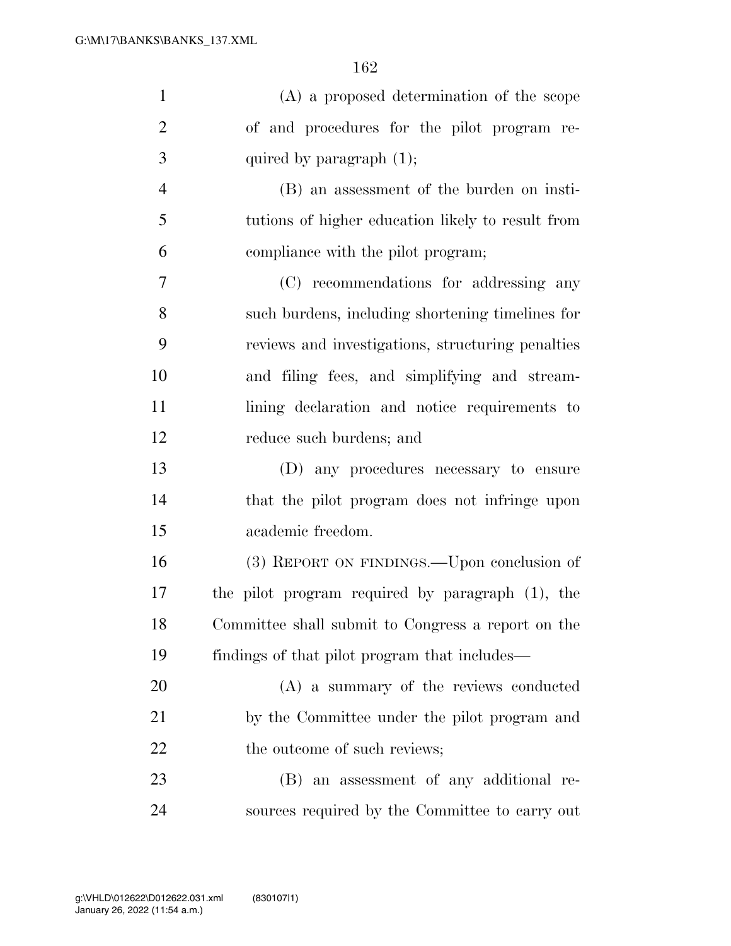| $\mathbf{1}$   | (A) a proposed determination of the scope          |
|----------------|----------------------------------------------------|
| $\overline{2}$ | of and procedures for the pilot program re-        |
| 3              | quired by paragraph $(1)$ ;                        |
| $\overline{4}$ | (B) an assessment of the burden on insti-          |
| 5              | tutions of higher education likely to result from  |
| 6              | compliance with the pilot program;                 |
| 7              | (C) recommendations for addressing any             |
| 8              | such burdens, including shortening timelines for   |
| 9              | reviews and investigations, structuring penalties  |
| 10             | and filing fees, and simplifying and stream-       |
| 11             | lining declaration and notice requirements to      |
| 12             | reduce such burdens; and                           |
| 13             | (D) any procedures necessary to ensure             |
| 14             | that the pilot program does not infringe upon      |
| 15             | academic freedom.                                  |
| 16             | (3) REPORT ON FINDINGS.—Upon conclusion of         |
| 17             | the pilot program required by paragraph (1), the   |
| 18             | Committee shall submit to Congress a report on the |
| 19             | findings of that pilot program that includes—      |
| 20             | (A) a summary of the reviews conducted             |
| 21             | by the Committee under the pilot program and       |
| 22             | the outcome of such reviews;                       |
| 23             | (B) an assessment of any additional re-            |
| 24             | sources required by the Committee to carry out     |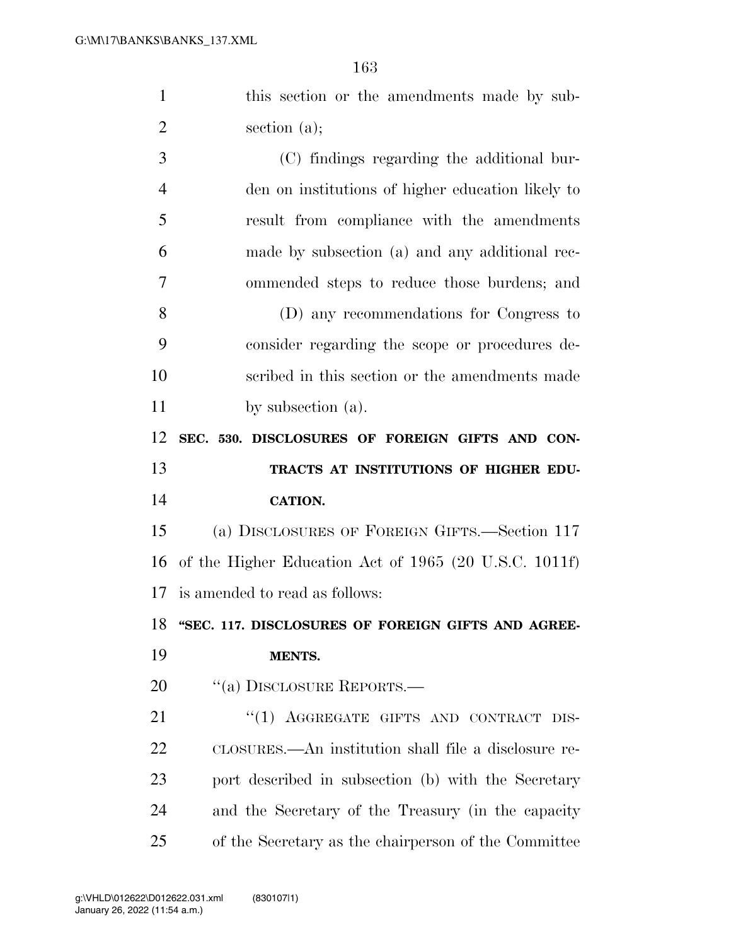this section or the amendments made by sub- section (a); (C) findings regarding the additional bur-

 den on institutions of higher education likely to result from compliance with the amendments made by subsection (a) and any additional rec- ommended steps to reduce those burdens; and (D) any recommendations for Congress to consider regarding the scope or procedures de- scribed in this section or the amendments made 11 by subsection (a).

 **SEC. 530. DISCLOSURES OF FOREIGN GIFTS AND CON- TRACTS AT INSTITUTIONS OF HIGHER EDU-CATION.** 

 (a) DISCLOSURES OF FOREIGN GIFTS.—Section 117 of the Higher Education Act of 1965 (20 U.S.C. 1011f) is amended to read as follows:

**''SEC. 117. DISCLOSURES OF FOREIGN GIFTS AND AGREE-**

## **MENTS.**

20 "(a) DISCLOSURE REPORTS.—

21 "(1) AGGREGATE GIFTS AND CONTRACT DIS- CLOSURES.—An institution shall file a disclosure re- port described in subsection (b) with the Secretary and the Secretary of the Treasury (in the capacity of the Secretary as the chairperson of the Committee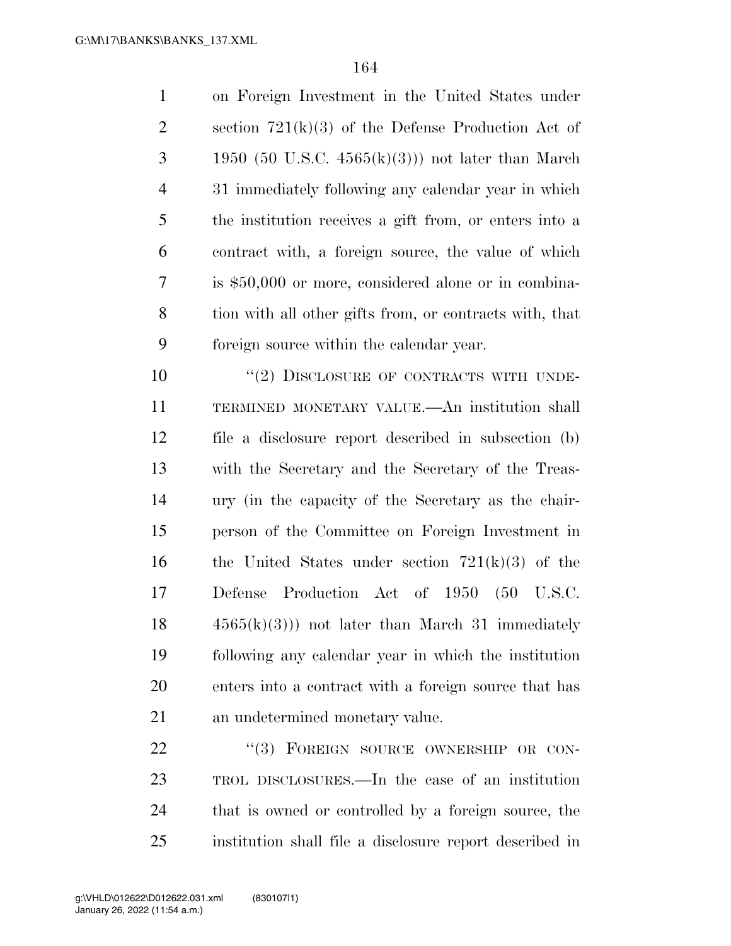on Foreign Investment in the United States under 2 section  $721(k)(3)$  of the Defense Production Act of 3 1950 (50 U.S.C.  $4565(k)(3)$ ) not later than March 31 immediately following any calendar year in which the institution receives a gift from, or enters into a contract with, a foreign source, the value of which is \$50,000 or more, considered alone or in combina- tion with all other gifts from, or contracts with, that foreign source within the calendar year.

 $(2)$  DISCLOSURE OF CONTRACTS WITH UNDE- TERMINED MONETARY VALUE.—An institution shall file a disclosure report described in subsection (b) with the Secretary and the Secretary of the Treas- ury (in the capacity of the Secretary as the chair- person of the Committee on Foreign Investment in 16 the United States under section  $721(k)(3)$  of the Defense Production Act of 1950 (50 U.S.C.  $18 \t 4565(k)(3)$  not later than March 31 immediately following any calendar year in which the institution enters into a contract with a foreign source that has an undetermined monetary value.

22 "(3) FOREIGN SOURCE OWNERSHIP OR CON- TROL DISCLOSURES.—In the case of an institution that is owned or controlled by a foreign source, the institution shall file a disclosure report described in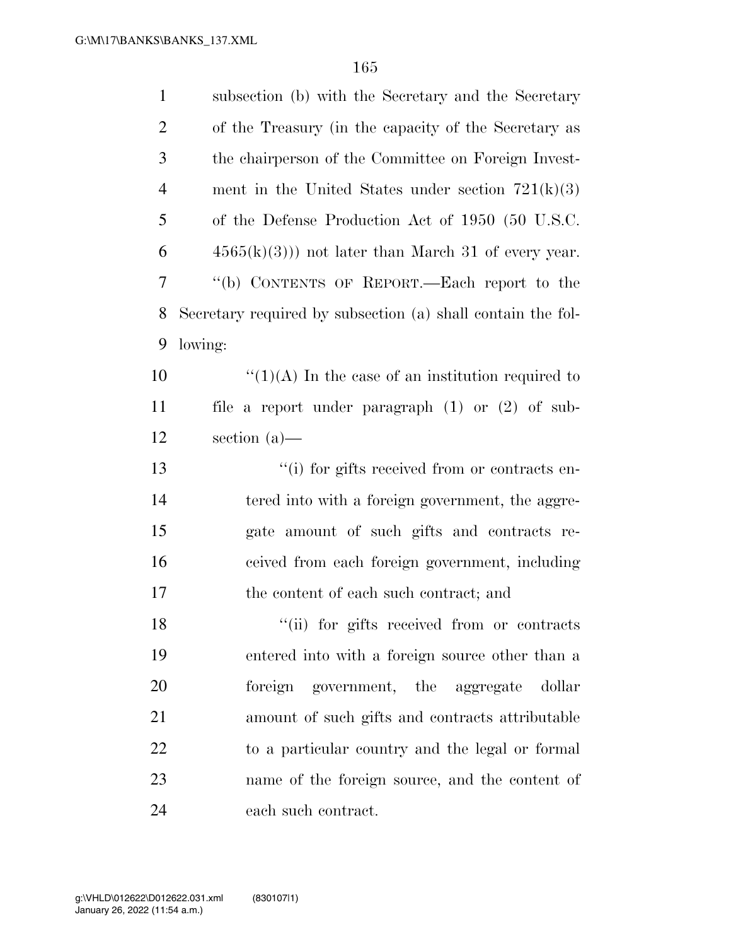| $\mathbf{1}$   | subsection (b) with the Secretary and the Secretary         |
|----------------|-------------------------------------------------------------|
| $\overline{2}$ | of the Treasury (in the capacity of the Secretary as        |
| 3              | the chairperson of the Committee on Foreign Invest-         |
| $\overline{4}$ | ment in the United States under section $721(k)(3)$         |
| 5              | of the Defense Production Act of 1950 (50 U.S.C.            |
| 6              | $4565(k)(3)$ ) not later than March 31 of every year.       |
| 7              | "(b) CONTENTS OF REPORT.—Each report to the                 |
| 8              | Secretary required by subsection (a) shall contain the fol- |
| 9              | lowing:                                                     |
| 10             | " $(1)(A)$ In the case of an institution required to        |
| 11             | file a report under paragraph $(1)$ or $(2)$ of sub-        |
| 12             | section $(a)$ —                                             |
| 13             | "(i) for gifts received from or contracts en-               |
| 14             | tered into with a foreign government, the aggre-            |
| 15             | gate amount of such gifts and contracts re-                 |
| 16             | ceived from each foreign government, including              |
| 17             | the content of each such contract; and                      |
| 18             | "(ii) for gifts received from or contracts                  |
| 19             | entered into with a foreign source other than a             |
| 20             | foreign government, the aggregate<br>dollar                 |
| 21             | amount of such gifts and contracts attributable             |
| 22             | to a particular country and the legal or formal             |
| 23             | name of the foreign source, and the content of              |
| 24             | each such contract.                                         |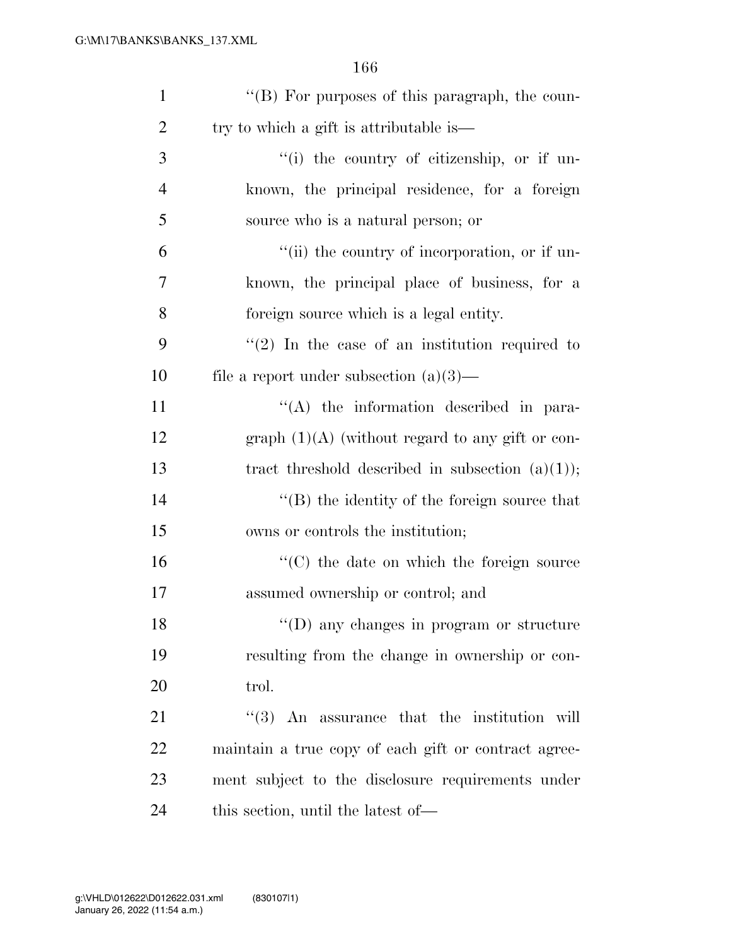| $\mathbf{1}$   | "(B) For purposes of this paragraph, the coun-              |
|----------------|-------------------------------------------------------------|
| $\overline{2}$ | try to which a gift is attributable is—                     |
| 3              | "(i) the country of citizenship, or if un-                  |
| $\overline{4}$ | known, the principal residence, for a foreign               |
| 5              | source who is a natural person; or                          |
| 6              | "(ii) the country of incorporation, or if un-               |
| 7              | known, the principal place of business, for a               |
| 8              | foreign source which is a legal entity.                     |
| 9              | $(2)$ In the case of an institution required to             |
| 10             | file a report under subsection $(a)(3)$ —                   |
| 11             | $\lq\lq$ the information described in para-                 |
| 12             | graph $(1)(A)$ (without regard to any gift or con-          |
| 13             | tract threshold described in subsection $(a)(1)$ ;          |
| 14             | $\lq\lq (B)$ the identity of the foreign source that        |
| 15             | owns or controls the institution;                           |
| 16             | "(C) the date on which the foreign source                   |
| 17             | assumed ownership or control; and                           |
| 18             | "(D) any changes in program or structure                    |
| 19             | resulting from the change in ownership or con-              |
| 20             | trol.                                                       |
| 21             | $\cdot\cdot\cdot(3)$ An assurance that the institution will |
| 22             | maintain a true copy of each gift or contract agree-        |
| 23             | ment subject to the disclosure requirements under           |
| 24             | this section, until the latest of—                          |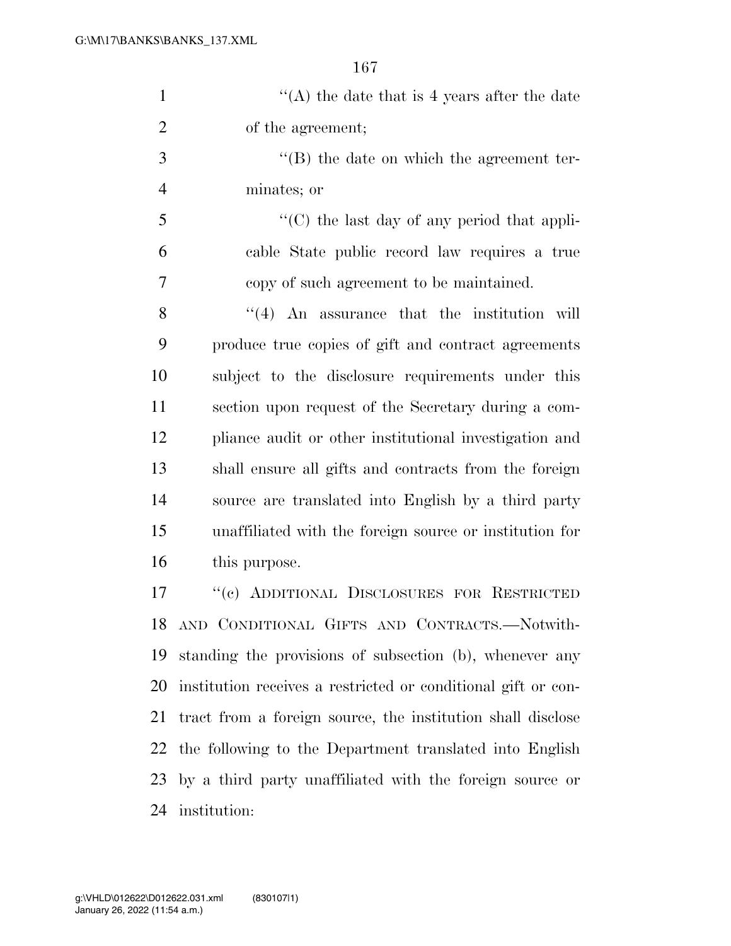| $\lq\lq$ the date that is 4 years after the date |
|--------------------------------------------------|
| of the agreement;                                |

3  $\langle$  (B) the date on which the agreement ter-minates; or

 $\mathcal{F}$   $\mathcal{F}$  (C) the last day of any period that appli- cable State public record law requires a true copy of such agreement to be maintained.

8 ''(4) An assurance that the institution will produce true copies of gift and contract agreements subject to the disclosure requirements under this section upon request of the Secretary during a com- pliance audit or other institutional investigation and shall ensure all gifts and contracts from the foreign source are translated into English by a third party unaffiliated with the foreign source or institution for this purpose.

 ''(c) ADDITIONAL DISCLOSURES FOR RESTRICTED AND CONDITIONAL GIFTS AND CONTRACTS.—Notwith- standing the provisions of subsection (b), whenever any institution receives a restricted or conditional gift or con- tract from a foreign source, the institution shall disclose the following to the Department translated into English by a third party unaffiliated with the foreign source or institution: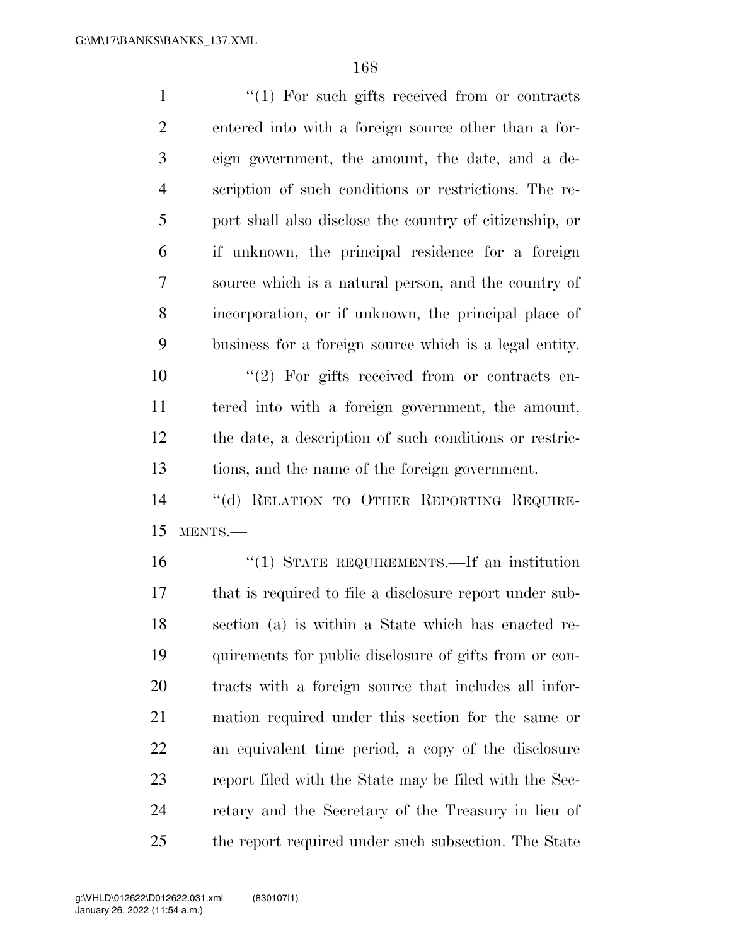$\frac{1}{1}$  For such gifts received from or contracts entered into with a foreign source other than a for- eign government, the amount, the date, and a de- scription of such conditions or restrictions. The re- port shall also disclose the country of citizenship, or if unknown, the principal residence for a foreign source which is a natural person, and the country of incorporation, or if unknown, the principal place of business for a foreign source which is a legal entity.

 $\frac{1}{2}$  For gifts received from or contracts en- tered into with a foreign government, the amount, the date, a description of such conditions or restric-tions, and the name of the foreign government.

 ''(d) RELATION TO OTHER REPORTING REQUIRE-MENTS.—

 ''(1) STATE REQUIREMENTS.—If an institution that is required to file a disclosure report under sub- section (a) is within a State which has enacted re- quirements for public disclosure of gifts from or con- tracts with a foreign source that includes all infor- mation required under this section for the same or an equivalent time period, a copy of the disclosure report filed with the State may be filed with the Sec- retary and the Secretary of the Treasury in lieu of the report required under such subsection. The State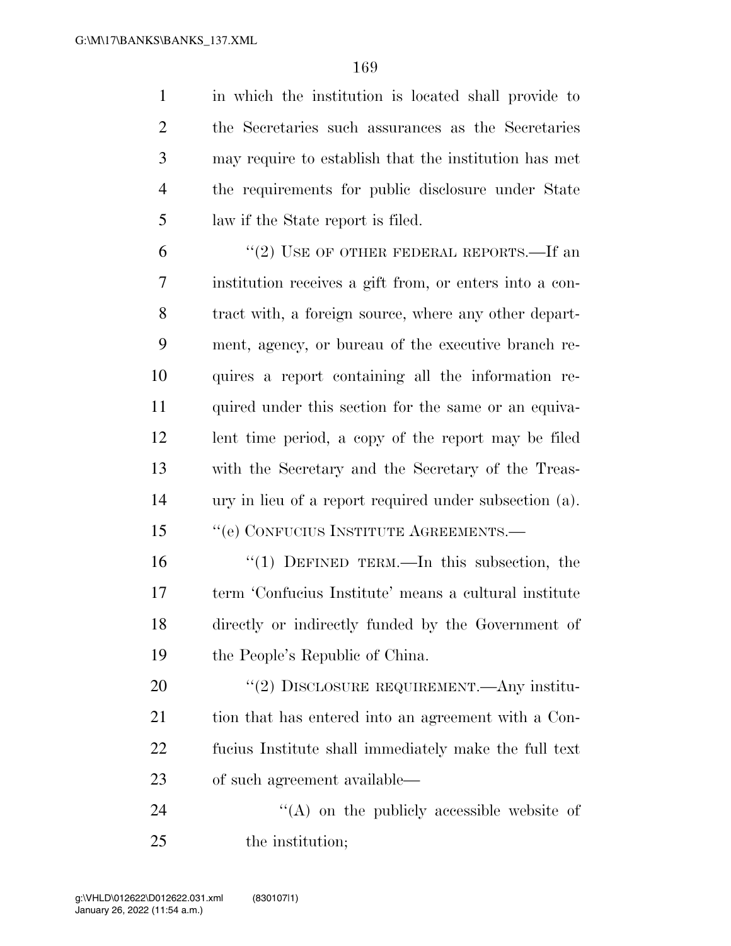in which the institution is located shall provide to the Secretaries such assurances as the Secretaries may require to establish that the institution has met the requirements for public disclosure under State law if the State report is filed.

6 "(2) USE OF OTHER FEDERAL REPORTS.—If an institution receives a gift from, or enters into a con- tract with, a foreign source, where any other depart- ment, agency, or bureau of the executive branch re- quires a report containing all the information re-11 quired under this section for the same or an equiva- lent time period, a copy of the report may be filed with the Secretary and the Secretary of the Treas- ury in lieu of a report required under subsection (a). 15 " (e) CONFUCIUS INSTITUTE AGREEMENTS.—

 ''(1) DEFINED TERM.—In this subsection, the term 'Confucius Institute' means a cultural institute directly or indirectly funded by the Government of the People's Republic of China.

20 "(2) DISCLOSURE REQUIREMENT.—Any institu-21 tion that has entered into an agreement with a Con- fucius Institute shall immediately make the full text of such agreement available—

24  $\langle (A)$  on the publicly accessible website of 25 the institution: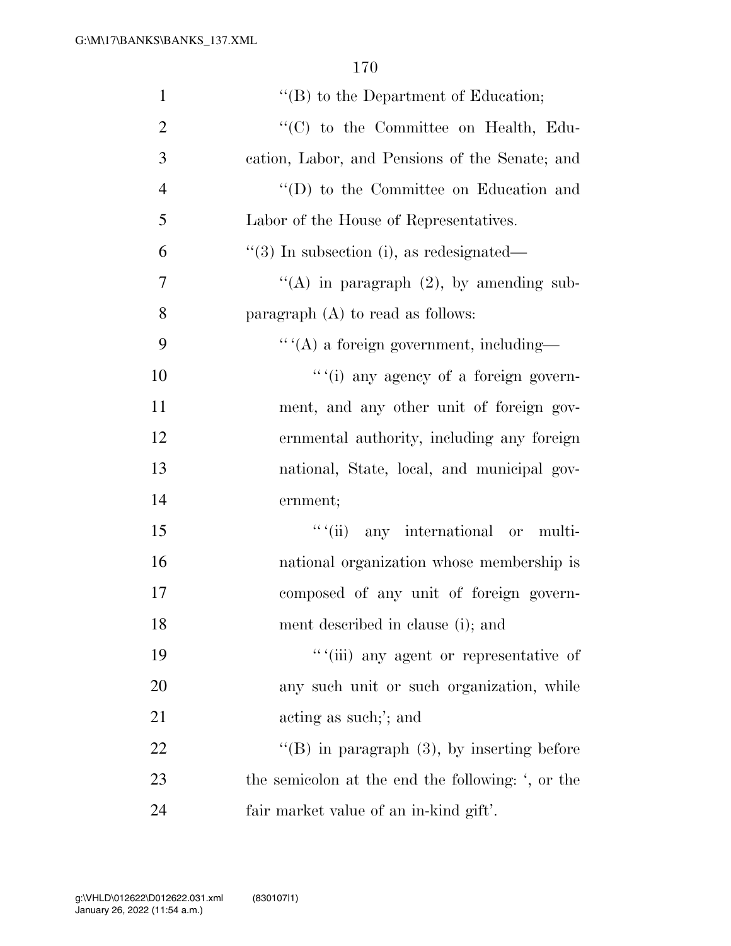| $\mathbf{1}$   | $\lq\lq (B)$ to the Department of Education;              |
|----------------|-----------------------------------------------------------|
| $\overline{2}$ | "(C) to the Committee on Health, Edu-                     |
| 3              | cation, Labor, and Pensions of the Senate; and            |
| $\overline{4}$ | "(D) to the Committee on Education and                    |
| 5              | Labor of the House of Representatives.                    |
| 6              | $\lq(3)$ In subsection (i), as redesignated—              |
| $\tau$         | "(A) in paragraph $(2)$ , by amending sub-                |
| 8              | paragraph $(A)$ to read as follows:                       |
| 9              | $``$ $^\prime\text{(A)}$ a foreign government, including— |
| 10             | ""(i) any agency of a foreign govern-                     |
| 11             | ment, and any other unit of foreign gov-                  |
| 12             | ernmental authority, including any foreign                |
| 13             | national, State, local, and municipal gov-                |
| 14             | ernment;                                                  |
| 15             | "(ii) any international or multi-                         |
| 16             | national organization whose membership is                 |
| 17             | composed of any unit of foreign govern-                   |
| 18             | ment described in clause (i); and                         |
| 19             | "(iii) any agent or representative of                     |
| 20             | any such unit or such organization, while                 |
| 21             | acting as such;'; and                                     |
| 22             | "(B) in paragraph $(3)$ , by inserting before             |
| 23             | the semicolon at the end the following: ', or the         |
| 24             | fair market value of an in-kind gift'.                    |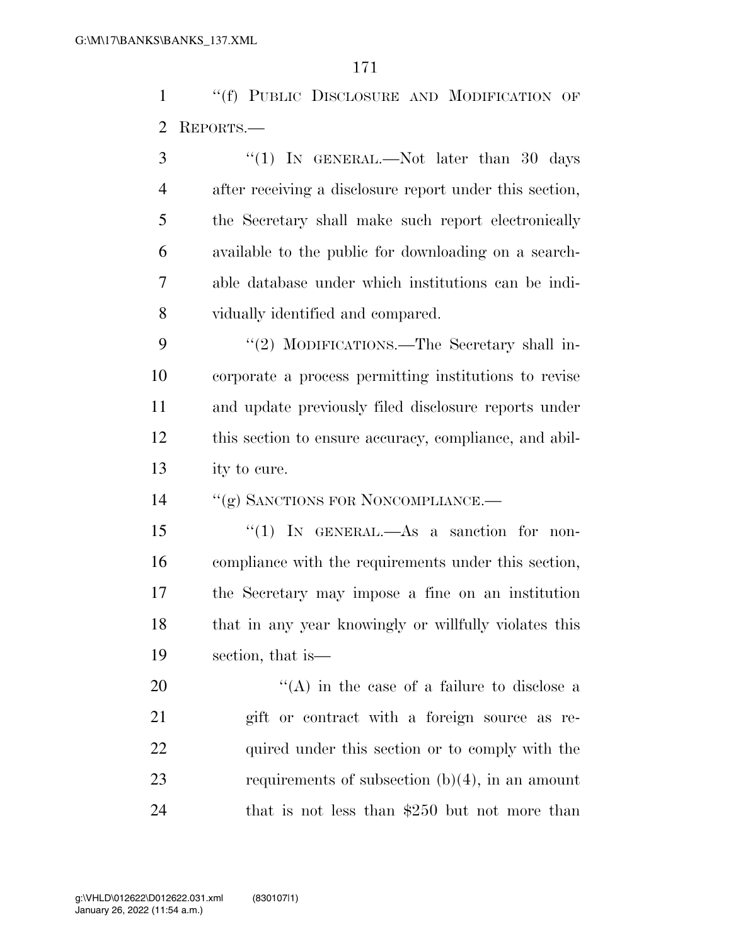''(f) PUBLIC DISCLOSURE AND MODIFICATION OF REPORTS.—

3 "(1) IN GENERAL.—Not later than 30 days after receiving a disclosure report under this section, the Secretary shall make such report electronically available to the public for downloading on a search- able database under which institutions can be indi-vidually identified and compared.

9 "(2) MODIFICATIONS.—The Secretary shall in- corporate a process permitting institutions to revise and update previously filed disclosure reports under this section to ensure accuracy, compliance, and abil-ity to cure.

14 "(g) SANCTIONS FOR NONCOMPLIANCE.—

 ''(1) IN GENERAL.—As a sanction for non- compliance with the requirements under this section, the Secretary may impose a fine on an institution that in any year knowingly or willfully violates this section, that is—

20  $\langle (A)$  in the case of a failure to disclose a gift or contract with a foreign source as re-22 quired under this section or to comply with the requirements of subsection (b)(4), in an amount 24 that is not less than \$250 but not more than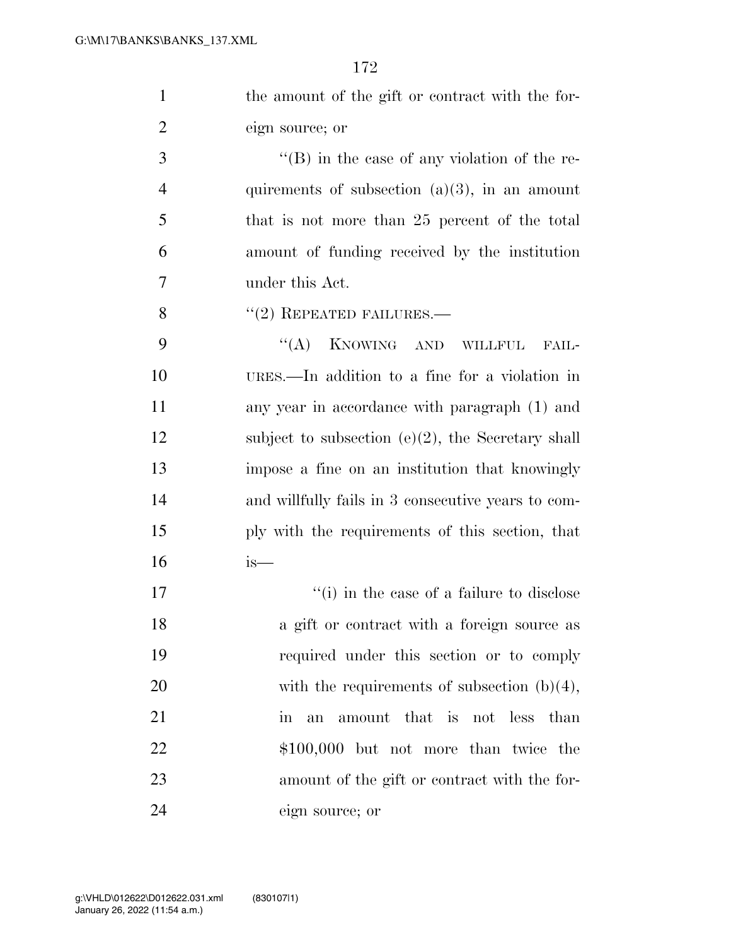| the amount of the gift or contract with the for- |  |
|--------------------------------------------------|--|
| eign source; or                                  |  |

 ''(B) in the case of any violation of the re-4 quirements of subsection  $(a)(3)$ , in an amount that is not more than 25 percent of the total amount of funding received by the institution under this Act.

8 "(2) REPEATED FAILURES.—

9 "(A) KNOWING AND WILLFUL FAIL- URES.—In addition to a fine for a violation in any year in accordance with paragraph (1) and 12 subject to subsection (e)(2), the Secretary shall impose a fine on an institution that knowingly and willfully fails in 3 consecutive years to com- ply with the requirements of this section, that  $16$  is—

17 ''(i) in the case of a failure to disclose 18 a gift or contract with a foreign source as 19 required under this section or to comply 20 with the requirements of subsection  $(b)(4)$ , 21 in an amount that is not less than 22 \$100,000 but not more than twice the 23 amount of the gift or contract with the for-24 eign source; or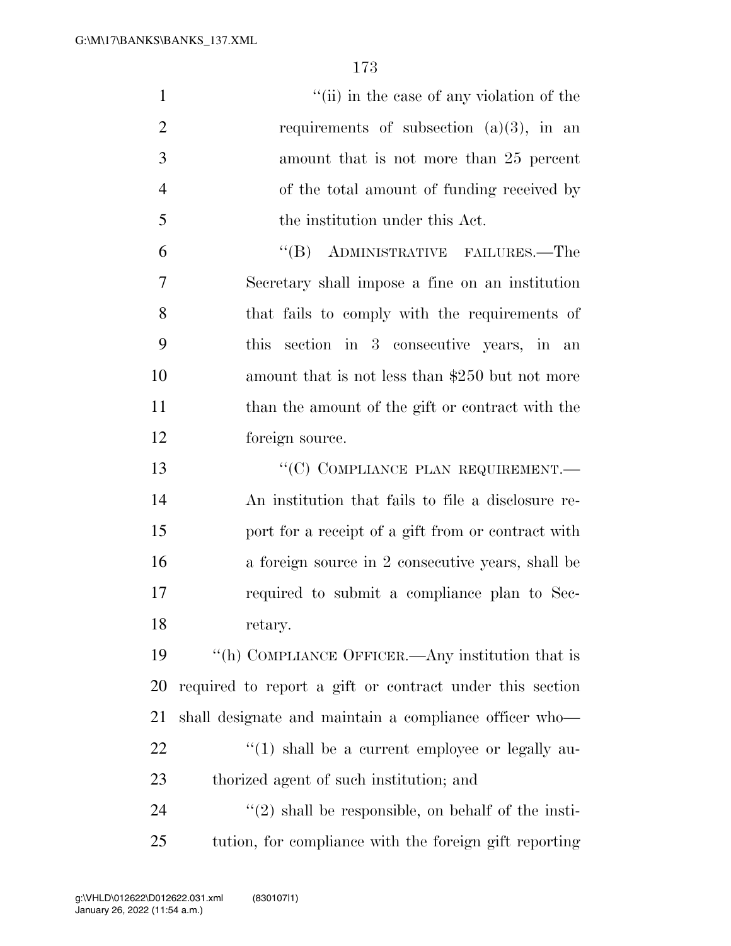| $\mathbf{1}$   | "(ii) in the case of any violation of the                |
|----------------|----------------------------------------------------------|
| $\mathbf{2}$   | requirements of subsection $(a)(3)$ , in an              |
| 3              | amount that is not more than 25 percent                  |
| $\overline{4}$ | of the total amount of funding received by               |
| 5              | the institution under this Act.                          |
| 6              | $\lq\lq (B)$<br>ADMINISTRATIVE FAILURES.—The             |
| 7              | Secretary shall impose a fine on an institution          |
| 8              | that fails to comply with the requirements of            |
| 9              | section in 3 consecutive years, in an<br>this            |
| 10             | amount that is not less than \$250 but not more          |
| 11             | than the amount of the gift or contract with the         |
| 12             | foreign source.                                          |
| 13             | "(C) COMPLIANCE PLAN REQUIREMENT.—                       |
| 14             | An institution that fails to file a disclosure re-       |
| 15             | port for a receipt of a gift from or contract with       |
| 16             | a foreign source in 2 consecutive years, shall be        |
| 17             | required to submit a compliance plan to Sec-             |
| 18             | retary.                                                  |
| 19             | "(h) COMPLIANCE OFFICER.—Any institution that is         |
| 20             | required to report a gift or contract under this section |
| 21             | shall designate and maintain a compliance officer who—   |
| 22             | $\lq(1)$ shall be a current employee or legally au-      |
| 23             | thorized agent of such institution; and                  |
| 24             | $\lq(2)$ shall be responsible, on behalf of the insti-   |
| 25             | tution, for compliance with the foreign gift reporting   |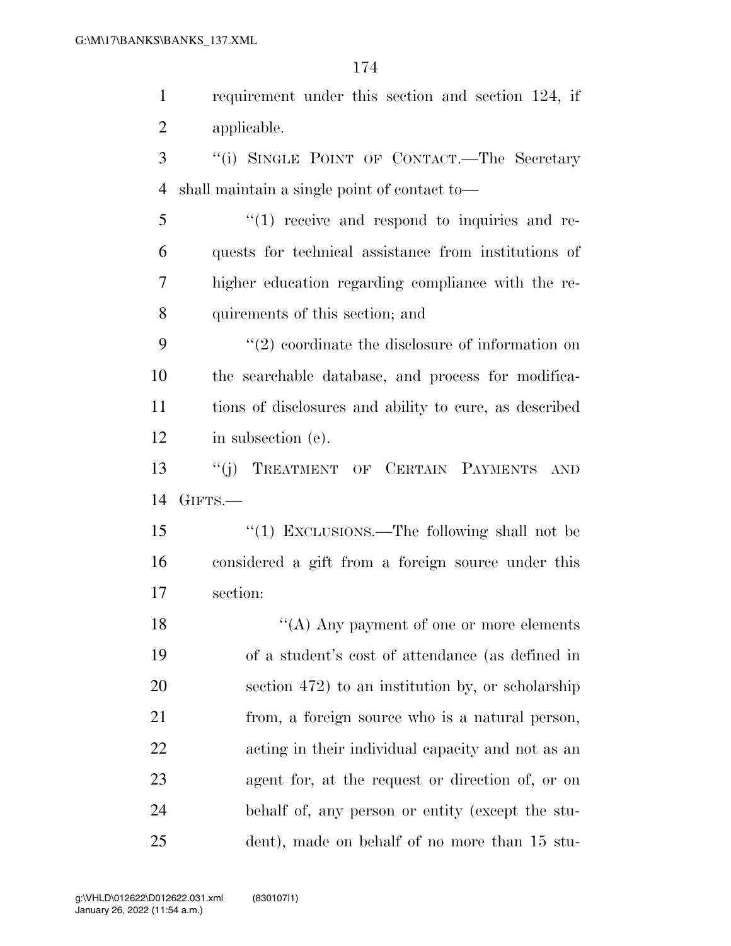requirement under this section and section 124, if applicable. ''(i) SINGLE POINT OF CONTACT.—The Secretary shall maintain a single point of contact to— ''(1) receive and respond to inquiries and re- quests for technical assistance from institutions of higher education regarding compliance with the re- quirements of this section; and 9 ''(2) coordinate the disclosure of information on the searchable database, and process for modifica- tions of disclosures and ability to cure, as described in subsection (e). ''(j) TREATMENT OF CERTAIN PAYMENTS AND GIFTS.— ''(1) EXCLUSIONS.—The following shall not be considered a gift from a foreign source under this section: 18 ''(A) Any payment of one or more elements of a student's cost of attendance (as defined in section 472) to an institution by, or scholarship from, a foreign source who is a natural person, acting in their individual capacity and not as an agent for, at the request or direction of, or on behalf of, any person or entity (except the stu-dent), made on behalf of no more than 15 stu-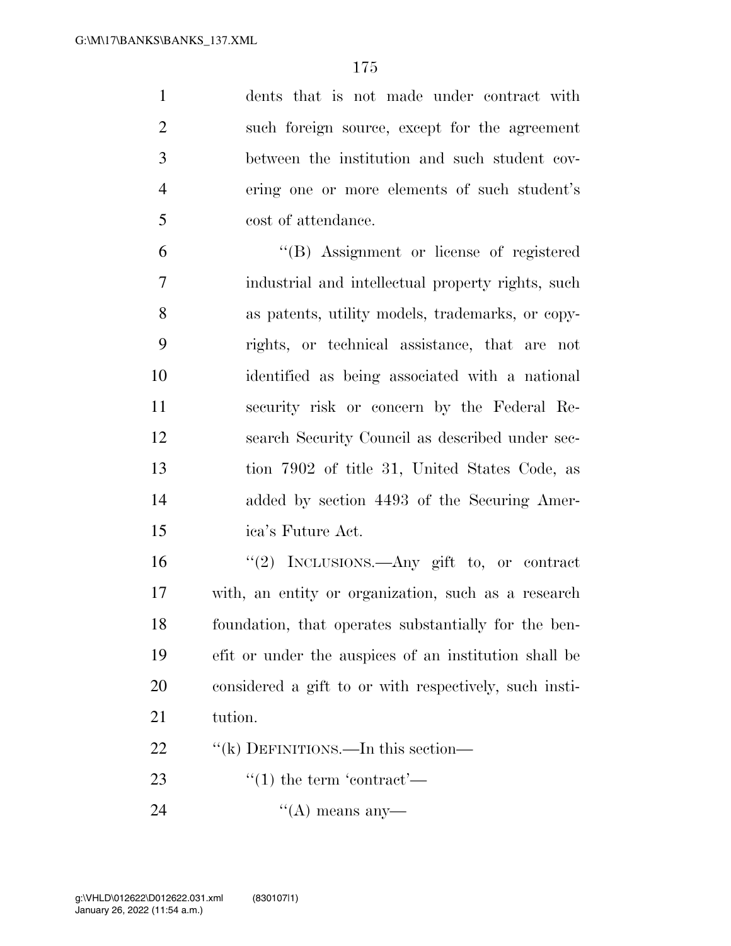dents that is not made under contract with such foreign source, except for the agreement between the institution and such student cov- ering one or more elements of such student's cost of attendance.

 ''(B) Assignment or license of registered industrial and intellectual property rights, such as patents, utility models, trademarks, or copy- rights, or technical assistance, that are not identified as being associated with a national security risk or concern by the Federal Re- search Security Council as described under sec- tion 7902 of title 31, United States Code, as added by section 4493 of the Securing Amer-ica's Future Act.

 ''(2) INCLUSIONS.—Any gift to, or contract with, an entity or organization, such as a research foundation, that operates substantially for the ben- efit or under the auspices of an institution shall be considered a gift to or with respectively, such insti-tution.

22 "(k) DEFINITIONS.—In this section—

23  $\frac{4}{1}$  the term 'contract'—

24  $((A)$  means any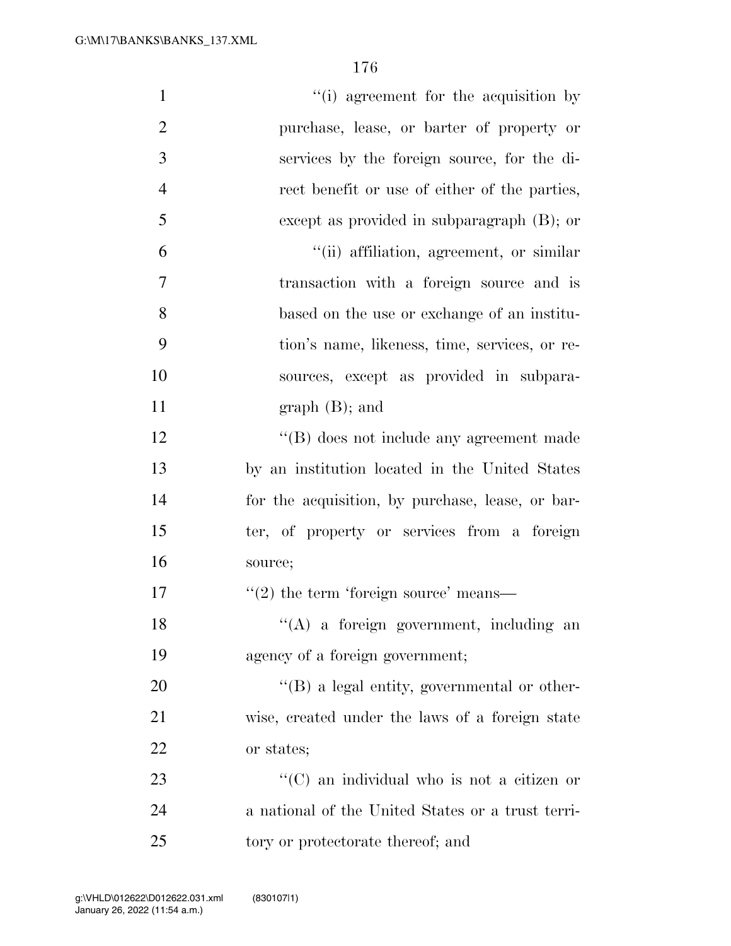| $\mathbf{1}$   | "(i) agreement for the acquisition by               |
|----------------|-----------------------------------------------------|
| $\overline{2}$ | purchase, lease, or barter of property or           |
| 3              | services by the foreign source, for the di-         |
| $\overline{4}$ | rect benefit or use of either of the parties,       |
| 5              | except as provided in subparagraph $(B)$ ; or       |
| 6              | "(ii) affiliation, agreement, or similar            |
| 7              | transaction with a foreign source and is            |
| 8              | based on the use or exchange of an institu-         |
| 9              | tion's name, likeness, time, services, or re-       |
| 10             | sources, except as provided in subpara-             |
| 11             | $graph(B);$ and                                     |
| 12             | "(B) does not include any agreement made            |
| 13             | by an institution located in the United States      |
| 14             | for the acquisition, by purchase, lease, or bar-    |
| 15             | ter, of property or services from a foreign         |
| 16             | source;                                             |
| 17             | $\lq(2)$ the term 'foreign source' means—           |
| 18             | "(A) a foreign government, including an             |
| 19             | agency of a foreign government;                     |
| 20             | $\lq\lq (B)$ a legal entity, governmental or other- |
| 21             | wise, created under the laws of a foreign state     |
| 22             | or states;                                          |
| 23             | "(C) an individual who is not a citizen or          |
| 24             | a national of the United States or a trust terri-   |
| 25             | tory or protectorate thereof; and                   |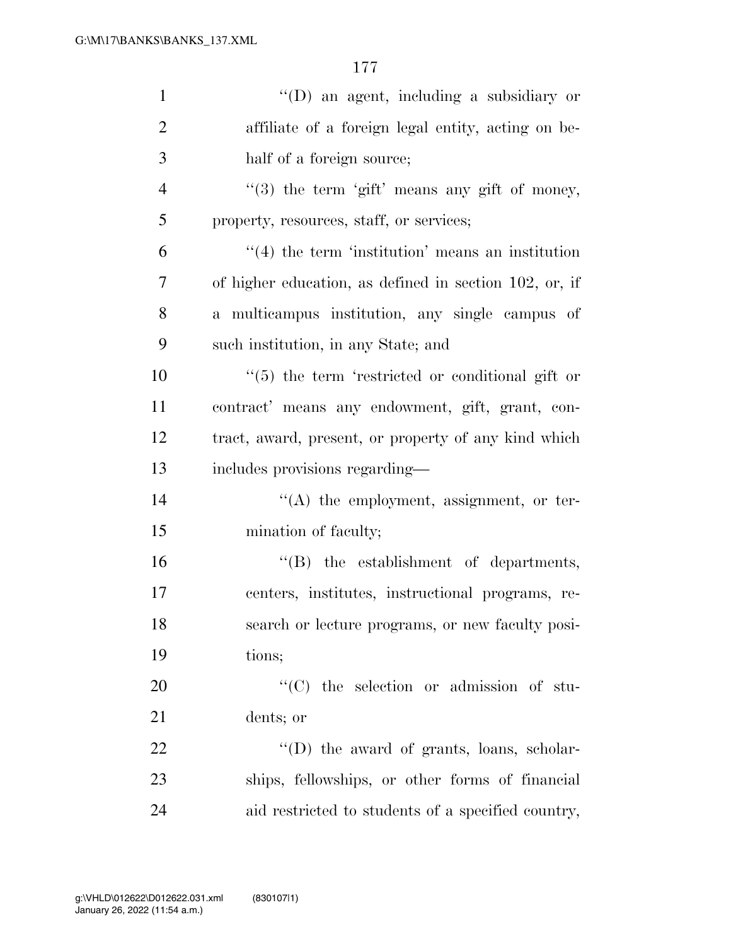| $\mathbf{1}$   | $\lq\lq$ (D) an agent, including a subsidiary or        |
|----------------|---------------------------------------------------------|
| $\overline{2}$ | affiliate of a foreign legal entity, acting on be-      |
| 3              | half of a foreign source;                               |
| $\overline{4}$ | "(3) the term 'gift' means any gift of money,           |
| 5              | property, resources, staff, or services;                |
| 6              | $\cdot$ (4) the term 'institution' means an institution |
| 7              | of higher education, as defined in section 102, or, if  |
| 8              | a multicampus institution, any single campus of         |
| 9              | such institution, in any State; and                     |
| 10             | "(5) the term 'restricted or conditional gift or        |
| 11             | contract' means any endowment, gift, grant, con-        |
| 12             | tract, award, present, or property of any kind which    |
| 13             | includes provisions regarding—                          |
| 14             | $\lq\lq$ the employment, assignment, or ter-            |
| 15             | mination of faculty;                                    |
| 16             | $\lq\lq$ the establishment of departments,              |
| 17             | centers, institutes, instructional programs, re-        |
| 18             | search or lecture programs, or new faculty posi-        |
| 19             | tions;                                                  |
| 20             | "(C) the selection or admission of stu-                 |
| 21             | dents; or                                               |
| 22             | $\lq\lq$ (D) the award of grants, loans, scholar-       |
| 23             | ships, fellowships, or other forms of financial         |
| 24             | aid restricted to students of a specified country,      |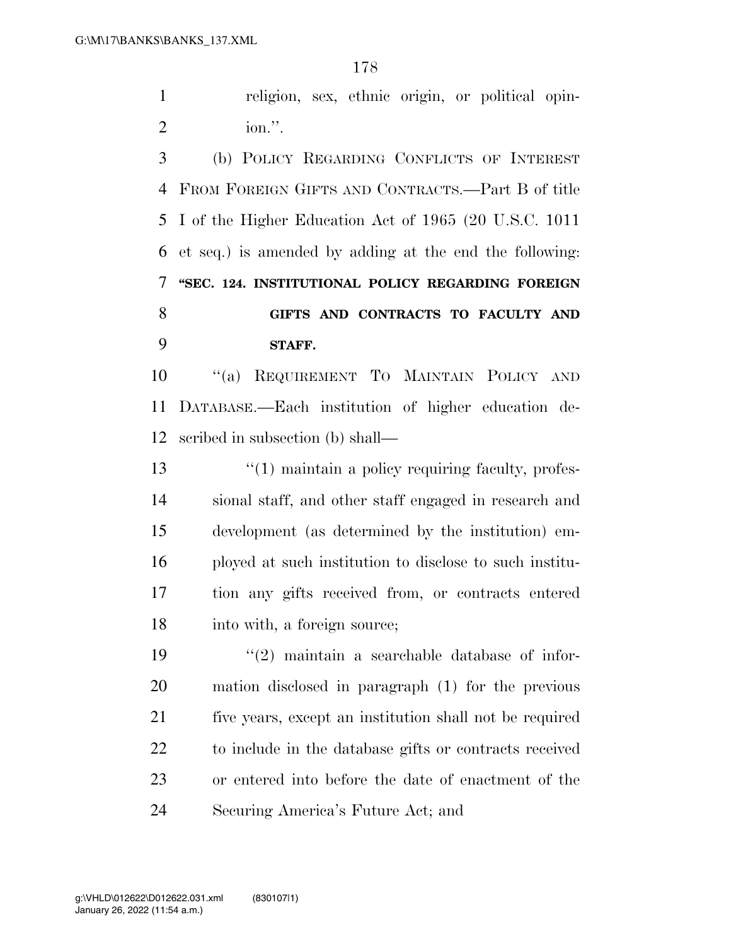religion, sex, ethnic origin, or political opin-ion.''.

 (b) POLICY REGARDING CONFLICTS OF INTEREST FROM FOREIGN GIFTS AND CONTRACTS.—Part B of title I of the Higher Education Act of 1965 (20 U.S.C. 1011 et seq.) is amended by adding at the end the following: **''SEC. 124. INSTITUTIONAL POLICY REGARDING FOREIGN GIFTS AND CONTRACTS TO FACULTY AND STAFF.** 

 ''(a) REQUIREMENT TO MAINTAIN POLICY AND DATABASE.—Each institution of higher education de-scribed in subsection (b) shall—

13 ''(1) maintain a policy requiring faculty, profes- sional staff, and other staff engaged in research and development (as determined by the institution) em- ployed at such institution to disclose to such institu- tion any gifts received from, or contracts entered into with, a foreign source;

 $(2)$  maintain a searchable database of infor- mation disclosed in paragraph (1) for the previous five years, except an institution shall not be required to include in the database gifts or contracts received or entered into before the date of enactment of the Securing America's Future Act; and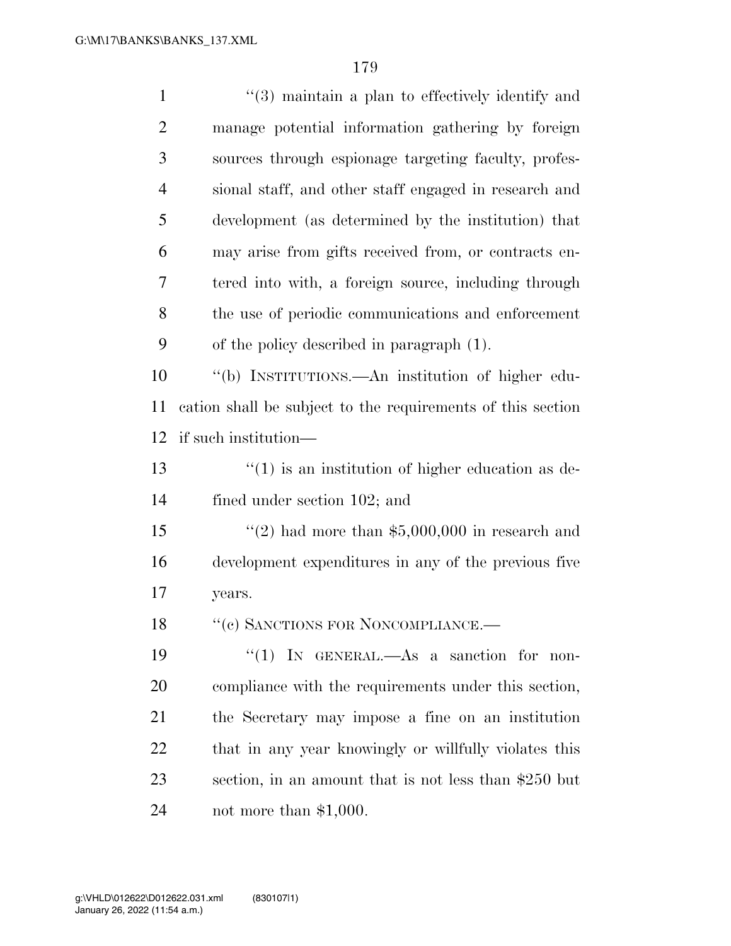| $\mathbf{1}$   | $(3)$ maintain a plan to effectively identify and            |
|----------------|--------------------------------------------------------------|
| $\overline{2}$ | manage potential information gathering by foreign            |
| 3              | sources through espionage targeting faculty, profes-         |
| $\overline{4}$ | sional staff, and other staff engaged in research and        |
| 5              | development (as determined by the institution) that          |
| 6              | may arise from gifts received from, or contracts en-         |
| 7              | tered into with, a foreign source, including through         |
| 8              | the use of periodic communications and enforcement           |
| 9              | of the policy described in paragraph (1).                    |
| 10             | "(b) INSTITUTIONS.—An institution of higher edu-             |
| 11             | cation shall be subject to the requirements of this section  |
| 12             | if such institution—                                         |
| 13             | $\cdot\cdot(1)$ is an institution of higher education as de- |
| 14             | fined under section 102; and                                 |
| 15             | "(2) had more than $$5,000,000$ in research and              |
| 16             | development expenditures in any of the previous five         |
| 17             | years.                                                       |
| 18             | "(c) SANCTIONS FOR NONCOMPLIANCE.-                           |
| 19             | "(1) IN GENERAL.—As a sanction for non-                      |
| 20             | compliance with the requirements under this section,         |
| 21             | the Secretary may impose a fine on an institution            |
| 22             | that in any year knowingly or willfully violates this        |
| 23             | section, in an amount that is not less than \$250 but        |
| 24             | not more than $$1,000$ .                                     |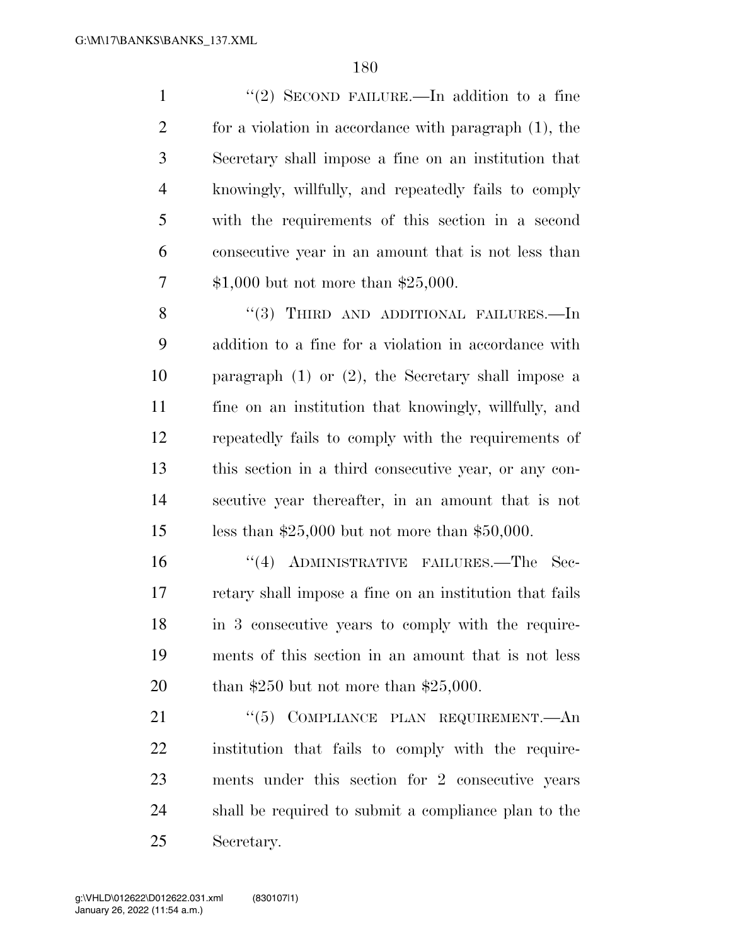1 ''(2) SECOND FAILURE.—In addition to a fine for a violation in accordance with paragraph (1), the Secretary shall impose a fine on an institution that knowingly, willfully, and repeatedly fails to comply with the requirements of this section in a second consecutive year in an amount that is not less than \$1,000 but not more than \$25,000.

8 "(3) THIRD AND ADDITIONAL FAILURES.—In addition to a fine for a violation in accordance with paragraph (1) or (2), the Secretary shall impose a fine on an institution that knowingly, willfully, and repeatedly fails to comply with the requirements of this section in a third consecutive year, or any con- secutive year thereafter, in an amount that is not less than \$25,000 but not more than \$50,000.

 ''(4) ADMINISTRATIVE FAILURES.—The Sec- retary shall impose a fine on an institution that fails in 3 consecutive years to comply with the require- ments of this section in an amount that is not less than \$250 but not more than \$25,000.

21 ''(5) COMPLIANCE PLAN REQUIREMENT.—An institution that fails to comply with the require- ments under this section for 2 consecutive years shall be required to submit a compliance plan to the Secretary.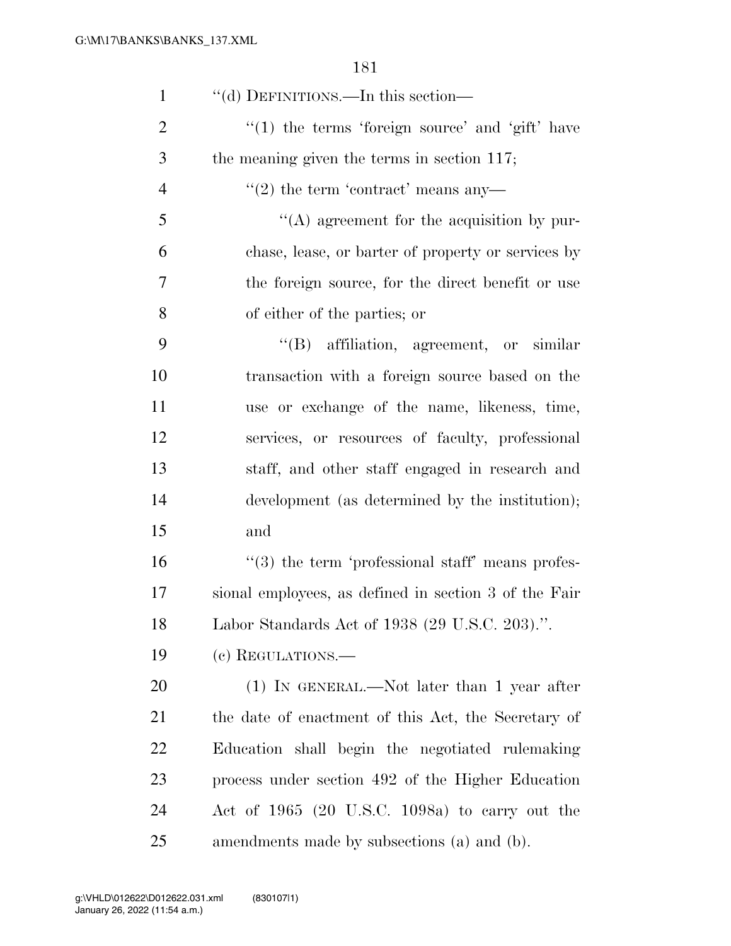| $\mathbf{1}$   | "(d) DEFINITIONS.—In this section—                           |
|----------------|--------------------------------------------------------------|
| $\overline{2}$ | $"(1)$ the terms 'foreign source' and 'gift' have            |
| 3              | the meaning given the terms in section 117;                  |
| $\overline{4}$ | $\cdot\cdot(2)$ the term 'contract' means any-               |
| 5              | $\lq\lq$ agreement for the acquisition by pur-               |
| 6              | chase, lease, or barter of property or services by           |
| 7              | the foreign source, for the direct benefit or use            |
| 8              | of either of the parties; or                                 |
| 9              | "(B) affiliation, agreement, or similar                      |
| 10             | transaction with a foreign source based on the               |
| 11             | use or exchange of the name, likeness, time,                 |
| 12             | services, or resources of faculty, professional              |
| 13             | staff, and other staff engaged in research and               |
| 14             | development (as determined by the institution);              |
| 15             | and                                                          |
| 16             | $\cdot\cdot$ (3) the term 'professional staff' means profes- |
| 17             | sional employees, as defined in section 3 of the Fair        |
| 18             | Labor Standards Act of 1938 (29 U.S.C. 203).".               |
| 19             | (c) REGULATIONS.—                                            |
| 20             | $(1)$ IN GENERAL.—Not later than 1 year after                |
| 21             | the date of enactment of this Act, the Secretary of          |
| 22             | Education shall begin the negotiated rulemaking              |
| 23             | process under section 492 of the Higher Education            |
| 24             | Act of $1965$ (20 U.S.C. 1098a) to carry out the             |
| 25             | amendments made by subsections (a) and (b).                  |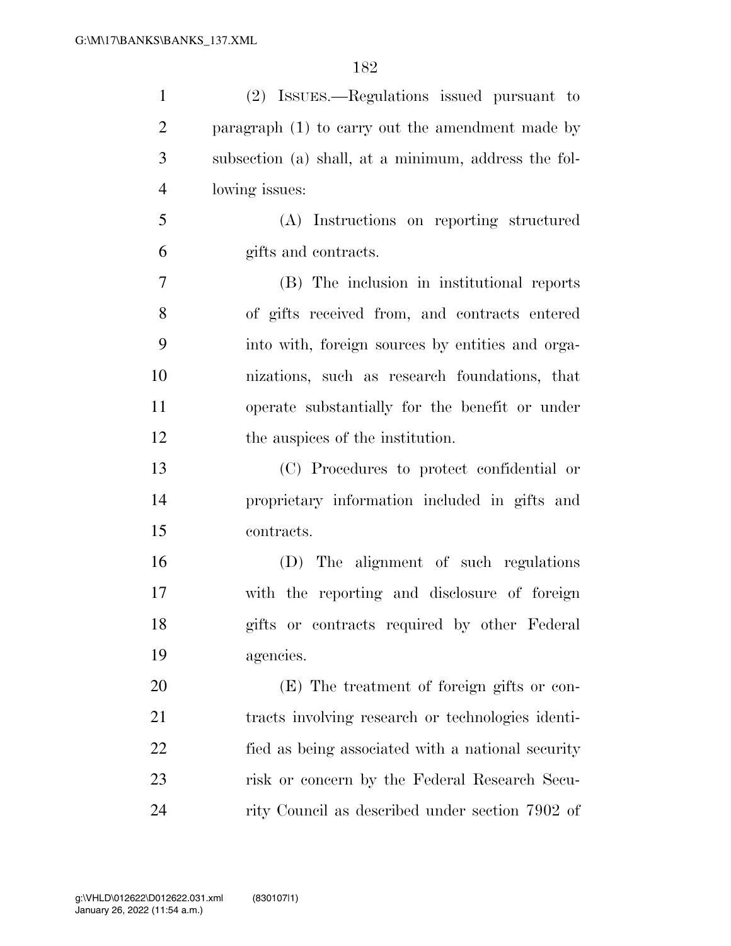| $\mathbf{1}$   | (2) ISSUES.—Regulations issued pursuant to           |
|----------------|------------------------------------------------------|
| $\overline{2}$ | paragraph $(1)$ to carry out the amendment made by   |
| 3              | subsection (a) shall, at a minimum, address the fol- |
| $\overline{4}$ | lowing issues:                                       |
| 5              | (A) Instructions on reporting structured             |
| 6              | gifts and contracts.                                 |
| $\overline{7}$ | (B) The inclusion in institutional reports           |
| 8              | of gifts received from, and contracts entered        |
| 9              | into with, foreign sources by entities and orga-     |
| 10             | nizations, such as research foundations, that        |
| 11             | operate substantially for the benefit or under       |
| 12             | the auspices of the institution.                     |
| 13             | (C) Procedures to protect confidential or            |
| 14             | proprietary information included in gifts and        |
| 15             | contracts.                                           |
| 16             | (D) The alignment of such regulations                |
| 17             | with the reporting and disclosure of foreign         |
| 18             | gifts or contracts required by other Federal         |
| 19             | agencies.                                            |
| 20             | (E) The treatment of foreign gifts or con-           |
| 21             | tracts involving research or technologies identi-    |
| 22             | fied as being associated with a national security    |
| 23             | risk or concern by the Federal Research Secu-        |
| 24             | rity Council as described under section 7902 of      |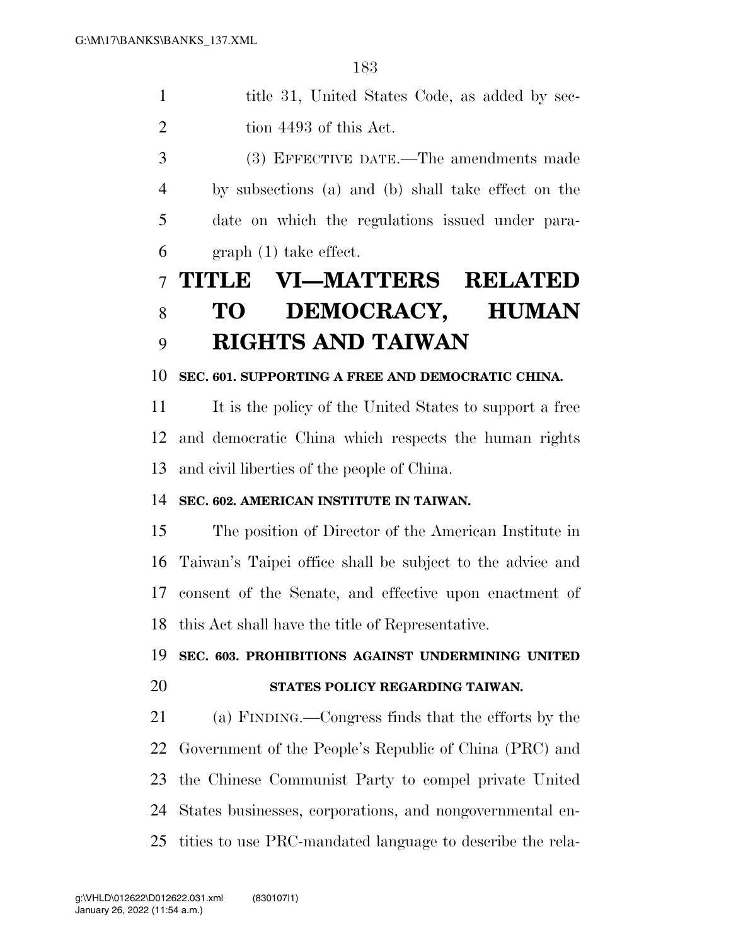1 title 31, United States Code, as added by sec-2 tion 4493 of this Act.

 (3) EFFECTIVE DATE.—The amendments made by subsections (a) and (b) shall take effect on the date on which the regulations issued under para-graph (1) take effect.

# **TITLE VI—MATTERS RELATED TO DEMOCRACY, HUMAN RIGHTS AND TAIWAN**

#### **SEC. 601. SUPPORTING A FREE AND DEMOCRATIC CHINA.**

11 It is the policy of the United States to support a free and democratic China which respects the human rights and civil liberties of the people of China.

#### **SEC. 602. AMERICAN INSTITUTE IN TAIWAN.**

 The position of Director of the American Institute in Taiwan's Taipei office shall be subject to the advice and consent of the Senate, and effective upon enactment of this Act shall have the title of Representative.

#### **SEC. 603. PROHIBITIONS AGAINST UNDERMINING UNITED**

#### **STATES POLICY REGARDING TAIWAN.**

 (a) FINDING.—Congress finds that the efforts by the Government of the People's Republic of China (PRC) and the Chinese Communist Party to compel private United States businesses, corporations, and nongovernmental en-tities to use PRC-mandated language to describe the rela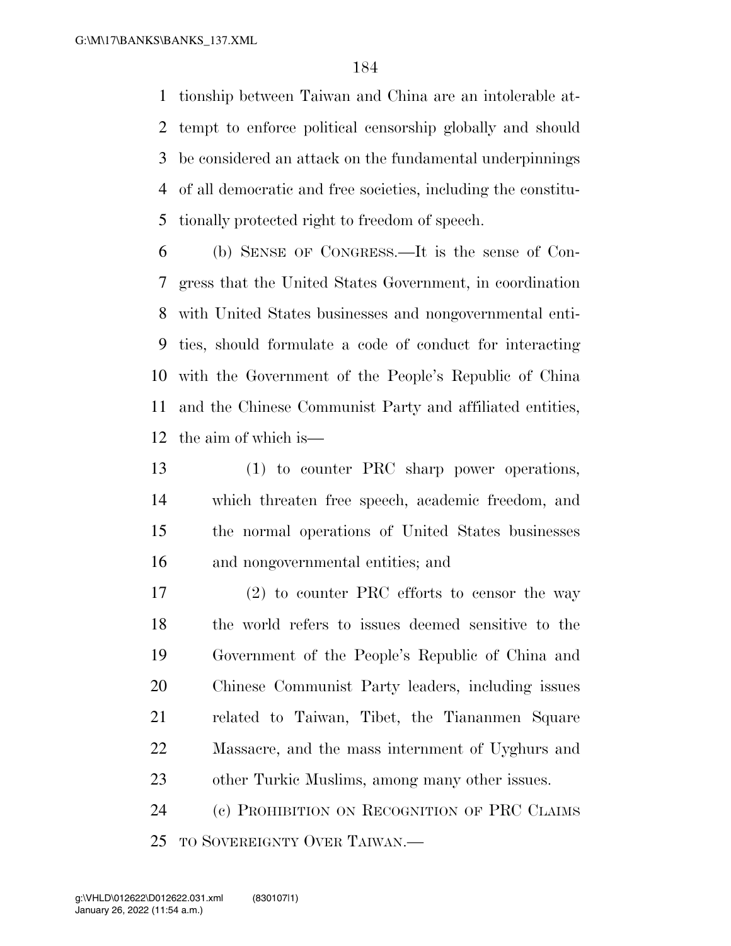tionship between Taiwan and China are an intolerable at- tempt to enforce political censorship globally and should be considered an attack on the fundamental underpinnings of all democratic and free societies, including the constitu-tionally protected right to freedom of speech.

 (b) SENSE OF CONGRESS.—It is the sense of Con- gress that the United States Government, in coordination with United States businesses and nongovernmental enti- ties, should formulate a code of conduct for interacting with the Government of the People's Republic of China and the Chinese Communist Party and affiliated entities, the aim of which is—

 (1) to counter PRC sharp power operations, which threaten free speech, academic freedom, and the normal operations of United States businesses and nongovernmental entities; and

 (2) to counter PRC efforts to censor the way the world refers to issues deemed sensitive to the Government of the People's Republic of China and Chinese Communist Party leaders, including issues related to Taiwan, Tibet, the Tiananmen Square Massacre, and the mass internment of Uyghurs and other Turkic Muslims, among many other issues.

 (c) PROHIBITION ON RECOGNITION OF PRC CLAIMS TO SOVEREIGNTY OVER TAIWAN.—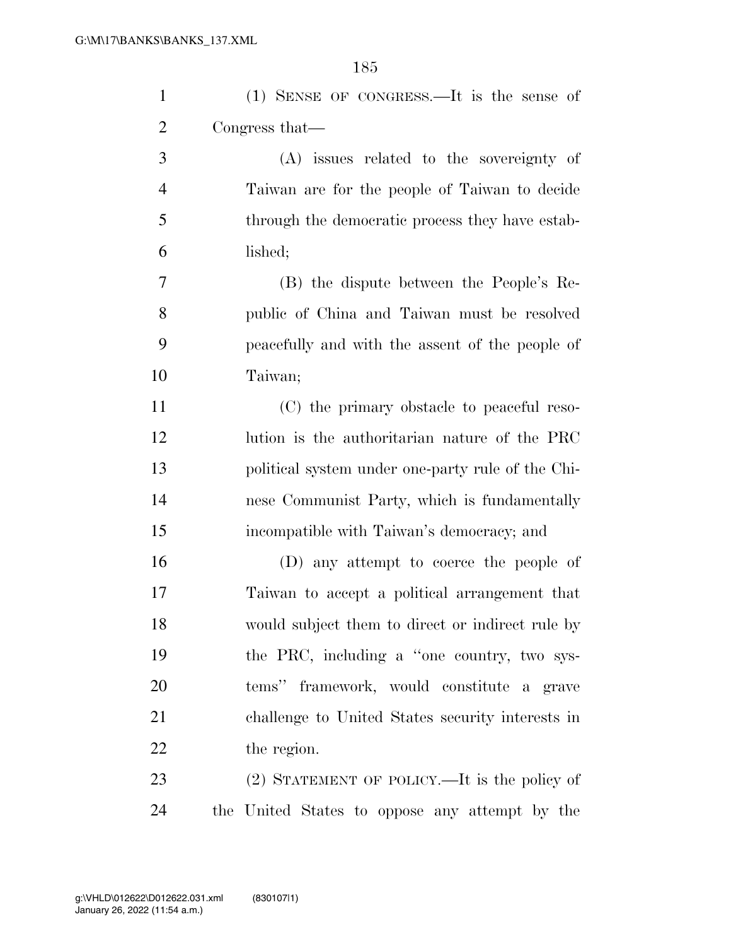| $\mathbf{1}$   | (1) SENSE OF CONGRESS.—It is the sense of         |
|----------------|---------------------------------------------------|
| $\overline{2}$ | Congress that—                                    |
| 3              | (A) issues related to the sovereignty of          |
| $\overline{4}$ | Taiwan are for the people of Taiwan to decide     |
| 5              | through the democratic process they have estab-   |
| 6              | lished;                                           |
| $\overline{7}$ | (B) the dispute between the People's Re-          |
| 8              | public of China and Taiwan must be resolved       |
| 9              | peacefully and with the assent of the people of   |
| 10             | Taiwan;                                           |
| 11             | (C) the primary obstacle to peaceful reso-        |
| 12             | lution is the authoritarian nature of the PRC     |
| 13             | political system under one-party rule of the Chi- |
| 14             | nese Communist Party, which is fundamentally      |
| 15             | incompatible with Taiwan's democracy; and         |
| 16             | (D) any attempt to coerce the people of           |
| 17             | Taiwan to accept a political arrangement that     |
| 18             | would subject them to direct or indirect rule by  |
| 19             | the PRC, including a "one country, two sys-       |
| 20             | tems" framework, would constitute a grave         |
| 21             | challenge to United States security interests in  |
| 22             | the region.                                       |
| 23             | (2) STATEMENT OF POLICY.—It is the policy of      |
| 24             | the United States to oppose any attempt by the    |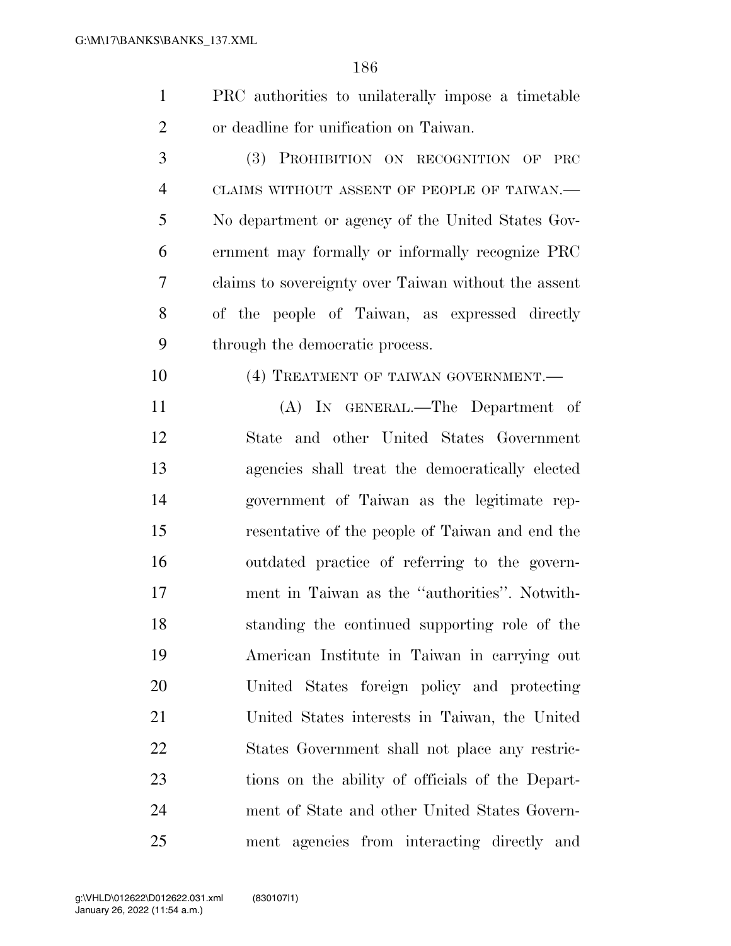| $\mathbf{1}$   | PRC authorities to unilaterally impose a timetable   |
|----------------|------------------------------------------------------|
| $\overline{2}$ | or deadline for unification on Taiwan.               |
| 3              | (3) PROHIBITION ON RECOGNITION OF<br>$\rm PRC$       |
| $\overline{4}$ | CLAIMS WITHOUT ASSENT OF PEOPLE OF TAIWAN.-          |
| 5              | No department or agency of the United States Gov-    |
| 6              | ernment may formally or informally recognize PRC     |
| 7              | claims to sovereignty over Taiwan without the assent |
| 8              | of the people of Taiwan, as expressed directly       |
| 9              | through the democratic process.                      |
| 10             | (4) TREATMENT OF TAIWAN GOVERNMENT.                  |
| 11             | (A) IN GENERAL.—The Department of                    |
| 12             | State and other United States Government             |
| 13             | agencies shall treat the democratically elected      |
| 14             | government of Taiwan as the legitimate rep-          |
| 15             | resentative of the people of Taiwan and end the      |
| 16             | outdated practice of referring to the govern-        |
| 17             | ment in Taiwan as the "authorities". Notwith-        |
| 18             | standing the continued supporting role of the        |
| 19             | American Institute in Taiwan in carrying out         |
| 20             | United States foreign policy and protecting          |
| 21             | United States interests in Taiwan, the United        |
| 22             | States Government shall not place any restric-       |
| 23             | tions on the ability of officials of the Depart-     |
| 24             | ment of State and other United States Govern-        |
| 25             | ment agencies from interacting directly and          |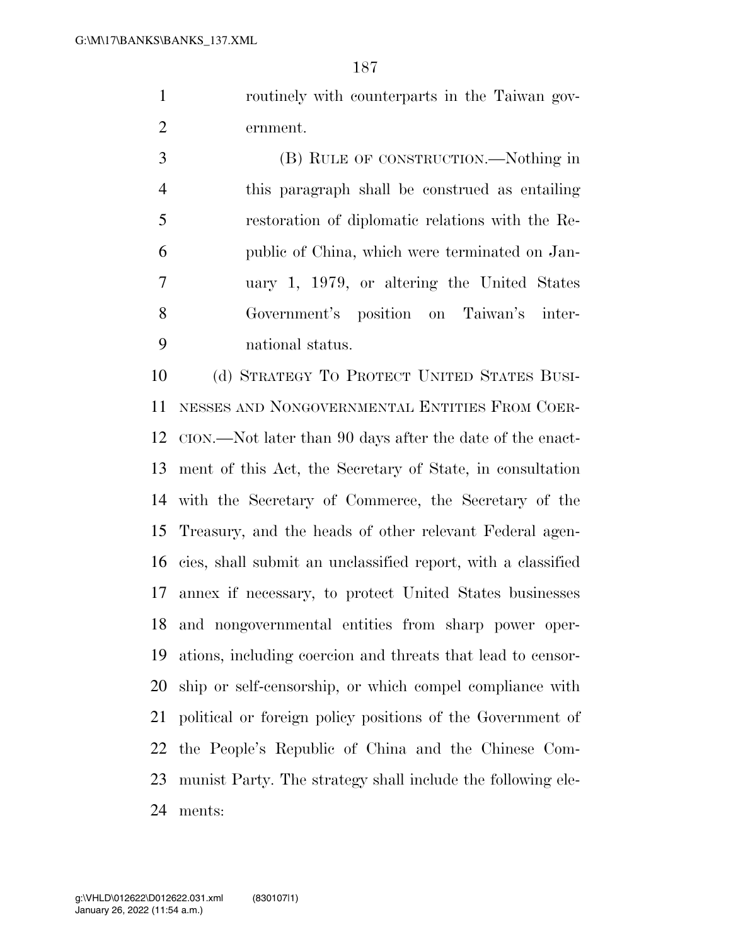routinely with counterparts in the Taiwan gov-ernment.

 (B) RULE OF CONSTRUCTION.—Nothing in this paragraph shall be construed as entailing restoration of diplomatic relations with the Re- public of China, which were terminated on Jan- uary 1, 1979, or altering the United States Government's position on Taiwan's inter-national status.

 (d) STRATEGY TO PROTECT UNITED STATES BUSI- NESSES AND NONGOVERNMENTAL ENTITIES FROM COER- CION.—Not later than 90 days after the date of the enact- ment of this Act, the Secretary of State, in consultation with the Secretary of Commerce, the Secretary of the Treasury, and the heads of other relevant Federal agen- cies, shall submit an unclassified report, with a classified annex if necessary, to protect United States businesses and nongovernmental entities from sharp power oper- ations, including coercion and threats that lead to censor- ship or self-censorship, or which compel compliance with political or foreign policy positions of the Government of the People's Republic of China and the Chinese Com- munist Party. The strategy shall include the following ele-ments: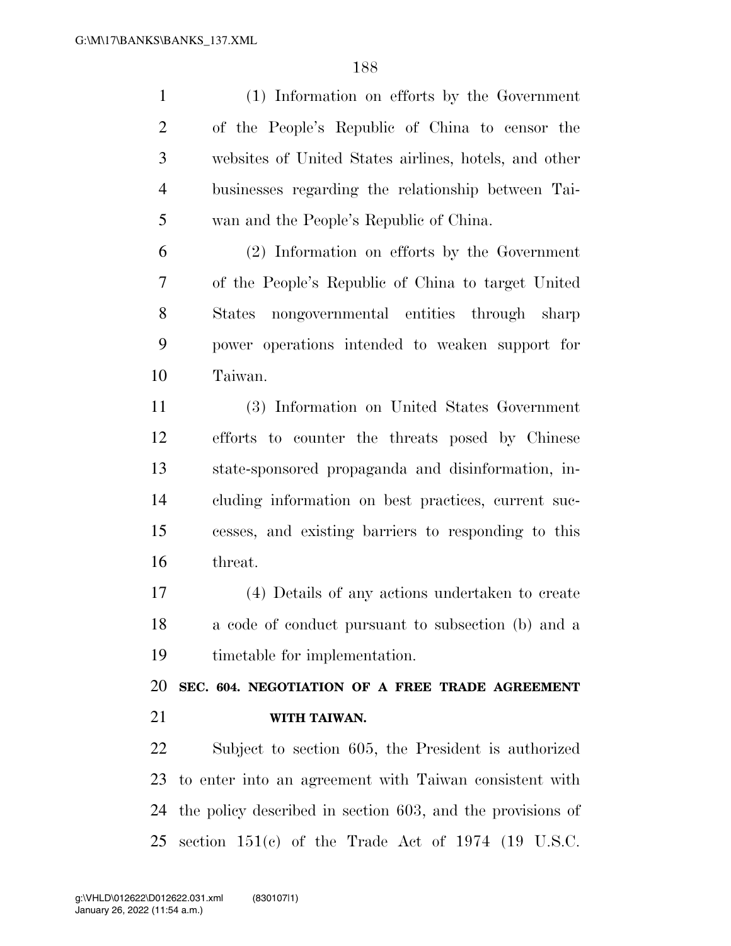(1) Information on efforts by the Government of the People's Republic of China to censor the websites of United States airlines, hotels, and other businesses regarding the relationship between Tai-wan and the People's Republic of China.

 (2) Information on efforts by the Government of the People's Republic of China to target United States nongovernmental entities through sharp power operations intended to weaken support for Taiwan.

 (3) Information on United States Government efforts to counter the threats posed by Chinese state-sponsored propaganda and disinformation, in- cluding information on best practices, current suc- cesses, and existing barriers to responding to this threat.

 (4) Details of any actions undertaken to create a code of conduct pursuant to subsection (b) and a timetable for implementation.

 **SEC. 604. NEGOTIATION OF A FREE TRADE AGREEMENT WITH TAIWAN.** 

 Subject to section 605, the President is authorized to enter into an agreement with Taiwan consistent with the policy described in section 603, and the provisions of section 151(c) of the Trade Act of 1974 (19 U.S.C.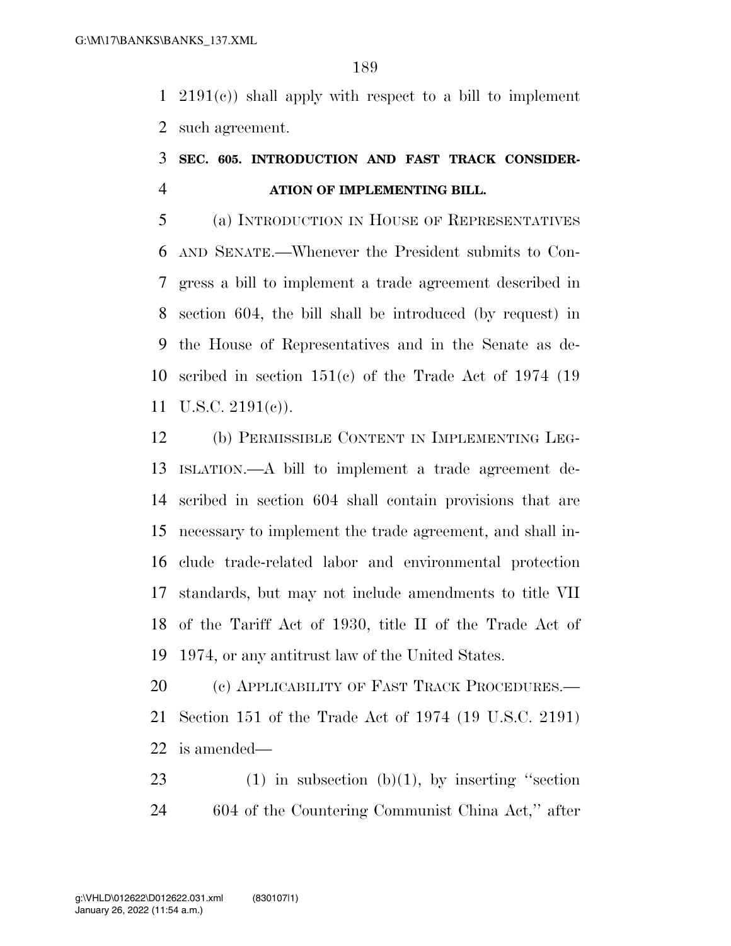2191(c)) shall apply with respect to a bill to implement such agreement.

### **SEC. 605. INTRODUCTION AND FAST TRACK CONSIDER-ATION OF IMPLEMENTING BILL.**

 (a) INTRODUCTION IN HOUSE OF REPRESENTATIVES AND SENATE.—Whenever the President submits to Con- gress a bill to implement a trade agreement described in section 604, the bill shall be introduced (by request) in the House of Representatives and in the Senate as de- scribed in section 151(c) of the Trade Act of 1974 (19 U.S.C. 2191(c)).

 (b) PERMISSIBLE CONTENT IN IMPLEMENTING LEG- ISLATION.—A bill to implement a trade agreement de- scribed in section 604 shall contain provisions that are necessary to implement the trade agreement, and shall in- clude trade-related labor and environmental protection standards, but may not include amendments to title VII of the Tariff Act of 1930, title II of the Trade Act of 1974, or any antitrust law of the United States.

20 (c) APPLICABILITY OF FAST TRACK PROCEDURES.— Section 151 of the Trade Act of 1974 (19 U.S.C. 2191) is amended—

23 (1) in subsection  $(b)(1)$ , by inserting "section 24 604 of the Countering Communist China Act," after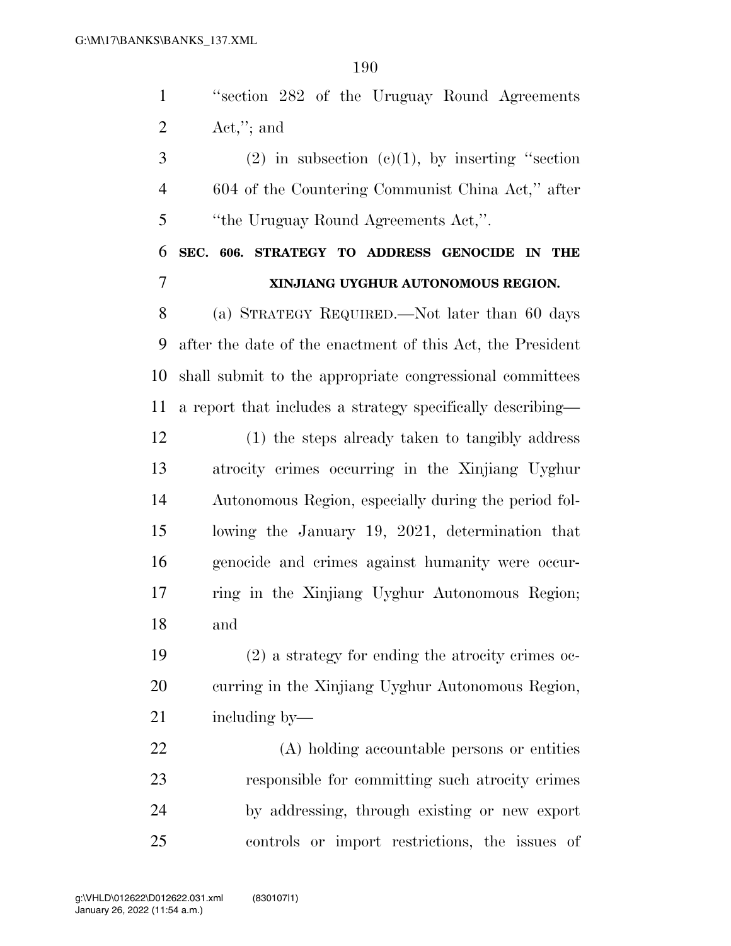| "section 282 of the Uruguay Round Agreements" |  |  |
|-----------------------------------------------|--|--|
| $\text{Act},''$ ; and                         |  |  |

 (2) in subsection (c)(1), by inserting "section 604 of the Countering Communist China Act,'' after ''the Uruguay Round Agreements Act,''.

# **SEC. 606. STRATEGY TO ADDRESS GENOCIDE IN THE XINJIANG UYGHUR AUTONOMOUS REGION.**

 (a) STRATEGY REQUIRED.—Not later than 60 days after the date of the enactment of this Act, the President shall submit to the appropriate congressional committees a report that includes a strategy specifically describing—

 (1) the steps already taken to tangibly address atrocity crimes occurring in the Xinjiang Uyghur Autonomous Region, especially during the period fol- lowing the January 19, 2021, determination that genocide and crimes against humanity were occur- ring in the Xinjiang Uyghur Autonomous Region; and

 (2) a strategy for ending the atrocity crimes oc- curring in the Xinjiang Uyghur Autonomous Region, including by—

 (A) holding accountable persons or entities responsible for committing such atrocity crimes by addressing, through existing or new export controls or import restrictions, the issues of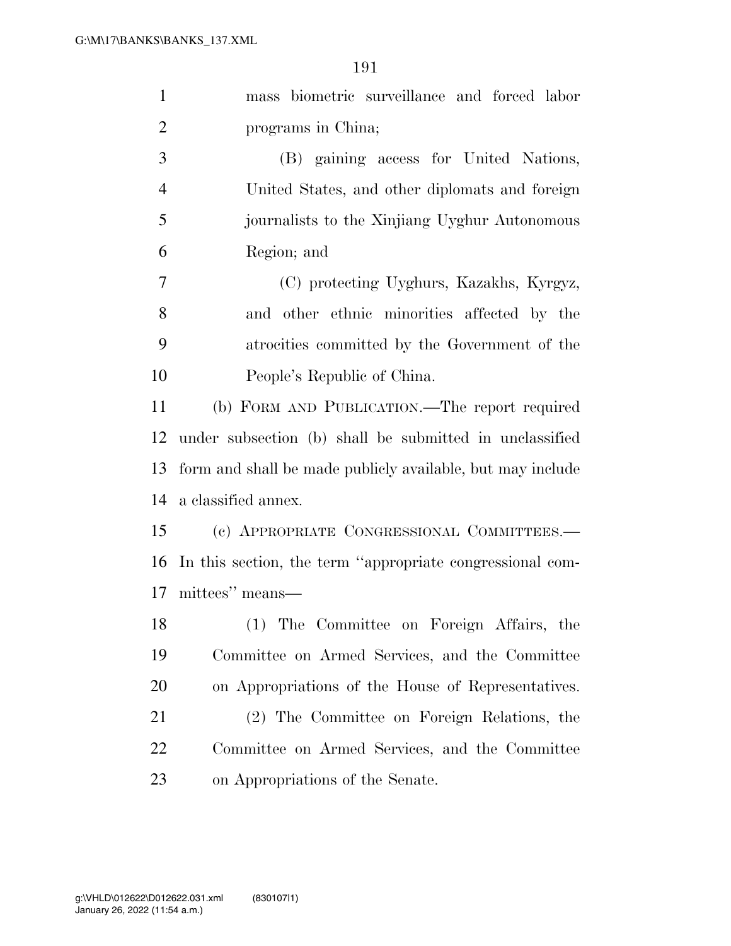| mass biometric surveillance and forced labor               |
|------------------------------------------------------------|
| programs in China;                                         |
| (B) gaining access for United Nations,                     |
| United States, and other diplomats and foreign             |
| journalists to the Xinjiang Uyghur Autonomous              |
| Region; and                                                |
| (C) protecting Uyghurs, Kazakhs, Kyrgyz,                   |
| and other ethnic minorities affected by the                |
| atrocities committed by the Government of the              |
| People's Republic of China.                                |
| (b) FORM AND PUBLICATION.—The report required              |
| under subsection (b) shall be submitted in unclassified    |
| form and shall be made publicly available, but may include |
| a classified annex.                                        |
| (c) APPROPRIATE CONGRESSIONAL COMMITTEES.-                 |
| In this section, the term "appropriate congressional com-  |
| 17<br>mittees" means—                                      |
| (1) The Committee on Foreign Affairs, the                  |
| Committee on Armed Services, and the Committee             |
| on Appropriations of the House of Representatives.         |
| (2) The Committee on Foreign Relations, the                |
| Committee on Armed Services, and the Committee             |
| on Appropriations of the Senate.                           |
|                                                            |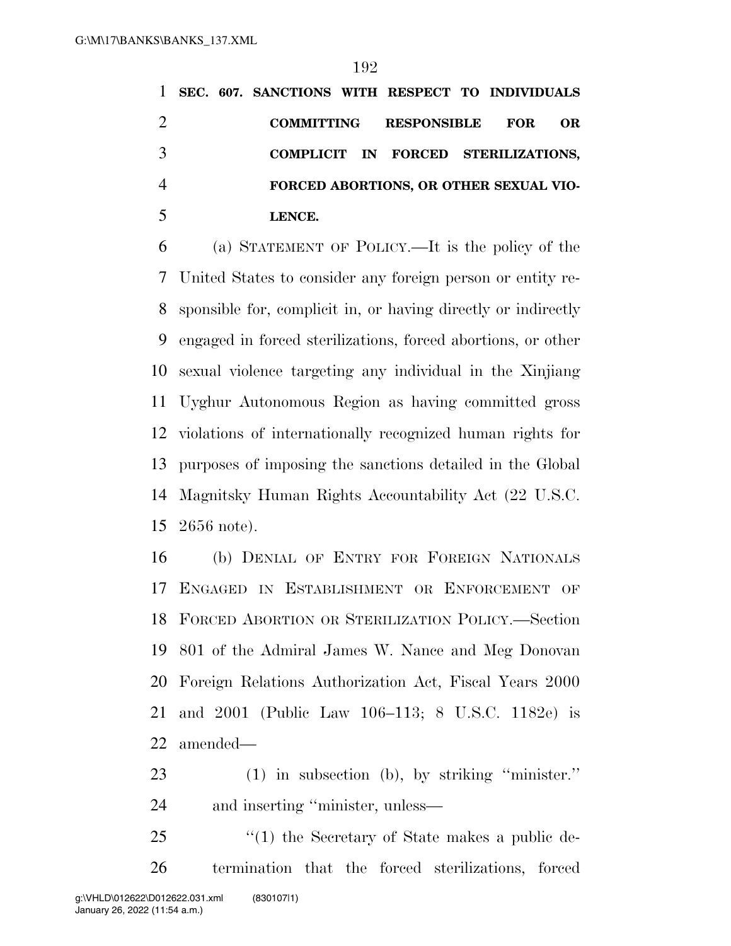**SEC. 607. SANCTIONS WITH RESPECT TO INDIVIDUALS COMMITTING RESPONSIBLE FOR OR COMPLICIT IN FORCED STERILIZATIONS, FORCED ABORTIONS, OR OTHER SEXUAL VIO-LENCE.** 

 (a) STATEMENT OF POLICY.—It is the policy of the United States to consider any foreign person or entity re- sponsible for, complicit in, or having directly or indirectly engaged in forced sterilizations, forced abortions, or other sexual violence targeting any individual in the Xinjiang Uyghur Autonomous Region as having committed gross violations of internationally recognized human rights for purposes of imposing the sanctions detailed in the Global Magnitsky Human Rights Accountability Act (22 U.S.C. 2656 note).

 (b) DENIAL OF ENTRY FOR FOREIGN NATIONALS ENGAGED IN ESTABLISHMENT OR ENFORCEMENT OF FORCED ABORTION OR STERILIZATION POLICY.—Section 801 of the Admiral James W. Nance and Meg Donovan Foreign Relations Authorization Act, Fiscal Years 2000 and 2001 (Public Law 106–113; 8 U.S.C. 1182e) is amended—

 (1) in subsection (b), by striking ''minister.'' and inserting ''minister, unless—

25 "(1) the Secretary of State makes a public de-termination that the forced sterilizations, forced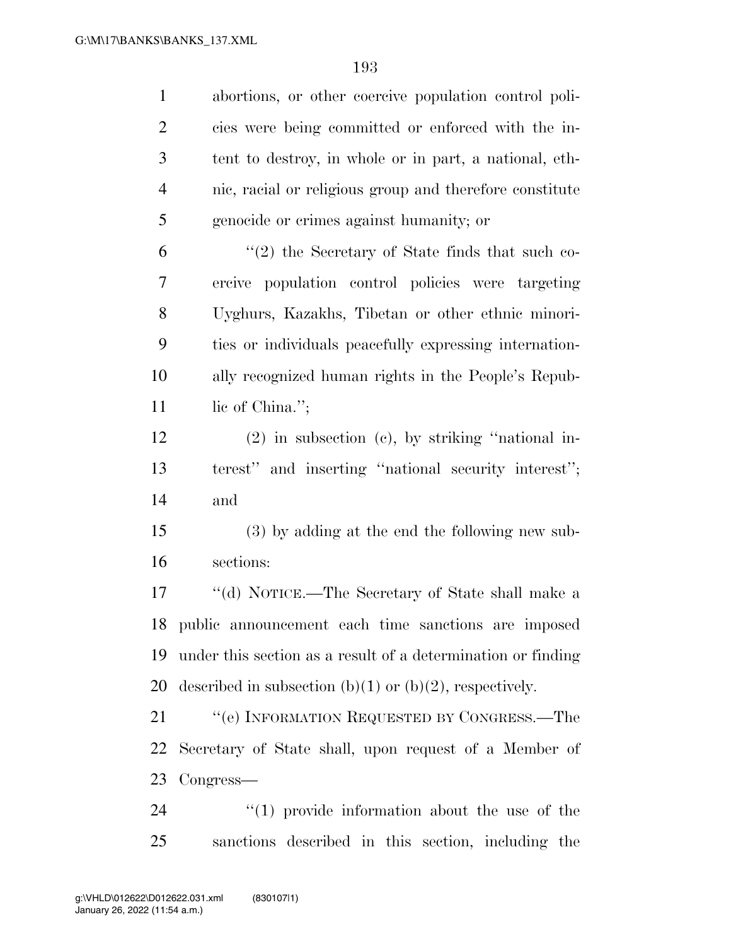| $\mathbf{1}$   | abortions, or other coercive population control poli-        |
|----------------|--------------------------------------------------------------|
| $\overline{2}$ | cies were being committed or enforced with the in-           |
| 3              | tent to destroy, in whole or in part, a national, eth-       |
| $\overline{4}$ | nic, racial or religious group and therefore constitute      |
| 5              | genocide or crimes against humanity; or                      |
| 6              | $\lq(2)$ the Secretary of State finds that such co-          |
| 7              | ercive population control policies were targeting            |
| $8\phantom{1}$ | Uyghurs, Kazakhs, Tibetan or other ethnic minori-            |
| 9              | ties or individuals peacefully expressing internation-       |
| 10             | ally recognized human rights in the People's Repub-          |
| 11             | lic of China.";                                              |
| 12             | $(2)$ in subsection $(e)$ , by striking "national in-        |
| 13             | terest" and inserting "national security interest";          |
| 14             | and                                                          |
| 15             | (3) by adding at the end the following new sub-              |
| 16             | sections:                                                    |
| 17             | "(d) NOTICE.—The Secretary of State shall make a             |
|                | 18 public announcement each time sanctions are imposed       |
| 19             | under this section as a result of a determination or finding |
| 20             | described in subsection (b)(1) or (b)(2), respectively.      |
| 21             | "(e) INFORMATION REQUESTED BY CONGRESS.—The                  |
| 22             | Secretary of State shall, upon request of a Member of        |
| 23             | Congress—                                                    |
| 24             | $\lq(1)$ provide information about the use of the            |
| 25             | sanctions described in this section, including the           |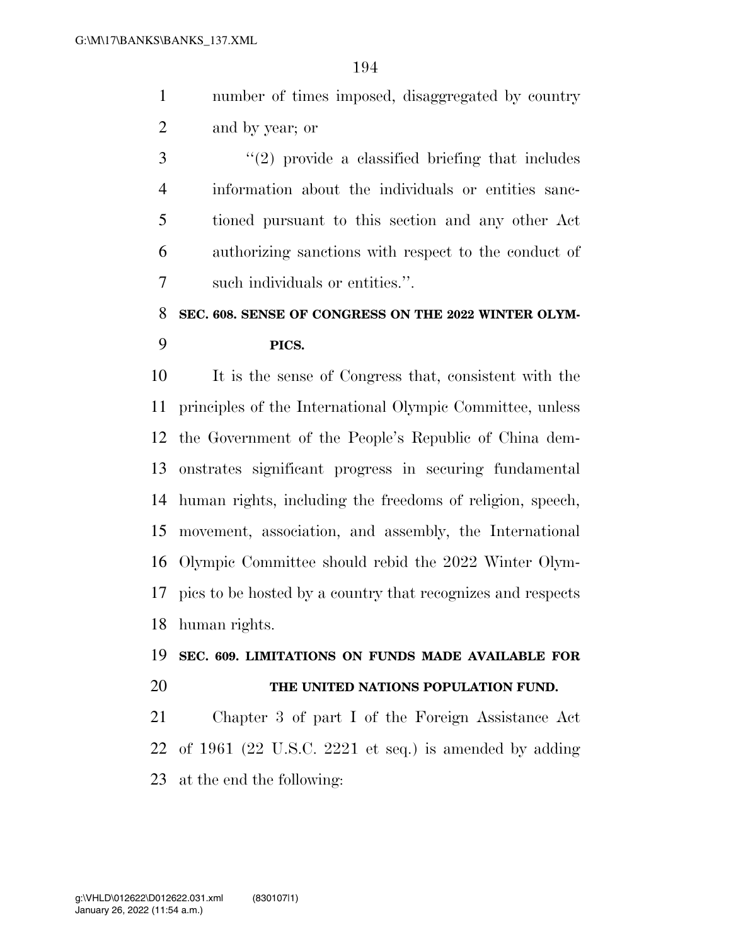- number of times imposed, disaggregated by country and by year; or
- ''(2) provide a classified briefing that includes information about the individuals or entities sanc- tioned pursuant to this section and any other Act authorizing sanctions with respect to the conduct of such individuals or entities.''.

# **SEC. 608. SENSE OF CONGRESS ON THE 2022 WINTER OLYM-PICS.**

 It is the sense of Congress that, consistent with the principles of the International Olympic Committee, unless the Government of the People's Republic of China dem- onstrates significant progress in securing fundamental human rights, including the freedoms of religion, speech, movement, association, and assembly, the International Olympic Committee should rebid the 2022 Winter Olym- pics to be hosted by a country that recognizes and respects human rights.

#### **SEC. 609. LIMITATIONS ON FUNDS MADE AVAILABLE FOR**

#### **THE UNITED NATIONS POPULATION FUND.**

 Chapter 3 of part I of the Foreign Assistance Act of 1961 (22 U.S.C. 2221 et seq.) is amended by adding at the end the following: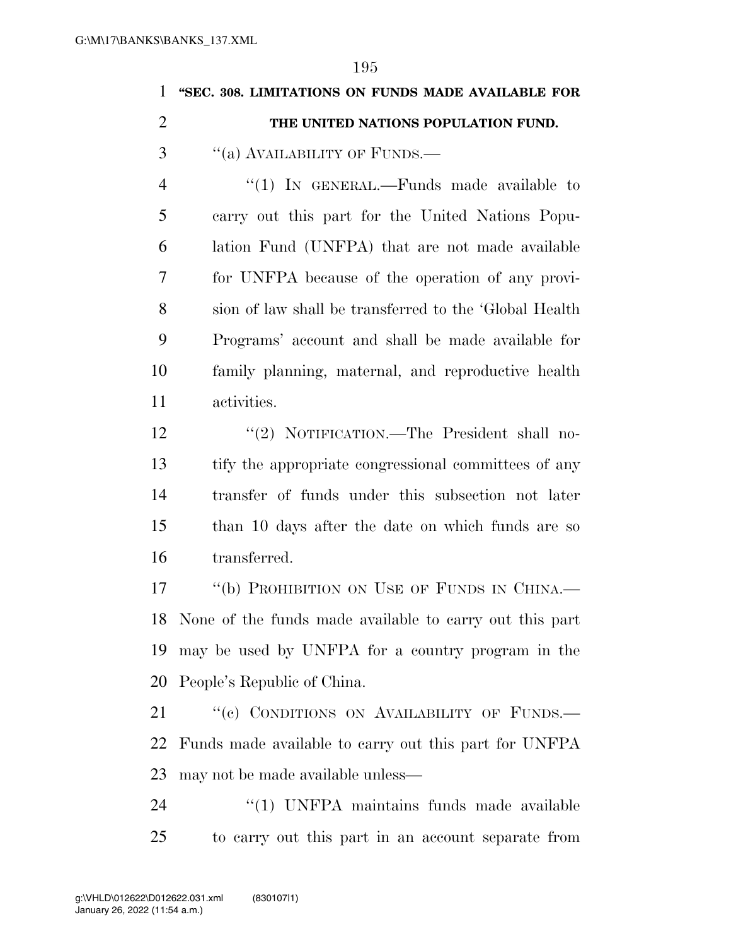| 1              | "SEC. 308. LIMITATIONS ON FUNDS MADE AVAILABLE FOR         |
|----------------|------------------------------------------------------------|
| $\overline{2}$ | THE UNITED NATIONS POPULATION FUND.                        |
| 3              | "(a) AVAILABILITY OF FUNDS.—                               |
| $\overline{4}$ | "(1) IN GENERAL.—Funds made available to                   |
| 5              | carry out this part for the United Nations Popu-           |
| 6              | lation Fund (UNFPA) that are not made available            |
| 7              | for UNFPA because of the operation of any provi-           |
| 8              | sion of law shall be transferred to the 'Global Health     |
| 9              | Programs' account and shall be made available for          |
| 10             | family planning, maternal, and reproductive health         |
| 11             | activities.                                                |
| 12             | "(2) NOTIFICATION.—The President shall no-                 |
| 13             | tify the appropriate congressional committees of any       |
| 14             | transfer of funds under this subsection not later          |
| 15             | than 10 days after the date on which funds are so          |
| 16             | transferred.                                               |
| 17             | "(b) PROHIBITION ON USE OF FUNDS IN CHINA.—                |
|                | 18 None of the funds made available to carry out this part |
| 19             | may be used by UNFPA for a country program in the          |
| 20             | People's Republic of China.                                |
| 21             | "(c) CONDITIONS ON AVAILABILITY OF FUNDS.-                 |
| 22             | Funds made available to carry out this part for UNFPA      |
| 23             | may not be made available unless—                          |
| 24             | "(1) UNFPA maintains funds made available                  |
| 25             | to carry out this part in an account separate from         |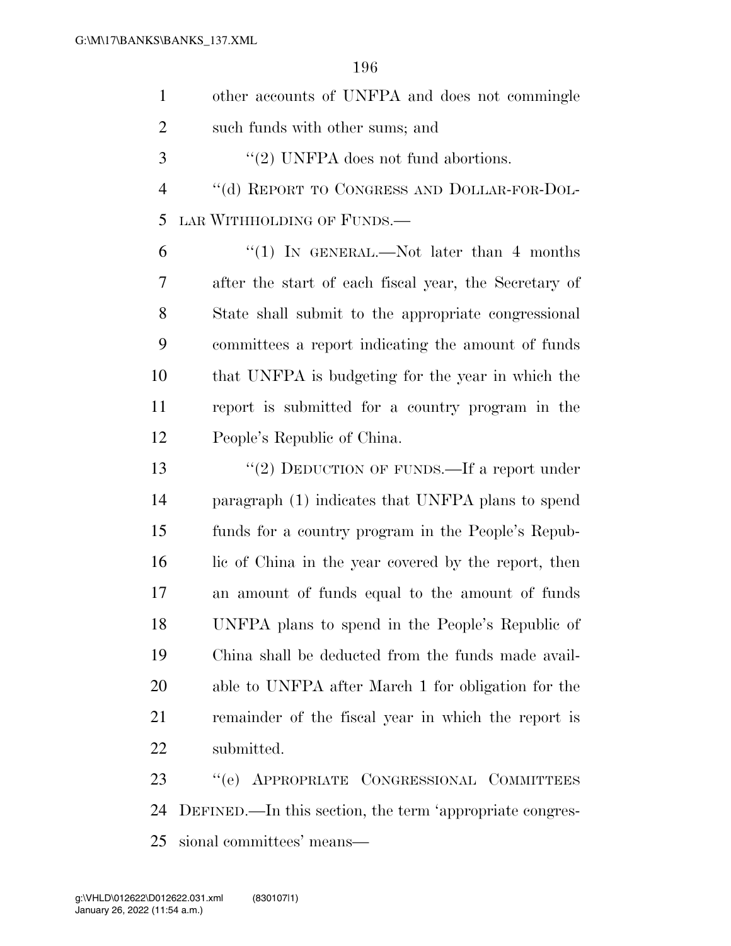| $\mathbf{1}$   | other accounts of UNFPA and does not commingle           |
|----------------|----------------------------------------------------------|
| $\overline{2}$ | such funds with other sums; and                          |
| 3              | $\lq(2)$ UNFPA does not fund abortions.                  |
| $\overline{4}$ | "(d) REPORT TO CONGRESS AND DOLLAR-FOR-DOL-              |
| 5              | LAR WITHHOLDING OF FUNDS.—                               |
| 6              | "(1) IN GENERAL.—Not later than 4 months                 |
| 7              | after the start of each fiscal year, the Secretary of    |
| 8              | State shall submit to the appropriate congressional      |
| 9              | committees a report indicating the amount of funds       |
| 10             | that UNFPA is budgeting for the year in which the        |
| 11             | report is submitted for a country program in the         |
| 12             | People's Republic of China.                              |
| 13             | "(2) DEDUCTION OF FUNDS.—If a report under               |
| 14             | paragraph (1) indicates that UNFPA plans to spend        |
| 15             | funds for a country program in the People's Repub-       |
| 16             | lic of China in the year covered by the report, then     |
| 17             | an amount of funds equal to the amount of funds          |
| 18             | UNFPA plans to spend in the People's Republic of         |
| 19             | China shall be deducted from the funds made avail-       |
| 20             | able to UNFPA after March 1 for obligation for the       |
| 21             | remainder of the fiscal year in which the report is      |
| 22             | submitted.                                               |
| 23             | "(e) APPROPRIATE CONGRESSIONAL COMMITTEES                |
| 24             | DEFINED.—In this section, the term 'appropriate congres- |
| 25             | sional committees' means-                                |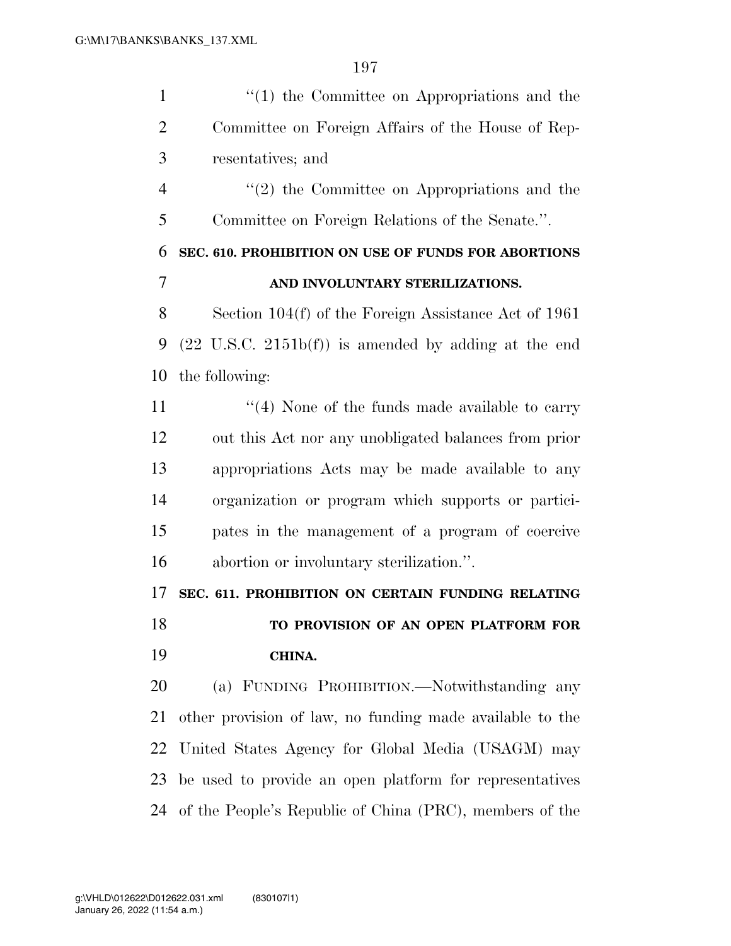| $\mathbf{1}$   | $f'(1)$ the Committee on Appropriations and the                 |
|----------------|-----------------------------------------------------------------|
| $\overline{2}$ | Committee on Foreign Affairs of the House of Rep-               |
| 3              | resentatives; and                                               |
| $\overline{4}$ | $\lq(2)$ the Committee on Appropriations and the                |
| 5              | Committee on Foreign Relations of the Senate.".                 |
| 6              | SEC. 610. PROHIBITION ON USE OF FUNDS FOR ABORTIONS             |
| $\overline{7}$ | AND INVOLUNTARY STERILIZATIONS.                                 |
| 8              | Section $104(f)$ of the Foreign Assistance Act of 1961          |
| 9              | $(22 \text{ U.S.C. } 2151b(f))$ is amended by adding at the end |
| 10             | the following:                                                  |
| 11             | $\lq(4)$ None of the funds made available to carry              |
| 12             | out this Act nor any unobligated balances from prior            |
| 13             | appropriations Acts may be made available to any                |
| 14             | organization or program which supports or partici-              |
| 15             | pates in the management of a program of coercive                |
| 16             | abortion or involuntary sterilization.".                        |
| 17             | SEC. 611. PROHIBITION ON CERTAIN FUNDING RELATING               |
| 18             | TO PROVISION OF AN OPEN PLATFORM FOR                            |
| 19             | <b>CHINA.</b>                                                   |
| 20             | (a) FUNDING PROHIBITION.—Notwithstanding any                    |
| 21             | other provision of law, no funding made available to the        |
| 22             | United States Agency for Global Media (USAGM) may               |
| 23             | be used to provide an open platform for representatives         |
| 24             | of the People's Republic of China (PRC), members of the         |
|                |                                                                 |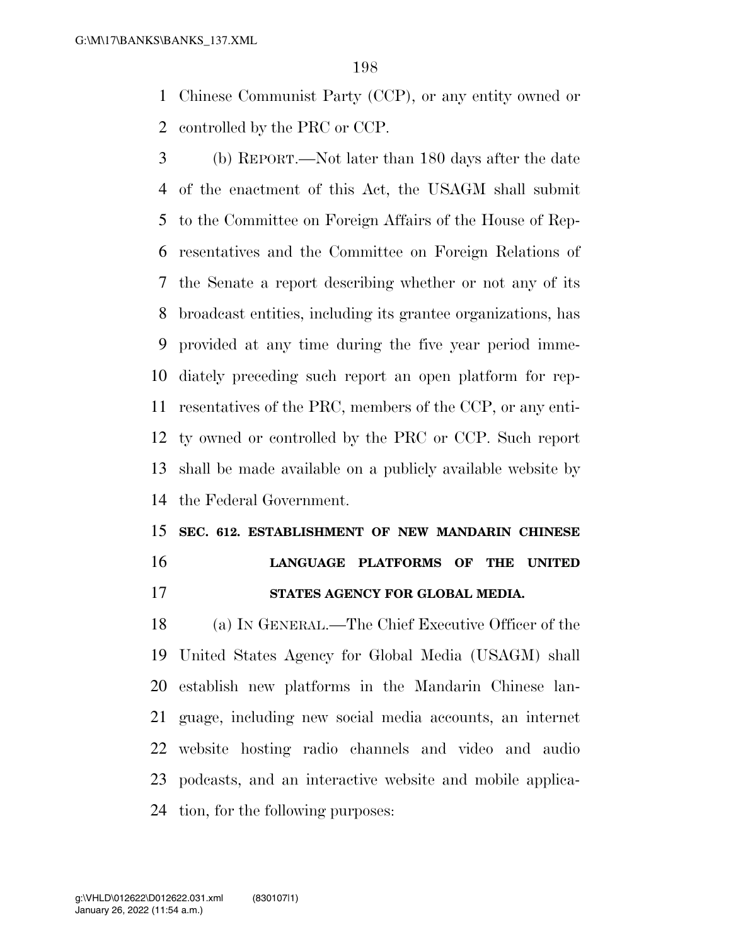Chinese Communist Party (CCP), or any entity owned or controlled by the PRC or CCP.

 (b) REPORT.—Not later than 180 days after the date of the enactment of this Act, the USAGM shall submit to the Committee on Foreign Affairs of the House of Rep- resentatives and the Committee on Foreign Relations of the Senate a report describing whether or not any of its broadcast entities, including its grantee organizations, has provided at any time during the five year period imme- diately preceding such report an open platform for rep- resentatives of the PRC, members of the CCP, or any enti- ty owned or controlled by the PRC or CCP. Such report shall be made available on a publicly available website by the Federal Government.

# **SEC. 612. ESTABLISHMENT OF NEW MANDARIN CHINESE LANGUAGE PLATFORMS OF THE UNITED**

**STATES AGENCY FOR GLOBAL MEDIA.** 

 (a) IN GENERAL.—The Chief Executive Officer of the United States Agency for Global Media (USAGM) shall establish new platforms in the Mandarin Chinese lan- guage, including new social media accounts, an internet website hosting radio channels and video and audio podcasts, and an interactive website and mobile applica-tion, for the following purposes: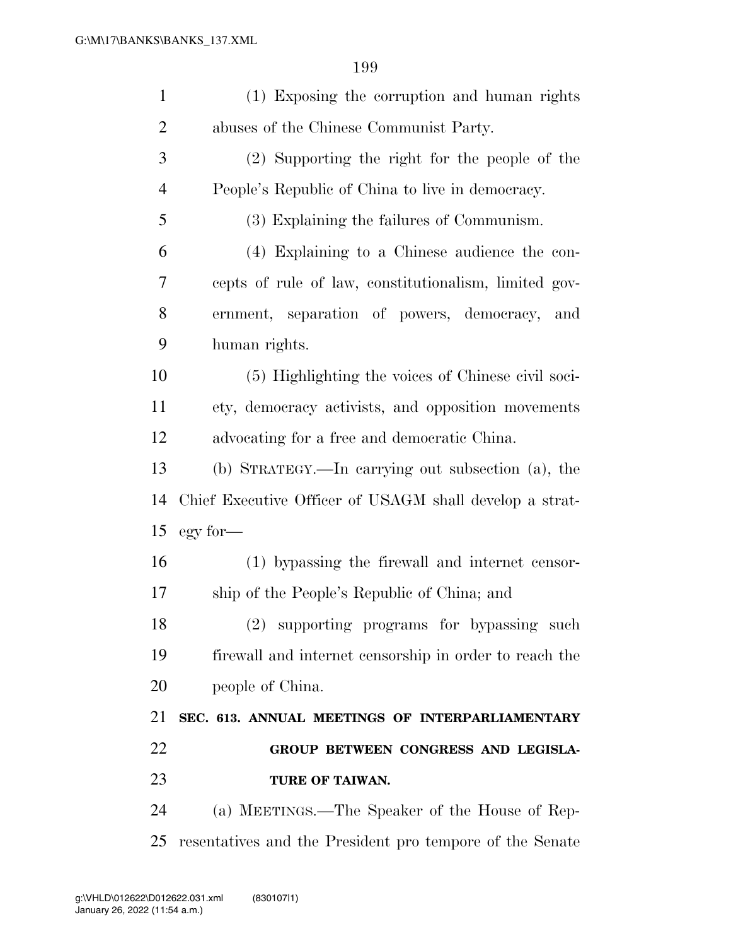| $\mathbf{1}$   | (1) Exposing the corruption and human rights            |
|----------------|---------------------------------------------------------|
| $\overline{2}$ | abuses of the Chinese Communist Party.                  |
| 3              | (2) Supporting the right for the people of the          |
| $\overline{4}$ | People's Republic of China to live in democracy.        |
| 5              | (3) Explaining the failures of Communism.               |
| 6              | (4) Explaining to a Chinese audience the con-           |
| 7              | cepts of rule of law, constitutionalism, limited gov-   |
| 8              | ernment, separation of powers, democracy, and           |
| 9              | human rights.                                           |
| 10             | (5) Highlighting the voices of Chinese civil soci-      |
| 11             | ety, democracy activists, and opposition movements      |
| 12             | advocating for a free and democratic China.             |
| 13             | (b) STRATEGY.—In carrying out subsection (a), the       |
| 14             | Chief Executive Officer of USAGM shall develop a strat- |
| 15             | egy for-                                                |
| 16             | (1) bypassing the firewall and internet censor-         |
| 17             | ship of the People's Republic of China; and             |
| 18             | (2) supporting programs for bypassing such              |
| 19             | firewall and internet censorship in order to reach the  |
| 20             | people of China.                                        |
| 21             | SEC. 613. ANNUAL MEETINGS OF INTERPARLIAMENTARY         |
| 22             | GROUP BETWEEN CONGRESS AND LEGISLA-                     |
| 23             | TURE OF TAIWAN.                                         |
| 24             | (a) MEETINGS.—The Speaker of the House of Rep-          |
|                |                                                         |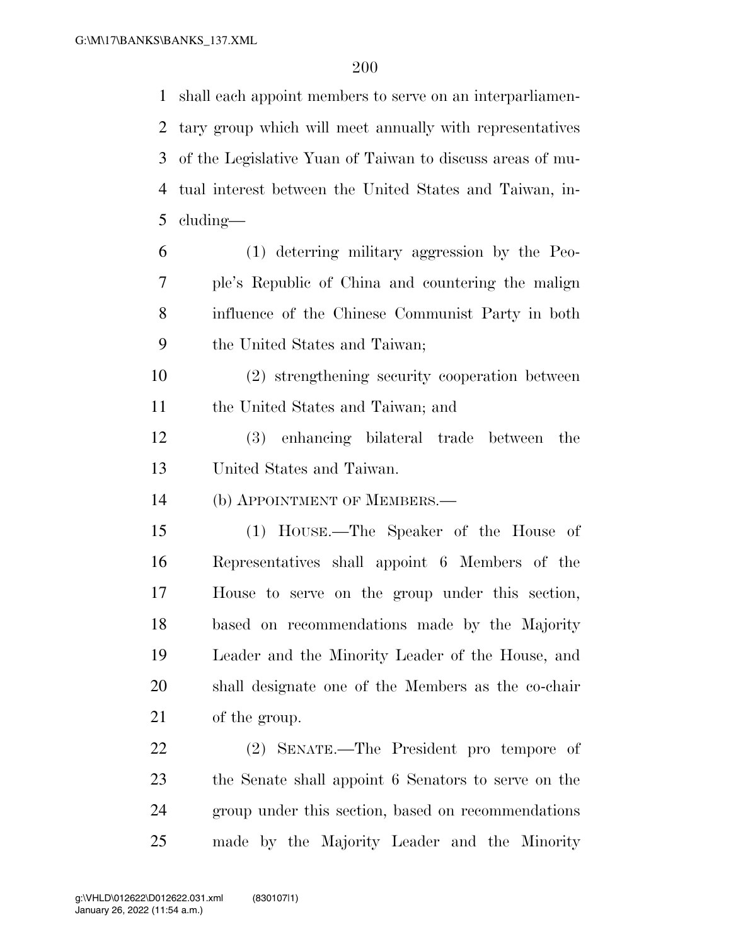shall each appoint members to serve on an interparliamen- tary group which will meet annually with representatives of the Legislative Yuan of Taiwan to discuss areas of mu- tual interest between the United States and Taiwan, in-cluding—

- (1) deterring military aggression by the Peo- ple's Republic of China and countering the malign influence of the Chinese Communist Party in both the United States and Taiwan;
- (2) strengthening security cooperation between the United States and Taiwan; and
- (3) enhancing bilateral trade between the United States and Taiwan.
- (b) APPOINTMENT OF MEMBERS.—
- (1) HOUSE.—The Speaker of the House of Representatives shall appoint 6 Members of the House to serve on the group under this section, based on recommendations made by the Majority Leader and the Minority Leader of the House, and shall designate one of the Members as the co-chair of the group.

 (2) SENATE.—The President pro tempore of the Senate shall appoint 6 Senators to serve on the group under this section, based on recommendations made by the Majority Leader and the Minority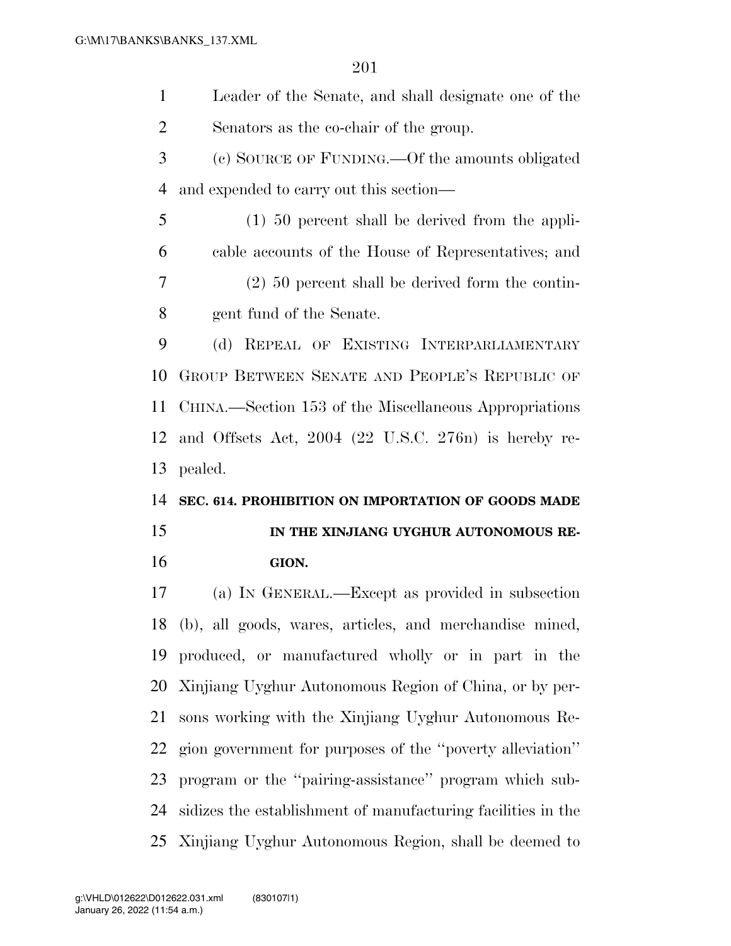Leader of the Senate, and shall designate one of the Senators as the co-chair of the group. (c) SOURCE OF FUNDING.—Of the amounts obligated and expended to carry out this section— (1) 50 percent shall be derived from the appli- cable accounts of the House of Representatives; and (2) 50 percent shall be derived form the contin- gent fund of the Senate. (d) REPEAL OF EXISTING INTERPARLIAMENTARY GROUP BETWEEN SENATE AND PEOPLE'S REPUBLIC OF CHINA.—Section 153 of the Miscellaneous Appropriations and Offsets Act, 2004 (22 U.S.C. 276n) is hereby re- pealed. **SEC. 614. PROHIBITION ON IMPORTATION OF GOODS MADE IN THE XINJIANG UYGHUR AUTONOMOUS RE- GION.**  (a) IN GENERAL.—Except as provided in subsection (b), all goods, wares, articles, and merchandise mined, produced, or manufactured wholly or in part in the

 Xinjiang Uyghur Autonomous Region of China, or by per- sons working with the Xinjiang Uyghur Autonomous Re- gion government for purposes of the ''poverty alleviation'' program or the ''pairing-assistance'' program which sub-sidizes the establishment of manufacturing facilities in the

Xinjiang Uyghur Autonomous Region, shall be deemed to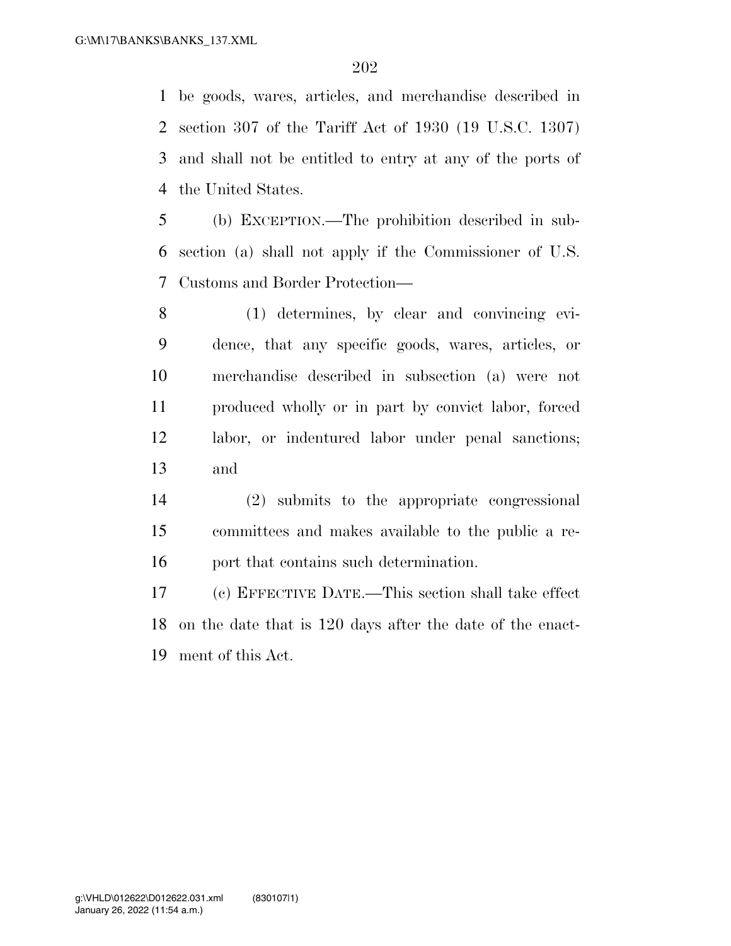be goods, wares, articles, and merchandise described in section 307 of the Tariff Act of 1930 (19 U.S.C. 1307) and shall not be entitled to entry at any of the ports of the United States.

 (b) EXCEPTION.—The prohibition described in sub- section (a) shall not apply if the Commissioner of U.S. Customs and Border Protection—

 (1) determines, by clear and convincing evi- dence, that any specific goods, wares, articles, or merchandise described in subsection (a) were not produced wholly or in part by convict labor, forced labor, or indentured labor under penal sanctions; and

 (2) submits to the appropriate congressional committees and makes available to the public a re-port that contains such determination.

 (c) EFFECTIVE DATE.—This section shall take effect on the date that is 120 days after the date of the enact-ment of this Act.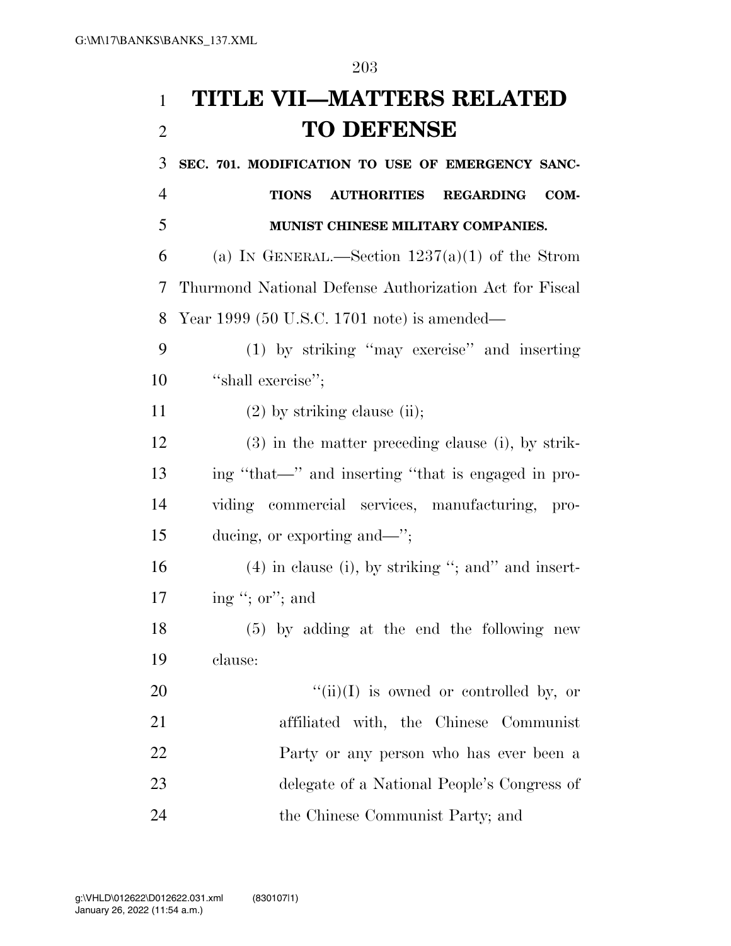# **TITLE VII—MATTERS RELATED TO DEFENSE**

 **SEC. 701. MODIFICATION TO USE OF EMERGENCY SANC- TIONS AUTHORITIES REGARDING COM- MUNIST CHINESE MILITARY COMPANIES.**  6 (a) IN GENERAL.—Section  $1237(a)(1)$  of the Strom Thurmond National Defense Authorization Act for Fiscal Year 1999 (50 U.S.C. 1701 note) is amended— (1) by striking ''may exercise'' and inserting 10 "shall exercise"; 11 (2) by striking clause (ii); (3) in the matter preceding clause (i), by strik- ing ''that—'' and inserting ''that is engaged in pro- viding commercial services, manufacturing, pro- ducing, or exporting and—''; 16 (4) in clause (i), by striking "; and" and insert- ing ''; or''; and (5) by adding at the end the following new clause:  $"(*ii*)(I)$  is owned or controlled by, or affiliated with, the Chinese Communist Party or any person who has ever been a delegate of a National People's Congress of the Chinese Communist Party; and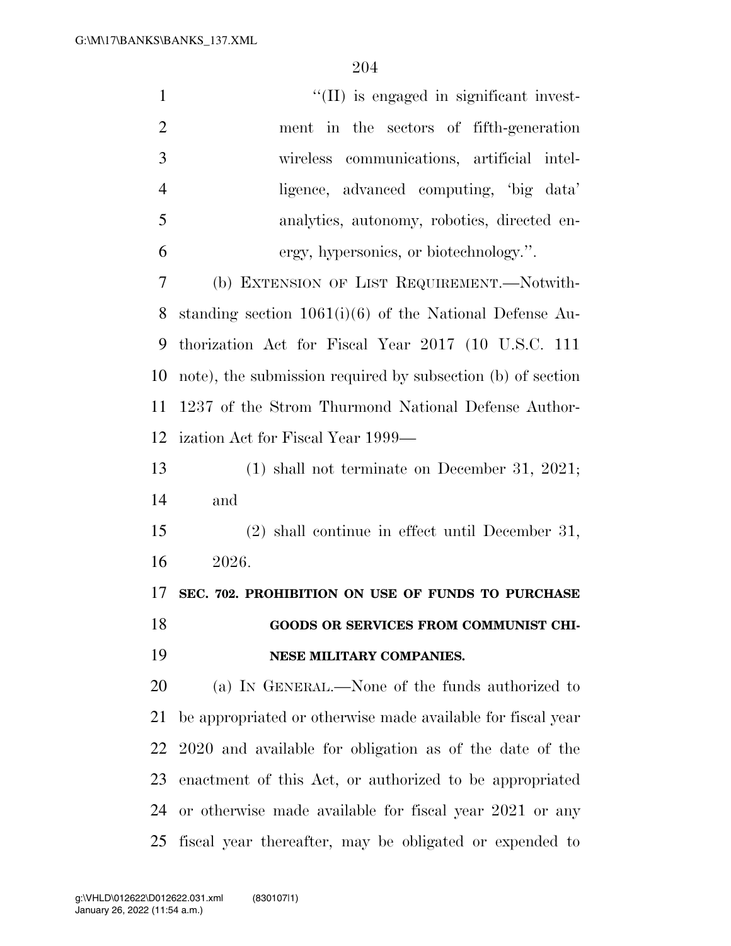| $\mathbf{1}$   | $\lq$ (II) is engaged in significant invest-                |
|----------------|-------------------------------------------------------------|
| $\overline{2}$ | ment in the sectors of fifth-generation                     |
| 3              | wireless communications, artificial intel-                  |
| $\overline{4}$ | ligence, advanced computing, 'big data'                     |
| 5              | analytics, autonomy, robotics, directed en-                 |
| 6              | ergy, hypersonics, or biotechnology.".                      |
| 7              | (b) EXTENSION OF LIST REQUIREMENT.—Notwith-                 |
| 8              | standing section $1061(i)(6)$ of the National Defense Au-   |
| 9              | thorization Act for Fiscal Year 2017 (10 U.S.C. 111         |
| 10             | note), the submission required by subsection (b) of section |
| 11             | 1237 of the Strom Thurmond National Defense Author-         |
| 12             | ization Act for Fiscal Year 1999—                           |
| 13             | $(1)$ shall not terminate on December 31, 2021;             |
| 14             | and                                                         |
| 15             | $(2)$ shall continue in effect until December 31,           |
| 16             | 2026.                                                       |
| 17             | SEC. 702. PROHIBITION ON USE OF FUNDS TO PURCHASE           |
| 18             | GOODS OR SERVICES FROM COMMUNIST CHI-                       |
| 19             | NESE MILITARY COMPANIES.                                    |
| 20             | (a) IN GENERAL.—None of the funds authorized to             |
| 21             | be appropriated or otherwise made available for fiscal year |
| 22             | 2020 and available for obligation as of the date of the     |
| 23             | enactment of this Act, or authorized to be appropriated     |
| 24             | or otherwise made available for fiscal year 2021 or any     |
| 25             | fiscal year thereafter, may be obligated or expended to     |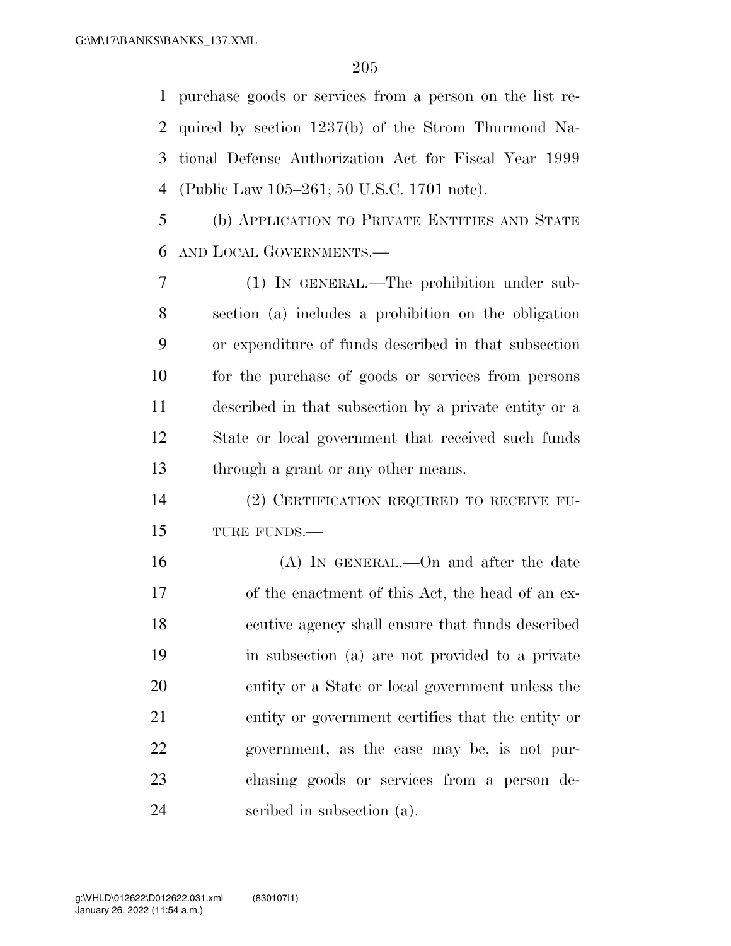purchase goods or services from a person on the list re- quired by section 1237(b) of the Strom Thurmond Na- tional Defense Authorization Act for Fiscal Year 1999 (Public Law 105–261; 50 U.S.C. 1701 note).

 (b) APPLICATION TO PRIVATE ENTITIES AND STATE AND LOCAL GOVERNMENTS.—

 (1) IN GENERAL.—The prohibition under sub- section (a) includes a prohibition on the obligation or expenditure of funds described in that subsection for the purchase of goods or services from persons described in that subsection by a private entity or a State or local government that received such funds through a grant or any other means.

 (2) CERTIFICATION REQUIRED TO RECEIVE FU-TURE FUNDS.—

 (A) IN GENERAL.—On and after the date of the enactment of this Act, the head of an ex- ecutive agency shall ensure that funds described in subsection (a) are not provided to a private entity or a State or local government unless the entity or government certifies that the entity or government, as the case may be, is not pur- chasing goods or services from a person de-scribed in subsection (a).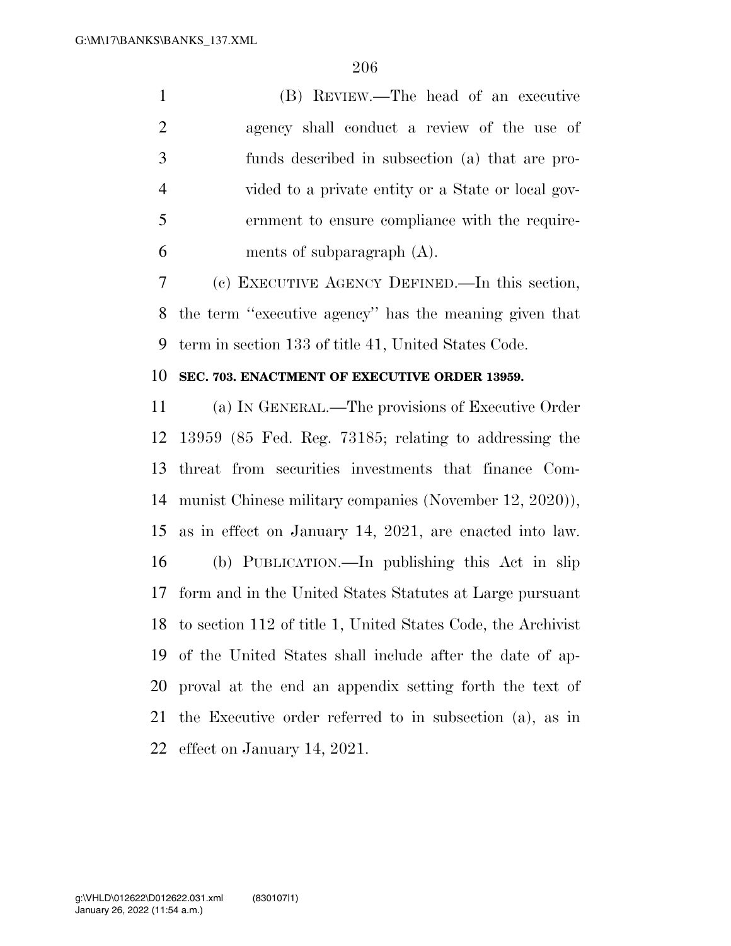(B) REVIEW.—The head of an executive agency shall conduct a review of the use of funds described in subsection (a) that are pro- vided to a private entity or a State or local gov- ernment to ensure compliance with the require-ments of subparagraph (A).

 (c) EXECUTIVE AGENCY DEFINED.—In this section, the term ''executive agency'' has the meaning given that term in section 133 of title 41, United States Code.

#### **SEC. 703. ENACTMENT OF EXECUTIVE ORDER 13959.**

 (a) IN GENERAL.—The provisions of Executive Order 13959 (85 Fed. Reg. 73185; relating to addressing the threat from securities investments that finance Com- munist Chinese military companies (November 12, 2020)), as in effect on January 14, 2021, are enacted into law. (b) PUBLICATION.—In publishing this Act in slip form and in the United States Statutes at Large pursuant to section 112 of title 1, United States Code, the Archivist of the United States shall include after the date of ap- proval at the end an appendix setting forth the text of the Executive order referred to in subsection (a), as in effect on January 14, 2021.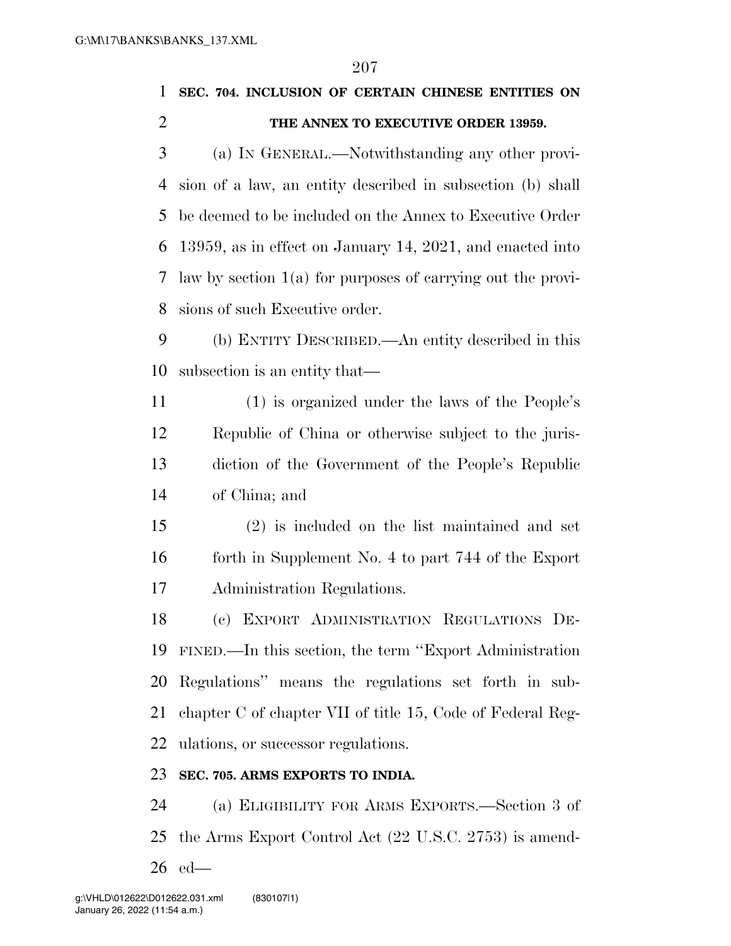### **SEC. 704. INCLUSION OF CERTAIN CHINESE ENTITIES ON THE ANNEX TO EXECUTIVE ORDER 13959.**

 (a) IN GENERAL.—Notwithstanding any other provi- sion of a law, an entity described in subsection (b) shall be deemed to be included on the Annex to Executive Order 13959, as in effect on January 14, 2021, and enacted into law by section 1(a) for purposes of carrying out the provi-sions of such Executive order.

 (b) ENTITY DESCRIBED.—An entity described in this subsection is an entity that—

 (1) is organized under the laws of the People's Republic of China or otherwise subject to the juris- diction of the Government of the People's Republic of China; and

 (2) is included on the list maintained and set forth in Supplement No. 4 to part 744 of the Export Administration Regulations.

 (c) EXPORT ADMINISTRATION REGULATIONS DE- FINED.—In this section, the term ''Export Administration Regulations'' means the regulations set forth in sub- chapter C of chapter VII of title 15, Code of Federal Reg-ulations, or successor regulations.

#### **SEC. 705. ARMS EXPORTS TO INDIA.**

 (a) ELIGIBILITY FOR ARMS EXPORTS.—Section 3 of the Arms Export Control Act (22 U.S.C. 2753) is amend-ed—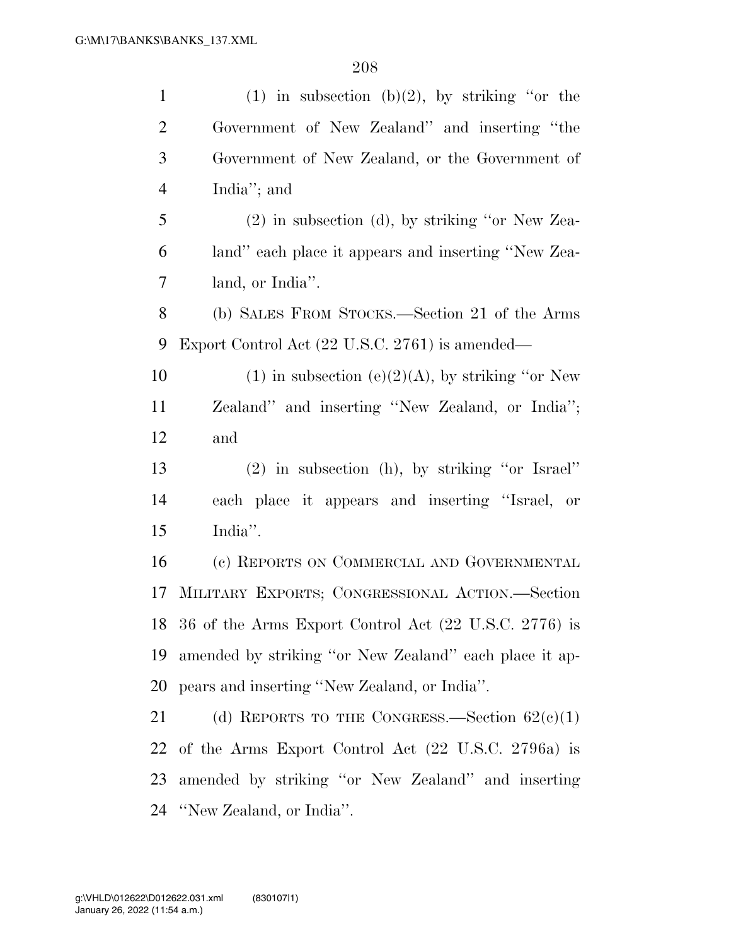| $\mathbf{1}$   | (1) in subsection (b)(2), by striking "or the            |
|----------------|----------------------------------------------------------|
| $\overline{2}$ | Government of New Zealand" and inserting "the            |
| 3              | Government of New Zealand, or the Government of          |
| $\overline{4}$ | India"; and                                              |
| 5              | $(2)$ in subsection (d), by striking "or New Zea-        |
| 6              | land" each place it appears and inserting "New Zea-      |
| 7              | land, or India".                                         |
| 8              | (b) SALES FROM STOCKS.—Section 21 of the Arms            |
| 9              | Export Control Act (22 U.S.C. 2761) is amended—          |
| 10             | (1) in subsection (e)(2)(A), by striking "or New         |
| 11             | Zealand" and inserting "New Zealand, or India";          |
| 12             | and                                                      |
| 13             | $(2)$ in subsection (h), by striking "or Israel"         |
| 14             | each place it appears and inserting "Israel, or          |
| 15             | India".                                                  |
| 16             | (c) REPORTS ON COMMERCIAL AND GOVERNMENTAL               |
| 17             | MILITARY EXPORTS; CONGRESSIONAL ACTION.-Section          |
|                | 18 36 of the Arms Export Control Act (22 U.S.C. 2776) is |
| 19             | amended by striking "or New Zealand" each place it ap-   |
| 20             | pears and inserting "New Zealand, or India".             |
| 21             | (d) REPORTS TO THE CONGRESS.—Section $62(e)(1)$          |
| 22             | of the Arms Export Control Act (22 U.S.C. 2796a) is      |
| 23             | amended by striking "or New Zealand" and inserting       |
|                | 24 "New Zealand, or India".                              |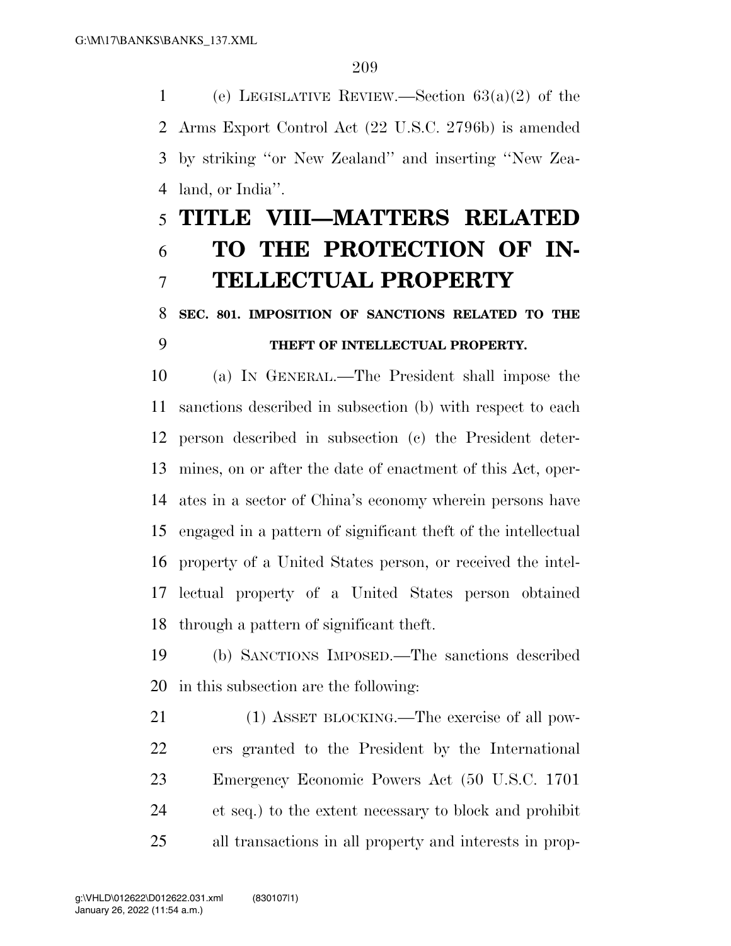1 (e) LEGISLATIVE REVIEW.—Section  $63(a)(2)$  of the Arms Export Control Act (22 U.S.C. 2796b) is amended by striking ''or New Zealand'' and inserting ''New Zea-land, or India''.

# **TITLE VIII—MATTERS RELATED TO THE PROTECTION OF IN-TELLECTUAL PROPERTY**

### **SEC. 801. IMPOSITION OF SANCTIONS RELATED TO THE THEFT OF INTELLECTUAL PROPERTY.**

 (a) IN GENERAL.—The President shall impose the sanctions described in subsection (b) with respect to each person described in subsection (c) the President deter- mines, on or after the date of enactment of this Act, oper- ates in a sector of China's economy wherein persons have engaged in a pattern of significant theft of the intellectual property of a United States person, or received the intel- lectual property of a United States person obtained through a pattern of significant theft.

 (b) SANCTIONS IMPOSED.—The sanctions described in this subsection are the following:

 (1) ASSET BLOCKING.—The exercise of all pow- ers granted to the President by the International Emergency Economic Powers Act (50 U.S.C. 1701 et seq.) to the extent necessary to block and prohibit all transactions in all property and interests in prop-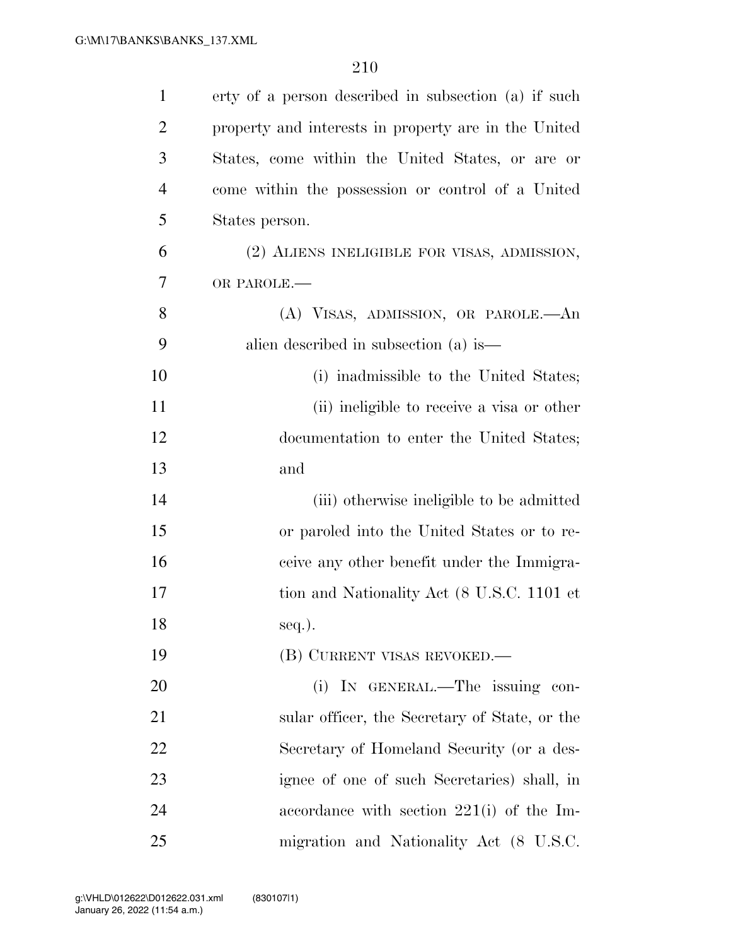| $\mathbf{1}$   | erty of a person described in subsection (a) if such |
|----------------|------------------------------------------------------|
| $\overline{2}$ | property and interests in property are in the United |
| 3              | States, come within the United States, or are or     |
| $\overline{4}$ | come within the possession or control of a United    |
| 5              | States person.                                       |
| 6              | (2) ALIENS INELIGIBLE FOR VISAS, ADMISSION,          |
| 7              | OR PAROLE.-                                          |
| 8              | (A) VISAS, ADMISSION, OR PAROLE.—An                  |
| 9              | alien described in subsection (a) is—                |
| 10             | (i) inadmissible to the United States;               |
| 11             | (ii) ineligible to receive a visa or other           |
| 12             | documentation to enter the United States;            |
| 13             | and                                                  |
| 14             | (iii) otherwise ineligible to be admitted            |
| 15             | or paroled into the United States or to re-          |
| 16             | ceive any other benefit under the Immigra-           |
| 17             | tion and Nationality Act (8 U.S.C. 1101 et           |
| 18             | $seq.$ ).                                            |
| 19             | (B) CURRENT VISAS REVOKED.—                          |
| <b>20</b>      | (i) IN GENERAL.—The issuing con-                     |
| 21             | sular officer, the Secretary of State, or the        |
| 22             | Secretary of Homeland Security (or a des-            |
| 23             | ignee of one of such Secretaries) shall, in          |
| 24             | accordance with section $221(i)$ of the Im-          |
| 25             | migration and Nationality Act (8 U.S.C.              |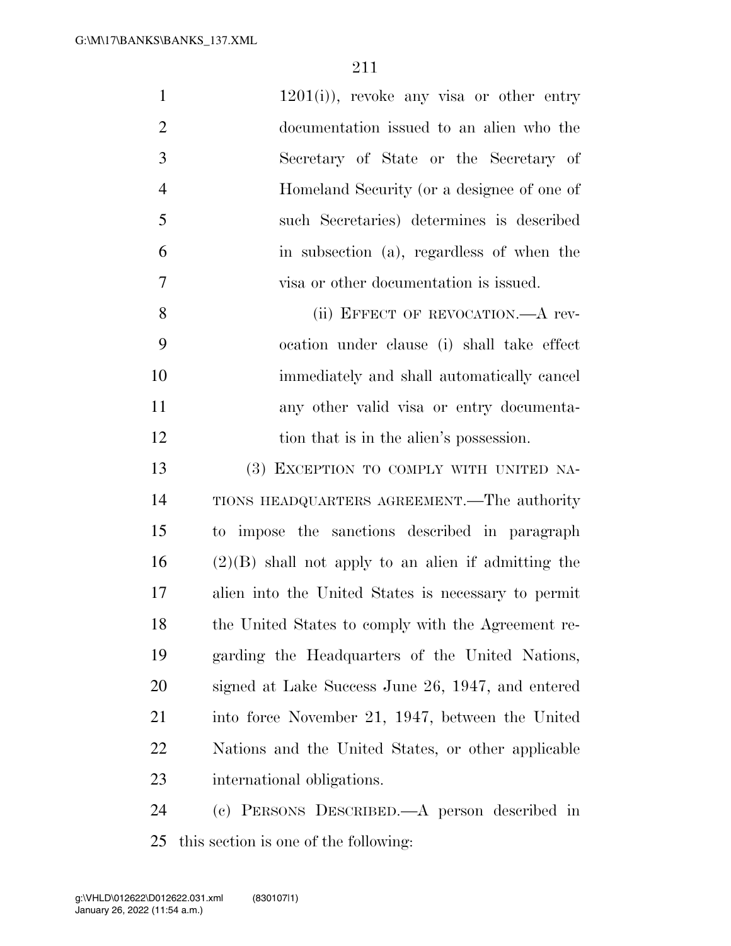| $\mathbf{1}$   | $1201(i)$ , revoke any visa or other entry            |
|----------------|-------------------------------------------------------|
| $\overline{2}$ | documentation issued to an alien who the              |
| 3              | Secretary of State or the Secretary of                |
| 4              | Homeland Security (or a designee of one of            |
| 5              | such Secretaries) determines is described             |
| 6              | in subsection (a), regardless of when the             |
| $\overline{7}$ | visa or other documentation is issued.                |
| 8              | (ii) EFFECT OF REVOCATION. A rev-                     |
| 9              | ocation under clause (i) shall take effect            |
| 10             | immediately and shall automatically cancel            |
| 11             | any other valid visa or entry documenta-              |
| 12             | tion that is in the alien's possession.               |
| 13             | (3) EXCEPTION TO COMPLY WITH UNITED NA-               |
| 14             | TIONS HEADQUARTERS AGREEMENT.—The authority           |
| 15             | to impose the sanctions described in paragraph        |
| 16             | $(2)(B)$ shall not apply to an alien if admitting the |
| 17             | alien into the United States is necessary to permit   |
| 18             | the United States to comply with the Agreement re-    |
| 19             | garding the Headquarters of the United Nations,       |
| 20             | signed at Lake Success June 26, 1947, and entered     |
| 21             | into force November 21, 1947, between the United      |
| 22             | Nations and the United States, or other applicable    |
| 23             | international obligations.                            |
| 24             | (c) PERSONS DESCRIBED.—A person described in          |

this section is one of the following: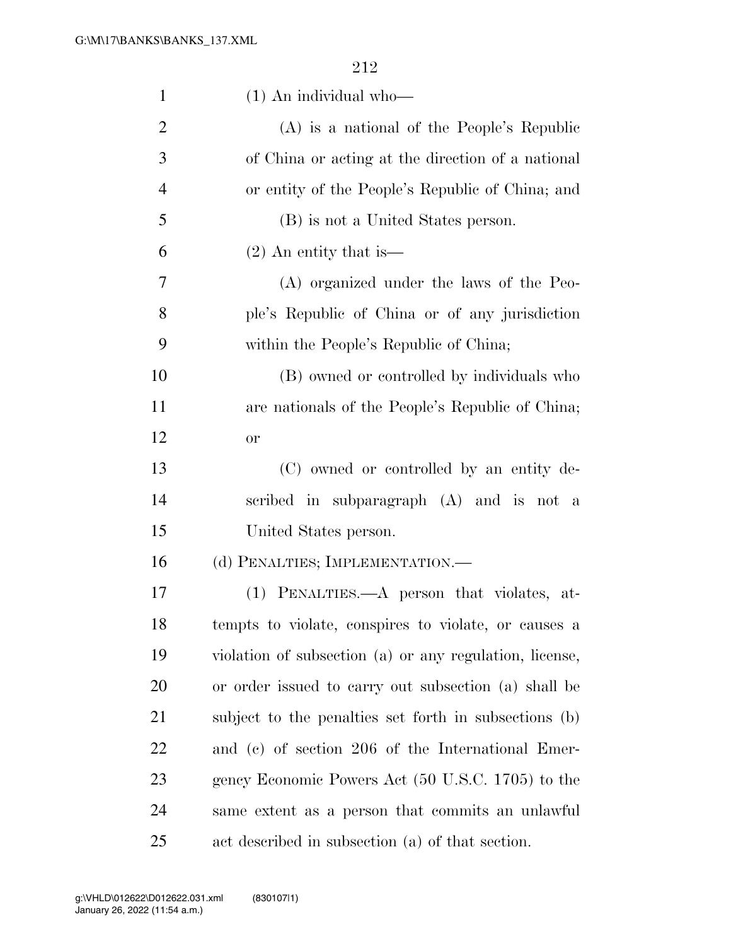| $\mathbf{1}$   | $(1)$ An individual who-                                |
|----------------|---------------------------------------------------------|
| $\overline{2}$ | $(A)$ is a national of the People's Republic            |
| 3              | of China or acting at the direction of a national       |
| $\overline{4}$ | or entity of the People's Republic of China; and        |
| 5              | (B) is not a United States person.                      |
| 6              | $(2)$ An entity that is —                               |
| 7              | (A) organized under the laws of the Peo-                |
| 8              | ple's Republic of China or of any jurisdiction          |
| 9              | within the People's Republic of China;                  |
| 10             | (B) owned or controlled by individuals who              |
| 11             | are nationals of the People's Republic of China;        |
| 12             | or                                                      |
| 13             | (C) owned or controlled by an entity de-                |
| 14             | scribed in subparagraph (A) and is not a                |
| 15             | United States person.                                   |
| 16             | (d) PENALTIES; IMPLEMENTATION.—                         |
| 17             | (1) PENALTIES.—A person that violates, at-              |
| 18             | tempts to violate, conspires to violate, or causes a    |
| 19             | violation of subsection (a) or any regulation, license, |
| 20             | or order issued to carry out subsection (a) shall be    |
| 21             | subject to the penalties set forth in subsections (b)   |
| <u>22</u>      | and (c) of section 206 of the International Emer-       |
| 23             | gency Economic Powers Act (50 U.S.C. 1705) to the       |
| 24             | same extent as a person that commits an unlawful        |
| 25             | act described in subsection (a) of that section.        |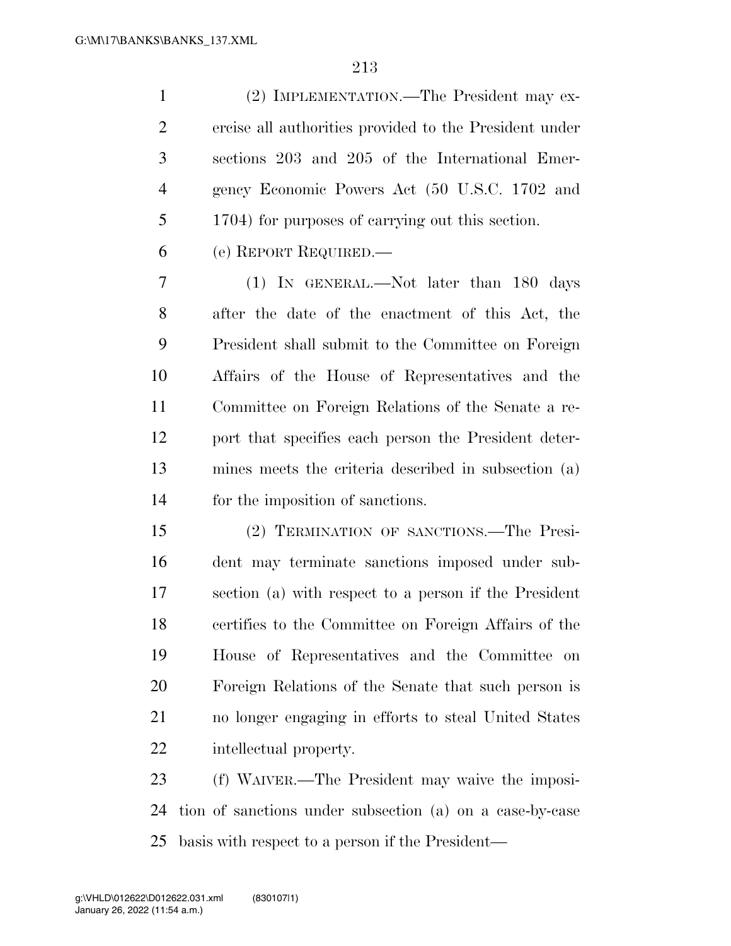(2) IMPLEMENTATION.—The President may ex- ercise all authorities provided to the President under sections 203 and 205 of the International Emer- gency Economic Powers Act (50 U.S.C. 1702 and 1704) for purposes of carrying out this section.

(e) REPORT REQUIRED.—

 (1) IN GENERAL.—Not later than 180 days after the date of the enactment of this Act, the President shall submit to the Committee on Foreign Affairs of the House of Representatives and the Committee on Foreign Relations of the Senate a re- port that specifies each person the President deter- mines meets the criteria described in subsection (a) for the imposition of sanctions.

 (2) TERMINATION OF SANCTIONS.—The Presi- dent may terminate sanctions imposed under sub- section (a) with respect to a person if the President certifies to the Committee on Foreign Affairs of the House of Representatives and the Committee on Foreign Relations of the Senate that such person is no longer engaging in efforts to steal United States intellectual property.

 (f) WAIVER.—The President may waive the imposi- tion of sanctions under subsection (a) on a case-by-case basis with respect to a person if the President—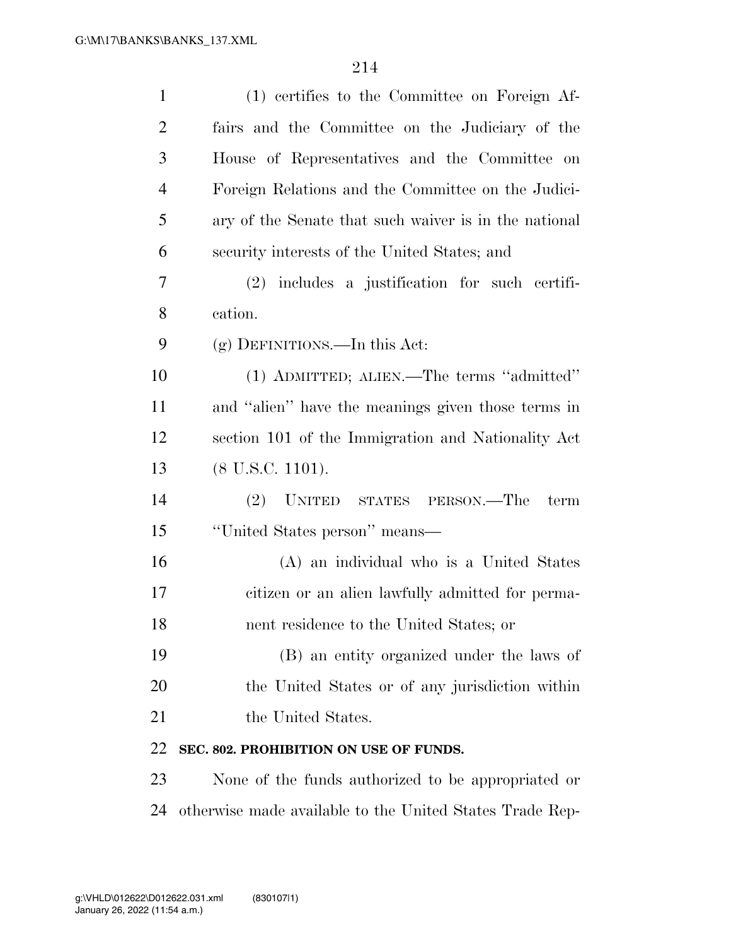| $\mathbf{1}$   | (1) certifies to the Committee on Foreign Af-            |
|----------------|----------------------------------------------------------|
| $\overline{2}$ | fairs and the Committee on the Judiciary of the          |
| 3              | House of Representatives and the Committee on            |
| $\overline{4}$ | Foreign Relations and the Committee on the Judici-       |
| 5              | ary of the Senate that such waiver is in the national    |
| 6              | security interests of the United States; and             |
| 7              | $(2)$ includes a justification for such certifi-         |
| 8              | cation.                                                  |
| 9              | $(g)$ DEFINITIONS.—In this Act:                          |
| 10             | (1) ADMITTED; ALIEN.—The terms "admitted"                |
| 11             | and "alien" have the meanings given those terms in       |
| 12             | section 101 of the Immigration and Nationality Act       |
| 13             | $(8 \text{ U.S.C. } 1101).$                              |
| 14             | (2) UNITED STATES PERSON.—The<br>term                    |
| 15             | "United States person" means—                            |
| 16             | (A) an individual who is a United States                 |
| 17             | citizen or an alien lawfully admitted for perma-         |
| 18             | nent residence to the United States; or                  |
| 19             | (B) an entity organized under the laws of                |
| 20             | the United States or of any jurisdiction within          |
| 21             | the United States.                                       |
| 22             | SEC. 802. PROHIBITION ON USE OF FUNDS.                   |
| 23             | None of the funds authorized to be appropriated or       |
| 24             | otherwise made available to the United States Trade Rep- |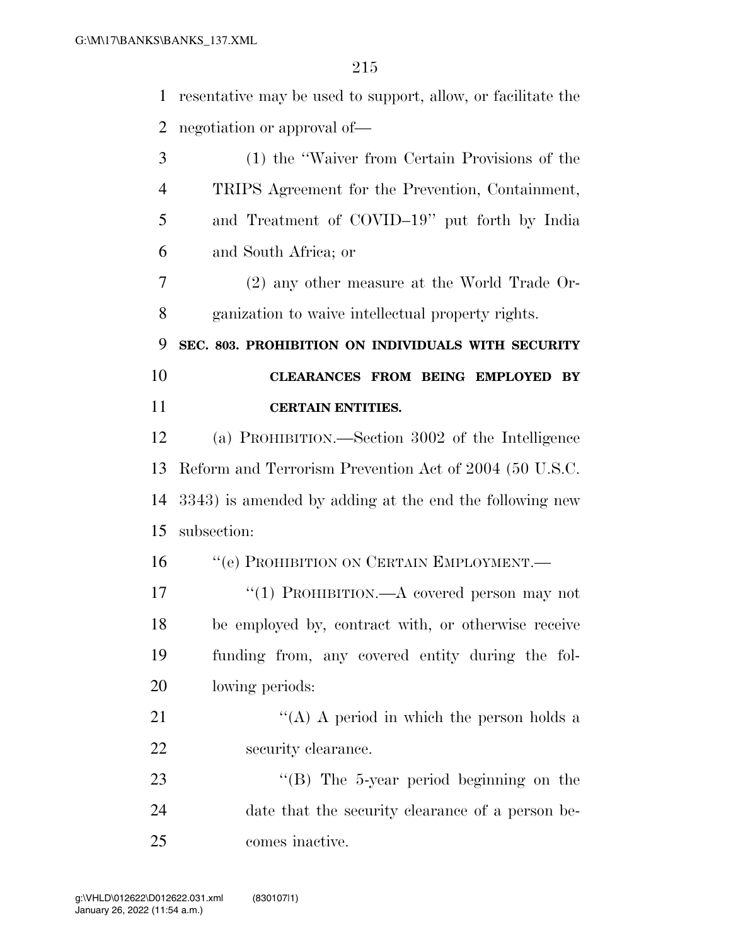resentative may be used to support, allow, or facilitate the negotiation or approval of— (1) the ''Waiver from Certain Provisions of the

- TRIPS Agreement for the Prevention, Containment, and Treatment of COVID–19'' put forth by India and South Africa; or
- (2) any other measure at the World Trade Or-ganization to waive intellectual property rights.

**SEC. 803. PROHIBITION ON INDIVIDUALS WITH SECURITY** 

 **CLEARANCES FROM BEING EMPLOYED BY CERTAIN ENTITIES.** 

 (a) PROHIBITION.—Section 3002 of the Intelligence Reform and Terrorism Prevention Act of 2004 (50 U.S.C. 3343) is amended by adding at the end the following new subsection:

16 "(e) PROHIBITION ON CERTAIN EMPLOYMENT.—

17 "(1) PROHIBITION.—A covered person may not be employed by, contract with, or otherwise receive funding from, any covered entity during the fol-lowing periods:

21  $\langle (A) \rangle$  A period in which the person holds a security clearance.

23 "'(B) The 5-year period beginning on the date that the security clearance of a person be-comes inactive.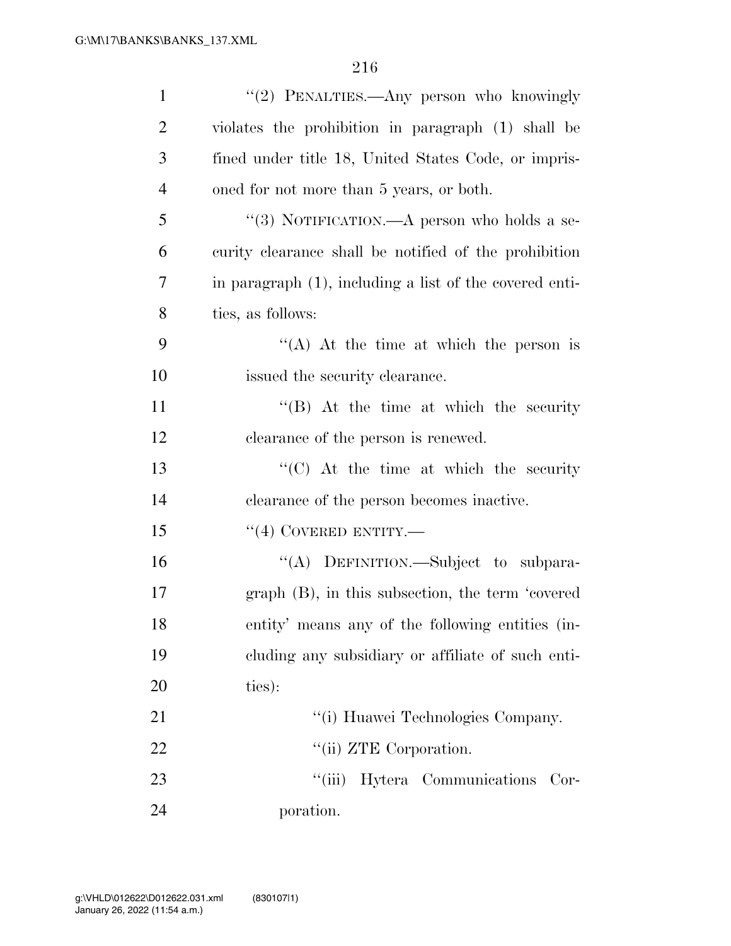| $\mathbf{1}$   | "(2) PENALTIES.—Any person who knowingly                |
|----------------|---------------------------------------------------------|
| $\overline{2}$ | violates the prohibition in paragraph (1) shall be      |
| 3              | fined under title 18, United States Code, or impris-    |
| $\overline{4}$ | oned for not more than 5 years, or both.                |
| 5              | "(3) NOTIFICATION.—A person who holds a se-             |
| 6              | curity clearance shall be notified of the prohibition   |
| 7              | in paragraph (1), including a list of the covered enti- |
| 8              | ties, as follows:                                       |
| 9              | "(A) At the time at which the person is                 |
| 10             | issued the security clearance.                          |
| 11             | $\lq\lq$ (B) At the time at which the security          |
| 12             | clearance of the person is renewed.                     |
| 13             | $\lq\lq$ (C) At the time at which the security          |
| 14             | clearance of the person becomes inactive.               |
| 15             | $``(4)$ COVERED ENTITY.—                                |
| 16             | "(A) DEFINITION.—Subject to subpara-                    |
| 17             | graph (B), in this subsection, the term 'covered        |
| 18             | entity' means any of the following entities (in-        |
| 19             | eluding any subsidiary or affiliate of such enti-       |
| 20             | ties):                                                  |
| 21             | "(i) Huawei Technologies Company.                       |
| 22             | "(ii) ZTE Corporation.                                  |
| 23             | "(iii) Hytera Communications Cor-                       |
| 24             | poration.                                               |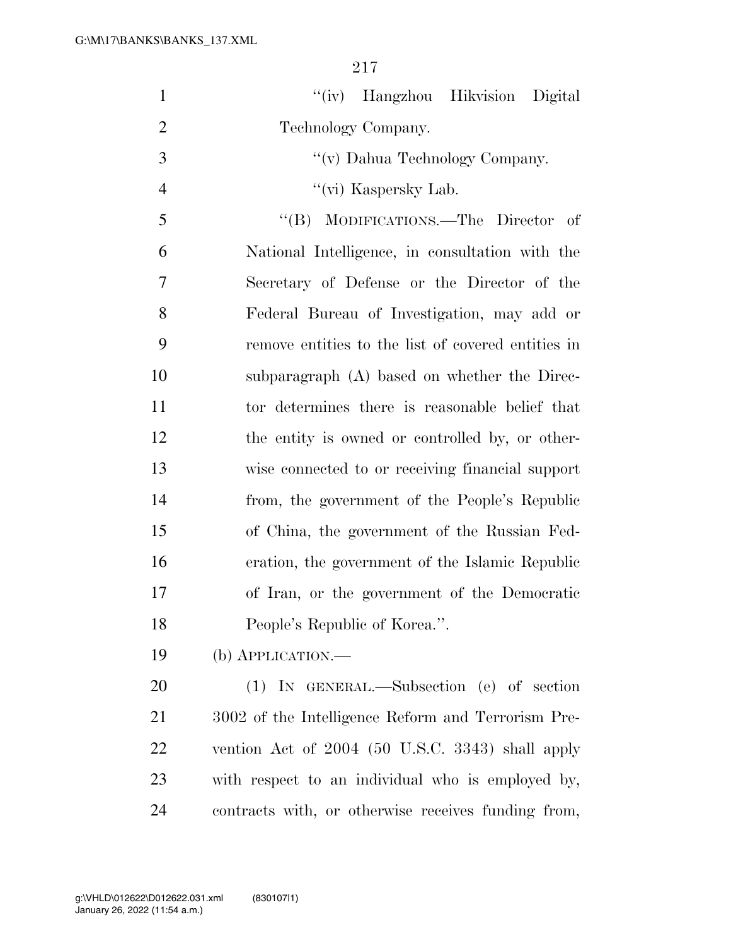| $\mathbf{1}$   | "(iv) Hangzhou Hikvision Digital                    |
|----------------|-----------------------------------------------------|
| $\overline{2}$ | Technology Company.                                 |
| 3              | "(v) Dahua Technology Company.                      |
| $\overline{4}$ | "(vi) Kaspersky Lab.                                |
| 5              | "(B) MODIFICATIONS.—The Director of                 |
| 6              | National Intelligence, in consultation with the     |
| 7              | Secretary of Defense or the Director of the         |
| 8              | Federal Bureau of Investigation, may add or         |
| 9              | remove entities to the list of covered entities in  |
| 10             | subparagraph (A) based on whether the Direc-        |
| 11             | tor determines there is reasonable belief that      |
| 12             | the entity is owned or controlled by, or other-     |
| 13             | wise connected to or receiving financial support    |
| 14             | from, the government of the People's Republic       |
| 15             | of China, the government of the Russian Fed-        |
| 16             | eration, the government of the Islamic Republic     |
| 17             | of Iran, or the government of the Democratic        |
| 18             | People's Republic of Korea.".                       |
| 19             | $(b)$ APPLICATION.—                                 |
| 20             | (1) IN GENERAL.—Subsection (e) of section           |
| 21             | 3002 of the Intelligence Reform and Terrorism Pre-  |
| 22             | vention Act of 2004 (50 U.S.C. 3343) shall apply    |
| 23             | with respect to an individual who is employed by,   |
| 24             | contracts with, or otherwise receives funding from, |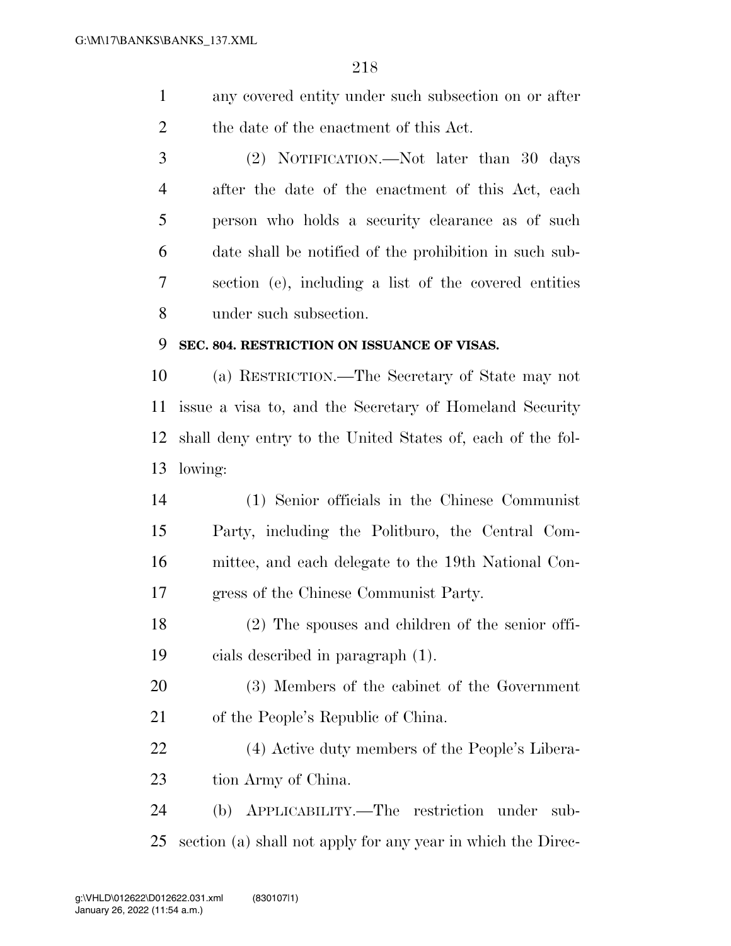- any covered entity under such subsection on or after the date of the enactment of this Act.
- (2) NOTIFICATION.—Not later than 30 days after the date of the enactment of this Act, each person who holds a security clearance as of such date shall be notified of the prohibition in such sub- section (e), including a list of the covered entities under such subsection.

#### **SEC. 804. RESTRICTION ON ISSUANCE OF VISAS.**

 (a) RESTRICTION.—The Secretary of State may not issue a visa to, and the Secretary of Homeland Security shall deny entry to the United States of, each of the fol-lowing:

- (1) Senior officials in the Chinese Communist Party, including the Politburo, the Central Com- mittee, and each delegate to the 19th National Con-gress of the Chinese Communist Party.
- (2) The spouses and children of the senior offi-cials described in paragraph (1).
- (3) Members of the cabinet of the Government of the People's Republic of China.
- (4) Active duty members of the People's Libera-tion Army of China.

## (b) APPLICABILITY.—The restriction under sub-section (a) shall not apply for any year in which the Direc-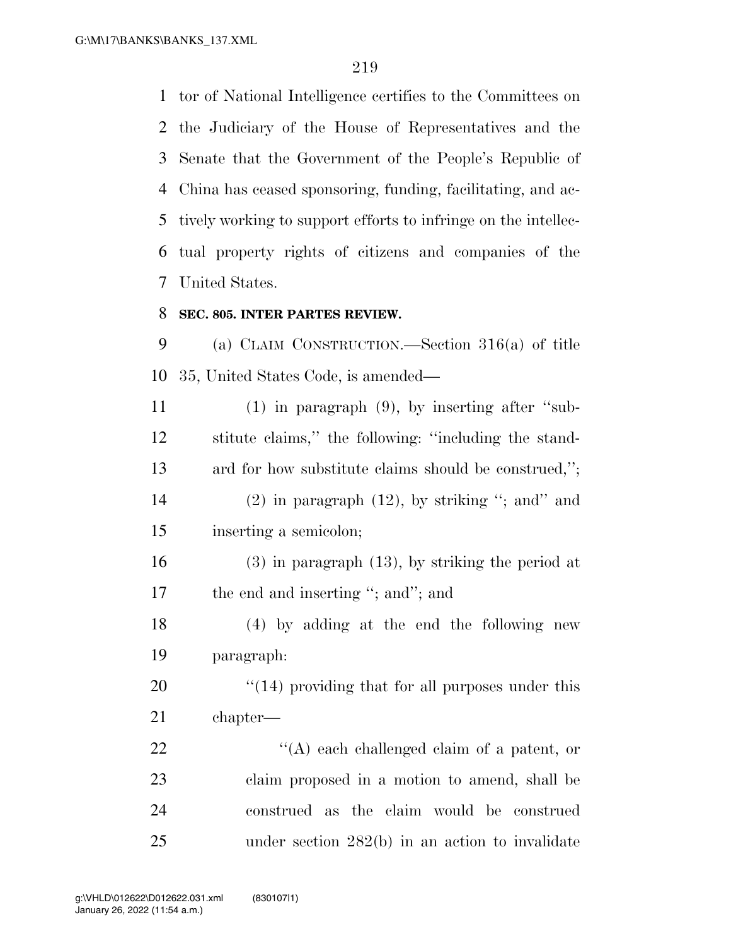G:\M\17\BANKS\BANKS\_137.XML

 tor of National Intelligence certifies to the Committees on the Judiciary of the House of Representatives and the Senate that the Government of the People's Republic of China has ceased sponsoring, funding, facilitating, and ac- tively working to support efforts to infringe on the intellec- tual property rights of citizens and companies of the United States.

#### **SEC. 805. INTER PARTES REVIEW.**

 (a) CLAIM CONSTRUCTION.—Section 316(a) of title 35, United States Code, is amended—

 (1) in paragraph (9), by inserting after ''sub- stitute claims,'' the following: ''including the stand- ard for how substitute claims should be construed,''; 14 (2) in paragraph  $(12)$ , by striking "; and" and inserting a semicolon;

 (3) in paragraph (13), by striking the period at 17 the end and inserting "; and"; and

 (4) by adding at the end the following new paragraph:

20  $\frac{1}{2}$  (14) providing that for all purposes under this chapter—

22 "'(A) each challenged claim of a patent, or claim proposed in a motion to amend, shall be construed as the claim would be construed under section 282(b) in an action to invalidate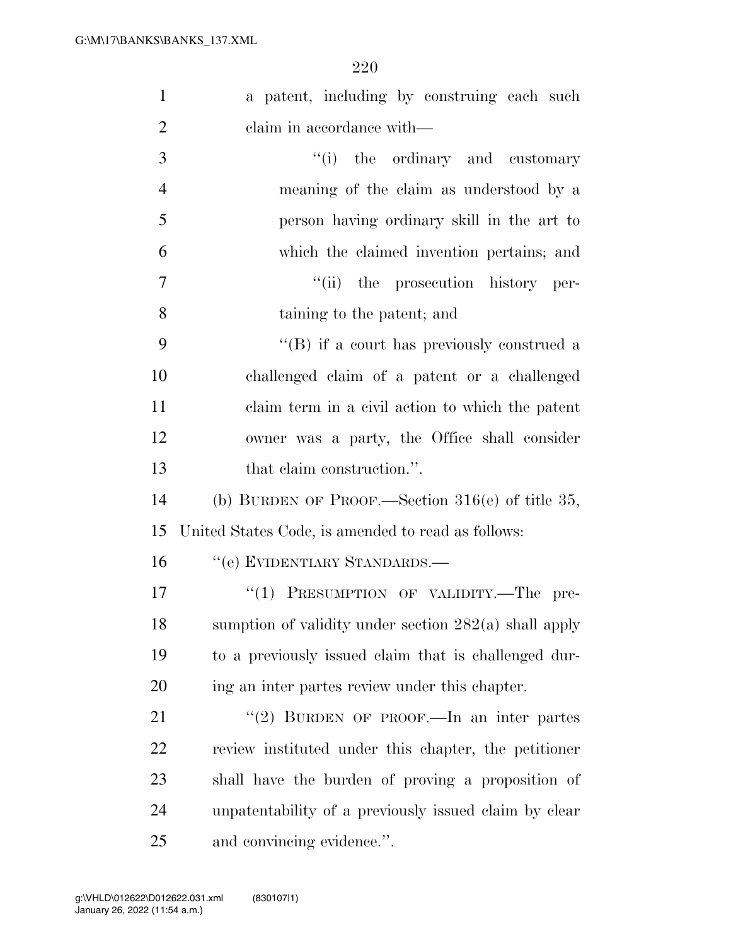| $\mathbf{1}$   | a patent, including by construing each such             |
|----------------|---------------------------------------------------------|
| $\overline{2}$ | claim in accordance with—                               |
| 3              | "(i) the ordinary and customary                         |
| $\overline{4}$ | meaning of the claim as understood by a                 |
| 5              | person having ordinary skill in the art to              |
| 6              | which the claimed invention pertains; and               |
| 7              | "(ii) the prosecution history per-                      |
| 8              | taining to the patent; and                              |
| 9              | $\lq\lq (B)$ if a court has previously construed a      |
| 10             | challenged claim of a patent or a challenged            |
| 11             | claim term in a civil action to which the patent        |
| 12             | owner was a party, the Office shall consider            |
| 13             | that claim construction.".                              |
| 14             | (b) BURDEN OF PROOF.—Section $316(e)$ of title 35,      |
| 15             | United States Code, is amended to read as follows:      |
| 16             | "(e) EVIDENTIARY STANDARDS.—                            |
| 17             | "(1) PRESUMPTION OF VALIDITY.—The pre-                  |
| 18             | sumption of validity under section $282(a)$ shall apply |
| 19             | to a previously issued claim that is challenged dur-    |
| 20             | ing an inter partes review under this chapter.          |
| 21             | "(2) BURDEN OF PROOF.—In an inter partes                |
| 22             | review instituted under this chapter, the petitioner    |
| 23             | shall have the burden of proving a proposition of       |
| 24             | unpatentability of a previously issued claim by clear   |
| 25             | and convincing evidence.".                              |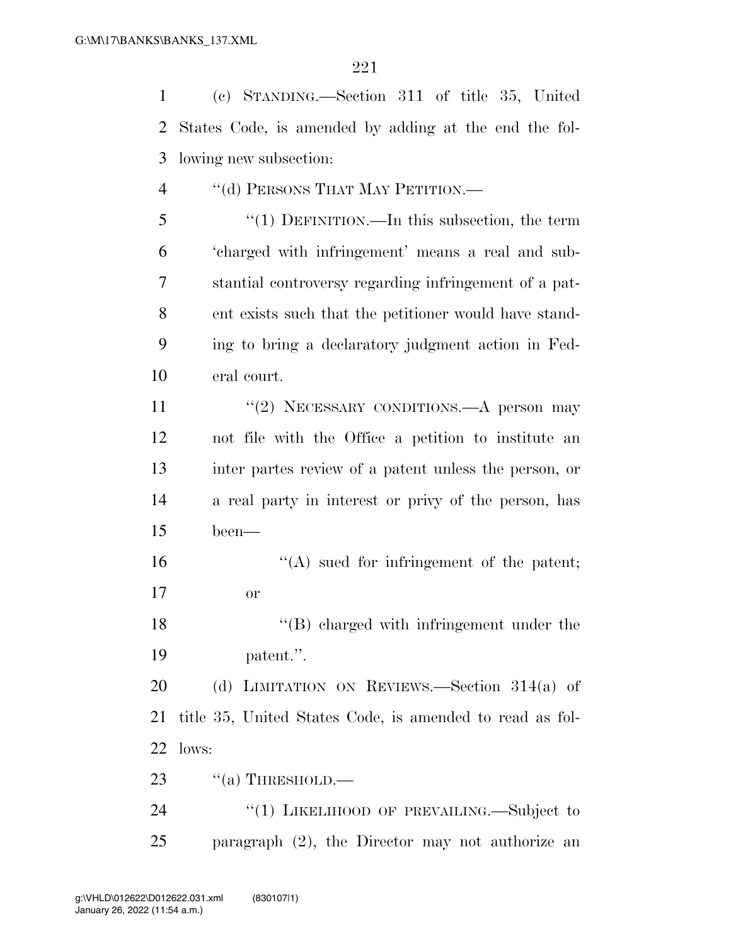(c) STANDING.—Section 311 of title 35, United States Code, is amended by adding at the end the fol- lowing new subsection: 4 "(d) PERSONS THAT MAY PETITION.— ''(1) DEFINITION.—In this subsection, the term 'charged with infringement' means a real and sub- stantial controversy regarding infringement of a pat- ent exists such that the petitioner would have stand- ing to bring a declaratory judgment action in Fed- eral court. 11 "(2) NECESSARY CONDITIONS.—A person may not file with the Office a petition to institute an inter partes review of a patent unless the person, or a real party in interest or privy of the person, has been—  $\langle A \rangle$  sued for infringement of the patent; or

18 ''(B) charged with infringement under the patent.''.

 (d) LIMITATION ON REVIEWS.—Section 314(a) of title 35, United States Code, is amended to read as fol-lows:

23  $\cdot$  "(a) THRESHOLD.—

24 "(1) LIKELIHOOD OF PREVAILING.—Subject to paragraph (2), the Director may not authorize an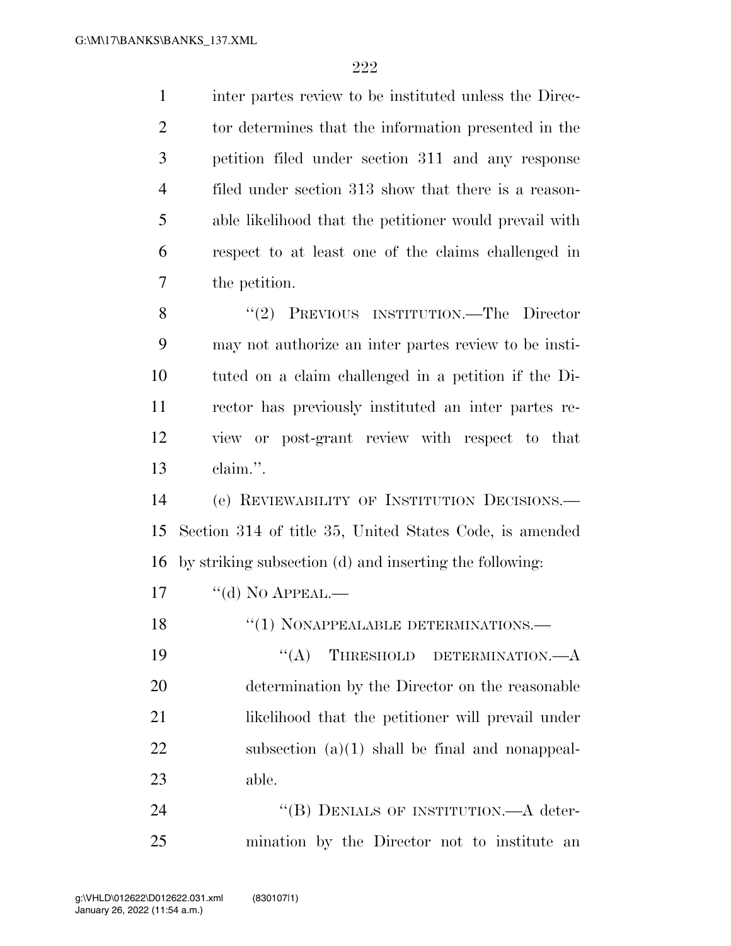inter partes review to be instituted unless the Direc- tor determines that the information presented in the petition filed under section 311 and any response filed under section 313 show that there is a reason- able likelihood that the petitioner would prevail with respect to at least one of the claims challenged in the petition. 8 "(2) PREVIOUS INSTITUTION.—The Director may not authorize an inter partes review to be insti- tuted on a claim challenged in a petition if the Di- rector has previously instituted an inter partes re- view or post-grant review with respect to that claim.''. (e) REVIEWABILITY OF INSTITUTION DECISIONS.— Section 314 of title 35, United States Code, is amended by striking subsection (d) and inserting the following: 17 "(d) No APPEAL.— 18 "(1) NONAPPEALABLE DETERMINATIONS.— 19 "(A) THRESHOLD DETERMINATION.—A determination by the Director on the reasonable 21 likelihood that the petitioner will prevail under subsection (a)(1) shall be final and nonappeal-able.

24 "(B) DENIALS OF INSTITUTION.—A deter-mination by the Director not to institute an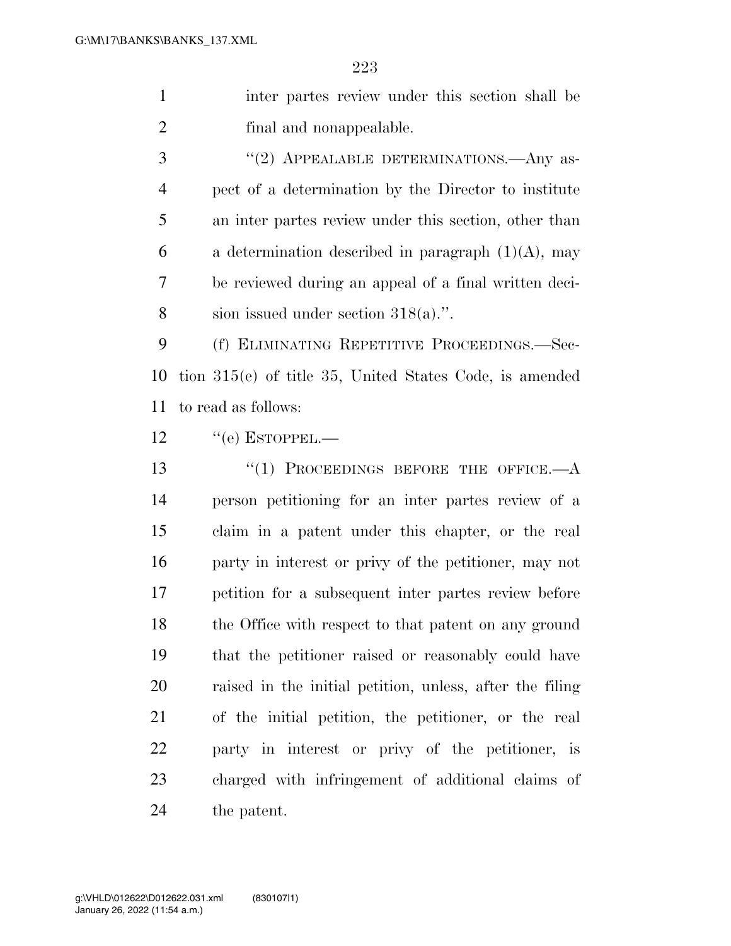inter partes review under this section shall be final and nonappealable.

3 "(2) APPEALABLE DETERMINATIONS.—Any as- pect of a determination by the Director to institute an inter partes review under this section, other than 6 a determination described in paragraph  $(1)(A)$ , may be reviewed during an appeal of a final written deci-sion issued under section 318(a).''.

 (f) ELIMINATING REPETITIVE PROCEEDINGS.—Sec- tion 315(e) of title 35, United States Code, is amended to read as follows:

12 "(e) ESTOPPEL.—

13 "(1) PROCEEDINGS BEFORE THE OFFICE.—A person petitioning for an inter partes review of a claim in a patent under this chapter, or the real party in interest or privy of the petitioner, may not petition for a subsequent inter partes review before 18 the Office with respect to that patent on any ground that the petitioner raised or reasonably could have raised in the initial petition, unless, after the filing of the initial petition, the petitioner, or the real party in interest or privy of the petitioner, is charged with infringement of additional claims of the patent.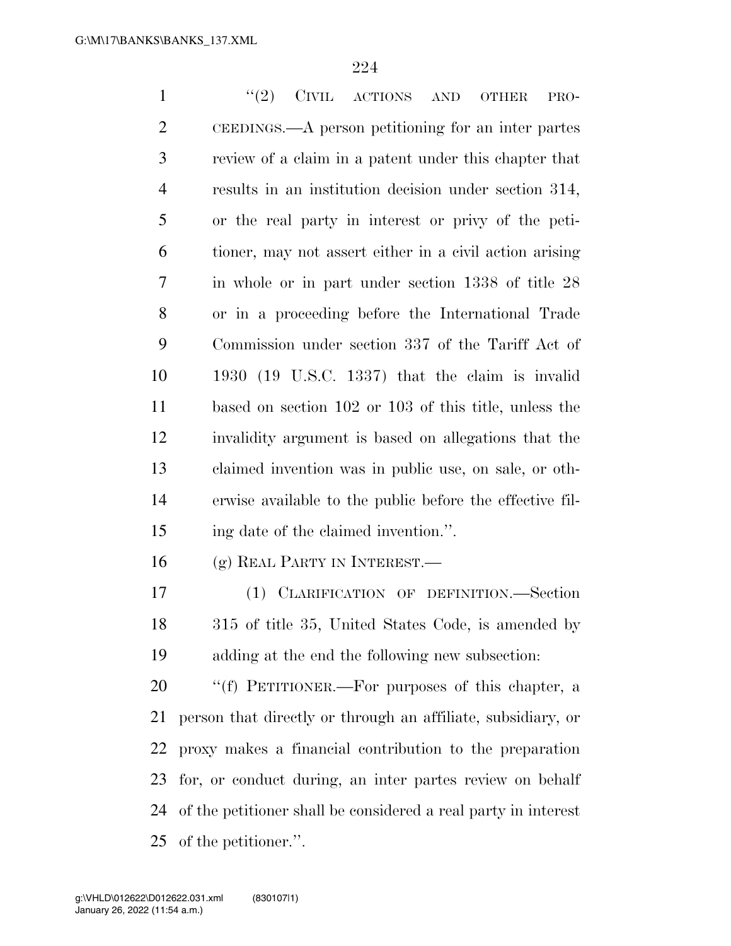1 ''(2) CIVIL ACTIONS AND OTHER PRO- CEEDINGS.—A person petitioning for an inter partes review of a claim in a patent under this chapter that results in an institution decision under section 314, or the real party in interest or privy of the peti- tioner, may not assert either in a civil action arising in whole or in part under section 1338 of title 28 or in a proceeding before the International Trade Commission under section 337 of the Tariff Act of 1930 (19 U.S.C. 1337) that the claim is invalid based on section 102 or 103 of this title, unless the invalidity argument is based on allegations that the claimed invention was in public use, on sale, or oth- erwise available to the public before the effective fil- ing date of the claimed invention.''. (g) REAL PARTY IN INTEREST.— (1) CLARIFICATION OF DEFINITION.—Section 315 of title 35, United States Code, is amended by adding at the end the following new subsection: ''(f) PETITIONER.—For purposes of this chapter, a person that directly or through an affiliate, subsidiary, or proxy makes a financial contribution to the preparation

 for, or conduct during, an inter partes review on behalf of the petitioner shall be considered a real party in interest of the petitioner.''.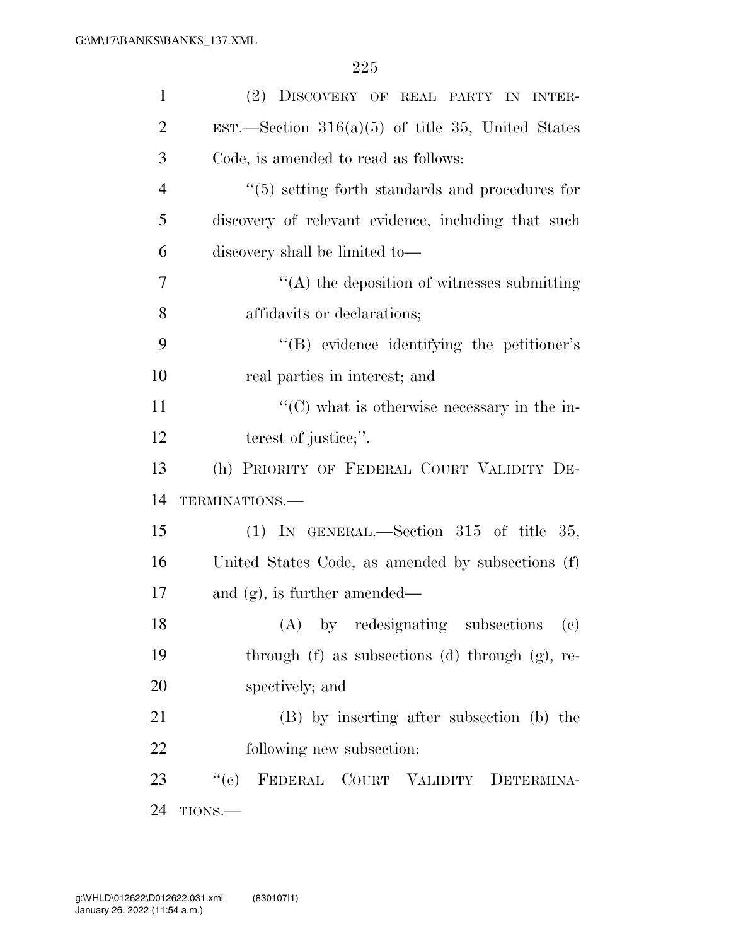| $\mathbf{1}$   | (2) DISCOVERY OF REAL PARTY IN INTER-                   |
|----------------|---------------------------------------------------------|
| $\overline{2}$ | EST.—Section $316(a)(5)$ of title 35, United States     |
| 3              | Code, is amended to read as follows:                    |
| $\overline{4}$ | $\cdot$ (5) setting forth standards and procedures for  |
| 5              | discovery of relevant evidence, including that such     |
| 6              | discovery shall be limited to-                          |
| 7              | $\lq\lq$ the deposition of witnesses submitting         |
| 8              | affidavits or declarations;                             |
| 9              | "(B) evidence identifying the petitioner's              |
| 10             | real parties in interest; and                           |
| 11             | $\cdot\cdot$ (C) what is otherwise necessary in the in- |
| 12             | terest of justice;".                                    |
|                | (h) PRIORITY OF FEDERAL COURT VALIDITY DE-              |
|                |                                                         |
|                | TERMINATIONS.-                                          |
| 13<br>14<br>15 | (1) IN GENERAL.—Section 315 of title 35,                |
| 16             | United States Code, as amended by subsections (f)       |
| 17             | and $(g)$ , is further amended—                         |
| 18             | (A) by redesignating subsections (c)                    |
|                | through $(f)$ as subsections $(d)$ through $(g)$ , re-  |
| 19<br>20       | spectively; and                                         |
| 21             | (B) by inserting after subsection (b) the               |
| 22             | following new subsection:                               |
| 23             | "(c) FEDERAL COURT VALIDITY DETERMINA-                  |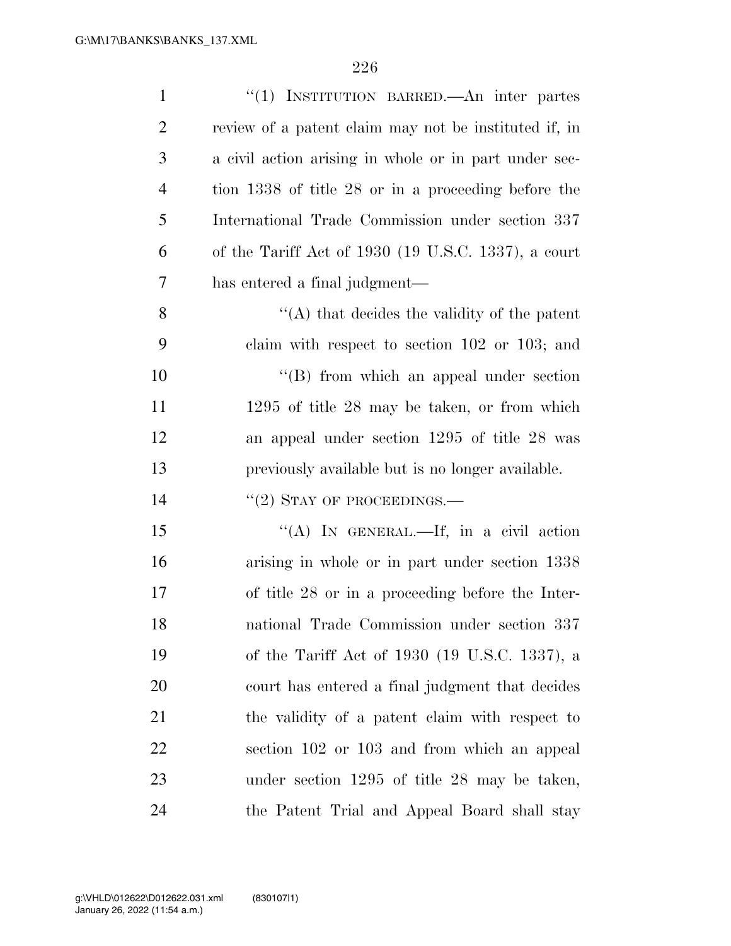| $\mathbf{1}$   | "(1) INSTITUTION BARRED.—An inter partes              |
|----------------|-------------------------------------------------------|
| $\overline{2}$ | review of a patent claim may not be instituted if, in |
| 3              | a civil action arising in whole or in part under sec- |
| $\overline{4}$ | tion 1338 of title 28 or in a proceeding before the   |
| 5              | International Trade Commission under section 337      |
| 6              | of the Tariff Act of 1930 (19 U.S.C. 1337), a court   |
| 7              | has entered a final judgment—                         |
| 8              | $\lq\lq$ that decides the validity of the patent      |
| 9              | claim with respect to section $102$ or $103$ ; and    |
| 10             | $\lq\lq$ from which an appeal under section           |
| 11             | $1295$ of title 28 may be taken, or from which        |
| 12             | an appeal under section 1295 of title 28 was          |
|                |                                                       |
| 13             | previously available but is no longer available.      |
| 14             | $``(2)$ STAY OF PROCEEDINGS.—                         |
| 15             | "(A) IN GENERAL.—If, in a civil action                |
| 16             | arising in whole or in part under section 1338        |
| 17             | of title 28 or in a proceeding before the Inter-      |
| 18             | national Trade Commission under section 337           |
| 19             | of the Tariff Act of 1930 (19 U.S.C. 1337), a         |
| 20             | court has entered a final judgment that decides       |
| 21             | the validity of a patent claim with respect to        |
| 22             | section 102 or 103 and from which an appeal           |
| 23             | under section 1295 of title 28 may be taken,          |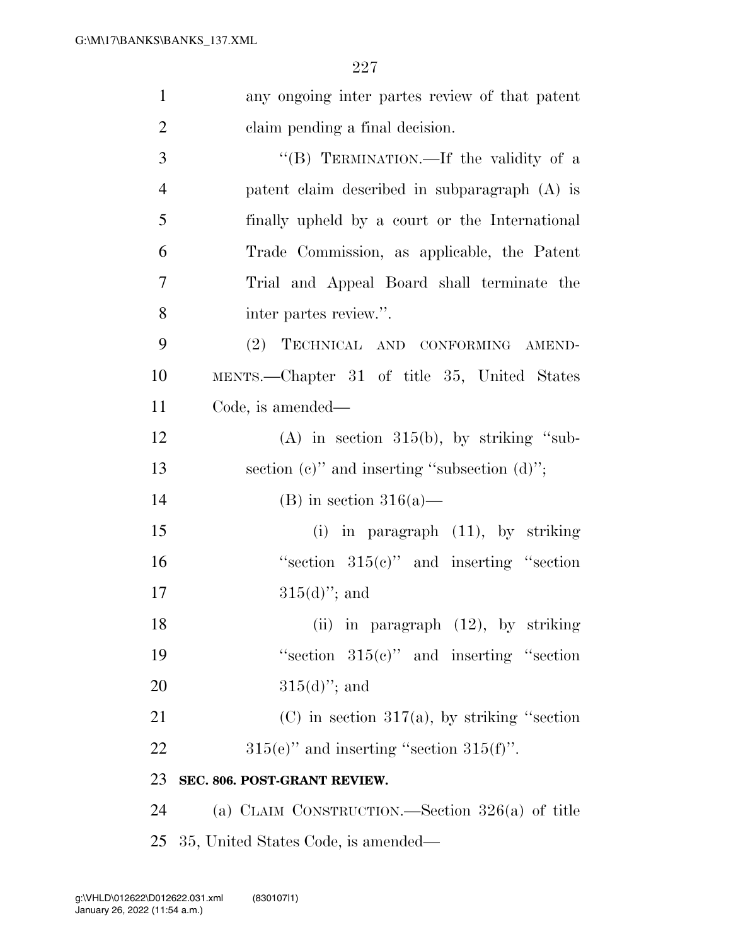| $\mathbf{1}$   | any ongoing inter partes review of that patent     |
|----------------|----------------------------------------------------|
| $\overline{2}$ | claim pending a final decision.                    |
| 3              | "(B) TERMINATION.—If the validity of a             |
| $\overline{4}$ | patent claim described in subparagraph (A) is      |
| 5              | finally upheld by a court or the International     |
| 6              | Trade Commission, as applicable, the Patent        |
| 7              | Trial and Appeal Board shall terminate the         |
| 8              | inter partes review.".                             |
| 9              | (2) TECHNICAL AND CONFORMING AMEND-                |
| 10             | MENTS.—Chapter 31 of title 35, United States       |
| 11             | Code, is amended—                                  |
| 12             | $(A)$ in section 315(b), by striking "sub-         |
| 13             | section $(e)$ " and inserting "subsection $(d)$ "; |
| 14             | (B) in section $316(a)$ —                          |
| 15             | in paragraph (11), by striking<br>(i)              |
| 16             | "section $315(e)$ " and inserting "section"        |
| 17             | $315(d)$ "; and                                    |
| 18             | (ii) in paragraph (12), by striking                |
| 19             | "section $315(e)$ " and inserting "section"        |
| 20             | $315(d)$ "; and                                    |
| 21             | $(C)$ in section 317(a), by striking "section      |
| 22             | $315(e)$ " and inserting "section $315(f)$ ".      |
| 23             | SEC. 806. POST-GRANT REVIEW.                       |
| 24             | (a) CLAIM CONSTRUCTION.—Section $326(a)$ of title  |
| 25             | 35, United States Code, is amended—                |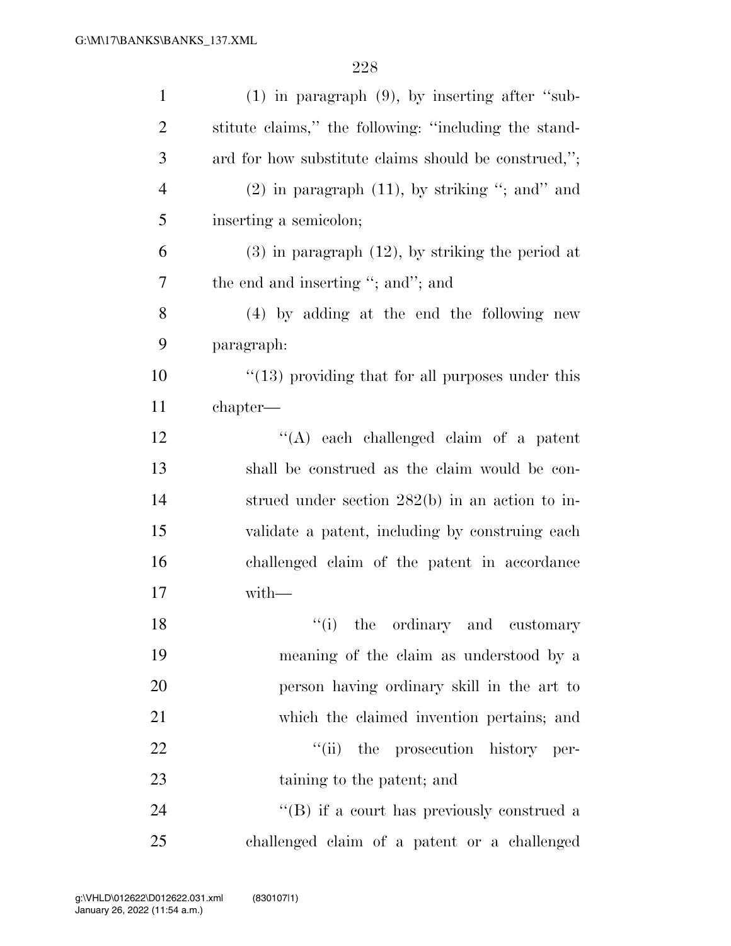| $\mathbf{1}$   | $(1)$ in paragraph $(9)$ , by inserting after "sub-     |
|----------------|---------------------------------------------------------|
| $\overline{2}$ | stitute claims," the following: "including the stand-   |
| 3              | ard for how substitute claims should be construed,";    |
| $\overline{4}$ | $(2)$ in paragraph $(11)$ , by striking "; and" and     |
| 5              | inserting a semicolon;                                  |
| 6              | $(3)$ in paragraph $(12)$ , by striking the period at   |
| 7              | the end and inserting "; and"; and                      |
| 8              | (4) by adding at the end the following new              |
| 9              | paragraph:                                              |
| 10             | $\cdot$ (13) providing that for all purposes under this |
| 11             | chapter—                                                |
| 12             | "(A) each challenged claim of a patent                  |
| 13             | shall be construed as the claim would be con-           |
| 14             | strued under section 282(b) in an action to in-         |
| 15             | validate a patent, including by construing each         |
| 16             | challenged claim of the patent in accordance            |
| 17             | $with-$                                                 |
| 18             | "(i) the ordinary and customary                         |
| 19             | meaning of the claim as understood by a                 |
| 20             | person having ordinary skill in the art to              |
| 21             | which the claimed invention pertains; and               |
| 22             | "(ii) the prosecution history per-                      |
| 23             | taining to the patent; and                              |
| 24             | $\lq\lq (B)$ if a court has previously construed a      |
| 25             | challenged claim of a patent or a challenged            |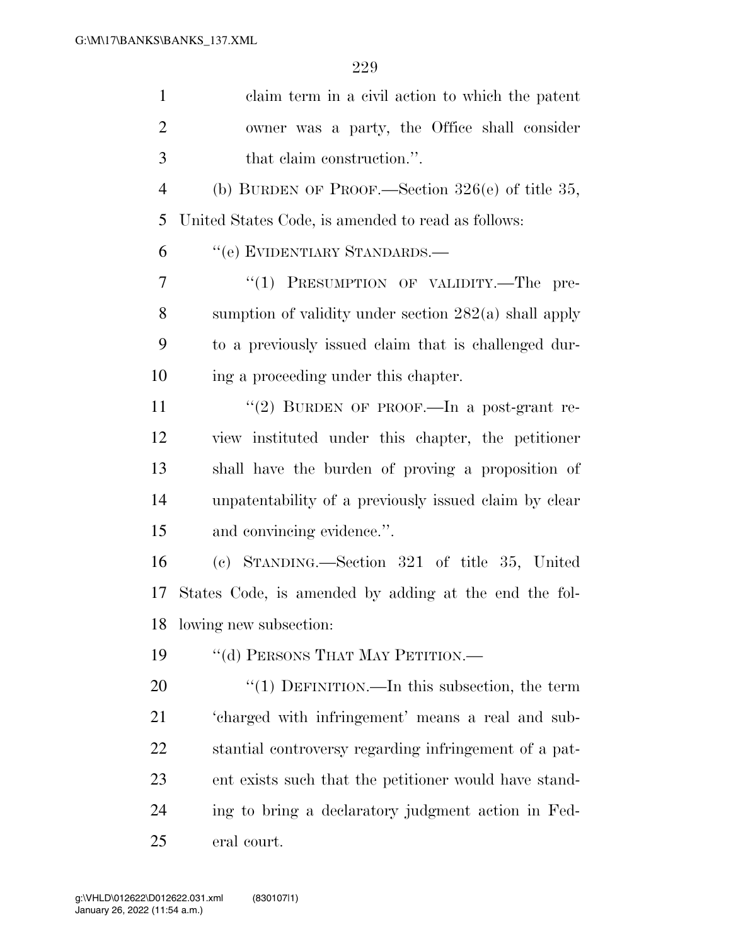| $\mathbf{1}$   | claim term in a civil action to which the patent        |
|----------------|---------------------------------------------------------|
| $\overline{2}$ | owner was a party, the Office shall consider            |
| 3              | that claim construction.".                              |
| $\overline{4}$ | (b) BURDEN OF PROOF.—Section $326(e)$ of title 35,      |
| 5              | United States Code, is amended to read as follows:      |
| 6              | "(e) EVIDENTIARY STANDARDS.—                            |
| 7              | "(1) PRESUMPTION OF VALIDITY.—The pre-                  |
| 8              | sumption of validity under section $282(a)$ shall apply |
| 9              | to a previously issued claim that is challenged dur-    |
| 10             | ing a proceeding under this chapter.                    |
| 11             | "(2) BURDEN OF PROOF.—In a post-grant re-               |
| 12             | view instituted under this chapter, the petitioner      |
| 13             | shall have the burden of proving a proposition of       |
| 14             | unpatentability of a previously issued claim by clear   |
| 15             | and convincing evidence.".                              |
| 16             | (c) STANDING.—Section 321 of title 35, United           |
| 17             | States Code, is amended by adding at the end the fol-   |
| 18             | lowing new subsection:                                  |
| 19             | "(d) PERSONS THAT MAY PETITION.—                        |
| 20             | "(1) DEFINITION.—In this subsection, the term           |
| 21             | 'charged with infringement' means a real and sub-       |
| 22             | stantial controversy regarding infringement of a pat-   |
| 23             | ent exists such that the petitioner would have stand-   |
| 24             | ing to bring a declaratory judgment action in Fed-      |
| 25             | eral court.                                             |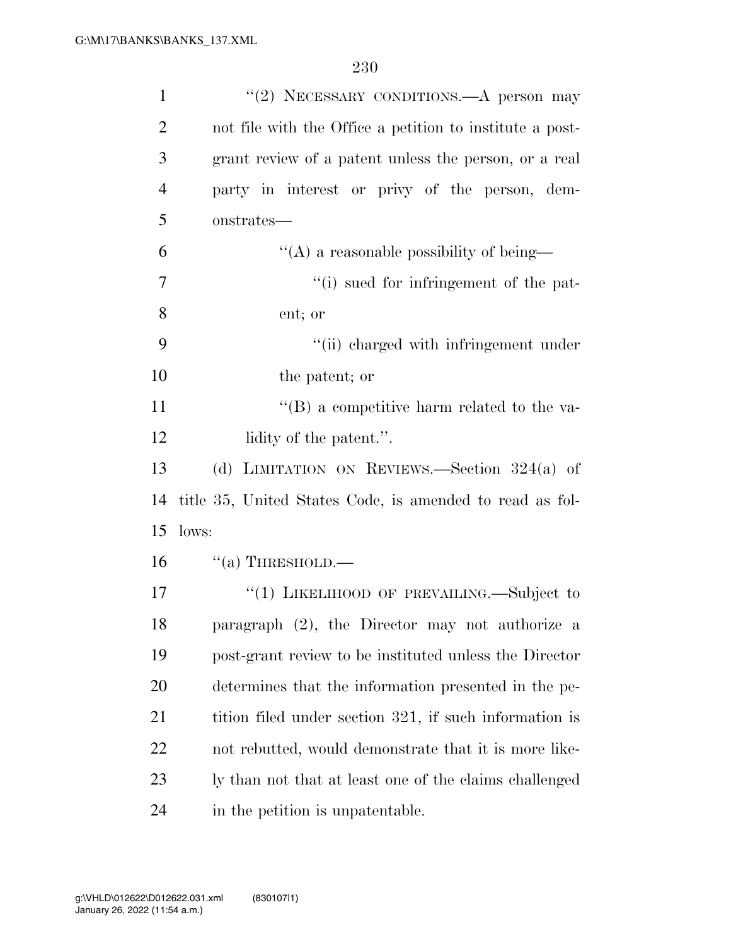| $\mathbf{1}$   | "(2) NECESSARY CONDITIONS.—A person may                  |
|----------------|----------------------------------------------------------|
| $\overline{2}$ | not file with the Office a petition to institute a post- |
| 3              | grant review of a patent unless the person, or a real    |
| $\overline{4}$ | party in interest or privy of the person, dem-           |
| 5              | onstrates—                                               |
| 6              | $\lq\lq$ a reasonable possibility of being—              |
| 7              | "(i) sued for infringement of the pat-                   |
| 8              | ent; or                                                  |
| 9              | "(ii) charged with infringement under                    |
| 10             | the patent; or                                           |
| 11             | $\lq\lq$ (B) a competitive harm related to the va-       |
| 12             | lidity of the patent.".                                  |
| 13             | (d) LIMITATION ON REVIEWS.—Section $324(a)$ of           |
| 14             | title 35, United States Code, is amended to read as fol- |
| 15             | lows:                                                    |
| 16             | $``(a)$ THRESHOLD.—                                      |
| 17             | "(1) LIKELIHOOD OF PREVAILING.—Subject to                |
| 18             | paragraph (2), the Director may not authorize a          |
| 19             | post-grant review to be instituted unless the Director   |
| 20             | determines that the information presented in the pe-     |
| 21             | tition filed under section 321, if such information is   |
| 22             | not rebutted, would demonstrate that it is more like-    |
| 23             | ly than not that at least one of the claims challenged   |
| 24             | in the petition is unpatentable.                         |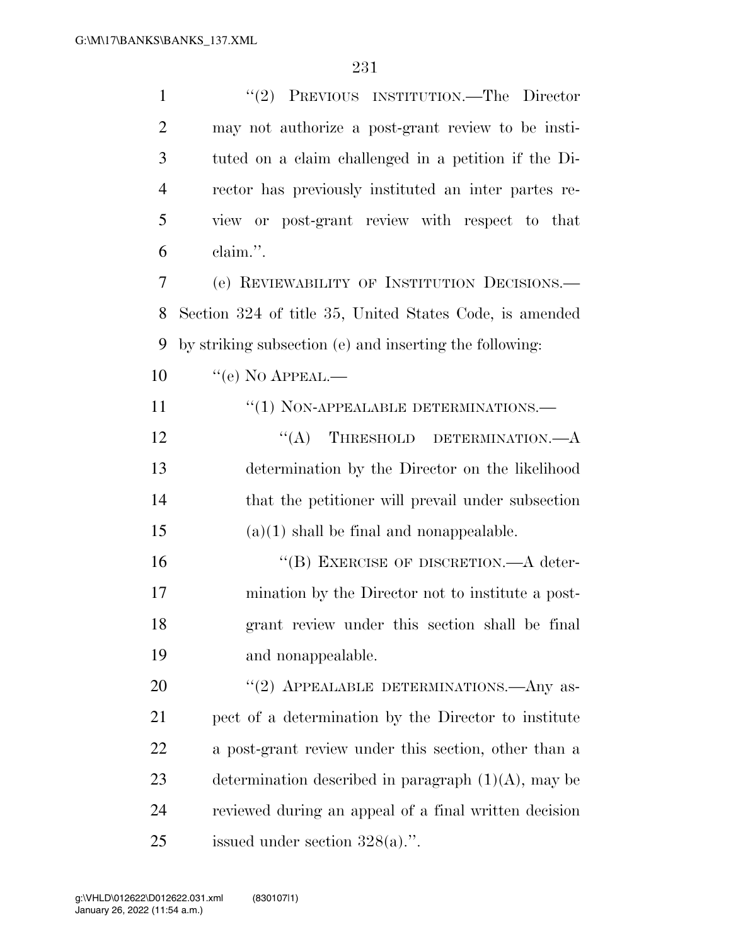| $\mathbf{1}$   | "(2) PREVIOUS INSTITUTION.—The Director                 |
|----------------|---------------------------------------------------------|
| $\overline{2}$ | may not authorize a post-grant review to be insti-      |
| 3              | tuted on a claim challenged in a petition if the Di-    |
| $\overline{4}$ | rector has previously instituted an inter partes re-    |
| 5              | view or post-grant review with respect to that          |
| 6              | claim.".                                                |
| 7              | (e) REVIEWABILITY OF INSTITUTION DECISIONS.             |
| 8              | Section 324 of title 35, United States Code, is amended |
| 9              | by striking subsection (e) and inserting the following: |
| 10             | $\lq\lq (e)$ No APPEAL.—                                |
| 11             | $``(1)$ NON-APPEALABLE DETERMINATIONS.—                 |
| 12             | $\lq\lq$ THRESHOLD DETERMINATION. $-A$                  |
| 13             | determination by the Director on the likelihood         |
| 14             | that the petitioner will prevail under subsection       |
| 15             | $(a)(1)$ shall be final and nonappealable.              |
| 16             | "(B) EXERCISE OF DISCRETION.—A deter-                   |
| 17             | mination by the Director not to institute a post-       |
| 18             | grant review under this section shall be final          |
| 19             | and nonappealable.                                      |
| 20             | "(2) APPEALABLE DETERMINATIONS.—Any as-                 |
| 21             | pect of a determination by the Director to institute    |
| 22             | a post-grant review under this section, other than a    |
| 23             | determination described in paragraph $(1)(A)$ , may be  |
| 24             | reviewed during an appeal of a final written decision   |
| 25             | issued under section $328(a)$ .".                       |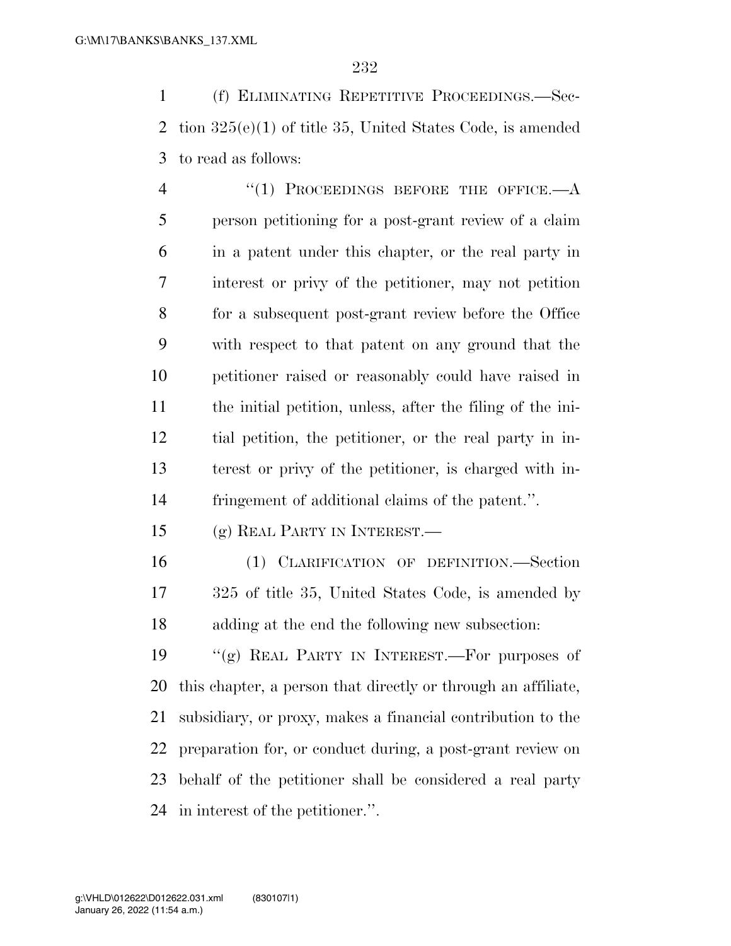(f) ELIMINATING REPETITIVE PROCEEDINGS.—Sec- tion 325(e)(1) of title 35, United States Code, is amended to read as follows:

4 "(1) PROCEEDINGS BEFORE THE OFFICE.—A person petitioning for a post-grant review of a claim in a patent under this chapter, or the real party in interest or privy of the petitioner, may not petition for a subsequent post-grant review before the Office with respect to that patent on any ground that the petitioner raised or reasonably could have raised in the initial petition, unless, after the filing of the ini- tial petition, the petitioner, or the real party in in- terest or privy of the petitioner, is charged with in-fringement of additional claims of the patent.''.

(g) REAL PARTY IN INTEREST.—

 (1) CLARIFICATION OF DEFINITION.—Section 325 of title 35, United States Code, is amended by adding at the end the following new subsection:

 ''(g) REAL PARTY IN INTEREST.—For purposes of this chapter, a person that directly or through an affiliate, subsidiary, or proxy, makes a financial contribution to the preparation for, or conduct during, a post-grant review on behalf of the petitioner shall be considered a real party in interest of the petitioner.''.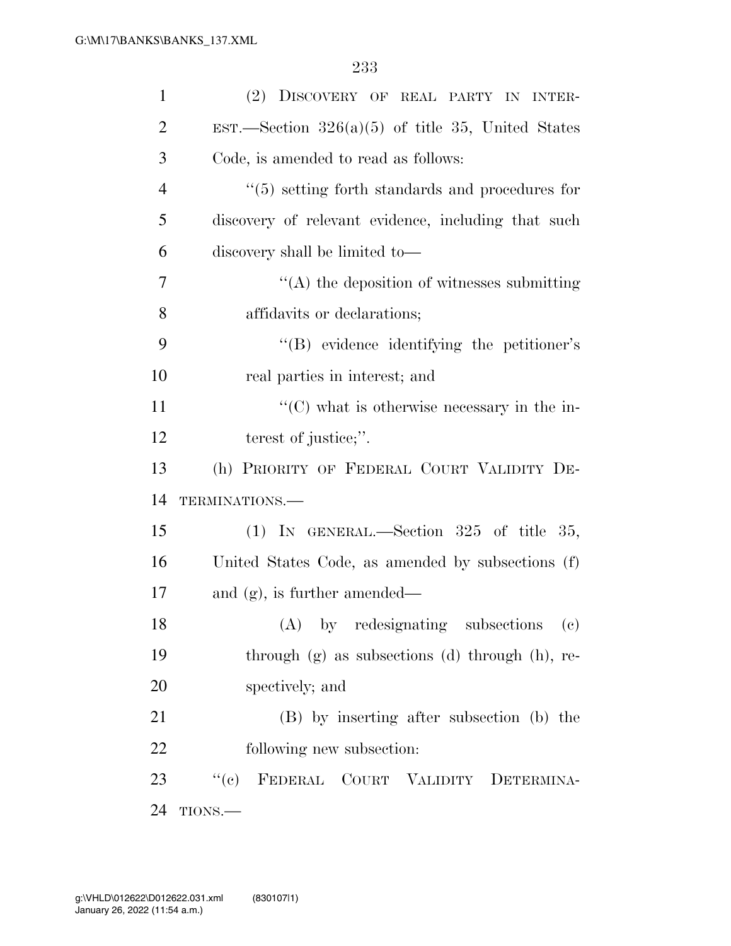| $\mathbf{1}$   | (2) DISCOVERY OF REAL PARTY IN INTER-                  |
|----------------|--------------------------------------------------------|
| $\overline{2}$ | EST.—Section $326(a)(5)$ of title 35, United States    |
| 3              | Code, is amended to read as follows:                   |
| $\overline{4}$ | $\cdot$ (5) setting forth standards and procedures for |
| 5              | discovery of relevant evidence, including that such    |
| 6              | discovery shall be limited to-                         |
| 7              | $\cdot$ (A) the deposition of witnesses submitting     |
| 8              | affidavits or declarations;                            |
| 9              | "(B) evidence identifying the petitioner's             |
| 10             | real parties in interest; and                          |
| 11             | $\lq\lq$ (C) what is otherwise necessary in the in-    |
| 12             | terest of justice;".                                   |
| 13             | (h) PRIORITY OF FEDERAL COURT VALIDITY DE-             |
| 14             | TERMINATIONS.-                                         |
|                |                                                        |
|                | (1) IN GENERAL.—Section $325$ of title $35$ ,          |
|                | United States Code, as amended by subsections (f)      |
| 15<br>16<br>17 | and $(g)$ , is further amended—                        |
| 18             | (A) by redesignating subsections (c)                   |
| 19             | through $(g)$ as subsections $(d)$ through $(h)$ , re- |
| 20             | spectively; and                                        |
| 21             | (B) by inserting after subsection (b) the              |
| 22             | following new subsection:                              |
| 23             | "(c) FEDERAL COURT VALIDITY DETERMINA-                 |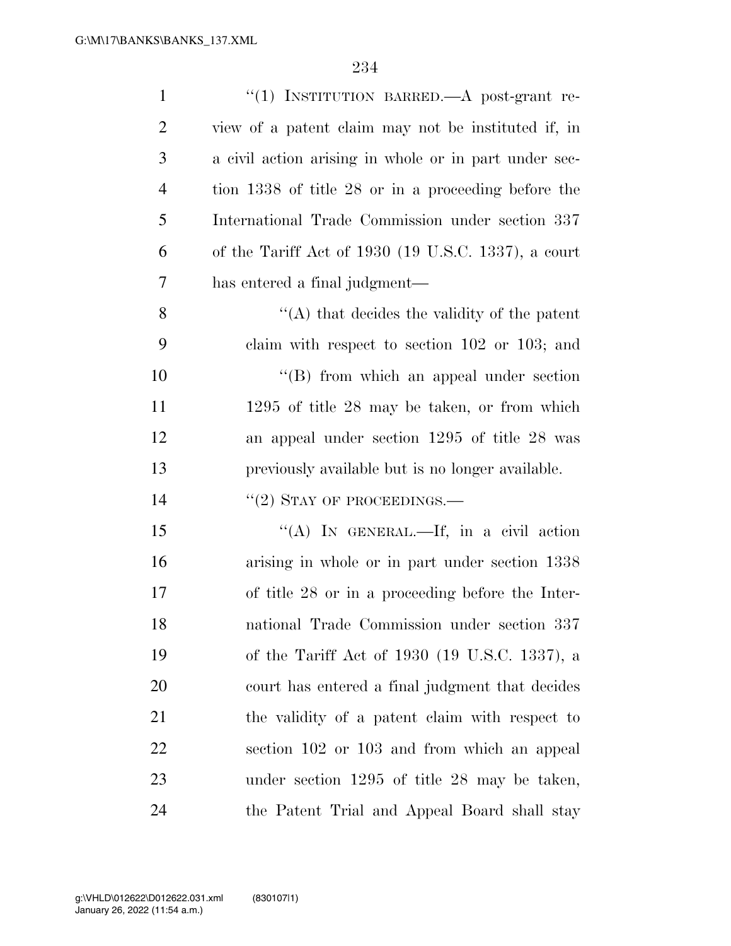| $\mathbf{1}$   | "(1) INSTITUTION BARRED.—A post-grant re-             |
|----------------|-------------------------------------------------------|
| $\overline{2}$ | view of a patent claim may not be instituted if, in   |
| 3              | a civil action arising in whole or in part under sec- |
| $\overline{4}$ | tion 1338 of title 28 or in a proceeding before the   |
| 5              | International Trade Commission under section 337      |
| 6              | of the Tariff Act of 1930 (19 U.S.C. 1337), a court   |
| 7              | has entered a final judgment-                         |
| 8              | $\lq\lq$ that decides the validity of the patent      |
| 9              | claim with respect to section $102$ or $103$ ; and    |
| 10             | $\lq\lq$ from which an appeal under section           |
| 11             | $1295$ of title 28 may be taken, or from which        |
| 12             | an appeal under section 1295 of title 28 was          |
|                |                                                       |
| 13             | previously available but is no longer available.      |
| 14             | $``(2)$ STAY OF PROCEEDINGS.—                         |
| 15             | "(A) IN GENERAL.—If, in a civil action                |
| 16             | arising in whole or in part under section 1338        |
| 17             | of title 28 or in a proceeding before the Inter-      |
| 18             | national Trade Commission under section 337           |
| 19             | of the Tariff Act of 1930 (19 U.S.C. 1337), a         |
| 20             | court has entered a final judgment that decides       |
| 21             | the validity of a patent claim with respect to        |
| 22             | section 102 or 103 and from which an appeal           |
| 23             | under section $1295$ of title 28 may be taken,        |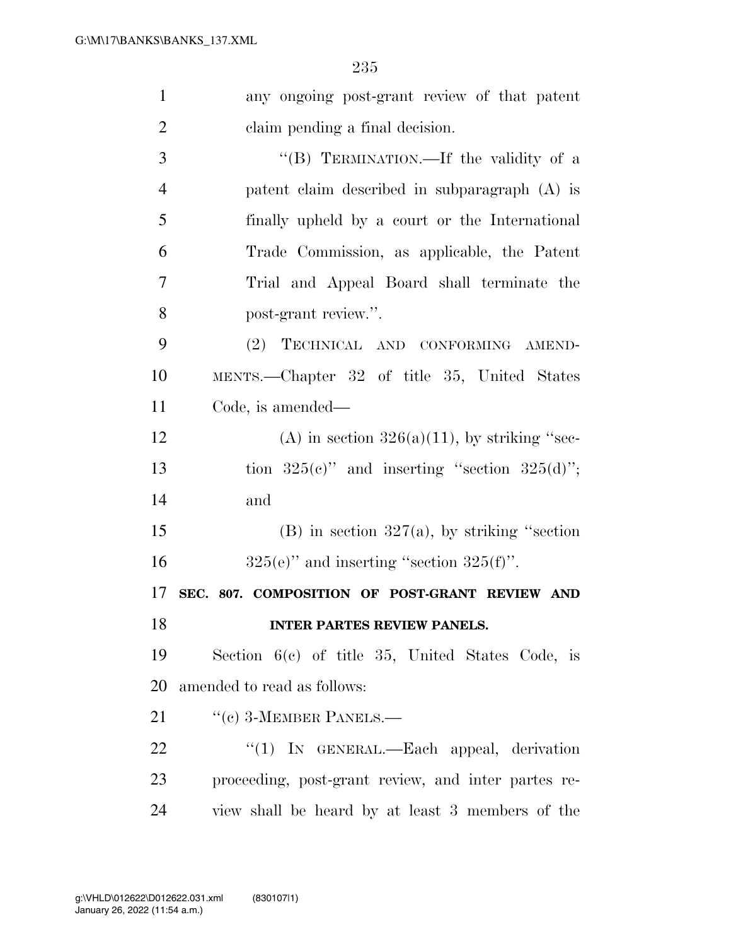| $\mathbf{1}$   | any ongoing post-grant review of that patent        |
|----------------|-----------------------------------------------------|
| $\overline{2}$ | claim pending a final decision.                     |
| 3              | "(B) TERMINATION.—If the validity of a              |
| $\overline{4}$ | patent claim described in subparagraph (A) is       |
| 5              | finally upheld by a court or the International      |
| 6              | Trade Commission, as applicable, the Patent         |
| 7              | Trial and Appeal Board shall terminate the          |
| 8              | post-grant review.".                                |
| 9              | TECHNICAL AND CONFORMING AMEND-<br>(2)              |
| 10             | MENTS.—Chapter 32 of title 35, United States        |
| 11             | Code, is amended—                                   |
| 12             | (A) in section $326(a)(11)$ , by striking "sec-     |
| 13             | tion $325(c)$ " and inserting "section $325(d)$ ";  |
| 14             | and                                                 |
| 15             | (B) in section $327(a)$ , by striking "section      |
| 16             | $325(e)$ " and inserting "section $325(f)$ ".       |
| 17             | SEC. 807. COMPOSITION OF POST-GRANT REVIEW AND      |
| 18             | <b>INTER PARTES REVIEW PANELS.</b>                  |
| 19             | Section $6(c)$ of title 35, United States Code, is  |
| 20             | amended to read as follows:                         |
| 21             | $``$ (c) 3-MEMBER PANELS.—                          |
| 22             | " $(1)$ IN GENERAL.—Each appeal, derivation         |
| 23             | proceeding, post-grant review, and inter partes re- |
| 24             | view shall be heard by at least 3 members of the    |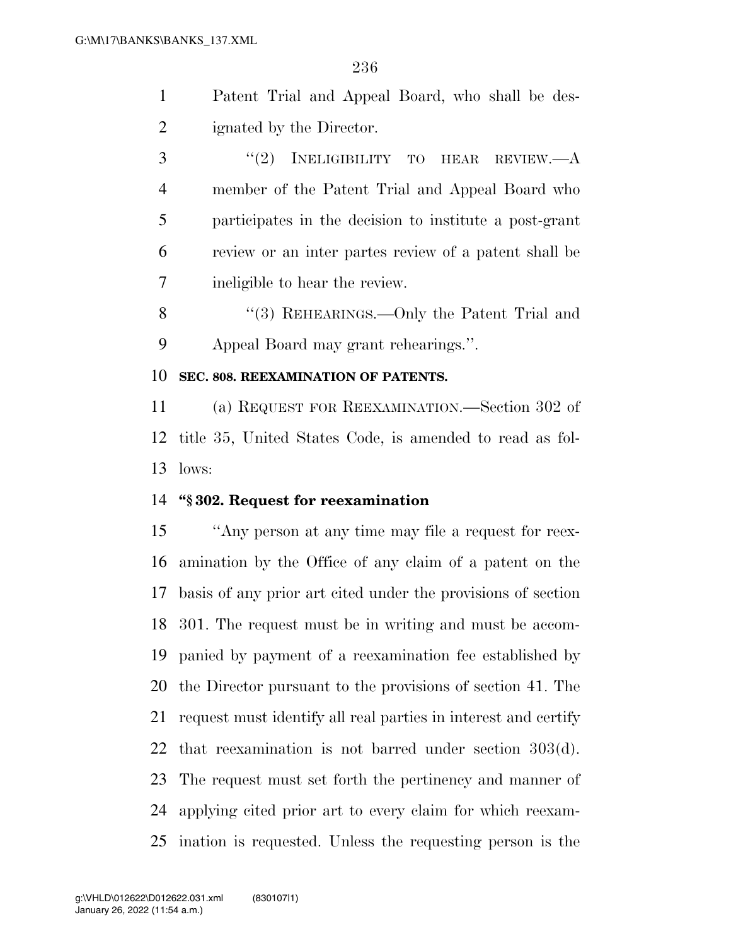- Patent Trial and Appeal Board, who shall be des-ignated by the Director.
- 3 "(2) INELIGIBILITY TO HEAR REVIEW.—A member of the Patent Trial and Appeal Board who participates in the decision to institute a post-grant review or an inter partes review of a patent shall be ineligible to hear the review.
- 8 "(3) REHEARINGS.—Only the Patent Trial and Appeal Board may grant rehearings.''.

#### **SEC. 808. REEXAMINATION OF PATENTS.**

 (a) REQUEST FOR REEXAMINATION.—Section 302 of title 35, United States Code, is amended to read as fol-lows:

#### **''§ 302. Request for reexamination**

 ''Any person at any time may file a request for reex- amination by the Office of any claim of a patent on the basis of any prior art cited under the provisions of section 301. The request must be in writing and must be accom- panied by payment of a reexamination fee established by the Director pursuant to the provisions of section 41. The request must identify all real parties in interest and certify that reexamination is not barred under section 303(d). The request must set forth the pertinency and manner of applying cited prior art to every claim for which reexam-ination is requested. Unless the requesting person is the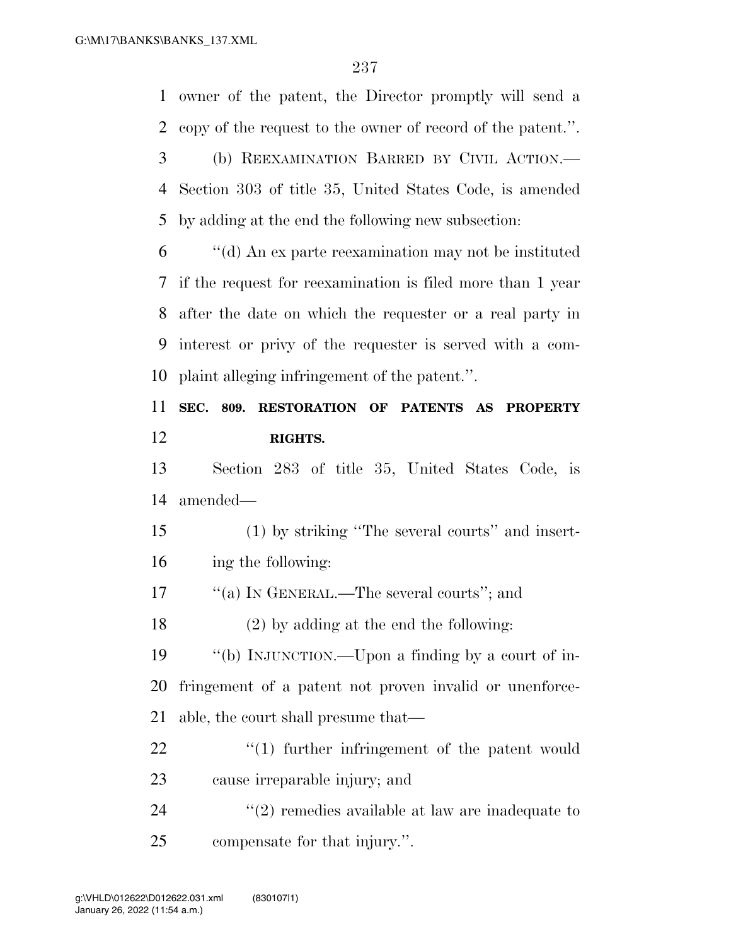owner of the patent, the Director promptly will send a

copy of the request to the owner of record of the patent.''.

 (b) REEXAMINATION BARRED BY CIVIL ACTION.— Section 303 of title 35, United States Code, is amended by adding at the end the following new subsection: ''(d) An ex parte reexamination may not be instituted if the request for reexamination is filed more than 1 year after the date on which the requester or a real party in interest or privy of the requester is served with a com- plaint alleging infringement of the patent.''. **SEC. 809. RESTORATION OF PATENTS AS PROPERTY RIGHTS.**  Section 283 of title 35, United States Code, is amended— (1) by striking ''The several courts'' and insert- ing the following:  $\frac{1}{2}$  (a) In GENERAL.—The several courts"; and (2) by adding at the end the following: ''(b) INJUNCTION.—Upon a finding by a court of in- fringement of a patent not proven invalid or unenforce- able, the court shall presume that—  $\frac{1}{2}$  (1) further infringement of the patent would cause irreparable injury; and 24 ''(2) remedies available at law are inadequate to compensate for that injury.''. January 26, 2022 (11:54 a.m.) g:\VHLD\012622\D012622.031.xml (830107|1)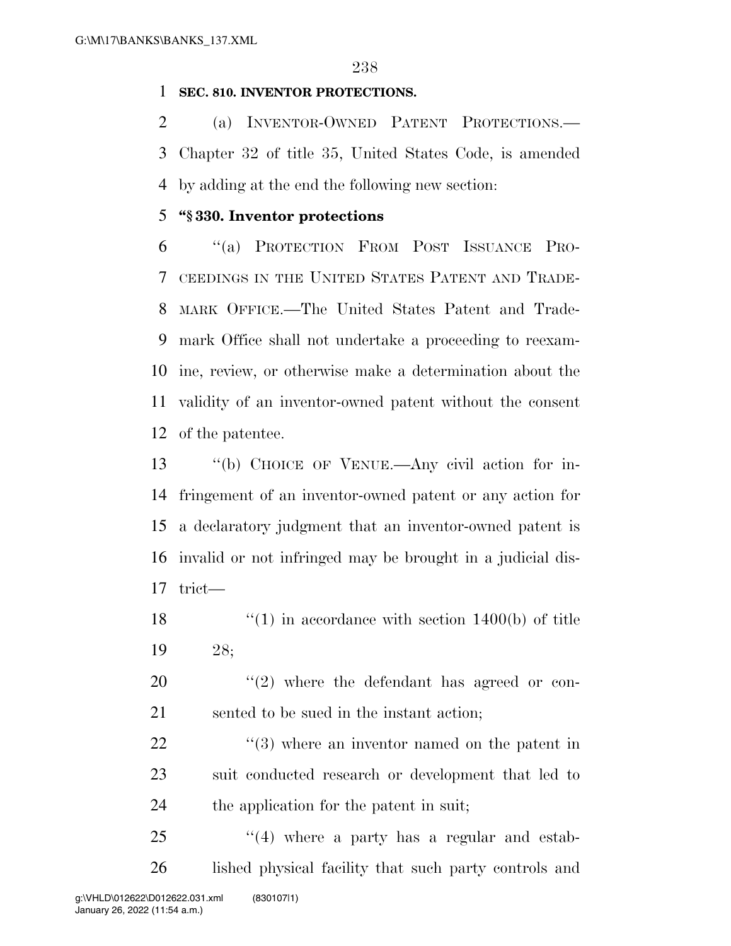#### **SEC. 810. INVENTOR PROTECTIONS.**

 (a) INVENTOR-OWNED PATENT PROTECTIONS.— Chapter 32 of title 35, United States Code, is amended by adding at the end the following new section:

#### **''§ 330. Inventor protections**

 ''(a) PROTECTION FROM POST ISSUANCE PRO- CEEDINGS IN THE UNITED STATES PATENT AND TRADE- MARK OFFICE.—The United States Patent and Trade- mark Office shall not undertake a proceeding to reexam- ine, review, or otherwise make a determination about the validity of an inventor-owned patent without the consent of the patentee.

 ''(b) CHOICE OF VENUE.—Any civil action for in- fringement of an inventor-owned patent or any action for a declaratory judgment that an inventor-owned patent is invalid or not infringed may be brought in a judicial dis-trict—

18  $\frac{120}{10}$  in accordance with section 1400(b) of title 28;

 ''(2) where the defendant has agreed or con-sented to be sued in the instant action;

22  $\frac{1}{2}$  (3) where an inventor named on the patent in suit conducted research or development that led to the application for the patent in suit;

25 "(4) where a party has a regular and estab-26 lished physical facility that such party controls and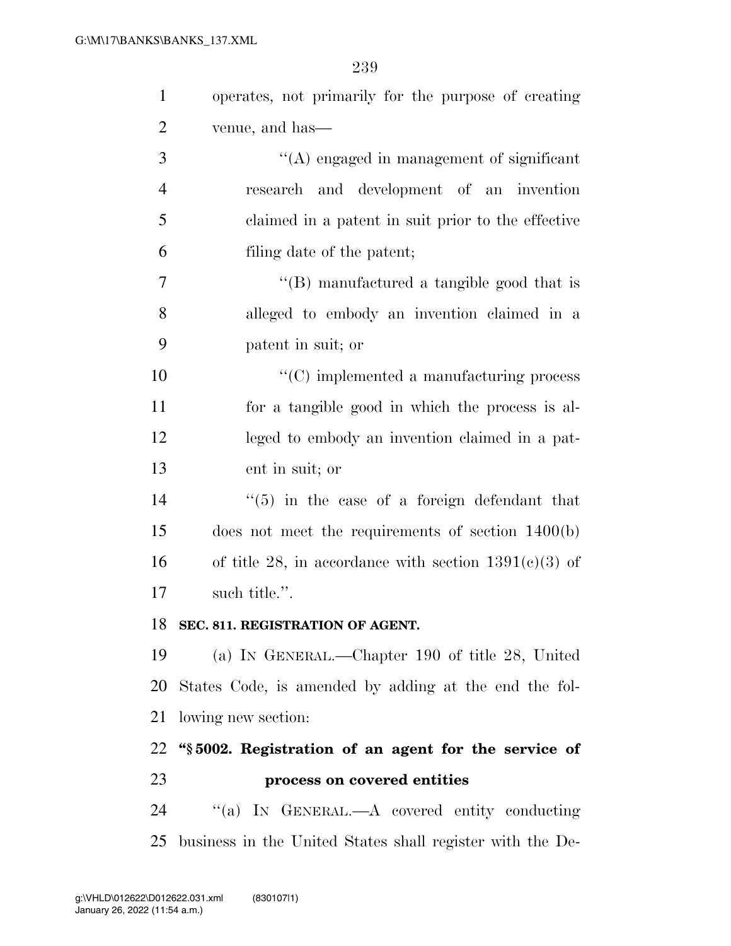| $\mathbf{1}$   | operates, not primarily for the purpose of creating       |
|----------------|-----------------------------------------------------------|
| $\overline{2}$ | venue, and has—                                           |
| 3              | $\lq\lq$ engaged in management of significant             |
| $\overline{4}$ | research and development of an invention                  |
| 5              | claimed in a patent in suit prior to the effective        |
| 6              | filing date of the patent;                                |
| 7              | $\lq\lq$ (B) manufactured a tangible good that is         |
| 8              | alleged to embody an invention claimed in a               |
| 9              | patent in suit; or                                        |
| 10             | $\cdot$ (C) implemented a manufacturing process           |
| 11             | for a tangible good in which the process is al-           |
| 12             | leged to embody an invention claimed in a pat-            |
| 13             | ent in suit; or                                           |
| 14             | $\cdot\cdot$ (5) in the case of a foreign defendant that  |
| 15             | does not meet the requirements of section 1400(b)         |
| 16             | of title 28, in accordance with section $1391(c)(3)$ of   |
| 17             | such title.".                                             |
|                | 18 SEC. 811. REGISTRATION OF AGENT.                       |
| 19             | (a) IN GENERAL.—Chapter 190 of title 28, United           |
| 20             | States Code, is amended by adding at the end the fol-     |
| 21             | lowing new section:                                       |
| 22             | "§5002. Registration of an agent for the service of       |
| 23             | process on covered entities                               |
| 24             | "(a) IN GENERAL.—A covered entity conducting              |
| 25             | business in the United States shall register with the De- |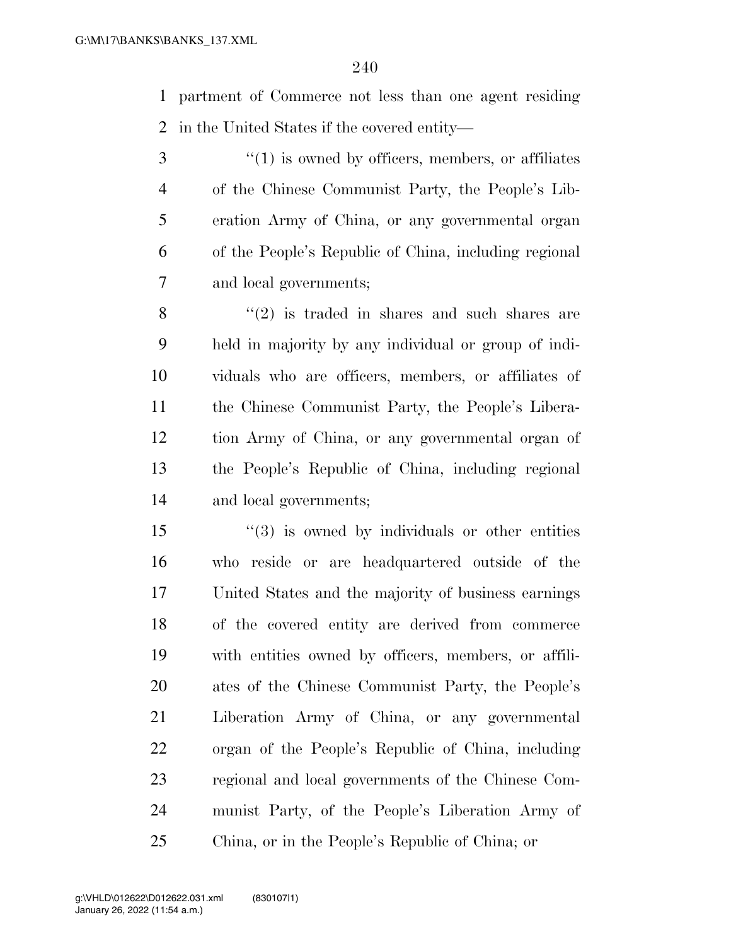partment of Commerce not less than one agent residing in the United States if the covered entity—

3 (1) is owned by officers, members, or affiliates of the Chinese Communist Party, the People's Lib- eration Army of China, or any governmental organ of the People's Republic of China, including regional and local governments;

 ''(2) is traded in shares and such shares are held in majority by any individual or group of indi- viduals who are officers, members, or affiliates of the Chinese Communist Party, the People's Libera- tion Army of China, or any governmental organ of the People's Republic of China, including regional and local governments;

 ''(3) is owned by individuals or other entities who reside or are headquartered outside of the United States and the majority of business earnings of the covered entity are derived from commerce with entities owned by officers, members, or affili- ates of the Chinese Communist Party, the People's Liberation Army of China, or any governmental organ of the People's Republic of China, including regional and local governments of the Chinese Com- munist Party, of the People's Liberation Army of China, or in the People's Republic of China; or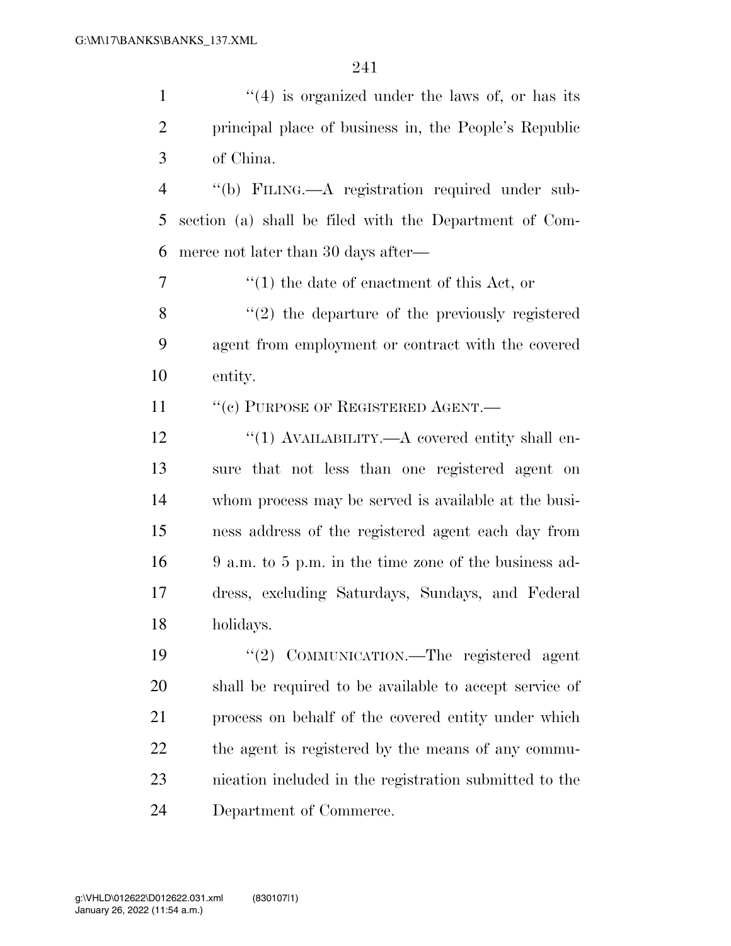1 ''(4) is organized under the laws of, or has its principal place of business in, the People's Republic of China. ''(b) FILING.—A registration required under sub- section (a) shall be filed with the Department of Com- merce not later than 30 days after— ''(1) the date of enactment of this Act, or 8 ''(2) the departure of the previously registered agent from employment or contract with the covered entity. 11 " (c) PURPOSE OF REGISTERED AGENT.—

 $\frac{1}{2}$   $\frac{1}{2}$   $\frac{1}{2}$   $\frac{1}{2}$   $\frac{1}{2}$   $\frac{1}{2}$   $\frac{1}{2}$   $\frac{1}{2}$   $\frac{1}{2}$   $\frac{1}{2}$   $\frac{1}{2}$   $\frac{1}{2}$   $\frac{1}{2}$   $\frac{1}{2}$   $\frac{1}{2}$   $\frac{1}{2}$   $\frac{1}{2}$   $\frac{1}{2}$   $\frac{1}{2}$   $\frac{1}{2}$   $\frac{1}{2}$   $\frac{1}{2}$  sure that not less than one registered agent on whom process may be served is available at the busi- ness address of the registered agent each day from 9 a.m. to 5 p.m. in the time zone of the business ad- dress, excluding Saturdays, Sundays, and Federal holidays.

 ''(2) COMMUNICATION.—The registered agent shall be required to be available to accept service of process on behalf of the covered entity under which the agent is registered by the means of any commu- nication included in the registration submitted to the Department of Commerce.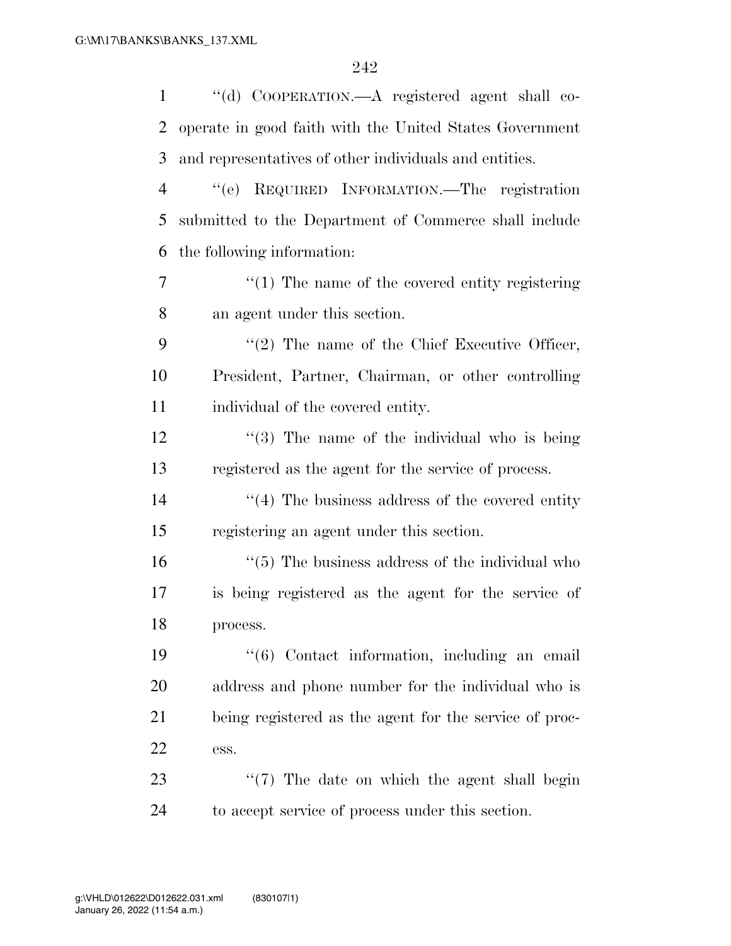| $\mathbf{1}$ | "(d) COOPERATION.—A registered agent shall co-           |
|--------------|----------------------------------------------------------|
| 2            | operate in good faith with the United States Government  |
| 3            | and representatives of other individuals and entities.   |
| 4            | REQUIRED INFORMATION.—The registration<br>``(e)          |
| 5            | submitted to the Department of Commerce shall include    |
| 6            | the following information:                               |
| 7            | $\lq(1)$ The name of the covered entity registering      |
| 8            | an agent under this section.                             |
| 9            | $\lq(2)$ The name of the Chief Executive Officer,        |
| 10           | President, Partner, Chairman, or other controlling       |
| 11           | individual of the covered entity.                        |
| 12           | $\cdot$ (3) The name of the individual who is being      |
| 13           | registered as the agent for the service of process.      |
| 14           | $\cdot$ (4) The business address of the covered entity   |
| 15           | registering an agent under this section.                 |
| 16           | $\cdot$ (5) The business address of the individual who   |
| 17           | is being registered as the agent for the service of      |
| 18           | process.                                                 |
| 19           | $\cdot\cdot$ (6) Contact information, including an email |
| 20           | address and phone number for the individual who is       |
| 21           | being registered as the agent for the service of proc-   |
| <u>22</u>    | ess.                                                     |
| 23           | $\lq(7)$ The date on which the agent shall begin         |
| 24           | to accept service of process under this section.         |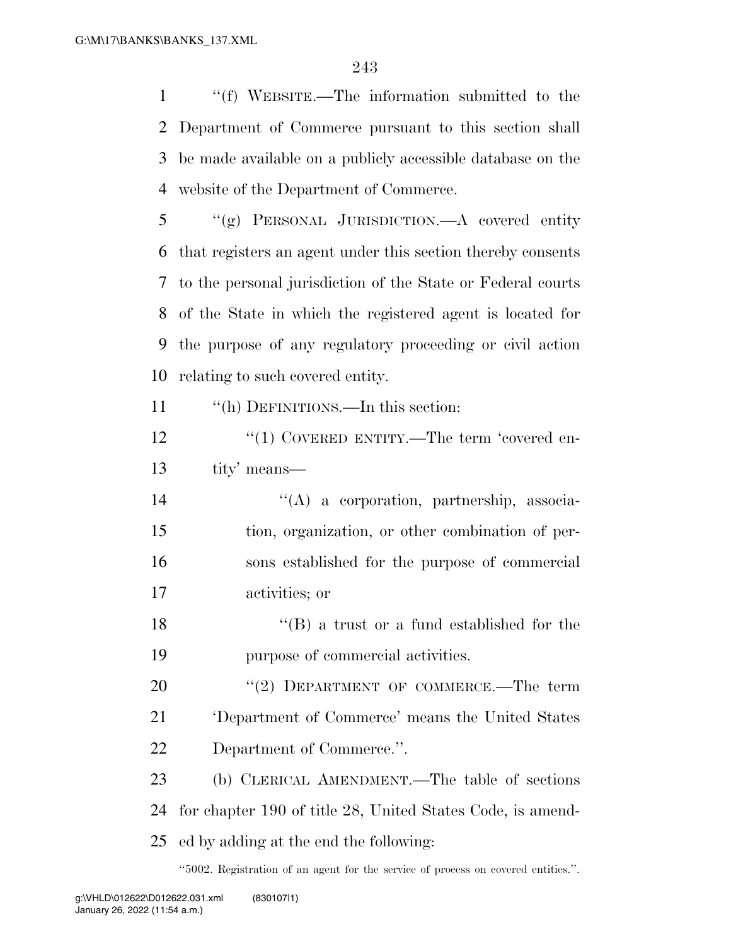''(f) WEBSITE.—The information submitted to the Department of Commerce pursuant to this section shall be made available on a publicly accessible database on the website of the Department of Commerce.

 ''(g) PERSONAL JURISDICTION.—A covered entity that registers an agent under this section thereby consents to the personal jurisdiction of the State or Federal courts of the State in which the registered agent is located for the purpose of any regulatory proceeding or civil action relating to such covered entity.

''(h) DEFINITIONS.—In this section:

12 "(1) COVERED ENTITY.—The term 'covered en-tity' means—

 ''(A) a corporation, partnership, associa- tion, organization, or other combination of per- sons established for the purpose of commercial activities; or

18 ''(B) a trust or a fund established for the purpose of commercial activities.

20 "(2) DEPARTMENT OF COMMERCE.—The term 'Department of Commerce' means the United States Department of Commerce.''.

 (b) CLERICAL AMENDMENT.—The table of sections for chapter 190 of title 28, United States Code, is amend-ed by adding at the end the following:

''5002. Registration of an agent for the service of process on covered entities.''.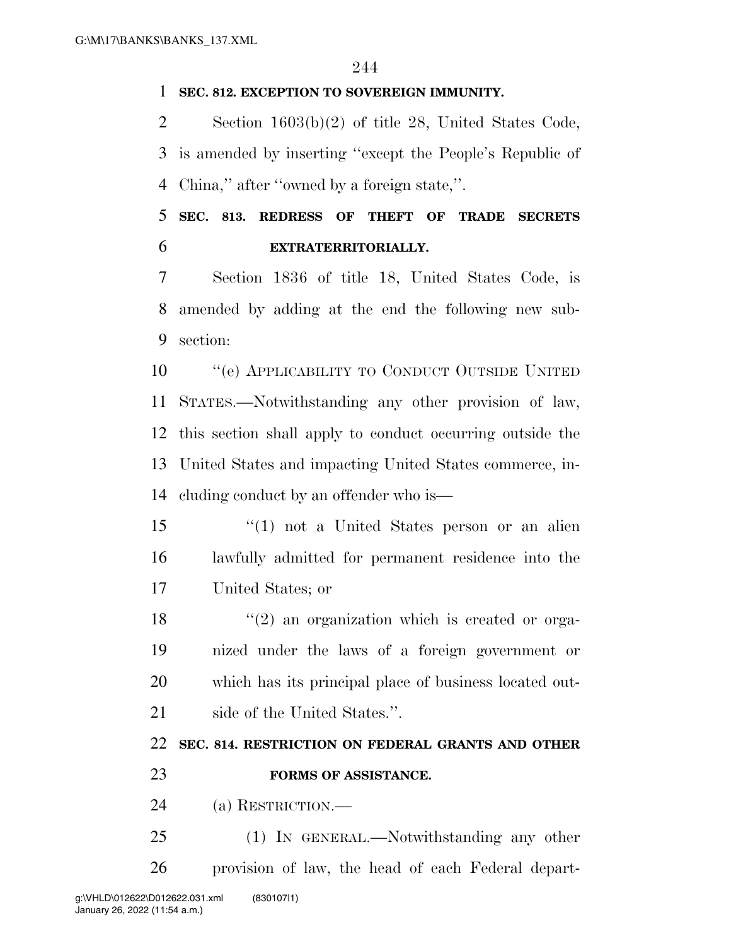#### **SEC. 812. EXCEPTION TO SOVEREIGN IMMUNITY.**

 Section 1603(b)(2) of title 28, United States Code, is amended by inserting ''except the People's Republic of China,'' after ''owned by a foreign state,''.

 **SEC. 813. REDRESS OF THEFT OF TRADE SECRETS EXTRATERRITORIALLY.** 

 Section 1836 of title 18, United States Code, is amended by adding at the end the following new sub-section:

**''**(e) APPLICABILITY TO CONDUCT OUTSIDE UNITED STATES.—Notwithstanding any other provision of law, this section shall apply to conduct occurring outside the United States and impacting United States commerce, in-cluding conduct by an offender who is—

 ''(1) not a United States person or an alien lawfully admitted for permanent residence into the United States; or

 $\frac{18}{2}$  ''(2) an organization which is created or orga- nized under the laws of a foreign government or which has its principal place of business located out-side of the United States.''.

### **SEC. 814. RESTRICTION ON FEDERAL GRANTS AND OTHER**

**FORMS OF ASSISTANCE.** 

(a) RESTRICTION.—

 (1) IN GENERAL.—Notwithstanding any other provision of law, the head of each Federal depart-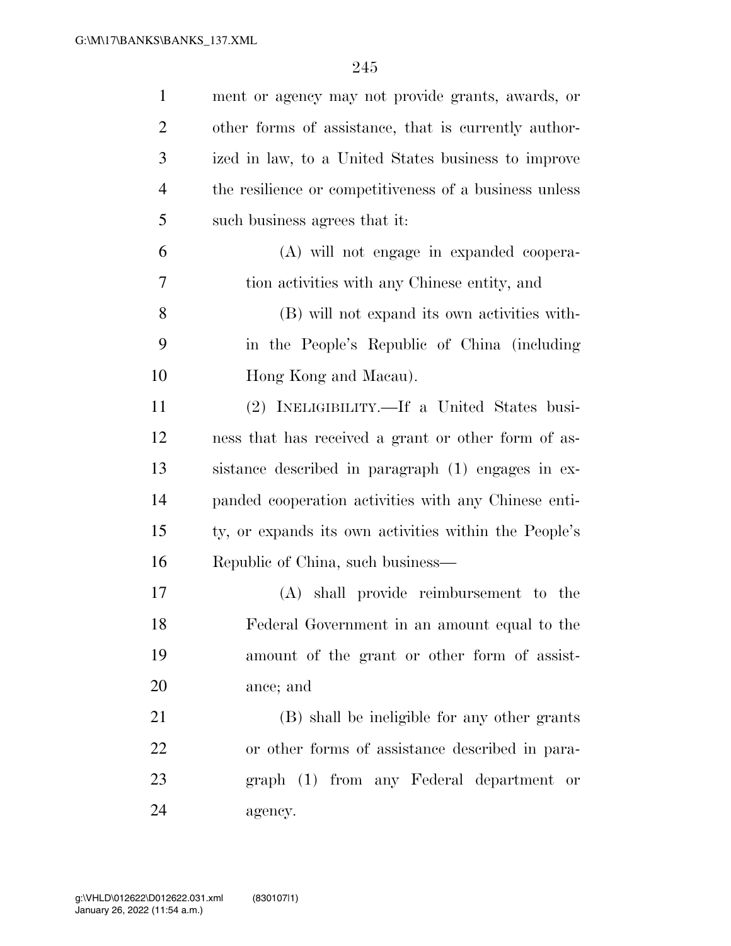| $\mathbf{1}$   | ment or agency may not provide grants, awards, or      |
|----------------|--------------------------------------------------------|
| $\overline{2}$ | other forms of assistance, that is currently author-   |
| 3              | ized in law, to a United States business to improve    |
| $\overline{4}$ | the resilience or competitiveness of a business unless |
| 5              | such business agrees that it:                          |
| 6              | (A) will not engage in expanded coopera-               |
| 7              | tion activities with any Chinese entity, and           |
| 8              | (B) will not expand its own activities with-           |
| 9              | in the People's Republic of China (including           |
| 10             | Hong Kong and Macau).                                  |
| 11             | (2) INELIGIBILITY.—If a United States busi-            |
| 12             | ness that has received a grant or other form of as-    |
| 13             | sistance described in paragraph (1) engages in ex-     |
| 14             | panded cooperation activities with any Chinese enti-   |
| 15             | ty, or expands its own activities within the People's  |
| 16             | Republic of China, such business-                      |
| 17             | (A) shall provide reimbursement to the                 |
| 18             | Federal Government in an amount equal to the           |
| 19             | amount of the grant or other form of assist-           |
| 20             | ance; and                                              |
| 21             | (B) shall be ineligible for any other grants           |
| 22             | or other forms of assistance described in para-        |
| 23             | graph (1) from any Federal department or               |
| 24             | agency.                                                |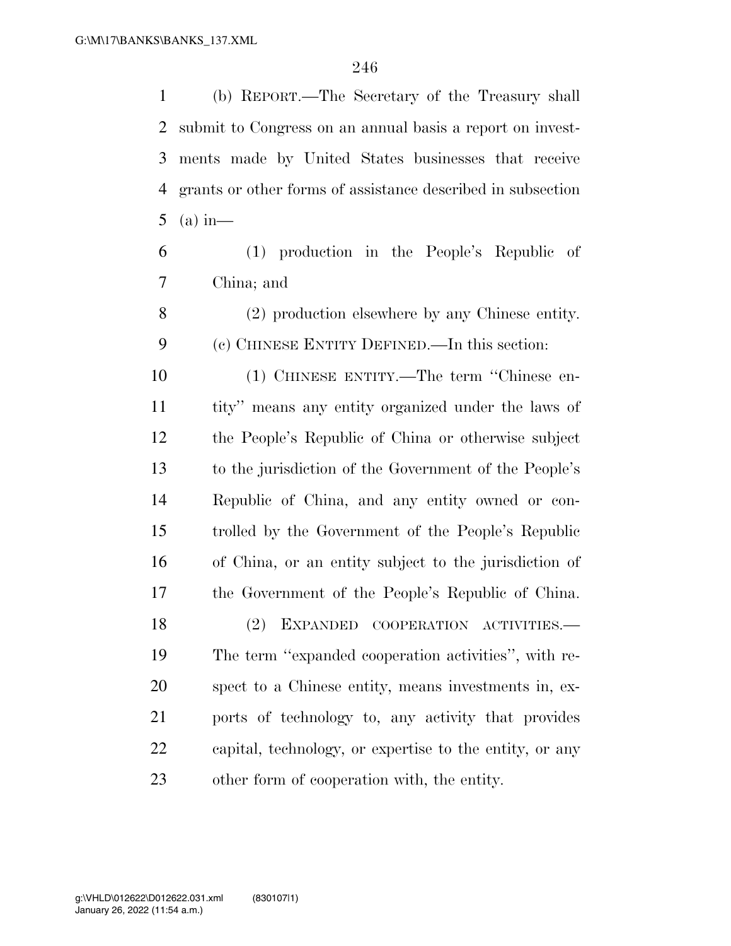(b) REPORT.—The Secretary of the Treasury shall submit to Congress on an annual basis a report on invest- ments made by United States businesses that receive grants or other forms of assistance described in subsection (a) in—

 (1) production in the People's Republic of China; and

 (2) production elsewhere by any Chinese entity. (c) CHINESE ENTITY DEFINED.—In this section:

 (1) CHINESE ENTITY.—The term ''Chinese en- tity'' means any entity organized under the laws of the People's Republic of China or otherwise subject to the jurisdiction of the Government of the People's Republic of China, and any entity owned or con- trolled by the Government of the People's Republic of China, or an entity subject to the jurisdiction of the Government of the People's Republic of China.

 (2) EXPANDED COOPERATION ACTIVITIES.— The term ''expanded cooperation activities'', with re- spect to a Chinese entity, means investments in, ex- ports of technology to, any activity that provides capital, technology, or expertise to the entity, or any other form of cooperation with, the entity.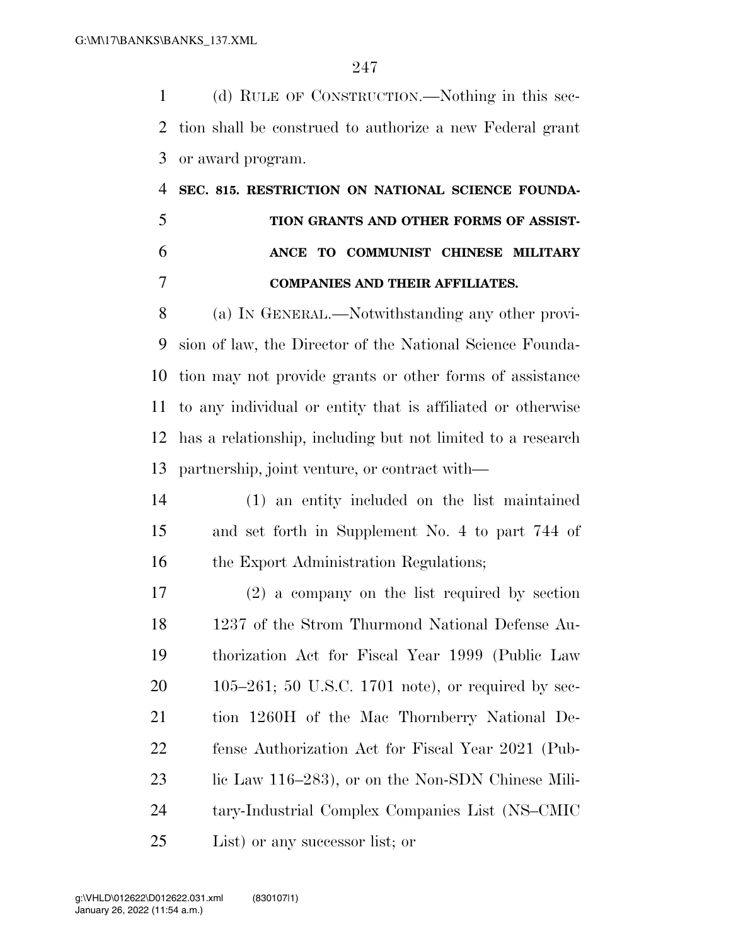(d) RULE OF CONSTRUCTION.—Nothing in this sec- tion shall be construed to authorize a new Federal grant or award program.

# **SEC. 815. RESTRICTION ON NATIONAL SCIENCE FOUNDA- TION GRANTS AND OTHER FORMS OF ASSIST- ANCE TO COMMUNIST CHINESE MILITARY COMPANIES AND THEIR AFFILIATES.**

 (a) IN GENERAL.—Notwithstanding any other provi- sion of law, the Director of the National Science Founda- tion may not provide grants or other forms of assistance to any individual or entity that is affiliated or otherwise has a relationship, including but not limited to a research partnership, joint venture, or contract with—

 (1) an entity included on the list maintained and set forth in Supplement No. 4 to part 744 of 16 the Export Administration Regulations;

 (2) a company on the list required by section 1237 of the Strom Thurmond National Defense Au- thorization Act for Fiscal Year 1999 (Public Law 105–261; 50 U.S.C. 1701 note), or required by sec- tion 1260H of the Mac Thornberry National De- fense Authorization Act for Fiscal Year 2021 (Pub-23 lic Law 116–283), or on the Non-SDN Chinese Mili- tary-Industrial Complex Companies List (NS–CMIC List) or any successor list; or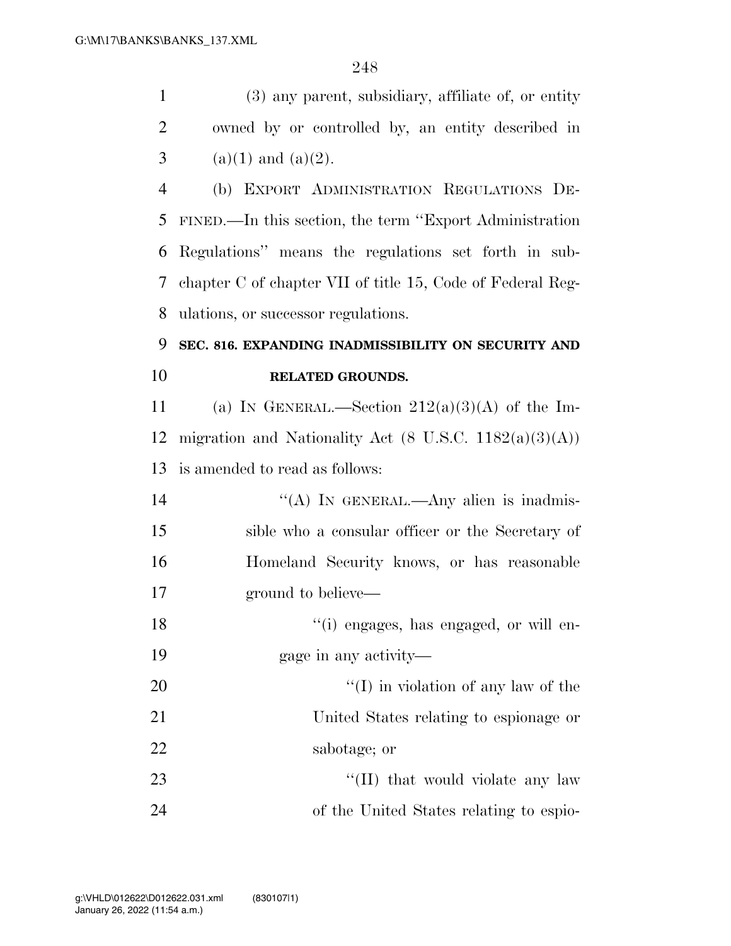(3) any parent, subsidiary, affiliate of, or entity owned by or controlled by, an entity described in 3 (a)(1) and (a)(2).

 (b) EXPORT ADMINISTRATION REGULATIONS DE- FINED.—In this section, the term ''Export Administration Regulations'' means the regulations set forth in sub- chapter C of chapter VII of title 15, Code of Federal Reg-ulations, or successor regulations.

## **SEC. 816. EXPANDING INADMISSIBILITY ON SECURITY AND RELATED GROUNDS.**

11 (a) IN GENERAL.—Section  $212(a)(3)(A)$  of the Im-12 migration and Nationality Act  $(8 \text{ U.S.C. } 1182(a)(3)(\text{A}))$ is amended to read as follows:

14 "(A) IN GENERAL.—Any alien is inadmis- sible who a consular officer or the Secretary of Homeland Security knows, or has reasonable ground to believe—

18  $\lq($ i) engages, has engaged, or will en-

gage in any activity—

20 ''(I) in violation of any law of the United States relating to espionage or sabotage; or

23 ''(II) that would violate any law of the United States relating to espio-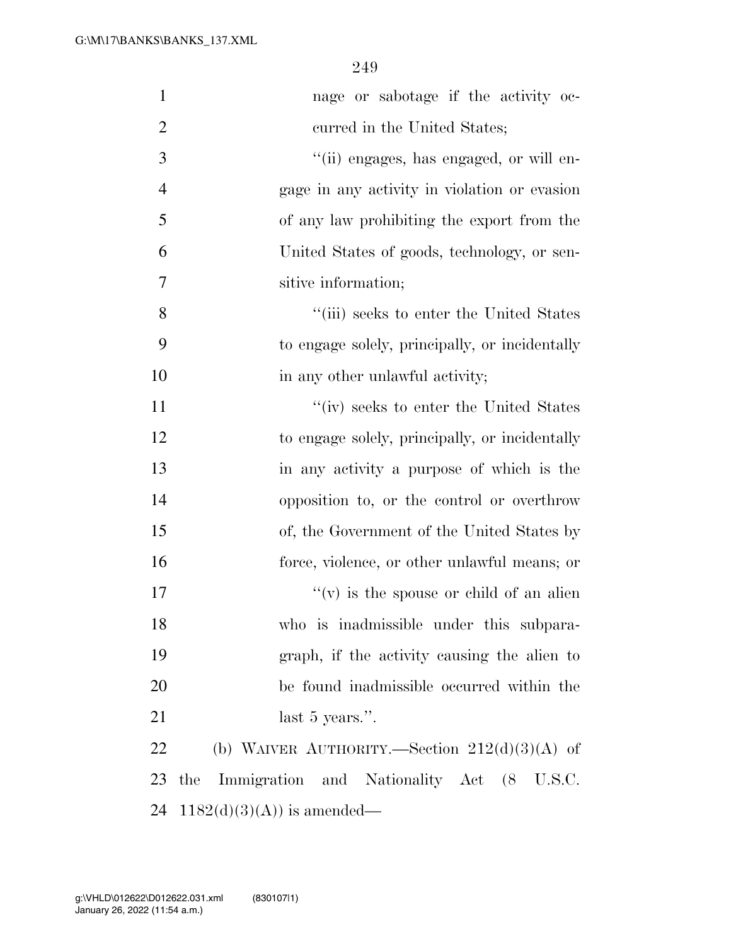| $\mathbf{1}$   | nage or sabotage if the activity oc-             |
|----------------|--------------------------------------------------|
| $\overline{2}$ | curred in the United States;                     |
| 3              | "(ii) engages, has engaged, or will en-          |
| $\overline{4}$ | gage in any activity in violation or evasion     |
| 5              | of any law prohibiting the export from the       |
| 6              | United States of goods, technology, or sen-      |
| 7              | sitive information;                              |
| 8              | "(iii) seeks to enter the United States          |
| 9              | to engage solely, principally, or incidentally   |
| 10             | in any other unlawful activity;                  |
| 11             | "(iv) seeks to enter the United States           |
| 12             | to engage solely, principally, or incidentally   |
| 13             | in any activity a purpose of which is the        |
| 14             | opposition to, or the control or overthrow       |
| 15             | of, the Government of the United States by       |
| 16             | force, violence, or other unlawful means; or     |
| 17             | $f'(v)$ is the spouse or child of an alien       |
| 18             | who is inadmissible under this subpara-          |
| 19             | graph, if the activity causing the alien to      |
| 20             | be found inadmissible occurred within the        |
| 21             | last 5 years.".                                  |
| 22             | (b) WAIVER AUTHORITY.—Section $212(d)(3)(A)$ of  |
| 23             | Immigration and Nationality Act (8 U.S.C.<br>the |
| 24             | $1182(d)(3)(A)$ is amended—                      |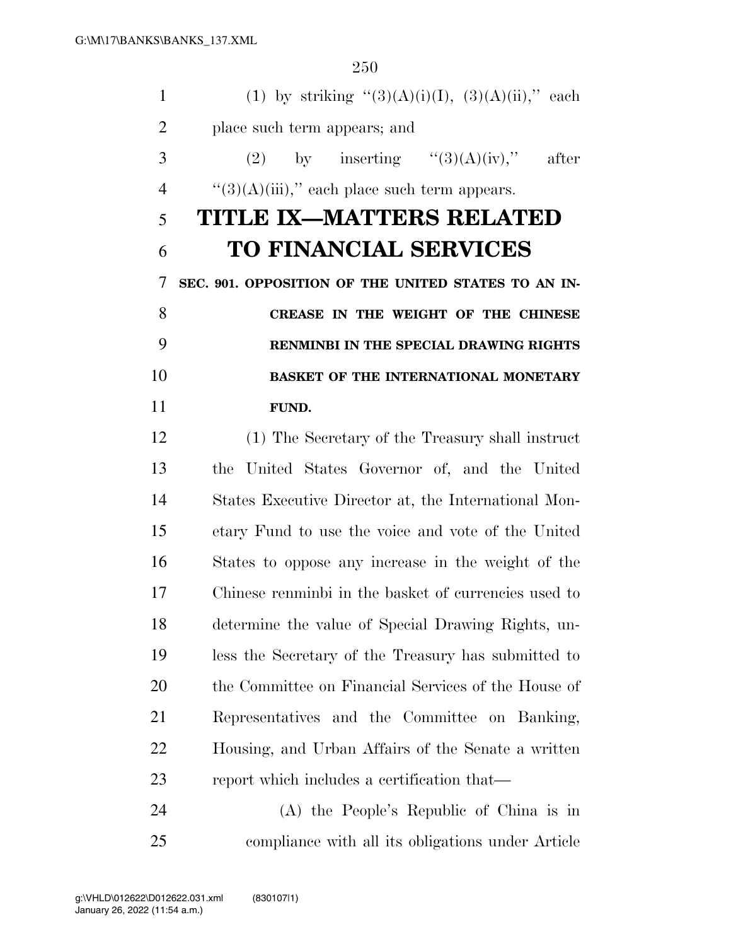| $\mathbf{1}$   | (1) by striking " $(3)(A)(i)(I)$ , $(3)(A)(ii)$ ," each |
|----------------|---------------------------------------------------------|
| $\overline{2}$ | place such term appears; and                            |
| 3              | (2) by inserting $\frac{1}{2}$ (3)(A)(iv),"<br>after    |
| $\overline{4}$ | " $(3)(A)(iii)$ ," each place such term appears.        |
| 5              | TITLE IX—MATTERS RELATED                                |
| 6              | <b>TO FINANCIAL SERVICES</b>                            |
| 7              | SEC. 901. OPPOSITION OF THE UNITED STATES TO AN IN-     |
| 8              | CREASE IN THE WEIGHT OF THE CHINESE                     |
| 9              | RENMINBI IN THE SPECIAL DRAWING RIGHTS                  |
| 10             | BASKET OF THE INTERNATIONAL MONETARY                    |
| 11             | FUND.                                                   |
| 12             | (1) The Secretary of the Treasury shall instruct        |
| 13             | the United States Governor of, and the United           |
| 14             | States Executive Director at, the International Mon-    |
| 15             | etary Fund to use the voice and vote of the United      |
| 16             | States to oppose any increase in the weight of the      |
| 17             | Chinese renminbi in the basket of currencies used to    |
| 18             | determine the value of Special Drawing Rights, un-      |
| 19             | less the Secretary of the Treasury has submitted to     |
| <b>20</b>      | the Committee on Financial Services of the House of     |
| 21             | Representatives and the Committee on Banking,           |
| 22             | Housing, and Urban Affairs of the Senate a written      |
| 23             | report which includes a certification that—             |
| 24             | (A) the People's Republic of China is in                |

compliance with all its obligations under Article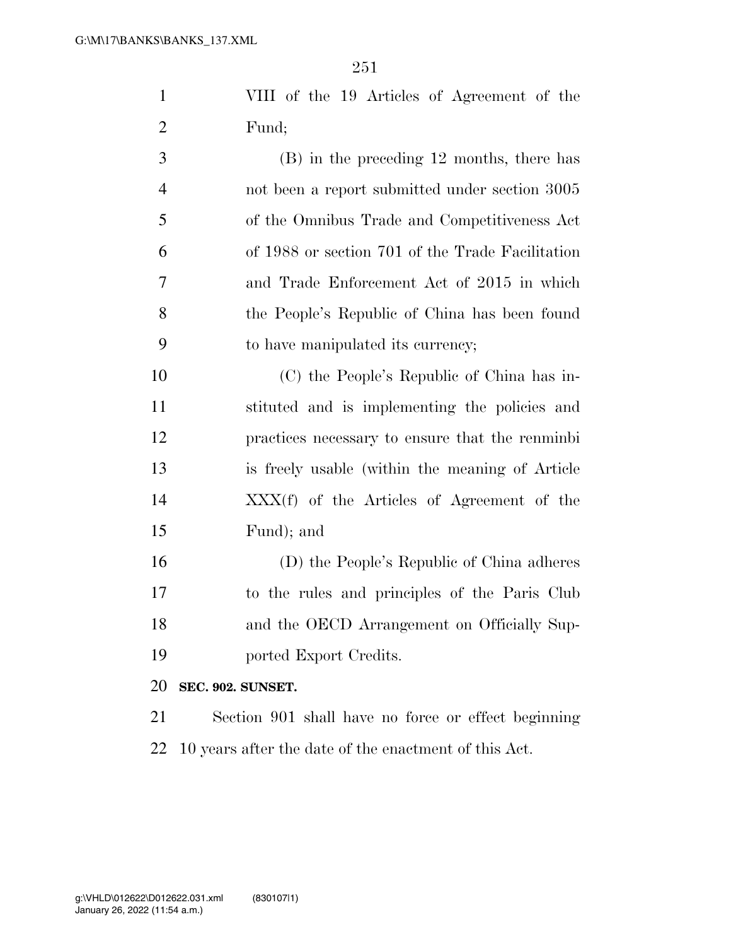VIII of the 19 Articles of Agreement of the Fund;

 (B) in the preceding 12 months, there has not been a report submitted under section 3005 of the Omnibus Trade and Competitiveness Act of 1988 or section 701 of the Trade Facilitation and Trade Enforcement Act of 2015 in which the People's Republic of China has been found to have manipulated its currency;

 (C) the People's Republic of China has in- stituted and is implementing the policies and practices necessary to ensure that the renminbi is freely usable (within the meaning of Article XXX(f) of the Articles of Agreement of the Fund); and

 (D) the People's Republic of China adheres to the rules and principles of the Paris Club and the OECD Arrangement on Officially Sup-ported Export Credits.

**SEC. 902. SUNSET.** 

 Section 901 shall have no force or effect beginning 10 years after the date of the enactment of this Act.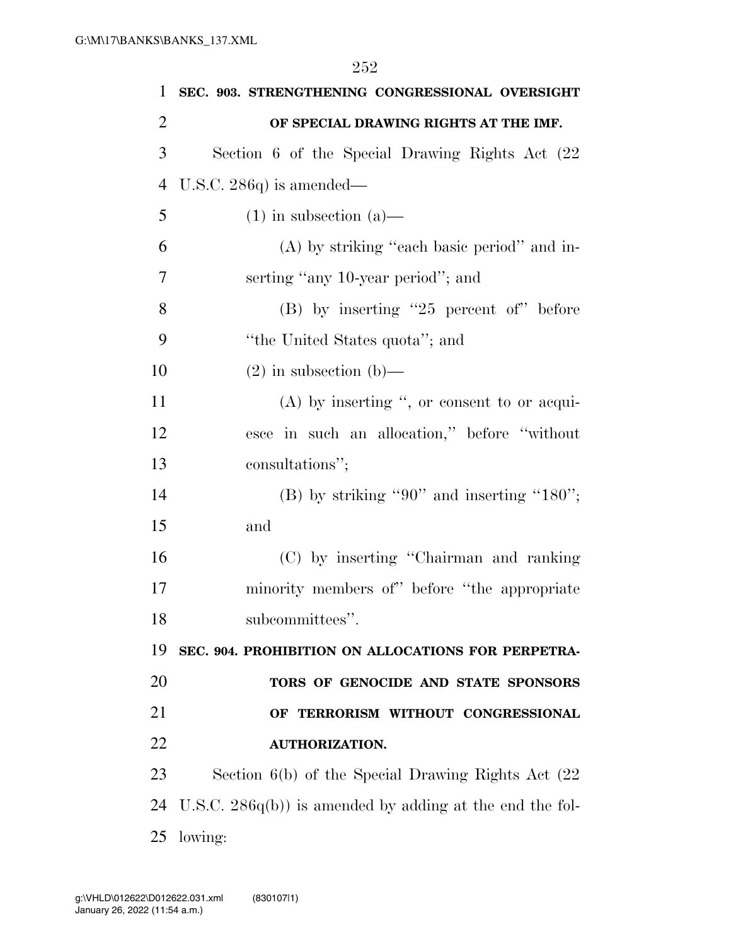| 1              | SEC. 903. STRENGTHENING CONGRESSIONAL OVERSIGHT           |
|----------------|-----------------------------------------------------------|
| $\overline{2}$ | OF SPECIAL DRAWING RIGHTS AT THE IMF.                     |
| 3              | Section 6 of the Special Drawing Rights Act (22)          |
| $\overline{4}$ | U.S.C. 286 $q$ ) is amended—                              |
| 5              | $(1)$ in subsection $(a)$ —                               |
| 6              | (A) by striking "each basic period" and in-               |
| 7              | serting "any 10-year period"; and                         |
| 8              | $(B)$ by inserting "25 percent of" before                 |
| 9              | "the United States quota"; and                            |
| 10             | $(2)$ in subsection $(b)$ —                               |
| 11             | $(A)$ by inserting ", or consent to or acqui-             |
| 12             | esce in such an allocation," before "without              |
| 13             | consultations";                                           |
| 14             | (B) by striking "90" and inserting "180";                 |
| 15             | and                                                       |
| 16             | (C) by inserting "Chairman and ranking                    |
| 17             | minority members of" before "the appropriate"             |
| 18             | subcommittees".                                           |
| 19             | SEC. 904. PROHIBITION ON ALLOCATIONS FOR PERPETRA-        |
| 20             | TORS OF GENOCIDE AND STATE SPONSORS                       |
| 21             | OF TERRORISM WITHOUT CONGRESSIONAL                        |
| 22             | <b>AUTHORIZATION.</b>                                     |
| 23             | Section $6(b)$ of the Special Drawing Rights Act $(22)$   |
| 24             | U.S.C. $286q(b)$ is amended by adding at the end the fol- |
| 25             | lowing:                                                   |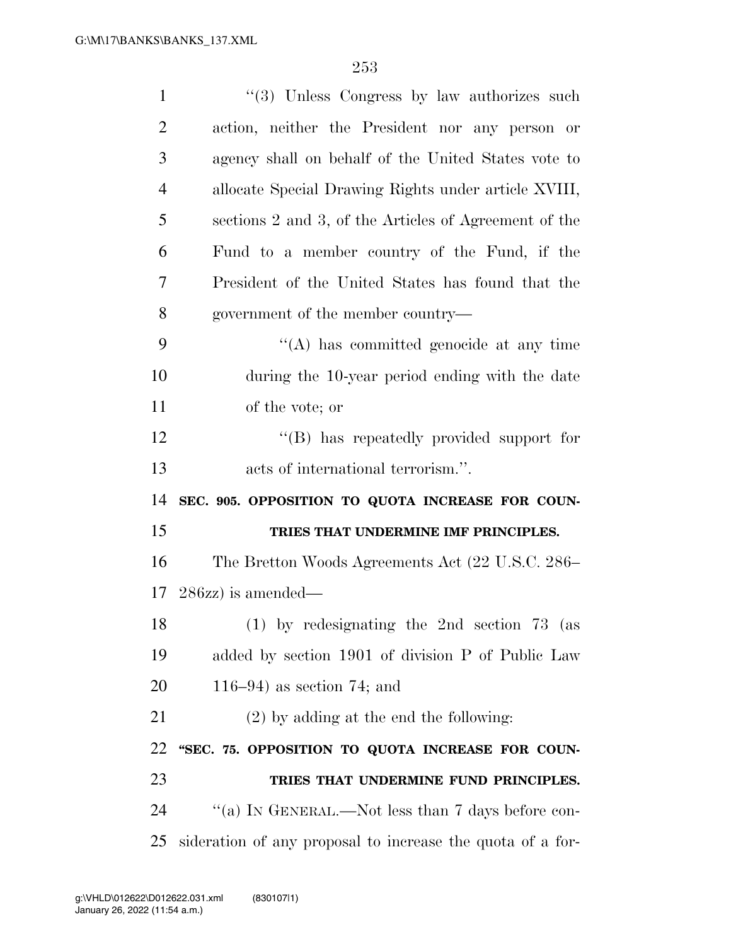| $\mathbf{1}$   | $\lq(3)$ Unless Congress by law authorizes such       |
|----------------|-------------------------------------------------------|
| $\overline{2}$ | action, neither the President nor any person or       |
| 3              | agency shall on behalf of the United States vote to   |
| 4              | allocate Special Drawing Rights under article XVIII,  |
| 5              | sections 2 and 3, of the Articles of Agreement of the |
| 6              | Fund to a member country of the Fund, if the          |
| 7              | President of the United States has found that the     |
| 8              | government of the member country—                     |
| 9              | $\lq\lq$ has committed genocide at any time           |
| 10             | during the 10-year period ending with the date        |
| 11             | of the vote; or                                       |
| 12             | "(B) has repeatedly provided support for              |
| 13             | acts of international terrorism.".                    |
|                |                                                       |
| 14             | SEC. 905. OPPOSITION TO QUOTA INCREASE FOR COUN-      |
| 15             | TRIES THAT UNDERMINE IMF PRINCIPLES.                  |
| 16             | The Bretton Woods Agreements Act (22 U.S.C. 286–      |
| 17             | $286zz$ is amended—                                   |
| 18             | $(1)$ by redesignating the 2nd section 73 (as         |
| 19             | added by section 1901 of division P of Public Law     |
| 20             | $116-94$ ) as section 74; and                         |
| 21             | $(2)$ by adding at the end the following:             |
| 22             | "SEC. 75. OPPOSITION TO QUOTA INCREASE FOR COUN-      |
| 23             | TRIES THAT UNDERMINE FUND PRINCIPLES.                 |
| 24             | "(a) IN GENERAL.—Not less than 7 days before con-     |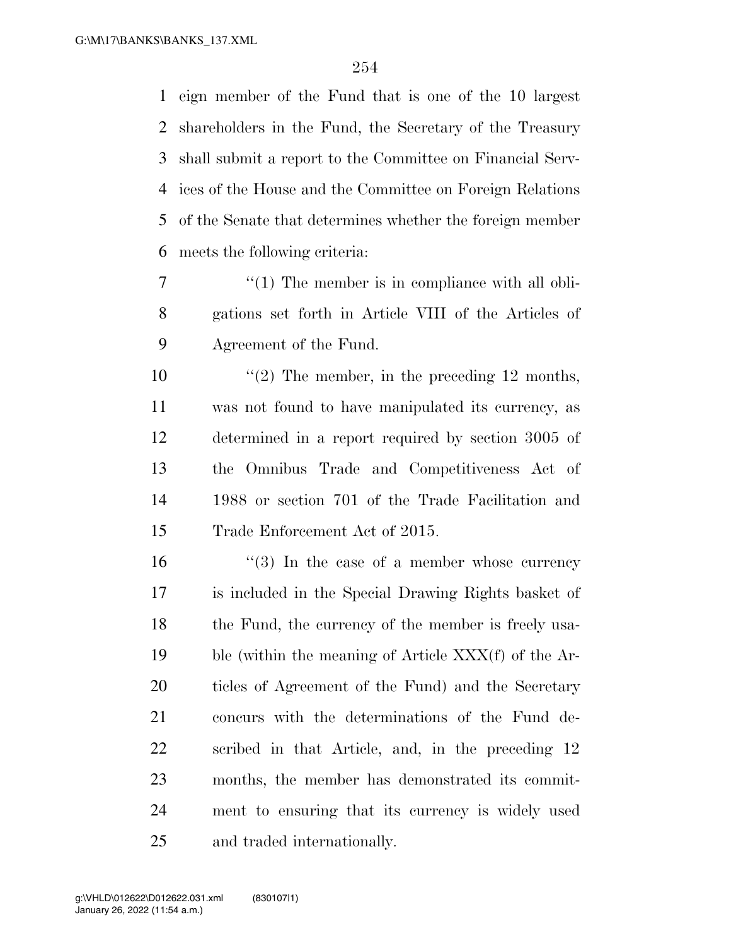eign member of the Fund that is one of the 10 largest shareholders in the Fund, the Secretary of the Treasury shall submit a report to the Committee on Financial Serv- ices of the House and the Committee on Foreign Relations of the Senate that determines whether the foreign member meets the following criteria:

7  $\frac{1}{1}$  The member is in compliance with all obli- gations set forth in Article VIII of the Articles of Agreement of the Fund.

 $\frac{1}{2}$  The member, in the preceding 12 months, was not found to have manipulated its currency, as determined in a report required by section 3005 of the Omnibus Trade and Competitiveness Act of 1988 or section 701 of the Trade Facilitation and Trade Enforcement Act of 2015.

 $\frac{16}{2}$  The case of a member whose currency is included in the Special Drawing Rights basket of 18 the Fund, the currency of the member is freely usa- ble (within the meaning of Article XXX(f) of the Ar- ticles of Agreement of the Fund) and the Secretary concurs with the determinations of the Fund de- scribed in that Article, and, in the preceding 12 months, the member has demonstrated its commit- ment to ensuring that its currency is widely used and traded internationally.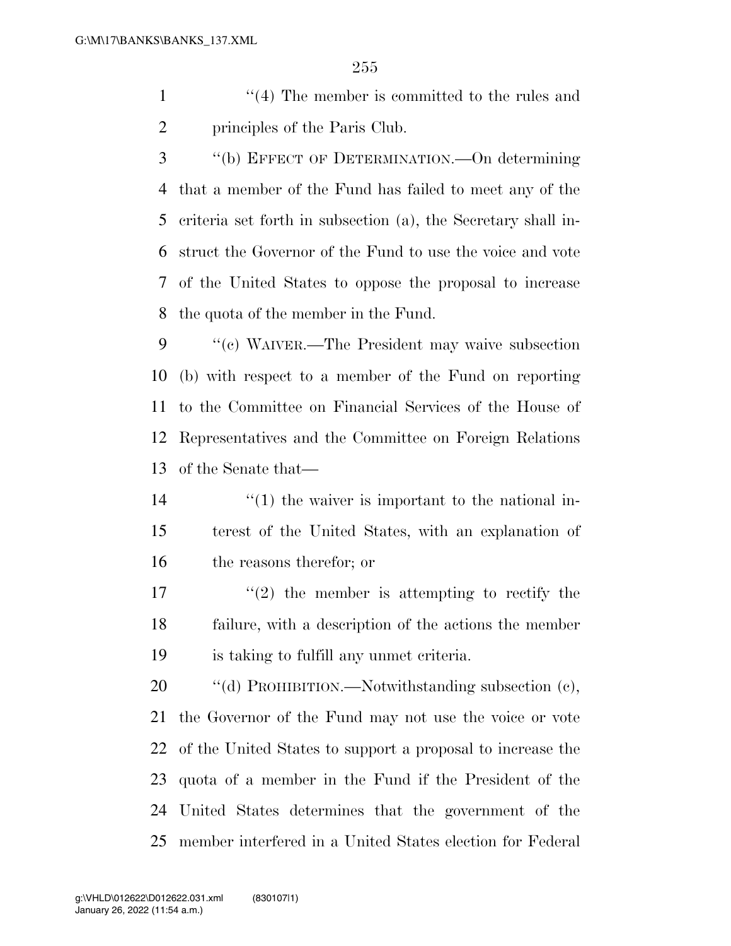- 1 ''(4) The member is committed to the rules and principles of the Paris Club.
- ''(b) EFFECT OF DETERMINATION.—On determining that a member of the Fund has failed to meet any of the criteria set forth in subsection (a), the Secretary shall in- struct the Governor of the Fund to use the voice and vote of the United States to oppose the proposal to increase the quota of the member in the Fund.
- ''(c) WAIVER.—The President may waive subsection (b) with respect to a member of the Fund on reporting to the Committee on Financial Services of the House of Representatives and the Committee on Foreign Relations of the Senate that—
- $\frac{14}{11}$  ''(1) the waiver is important to the national in- terest of the United States, with an explanation of the reasons therefor; or
- 17  $\frac{17}{2}$  the member is attempting to rectify the failure, with a description of the actions the member is taking to fulfill any unmet criteria.

20 "(d) PROHIBITION.—Notwithstanding subsection (c), the Governor of the Fund may not use the voice or vote of the United States to support a proposal to increase the quota of a member in the Fund if the President of the United States determines that the government of the member interfered in a United States election for Federal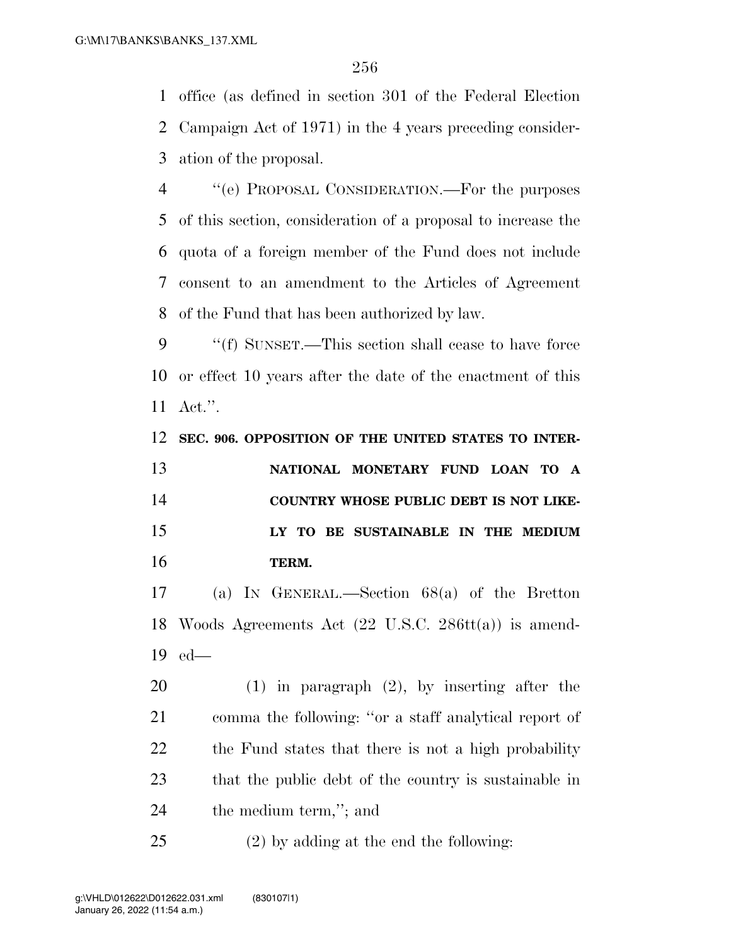office (as defined in section 301 of the Federal Election Campaign Act of 1971) in the 4 years preceding consider-ation of the proposal.

 ''(e) PROPOSAL CONSIDERATION.—For the purposes of this section, consideration of a proposal to increase the quota of a foreign member of the Fund does not include consent to an amendment to the Articles of Agreement of the Fund that has been authorized by law.

 ''(f) SUNSET.—This section shall cease to have force or effect 10 years after the date of the enactment of this Act.''.

**SEC. 906. OPPOSITION OF THE UNITED STATES TO INTER-**

 **NATIONAL MONETARY FUND LOAN TO A COUNTRY WHOSE PUBLIC DEBT IS NOT LIKE- LY TO BE SUSTAINABLE IN THE MEDIUM TERM.** 

 (a) IN GENERAL.—Section 68(a) of the Bretton Woods Agreements Act (22 U.S.C. 286tt(a)) is amend-ed—

 (1) in paragraph (2), by inserting after the comma the following: ''or a staff analytical report of 22 the Fund states that there is not a high probability that the public debt of the country is sustainable in the medium term,''; and

(2) by adding at the end the following: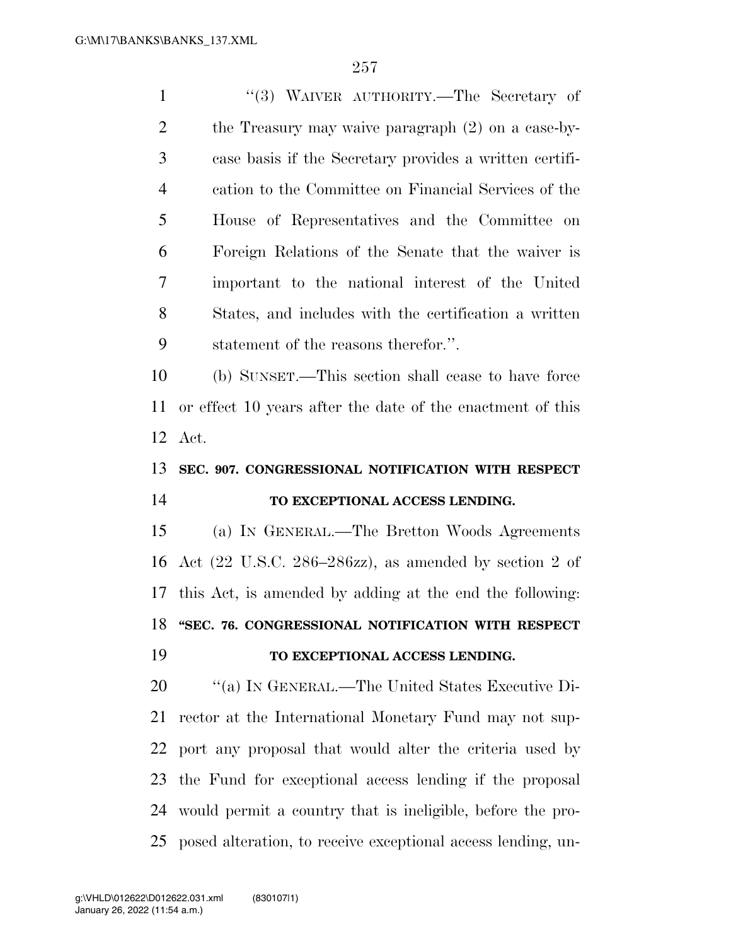1 ''(3) WAIVER AUTHORITY.—The Secretary of the Treasury may waive paragraph (2) on a case-by- case basis if the Secretary provides a written certifi- cation to the Committee on Financial Services of the House of Representatives and the Committee on Foreign Relations of the Senate that the waiver is important to the national interest of the United States, and includes with the certification a written statement of the reasons therefor.''. (b) SUNSET.—This section shall cease to have force or effect 10 years after the date of the enactment of this Act. **SEC. 907. CONGRESSIONAL NOTIFICATION WITH RESPECT TO EXCEPTIONAL ACCESS LENDING.**  (a) IN GENERAL.—The Bretton Woods Agreements Act (22 U.S.C. 286–286zz), as amended by section 2 of this Act, is amended by adding at the end the following: **''SEC. 76. CONGRESSIONAL NOTIFICATION WITH RESPECT TO EXCEPTIONAL ACCESS LENDING.** 

 ''(a) IN GENERAL.—The United States Executive Di- rector at the International Monetary Fund may not sup- port any proposal that would alter the criteria used by the Fund for exceptional access lending if the proposal would permit a country that is ineligible, before the pro-posed alteration, to receive exceptional access lending, un-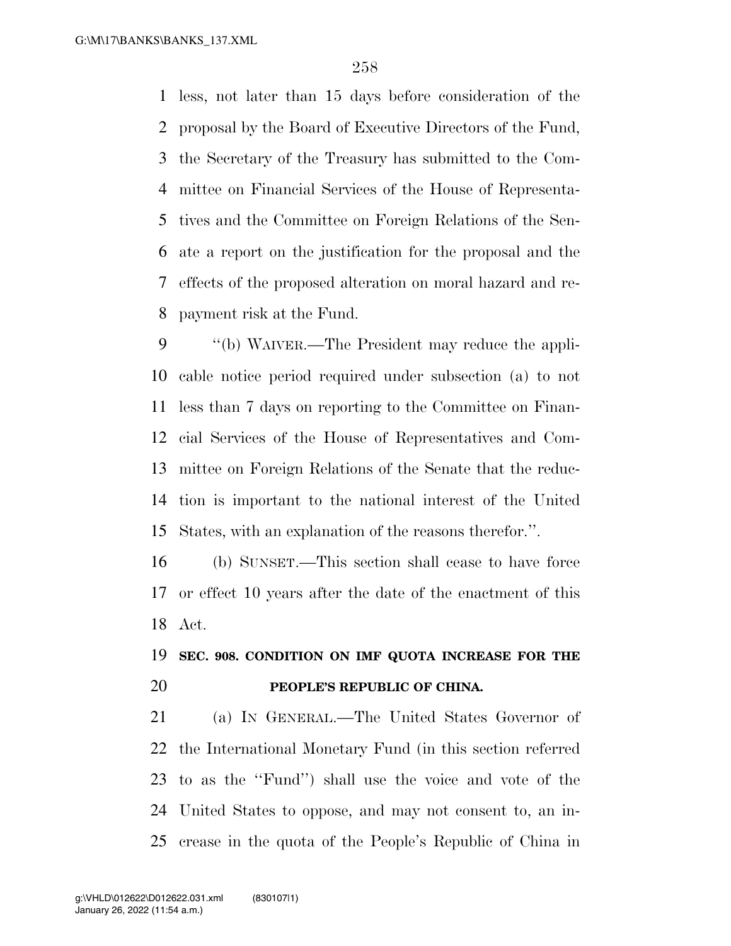less, not later than 15 days before consideration of the proposal by the Board of Executive Directors of the Fund, the Secretary of the Treasury has submitted to the Com- mittee on Financial Services of the House of Representa- tives and the Committee on Foreign Relations of the Sen- ate a report on the justification for the proposal and the effects of the proposed alteration on moral hazard and re-payment risk at the Fund.

 ''(b) WAIVER.—The President may reduce the appli- cable notice period required under subsection (a) to not less than 7 days on reporting to the Committee on Finan- cial Services of the House of Representatives and Com- mittee on Foreign Relations of the Senate that the reduc- tion is important to the national interest of the United States, with an explanation of the reasons therefor.''.

 (b) SUNSET.—This section shall cease to have force or effect 10 years after the date of the enactment of this Act.

## **SEC. 908. CONDITION ON IMF QUOTA INCREASE FOR THE PEOPLE'S REPUBLIC OF CHINA.**

 (a) IN GENERAL.—The United States Governor of the International Monetary Fund (in this section referred to as the ''Fund'') shall use the voice and vote of the United States to oppose, and may not consent to, an in-crease in the quota of the People's Republic of China in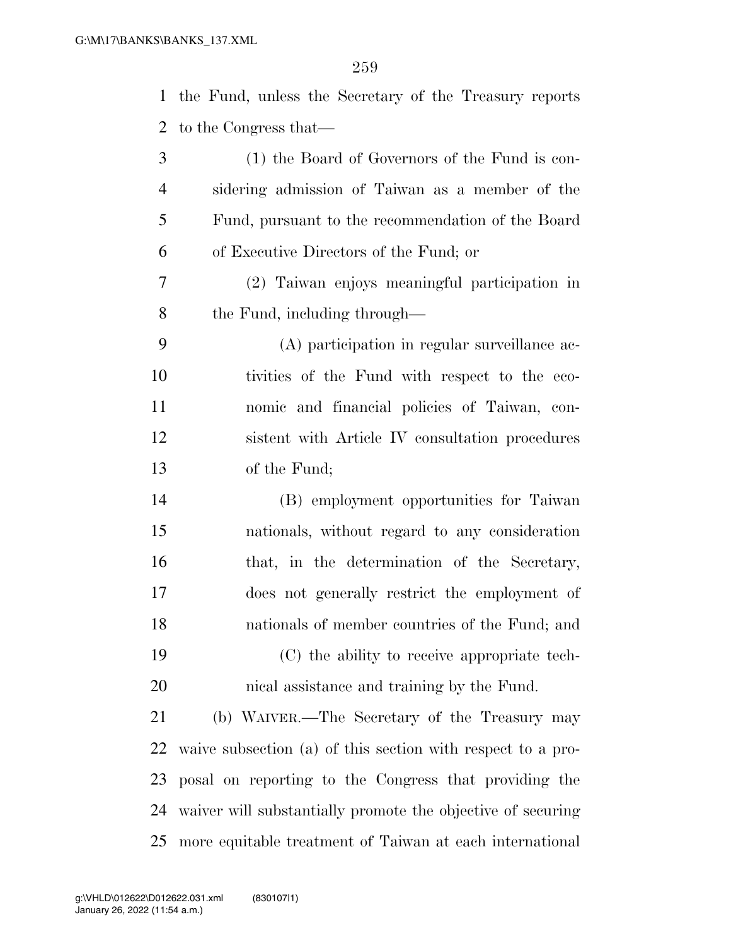| $\mathbf{1}$   | the Fund, unless the Secretary of the Treasury reports      |
|----------------|-------------------------------------------------------------|
| 2              | to the Congress that—                                       |
| 3              | (1) the Board of Governors of the Fund is con-              |
| $\overline{4}$ | sidering admission of Taiwan as a member of the             |
| 5              | Fund, pursuant to the recommendation of the Board           |
| 6              | of Executive Directors of the Fund; or                      |
| 7              | (2) Taiwan enjoys meaningful participation in               |
| 8              | the Fund, including through—                                |
| 9              | (A) participation in regular surveillance ac-               |
| 10             | tivities of the Fund with respect to the eco-               |
| 11             | nomic and financial policies of Taiwan, con-                |
| 12             | sistent with Article IV consultation procedures             |
| 13             | of the Fund;                                                |
| 14             | (B) employment opportunities for Taiwan                     |
| 15             | nationals, without regard to any consideration              |
| 16             | that, in the determination of the Secretary,                |
| 17             | does not generally restrict the employment of               |
| 18             | nationals of member countries of the Fund; and              |
| 19             | (C) the ability to receive appropriate tech-                |
| 20             | nical assistance and training by the Fund.                  |
| 21             | (b) WAIVER.—The Secretary of the Treasury may               |
| 22             | waive subsection (a) of this section with respect to a pro- |
| 23             | posal on reporting to the Congress that providing the       |
| 24             | waiver will substantially promote the objective of securing |
| 25             | more equitable treatment of Taiwan at each international    |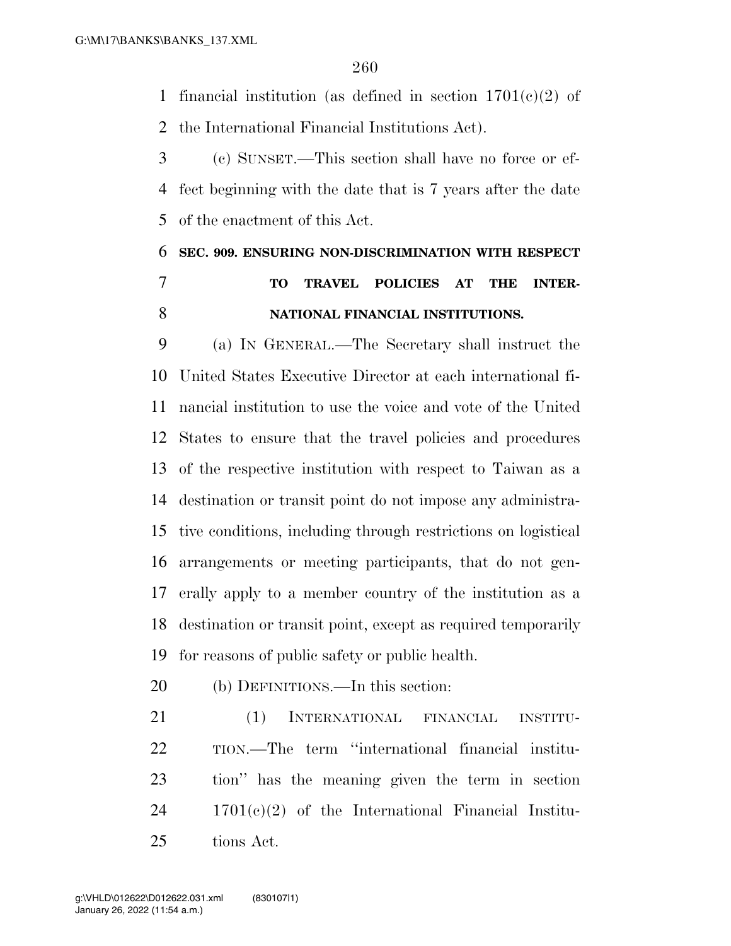1 financial institution (as defined in section  $1701(c)(2)$  of

the International Financial Institutions Act).

 (c) SUNSET.—This section shall have no force or ef- fect beginning with the date that is 7 years after the date of the enactment of this Act.

# **SEC. 909. ENSURING NON-DISCRIMINATION WITH RESPECT TO TRAVEL POLICIES AT THE INTER-**

#### **NATIONAL FINANCIAL INSTITUTIONS.**

 (a) IN GENERAL.—The Secretary shall instruct the United States Executive Director at each international fi- nancial institution to use the voice and vote of the United States to ensure that the travel policies and procedures of the respective institution with respect to Taiwan as a destination or transit point do not impose any administra- tive conditions, including through restrictions on logistical arrangements or meeting participants, that do not gen- erally apply to a member country of the institution as a destination or transit point, except as required temporarily for reasons of public safety or public health.

(b) DEFINITIONS.—In this section:

 (1) INTERNATIONAL FINANCIAL INSTITU- TION.—The term ''international financial institu- tion'' has the meaning given the term in section 1701(c)(2) of the International Financial Institu-tions Act.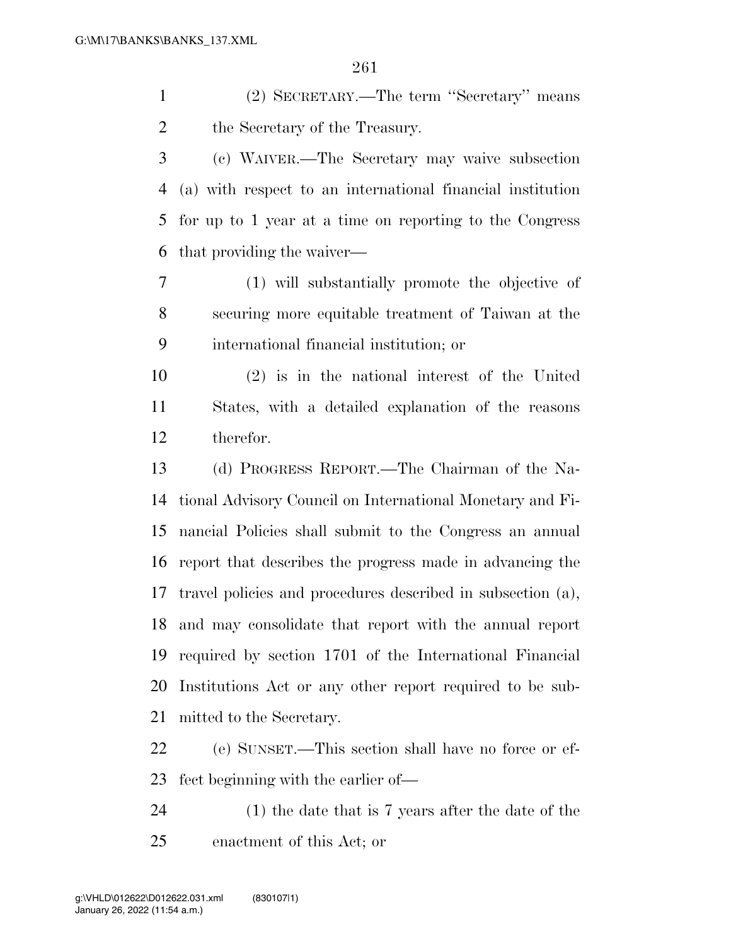(2) SECRETARY.—The term ''Secretary'' means 2 the Secretary of the Treasury.

 (c) WAIVER.—The Secretary may waive subsection (a) with respect to an international financial institution for up to 1 year at a time on reporting to the Congress that providing the waiver—

 (1) will substantially promote the objective of securing more equitable treatment of Taiwan at the international financial institution; or

 (2) is in the national interest of the United States, with a detailed explanation of the reasons therefor.

 (d) PROGRESS REPORT.—The Chairman of the Na- tional Advisory Council on International Monetary and Fi- nancial Policies shall submit to the Congress an annual report that describes the progress made in advancing the travel policies and procedures described in subsection (a), and may consolidate that report with the annual report required by section 1701 of the International Financial Institutions Act or any other report required to be sub-mitted to the Secretary.

 (e) SUNSET.—This section shall have no force or ef-fect beginning with the earlier of—

 (1) the date that is 7 years after the date of the enactment of this Act; or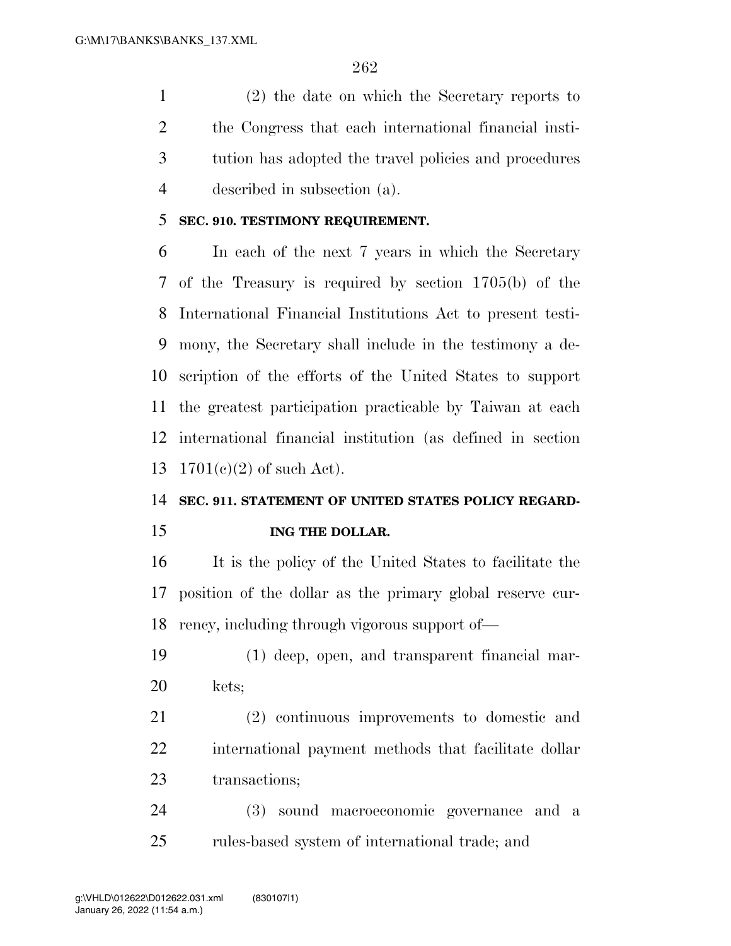(2) the date on which the Secretary reports to the Congress that each international financial insti- tution has adopted the travel policies and procedures described in subsection (a).

#### **SEC. 910. TESTIMONY REQUIREMENT.**

 In each of the next 7 years in which the Secretary of the Treasury is required by section 1705(b) of the International Financial Institutions Act to present testi- mony, the Secretary shall include in the testimony a de- scription of the efforts of the United States to support the greatest participation practicable by Taiwan at each international financial institution (as defined in section 1701(c)(2) of such Act).

#### **SEC. 911. STATEMENT OF UNITED STATES POLICY REGARD-**

**ING THE DOLLAR.** 

 It is the policy of the United States to facilitate the position of the dollar as the primary global reserve cur-rency, including through vigorous support of—

- (1) deep, open, and transparent financial mar-kets;
- (2) continuous improvements to domestic and international payment methods that facilitate dollar transactions;

 (3) sound macroeconomic governance and a rules-based system of international trade; and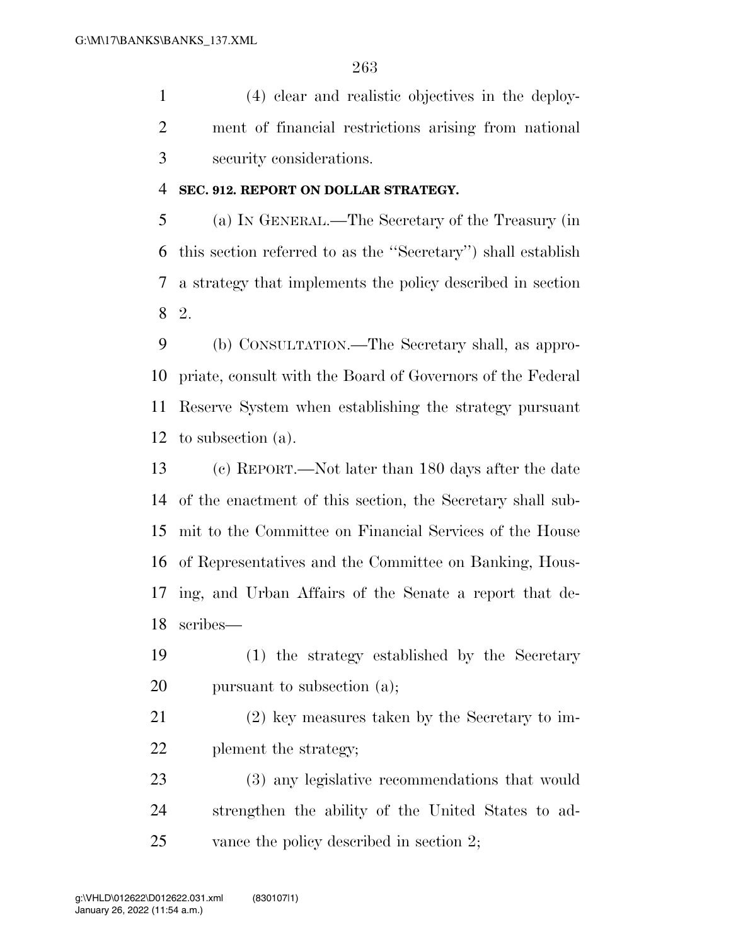(4) clear and realistic objectives in the deploy- ment of financial restrictions arising from national security considerations.

#### **SEC. 912. REPORT ON DOLLAR STRATEGY.**

 (a) IN GENERAL.—The Secretary of the Treasury (in this section referred to as the ''Secretary'') shall establish a strategy that implements the policy described in section 2.

 (b) CONSULTATION.—The Secretary shall, as appro- priate, consult with the Board of Governors of the Federal Reserve System when establishing the strategy pursuant to subsection (a).

 (c) REPORT.—Not later than 180 days after the date of the enactment of this section, the Secretary shall sub- mit to the Committee on Financial Services of the House of Representatives and the Committee on Banking, Hous- ing, and Urban Affairs of the Senate a report that de-scribes—

 (1) the strategy established by the Secretary 20 pursuant to subsection (a);

 (2) key measures taken by the Secretary to im-plement the strategy;

 (3) any legislative recommendations that would strengthen the ability of the United States to ad-25 vance the policy described in section 2;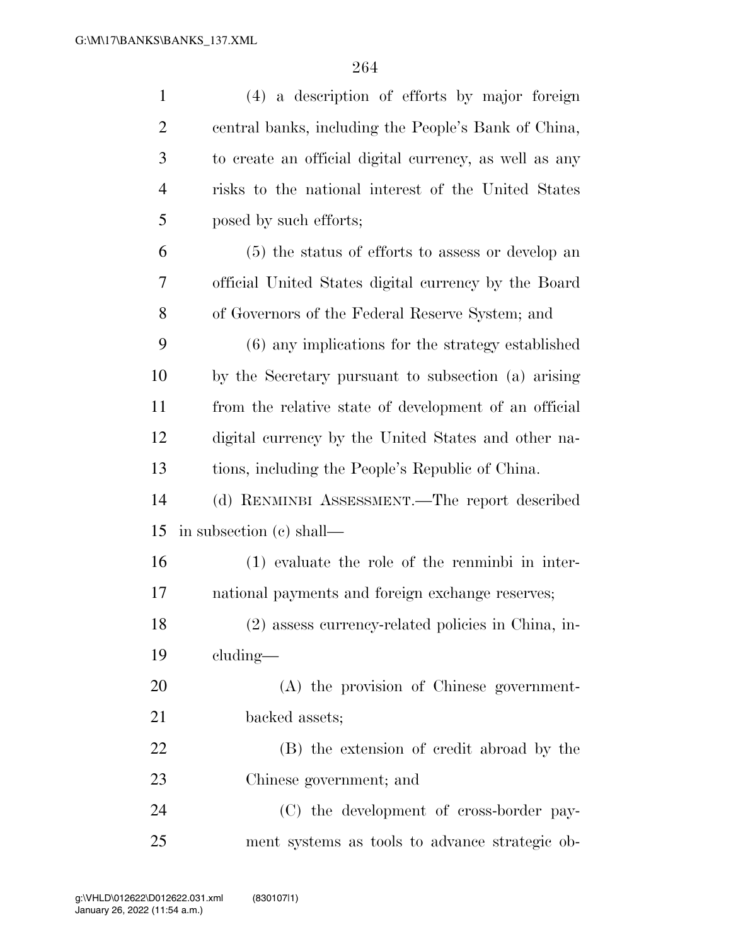| $\mathbf{1}$   | (4) a description of efforts by major foreign          |
|----------------|--------------------------------------------------------|
| $\overline{2}$ | central banks, including the People's Bank of China,   |
| 3              | to create an official digital currency, as well as any |
| $\overline{4}$ | risks to the national interest of the United States    |
| 5              | posed by such efforts;                                 |
| 6              | (5) the status of efforts to assess or develop an      |
| 7              | official United States digital currency by the Board   |
| 8              | of Governors of the Federal Reserve System; and        |
| 9              | (6) any implications for the strategy established      |
| 10             | by the Secretary pursuant to subsection (a) arising    |
| 11             | from the relative state of development of an official  |
| 12             | digital currency by the United States and other na-    |
| 13             | tions, including the People's Republic of China.       |
| 14             | (d) RENMINBI ASSESSMENT.—The report described          |
| 15             | in subsection (c) shall—                               |
| 16             | $(1)$ evaluate the role of the renminbi in inter-      |
| 17             | national payments and foreign exchange reserves;       |
| 18             | (2) assess currency-related policies in China, in-     |
| 19             | $cluding$ —                                            |
| 20             | (A) the provision of Chinese government-               |
| 21             | backed assets;                                         |
| 22             | (B) the extension of credit abroad by the              |
| 23             | Chinese government; and                                |
| 24             | (C) the development of cross-border pay-               |
| 25             | ment systems as tools to advance strategic ob-         |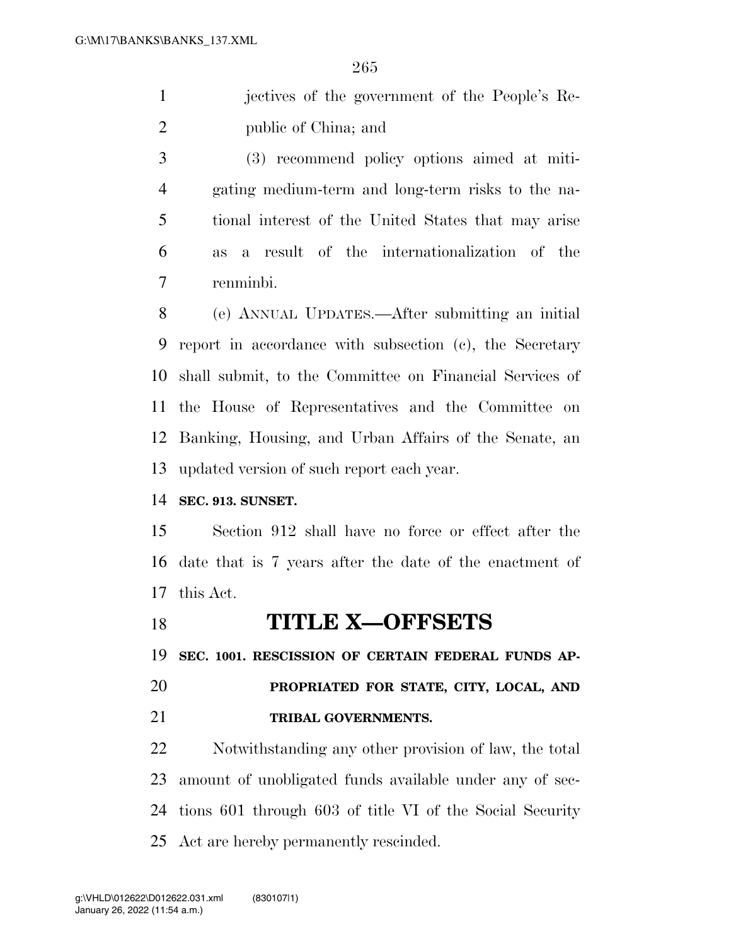| jectives of the government of the People's Re- |
|------------------------------------------------|
| public of China; and                           |

 (3) recommend policy options aimed at miti- gating medium-term and long-term risks to the na- tional interest of the United States that may arise as a result of the internationalization of the renminbi.

 (e) ANNUAL UPDATES.—After submitting an initial report in accordance with subsection (c), the Secretary shall submit, to the Committee on Financial Services of the House of Representatives and the Committee on Banking, Housing, and Urban Affairs of the Senate, an updated version of such report each year.

**SEC. 913. SUNSET.** 

 Section 912 shall have no force or effect after the date that is 7 years after the date of the enactment of this Act.

**TITLE X—OFFSETS** 

**SEC. 1001. RESCISSION OF CERTAIN FEDERAL FUNDS AP-**

 **PROPRIATED FOR STATE, CITY, LOCAL, AND TRIBAL GOVERNMENTS.** 

 Notwithstanding any other provision of law, the total amount of unobligated funds available under any of sec- tions 601 through 603 of title VI of the Social Security Act are hereby permanently rescinded.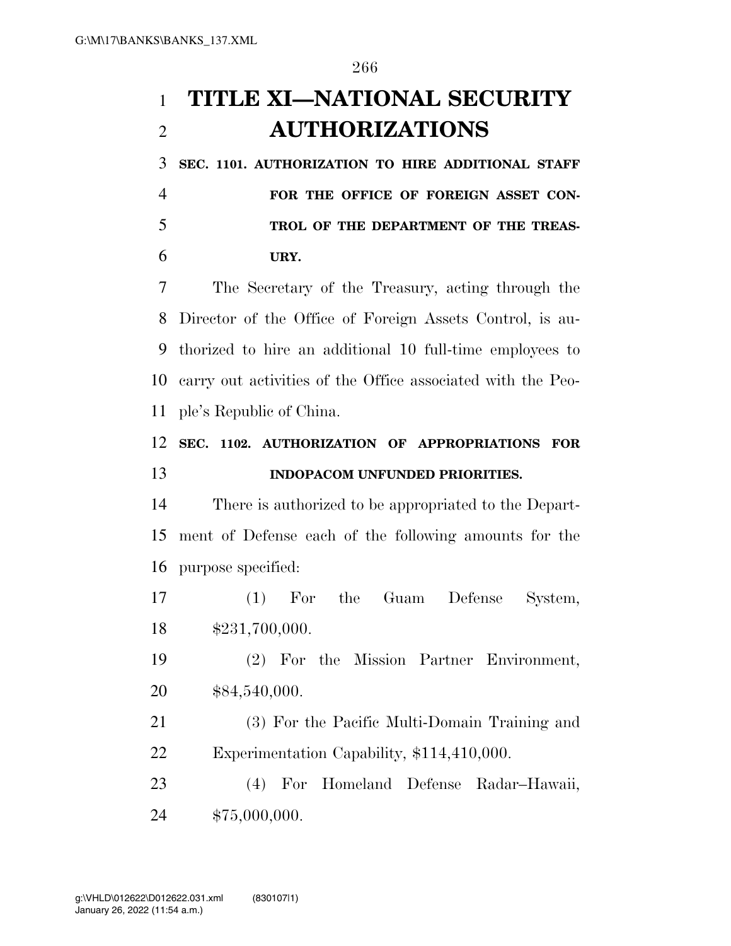# **TITLE XI—NATIONAL SECURITY AUTHORIZATIONS**

 **SEC. 1101. AUTHORIZATION TO HIRE ADDITIONAL STAFF FOR THE OFFICE OF FOREIGN ASSET CON- TROL OF THE DEPARTMENT OF THE TREAS-URY.** 

 The Secretary of the Treasury, acting through the Director of the Office of Foreign Assets Control, is au- thorized to hire an additional 10 full-time employees to carry out activities of the Office associated with the Peo-ple's Republic of China.

## **SEC. 1102. AUTHORIZATION OF APPROPRIATIONS FOR INDOPACOM UNFUNDED PRIORITIES.**

 There is authorized to be appropriated to the Depart- ment of Defense each of the following amounts for the purpose specified:

 (1) For the Guam Defense System, \$231,700,000.

 (2) For the Mission Partner Environment, \$84,540,000.

 (3) For the Pacific Multi-Domain Training and Experimentation Capability, \$114,410,000.

 (4) For Homeland Defense Radar–Hawaii, \$75,000,000.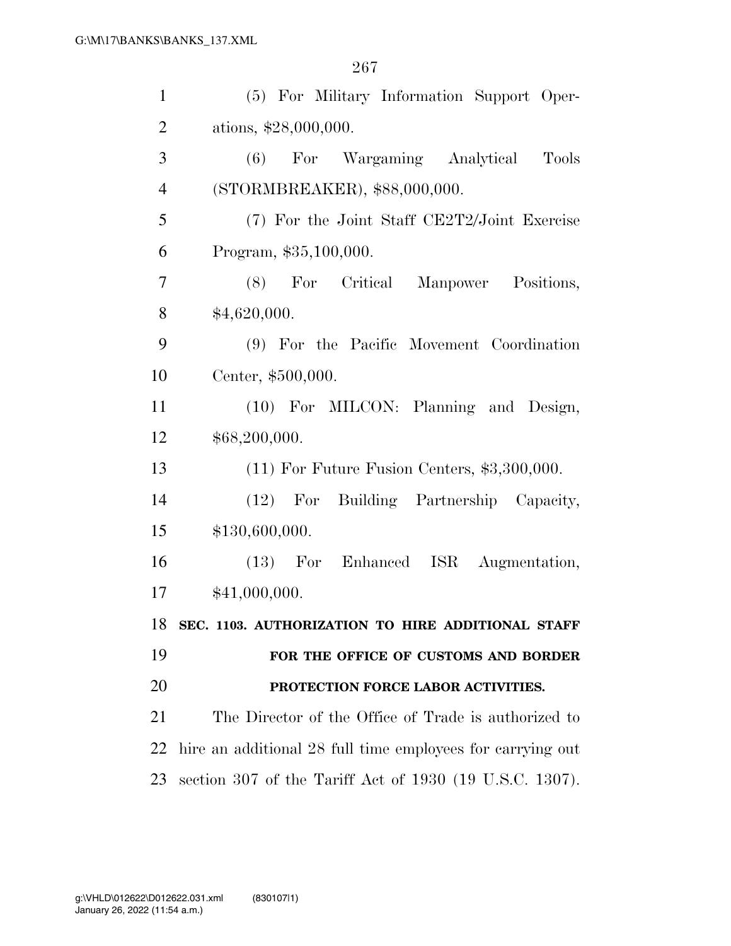| $\mathbf{1}$   | (5) For Military Information Support Oper-                 |
|----------------|------------------------------------------------------------|
| $\overline{2}$ | ations, \$28,000,000.                                      |
| 3              | Wargaming Analytical<br>(6)<br>For<br><b>Tools</b>         |
| $\overline{4}$ | (STORMBREAKER), \$88,000,000.                              |
| 5              | (7) For the Joint Staff CE2T2/Joint Exercise               |
| 6              | Program, \$35,100,000.                                     |
| 7              | (8) For Critical Manpower<br>Positions,                    |
| 8              | \$4,620,000.                                               |
| 9              | (9) For the Pacific Movement Coordination                  |
| 10             | Center, \$500,000.                                         |
| 11             | (10) For MILCON: Planning and Design,                      |
| 12             | \$68,200,000.                                              |
| 13             | $(11)$ For Future Fusion Centers, \$3,300,000.             |
| 14             | Building Partnership Capacity,<br>$(12)$ For               |
| 15             | \$130,600,000.                                             |
| 16             | (13) For Enhanced ISR<br>Augmentation,                     |
| 17             | \$41,000,000.                                              |
|                | 18 SEC. 1103. AUTHORIZATION TO HIRE ADDITIONAL STAFF       |
| 19             | FOR THE OFFICE OF CUSTOMS AND BORDER                       |
| 20             | PROTECTION FORCE LABOR ACTIVITIES.                         |
| 21             | The Director of the Office of Trade is authorized to       |
| 22             | hire an additional 28 full time employees for carrying out |
| 23             | section 307 of the Tariff Act of 1930 (19 U.S.C. 1307).    |